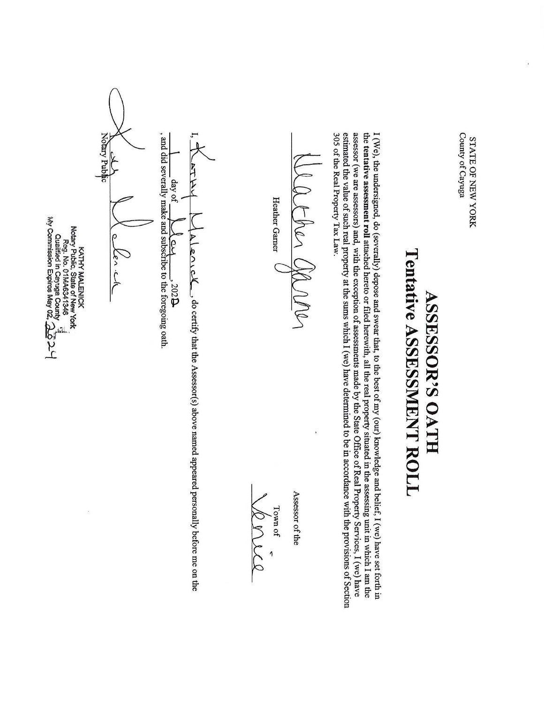Notary Public , and did severally make and subscribe to the foregoing oath. County of Cayuga I, 305 estimated assessor the  $\frac{1}{2}$ I (We), County of Cayuga  $\int \frac{day}{day}$  of  $\int \frac{dy}{dx}$  or  $\int$   $\frac{302B}{y}$  $\mathbf{L}$ STATE OF NEW YORK In The Control STATE OF NEW YORK | tentative of the the be (we the Real undersigned, day of actres Cla are assessment value Property assessors) Heather of such م<br>8 Tax roll MALENICK Notary Pubiic, State of New Gamer and, real (severally) York<br>Reg. No. 01MA6341346<br>Reg. No. 01MA6341346  $\mathfrak{g}$ Law. attached KATHY property with Tentative  $\mathcal{L}$  $\subset$ the hereto depose  $3025$  $\overline{a}$ exception the OATH ASSESSOR'S , do certify or and sums filed swear of which I (we) assessments herewith, ASSESSMENT  $\th$  $\frac{1}{\pi}$ the to  $\overline{\Xi}$ Assessor(s)  $\frac{1}{10}$ have made the best real determined by of property the my above State (our) ಕ named situated Office knowledge be ROLL in appeared accordance of i Real the  $\,\mathrm{cm}$ assessing Town of contract in the second depth of the second depth in the second depth to the second depth to the second depth to the second depth of the second depth of the second depth to the second depth to the second depth to th Property Assessor personally belief, I (we) with Town  $\frac{1}{16}$ unit Services, I (we) of before provisions the in have which I am me set on  $\mathbf{g}$ forth have the

ualitied ä. Cayuga

"2 My Commission Expires May 02, 26

County

م<br>م

i

the

Section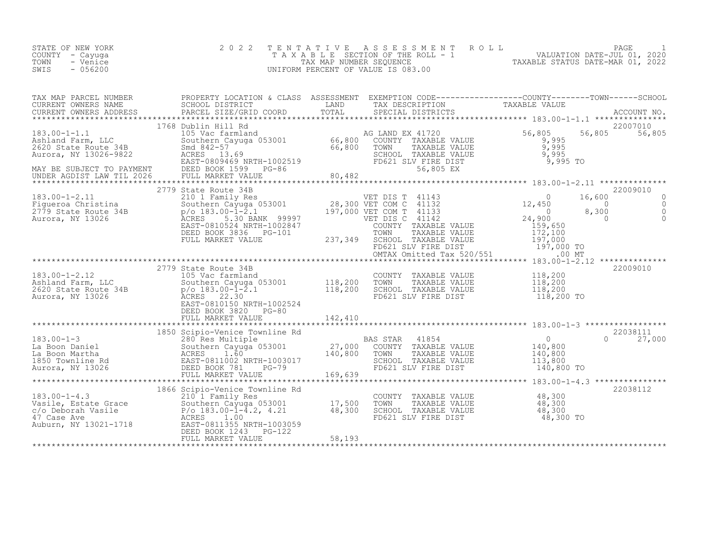| STATE OF NEW YORK<br>COUNTY - Cayuga<br>TOWN<br>- Venice<br>SWIS<br>$-056200$                                                                                                                                                                                     | 2 0 2 2                                                                      |         |                                                                                                                                                         | TENTATIVE ASSESSMENT ROLL PAGE 1<br>TAXABLE SECTION OF THE ROLL - 1 VALUATION DATE-JUL 01, 2020<br>TAXABLE STATUS DATE-MAR 01, 2022<br>UNIFORM PERCENT OF VALUE IS 083.00                                                        |
|-------------------------------------------------------------------------------------------------------------------------------------------------------------------------------------------------------------------------------------------------------------------|------------------------------------------------------------------------------|---------|---------------------------------------------------------------------------------------------------------------------------------------------------------|----------------------------------------------------------------------------------------------------------------------------------------------------------------------------------------------------------------------------------|
|                                                                                                                                                                                                                                                                   |                                                                              |         |                                                                                                                                                         | TAX MAP PARCEL NUMBER PROPERTY LOCATION & CLASS ASSESSMENT EXEMPTION CODE-----------------COUNTY--------TOWN------SCHOOL CURRENT OWNERS NAME SCHOOL DISTRICT LAND TAX DESCRIPTION TAXABLE VALUE<br>CURRENT OWNERS ADDRESS PARCEL |
|                                                                                                                                                                                                                                                                   | 1768 Dublin Hill Rd                                                          |         |                                                                                                                                                         | 22007010                                                                                                                                                                                                                         |
|                                                                                                                                                                                                                                                                   |                                                                              |         |                                                                                                                                                         | 22009010<br>$\circ$<br>$\begin{matrix} 0 \\ 0 \\ 0 \end{matrix}$                                                                                                                                                                 |
| 2779 State Route 34B<br>2779 State Route 34B<br>2620 State Route 34B<br>2620 State Route 34B<br>2620 SCHOOL TAXABLE VALUE<br>2620 SCHOOL TAXABLE VALUE<br>2770 2330<br>27.30<br>27.30<br>27.30<br>27.30<br>27.30<br>27.30<br>27.30<br>27.30<br>27.30<br>27.30<br> | 2779 State Route 34B<br>DEED BOOK 3820 PG-80<br>FULL MARKET VALUE            | 142,410 | COUNTY TAXABLE VALUE 118,200<br>TOWN TAXABLE VALUE 118,200<br>SCHOOL TAXABLE VALUE 118,200<br>FD621 SLV FIRE DIST 118,200 TO                            | 22009010                                                                                                                                                                                                                         |
|                                                                                                                                                                                                                                                                   |                                                                              |         |                                                                                                                                                         | $0 \t 27,000$                                                                                                                                                                                                                    |
|                                                                                                                                                                                                                                                                   | 1866 Scipio-Venice Townline Rd<br>DEED BOOK 1243 PG-122<br>FULL MARKET VALUE | 58,193  | COUNTY TAXABLE VALUE 48,300<br>TOWN TAXABLE VALUE 48,300<br>SCHOOL TAXABLE VALUE 48,300<br>SCHOOL TAXABLE VALUE 48,300<br>FD621 SLV FIRE DIST 48,300 TO |                                                                                                                                                                                                                                  |

\*\*\*\*\*\*\*\*\*\*\*\*\*\*\*\*\*\*\*\*\*\*\*\*\*\*\*\*\*\*\*\*\*\*\*\*\*\*\*\*\*\*\*\*\*\*\*\*\*\*\*\*\*\*\*\*\*\*\*\*\*\*\*\*\*\*\*\*\*\*\*\*\*\*\*\*\*\*\*\*\*\*\*\*\*\*\*\*\*\*\*\*\*\*\*\*\*\*\*\*\*\*\*\*\*\*\*\*\*\*\*\*\*\*\*\*\*\*\*\*\*\*\*\*\*\*\*\*\*\*\*\*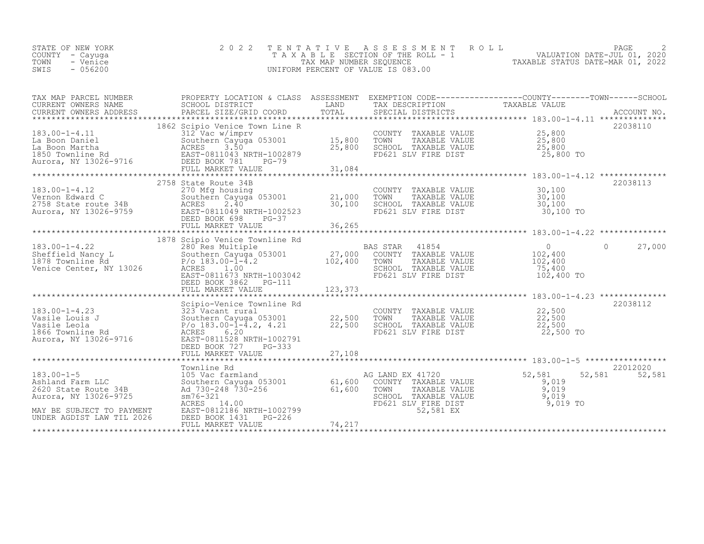| STATE OF NEW YORK | 2022 TENTATIVE ASSESSMENT ROLL     | PAGE                             |
|-------------------|------------------------------------|----------------------------------|
| COUNTY - Cayuqa   | TAXABLE SECTION OF THE ROLL - 1    | VALUATION DATE-JUL 01, 2020      |
| TOWN<br>- Venice  | TAX MAP NUMBER SEQUENCE            | TAXABLE STATUS DATE-MAR 01, 2022 |
| $-056200$<br>SWIS | UNIFORM PERCENT OF VALUE IS 083.00 |                                  |
|                   |                                    |                                  |

| TAX MAP PARCEL NUMBER                                                                                                                                                                                                                                                                                                                                                                                                              | PROPERTY LOCATION & CLASS ASSESSMENT EXEMPTION CODE----------------COUNTY-------TOWN------SCHOOL                                                                                                                                     |  |                     |
|------------------------------------------------------------------------------------------------------------------------------------------------------------------------------------------------------------------------------------------------------------------------------------------------------------------------------------------------------------------------------------------------------------------------------------|--------------------------------------------------------------------------------------------------------------------------------------------------------------------------------------------------------------------------------------|--|---------------------|
|                                                                                                                                                                                                                                                                                                                                                                                                                                    | 1862 Scipio Venice Town Line R                                                                                                                                                                                                       |  | 22038110            |
| $\begin{tabular}{lllllllllll} \textbf{183.00--1-4.11} & \textbf{1002} & \textbf{52.800} \\ \textbf{La Boon Daniel} & \textbf{312} & \textbf{Vac w/imprv} & \textbf{15,800} & \textbf{TONNY} & \textbf{TXABLE VALUE} & \textbf{25,800} \\ \textbf{La Boon Daniel} & \textbf{Southerm Cayuom 053001} & \textbf{15,800} & \textbf{TOWN} & \textbf{TXABLE VALUE} & \textbf{25,800} \\ \textbf{La Boon Martha} & \textbf{Southerm Cayu$ |                                                                                                                                                                                                                                      |  |                     |
|                                                                                                                                                                                                                                                                                                                                                                                                                                    | 2758 State Route 34B                                                                                                                                                                                                                 |  | 22038113            |
|                                                                                                                                                                                                                                                                                                                                                                                                                                    |                                                                                                                                                                                                                                      |  |                     |
|                                                                                                                                                                                                                                                                                                                                                                                                                                    |                                                                                                                                                                                                                                      |  |                     |
| 183.00-1-4.22<br>183.00-1-4.22<br>Sheffield Nancy L<br>1878 Townline Rd<br>27,000 COUNTY TAXABLE VALUE<br>27,000 COUNTY TAXABLE VALUE<br>27,000 COUNTY TAXABLE VALUE<br>27,000 COUNTY TAXABLE VALUE<br>27,000 COUNTY TAXABLE VALUE<br>27,000 COU                                                                                                                                                                                   | 1878 Scipio Venice Townline Rd<br>DEED BOOK 3862 PG-111                                                                                                                                                                              |  | $\bigcap$<br>27,000 |
|                                                                                                                                                                                                                                                                                                                                                                                                                                    | Scipio-Venice Townline Rd                                                                                                                                                                                                            |  | 22038112            |
|                                                                                                                                                                                                                                                                                                                                                                                                                                    |                                                                                                                                                                                                                                      |  |                     |
|                                                                                                                                                                                                                                                                                                                                                                                                                                    |                                                                                                                                                                                                                                      |  |                     |
|                                                                                                                                                                                                                                                                                                                                                                                                                                    | Townline Rd                                                                                                                                                                                                                          |  | 22012020            |
| $183.00 - 1 - 5$<br>Ashland Farm LLC<br>2620 State Route 34B<br>Aurora, NY 13026-9725                                                                                                                                                                                                                                                                                                                                              | 106 Marrie Rd (105 Vac farmland and 105 Vac farmland 105 Vac farmland 52<br>2026–9725 and 730–248 730–256 (1,600 COUNTY TAXABLE VALUE 9,019<br>9,019 and 730–248 730–256 (1,600 TOWN TAXABLE VALUE 9,019<br>1026–9725 am76–321 and 1 |  | 52,581 52,581       |
| MAY BE SUBJECT TO PAYMENT EAST-0812186 NRTH-1002799<br>UNDER AGDIST LAW TIL 2026 DEED BOOK 1431 PG-226                                                                                                                                                                                                                                                                                                                             |                                                                                                                                                                                                                                      |  |                     |
|                                                                                                                                                                                                                                                                                                                                                                                                                                    |                                                                                                                                                                                                                                      |  |                     |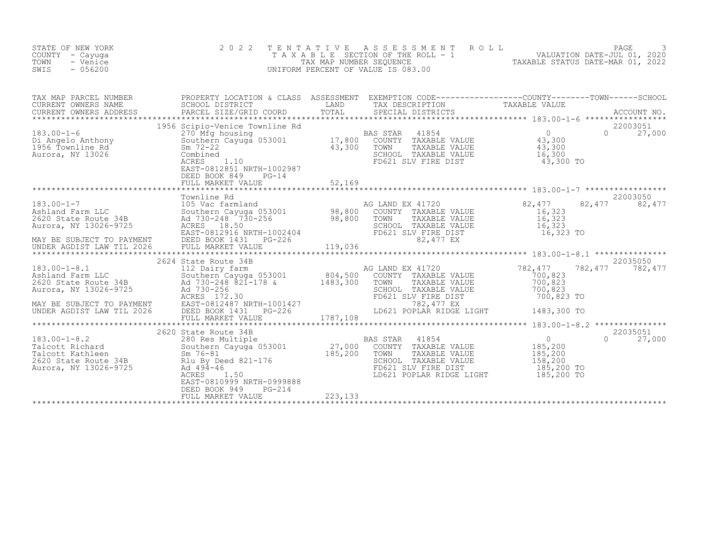| STATE OF NEW YORK<br>COUNTY - Cayuga<br>TOWN<br>- Venice<br>SWIS<br>$-056200$ | 2 0 2 2<br>TENTATIVE                                                      |          | PAGE 3<br>TAXABLE SECTION OF THE ROLL - 1 VALUATION DATE-JUL 01, 2020<br>TAX MAP NUMBER SEQUENCE TAXABLE STATUS DATE-MAR 01, 2022<br>INIFORM PERCENT OF VALUE IS 083.00<br>UNIFORM PERCENT OF VALUE IS 083.00 |        |                           |
|-------------------------------------------------------------------------------|---------------------------------------------------------------------------|----------|---------------------------------------------------------------------------------------------------------------------------------------------------------------------------------------------------------------|--------|---------------------------|
| CURRENT OWNERS ADDRESS                                                        |                                                                           |          |                                                                                                                                                                                                               |        |                           |
|                                                                               | DEED BOOK 849<br>$PG-14$                                                  |          |                                                                                                                                                                                                               |        | 22003051<br>$0 \t 27,000$ |
|                                                                               |                                                                           |          | AG LAND EX 41720<br>COUNTY TAXABLE VALUE<br>TOWN TAXABLE VALUE<br>TOWN TAXABLE VALUE<br>SCHOOL TAXABLE VALUE<br>FD621 SLV FIRE DIST<br>R2.477 F.X<br>16,323 TO<br>16,323 TO<br>82,477 EX                      | 82,477 | 22003050<br>82,477        |
|                                                                               |                                                                           |          |                                                                                                                                                                                                               |        |                           |
|                                                                               | EAST-0810999 NRTH-0999888<br>DEED BOOK 949<br>PG-214<br>FULL MARKET VALUE | 223, 133 | LD621 POPLAR RIDGE LIGHT 185,200 TO                                                                                                                                                                           |        |                           |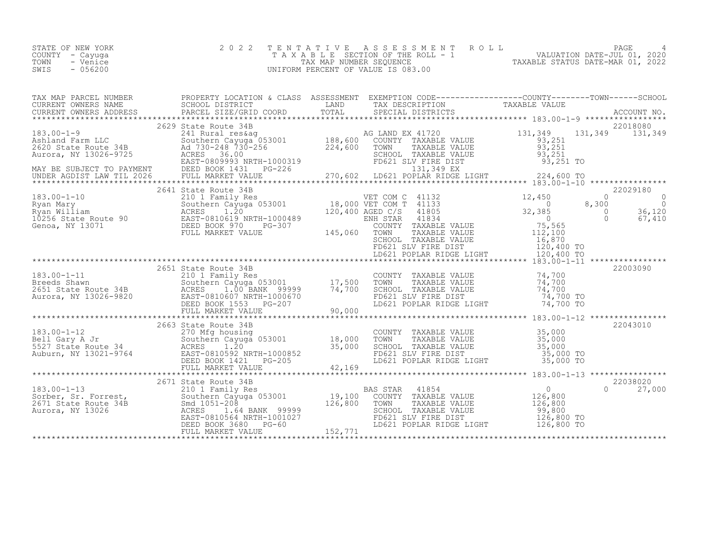| STATE OF NEW YORK | 2022 TENTATIVE ASSESSMENT ROLL     |                                  | PAGE                        |  |
|-------------------|------------------------------------|----------------------------------|-----------------------------|--|
| COUNTY – Cayuga   | TAXABLE SECTION OF THE ROLL - 1    |                                  | VALUATION DATE-JUL 01, 2020 |  |
| TOWN<br>- Venice  | TAX MAP NUMBER SEOUENCE            | TAXABLE STATUS DATE-MAR 01, 2022 |                             |  |
| - 056200<br>SWIS  | UNIFORM PERCENT OF VALUE IS 083.00 |                                  |                             |  |

| TAX MAP PARCEL NUMBER | PROPERTY LOCATION & CLASS ASSESSMENT EXEMPTION CODE-----------------COUNTY-------TOWN-----SCHOOL                                                                                                                                           |  |                                        |                    |
|-----------------------|--------------------------------------------------------------------------------------------------------------------------------------------------------------------------------------------------------------------------------------------|--|----------------------------------------|--------------------|
|                       |                                                                                                                                                                                                                                            |  |                                        |                    |
|                       |                                                                                                                                                                                                                                            |  |                                        |                    |
|                       |                                                                                                                                                                                                                                            |  |                                        |                    |
|                       |                                                                                                                                                                                                                                            |  |                                        |                    |
|                       | 2641 State Route 34B                                                                                                                                                                                                                       |  |                                        | 22029180           |
|                       |                                                                                                                                                                                                                                            |  |                                        |                    |
|                       |                                                                                                                                                                                                                                            |  |                                        |                    |
|                       |                                                                                                                                                                                                                                            |  |                                        |                    |
|                       | 183.00-1-11 2651 State Route 34B<br>183.00-1-11 210 1 Family Res COUNTY TAXABLE VALUE<br>22003090<br>22003090<br>22003090 22003090<br>22003090 22003090 217,500 TOWN TAXABLE VALUE<br>22003090 22003090 22003090 217,500 TOWN TAXABLE VALU |  |                                        |                    |
|                       |                                                                                                                                                                                                                                            |  |                                        |                    |
|                       |                                                                                                                                                                                                                                            |  |                                        |                    |
|                       |                                                                                                                                                                                                                                            |  |                                        | 22038020           |
|                       |                                                                                                                                                                                                                                            |  |                                        | $\Omega$<br>27,000 |
|                       |                                                                                                                                                                                                                                            |  | ************************************** |                    |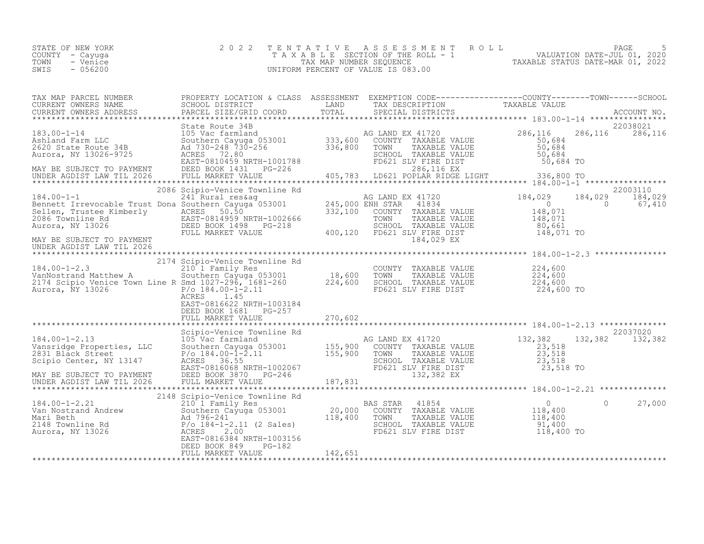| STATE OF NEW YORK<br>COUNTY - Cayuqa  | 2022 TENTATIVE ASSESSMENT ROLL<br>T A X A B L E SECTION OF THE ROLL - 1 |                                  | PAGE<br>VALUATION DATE-JUL 01, 2020 |  |
|---------------------------------------|-------------------------------------------------------------------------|----------------------------------|-------------------------------------|--|
| TOWN<br>- Venice<br>$-056200$<br>SWIS | TAX MAP NUMBER SEOUENCE<br>UNIFORM PERCENT OF VALUE IS 083.00           | TAXABLE STATUS DATE-MAR 01, 2022 |                                     |  |

| TAX MAP PARCEL NUMBER<br>CURRENT OWNERS NAME<br>CURRENT OWNERS ADDRESS PARCEL SIZE/GRID COORD TOTAL SPECIAL DISTRICTS TAXIBLE VALUE                                                                                                                                                                                                                                                                                                                                                                                                                  | PROPERTY LOCATION & CLASS ASSESSMENT EXEMPTION CODE----------------COUNTY-------TOWN-----SCHOOL |         |            |             |
|------------------------------------------------------------------------------------------------------------------------------------------------------------------------------------------------------------------------------------------------------------------------------------------------------------------------------------------------------------------------------------------------------------------------------------------------------------------------------------------------------------------------------------------------------|-------------------------------------------------------------------------------------------------|---------|------------|-------------|
|                                                                                                                                                                                                                                                                                                                                                                                                                                                                                                                                                      |                                                                                                 |         |            | ACCOUNT NO. |
|                                                                                                                                                                                                                                                                                                                                                                                                                                                                                                                                                      |                                                                                                 |         |            |             |
| $\begin{tabular}{l c c c c c c} \hline \texttt{\footnotesize{AAH and Farm LLC}} & \texttt{\footnotesize{ACT}} & \texttt{\footnotesize{ACT}} & \texttt{\footnotesize{ACT}} & \texttt{\footnotesize{ACT}} & \texttt{\footnotesize{ACT}} & \texttt{\footnotesize{ACT}} & \texttt{\footnotesize{ACT}} & \texttt{\footnotesize{ACT}} & \texttt{\footnotesize{ACT}} & \texttt{\footnotesize{ACT}} & \texttt{\footnotesize{ACT}} & \texttt{\footnotesize{ACT}} & \texttt{\footnotesize{ACT}} & \texttt{\footnotesize{ACT}} & \texttt{\footnotesize{ACT}} &$ |                                                                                                 |         |            |             |
|                                                                                                                                                                                                                                                                                                                                                                                                                                                                                                                                                      |                                                                                                 |         |            |             |
|                                                                                                                                                                                                                                                                                                                                                                                                                                                                                                                                                      |                                                                                                 |         |            |             |
| 184.00-1-1<br>2006 Scipio-Venice Townline Rd<br>2006 Scipio-Venice Townline Rd<br>241 Rural res&ag<br>241 Rural res&ag<br>245,000 ENH STAR<br>2008 ENH STAR<br>2008 END EXABLE VALUE<br>2008 Townline Rd<br>2008 Townline Rd<br>2008 Townline Rd<br>                                                                                                                                                                                                                                                                                                 |                                                                                                 |         |            |             |
| MAY BE SUBJECT TO PAYMENT<br>UNDER AGDIST LAW TIL 2026                                                                                                                                                                                                                                                                                                                                                                                                                                                                                               |                                                                                                 |         | 184,029 EX |             |
|                                                                                                                                                                                                                                                                                                                                                                                                                                                                                                                                                      |                                                                                                 |         |            |             |
| 2174 Scipio-Venice Townline Rd<br>2174 Scipio-Venice Townline Rd<br>210 1 Family Res<br>224,600<br>2174 Scipio Venice Town Line R Smd 1027-296, 1681-260<br>224,600<br>224,600<br>224,600<br>224,600<br>224,600<br>224,600<br>224,600<br>224,600<br>224,                                                                                                                                                                                                                                                                                             | ACRES 1.45                                                                                      |         |            |             |
|                                                                                                                                                                                                                                                                                                                                                                                                                                                                                                                                                      | EAST-0816622 NRTH-1003184<br>DEED BOOK 1681    PG-257                                           |         |            |             |
|                                                                                                                                                                                                                                                                                                                                                                                                                                                                                                                                                      | Scipio-Venice Townline Rd                                                                       |         |            | 22037020    |
|                                                                                                                                                                                                                                                                                                                                                                                                                                                                                                                                                      |                                                                                                 |         |            |             |
|                                                                                                                                                                                                                                                                                                                                                                                                                                                                                                                                                      |                                                                                                 |         |            |             |
|                                                                                                                                                                                                                                                                                                                                                                                                                                                                                                                                                      |                                                                                                 |         |            | 27,000      |
|                                                                                                                                                                                                                                                                                                                                                                                                                                                                                                                                                      | DEED BOOK 849<br>PG-182<br>FULL MARKET VALUE                                                    | 142,651 |            |             |
|                                                                                                                                                                                                                                                                                                                                                                                                                                                                                                                                                      |                                                                                                 |         |            |             |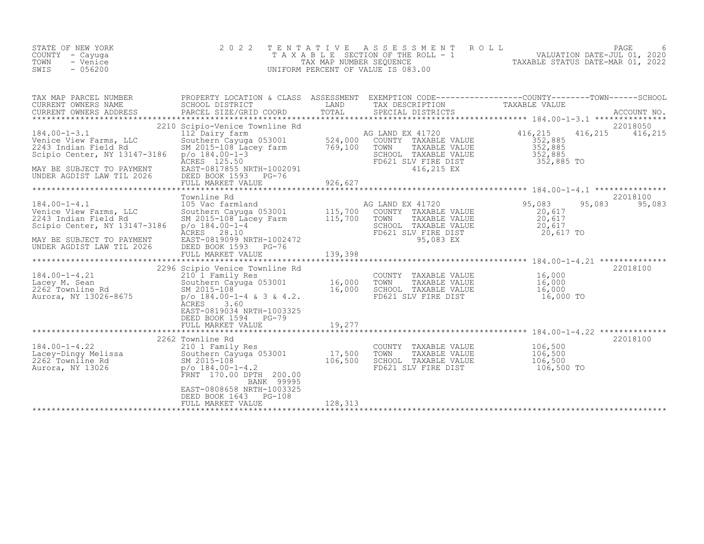| STATE OF NEW YORK<br>COUNTY – Cayuga<br>TOWN<br>- Venice<br>$-056200$<br>SWIS | 2022 TENTATIVE ASSESSMENT ROLL<br>T A X A B L E SECTION OF THE ROLL - 1<br>TAX MAP NUMBER SEOUENCE<br>UNIFORM PERCENT OF VALUE IS 083.00 | TAXABLE STATUS DATE-MAR 01, 2022 | PAGE<br>VALUATION DATE-JUL 01, 2020 | 6 |
|-------------------------------------------------------------------------------|------------------------------------------------------------------------------------------------------------------------------------------|----------------------------------|-------------------------------------|---|
|                                                                               |                                                                                                                                          |                                  |                                     |   |

| TAX MAP PARCEL NUMBER<br>CURRENT OWNERS NAME SCHOOL DISTRICT                                                                                                                                                                                                       | PROPERTY LOCATION & CLASS ASSESSMENT EXEMPTION CODE----------------COUNTY-------TOWN-----SCHOOL<br><b>EXAMPLE EXAMPLE EXAMPLE EXAMPLE EXAMPLE EXAMPLE EXAMPLE EXAMPLE EXAMPLE EXAMPLE EXAMPLE EXAMPLE EXAMPLE EXAMPLE E</b> | TAX DESCRIPTION TAXABLE VALUE                                                                                           |            |               |
|--------------------------------------------------------------------------------------------------------------------------------------------------------------------------------------------------------------------------------------------------------------------|-----------------------------------------------------------------------------------------------------------------------------------------------------------------------------------------------------------------------------|-------------------------------------------------------------------------------------------------------------------------|------------|---------------|
| CURRENT OWNERS ADDRESS                                                                                                                                                                                                                                             |                                                                                                                                                                                                                             |                                                                                                                         |            |               |
|                                                                                                                                                                                                                                                                    |                                                                                                                                                                                                                             |                                                                                                                         |            |               |
| 2018 100-1-3.1<br>22018 120 Scipio-Venice Townline Rd<br>184.00-1-3.1<br>22018050<br>22018050<br>22018050<br>22018050<br>22018050<br>22018050<br>22018050<br>22018050<br>22018050<br>22018050<br>22018050<br>22018050<br>22018050<br>22018050<br>22018050<br>22018 |                                                                                                                                                                                                                             |                                                                                                                         |            |               |
|                                                                                                                                                                                                                                                                    |                                                                                                                                                                                                                             |                                                                                                                         |            |               |
|                                                                                                                                                                                                                                                                    | Townline Rd                                                                                                                                                                                                                 |                                                                                                                         |            | 22018100      |
| 184.00-1-4.1<br>Venice View Farms, LLC 105 Vac farmland<br>2243 Indian Field Rd SM 2015-108 Lacey Farm 115,700 COUNTY TAXABLE VALUE 20,617<br>Scipio Center, NY 13147-3186 p/o 184.00-1-4<br>MAY BE SUBJECT TO PAYMENT ACRES 28.10<br>MA                           |                                                                                                                                                                                                                             |                                                                                                                         |            | 95,083 95,083 |
| MAY BE SUBJECT TO PAYMENT<br>MAY BE SUBJECT TO PAYMENT BAST-0819099 NAIL 1000-76                                                                                                                                                                                   |                                                                                                                                                                                                                             |                                                                                                                         |            |               |
|                                                                                                                                                                                                                                                                    |                                                                                                                                                                                                                             |                                                                                                                         |            |               |
| 184.00-1-4.21 2296 SCHOLD Venice Townline Rd<br>2196 SCHOLD Family Res (2000 TOWN TAXABLE VALUE 16,000 EXABLE VALUE 16,000 SOUTHER MANAGE ONLY TAXABLE VALUE<br>2262 Townline Rd SM 2015-108 16,000 SCHOOL TAXABLE VALUE 16,000 SC                                 | 2296 Scipio Venice Townline Rd<br>ACRES 3.60<br>EAST-0819034 NRTH-1003325                                                                                                                                                   |                                                                                                                         |            | 22018100      |
|                                                                                                                                                                                                                                                                    | DEED BOOK 1594 PG-79                                                                                                                                                                                                        |                                                                                                                         |            |               |
|                                                                                                                                                                                                                                                                    | 2262 Townline Rd                                                                                                                                                                                                            |                                                                                                                         |            | 22018100      |
| 184.00-1-4.22<br>184.00-1-4.22<br>Lacey-Dingy Melissa 210 1 Family Res<br>2262 Townline Rd<br>2262 Townline Rd<br>2015-108 Southern Cayuga 053001<br>2015-108 106,500 SCHOOL<br>200.00 PTH<br>200.00 PTH<br>200.00                                                 | FRNT 170.00 DPTH 200.00<br>BANK 99995                                                                                                                                                                                       | COUNTY TAXABLE VALUE $106,500$<br>TOWN TAXABLE VALUE $106,500$<br>SCHOOL TAXABLE VALUE $106,500$<br>FD621 SLV FIRE DIST | 106,500 TO |               |
|                                                                                                                                                                                                                                                                    | EAST-0808658 NRTH-1003325<br>DEED BOOK 1643 PG-108                                                                                                                                                                          |                                                                                                                         |            |               |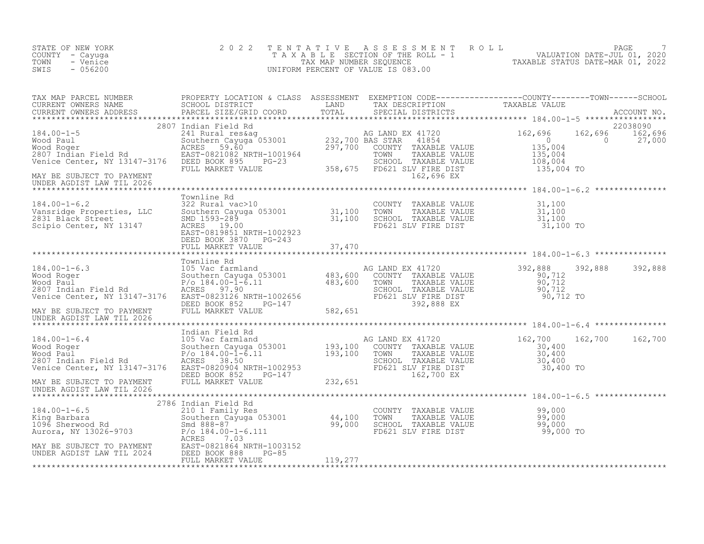| STATE OF NEW YORK<br>COUNTY - Cayuga<br>- Venice<br>TOWN<br>$-056200$<br>SWIS                                                                                                                                                                                  | 2 0 2 2 |  | TENTATIVE ASSESSMENT ROLL PAGE 7<br>TAXABLE SECTION OF THE ROLL - 1 VALUATION DATE-JUL 01, 2020<br>TAX MAP NUMBER SEQUENCE TAXABLE STATUS DATE-MAR 01, 2022<br>UNIFORM PERCENT OF VALUE IS 083.00                                 |  |
|----------------------------------------------------------------------------------------------------------------------------------------------------------------------------------------------------------------------------------------------------------------|---------|--|-----------------------------------------------------------------------------------------------------------------------------------------------------------------------------------------------------------------------------------|--|
|                                                                                                                                                                                                                                                                |         |  | TAX MAP PARCEL NUMBER PROPERTY LOCATION & CLASS ASSESSMENT EXEMPTION CODE----------------COUNTY---------TOWN------SCHOOL SCHOOL DISTRICT<br>CURRENT OWNERS NAME PARCEL SIZE/GRID COORD TOTAL SPECIAL DISTRICTS DESCRIPTION TAXABL |  |
| UNDER AGDIST LAW TIL 2026                                                                                                                                                                                                                                      |         |  |                                                                                                                                                                                                                                   |  |
|                                                                                                                                                                                                                                                                |         |  |                                                                                                                                                                                                                                   |  |
| 184.00-1-6.3<br>184.00-1-6.3<br>184.00-1-6.3<br>184.00-1-6.3<br>184.00-1-6.3<br>184.00-1-6.3<br>184.00-1-6.3<br>184.00-1-6.3<br>184.00-1-6.3<br>184.00-1-6.3<br>184.00-1-6.3<br>184.00-1-6.3<br>184.00-1-6.3<br>184.00-1-6.3<br>1892,888<br>1892,888<br>1892,8 |         |  |                                                                                                                                                                                                                                   |  |
|                                                                                                                                                                                                                                                                |         |  |                                                                                                                                                                                                                                   |  |
|                                                                                                                                                                                                                                                                |         |  |                                                                                                                                                                                                                                   |  |
|                                                                                                                                                                                                                                                                |         |  |                                                                                                                                                                                                                                   |  |
|                                                                                                                                                                                                                                                                |         |  |                                                                                                                                                                                                                                   |  |
|                                                                                                                                                                                                                                                                |         |  |                                                                                                                                                                                                                                   |  |
|                                                                                                                                                                                                                                                                |         |  |                                                                                                                                                                                                                                   |  |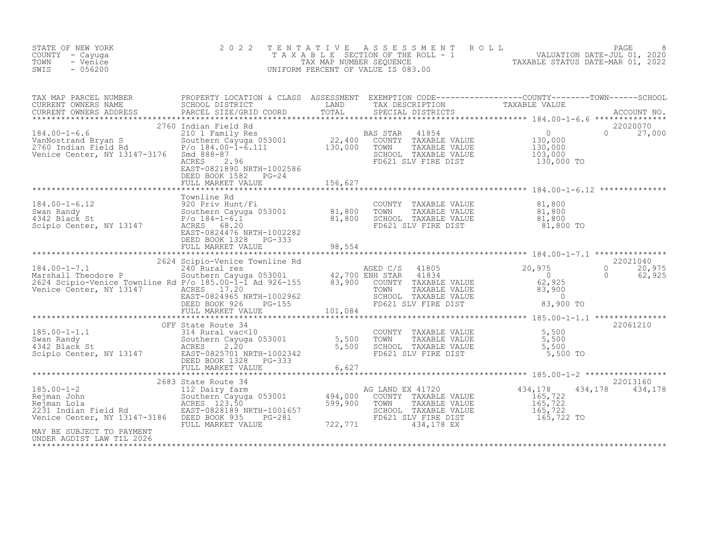| STATE OF NEW YORK<br>COUNTY - Cayuga<br>- Venice<br>TOWN<br>SWIS<br>$-056200$ | 2 0 2 2                                           |  | TENTATIVE ASSESSMENT ROLL PAGE PAGE 8<br>TAXABLE SECTION OF THE ROLL - 1 VALUATION DATE-JUL 01, 2020<br>TAX MAP NUMBER SEQUENCE TAXABLE STATUS DATE-MAR 01, 2022<br>UNIFORM PERCENT OF VALUE IS 083.00                                                                                                                                                                                                                                                                                                                                 |
|-------------------------------------------------------------------------------|---------------------------------------------------|--|----------------------------------------------------------------------------------------------------------------------------------------------------------------------------------------------------------------------------------------------------------------------------------------------------------------------------------------------------------------------------------------------------------------------------------------------------------------------------------------------------------------------------------------|
|                                                                               |                                                   |  |                                                                                                                                                                                                                                                                                                                                                                                                                                                                                                                                        |
|                                                                               | DEED BOOK 1582 PG-24<br>FULL MARKET VALUE 156,627 |  |                                                                                                                                                                                                                                                                                                                                                                                                                                                                                                                                        |
|                                                                               |                                                   |  | 184.00-1-6.12<br>184.00-1-6.12<br>20 Priv Hunt/Fi COUNTY TAXABLE VALUE<br>20 Priv Hunt/Fi COUNTY TAXABLE VALUE<br>20 Priv Hunt/Fi COUNTY TAXABLE VALUE<br>20 Priv Hunt/Fi COUNTY TAXABLE VALUE<br>20 Priv Hunt/Fi COUNTY TAXABLE VALUE<br>20                                                                                                                                                                                                                                                                                           |
|                                                                               |                                                   |  |                                                                                                                                                                                                                                                                                                                                                                                                                                                                                                                                        |
|                                                                               |                                                   |  |                                                                                                                                                                                                                                                                                                                                                                                                                                                                                                                                        |
| MAY BE SUBJECT TO PAYMENT<br>UNDER AGDIST LAW TIL 2026                        |                                                   |  | $\begin{tabular}{lcccccc} \texttt{****}{\texttt{****}{\texttt{****}{\texttt{****}{\texttt{****}{\texttt{****}{\texttt{****}{\texttt{****}{\texttt{****}{\texttt{****}{\texttt{****}{\texttt{****}{\texttt{****}{\texttt{****}{\texttt{****}{\texttt{****}{\texttt{****}{\texttt{****}{\texttt{****}{\texttt{****}{\texttt{****}{\texttt{****}{\texttt{****}{\texttt{****}{\texttt{****}{\texttt{****}{\texttt{****}{\texttt{****}{\texttt{****}{\texttt{****}{\texttt{****}{\texttt{****}{\texttt{****}{\texttt{****}{\texttt{****}{\$ |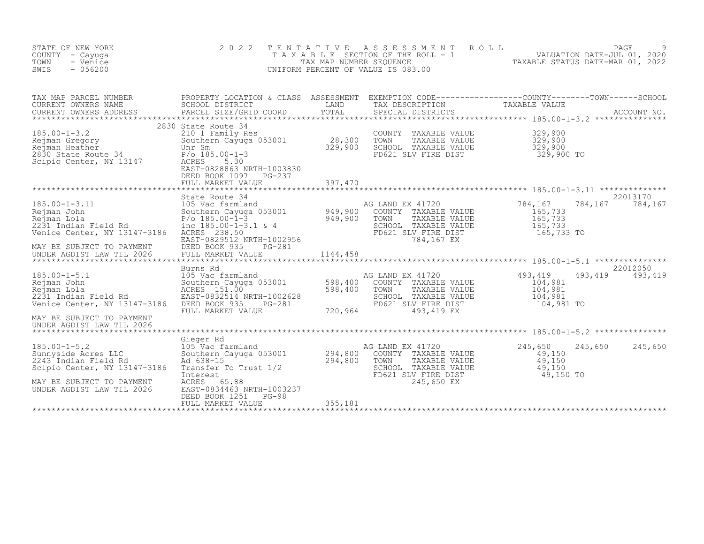| STATE OF NEW YORK<br>COUNTY - Cayuga<br>TOWN<br>- Venice<br>SWIS<br>$-056200$                                                                                                                                                            | 2 0 2 2                                                                                                                                                                          | TENTATIVE | ASSESSMENT ROLL<br>UNIFORM PERCENT OF VALUE IS 083.00                                                                                                                       | PAGE PAGE PAGE SECTION OF THE ROLL - 1<br>TAX MAP NUMBER SEQUENCE THE ROLL - 1<br>TAX MAP NUMBER SEQUENCE TAXABLE STATUS DATE-MAR 01, 2022 | PAGE                        |
|------------------------------------------------------------------------------------------------------------------------------------------------------------------------------------------------------------------------------------------|----------------------------------------------------------------------------------------------------------------------------------------------------------------------------------|-----------|-----------------------------------------------------------------------------------------------------------------------------------------------------------------------------|--------------------------------------------------------------------------------------------------------------------------------------------|-----------------------------|
|                                                                                                                                                                                                                                          |                                                                                                                                                                                  |           |                                                                                                                                                                             |                                                                                                                                            |                             |
| 185.00-1-3.2<br>Rejman Gregory<br>Rejman Heather<br>2830 State Route 34<br>Scipio Center, NY 13147<br>PASE 2830                                                                                                                          | 2830 State Route 34<br>210 1 Family Res<br>Southern Cayuga 053001 28,300<br>Unr Sm<br>P/o 185.00-1-3 329,900<br>ACRES 5.30<br>EAST-0828863 NRTH-1003830<br>DEED BOOK 1097 PG-237 |           | COUNTY TAXABLE VALUE 329,900<br>TOWN TAXABLE VALUE 329,900<br>SCHOOL TAXABLE VALUE 329,900<br>FD621 SLV FIRE DIST 329,900 TO                                                |                                                                                                                                            |                             |
|                                                                                                                                                                                                                                          | FULL MARKET VALUE                                                                                                                                                                | 397,470   |                                                                                                                                                                             |                                                                                                                                            |                             |
| 185.00-1-3.11<br>Rejman John Mejman John Megalem State Route 34<br>Rejman John State Route 34<br>Rejman John Southern Cayuga 053001 949,900 COUNT<br>2231 Indian Field Rd P/o 185.00-1-3.1 & 4<br>Venice Center, NY 13147-3186 ACRES 238 |                                                                                                                                                                                  |           | AG LAND EX 41720<br>COUNTY TAXABLE VALUE<br>TOWN<br>TAXABLE VALUE<br>SCHOOL TAXABLE VALUE<br>FD621 SLV FIRE DIST<br>784,167 EX                                              | 784,167<br>$165,733$<br>$165,733$<br>$165,733$<br>$165,733$ TO                                                                             | 22013170<br>784,167 784,167 |
| Venice Center, NY 13147-3186<br>MAY BE SUBJECT TO PAYMENT<br>UNDER AGDIST LAW TIL 2026                                                                                                                                                   | DEED BOOK 935<br>PG-281<br>FULL MARKET VALUE                                                                                                                                     |           | AG LAND EX 41720<br>COUNTY TAXABLE VALUE<br>TOWN<br>TAXABLE VALUE<br>SCHOOL TAXABLE VALUE<br>$FD621$ SLV FIRE DIST<br>720,964 493,419 EX                                    | 493,419<br>493,419<br>104,981<br>104,981<br>104,981<br>104,981 TO                                                                          | 22012050<br>493,419         |
|                                                                                                                                                                                                                                          |                                                                                                                                                                                  |           |                                                                                                                                                                             |                                                                                                                                            |                             |
| Cieger Rd<br>Sunnyside Acres LLC<br>2243 Indian Field Rd<br>Scipio Center, NY 19317<br>MAY BE SUBJECT TO PAYMENT                                                                                                                         | No Vac farmland<br>105 Vac farmland<br>Southern Cayuga 053001 294,800<br>Ad 638-15 294,800<br>Transfer To Trust 1/2<br>Interest<br>ACRES 65.88                                   |           | AG LAND EX 41720<br>COUNTY TAXABLE VALUE<br>TOWN TAXABLE VALUE 49,150<br>SCHOOL TAXABLE VALUE 49,150<br>FD621 SLV FIRE DIST 49,150 TO<br>215 CEO FV 49,150 TO<br>245,650 EX | 245,650<br>245,650                                                                                                                         | 245,650                     |
| UNDER AGDIST LAW TIL 2026                                                                                                                                                                                                                | EAST-0834463 NRTH-1003237<br>DEED BOOK 1251<br>PG-98<br>FULL MARKET VALUE                                                                                                        | 355,181   |                                                                                                                                                                             |                                                                                                                                            |                             |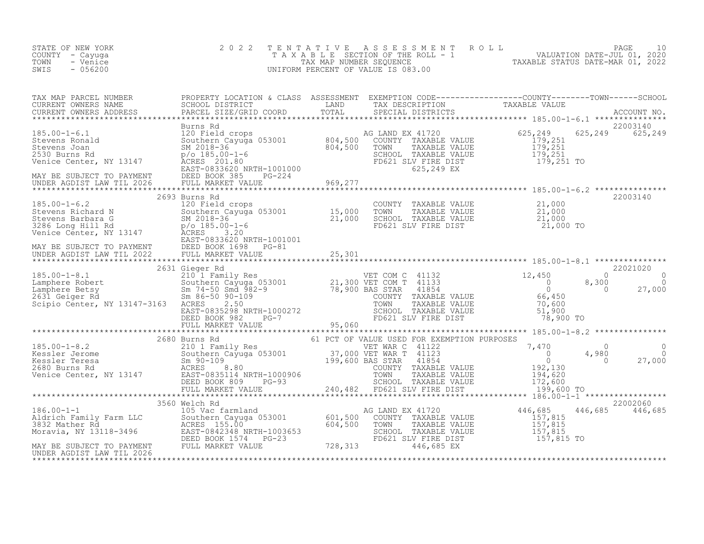| STATE OF NEW YORK<br>COUNTY - Cayuga<br>TOWN<br>- Venice<br>$-056200$<br>SWIS                                                                                                                                                     | 2 0 2 2 |  | TENTATIVE ASSESSMENT ROLL PAGE 10<br>TAXABLE SECTION OF THE ROLL - 1 VALUATION DATE-JUL 01, 2020<br>TAX MAP NUMBER SEQUENCE TAXABLE STATUS DATE-MAR 01, 2022<br>UNIFORM PERCENT OF VALUE IS 083.00 |          |
|-----------------------------------------------------------------------------------------------------------------------------------------------------------------------------------------------------------------------------------|---------|--|----------------------------------------------------------------------------------------------------------------------------------------------------------------------------------------------------|----------|
| TAX MAP PARCEL NUMBER PROPERTY LOCATION & CLASS ASSESSMENT EXEMPTION CODE--------------------COUNTY---------TOWN------SCHOOL SCHOOL DISTRICT LAND TAX DESCRIPTION TO TAXABLE VALUE<br>CURRENT OWNERS ADDRESS PARCEL SIZE/GRID COO |         |  |                                                                                                                                                                                                    |          |
|                                                                                                                                                                                                                                   |         |  |                                                                                                                                                                                                    |          |
|                                                                                                                                                                                                                                   |         |  |                                                                                                                                                                                                    | 22003140 |
|                                                                                                                                                                                                                                   |         |  |                                                                                                                                                                                                    |          |
|                                                                                                                                                                                                                                   |         |  |                                                                                                                                                                                                    |          |
|                                                                                                                                                                                                                                   |         |  |                                                                                                                                                                                                    |          |
|                                                                                                                                                                                                                                   |         |  |                                                                                                                                                                                                    |          |
|                                                                                                                                                                                                                                   |         |  |                                                                                                                                                                                                    |          |
|                                                                                                                                                                                                                                   |         |  |                                                                                                                                                                                                    |          |
|                                                                                                                                                                                                                                   |         |  | 446,685 446,685<br>157,815 TO                                                                                                                                                                      | 22002060 |

MAY BE SUBJECT TO PAYMENT FULL MARKET VALUE 728,313 446,685 EX UNDER AGDIST LAW TIL 2026 \*\*\*\*\*\*\*\*\*\*\*\*\*\*\*\*\*\*\*\*\*\*\*\*\*\*\*\*\*\*\*\*\*\*\*\*\*\*\*\*\*\*\*\*\*\*\*\*\*\*\*\*\*\*\*\*\*\*\*\*\*\*\*\*\*\*\*\*\*\*\*\*\*\*\*\*\*\*\*\*\*\*\*\*\*\*\*\*\*\*\*\*\*\*\*\*\*\*\*\*\*\*\*\*\*\*\*\*\*\*\*\*\*\*\*\*\*\*\*\*\*\*\*\*\*\*\*\*\*\*\*\*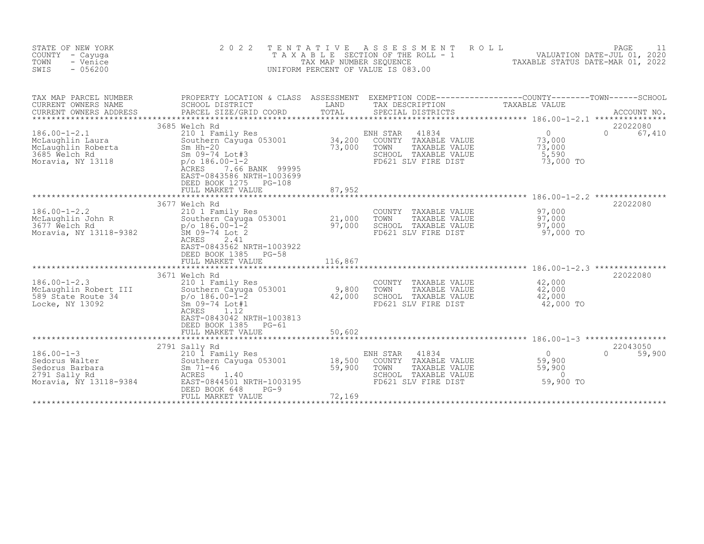| STATE OF NEW YORK<br>COUNTY - Cayuga<br>TOWN<br>- Venice<br>SWIS<br>$-056200$                                           | 2 0 2 2                                                                                                                                                                                                                                                  | TENTATIVE                   | ROLL<br>A S S E S S M E N T<br>T A X A B L E SECTION OF THE ROLL - 1 VALUATION DATE-JUL 01, 2020<br>TAX MAP NUMBER SEQUENCE TAXIBLE STATUS DATE-MAR 01, 2022<br>UNIFORM PERCENT OF VALUE IS 083.00 |                                                                                 | PAGE<br>11                     |
|-------------------------------------------------------------------------------------------------------------------------|----------------------------------------------------------------------------------------------------------------------------------------------------------------------------------------------------------------------------------------------------------|-----------------------------|----------------------------------------------------------------------------------------------------------------------------------------------------------------------------------------------------|---------------------------------------------------------------------------------|--------------------------------|
| TAX MAP PARCEL NUMBER<br>CURRENT OWNERS NAME<br>CURRENT OWNERS ADDRESS                                                  | PROPERTY LOCATION & CLASS ASSESSMENT EXEMPTION CODE----------------COUNTY-------TOWN------SCHOOL<br>SCHOOL DISTRICT<br>PARCEL SIZE/GRID COORD                                                                                                            | LAND<br>TOTAL               | TAX DESCRIPTION<br>SPECIAL DISTRICTS                                                                                                                                                               | TAXABLE VALUE                                                                   | ACCOUNT NO.<br>*************** |
| $186.00 - 1 - 2.1$<br>McLaughlin Laura<br>McLaughlin Roberta<br>3685 Welch Rd<br>Moravia, NY 13118<br>Moravia, NY 13118 | 3685 Welch Rd<br>210 1 Family Res<br>Southern Cayuga 053001<br>$Sm$ Hh-20<br>Sm 09-74 Lot#3<br>$p$ /o 186.00-1-2<br><b>ACRES</b><br>7.66 BANK 99995<br>EAST-0843586 NRTH-1003699<br>DEED BOOK 1275<br>PG-108<br>FULL MARKET VALUE                        | 34,200<br>73,000<br>87,952  | 41834<br>ENH STAR<br>COUNTY TAXABLE VALUE<br>TOWN<br>TAXABLE VALUE<br>SCHOOL TAXABLE VALUE<br>FD621 SLV FIRE DIST                                                                                  | $\overline{0}$<br>73,000<br>73,000<br>5,590<br>73,000 TO                        | 22022080<br>$\Omega$<br>67,410 |
| $186.00 - 1 - 2.2$<br>McLaughlin John R<br>3677 Welch Rd<br>Moravia, NY 13118-9382                                      | 3677 Welch Rd<br>210 1 Family Res<br>Southern Cayuga 053001<br>p/o 186.00-l-2<br>SM 09-74 Lot 2<br>2.41<br>ACRES<br>EAST-0843562 NRTH-1003922<br>DEED BOOK 1385<br>$PG-58$<br>FULL MARKET VALUE                                                          | 21,000<br>97,000<br>116,867 | COUNTY TAXABLE VALUE<br>TOWN<br>TAXABLE VALUE<br>SCHOOL TAXABLE VALUE<br>FD621 SLV FIRE DIST                                                                                                       | 97,000<br>97,000<br>97,000<br>97,000 TO                                         | 22022080                       |
| $186.00 - 1 - 2.3$<br>McLaughlin Robert III<br>589 State Route 34<br>Locke, NY 13092                                    | **************************<br>3671 Welch Rd<br>210 1 Family Res<br>5-ithern Cayday<br>p/o 186.00-1-2<br>Sm 09-74 Lot#1<br>1.12<br>Southern Cayuga 053001<br>ACRES<br>1.12<br>EAST-0843042 NRTH-1003813<br>DEED BOOK 1385<br>$PG-61$<br>FULL MARKET VALUE | 9,800<br>42,000<br>50,602   | COUNTY<br>TAXABLE VALUE<br>TOWN<br>TAXABLE VALUE<br>SCHOOL TAXABLE VALUE<br>FD621 SLV FIRE DIST                                                                                                    | *********************** 186.00-1-2.3<br>42,000<br>42,000<br>42,000<br>42,000 TO | 22022080                       |
| $186.00 - 1 - 3$<br>Sedorus Walter<br>Sedorus Barbara<br>2791 Sally Rd<br>Moravia, NY 13118-9384                        | **************************<br>2791 Sally Rd<br>210 I Family Res<br>Southern Cayuga 053001<br>Sm $71 - 46$<br>ACRES<br>1.40<br>EAST-0844501 NRTH-1003195<br>DEED BOOK 648<br>$PG-9$<br>FULL MARKET VALUE                                                  | 18,500<br>59,900<br>72,169  | ENH STAR<br>41834<br>COUNTY<br>TAXABLE VALUE<br>TOWN<br>TAXABLE VALUE<br>SCHOOL TAXABLE VALUE<br>FD621 SLV FIRE DIST                                                                               | $\overline{0}$<br>59,900<br>59,900<br>$\Omega$<br>59,900 TO                     | 22043050<br>$\cap$<br>59,900   |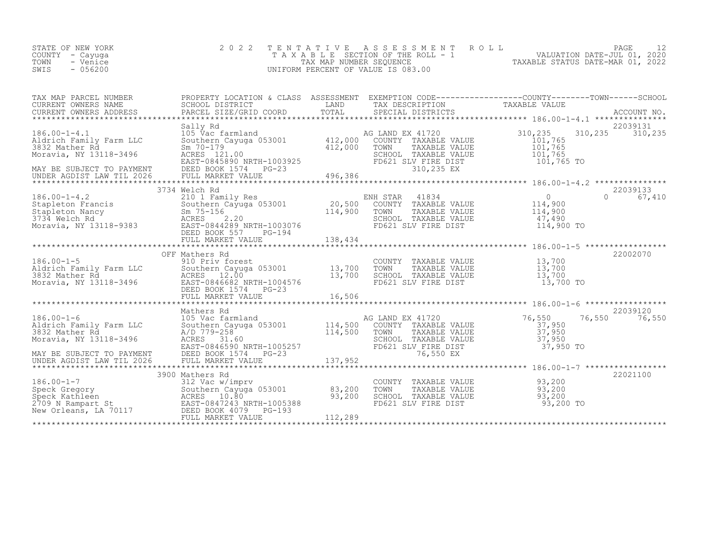| STATE OF NEW YORK<br>COUNTY – Cayuga<br>TOWN<br>- Venice<br>$-056200$<br>SWIS | 2022 TENTATIVE ASSESSMENT ROLL<br>T A X A B L E SECTION OF THE ROLL - 1<br>TAX MAP NUMBER SEOUENCE<br>UNIFORM PERCENT OF VALUE IS 083.00 | TAXABLE STATUS DATE-MAR 01, 2022 | PAGE<br>VALUATION DATE-JUL 01, 2020 |  |
|-------------------------------------------------------------------------------|------------------------------------------------------------------------------------------------------------------------------------------|----------------------------------|-------------------------------------|--|
|                                                                               |                                                                                                                                          |                                  |                                     |  |

| TAX MAP PARCEL NUMBER | PROPERTY LOCATION & CLASS ASSESSMENT EXEMPTION CODE----------------COUNTY-------TOWN-----SCHOOL                                                                                                                                                                           |  |           |            |
|-----------------------|---------------------------------------------------------------------------------------------------------------------------------------------------------------------------------------------------------------------------------------------------------------------------|--|-----------|------------|
|                       |                                                                                                                                                                                                                                                                           |  |           |            |
|                       |                                                                                                                                                                                                                                                                           |  |           | 22039131   |
|                       | Sally Rd                                                                                                                                                                                                                                                                  |  |           |            |
|                       |                                                                                                                                                                                                                                                                           |  |           |            |
|                       | 3734 Welch Rd                                                                                                                                                                                                                                                             |  |           | 22039133   |
|                       | 3/34 Welch Rd<br>3/34 Welch Rd<br>20,500 ENH STAR 41834<br>20,500 COUNTY TAXABLE VALUE<br>3734 Welch Rd<br>3734 Welch Rd<br>20,500 COUNTY TAXABLE VALUE<br>3734 Welch Rd<br>3734 Welch Rd<br>20,500 COUNTY TAXABLE VALUE<br>20,500 COUNTY TAXABLE<br>DEED BOOK 557 PG-194 |  |           | 0 $67,410$ |
|                       | OFF Mathers Rd                                                                                                                                                                                                                                                            |  |           | 22002070   |
|                       | OFF Mathers Rd<br>2186.00-1-5<br>2186.00-1-5<br>2186.00-1-5<br>2187.700<br>2187.700<br>2187.700<br>2187.700<br>2187.700<br>2187.700<br>2187.700<br>2187.700<br>2187.700<br>2187.700<br>2187.700<br>2187.700<br>2187.700<br>2187.700<br>2187.700<br>2187.700<br>2187.70    |  | 13,700 TO |            |
|                       |                                                                                                                                                                                                                                                                           |  |           |            |
|                       | 186.00-1-6<br>Mathers Rd 105 Vac farmland<br>22039120<br>Aldrich Family Farm LLC Southern Cayuga 053001<br>3832 Mather Rd A/D 779-258<br>Moravia, NY 13118-3496 ACRES 31.60<br>MAY BE SUBJECT TO PAYMENT EAST-0846590 NRTH-1005257<br>MAY BE                              |  |           |            |
|                       |                                                                                                                                                                                                                                                                           |  |           |            |
|                       | 3900 Mathers Rd                                                                                                                                                                                                                                                           |  |           | 22021100   |
|                       | 3900 Mathers Rd<br>3900 Mathers Rd<br>312 Vac w/imprv<br>Southern Cayuga 053001 83,200 TOWN TAXABLE VALUE<br>312 Vac w/imprv<br>83,200 TOWN TAXABLE VALUE<br>33,200 TOWN TAXABLE VALUE<br>93,200 93,200<br>2709 N Rampart St<br>83,200 TOWN TAXA                          |  |           |            |
|                       |                                                                                                                                                                                                                                                                           |  |           |            |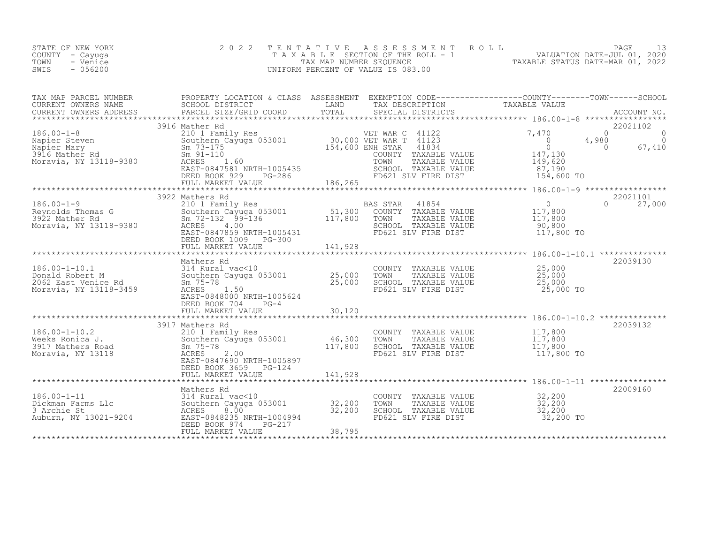| STATE OF NEW YORK<br>COUNTY – Cayuga<br>TOWN<br>- Venice<br>$-056200$<br>SWIS | 2022 TENTATIVE ASSESSMENT ROLL<br>TAXABLE SECTION OF THE ROLL - 1<br>TAX MAP NUMBER SEOUENCE<br>UNIFORM PERCENT OF VALUE IS 083.00 | VALUATION DATE-JUL 01, 2020<br>TAXABLE STATUS DATE-MAR 01, 2022 | PAGE |  |
|-------------------------------------------------------------------------------|------------------------------------------------------------------------------------------------------------------------------------|-----------------------------------------------------------------|------|--|
|                                                                               |                                                                                                                                    |                                                                 |      |  |

| TAX MAP PARCEL NUMBER                                                                                                                                                                                                                           | PROPERTY LOCATION & CLASS ASSESSMENT EXEMPTION CODE----------------COUNTY-------TOWN------SCHOOL |                                                            |            |               |
|-------------------------------------------------------------------------------------------------------------------------------------------------------------------------------------------------------------------------------------------------|--------------------------------------------------------------------------------------------------|------------------------------------------------------------|------------|---------------|
| A MARY FARCES SORIOL DISTRICT<br>CURRENT OWNERS ADDRESS BARCEL SIZE/GRID COORD TOTAL SPECIAL DISTRICTS TAXABLE VALUE<br>CURRENT OWNERS ADDRESS PARCEL SIZE/GRID COORD TOTAL SPECIAL DISTRICTS ACCOUNT NO.                                       |                                                                                                  |                                                            |            |               |
|                                                                                                                                                                                                                                                 |                                                                                                  |                                                            |            |               |
|                                                                                                                                                                                                                                                 | 3916 Mather Rd                                                                                   |                                                            |            | 22021102      |
|                                                                                                                                                                                                                                                 |                                                                                                  |                                                            |            |               |
|                                                                                                                                                                                                                                                 |                                                                                                  |                                                            |            |               |
|                                                                                                                                                                                                                                                 |                                                                                                  |                                                            |            |               |
|                                                                                                                                                                                                                                                 |                                                                                                  |                                                            |            |               |
|                                                                                                                                                                                                                                                 |                                                                                                  |                                                            |            |               |
|                                                                                                                                                                                                                                                 |                                                                                                  |                                                            |            |               |
|                                                                                                                                                                                                                                                 |                                                                                                  |                                                            |            |               |
|                                                                                                                                                                                                                                                 | 3922 Mathers Rd                                                                                  |                                                            |            | 22021101      |
| 3922 Mathers Review 186.00-1-9<br>210 1 Family Res<br>210 1 Family Res<br>210 1 Family Res<br>210 1 Family Res<br>210 1 Family Res<br>210 51,300 COUNTY TAXABLE VALUE<br>2117,800 TOWN TAXABLE VALUE<br>2117,800 SCHOOL TAXABLE VALUE<br>20,800 |                                                                                                  |                                                            |            | $0 \t 27,000$ |
|                                                                                                                                                                                                                                                 |                                                                                                  |                                                            |            |               |
|                                                                                                                                                                                                                                                 |                                                                                                  |                                                            |            |               |
|                                                                                                                                                                                                                                                 |                                                                                                  | SCHOOL TAXABLE VALUE<br>FD621 SLV FIRE DIST 117,800 TO     |            |               |
|                                                                                                                                                                                                                                                 |                                                                                                  |                                                            |            |               |
|                                                                                                                                                                                                                                                 |                                                                                                  |                                                            |            |               |
|                                                                                                                                                                                                                                                 |                                                                                                  |                                                            |            |               |
|                                                                                                                                                                                                                                                 | Mathers Rd                                                                                       |                                                            |            | 22039130      |
|                                                                                                                                                                                                                                                 |                                                                                                  |                                                            |            |               |
|                                                                                                                                                                                                                                                 |                                                                                                  |                                                            |            |               |
|                                                                                                                                                                                                                                                 |                                                                                                  |                                                            | 25,000 TO  |               |
|                                                                                                                                                                                                                                                 | EAST-0848000 NRTH-1005624                                                                        |                                                            |            |               |
|                                                                                                                                                                                                                                                 | DEED BOOK 704 PG-4                                                                               |                                                            |            |               |
|                                                                                                                                                                                                                                                 |                                                                                                  |                                                            |            |               |
|                                                                                                                                                                                                                                                 |                                                                                                  |                                                            |            | 22039132      |
|                                                                                                                                                                                                                                                 |                                                                                                  |                                                            |            |               |
|                                                                                                                                                                                                                                                 |                                                                                                  | COUNTY TAXABLE VALUE 117,800<br>TOWN TAXABLE VALUE 117,800 |            |               |
|                                                                                                                                                                                                                                                 |                                                                                                  |                                                            | 117,800    |               |
|                                                                                                                                                                                                                                                 | EAST-0847690 NRTH-1005897                                                                        |                                                            | 117,800 TO |               |
|                                                                                                                                                                                                                                                 | DEED BOOK 3659 PG-124                                                                            |                                                            |            |               |
|                                                                                                                                                                                                                                                 |                                                                                                  |                                                            |            |               |
|                                                                                                                                                                                                                                                 |                                                                                                  |                                                            |            |               |
|                                                                                                                                                                                                                                                 |                                                                                                  |                                                            |            | 22009160      |
|                                                                                                                                                                                                                                                 |                                                                                                  |                                                            |            |               |
|                                                                                                                                                                                                                                                 |                                                                                                  |                                                            |            |               |
|                                                                                                                                                                                                                                                 |                                                                                                  |                                                            |            |               |
|                                                                                                                                                                                                                                                 |                                                                                                  |                                                            |            |               |
|                                                                                                                                                                                                                                                 |                                                                                                  |                                                            |            |               |
|                                                                                                                                                                                                                                                 |                                                                                                  |                                                            |            |               |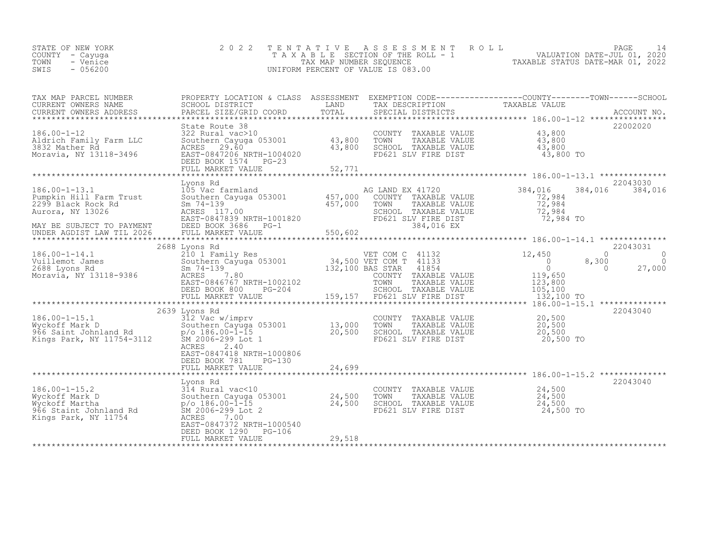| STATE OF NEW YORK | 2022 TENTATIVE ASSESSMENT ROLL        |                                  | PAGE                        |  |
|-------------------|---------------------------------------|----------------------------------|-----------------------------|--|
| COUNTY – Cayuga   | T A X A B L E SECTION OF THE ROLL - 1 |                                  | VALUATION DATE-JUL 01, 2020 |  |
| TOWN<br>- Venice  | TAX MAP NUMBER SEOUENCE               | TAXABLE STATUS DATE-MAR 01, 2022 |                             |  |
| $-056200$<br>SWIS | UNIFORM PERCENT OF VALUE IS 083.00    |                                  |                             |  |
|                   |                                       |                                  |                             |  |

| PARCEL SIZE/GRID COORD TOTAL SPECIAL DISTRICTS ACCOUNT NO. ACCOUNT NO ARRORE SIZE/GRID COORD TOTAL SPECIAL DISTRICTS<br>******************************<br>22002020<br>State Route 38<br>Farm LLC 322 Rural vac>10<br>Farm LLC Southern Cayuga 053001 43,800<br>ACRES 29.60 43,800<br>EAST-0847206 NRTH-1004020 43,800<br>COUNTY TAXABLE VALUE $\begin{array}{cccc} 43,800 \ 1000 \ 10000 \ 13,800 \ 14,800 \ 15.000 \ 15.000 \ 16.0000 \ 17.0000 \ 17.0000 \ 17.0000 \ 18.000 \ 19.000 \ 19.000 \ 10.000 \end{array}$<br>$186.00 - 1 - 12$<br>Aldrich Family Farm LLC<br>3832 Mather Rd<br>Moravia, NY 13118-3496<br>DEED BOOK 1574 PG-23<br>52,771<br>FULL MARKET VALUE<br>Lyons Rd<br>22043030<br>105 Vac farmland 105<br>Southern Cayuga 053001 157,000<br>Sm 74-139 17.00 457,000<br>384,016<br>384,016 384,016<br>$186.00 - 1 - 13.1$<br>AG LAND EX 41720<br>72,984<br>Pumpkin Hill Farm Trust<br>COUNTY TAXABLE VALUE<br>PUMPRIN HILL FAIM TRISL SOUTHER SOUTHER SUCH THAN THE VALUE<br>2009 Black Rock Rd Sm 74-139<br>ACRES 117.00 ACRES 117.00 SCHOOL TAXABLE VALUE 72,984<br>EAST-0847839 NRTH-1001820 FD621 SLV FIRE DIST<br>MAY BE SUBJECT TO PAYMENT DEE<br>22043031<br>2688 Lyons Rd<br>12,450<br>$\Omega$<br>$\Omega$<br>8,300<br>$\begin{tabular}{lllllllllll} $\text{m} & \text{m} & \text{m} & \text{m} & \text{m} & \text{m} & \text{m} \\ $\text{m} & \text{m} & \text{m} & \text{m} & \text{m} & \text{m} \\ $\text{m} & \text{m} & \text{m} & \text{m} & \text{m} \\ $\text{DEED BOK 800}$ & $\text{PG}-204$ & $\text{159,157}$ & $\text{F0621 SIV FIRE DIST}$ & $\text{123,800} \\ $\text{N} & \text{m} & \text{m} & \text{m} & \text{m} \\ $\text{N}$<br>$\Omega$<br>$\overline{a}$<br>27,000<br>132,100 TO<br>2639 Lyons Rd<br>22043040<br>COUNTY TAXABLE VALUE 20,500<br>13,000 TOWN TAXABLE VALUE 20,500<br>20,500 SCHOOL TAXABLE VALUE 20,500<br>FD621 SLV FIRE DIST 20,500<br>$186.00 - 1 - 15.1$<br>186.00-1-15.1 312 Vac w/imprv<br>Wyckoff Mark D Southern Cayuga<br>966 Saint Johnland Rd p/o 186.00-1-15<br>Kings Park, NY 11754-3112 SM 2006-299 Lot<br>Southern Cayuga 053001 13,000<br>SM 2006-299 Lot 1<br>20,500 TO<br><b>ACRES</b><br>2.40<br>EAST-0847418 NRTH-1000806<br>DEED BOOK 781<br>PG-130<br>24,699<br>FULL MARKET VALUE<br>22043040<br>Lyons Rd<br>COUNTY TAXABLE VALUE $24,500$<br>TOWN TAXABLE VALUE $24,500$<br>$186.00 - 1 - 15.2$<br>314 Rural vac<10<br>Southern Cayuga 053001 24,500<br>Wyckoff Mark D<br>24,500<br>p/o 186.00-1-15<br>24,500<br>SCHOOL TAXABLE VALUE<br>Wyckoff Martha<br>966 Staint Johnland Rd<br>SCHOOL TAXABLE VALUE<br>FD621 SLV FIRE DIST<br>SM 2006-299 Lot 2<br>24,500 TO<br>Kings Park, NY 11754<br>ACRES 7.00<br>EAST-0847372 NRTH-1000540 | TAX MAP PARCEL NUMBER<br>CURRENT OWNERS NAME<br>CURRENT OWNERS ADDRESS | PROPERTY LOCATION & CLASS ASSESSMENT<br>SCHOOL DISTRICT<br>PARCEL SIZE/GRID COORD | LAND | TAX DESCRIPTION | EXEMPTION CODE-----------------COUNTY-------TOWN------SCHOOL<br>TAXABLE VALUE |  |
|--------------------------------------------------------------------------------------------------------------------------------------------------------------------------------------------------------------------------------------------------------------------------------------------------------------------------------------------------------------------------------------------------------------------------------------------------------------------------------------------------------------------------------------------------------------------------------------------------------------------------------------------------------------------------------------------------------------------------------------------------------------------------------------------------------------------------------------------------------------------------------------------------------------------------------------------------------------------------------------------------------------------------------------------------------------------------------------------------------------------------------------------------------------------------------------------------------------------------------------------------------------------------------------------------------------------------------------------------------------------------------------------------------------------------------------------------------------------------------------------------------------------------------------------------------------------------------------------------------------------------------------------------------------------------------------------------------------------------------------------------------------------------------------------------------------------------------------------------------------------------------------------------------------------------------------------------------------------------------------------------------------------------------------------------------------------------------------------------------------------------------------------------------------------------------------------------------------------------------------------------------------------------------------------------------------------------------------------------------------------------------------------------------------------------------------------------------------------------------------------------------------------------------------------------------------------------------------------------------------------------------------------------------------------------------------------------------------------------------|------------------------------------------------------------------------|-----------------------------------------------------------------------------------|------|-----------------|-------------------------------------------------------------------------------|--|
|                                                                                                                                                                                                                                                                                                                                                                                                                                                                                                                                                                                                                                                                                                                                                                                                                                                                                                                                                                                                                                                                                                                                                                                                                                                                                                                                                                                                                                                                                                                                                                                                                                                                                                                                                                                                                                                                                                                                                                                                                                                                                                                                                                                                                                                                                                                                                                                                                                                                                                                                                                                                                                                                                                                                |                                                                        |                                                                                   |      |                 |                                                                               |  |
| VET COM C 41132<br>VET COM C 41132<br>VET COM T 41132<br>VET COM T 41133<br>2688 Lyons Rd<br>2688 Lyons Rd<br>2688 Lyons Rd<br>2688 Lyons Rd<br>2688 Lyons Rd<br>2688 Lyons Rd<br>2688 Lyons Rd<br>2688 Lyons Rd<br>2688 Lyons Rd<br>2688 Lyons Rd<br>2688                                                                                                                                                                                                                                                                                                                                                                                                                                                                                                                                                                                                                                                                                                                                                                                                                                                                                                                                                                                                                                                                                                                                                                                                                                                                                                                                                                                                                                                                                                                                                                                                                                                                                                                                                                                                                                                                                                                                                                                                                                                                                                                                                                                                                                                                                                                                                                                                                                                                     |                                                                        |                                                                                   |      |                 |                                                                               |  |
|                                                                                                                                                                                                                                                                                                                                                                                                                                                                                                                                                                                                                                                                                                                                                                                                                                                                                                                                                                                                                                                                                                                                                                                                                                                                                                                                                                                                                                                                                                                                                                                                                                                                                                                                                                                                                                                                                                                                                                                                                                                                                                                                                                                                                                                                                                                                                                                                                                                                                                                                                                                                                                                                                                                                |                                                                        |                                                                                   |      |                 |                                                                               |  |
|                                                                                                                                                                                                                                                                                                                                                                                                                                                                                                                                                                                                                                                                                                                                                                                                                                                                                                                                                                                                                                                                                                                                                                                                                                                                                                                                                                                                                                                                                                                                                                                                                                                                                                                                                                                                                                                                                                                                                                                                                                                                                                                                                                                                                                                                                                                                                                                                                                                                                                                                                                                                                                                                                                                                |                                                                        |                                                                                   |      |                 |                                                                               |  |
|                                                                                                                                                                                                                                                                                                                                                                                                                                                                                                                                                                                                                                                                                                                                                                                                                                                                                                                                                                                                                                                                                                                                                                                                                                                                                                                                                                                                                                                                                                                                                                                                                                                                                                                                                                                                                                                                                                                                                                                                                                                                                                                                                                                                                                                                                                                                                                                                                                                                                                                                                                                                                                                                                                                                |                                                                        |                                                                                   |      |                 |                                                                               |  |
|                                                                                                                                                                                                                                                                                                                                                                                                                                                                                                                                                                                                                                                                                                                                                                                                                                                                                                                                                                                                                                                                                                                                                                                                                                                                                                                                                                                                                                                                                                                                                                                                                                                                                                                                                                                                                                                                                                                                                                                                                                                                                                                                                                                                                                                                                                                                                                                                                                                                                                                                                                                                                                                                                                                                |                                                                        |                                                                                   |      |                 |                                                                               |  |
|                                                                                                                                                                                                                                                                                                                                                                                                                                                                                                                                                                                                                                                                                                                                                                                                                                                                                                                                                                                                                                                                                                                                                                                                                                                                                                                                                                                                                                                                                                                                                                                                                                                                                                                                                                                                                                                                                                                                                                                                                                                                                                                                                                                                                                                                                                                                                                                                                                                                                                                                                                                                                                                                                                                                |                                                                        |                                                                                   |      |                 |                                                                               |  |
|                                                                                                                                                                                                                                                                                                                                                                                                                                                                                                                                                                                                                                                                                                                                                                                                                                                                                                                                                                                                                                                                                                                                                                                                                                                                                                                                                                                                                                                                                                                                                                                                                                                                                                                                                                                                                                                                                                                                                                                                                                                                                                                                                                                                                                                                                                                                                                                                                                                                                                                                                                                                                                                                                                                                |                                                                        |                                                                                   |      |                 |                                                                               |  |
|                                                                                                                                                                                                                                                                                                                                                                                                                                                                                                                                                                                                                                                                                                                                                                                                                                                                                                                                                                                                                                                                                                                                                                                                                                                                                                                                                                                                                                                                                                                                                                                                                                                                                                                                                                                                                                                                                                                                                                                                                                                                                                                                                                                                                                                                                                                                                                                                                                                                                                                                                                                                                                                                                                                                |                                                                        |                                                                                   |      |                 |                                                                               |  |
|                                                                                                                                                                                                                                                                                                                                                                                                                                                                                                                                                                                                                                                                                                                                                                                                                                                                                                                                                                                                                                                                                                                                                                                                                                                                                                                                                                                                                                                                                                                                                                                                                                                                                                                                                                                                                                                                                                                                                                                                                                                                                                                                                                                                                                                                                                                                                                                                                                                                                                                                                                                                                                                                                                                                |                                                                        | DEED BOOK 1290 PG-106                                                             |      |                 |                                                                               |  |
| FULL MARKET VALUE<br>29,518                                                                                                                                                                                                                                                                                                                                                                                                                                                                                                                                                                                                                                                                                                                                                                                                                                                                                                                                                                                                                                                                                                                                                                                                                                                                                                                                                                                                                                                                                                                                                                                                                                                                                                                                                                                                                                                                                                                                                                                                                                                                                                                                                                                                                                                                                                                                                                                                                                                                                                                                                                                                                                                                                                    |                                                                        |                                                                                   |      |                 |                                                                               |  |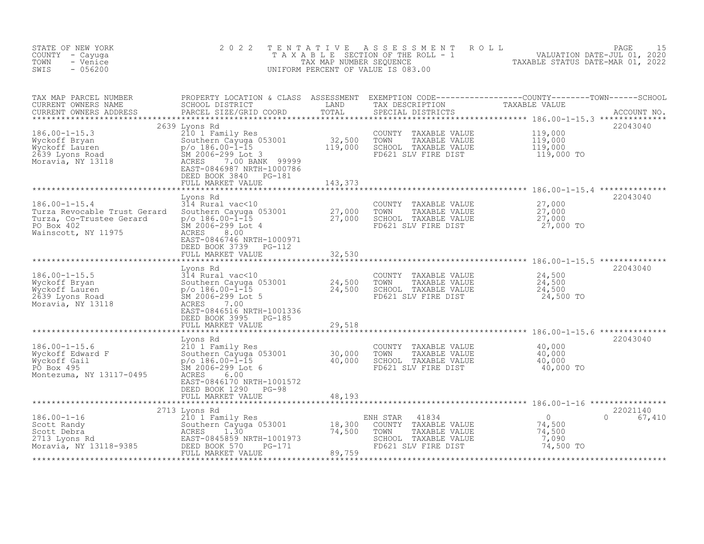| STATE OF NEW YORK<br>COUNTY - Cayuga<br>TOWN<br>- Venice<br>SWIS<br>$-056200$                                        | 2 0 2 2<br>TAXABLE                                                                                                                                                                                                        | TENTATIVE<br>TAX MAP NUMBER SEQUENCE      | A S S E S S M E N T<br>ROLL<br>SECTION OF THE ROLL - 1<br>UNIFORM PERCENT OF VALUE IS 083.00                         | VALUATION DATE-JUL 01, 2020<br>TAXABLE STATUS DATE-MAR 01, 2022      | PAGE<br>15         |
|----------------------------------------------------------------------------------------------------------------------|---------------------------------------------------------------------------------------------------------------------------------------------------------------------------------------------------------------------------|-------------------------------------------|----------------------------------------------------------------------------------------------------------------------|----------------------------------------------------------------------|--------------------|
| TAX MAP PARCEL NUMBER<br>CURRENT OWNERS NAME<br>CURRENT OWNERS ADDRESS                                               | PROPERTY LOCATION & CLASS ASSESSMENT EXEMPTION CODE-----------------COUNTY-------TOWN------SCHOOL SCHOOL SCHOOL SCHOOL SCHOOL<br>PARCEL SIZE/GRID COORD                                                                   | TOTAL                                     | SPECIAL DISTRICTS                                                                                                    |                                                                      | ACCOUNT NO.        |
| $186.00 - 1 - 15.3$<br>Wyckoff Bryan<br>Wyckoff Lauren<br>2639 Lyons Road<br>Moravia, NY 13118                       | 2639 Lyons Rd<br>210 1 Family Res<br>Southern Cayuga 053001<br>$p$ /o 186.00-l-15<br>SM 2006-299 Lot 3<br>7.00 BANK 99999<br>ACRES<br>EAST-0846987 NRTH-1000786<br>DEED BOOK 3840 PG-181<br>FULL MARKET VALUE             | 32,500<br>119,000<br>143,373              | COUNTY<br>TAXABLE VALUE<br>TAXABLE VALUE<br>TOWN<br>SCHOOL TAXABLE VALUE<br>FD621 SLV FIRE DIST                      | 119,000<br>119,000<br>119,000<br>119,000 TO                          | 22043040           |
| $186.00 - 1 - 15.4$<br>Turza Revocable Trust Gerard<br>Turza, Co-Trustee Gerard<br>PO Box 402<br>Wainscott, NY 11975 | Lyons Rd<br>314 Rural vac<10<br>Southern Cayuga 053001<br>$p$ /o 186.00-1-15<br>SM 2006-299 Lot 4<br>ACRES<br>8.00<br>EAST-0846746 NRTH-1000971<br>DEED BOOK 3739<br>PG-112<br>FULL MARKET VALUE                          | 27,000<br>27,000<br>32,530<br>*********   | COUNTY TAXABLE VALUE<br>TOWN<br>TAXABLE VALUE<br>SCHOOL TAXABLE VALUE<br>FD621 SLV FIRE DIST                         | 27,000<br>27,000<br>27,000<br>27,000 TO                              | 22043040           |
| $186.00 - 1 - 15.5$<br>Wyckoff Bryan<br>Wyckoff Lauren<br>2639 Lyons Road<br>Moravia, NY 13118                       | Lyons Rd<br>314 Rural vac<10<br>Southern Cayuga 053001<br>p/o 186.00-1-15<br>SM 2006-299 Lot 5<br>ACRES<br>7.00<br>EAST-0846516 NRTH-1001336<br>DEED BOOK 3995<br>$PG-185$<br>FULL MARKET VALUE                           | 24,500<br>24,500<br>29,518<br>*********** | COUNTY<br>TAXABLE VALUE<br>TOWN<br>TAXABLE VALUE<br>SCHOOL TAXABLE VALUE<br>FD621 SLV FIRE DIST                      | 24,500<br>24,500<br>24,500<br>24,500 TO                              | 22043040           |
| $186.00 - 1 - 15.6$<br>Wyckoff Edward F<br>Wyckoff Gail<br>PO Box 495<br>Montezuma, NY 13117-0495                    | Lyons Rd<br>210 1 Family Res<br>Southern Cayuga 053001<br>$p$ /o 186.00-l-15<br>SM 2006-299 Lot 6<br>ACRES<br>6.00<br>EAST-0846170 NRTH-1001572<br>DEED BOOK 1290<br>PG-98<br>FULL MARKET VALUE<br>********************** | 30,000<br>40,000<br>48,193                | COUNTY<br>TAXABLE VALUE<br>TOWN<br>TAXABLE VALUE<br>SCHOOL TAXABLE VALUE<br>FD621 SLV FIRE DIST                      | 40,000<br>40,000<br>40,000<br>40,000 TO                              | 22043040           |
| $186.00 - 1 - 16$<br>Scott Randy<br>Scott Debra<br>2713 Lyons Rd<br>Moravia, NY 13118-9385                           | 2713 Lyons Rd<br>210 1 Family Res<br>Southern Cayuga 053001<br>1.30<br>ACRES<br>EAST-0845859 NRTH-1001973<br>DEED BOOK 570<br>PG-171<br>FULL MARKET VALUE                                                                 | 18,300<br>74,500<br>89,759                | ENH STAR<br>41834<br>COUNTY<br>TAXABLE VALUE<br>TOWN<br>TAXABLE VALUE<br>SCHOOL TAXABLE VALUE<br>FD621 SLV FIRE DIST | $\overline{0}$<br>$\Omega$<br>74,500<br>74,500<br>7,090<br>74,500 TO | 22021140<br>67,410 |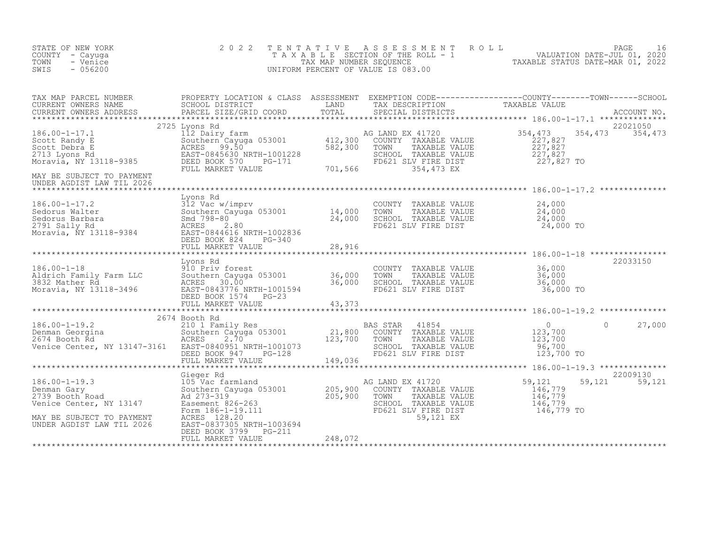| STATE OF NEW YORK<br>COUNTY - Cayuga<br>TOWN - Venice<br>SWIS<br>$-056200$                                                                                                                                                                                                                                                                                                                                                                                     | 2 0 2 2                                    |         |                                                                                                                                                                   | TENTATIVE ASSESSMENT ROLL PACE 16<br>TAXABLE SECTION OF THE ROLL - 1 VALUATION DATE-JUL 01, 2020<br>TAXABLE STATUS DATE-MAR 01, 2022<br>UNIFORM PERCENT OF VALUE IS 083.00 |                             |
|----------------------------------------------------------------------------------------------------------------------------------------------------------------------------------------------------------------------------------------------------------------------------------------------------------------------------------------------------------------------------------------------------------------------------------------------------------------|--------------------------------------------|---------|-------------------------------------------------------------------------------------------------------------------------------------------------------------------|----------------------------------------------------------------------------------------------------------------------------------------------------------------------------|-----------------------------|
| 186.00-1-17.1<br>Scott Randy E<br>Scott Debra E<br>2713 Lyons Rd<br>Moravia, NY 13118-9385<br>Moravia, NY 13118-9385<br>PULL MARKET VALUE<br>FULL MARKET VALUE<br>MARKET VALUE<br>FULL MARKET VALUE<br>MARKET VALUE<br>2713 Lyons Rd<br>EAST-0845630 N<br>MAY BE SUBJECT TO PAYMENT                                                                                                                                                                            | 2725 Lyons Rd                              |         | 354, 473<br>TOWN TAXABLE VALUE<br>TOWN TAXABLE VALUE<br>SCHOOL TAXABLE VALUE<br>SCHOOL TAXABLE VALUE<br>TED621 SLV FIRE DIST<br>354, 473 EX<br>SCHOOL 354, 473 EX | 354, 473                                                                                                                                                                   | 22021050<br>354,473 354,473 |
| UNDER AGDIST LAW TIL 2026<br>$\begin{array}{lllllllllllllllllllllll} \text{Lyons }\text{Rd} & \text{Lyons }\text{Rd} & \text{GOUNTY} & \text{TAXABLE }\text{VALUE} & 24,000\\ \text{Sedorus Walter} & 312 \text{Vac w/imprv} & \text{COUNTY} & \text{TAXABLE VALUE} & 24,000\\ \text{Sedorus Barbara} & \text{Sand 798-80} & \text{Sand 798-80} & 24,000 & \text{SCHOL} & \text{TAXABLE VALUE} & 24,000\\ \text{2791 Sally Rd} & \text{ACRES} & 2.80 & \text{$ | Lyons Rd<br>FULL MARKET VALUE              | 28,916  |                                                                                                                                                                   |                                                                                                                                                                            |                             |
| Lyons Rd<br>186.00-1-18<br>Aldrich Family Farm LLC<br>3832 Mather Rd<br>Moravia, NY 13118-3496<br>Moravia, NY 13118-3496<br>Moravia, NY 13118-3496<br>DEED BOOK 1574<br>DEED BOOK 1574<br>29.373                                                                                                                                                                                                                                                               | Lyons Rd                                   | 43,373  | COUNTY TAXABLE VALUE<br>TOWN TAXABLE VALUE 36,000<br>SCHOOL TAXABLE VALUE 36,000<br>FD621 SLV FIRE DIST 36,000 TO                                                 |                                                                                                                                                                            | 22033150                    |
| 186.00-1-19.2<br>2674 Booth Rd<br>21,800 COUNTY TAXABLE VALUE 123,700 0 27,000<br>27,000 27,000 SOuthern Cayuga 053001 21,800 COUNTY TAXABLE VALUE 123,700<br>2674 Booth Rd<br>2674 Booth Rd<br>27,000 ACRES 2.70 123,700 TOWN TAXABLE VA                                                                                                                                                                                                                      | 2674 Booth Rd                              |         |                                                                                                                                                                   |                                                                                                                                                                            |                             |
| Gieger Rd 186.00-1-19.3<br>Denman Gary Southern Cayuga 053001<br>205,900 COUNTY TAXABLE VALUE<br>205,900 COUNTY TAXABLE VALUE<br>205,900 TOWN TAXABLE VALUE<br>205,900 TOWN TAXABLE VALUE<br>205,900 TOWN TAXABLE VALUE<br>205,900 TOWN TAXA                                                                                                                                                                                                                   | DEED BOOK 3799 PG-211<br>FULL MARKET VALUE | 248,072 | G LAND EX 41720 59,121 59<br>COUNTY TAXABLE VALUE 146,779<br>TOWN TAXABLE VALUE 146,779<br>SCHOOL TAXABLE VALUE 146,779<br>FD621 SLV 50.121 EST 146,779 TO        |                                                                                                                                                                            | 22009130<br>59,121 59,121   |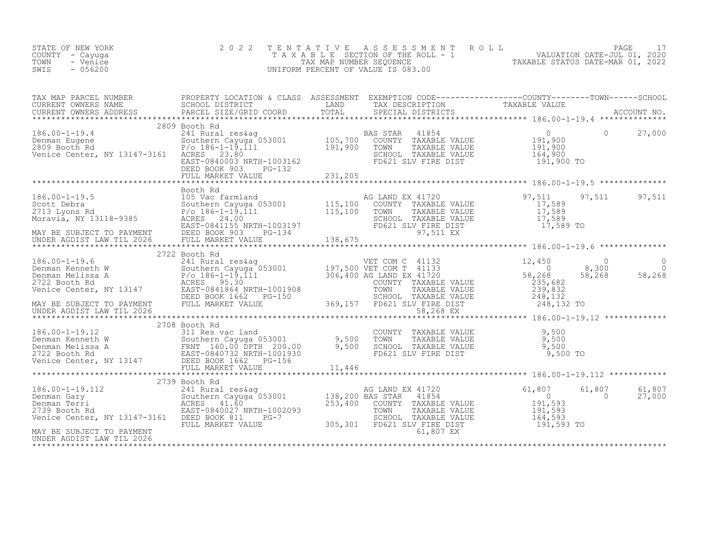| STATE OF NEW YORK<br>COUNTY<br>- Cayuga<br>- Venice<br>TOWN<br>$-056200$<br>SWIS                                                                                                                                                                                               |                                                                                      | TAX MAP NUMBER SEOUENCE                                                                                                            | 2022 TENTATIVE ASSESSMENT ROLL<br>T A X A B L E SECTION OF THE ROLL - 1 VALUATION DATE-JUL 01, 2020<br>UNIFORM PERCENT OF VALUE IS 083.00 | TAXABLE STATUS DATE-MAR 01, 2022            | PAGE   |        |
|--------------------------------------------------------------------------------------------------------------------------------------------------------------------------------------------------------------------------------------------------------------------------------|--------------------------------------------------------------------------------------|------------------------------------------------------------------------------------------------------------------------------------|-------------------------------------------------------------------------------------------------------------------------------------------|---------------------------------------------|--------|--------|
| TAX MAP PARCEL NUMBER<br>CURRENT OWNERS NAME                                                                                                                                                                                                                                   | PROPERTY LOCATION & CLASS<br>SCHOOL DISTRICT                                         | ASSESSMENT<br><b>EXAMPLE EXAMPLE THE EXAMPLE EXAMPLE EXAMPLE EXAMPLE EXAMPLE EXAMPLE EXAMPLE EXAMPLE EXAMPLE EXAMPLE EXAMPLE E</b> | EXEMPTION CODE-----------------COUNTY-------TOWN------SCHOOL<br>TAX DESCRIPTION TAXABLE VALUE                                             |                                             |        |        |
|                                                                                                                                                                                                                                                                                | 2809 Booth Rd                                                                        |                                                                                                                                    |                                                                                                                                           |                                             |        |        |
| $186.00 - 1 - 19.4$<br>Denman Eugene                         Southern Cayuga 053001         105,700   COUNTY   TAXABLE VALUE<br>2809 Booth Rd                             P/o 186-1-19.111                   191,900    TOWN     TAXABLE VALUE<br>Venice Center, NY 13147-3161 | 241 Rural res&ag<br>ACRES 23.80<br>EAST-0840003 NRTH-1003162<br>DEED BOOK 903 PG-132 |                                                                                                                                    | 41854<br>BAS STAR<br>SCHOOL TAXABLE VALUE<br>FD621 SLV FIRE DIST                                                                          | 191,900<br>191,900<br>164,900<br>191,900 TO |        | 27,000 |
|                                                                                                                                                                                                                                                                                | FULL MARKET VALUE                                                                    | 231,205                                                                                                                            |                                                                                                                                           |                                             |        |        |
|                                                                                                                                                                                                                                                                                | Booth Rd                                                                             |                                                                                                                                    |                                                                                                                                           |                                             |        |        |
| $1060 - 1 - 105$                                                                                                                                                                                                                                                               | $105$ $1222$ formland                                                                |                                                                                                                                    | 1720 המיד הוות המיד                                                                                                                       | Q7 511                                      | Q7 511 | 07 511 |

| $186.00 - 1 - 19.5$            | 105 Vac farmland                               |         | AG LAND EX 41720         | 97,511     | 97,511 | 97,511 |
|--------------------------------|------------------------------------------------|---------|--------------------------|------------|--------|--------|
| Scott Debra                    | Southern Cayuga 053001<br>P/o 186-1-19.111     | 115,100 | COUNTY<br>TAXABLE VALUE  | 17,589     |        |        |
| 2713 Lyons Rd                  |                                                | 115,100 | TAXABLE VALUE<br>TOWN    | 17,589     |        |        |
| Moravia, NY 13118-9385         | ACRES 24.00                                    |         | TAXABLE VALUE<br>SCHOOL  | 17,589     |        |        |
|                                | EAST-0841155 NRTH-1003197                      |         | FD621 SLV FIRE DIST      | 17,589 TO  |        |        |
| MAY BE SUBJECT TO PAYMENT      | DEED BOOK 903<br>PG-134                        |         | 97,511 EX                |            |        |        |
| UNDER AGDIST LAW TIL 2026      |                                                |         |                          |            |        |        |
|                                |                                                |         |                          |            |        |        |
|                                | 2722 Booth Rd                                  |         |                          |            |        |        |
| 186.00-1-19.6                  | 241 Rural res&ag                               |         | VET COM C 41132          | 12,450     |        |        |
| Denman Kenneth W               | Southern Cayuga 053001 197,500 VET COM T 41133 |         |                          | 0          | 8,300  |        |
| Denman Melissa A               | $P/O$ 186-1-19.111                             |         | 306,400 AG LAND EX 41720 | 58,268     | 58,268 | 58,268 |
| 2722 Booth Rd                  | ACRES 95.30                                    |         | COUNTY<br>TAXABLE VALUE  | 235,682    |        |        |
| Venice Center, NY 13147        | EAST-0841864 NRTH-1001908                      |         | TOWN<br>TAXABLE VALUE    | 239,832    |        |        |
|                                | DEED BOOK 1662 PG-150                          |         | SCHOOL<br>TAXABLE VALUE  | 248,132    |        |        |
| MAY BE SUBJECT TO PAYMENT      | FULL MARKET VALUE                              | 369,157 | FD621 SLV FIRE DIST      | 248,132 TO |        |        |
| UNDER AGDIST LAW TIL 2026      |                                                |         | 58,268 EX                |            |        |        |
| ****************************** |                                                |         |                          |            |        |        |
|                                | 2708 Booth Rd                                  |         |                          |            |        |        |
| 186.00-1-19.12                 | 311 Res vac land                               |         | TAXABLE VALUE<br>COUNTY  | 9,500      |        |        |
| Denman Kenneth W               | Southern Cayuga 053001                         | 9,500   | TOWN<br>TAXABLE VALUE    | 9,500      |        |        |
| Denman Melissa A               | FRNT 160.00 DPTH 200.00                        | 9,500   | SCHOOL<br>TAXABLE VALUE  | 9,500      |        |        |
| 2722 Booth Rd                  | EAST-0840732 NRTH-1001930                      |         | FD621 SLV FIRE DIST      | 9,500 TO   |        |        |
| Venice Center, NY 13147        | DEED BOOK 1662<br>PG-156                       |         |                          |            |        |        |
|                                | FIILL MARKET VALUE                             | 11.446  |                          |            |        |        |

|                              | FULL MARKET VALUE         | 11,446  |                        |                      |            |        |                    |
|------------------------------|---------------------------|---------|------------------------|----------------------|------------|--------|--------------------|
|                              |                           |         |                        |                      |            |        |                    |
|                              | 2739 Booth Rd             |         |                        |                      |            |        |                    |
| 186.00-1-19.112              | 241 Rural res&aq          |         | AG LAND EX 41720       |                      | 61,807     | 61,807 | $61,807$<br>27,000 |
| Denman Gary                  | Southern Cayuga 053001    |         | 138,200 BAS STAR 41854 |                      |            |        |                    |
| Denman Terri                 | ACRES 41.60               | 253,400 |                        | COUNTY TAXABLE VALUE | 191,593    |        |                    |
| 2739 Booth Rd                | EAST-0840027 NRTH-1002093 |         | TOWN                   | TAXABLE VALUE        | 191,593    |        |                    |
| Venice Center, NY 13147-3161 | DEED BOOK 811<br>$PG-7$   |         |                        | SCHOOL TAXABLE VALUE | 164,593    |        |                    |
|                              | FULL MARKET VALUE         | 305,301 |                        | FD621 SLV FIRE DIST  | 191,593 TO |        |                    |
| MAY BE SUBJECT TO PAYMENT    |                           |         |                        | 61,807 EX            |            |        |                    |
| UNDER AGDIST LAW TIL 2026    |                           |         |                        |                      |            |        |                    |

\*\*\*\*\*\*\*\*\*\*\*\*\*\*\*\*\*\*\*\*\*\*\*\*\*\*\*\*\*\*\*\*\*\*\*\*\*\*\*\*\*\*\*\*\*\*\*\*\*\*\*\*\*\*\*\*\*\*\*\*\*\*\*\*\*\*\*\*\*\*\*\*\*\*\*\*\*\*\*\*\*\*\*\*\*\*\*\*\*\*\*\*\*\*\*\*\*\*\*\*\*\*\*\*\*\*\*\*\*\*\*\*\*\*\*\*\*\*\*\*\*\*\*\*\*\*\*\*\*\*\*\*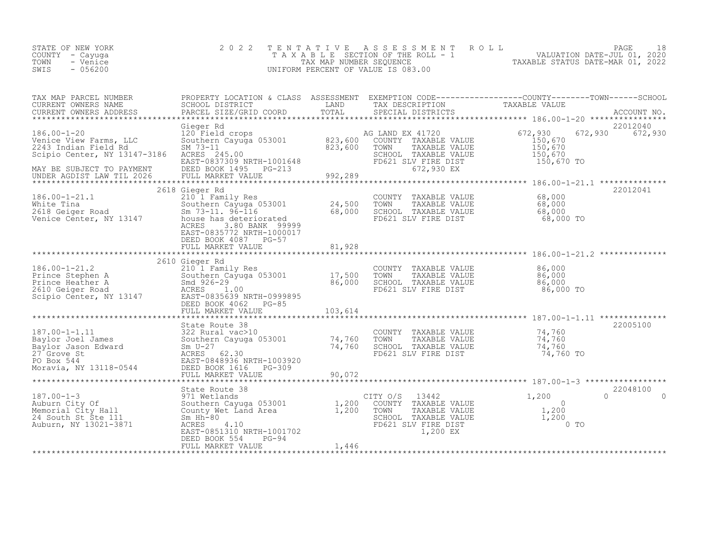| STATE OF NEW YORK<br>COUNTY - Cayuga<br>TOWN<br>- Venice<br>SWIS<br>$-056200$                                                                                                                                                                                                                                                                                                                                                                                                               | 2 0 2 2                                                                                                                                                                                                                                                 |               |                                                                                                                                  | TENTATIVE ASSESSMENT ROLL PAGE 18<br>TAXABLE SECTION OF THE ROLL - 1 VALUATION DATE-JUL 01, 2020<br>TAX MAP NUMBER SEQUENCE TAXABLE STATUS DATE-MAR 01, 2022<br>UNIFORM PERCENT OF VALUE IS 083.00 |                             |
|---------------------------------------------------------------------------------------------------------------------------------------------------------------------------------------------------------------------------------------------------------------------------------------------------------------------------------------------------------------------------------------------------------------------------------------------------------------------------------------------|---------------------------------------------------------------------------------------------------------------------------------------------------------------------------------------------------------------------------------------------------------|---------------|----------------------------------------------------------------------------------------------------------------------------------|----------------------------------------------------------------------------------------------------------------------------------------------------------------------------------------------------|-----------------------------|
| TAX MAP PARCEL NUMBER PROPERTY LOCATION & CLASS ASSESSMENT EXEMPTION CODE-------------------COUNTY---------TOWN------SCHOOL<br>CURRENT OWNERS NAME SCHOOL DISTRICT LAND TAX DESCRIPTION TAXABLE VALUE<br>CURRENT OWNERS ADDRESS PARC                                                                                                                                                                                                                                                        |                                                                                                                                                                                                                                                         |               |                                                                                                                                  |                                                                                                                                                                                                    |                             |
| $186.00 - 1 - 20$<br>Venice View Farms, LLC<br>2243 Indian Field Rd<br>Scipio Center, NY 13147-3186 ACRES 245.00<br>MAY BE SUBJECT TO PAYMENT<br>UNDER AGDIST LAW TIL 2026 FULL                                                                                                                                                                                                                                                                                                             | Gieger Rd<br>Gieger Rd<br>120 Field crops<br>Southern Cayuga 053001 823,600 COUNTY TAXABLE VALUE 150,670<br>SM 73-11 823,600 TOWN TAXABLE VALUE 150,670<br>EAST-0837309 NRTH-1001648 FD621 SLV FIRE DIST 150,670<br>DEED BOOK 1495 PG-213 992,289<br>TE |               |                                                                                                                                  |                                                                                                                                                                                                    | 22012040<br>672,930 672,930 |
| 186.00-1-21.1<br>White Tina 210 1 Family Res<br>2618 Geiger Road Sm 73-11. 96-116 68,000<br>Venice Center, NY 13147 house has deteriorated<br>ACRES 3 80 BANK 99999                                                                                                                                                                                                                                                                                                                         | 2618 Gieger Rd<br>ACRES<br>3.80 BANK 99999<br>EAST-0835772 NRTH-1000017<br>DEED BOOK 4087 PG-57                                                                                                                                                         | ************* | COUNTY TAXABLE VALUE 68,000<br>TOWN TAXABLE VALUE 68,000<br>SCHOOL TAXABLE VALUE 68,000<br>FD621 SLV FIRE DIST 68,000            | ******************** 186.00-1-21.1 ***************<br>68,000 TO                                                                                                                                    | 22012041                    |
|                                                                                                                                                                                                                                                                                                                                                                                                                                                                                             |                                                                                                                                                                                                                                                         |               |                                                                                                                                  |                                                                                                                                                                                                    |                             |
| $\begin{tabular}{lllllllllllllllllll} 186.00-1-21.2 & \begin{tabular}{l} 210^{\circ}1 & \text{Family Res} \\ \text{Prince Stephen A} \\ \text{Prince Heather A} \\ 2610 & \text{Geiger Road} \\ \text{Cepier Road} \\ \text{Cepier Road} \\ \text{Cepier A} \\ \text{Cepier B} \\ \text{Cepier B} \\ \text{Cepier B} \\ \text{Cepier B} \\ \text{Cepier B} \\ \text{Cepier B} \\ \text{Cepier B} \\ \text{Cepier B} \\ \text{DFFED B} \\ \text{Cepier B} \\ \text{DFFED B} \\ \text{Cepier$ | 2610 Gieger Rd<br>210 1 Family Res<br>Southern Cayuga 053001 17,500<br>Smd 926-29 86,000<br>ACRES 2001.00<br>DEED BOOK 4062 PG-85<br>FULL MARKET VALUE                                                                                                  | 103,614       | COUNTY TAXABLE VALUE $86,000$<br>TOWN TAXABLE VALUE $86,000$<br>SCHOOL TAXABLE VALUE $86,000$<br>FD621 SLV FIRE DIST $86,000$ TO |                                                                                                                                                                                                    |                             |
|                                                                                                                                                                                                                                                                                                                                                                                                                                                                                             |                                                                                                                                                                                                                                                         |               |                                                                                                                                  |                                                                                                                                                                                                    |                             |
| 187.00-1-1.11<br>Baylor Joel James<br>Baylor Jason Edward<br>27 Grove St<br>PO Box 544<br>Moravia, NY 13118-0544<br>20 BED BOX 544<br>Moravia, NY 13118-0544<br>20,072<br>20,072<br>20,072<br>20,072<br>20,072<br>20,072<br>20,072<br>20,072<br>20,072<br>20,072                                                                                                                                                                                                                            | State Route 38                                                                                                                                                                                                                                          |               | COUNTY TAXABLE VALUE 74,760<br>TOWN TAXABLE VALUE 74,760<br>SCHOOL TAXABLE VALUE 74,760<br>FD621 SLV FIRE DIST 74,760            | $74,760$ TO                                                                                                                                                                                        | 22005100                    |
|                                                                                                                                                                                                                                                                                                                                                                                                                                                                                             |                                                                                                                                                                                                                                                         |               |                                                                                                                                  |                                                                                                                                                                                                    | 22048100                    |
| 187.00-1-3<br>Auburn City Of State Route 38<br>Auburn City Of Southern Cayuga 053001<br>Memorial City Hall South Tounty Wet Land Area<br>24 South St Ste 111 Sm Hh-80<br>Auburn, NY 13021-3871 ACRES 4.10<br>EAST-0851310 NRTH-1001702<br>DE                                                                                                                                                                                                                                                | State Route 38<br>DEED BOOK 554<br>PG-94<br>FULL MARKET VALUE                                                                                                                                                                                           | 1,446         | 13442<br>COUNTY TAXABLE VALUE<br>TAXABLE VALUE<br>TOWN TAXABLE VALUE<br>SCHOOL TAXABLE VALUE<br>FD621 SLV FIRE DIST<br>1,200 EX  | $\cap$<br>1,200<br>$\Omega$<br>$\frac{1}{1}$ , 200<br>1, 200<br>$0$ TO                                                                                                                             | $\Omega$                    |
|                                                                                                                                                                                                                                                                                                                                                                                                                                                                                             |                                                                                                                                                                                                                                                         |               |                                                                                                                                  |                                                                                                                                                                                                    |                             |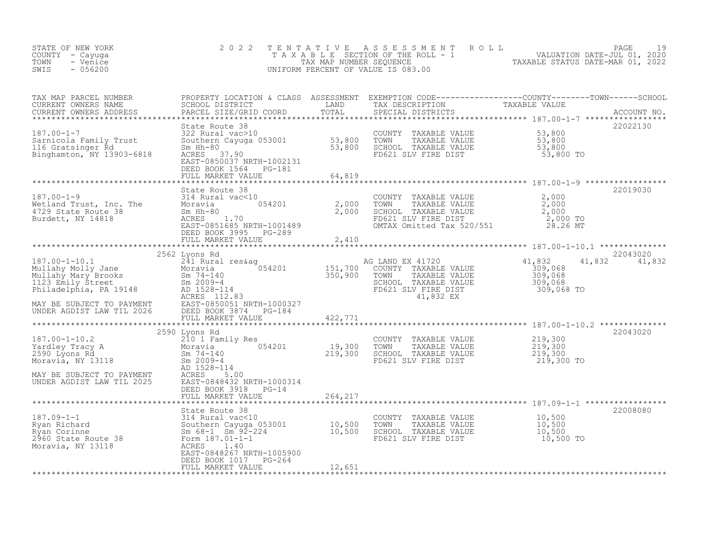| 22022130<br>322 Rural vac>10<br>Sarnicola Family Trust 322 Rural vac>10<br>Sarnicola Family Trust Southern Cayuga 053001<br>Sm Hh-80<br>Binghamton, NY 13903-6818 ACRES 37.90<br>Binghamton, NY 13903-6818 ACRES 37.90<br>EAST-0850037 NRTH-1002131<br>E<br>DEED BOOK 1564 PG-181<br>22019030<br>COUNTY TAXABLE VALUE $2,000$<br>TOWN TAXABLE VALUE $2,000$<br>SCHOOL TAXABLE VALUE $2,000$<br>FD621 SLV FIRE DIST $2,000$<br>MTAX Omitted Tax 520/551 28.26 MT<br>22043020<br>2562 Lyons Rd<br>187.00-1-10.1 2562 Lyons Rd<br>Mullahy Molly Jane 241720<br>Mullahy Molly Jane Moravia 201201 151,700 COUNTY TAXABLE VALUE<br>Mullahy Mary Brooks Sm 74-140 350,900 TOWN TAXABLE VALUE<br>Philadelphia, PA 19148 AD 1528-114 ED621 SL<br>G LAND EX 41720<br>COUNTY TAXABLE VALUE 309,068<br>TOWN TAXABLE VALUE 309,068<br>SCHOOL TAXABLE VALUE 309,068<br>FD621 SLV FIRE DIST 309,068 TO<br>41,832 EX 309,068 TO<br>41,832 41,832<br>2590 Lyons Rd<br>22043020<br>2590 Lyons Rd<br>Yardley Tracy A 210 1 Family Res<br>Yardley Tracy A Moravia Moravia (19,300 TOWN TAXABLE VALUE 219,300<br>2590 Lyons Rd<br>219,300 SCHOOL TAXABLE VALUE 219,300<br>Moravia, NY 13118 Sm 2009-4<br>MAY BE SUBJECT TO PAYME<br>DEED BOOK 3918 PG-14<br>264,217<br>FULL MARKET VALUE<br>187.09-1-1<br>187.09-1-1<br>2960 State Route 38<br>2960 State Route 38<br>2960 State Route 38<br>2960 State Route 38<br>2960 State Route 38<br>2960 State Route 38<br>2960 State Route 38<br>2960 State Route 38<br>2960 State Route 38<br>2960 Stat<br>22008080<br>DEED BOOK 1017 PG-264<br>12,651<br>FULL MARKET VALUE | STATE OF NEW YORK<br>COUNTY - Cayuga<br>- Venice<br>TOWN<br>$-056200$<br>SWIS | 2 0 2 2 | PAGE 19<br>TAXABLE SECTION OF THE ROLL - 1 VALUATION DATE-JUL 01, 2020<br>TAX MAP NUMBER SEQUENCE TAXABLE STATUS DATE-MAR 01, 2022<br>UNIFORM PERCENT OF VALUE IS 083.00 |  |
|--------------------------------------------------------------------------------------------------------------------------------------------------------------------------------------------------------------------------------------------------------------------------------------------------------------------------------------------------------------------------------------------------------------------------------------------------------------------------------------------------------------------------------------------------------------------------------------------------------------------------------------------------------------------------------------------------------------------------------------------------------------------------------------------------------------------------------------------------------------------------------------------------------------------------------------------------------------------------------------------------------------------------------------------------------------------------------------------------------------------------------------------------------------------------------------------------------------------------------------------------------------------------------------------------------------------------------------------------------------------------------------------------------------------------------------------------------------------------------------------------------------------------------------------------------------------------------------------------|-------------------------------------------------------------------------------|---------|--------------------------------------------------------------------------------------------------------------------------------------------------------------------------|--|
|                                                                                                                                                                                                                                                                                                                                                                                                                                                                                                                                                                                                                                                                                                                                                                                                                                                                                                                                                                                                                                                                                                                                                                                                                                                                                                                                                                                                                                                                                                                                                                                                  |                                                                               |         |                                                                                                                                                                          |  |
|                                                                                                                                                                                                                                                                                                                                                                                                                                                                                                                                                                                                                                                                                                                                                                                                                                                                                                                                                                                                                                                                                                                                                                                                                                                                                                                                                                                                                                                                                                                                                                                                  |                                                                               |         |                                                                                                                                                                          |  |
|                                                                                                                                                                                                                                                                                                                                                                                                                                                                                                                                                                                                                                                                                                                                                                                                                                                                                                                                                                                                                                                                                                                                                                                                                                                                                                                                                                                                                                                                                                                                                                                                  |                                                                               |         |                                                                                                                                                                          |  |
|                                                                                                                                                                                                                                                                                                                                                                                                                                                                                                                                                                                                                                                                                                                                                                                                                                                                                                                                                                                                                                                                                                                                                                                                                                                                                                                                                                                                                                                                                                                                                                                                  |                                                                               |         |                                                                                                                                                                          |  |
|                                                                                                                                                                                                                                                                                                                                                                                                                                                                                                                                                                                                                                                                                                                                                                                                                                                                                                                                                                                                                                                                                                                                                                                                                                                                                                                                                                                                                                                                                                                                                                                                  |                                                                               |         |                                                                                                                                                                          |  |
|                                                                                                                                                                                                                                                                                                                                                                                                                                                                                                                                                                                                                                                                                                                                                                                                                                                                                                                                                                                                                                                                                                                                                                                                                                                                                                                                                                                                                                                                                                                                                                                                  |                                                                               |         |                                                                                                                                                                          |  |
|                                                                                                                                                                                                                                                                                                                                                                                                                                                                                                                                                                                                                                                                                                                                                                                                                                                                                                                                                                                                                                                                                                                                                                                                                                                                                                                                                                                                                                                                                                                                                                                                  |                                                                               |         |                                                                                                                                                                          |  |
|                                                                                                                                                                                                                                                                                                                                                                                                                                                                                                                                                                                                                                                                                                                                                                                                                                                                                                                                                                                                                                                                                                                                                                                                                                                                                                                                                                                                                                                                                                                                                                                                  |                                                                               |         |                                                                                                                                                                          |  |
|                                                                                                                                                                                                                                                                                                                                                                                                                                                                                                                                                                                                                                                                                                                                                                                                                                                                                                                                                                                                                                                                                                                                                                                                                                                                                                                                                                                                                                                                                                                                                                                                  |                                                                               |         |                                                                                                                                                                          |  |
|                                                                                                                                                                                                                                                                                                                                                                                                                                                                                                                                                                                                                                                                                                                                                                                                                                                                                                                                                                                                                                                                                                                                                                                                                                                                                                                                                                                                                                                                                                                                                                                                  |                                                                               |         |                                                                                                                                                                          |  |
|                                                                                                                                                                                                                                                                                                                                                                                                                                                                                                                                                                                                                                                                                                                                                                                                                                                                                                                                                                                                                                                                                                                                                                                                                                                                                                                                                                                                                                                                                                                                                                                                  |                                                                               |         |                                                                                                                                                                          |  |
|                                                                                                                                                                                                                                                                                                                                                                                                                                                                                                                                                                                                                                                                                                                                                                                                                                                                                                                                                                                                                                                                                                                                                                                                                                                                                                                                                                                                                                                                                                                                                                                                  |                                                                               |         |                                                                                                                                                                          |  |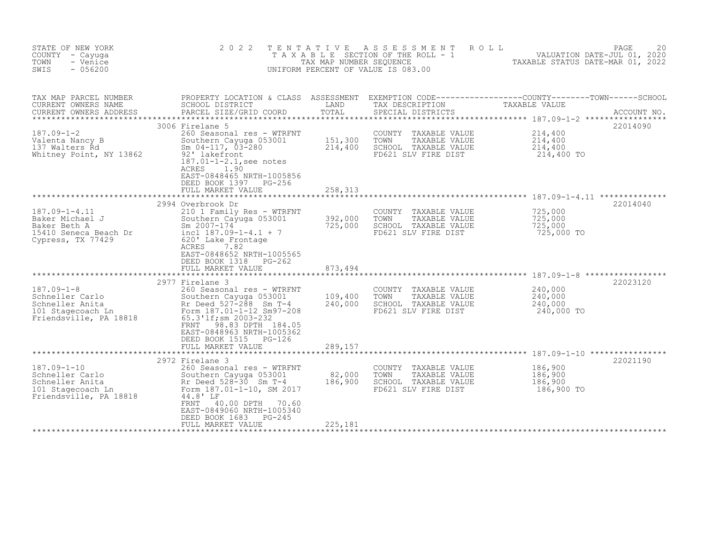| STATE OF NEW YORK<br>COUNTY - Cayuga<br>- Venice<br>TOWN<br>SWIS<br>$-056200$                          | 2 0 2 2                                                                                                                                                                                                                                                                   | TENTATIVE<br>TAX MAP NUMBER SEQUENCE | A S S E S S M E N T<br>ROLL<br>T A X A B L E SECTION OF THE ROLL - 1<br>UNIFORM PERCENT OF VALUE IS 083.00 | VALUATION DATE-JUL 01, 2020<br>TAXABLE STATUS DATE-MAR 01, 2022 | PAGE<br>20  |
|--------------------------------------------------------------------------------------------------------|---------------------------------------------------------------------------------------------------------------------------------------------------------------------------------------------------------------------------------------------------------------------------|--------------------------------------|------------------------------------------------------------------------------------------------------------|-----------------------------------------------------------------|-------------|
| TAX MAP PARCEL NUMBER<br>CURRENT OWNERS NAME<br>CURRENT OWNERS ADDRESS                                 | PROPERTY LOCATION & CLASS ASSESSMENT EXEMPTION CODE---------------COUNTY-------TOWN-----SCHOOL<br>SCHOOL DISTRICT<br>PARCEL SIZE/GRID COORD                                                                                                                               | LAND<br>TOTAL                        | TAX DESCRIPTION<br>SPECIAL DISTRICTS                                                                       | TAXABLE VALUE                                                   | ACCOUNT NO. |
| $187.09 - 1 - 2$<br>Valenta Nancy B<br>137 Walters Rd<br>Whitney Point, NY 13862                       | 3006 Firelane 5<br>260 Seasonal res - WTRFNT<br>Southern Cayuga 053001<br>Sm $04-117$ , $03-280$<br>92' lakefront<br>187.01-1-2.1, see notes<br>ACRES<br>1.90<br>EAST-0848465 NRTH-1005856<br>DEED BOOK 1397 PG-256<br>FULL MARKET VALUE                                  | 151,300<br>214,400<br>258,313        | COUNTY<br>TAXABLE VALUE<br>TOWN<br>TAXABLE VALUE<br>SCHOOL TAXABLE VALUE<br>FD621 SLV FIRE DIST            | 214,400<br>214,400<br>214,400<br>214,400 TO                     | 22014090    |
| **********************************                                                                     | **********************<br>2994 Overbrook Dr                                                                                                                                                                                                                               | * * * * * * * * * * * * *            |                                                                                                            |                                                                 | 22014040    |
| $187.09 - 1 - 4.11$<br>Baker Michael J<br>Baker Beth A<br>15410 Seneca Beach Dr<br>Cypress, TX 77429   | 210 1 Family Res - WTRFNT<br>Southern Cayuga 053001<br>Sm $2007 - 174$<br>incl $187.09-1-4.1 + 7$<br>620' Lake Frontage<br>ACRES<br>7.82<br>EAST-0848652 NRTH-1005565<br>DEED BOOK 1318<br>PG-262                                                                         | 392,000<br>725,000                   | COUNTY TAXABLE VALUE<br>TOWN<br>TAXABLE VALUE<br>SCHOOL TAXABLE VALUE<br>FD621 SLV FIRE DIST               | 725,000<br>725,000<br>725,000<br>725,000 TO                     |             |
|                                                                                                        | FULL MARKET VALUE                                                                                                                                                                                                                                                         | 873,494<br>* * * * * * * * * *       |                                                                                                            |                                                                 |             |
| $187.09 - 1 - 8$<br>Schneller Carlo<br>Schneller Anita<br>101 Stagecoach Ln<br>Friendsville, PA 18818  | 2977 Firelane 3<br>260 Seasonal res - WTRFNT<br>Southern Cayuga 053001<br>Rr Deed 527-288 Sm T-4<br>Form 187.01-1-12 Sm97-208<br>65.3'lf; sm 2003-232<br><b>FRNT</b><br>98.83 DPTH 184.05<br>EAST-0848963 NRTH-1005362<br>DEED BOOK 1515 PG-126<br>FULL MARKET VALUE      | 109,400<br>240,000<br>289,157        | COUNTY TAXABLE VALUE<br>TOWN<br>TAXABLE VALUE<br>SCHOOL TAXABLE VALUE<br>FD621 SLV FIRE DIST               | 240,000<br>240,000<br>240,000<br>240,000 TO                     | 22023120    |
|                                                                                                        | 2972 Firelane 3                                                                                                                                                                                                                                                           |                                      |                                                                                                            |                                                                 | 22021190    |
| $187.09 - 1 - 10$<br>Schneller Carlo<br>Schneller Anita<br>101 Stagecoach Ln<br>Friendsville, PA 18818 | 260 Seasonal res - WTRFNT<br>Southern Cayuga 053001<br>SOULNEIN Cayago<br>Rr Deed 528-30 Sm T-4<br>10 SM 21 1-10 SM 21<br>Form 187.01-1-10, SM 2017<br>44.8' LF<br>40.00 DPTH 70.60<br>FRNT<br>EAST-0849060 NRTH-1005340<br>DEED BOOK 1683<br>PG-245<br>FULL MARKET VALUE | 82,000<br>186,900<br>225,181         | COUNTY TAXABLE VALUE<br>TOWN<br>TAXABLE VALUE<br>SCHOOL TAXABLE VALUE<br>FD621 SLV FIRE DIST               | 186,900<br>186,900<br>186,900<br>186,900 TO                     |             |
|                                                                                                        |                                                                                                                                                                                                                                                                           |                                      |                                                                                                            |                                                                 |             |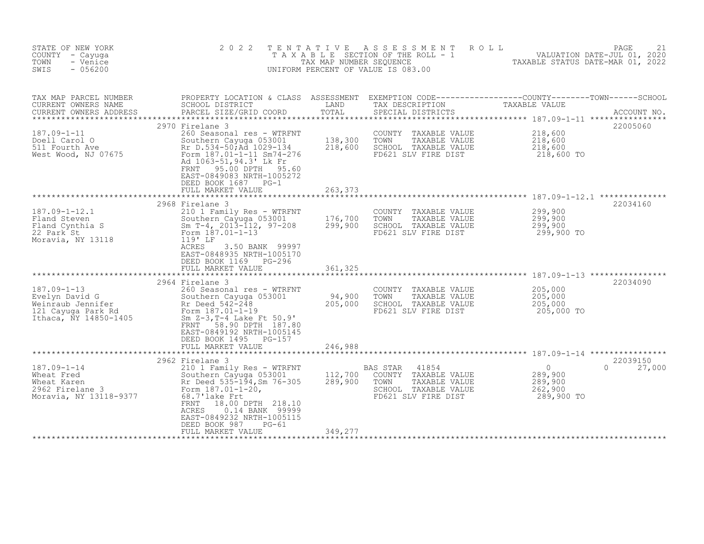| STATE OF NEW YORK<br>COUNTY - Cayuga<br>- Venice<br>TOWN<br>$-056200$<br>SWIS                                                | 2 0 2 2                                                                                                                                                                                                                                                                         | TENTATIVE<br>TAX MAP NUMBER SEQUENCE                 | A S S E S S M E N T<br>ROLL<br>T A X A B L E SECTION OF THE ROLL - 1<br>UNIFORM PERCENT OF VALUE IS 083.00                                                                                                                    | VALUATION DATE-JUL 01, 2020<br>TAXABLE STATUS DATE-MAR 01, 2022 | PAGE<br>21                     |
|------------------------------------------------------------------------------------------------------------------------------|---------------------------------------------------------------------------------------------------------------------------------------------------------------------------------------------------------------------------------------------------------------------------------|------------------------------------------------------|-------------------------------------------------------------------------------------------------------------------------------------------------------------------------------------------------------------------------------|-----------------------------------------------------------------|--------------------------------|
| TAX MAP PARCEL NUMBER<br>CURRENT OWNERS NAME<br>CURRENT OWNERS ADDRESS                                                       | PROPERTY LOCATION & CLASS ASSESSMENT<br>SCHOOL DISTRICT<br>PARCEL SIZE/GRID COORD                                                                                                                                                                                               | LAND<br>TOTAL                                        | $\begin{tabular}{ll} EXEMPTION & CODE-------------COUNTY-----TOWN-----SCHOOL \\ \end{tabular} \label{tab:2}$<br>TAX DESCRIPTION<br>$\begin{tabular}{ll} \multicolumn{2}{l}{{\bf{TAX}}}=T. \end{tabular}$<br>SPECIAL DISTRICTS |                                                                 | ACCOUNT NO.                    |
| $187.09 - 1 - 11$<br>Doell Carol O<br>511 Fourth Ave<br>West Wood, NJ 07675                                                  | 2970 Firelane 3<br>260 Seasonal res - WTRFNT<br>Southern Cayuga 053001<br>Rr D.534-50; Ad 1029-134<br>Form 187.01-1-11 Sm74-276<br>Ad 1063-51, 94.3' Lk Fr<br>95.00 DPTH<br>FRNT<br>95.60<br>EAST-0849083 NRTH-1005272<br>DEED BOOK 1687 PG-1<br>FULL MARKET VALUE              | 138,300<br>218,600<br>263,373                        | COUNTY TAXABLE VALUE<br>TOWN<br>TAXABLE VALUE<br>SCHOOL TAXABLE VALUE<br>FD621 SLV FIRE DIST                                                                                                                                  | 218,600<br>218,600<br>218,600<br>218,600 TO                     | 22005060                       |
| $187.09 - 1 - 12.1$<br>Fland Steven<br>Fland Cynthia S<br>22 Park St<br>Moravia, NY 13118                                    | 2968 Firelane 3<br>210 1 Family Res - WTRFNT<br>Southern Cayuga 053001<br>Sm T-4, 2013-112, 97-208<br>Form 187.01-1-13<br>119' LF<br>ACRES<br>3.50 BANK 99997<br>EAST-0848935 NRTH-1005170<br>DEED BOOK 1169 PG-296<br>FULL MARKET VALUE                                        | 176,700<br>299,900<br>361,325                        | COUNTY TAXABLE VALUE<br>TOWN<br>TAXABLE VALUE<br>SCHOOL TAXABLE VALUE<br>FD621 SLV FIRE DIST                                                                                                                                  | 299,900<br>299,900<br>299,900<br>299,900 TO                     | 22034160                       |
| $187.09 - 1 - 13$<br>Evelyn David G<br>Weinraub Jennifer<br>weiniaup bennifer<br>121 Cayuga Park Rd<br>Ithaca, NY 14850-1405 | 2964 Firelane 3<br>260 Seasonal res - WTRFNT<br>Southern Cayuga 053001<br>Soutnern Cayuya<br>Rr Deed 542-248<br>Form 187.01-1-19<br>Sm $Z-3$ , T-4 Lake Ft $50.9'$<br>FRNT 58.90 DPTH 187.80<br>EAST-0849192 NRTH-1005145<br>DEED BOOK 1495 PG-157<br>FULL MARKET VALUE         | ********************<br>94,900<br>205,000<br>246,988 | COUNTY TAXABLE VALUE<br>TOWN<br>TAXABLE VALUE<br>SCHOOL TAXABLE VALUE<br>FD621 SLV FIRE DIST                                                                                                                                  | 205,000<br>205,000<br>205,000<br>205,000 TO                     | 22034090                       |
| $187.09 - 1 - 14$<br>Wheat Fred<br>2962 Firelane 3<br>Moravie Williams<br>Moravia, NY 13118-9377                             | 2962 Firelane 3<br>210 1 Family Res - WTRFNT<br>Southern Cayuga 053001<br>Rr Deed 535-194, Sm 76-305<br>Form 187.01-1-20,<br>68.7'lake Frt<br>18.00 DPTH 218.10<br>FRNT<br>ACRES<br>0.14 BANK 99999<br>EAST-0849232 NRTH-1005115<br>DEED BOOK 987<br>PG-61<br>FULL MARKET VALUE | 112,700<br>289,900<br>349,277                        | BAS STAR<br>41854<br>COUNTY TAXABLE VALUE<br>TOWN<br>TAXABLE VALUE<br>SCHOOL TAXABLE VALUE<br>FD621 SLV FIRE DIST                                                                                                             | $\overline{0}$<br>289,900<br>289,900<br>262,900<br>289,900 TO   | 22039150<br>$\Omega$<br>27,000 |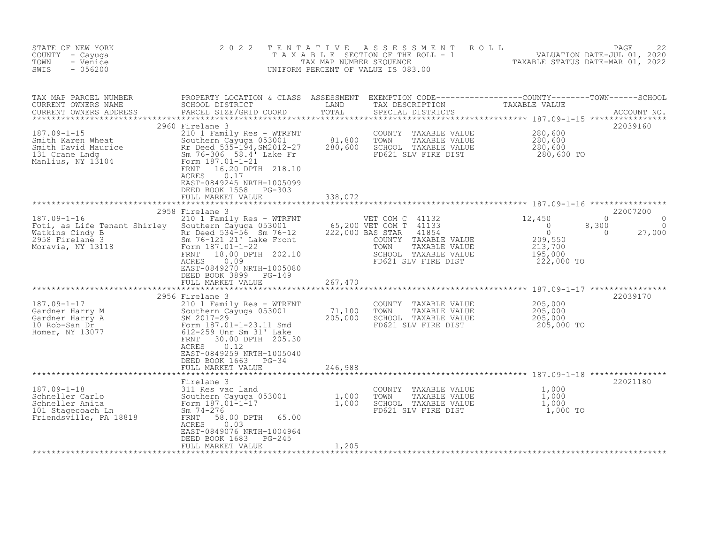| STATE OF NEW YORK<br>COUNTY - Cayuga<br>TOWN<br>- Venice<br>$-056200$<br>SWIS                                                | 2 0 2 2                                                                                                                                                                                                                                                                                        | TENTATIVE<br>TAX MAP NUMBER SEQUENCE    | ASSESSMENT<br>T A X A B L E SECTION OF THE ROLL - 1<br>UNIFORM PERCENT OF VALUE IS 083.00                                                                              | ROLL<br>VALUATION DATE-JUL 01, 2020<br>TAXABLE STATUS DATE-MAR 01, 2022                                             | PAGE<br>22                                |
|------------------------------------------------------------------------------------------------------------------------------|------------------------------------------------------------------------------------------------------------------------------------------------------------------------------------------------------------------------------------------------------------------------------------------------|-----------------------------------------|------------------------------------------------------------------------------------------------------------------------------------------------------------------------|---------------------------------------------------------------------------------------------------------------------|-------------------------------------------|
| TAX MAP PARCEL NUMBER<br>CURRENT OWNERS NAME<br>CURRENT OWNERS ADDRESS                                                       | PROPERTY LOCATION & CLASS ASSESSMENT EXEMPTION CODE-----------------COUNTY--------TOWN------SCHOOL DISTRICT CORE LAND TAX DESCRIPTION<br>PARCEL SIZE/GRID COORD                                                                                                                                | TOTAL                                   | SPECIAL DISTRICTS                                                                                                                                                      |                                                                                                                     | ACCOUNT NO.                               |
| $187.09 - 1 - 15$<br>Smith Karen Wheat<br>Smith David Maurice<br>131 Crane Lndg<br>Manlius, NY 13104                         | 2960 Firelane 3<br>210 1 Family Res - WTRFNT<br>Southern Cayuga 053001<br>Rr Deed 535-194, SM2012-27<br>Sm 76-306 58.4' Lake Fr<br>Form 187.01-1-21<br>16.20 DPTH 218.10<br>FRNT<br><b>ACRES</b><br>0.17<br>EAST-0849245 NRTH-1005099<br>DEED BOOK 1558<br>PG-303<br>FULL MARKET VALUE         | 81,800<br>280,600<br>338,072            | COUNTY TAXABLE VALUE<br>TAXABLE VALUE<br>TOWN<br>SCHOOL TAXABLE VALUE<br>FD621 SLV FIRE DIST                                                                           | 280,600<br>280,600<br>280,600<br>280,600 TO                                                                         | 22039160                                  |
| $187.09 - 1 - 16$<br>Foti, as Life Tenant Shirley<br>Watkins Cindy B<br>and a string<br>2958 Firelane 3<br>Moravia, NY 13118 | 2958 Firelane 3<br>210 1 Family Res - WTRFNT<br>Southern Cayuga 053001<br>Rr Deed 534-56 Sm 76-12<br>Sm 76-121 21' Lake Front<br>Form 187.01-1-22<br>FRNT<br>18.00 DPTH 202.10<br>0.09<br>ACRES<br>EAST-0849270 NRTH-1005080<br>DEED BOOK 3899 PG-149                                          | * * * * * * * * * * * * * * *           | VET COM C 41132<br>65,200 VET COM T 41133<br>222,000 BAS STAR<br>41854<br>COUNTY TAXABLE VALUE<br>TOWN<br>TAXABLE VALUE<br>SCHOOL TAXABLE VALUE<br>FD621 SLV FIRE DIST | $\Omega$<br>12,450<br>$\overline{0}$<br>8,300<br>$\circ$<br>$\Omega$<br>209,550<br>213,700<br>195,000<br>222,000 TO | 22007200<br>$\Omega$<br>$\circ$<br>27,000 |
| $187.09 - 1 - 17$<br>Gardner Harry M<br>Gardner Harry A<br>10 Rob-San Dr<br>Homer, NY 13077                                  | FULL MARKET VALUE<br>2956 Firelane 3<br>210 1 Family Res - WTRFNT<br>Southern Cayuga 053001<br>SM 2017-29<br>Form 187.01-1-23.11 Smd<br>612-259 Unr Sm 31' Lake<br>FRNT<br>30.00 DPTH 205.30<br>0.12<br><b>ACRES</b><br>EAST-0849259 NRTH-1005040<br>DEED BOOK 1663 PG-34<br>FULL MARKET VALUE | 267,470<br>71,100<br>205,000<br>246,988 | COUNTY<br>TAXABLE VALUE<br>TOWN<br>TAXABLE VALUE<br>SCHOOL TAXABLE VALUE<br>FD621 SLV FIRE DIST                                                                        | 205,000<br>205,000<br>205,000<br>205,000 TO                                                                         | 22039170                                  |
| $187.09 - 1 - 18$<br>Schneller Carlo<br>Schneller Anita<br>101 Stagecoach Ln<br>Friendsville, PA 18818                       | Firelane 3<br>311 Res vac land<br>Southern Cayuga 053001<br>Form 187.01-1-17<br>Sm $74 - 276$<br>FRNT<br>58.00 DPTH<br>65.00<br>ACRES<br>0.03<br>EAST-0849076 NRTH-1004964<br>DEED BOOK 1683<br>PG-245<br>FULL MARKET VALUE                                                                    | 1,000<br>1,000<br>1,205                 | COUNTY TAXABLE VALUE<br>TOWN<br>TAXABLE VALUE<br>SCHOOL TAXABLE VALUE<br>FD621 SLV FIRE DIST                                                                           | 1,000<br>1,000<br>1,000<br>1,000 TO                                                                                 | 22021180                                  |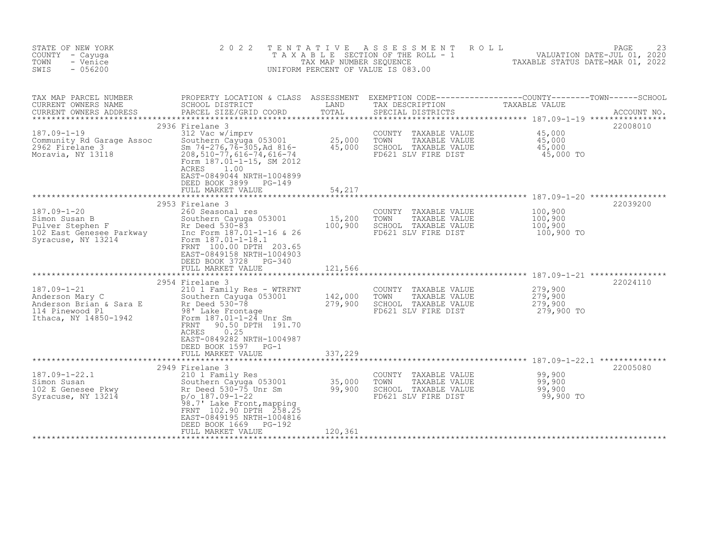| STATE OF NEW YORK<br>COUNTY - Cayuga<br>TOWN<br>- Venice<br>SWIS<br>$-056200$                               | 2 0 2 2                                                                                                                                                                                                                                                                          | TENTATIVE<br>TAX MAP NUMBER SEQUENCE                  | ASSESSMENT<br>T A X A B L E SECTION OF THE ROLL - 1<br>UNIFORM PERCENT OF VALUE IS 083.00    | ROLL<br>VALUATION DATE-JUL 01, 2020<br>TAXABLE STATUS DATE-MAR 01, 2022                                                                                                | 23<br>PAGE              |
|-------------------------------------------------------------------------------------------------------------|----------------------------------------------------------------------------------------------------------------------------------------------------------------------------------------------------------------------------------------------------------------------------------|-------------------------------------------------------|----------------------------------------------------------------------------------------------|------------------------------------------------------------------------------------------------------------------------------------------------------------------------|-------------------------|
| TAX MAP PARCEL NUMBER<br>CURRENT OWNERS NAME<br>CURRENT OWNERS ADDRESS                                      | SCHOOL DISTRICT<br>PARCEL SIZE/GRID COORD<br>2936 Firelane 3                                                                                                                                                                                                                     | LAND<br>TOTAL<br>**************                       | TAX DESCRIPTION<br>SPECIAL DISTRICTS                                                         | PROPERTY LOCATION & CLASS ASSESSMENT EXEMPTION CODE----------------COUNTY-------TOWN------SCHOOL<br>TAXABLE VALUE<br>******************** 187.09-1-19 **************** | ACCOUNT NO.<br>22008010 |
| $187.09 - 1 - 19$<br>Community Rd Garage Assoc<br>2962 Firelane 3<br>Moravia, NY 13118                      | 312 Vac w/imprv<br>Southern Cayuga 053001<br>Sm $74-276$ , $76-305$ , Ad $816-$<br>$208, 510 - 77, 616 - 74, 616 - 74$<br>Form 187.01-1-15, SM 2012<br>ACRES<br>1.00<br>EAST-0849044 NRTH-1004899<br>DEED BOOK 3899<br>PG-149<br>FULL MARKET VALUE                               | 25,000<br>45,000<br>54,217                            | COUNTY TAXABLE VALUE<br>TOWN<br>TAXABLE VALUE<br>SCHOOL TAXABLE VALUE<br>FD621 SLV FIRE DIST | 45,000<br>45,000<br>45,000<br>45,000 TO                                                                                                                                |                         |
| $187.09 - 1 - 20$<br>Simon Susan B<br>Pulver Stephen F<br>102 East Genesee Parkway<br>Syracuse, NY 13214    | *********************************<br>2953 Firelane 3<br>260 Seasonal res<br>Southern Cayuga 053001<br>Rr Deed 530-83<br>Inc Form 187.01-1-16 & 26<br>Form 187.01-1-18.1<br>FRNT 100.00 DPTH 203.65<br>EAST-0849158 NRTH-1004903<br>DEED BOOK 3728<br>PG-340<br>FULL MARKET VALUE | 15,200<br>100,900<br>121,566                          | COUNTY TAXABLE VALUE<br>TOWN<br>TAXABLE VALUE<br>SCHOOL TAXABLE VALUE<br>FD621 SLV FIRE DIST | 100,900<br>100,900<br>100,900<br>100,900 TO                                                                                                                            | 22039200                |
| $187.09 - 1 - 21$<br>Anderson Mary C<br>Anderson Brian & Sara E<br>114 Pinewood Pl<br>Ithaca, NY 14850-1942 | 2954 Firelane 3<br>210 1 Family Res - WTRFNT<br>Southern Cayuga 053001<br>Rr Deed 530-78<br>98' Lake Frontage<br>Form 187.01-1-24 Unr Sm<br>90.50 DPTH 191.70<br>FRNT<br>0.25<br>ACRES<br>EAST-0849282 NRTH-1004987<br>DEED BOOK 1597 PG-1<br>FULL MARKET VALUE                  | ********************<br>142,000<br>279,900<br>337,229 | COUNTY TAXABLE VALUE<br>TOWN<br>TAXABLE VALUE<br>SCHOOL TAXABLE VALUE<br>FD621 SLV FIRE DIST | 279,900<br>279,900<br>279,900<br>279,900 TO                                                                                                                            | 22024110                |
|                                                                                                             |                                                                                                                                                                                                                                                                                  | ************                                          |                                                                                              |                                                                                                                                                                        |                         |
| $187.09 - 1 - 22.1$<br>Simon Susan<br>102 E Genesee Pkwy<br>Syracuse, NY 13214                              | 2949 Firelane 3<br>210 1 Family Res<br>Southern Cayuga 053001<br>Rr Deed 530-75 Unr Sm<br>$p$ /o 187.09-1-22<br>98.7' Lake Front, mapping<br>FRNT 102.90 DPTH 258.25<br>EAST-0849195 NRTH-1004816<br>DEED BOOK 1669<br>PG-192<br>FULL MARKET VALUE                               | 35,000<br>99,900<br>120,361                           | COUNTY TAXABLE VALUE<br>TOWN<br>TAXABLE VALUE<br>SCHOOL TAXABLE VALUE<br>FD621 SLV FIRE DIST | 99,900<br>99,900<br>99,900<br>99,900 TO                                                                                                                                | 22005080                |
|                                                                                                             |                                                                                                                                                                                                                                                                                  |                                                       |                                                                                              |                                                                                                                                                                        |                         |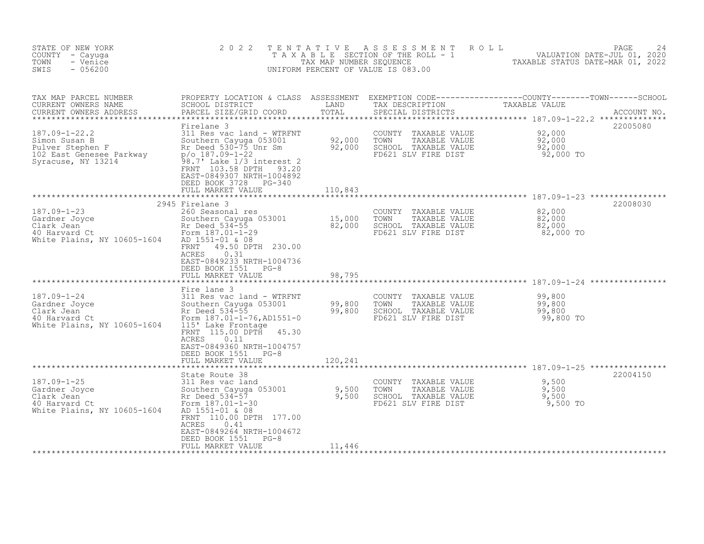| STATE OF NEW YORK<br>COUNTY - Cayuga<br>- Venice<br>TOWN<br>$-056200$<br>SWIS                                                                                                                                                                                          | 2 0 2 2                                                                                                                                                                                                                                                                                                          | TENTATIVE                   | ASSESSMENT ROLL<br>TAXABLE SECTION OF THE ROLL - 1<br>TAXABLE SECTION OF THE ROLL - 1<br>TAXABLE STATUS DATE-MAR 01, 2022<br>UNIFORM PERCENT OF VALUE IS 083.00 |                                         | PAGE<br>24 |
|------------------------------------------------------------------------------------------------------------------------------------------------------------------------------------------------------------------------------------------------------------------------|------------------------------------------------------------------------------------------------------------------------------------------------------------------------------------------------------------------------------------------------------------------------------------------------------------------|-----------------------------|-----------------------------------------------------------------------------------------------------------------------------------------------------------------|-----------------------------------------|------------|
| TAX MAP PARCEL NUMBER<br>CURRENT OWNERS NAME<br>CURRENT OWNERS ADDRESS                                                                                                                                                                                                 | PROPERTY LOCATION & CLASS ASSESSMENT EXEMPTION CODE------------------COUNTY--------TOWN------SCHOOL<br>SCHOOL DISTRICT LAND TAX DESCRIPTION TAXABLE VALUE<br>PARCEL SIZE/GRID COORD TOTAL SPECIAL DISTRICTS                                                                                                      |                             |                                                                                                                                                                 |                                         |            |
| 187.09-1-22.2<br>Simon Susan B<br>Pulver Stephen F<br>102 East Genese Parkway<br>102 East Genese Parkway<br>102 Pulver Stephen F<br>102 Pulver Susan Pole 1-22<br>20 Pulver Stephen Parkway<br>20 Pulver Stephen Parkway<br>20 Pulver Stephen Pa<br>Syracuse, NY 13214 | Firelane 3<br>311 Res vac land - WTRFNT<br>Sul Res vac Ianu - Wikeni<br>Southern Cayuga 053001<br>Rr Deed 530-75 Unr Sm<br>98.7' Lake 1/3 interest 2<br>FRNT 103.58 DPTH 93.20<br>EAST-0849307 NRTH-1004892<br>DEED BOOK 3728 PG-340<br>FULL MARKET VALUE                                                        | 92,000<br>110,843           | COUNTY TAXABLE VALUE $92,000$<br>TOWN TAXABLE VALUE $92,000$<br>SCHOOL TAXABLE VALUE $92,000$<br>FD621 SLV FIRE DIST 92,000 TO<br>92,000 TOWN                   |                                         | 22005080   |
|                                                                                                                                                                                                                                                                        |                                                                                                                                                                                                                                                                                                                  |                             |                                                                                                                                                                 |                                         |            |
| 187.09-1-23<br>Gardner Joyce<br>Clark Jean<br>40 Harvard Ct<br>White Plains, NY 10605-1604                                                                                                                                                                             | 2945 Firelane 3<br>260 Seasonal res<br>200 Southern Cayuga 053001 15,000<br>Rr Deed 534–55 82,000<br>Form <sub>-1</sub> 87.01–1-29 82,000<br>AD 1551-01 & 08<br>FRNT 49.50 DPTH 230.00<br>ACRES<br>0.31<br>EAST-0849233 NRTH-1004736<br>DEED BOOK 1551 PG-8<br>FULL MARKET VALUE                                 | 98,795                      | COUNTY TAXABLE VALUE $82,000$<br>TOWN TAXABLE VALUE $82,000$<br>SCHOOL TAXABLE VALUE $82,000$<br>FD621 SLV FIRE DIST $82,000$ TO                                |                                         | 22008030   |
| $187.09 - 1 - 24$<br>Gardner Joyce<br>Clark Jean<br>40 Harvard Ct<br>White Plains, NY 10605-1604                                                                                                                                                                       | Fire lane 3<br>311 Res vac land - WTRFNT<br>Southern Cayuga 053001<br>Rr Deed 534–55<br>Form 187.01–1–76, AD1551–0<br>Southern Cayuga 053001<br>Rr Deed 534-55<br>115' Lake Frontage<br>FRNT 115.00 DPTH 45.30<br><b>ACRES</b><br>0.11<br>EAST-0849360 NRTH-1004757<br>DEED BOOK 1551 PG-8<br>FULL MARKET VALUE  | 99,800<br>99,800<br>120,241 | COUNTY TAXABLE VALUE<br>TOWN<br>TAXABLE VALUE<br>SCHOOL TAXABLE VALUE<br>FD621 SLV FIRE DIST                                                                    | 99,800<br>99,800<br>99,800<br>99,800 TO |            |
| $187.09 - 1 - 25$<br>Gardner Joyce<br>Clark Jean<br>40 Harvard Ct<br>White Plains, NY 10605-1604                                                                                                                                                                       | 311 Res vac land<br>Southern Cayuga 053001<br>Rr Deed 534-57<br>Form 187.01-1-30<br>State Route 50<br>311 Res vac land<br>Southern Cayuga 053001 9,500<br>Rr Deed 534-57<br>AD 1551-01 & 08<br>FRNT 110.00 DPTH 177.00<br>ACRES<br>0.41<br>EAST-0849264 NRTH-1004672<br>DEED BOOK 1551 PG-8<br>FULL MARKET VALUE | 11,446                      | COUNTY TAXABLE VALUE<br>TOWN<br>TAXABLE VALUE<br>SCHOOL TAXABLE VALUE 9,500<br>FD621 SLV FIRE DIST 9,500 TO                                                     | 9,500<br>9,500                          | 22004150   |
|                                                                                                                                                                                                                                                                        |                                                                                                                                                                                                                                                                                                                  |                             |                                                                                                                                                                 |                                         |            |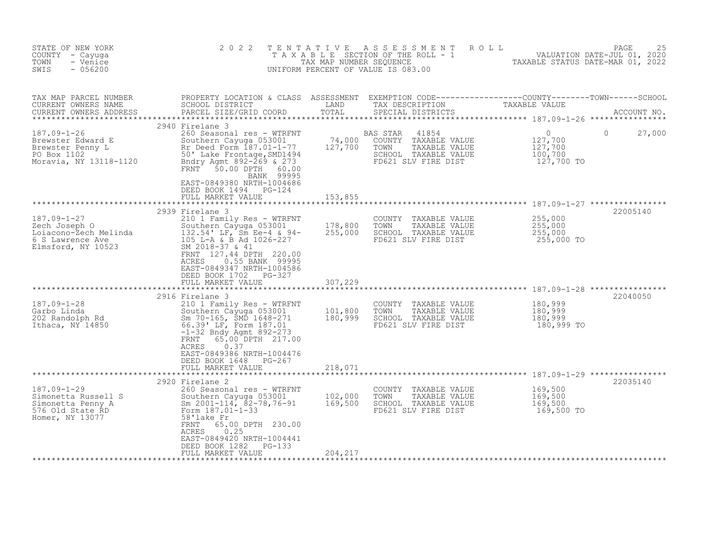| STATE OF NEW YORK<br>COUNTY - Cayuga<br>- Venice<br>TOWN<br>SWIS<br>$-056200$                                                                                                                                                                           | 2 0 2 2                                                                                                                                                                                                                                                                                            |                            | TENTATIVE ASSESSMENT ROLL<br>TAXABLE SECTION OF THE ROLL - 1 WALUATION DATE-JUL 01, 2020<br>TAX MAP NUMBER SEQUENCE TAXABLE STATUS DATE-MAR 01, 2022<br>UNIFORM PERCENT OF VALUE IS 083.00 |                                             | PAGE<br>25  |
|---------------------------------------------------------------------------------------------------------------------------------------------------------------------------------------------------------------------------------------------------------|----------------------------------------------------------------------------------------------------------------------------------------------------------------------------------------------------------------------------------------------------------------------------------------------------|----------------------------|--------------------------------------------------------------------------------------------------------------------------------------------------------------------------------------------|---------------------------------------------|-------------|
| CURRENT OWNERS ADDRESS                                                                                                                                                                                                                                  | PARCEL SIZE/GRID COORD                                                                                                                                                                                                                                                                             |                            |                                                                                                                                                                                            |                                             |             |
| 187.09-1-26<br>Brewster Edward E Southern Cayuga 053001<br>Brewster Penny L Rr Deed Form 187.01-1-77<br>PO Box 1102 50' Lake Frontage, SMD1494<br>Moravia, NY 13118-1120 Bndry Agmt 892-269 & 273                                                       | 2940 Firelane 3<br>260 Seasonal res - WTRFNT<br>Southern Cayuga 053001 74,000 COUNTY TAXABLE VALUE<br>Rr Deed Form 187.01-1-77 127,700 TOWN TAXABLE VALUE<br>FRNT 50.00 DPTH 60.00<br>BANK 99995<br>EAST-0849380 NRTH-1004686<br>DEED BOOK 1494 PG-124<br>FULL MARKET VALUE                        | 153,855                    | BAS STAR<br>41854<br>AS STAR 41854<br>COUNTY TAXABLE VALUE 127,700<br>TOWN TAXABLE VALUE 127,700<br>SCHOOL TAXABLE VALUE 100,700<br>FD621 SLV FIRE DIST 127,700 TO                         | $\overline{0}$                              | 27,000<br>0 |
| 187.09-1-27<br>187.09-1-27 210 1 Family Res - WTRFNT<br>Zech Joseph 0 Southern Cayuga 053001 178,800<br>Loiacono-Zech Melinda 132.54' LF, Sm Ee-4 & 94- 255,000<br>6 S Lawrence Ave 105 L-A & B Ad 1026-227<br>Elmsford, NY 10523 SM 2018-37 & 41<br>NA | *********************************<br>2939 Firelane 3<br>210 1 Family Res - WTRFNT<br>FRNT 127.44 DPTH 220.00<br>0.55 BANK 99995<br>ACRES<br>EAST-0849347 NRTH-1004586<br>DEED BOOK 1702 PG-327<br>FULL MARKET VALUE                                                                                | ***************<br>307,229 | COUNTY TAXABLE VALUE $255,000$<br>TOWN TAXABLE VALUE $255,000$<br>SCHOOL TAXABLE VALUE $255,000$<br>FD621 SLV FIRE DIST 255,000 TO                                                         |                                             | 22005140    |
|                                                                                                                                                                                                                                                         |                                                                                                                                                                                                                                                                                                    |                            |                                                                                                                                                                                            |                                             |             |
| $187.09 - 1 - 28$<br>Garbo Linda<br>202 Randolph Rd<br>202 Randolph Rd<br>3001 Southern Cayuga 053001<br>202 Randolph Rd<br>3001 Linda 391 Linda 187.01<br>56.391 Linda 2021                                                                            | 2916 Firelane 3<br>210 1 Family Res - WTRFNT<br>Southern Cayuga 053001 101,800<br>Sm 70-165, SMD 1648-271 180,999<br>Sm 70-165, SMD 1648-271<br>$-1-32$ Bndy Agmt 892-273<br>FRNT<br>65.00 DPTH 217.00<br>0.37<br>ACRES<br>EAST-0849386 NRTH-1004476<br>DEED BOOK 1648 PG-267<br>FULL MARKET VALUE | 218,071                    | COUNTY TAXABLE VALUE 180,999<br>TOWN TAXABLE VALUE 180,999<br>SCHOOL TAXABLE VALUE 180,999<br>FD621 SLV FIRE DIST 180,999 TO                                                               |                                             | 22040050    |
|                                                                                                                                                                                                                                                         |                                                                                                                                                                                                                                                                                                    |                            |                                                                                                                                                                                            |                                             | 22035140    |
| 187.09-1-29<br>Simonetta Russell S<br>Simonetta Penny A<br>Simonetta Penny A<br>Simonetta Penny A<br>Simonetta Russell S<br>Simonetta Penny A<br>Simonetta Russell S<br>Torm 187.01-1-33<br>Homer, NY 13077<br>Simoner, NY 13077<br>Simonet, NY 1307    | 0.25<br>ACRES<br>EAST-0849420 NRTH-1004441<br>DEED BOOK 1282 PG-133<br>FULL MARKET VALUE                                                                                                                                                                                                           | 204,217                    | COUNTY TAXABLE VALUE<br>TOWN<br>TAXABLE VALUE<br>SCHOOL TAXABLE VALUE<br>FD621 SLV FIRE DIST                                                                                               | 169,500<br>169,500<br>169,500<br>169,500 TO |             |
|                                                                                                                                                                                                                                                         |                                                                                                                                                                                                                                                                                                    |                            |                                                                                                                                                                                            |                                             |             |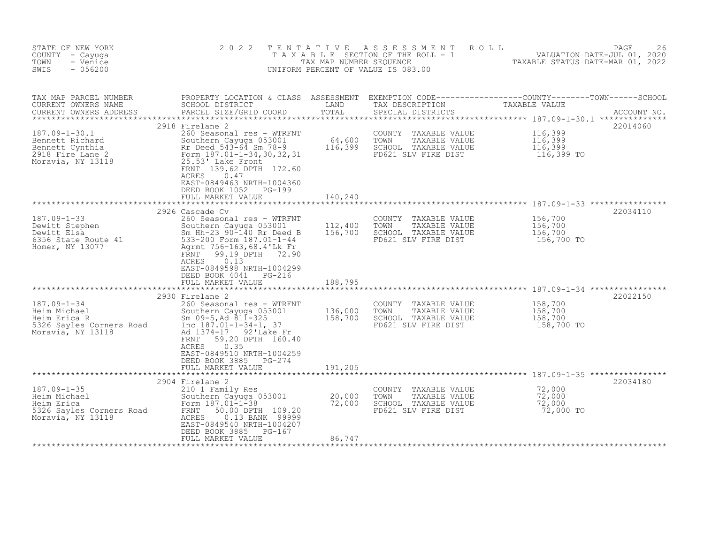| STATE OF NEW YORK<br>COUNTY - Cayuga<br>- Venice<br>TOWN<br>SWIS<br>$-056200$                             | 2 0 2 2<br>TAXABLE                                                                                                                                                                                                                                                 | TENTATIVE<br>TAX MAP NUMBER SEQUENCE | A S S E S S M E N T<br>ROLL<br>SECTION OF THE ROLL - 1<br>UNIFORM PERCENT OF VALUE IS 083.00    | PAGE<br>VALUATION DATE-JUL 01, 2020<br>TAXABLE STATUS DATE-MAR 01, 2022                                                                                                                                                                                                                                    | 26          |
|-----------------------------------------------------------------------------------------------------------|--------------------------------------------------------------------------------------------------------------------------------------------------------------------------------------------------------------------------------------------------------------------|--------------------------------------|-------------------------------------------------------------------------------------------------|------------------------------------------------------------------------------------------------------------------------------------------------------------------------------------------------------------------------------------------------------------------------------------------------------------|-------------|
| TAX MAP PARCEL NUMBER<br>CURRENT OWNERS NAME<br>CURRENT OWNERS ADDRESS                                    | PROPERTY LOCATION & CLASS ASSESSMENT<br>SCHOOL DISTRICT<br>PARCEL SIZE/GRID COORD                                                                                                                                                                                  | LAND<br>TOTAL                        | SPECIAL DISTRICTS                                                                               | $\begin{tabular}{ll} \texttt{EXEMPTION} & \texttt{CODE} \texttt{---}\texttt{---}\texttt{---}\texttt{---}\texttt{---}\texttt{COUNTY}\texttt{---}\texttt{---}\texttt{TOWN} \texttt{---}\texttt{---}\texttt{SCHOOL} \\ \texttt{TAX} & \texttt{DESCRIPTION} & \texttt{TAXABLE} & \texttt{VALUE} \end{tabular}$ | ACCOUNT NO. |
| $187.09 - 1 - 30.1$<br>Bennett Richard<br>Bennett Cynthia<br>2918 Fire Lane 2<br>Moravia, NY 13118        | 2918 Firelane 2<br>260 Seasonal res - WTRFNT<br>Southern Cayuga 053001<br>Rr Deed 543-64 Sm 78-9<br>Form 187.01-1-34,30,32,31<br>25.53' Lake Front<br>FRNT 139.62 DPTH 172.60<br>ACRES<br>0.47<br>EAST-0849463 NRTH-1004360<br>DEED BOOK 1052<br>PG-199            | 64,600<br>116,399                    | COUNTY TAXABLE VALUE<br>TOWN<br>TAXABLE VALUE<br>SCHOOL TAXABLE VALUE<br>FD621 SLV FIRE DIST    | 22014060<br>116,399<br>116,399<br>116,399<br>116,399 TO                                                                                                                                                                                                                                                    |             |
|                                                                                                           | FULL MARKET VALUE                                                                                                                                                                                                                                                  | 140,240                              |                                                                                                 |                                                                                                                                                                                                                                                                                                            |             |
| 187.09-1-33<br>Dewitt Stephen<br>Dewitt Elsa<br>6356 State Route 41<br>Homer. NY 13077<br>Homer, NY 13077 | 2926 Cascade Cv<br>260 Seasonal res - WTRFNT<br>Southern Cayuga 053001<br>Sm Hh-23 90-140 Rr Deed B<br>533-200 Form 187.01-1-44<br>Agrmt 756-163, 68.4'Lk Fr<br>FRNT<br>99.19 DPTH 72.90<br>ACRES<br>0.13<br>EAST-0849598 NRTH-1004299<br>DEED BOOK 4041<br>PG-216 | 112,400<br>156,700                   | COUNTY TAXABLE VALUE<br>TOWN<br>TAXABLE VALUE<br>SCHOOL TAXABLE VALUE<br>FD621 SLV FIRE DIST    | 22034110<br>156,700<br>156,700<br>156,700<br>156,700 TO                                                                                                                                                                                                                                                    |             |
|                                                                                                           | FULL MARKET VALUE                                                                                                                                                                                                                                                  | 188,795<br>***********               |                                                                                                 |                                                                                                                                                                                                                                                                                                            |             |
| $187.09 - 1 - 34$<br>Heim Michael<br>Heim Erica R<br>5326 Sayles Corners Road<br>Moravia, NY 13118        | 2930 Firelane 2<br>260 Seasonal res - WTRFNT<br>Southern Cayuga 053001<br>Sm $09-5$ , Ad $811-325$<br>Inc 187.01-1-34-1, 37<br>Ad 1374-17 92'Lake Fr<br>59.20 DPTH 160.40<br>FRNT<br>0.35<br>ACRES<br>EAST-0849510 NRTH-1004259<br>DEED BOOK 3885 PG-274           | 136,000<br>158,700                   | COUNTY TAXABLE VALUE<br>TOWN<br>TAXABLE VALUE<br>SCHOOL TAXABLE VALUE<br>FD621 SLV FIRE DIST    | 22022150<br>158,700<br>158,700<br>158,700<br>158,700 TO                                                                                                                                                                                                                                                    |             |
|                                                                                                           | FULL MARKET VALUE                                                                                                                                                                                                                                                  | 191,205                              |                                                                                                 |                                                                                                                                                                                                                                                                                                            |             |
| $187.09 - 1 - 35$<br>Heim Michael<br>Heim Erica<br>5326 Sayles Corners Road<br>Moravia, NY 13118          | 2904 Firelane 2<br>210 1 Family Res<br>Southern Cayuga 053001<br>Form $187.01 - 1 - 38$<br>FRNT<br>50.00 DPTH 109.20<br>ACRES<br>0.13 BANK 99999<br>EAST-0849540 NRTH-1004207<br>DEED BOOK 3885<br>PG-167<br>FULL MARKET VALUE                                     | 20,000<br>72,000<br>86,747           | COUNTY<br>TAXABLE VALUE<br>TOWN<br>TAXABLE VALUE<br>SCHOOL TAXABLE VALUE<br>FD621 SLV FIRE DIST | 22034180<br>72,000<br>72,000<br>72,000<br>72,000 TO                                                                                                                                                                                                                                                        |             |
|                                                                                                           |                                                                                                                                                                                                                                                                    |                                      |                                                                                                 |                                                                                                                                                                                                                                                                                                            |             |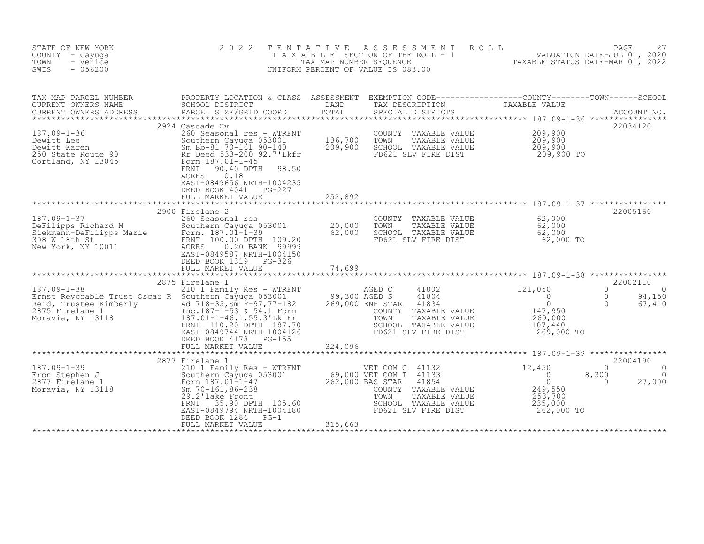| STATE OF NEW YORK<br>COUNTY - Cayuga<br>- Venice<br>TOWN<br>$-056200$<br>SWIS                                                                                           | 2 0 2 2                                                                                                                                                                                                                                                                      | TENTATIVE<br>TAX MAP NUMBER SEOUENCE         | ASSESSMENT<br>T A X A B L E SECTION OF THE ROLL - 1<br>UNIFORM PERCENT OF VALUE IS 083.00                                                                                    | ROLL<br>27<br>2020 ,VALUATION DATE-JUL 01<br>2000 <sup>20</sup> JAXABLE STATIIS DATE-MAR | PAGE<br>27                                                                   |
|-------------------------------------------------------------------------------------------------------------------------------------------------------------------------|------------------------------------------------------------------------------------------------------------------------------------------------------------------------------------------------------------------------------------------------------------------------------|----------------------------------------------|------------------------------------------------------------------------------------------------------------------------------------------------------------------------------|------------------------------------------------------------------------------------------|------------------------------------------------------------------------------|
| TAX MAP PARCEL NUMBER<br>CURRENT OWNERS NAME<br>CURRENT OWNERS ADDRESS<br>*******************                                                                           | PROPERTY LOCATION & CLASS ASSESSMENT EXEMPTION CODE----------------COUNTY-------TOWN-----SCHOOL<br>SCHOOL DISTRICT<br>PARCEL SIZE/GRID COORD                                                                                                                                 | LAND<br>TOTAL                                | TAX DESCRIPTION TAXABLE VALUE<br>SPECIAL DISTRICTS                                                                                                                           |                                                                                          | ACCOUNT NO.                                                                  |
| $187.09 - 1 - 36$<br>Dewitt Lee<br>Dewitt Karen<br>250 State Route 90<br>Cortland, NY 13045                                                                             | 2924 Cascade Cv<br>260 Seasonal res - WTRFNT<br>Southern Cayuga 053001<br>Sm Bb-81 70-161 90-140<br>Rr Deed 533-200 92.7'Lkfr<br>Form 187.01-1-45<br>90.40 DPTH<br>98.50<br>FRNT<br>ACRES<br>0.18<br>EAST-0849656 NRTH-1004235<br>DEED BOOK 4041 PG-227<br>FULL MARKET VALUE | 136,700<br>209,900<br>252,892                | COUNTY TAXABLE VALUE<br>TOWN<br>TAXABLE VALUE<br>SCHOOL TAXABLE VALUE<br>FD621 SLV FIRE DIST                                                                                 | 209,900<br>209,900<br>209,900<br>209,900 TO                                              | 22034120                                                                     |
|                                                                                                                                                                         | 2900 Firelane 2                                                                                                                                                                                                                                                              |                                              |                                                                                                                                                                              |                                                                                          | 22005160                                                                     |
| $187.09 - 1 - 37$<br>DeFilipps Richard M<br>Southern Cayuga 05<br>Siekmann-DeFilipps Marie Form. 187.01-1-39<br>FRNT 100.00 DPTH<br>308 W 18th St<br>New York, NY 10011 | 260 Seasonal res<br>Southern Cayuga 053001<br>FRNT 100.00 DPTH 109.20<br>ACRES<br>0.20 BANK 99999<br>EAST-0849587 NRTH-1004150<br>DEED BOOK 1319 PG-326                                                                                                                      | 20,000<br>62,000                             | COUNTY TAXABLE VALUE<br>TOWN<br>TAXABLE VALUE<br>SCHOOL TAXABLE VALUE<br>FD621 SLV FIRE DIST                                                                                 | 62,000<br>62,000<br>62,000<br>62,000 TO                                                  |                                                                              |
|                                                                                                                                                                         | FULL MARKET VALUE<br>************************                                                                                                                                                                                                                                | 74,699                                       |                                                                                                                                                                              |                                                                                          |                                                                              |
| $187.09 - 1 - 38$<br>Ernst Revocable Trust Oscar R Southern Cayuga 053001<br>Reid, Trustee Kimberly<br>2875 Firelane 1<br>Moravia, NY 13118                             | 2875 Firelane 1<br>210 1 Family Res - WTRFNT<br>Ad 718-35, Sm F-97, 77-182<br>Inc.187-1-53 & 54.1 Form<br>187.01-1-46.1,55.3'Lk Fr<br>FRNT 110.20 DPTH 187.70<br>EAST-0849744 NRTH-1004126<br>DEED BOOK 4173 PG-155<br>FULL MARKET VALUE                                     | 99,300 AGED S<br>269,000 ENH STAR<br>324,096 | 41802<br>AGED C<br>41804<br>41834<br>COUNTY<br>TAXABLE VALUE<br>TOWN<br>TAXABLE VALUE<br>SCHOOL TAXABLE VALUE<br>FD621 SLV FIRE DIST                                         | 121,050<br>$\overline{0}$<br>$\Omega$<br>147,950<br>269,000<br>107,440<br>269,000 TO     | 22002110<br>$\Omega$<br>$\Omega$<br>$\Omega$<br>94,150<br>$\Omega$<br>67,410 |
|                                                                                                                                                                         | 2877 Firelane 1                                                                                                                                                                                                                                                              |                                              |                                                                                                                                                                              |                                                                                          | 22004190                                                                     |
| $187.09 - 1 - 39$<br>Eron Stephen J<br>2877 Firelane 1<br>Moravia, NY 13118                                                                                             | 210 1 Family Res - WTRFNT<br>Southern Cayuga 053001<br>Form 187.01-1-47<br>Sm $70 - 161, 86 - 238$<br>29.2'lake Front<br>35.90 DPTH 105.60<br>FRNT<br>EAST-0849794 NRTH-1004180<br>DEED BOOK 1286<br>$PG-1$<br>FULL MARKET VALUE                                             | 262,000 BAS STAR<br>315,663                  | VET COM C 41132<br>69,000 VET COM T 41133<br>262,000 BAS STAR 41854<br>41854<br>COUNTY TAXABLE VALUE<br>TOWN<br>TAXABLE VALUE<br>SCHOOL TAXABLE VALUE<br>FD621 SLV FIRE DIST | 12,450<br>$\overline{0}$<br>$\circ$<br>249,550<br>253,700<br>235,000<br>262,000 TO       | $\Omega$<br>8,300<br>$\Omega$<br>$\Omega$<br>27,000                          |
|                                                                                                                                                                         |                                                                                                                                                                                                                                                                              |                                              |                                                                                                                                                                              |                                                                                          |                                                                              |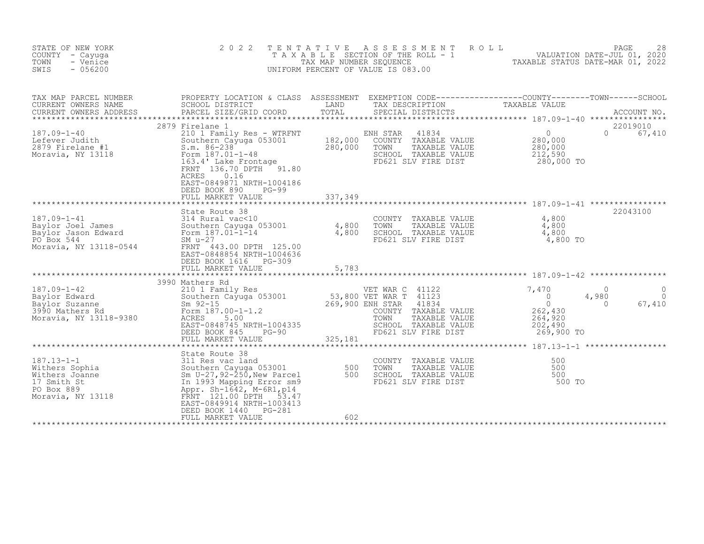| STATE OF NEW YORK<br>COUNTY - Cayuga<br>TOWN<br>- Venice<br>SWIS<br>$-056200$                          | 2 0 2 2                                                                                                                                                                                                                                      | TENTATIVE<br>TAX MAP NUMBER SEQUENCE | A S S E S S M E N T<br>ROLL<br>T A X A B L E SECTION OF THE ROLL - 1 VALUATION DATE-JUL 01, 2020<br>UNIFORM PERCENT OF VALUE IS 083.00                                 | TAXABLE STATUS DATE-MAR 01, 2022                                                  | 28<br>PAGE                                                      |
|--------------------------------------------------------------------------------------------------------|----------------------------------------------------------------------------------------------------------------------------------------------------------------------------------------------------------------------------------------------|--------------------------------------|------------------------------------------------------------------------------------------------------------------------------------------------------------------------|-----------------------------------------------------------------------------------|-----------------------------------------------------------------|
| TAX MAP PARCEL NUMBER<br>CURRENT OWNERS NAME<br>CURRENT OWNERS ADDRESS                                 | PROPERTY LOCATION & CLASS ASSESSMENT EXEMPTION CODE----------------COUNTY-------TOWN-----SCHOOL<br>SCHOOL DISTRICT<br>PARCEL SIZE/GRID COORD<br>2879 Firelane 1                                                                              | LAND<br>TOTAL                        | TAX DESCRIPTION<br>SPECIAL DISTRICTS                                                                                                                                   | TAXABLE VALUE                                                                     | ACCOUNT NO.<br>22019010                                         |
| $187.09 - 1 - 40$<br>Lefever Judith<br>2879 Firelane #1<br>Moravia, NY 13118                           | 210 1 Family Res - WTRFNT<br>Southern Cayuga 053001<br>$S.m. 86 - 238$<br>Form 187.01-1-48<br>163.4' Lake Frontage<br>FRNT 136.70 DPTH 91.80<br>0.16<br>ACRES<br>EAST-0849871 NRTH-1004186<br>DEED BOOK 890<br>$PG-99$<br>FULL MARKET VALUE  | 182,000<br>280,000<br>337,349        | ENH STAR<br>41834<br>COUNTY TAXABLE VALUE<br>TOWN<br>TAXABLE VALUE<br>SCHOOL TAXABLE VALUE<br>FD621 SLV FIRE DIST                                                      | 0 <sub>z</sub><br>280,000<br>280,000<br>212,590<br>280,000 TO                     | $\Omega$<br>67,410                                              |
|                                                                                                        |                                                                                                                                                                                                                                              | *************                        |                                                                                                                                                                        |                                                                                   |                                                                 |
| $187.09 - 1 - 41$<br>Baylor Joel James<br>Baylor Jason Edward<br>PO Box 544<br>Moravia, NY 13118-0544  | State Route 38<br>314 Rural vac<10<br>Southern Cayuga 053001<br>Form 187.01-1-14<br>$SM$ $u-27$<br>FRNT 443.00 DPTH 125.00<br>EAST-0848854 NRTH-1004636<br>DEED BOOK 1616<br>PG-309<br>FULL MARKET VALUE                                     | 4,800<br>4,800<br>5,783              | COUNTY TAXABLE VALUE<br>TOWN<br>TAXABLE VALUE<br>SCHOOL TAXABLE VALUE<br>FD621 SLV FIRE DIST                                                                           | 4,800<br>4,800<br>4,800<br>4,800 TO                                               | 22043100                                                        |
|                                                                                                        |                                                                                                                                                                                                                                              |                                      |                                                                                                                                                                        |                                                                                   |                                                                 |
| $187.09 - 1 - 42$<br>Baylor Edward<br>Baylor Suzanne<br>3990 Mathers Rd<br>Moravia, NY 13118-9380      | 3990 Mathers Rd<br>210 1 Family Res<br>Southern Cayuga 053001<br>$Sm$ 92-15<br>Form $187.00 - 1 - 1.2$<br>ACRES<br>5.00<br>EAST-0848745 NRTH-1004335<br>DEED BOOK 845<br>PG-90<br>FULL MARKET VALUE                                          | 325,181                              | VET WAR C 41122<br>53,800 VET WAR T 41123<br>269,900 ENH STAR<br>41834<br>COUNTY TAXABLE VALUE<br>TOWN<br>TAXABLE VALUE<br>SCHOOL TAXABLE VALUE<br>FD621 SLV FIRE DIST | 7,470<br>$\overline{0}$<br>$\circ$<br>262,430<br>264,920<br>202,490<br>269,900 TO | $\Omega$<br>$\Omega$<br>4,980<br>$\Omega$<br>$\Omega$<br>67,410 |
|                                                                                                        | State Route 38                                                                                                                                                                                                                               |                                      |                                                                                                                                                                        |                                                                                   |                                                                 |
| $187.13 - 1 - 1$<br>Withers Sophia<br>Withers Joanne<br>17 Smith St<br>PO Box 889<br>Moravia, NY 13118 | 311 Res vac land<br>Southern Cayuga 053001<br>Sm $U-27$ , $92-\overline{250}$ , New Parcel<br>In 1993 Mapping Error sm9<br>Appr. Sh-1642, M-6R1, p14<br>FRNT 121.00 DPTH<br>53.47<br>EAST-0849914 NRTH-1003413<br>DEED BOOK 1440<br>$PG-281$ | 500<br>500                           | COUNTY TAXABLE VALUE<br>TOWN<br>TAXABLE VALUE<br>SCHOOL TAXABLE VALUE<br>FD621 SLV FIRE DIST                                                                           | 500<br>500<br>500<br>500 TO                                                       |                                                                 |
|                                                                                                        | FULL MARKET VALUE                                                                                                                                                                                                                            | 602                                  |                                                                                                                                                                        |                                                                                   |                                                                 |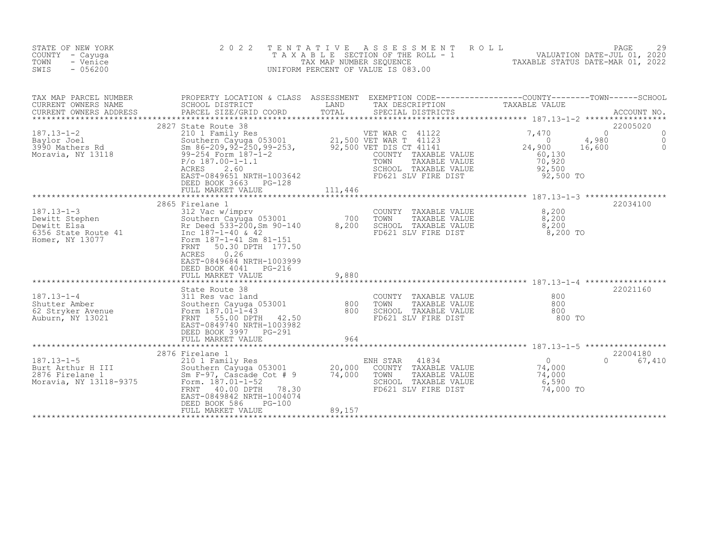| STATE OF NEW YORK<br>COUNTY - Cayuga<br>TOWN<br>- Venice<br>SWIS<br>$-056200$                                                                                                                                                                | 2 0 2 2                                                                                                                                                                                                  | T E N T A T I V E | A S S E S S M E N T A O L L<br>T A X A B L E SECTION OF THE ROLL - 1 WALUATION DATE-JUL 01, 2020<br>TAX MAP NUMBER SEQUENCE TANGER AND TAXABLE STATUS DATE-MAR 01, 2022<br>UNIFORM PERCENT OF VALUE IS 083.00 |                    | PAGE<br>29                                       |
|----------------------------------------------------------------------------------------------------------------------------------------------------------------------------------------------------------------------------------------------|----------------------------------------------------------------------------------------------------------------------------------------------------------------------------------------------------------|-------------------|---------------------------------------------------------------------------------------------------------------------------------------------------------------------------------------------------------------|--------------------|--------------------------------------------------|
| TAX MAP PARCEL NUMBER<br>CURRENT OWNERS NAME                                                                                                                                                                                                 | PROPERTY LOCATION & CLASS ASSESSMENT EXEMPTION CODE----------------COUNTY-------TOWN------SCHOOL<br>SCHOOL DISTRICT                          LAND         TAX DESCRIPTION                  TAXABLE VALUE |                   |                                                                                                                                                                                                               |                    |                                                  |
| 187.13-1-2<br>Baylor Joel 2027 Suchern Cayuga 053001 21,500 VET WAR C 41122<br>3990 Mathers Rd Sm 86-209,92-250,99-253, 92,500 VET DIS CT 41141 24,900<br>Moravia, NY 13118 99-254 Form 187-1-2<br>ACRES 260 187.00-1-1.1<br>24,900<br>21,   | 2827 State Route 38<br>2.60<br>ACRES<br>EAST-0849651 NRTH-1003642<br>DEED BOOK 3663 PG-128<br>FULL MARKET VALUE                                                                                          | 111,446           | COUNTY TAAADDE VALUE<br>TOWN TAXABLE VALUE<br>SCHOOL TAXABLE VALUE 92,500<br>COUNTY TIDE DIRT 92,500 TO                                                                                                       | 4,980<br>16,600    | 22005020<br>$\Omega$<br>0<br>$\circ$<br>$\Omega$ |
| 187.13-1-3<br>Dewitt Stephen 312 Vac w/imprv<br>Dewitt Elsa Rr Deed 533-200, Sm 90-140<br>Southern Cayuga 053001 700 TOWN TAXABLE VALUE 8,200<br>Rr Deed 533-200, Sm 90-140<br>The 187-1-40 & 42<br>Homer, NY 13077<br>Form 187-1-41 Sm 81-1 | 2865 Firelane 1<br>0.26<br>ACRES<br>EAST-0849684 NRTH-1003999<br>DEED BOOK 4041 PG-216<br>FULL MARKET VALUE                                                                                              | 9,880             |                                                                                                                                                                                                               | 8,200 TO           | 22034100                                         |
| 37.13-1-4<br>Shutter Amber<br>Shutter Amber<br>62 Stryker Avenue<br>Auburn, NY 13021<br>Auburn, NY 13021<br>Southern 187.01-1-43<br>FRNT 55.00 DPTH 42.50<br>EAST-0849740 NRTH-1003982                                                       | State Route 38<br>DEED BOOK 3997 PG-291<br>FULL MARKET VALUE                                                                                                                                             | 964               | COUNTY TAXABLE VALUE<br>TOWN TAXABLE VALUE 800<br>SCHOOL TAXABLE VALUE 800<br>FD621 SLV FIRE DIST 800                                                                                                         | 800 TO             | 22021160                                         |
| $187.13 - 1 - 5$<br>187.13-1-5 210 1 Family Res<br>Burt Arthur H III Southern Cayuga 053001 20,000<br>2876 Firelane 1 Sm F-97, Cascade Cot # 9 74,000<br>Moravia, NY 13118-9375 Form. 187.01-1-52<br>Form. 187.01-1-52                       | 2876 Firelane 1<br>210 1 Family Res<br>40.00 DPTH 78.30<br>FRNT<br>EAST-0849842 NRTH-1004074<br>DEED BOOK 586<br><b>PG-100</b><br>FULL MARKET VALUE                                                      | 89,157            | es<br>ENH STAR 41834<br>WAAAAAA<br>WH STAR 41834 0<br>COUNTY TAXABLE VALUE 74,000<br>TAYABLE VALUE 74,000<br>SCHOOL TAXABLE VALUE<br>FD621 SLV FIRE DIST                                                      | 6,590<br>74,000 TO | 22004180<br>0 67,410                             |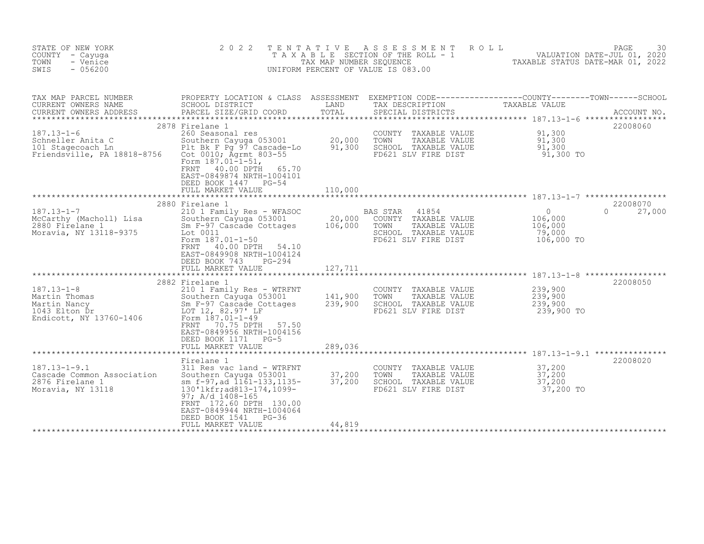| STATE OF NEW YORK<br>COUNTY - Cayuga<br>- Venice<br>TOWN<br>$-056200$<br>SWIS                      | 2 0 2 2                                                                                                                                                                                                                                                   | TENTATIVE<br>TAX MAP NUMBER SEOUENCE | ASSESSMENT<br>ROLL<br>T A X A B L E SECTION OF THE ROLL - 1<br>UNIFORM PERCENT OF VALUE IS 083.00                    | TAXABLE STATUS DATE-MAR 01, 2022                           | PAGE<br>30<br>VALUATION DATE-JUL 01, 2020 |
|----------------------------------------------------------------------------------------------------|-----------------------------------------------------------------------------------------------------------------------------------------------------------------------------------------------------------------------------------------------------------|--------------------------------------|----------------------------------------------------------------------------------------------------------------------|------------------------------------------------------------|-------------------------------------------|
| TAX MAP PARCEL NUMBER<br>CURRENT OWNERS NAME<br>CURRENT OWNERS ADDRESS<br>************************ | PROPERTY LOCATION & CLASS ASSESSMENT EXEMPTION CODE----------------COUNTY-------TOWN-----SCHOOL<br>SCHOOL DISTRICT<br>PARCEL SIZE/GRID COORD                                                                                                              | LAND<br>TOTAL                        | TAX DESCRIPTION<br>SPECIAL DISTRICTS                                                                                 | TAXABLE VALUE                                              | ACCOUNT NO.                               |
| $187.13 - 1 - 6$<br>Schneller Anita C<br>101 Stagecoach Ln<br>Friendsville, PA 18818-8756          | 2878 Firelane 1<br>260 Seasonal res<br>Southern Cayuga 053001<br>Plt Bk F Pg 97 Cascade-Lo<br>Cot 0010; Agrmt 803-55<br>Form $187.01 - 1 - 51$ ,<br>40.00 DPTH<br>FRNT<br>65.70<br>EAST-0849874 NRTH-1004101<br>DEED BOOK 1447 PG-54<br>FULL MARKET VALUE | 20,000<br>91,300<br>110,000          | COUNTY TAXABLE VALUE<br>TOWN<br>TAXABLE VALUE<br>SCHOOL TAXABLE VALUE<br>FD621 SLV FIRE DIST                         | 91,300<br>91,300<br>91,300<br>91,300 TO                    | 22008060                                  |
|                                                                                                    | 2880 Firelane 1                                                                                                                                                                                                                                           |                                      |                                                                                                                      |                                                            | 22008070                                  |
| $187.13 - 1 - 7$<br>McCarthy (Macholl) Lisa<br>2880 Firelane 1<br>Moravia, NY 13118-9375           | 210 1 Family Res - WFASOC<br>Southern Cayuga 053001<br>Sm F-97 Cascade Cottages<br>Lot 0011<br>Form 187.01-1-50<br>40.00 DPTH<br>FRNT<br>54.10<br>EAST-0849908 NRTH-1004124<br>DEED BOOK 743<br>$PG-294$                                                  | 20,000<br>106,000                    | 41854<br>BAS STAR<br>COUNTY<br>TAXABLE VALUE<br>TOWN<br>TAXABLE VALUE<br>SCHOOL TAXABLE VALUE<br>FD621 SLV FIRE DIST | $\mathbf{0}$<br>106,000<br>106,000<br>79,000<br>106,000 TO | $\Omega$<br>27,000                        |
|                                                                                                    | FULL MARKET VALUE<br>************************                                                                                                                                                                                                             | 127,711<br>***********               |                                                                                                                      |                                                            |                                           |
| $187.13 - 1 - 8$<br>Martin Thomas<br>Martin Nancy<br>1043 Elton Dr<br>Endicott, NY 13760-1406      | 2882 Firelane 1<br>210 1 Family Res - WTRFNT<br>Southern Cayuga 053001<br>Sm F-97 Cascade Cottages<br>LOT 12, 82.97' LF<br>Form 187.01-1-49<br>70.75 DPTH<br>FRNT<br>57.50<br>EAST-0849956 NRTH-1004156<br>DEED BOOK 1171 PG-5<br>FULL MARKET VALUE       | 141,900<br>239,900<br>289,036        | COUNTY TAXABLE VALUE<br>TOWN<br>TAXABLE VALUE<br>SCHOOL TAXABLE VALUE<br>FD621 SLV FIRE DIST                         | 239,900<br>239,900<br>239,900<br>239,900 TO                | 22008050                                  |
|                                                                                                    | Firelane 1                                                                                                                                                                                                                                                |                                      |                                                                                                                      |                                                            | 22008020                                  |
| $187.13 - 1 - 9.1$<br>Cascade Common Association<br>2876 Firelane 1<br>Moravia, NY 13118           | 311 Res vac land - WTRFNT<br>Southern Cayuga 053001<br>sm f-97, ad 1161-133, 1135-<br>130'lkfr; ad813-174, 1099-<br>97; A/d 1408-165<br>FRNT 172.60 DPTH 130.00<br>EAST-0849944 NRTH-1004064<br>DEED BOOK 1541<br>PG-36                                   | 37,200<br>37,200                     | COUNTY TAXABLE VALUE<br>TOWN<br>TAXABLE VALUE<br>SCHOOL TAXABLE VALUE<br>FD621 SLV FIRE DIST                         | 37,200<br>37,200<br>37,200<br>37,200 TO                    |                                           |
|                                                                                                    | FULL MARKET VALUE                                                                                                                                                                                                                                         | 44,819                               |                                                                                                                      |                                                            |                                           |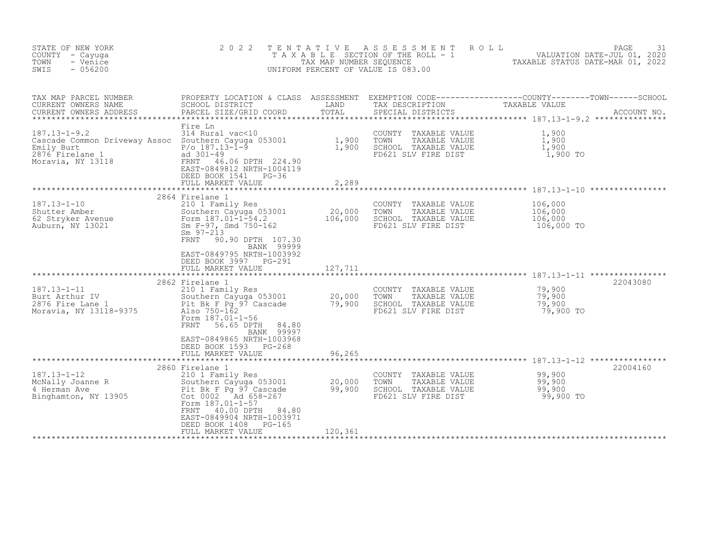| STATE OF NEW YORK<br>COUNTY - Cayuga<br>- Venice<br>TOWN<br>SWIS<br>$-056200$                                                                                                 | 2 0 2 2                                                                                                                                                                                                                                                                                      | T E N T A T I V E<br>TAX MAP NUMBER SEQUENCE | ASSESSMENT<br>T A X A B L E SECTION OF THE ROLL - 1<br>UNIFORM PERCENT OF VALUE IS 083.00    | ROLL<br>PAGE<br>VALUATION DATE-JUL 01, 2020<br>TAXABLE STATUS DATE-MAR 01, 2022                                                                                                                                   | 31 |
|-------------------------------------------------------------------------------------------------------------------------------------------------------------------------------|----------------------------------------------------------------------------------------------------------------------------------------------------------------------------------------------------------------------------------------------------------------------------------------------|----------------------------------------------|----------------------------------------------------------------------------------------------|-------------------------------------------------------------------------------------------------------------------------------------------------------------------------------------------------------------------|----|
| TAX MAP PARCEL NUMBER<br>CURRENT OWNERS NAME<br>CURRENT OWNERS ADDRESS                                                                                                        | PARCEL SIZE/GRID COORD                                                                                                                                                                                                                                                                       | TOTAL                                        | SPECIAL DISTRICTS                                                                            | PROPERTY LOCATION & CLASS ASSESSMENT EXEMPTION CODE----------------COUNTY--------TOWN------SCHOOL SCHOOL SCHOOL OUSTRICT LAND TAX DESCRIPTION TAXABLE VALUE<br>ACCOUNT NO.<br>****************** 187.13-1-9.2 *** |    |
| $187.13 - 1 - 9.2$<br>Cascade Common Driveway Assoc Southern Cayuga 053001<br>Emily Burt<br>2876 Firelane 1 ad 301-49<br>$\mathbf{1}$<br>2876 Firelane 1<br>Moravia, NY 13118 | Fire Ln<br>314 Rural vac<10<br>ad 301-49<br>FRNT<br>46.06 DPTH 224.90<br>EAST-0849812 NRTH-1004119<br>DEED BOOK 1541 PG-36<br>FULL MARKET VALUE                                                                                                                                              | $\frac{1}{1}$ , 900<br>1, 900<br>2,289       | COUNTY TAXABLE VALUE<br>TOWN<br>TAXABLE VALUE<br>SCHOOL TAXABLE VALUE<br>FD621 SLV FIRE DIST | 1,900<br>$\frac{1}{1}$ , 900<br>1, 900<br>1,900 TO                                                                                                                                                                |    |
| ************************************<br>$187.13 - 1 - 10$<br>Shutter Amber<br>62 Stryker Avenue<br>Auburn, NY 13021                                                           | 2864 Firelane 1<br>210 1 Family Res<br>Southern Cayuga 053001<br>Form 187.01-1-54.2<br>Sm F-97, Smd 750-162<br>$Sm$ 97-213<br>FRNT<br>90.90 DPTH 107.30<br>BANK 99999<br>EAST-0849795 NRTH-1003992<br>DEED BOOK 3997 PG-291<br>FULL MARKET VALUE                                             | ************<br>20,000<br>106,000<br>127,711 | COUNTY TAXABLE VALUE<br>TOWN<br>TAXABLE VALUE<br>SCHOOL TAXABLE VALUE<br>FD621 SLV FIRE DIST | *********************** 187.13-1-10 *****************<br>106,000<br>106,000<br>106,000<br>106,000 TO                                                                                                              |    |
| $187.13 - 1 - 11$<br>buit Arthur IV<br>2876 Fire Lane 1<br>Moravie William<br>Moravia, NY 13118-9375                                                                          | 2862 Firelane 1<br>210 1 Family Res<br>210 I Family Res<br>Southern Cayuga 053001 20,000<br>Plt Bk_F Pg_97 Cascade 79,900<br>Also 750-162<br>Form 187.01-1-56<br><b>FRNT</b><br>56.65 DPTH<br>84.80<br>BANK 99997<br>EAST-0849865 NRTH-1003968<br>DEED BOOK 1593 PG-268<br>FULL MARKET VALUE | *****************<br>96,265                  | COUNTY TAXABLE VALUE<br>TOWN<br>TAXABLE VALUE<br>SCHOOL TAXABLE VALUE<br>FD621 SLV FIRE DIST | 22043080<br>79,900<br>79,900<br>79,900<br>79,900 TO                                                                                                                                                               |    |
|                                                                                                                                                                               | * * * * * * * * * * * * * *                                                                                                                                                                                                                                                                  |                                              |                                                                                              | ********************************** 187.13-1-12 ****************                                                                                                                                                   |    |
|                                                                                                                                                                               | 2860 Firelane 1<br>Form 187.01-1-57<br>FRNT<br>40.00 DPTH<br>84.80<br>EAST-0849904 NRTH-1003971<br>DEED BOOK 1408<br>PG-165<br>FULL MARKET VALUE                                                                                                                                             | 120,361                                      | COUNTY TAXABLE VALUE<br>TOWN<br>TAXABLE VALUE<br>SCHOOL TAXABLE VALUE<br>FD621 SLV FIRE DIST | 22004160<br>99,900<br>99,900<br>99,900<br>99,900 TO                                                                                                                                                               |    |
|                                                                                                                                                                               |                                                                                                                                                                                                                                                                                              |                                              |                                                                                              |                                                                                                                                                                                                                   |    |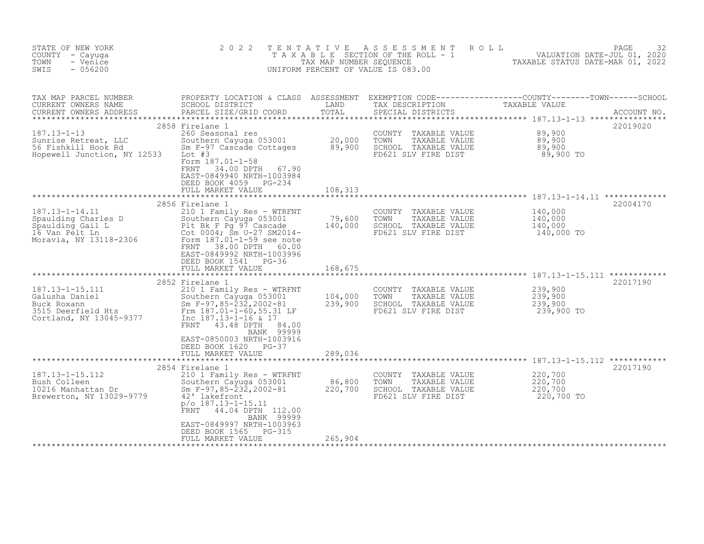| STATE OF NEW YORK<br>COUNTY - Cayuga<br>- Venice<br>TOWN<br>SWIS<br>$-056200$                                                                  | 2 0 2 2                                                                                                                                                                                                    | TENTATIVE<br>TAX MAP NUMBER SEQUENCE | A S S E S S M E N T<br>T A X A B L E SECTION OF THE ROLL - 1<br>UNIFORM PERCENT OF VALUE IS 083.00 | ROLL<br>VALUATION DATE-JUL 01, 2020<br>TAXABLE STATUS DATE-MAR 01, 2022       | PAGE<br>32  |
|------------------------------------------------------------------------------------------------------------------------------------------------|------------------------------------------------------------------------------------------------------------------------------------------------------------------------------------------------------------|--------------------------------------|----------------------------------------------------------------------------------------------------|-------------------------------------------------------------------------------|-------------|
| TAX MAP PARCEL NUMBER<br>CURRENT OWNERS NAME<br>CURRENT OWNERS ADDRESS                                                                         | PROPERTY LOCATION & CLASS ASSESSMENT<br>SCHOOL DISTRICT<br>PARCEL SIZE/GRID COORD                                                                                                                          | LAND<br>TOTAL                        | TAX DESCRIPTION<br>SPECIAL DISTRICTS                                                               | EXEMPTION CODE-----------------COUNTY-------TOWN------SCHOOL<br>TAXABLE VALUE | ACCOUNT NO. |
|                                                                                                                                                | 2858 Firelane 1                                                                                                                                                                                            |                                      |                                                                                                    |                                                                               | 22019020    |
| $187.13 - 1 - 13$                                                                                                                              | 260 Seasonal res                                                                                                                                                                                           |                                      | COUNTY TAXABLE VALUE                                                                               | 89,900                                                                        |             |
| Sunrise Retreat, LLC<br>56 Fishkill Hook Rd<br>Hopewell Junction, NY 12533                                                                     | Southern Cayuga 053001 20,000<br>Sm F-97 Cascade Cottages 89,900<br>Lot #3<br>Form 187.01-1-58                                                                                                             |                                      | TOWN<br>TAXABLE VALUE<br>SCHOOL TAXABLE VALUE<br>FD621 SLV FIRE DIST                               | 89,900<br>89,900<br>89,900 TO                                                 |             |
|                                                                                                                                                | FRNT<br>34.00 DPTH<br>67.90<br>EAST-0849940 NRTH-1003984<br>DEED BOOK 4059 PG-234<br>FULL MARKET VALUE                                                                                                     | 108,313                              |                                                                                                    |                                                                               |             |
|                                                                                                                                                |                                                                                                                                                                                                            |                                      |                                                                                                    |                                                                               |             |
| $187.13 - 1 - 14.11$<br>Spaulding Charles D<br>spaarariig Gail L<br>16 Van Pelt Ln<br>Morovii Live<br>Moravia, NY 13118-2306                   | 2856 Firelane 1<br>210 1 Family Res - WTRFNT<br>Southern Cayuya 333.<br>Plt Bk F Pg 97 Cascade<br>Cot 0004; Sm U-27 SM201<br>Cot 0004; Sm U-27 SM2014-<br>Form 187.01-1-59 see note                        | 79,600<br>140,000                    | COUNTY TAXABLE VALUE<br>TOWN<br>TAXABLE VALUE<br>SCHOOL TAXABLE VALUE<br>FD621 SLV FIRE DIST       | 140,000<br>140,000<br>140,000<br>140,000 TO                                   | 22004170    |
|                                                                                                                                                | 38.00 DPTH<br>FRNT<br>60.00<br>EAST-0849992 NRTH-1003996<br>DEED BOOK 1541 PG-36<br>FULL MARKET VALUE                                                                                                      | 168,675                              |                                                                                                    |                                                                               |             |
|                                                                                                                                                | 2852 Firelane 1                                                                                                                                                                                            |                                      |                                                                                                    |                                                                               | 22017190    |
| 187.13-1-15.111<br>Galusha Daniel<br>Buck Roxann<br>Buck November<br>2515 Deerfield Hts<br>Cortland - NY 13045-9377<br>Cortland, NY 13045-9377 | 210 1 Family Res - WTRFNT<br>Southern Cayuga 053001<br>Sm $F-97, 85-\overline{2}3\overline{2}$ , 2002-81<br>Frm 187.01-1-60,55.31 LF<br>Inc 187.13-1-16 & 17<br>FRNT 43.48 DPTH<br>84.00                   | 104,000<br>239,900                   | COUNTY TAXABLE VALUE<br>TAXABLE VALUE<br>TOWN<br>SCHOOL TAXABLE VALUE<br>FD621 SLV FIRE DIST       | 239,900<br>239,900<br>239,900<br>239,900 TO                                   |             |
|                                                                                                                                                | BANK 99999<br>EAST-0850003 NRTH-1003916<br>DEED BOOK 1620 PG-37<br>FULL MARKET VALUE                                                                                                                       | 289,036                              |                                                                                                    |                                                                               |             |
|                                                                                                                                                | 2854 Firelane 1                                                                                                                                                                                            |                                      |                                                                                                    |                                                                               | 22017190    |
| $187.13 - 1 - 15.112$<br>Bush Colleen<br>10216 Manhattan Dr<br>Brewerton, NY 13029-9779                                                        | 210 1 Family Res - WTRFNT<br>Southern Cayuga 053001<br>Sm $F-97, 85-\overline{2}3\overline{2}$ , 2002-81<br>42' lakefront<br>$p$ /o $187.13 - 1 - 15.11$<br><b>FRNT</b><br>44.04 DPTH 112.00<br>BANK 99999 | 86,800<br>220,700                    | COUNTY TAXABLE VALUE<br>TOWN<br>TAXABLE VALUE<br>SCHOOL TAXABLE VALUE<br>FD621 SLV FIRE DIST       | 220,700<br>220,700<br>220,700<br>220,700 TO                                   |             |
|                                                                                                                                                | EAST-0849997 NRTH-1003963<br>DEED BOOK 1565<br>PG-315<br>FULL MARKET VALUE                                                                                                                                 | 265,904                              |                                                                                                    |                                                                               |             |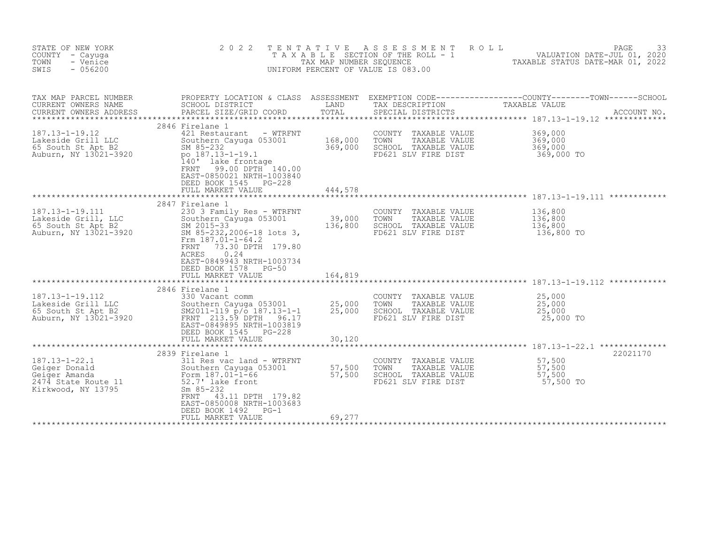| STATE OF NEW YORK<br>COUNTY - Cayuga<br>- Venice<br>TOWN<br>$-056200$<br>SWIS                      | 2 0 2 2                                                                                                                                                                                                                                                               | T E N T A T I V E<br>TAX MAP NUMBER SEQUENCE | ASSESSMENT<br>ROLL<br>T A X A B L E SECTION OF THE ROLL - 1<br>UNIFORM PERCENT OF VALUE IS 083.00 | PAGE<br>33<br>VALUATION DATE-JUL 01, 2020<br>TAXABLE STATUS DATE-MAR 01, 2022                                                  |
|----------------------------------------------------------------------------------------------------|-----------------------------------------------------------------------------------------------------------------------------------------------------------------------------------------------------------------------------------------------------------------------|----------------------------------------------|---------------------------------------------------------------------------------------------------|--------------------------------------------------------------------------------------------------------------------------------|
| TAX MAP PARCEL NUMBER<br>CURRENT OWNERS NAME<br>CURRENT OWNERS ADDRESS                             | SCHOOL DISTRICT<br>PARCEL SIZE/GRID COORD                                                                                                                                                                                                                             | LAND<br>TOTAL                                | TAX DESCRIPTION<br>SPECIAL DISTRICTS                                                              | PROPERTY LOCATION & CLASS ASSESSMENT EXEMPTION CODE---------------COUNTY-------TOWN-----SCHOOL<br>TAXABLE VALUE<br>ACCOUNT NO. |
| $187.13 - 1 - 19.12$<br>Lakeside Grill LLC<br>65 South St Apt B2<br>Auburn, NY 13021-3920          | 2846 Firelane 1<br>421 Restaurant - WTRFNT<br>Southern Cayuga 053001<br>SM 85-232<br>po 187.13-1-19.1<br>140' lake frontage<br>99.00 DPTH 140.00<br>FRNT<br>EAST-0850021 NRTH-1003840<br>DEED BOOK 1545 PG-228<br>FULL MARKET VALUE                                   | 168,000<br>369,000<br>444,578                | COUNTY<br>TAXABLE VALUE<br>TOWN<br>TAXABLE VALUE<br>SCHOOL TAXABLE VALUE<br>FD621 SLV FIRE DIST   | 369,000<br>369,000<br>369,000<br>369,000 TO                                                                                    |
| 187.13-1-19.111<br>Lakeside Grill, LLC<br>65 South St Apt B2<br>Auburn, NY 13021-3920              | 2847 Firelane 1<br>230 3 Family Res - WTRFNT<br>Southern Cayuga 053001<br>SM 2015-33<br>SM 85-232, 2006-18 lots 3,<br>Frm $187.01 - 1 - 64.2$<br>73.30 DPTH 179.80<br>FRNT<br>0.24<br>ACRES<br>EAST-0849943 NRTH-1003734<br>DEED BOOK 1578 PG-50<br>FULL MARKET VALUE | 39,000<br>136,800<br>164,819                 | COUNTY TAXABLE VALUE<br>TOWN<br>TAXABLE VALUE<br>SCHOOL TAXABLE VALUE<br>FD621 SLV FIRE DIST      | 136,800<br>136,800<br>136,800<br>136,800 TO                                                                                    |
| 187.13-1-19.112<br>Lakeside Grill LLC<br>65 South St Apt B2<br>Auburn, NY 13021-3920               | 2846 Firelane 1<br>330 Vacant comm<br>Southern Cayuga 053001<br>$SM2011-119$ $p/\overline{o}$ 187.13-1-1<br>FRNT 213.59 DPTH<br>96.17<br>EAST-0849895 NRTH-1003819<br>DEED BOOK 1545<br>PG-228<br>FULL MARKET VALUE                                                   | 25,000<br>25,000<br>30,120                   | COUNTY<br>TAXABLE VALUE<br>TOWN<br>TAXABLE VALUE<br>SCHOOL TAXABLE VALUE<br>FD621 SLV FIRE DIST   | 25,000<br>25,000<br>25,000<br>25,000 TO                                                                                        |
| $187.13 - 1 - 22.1$<br>Geiger Donald<br>Geiger Amanda<br>2474 State Route 11<br>Kirkwood, NY 13795 | 2839 Firelane 1<br>311 Res vac land - WTRFNT<br>Southern Cayuga 053001<br>Form 187.01-1-66<br>52.7' lake front<br>$Sm$ 85-232<br>FRNT<br>43.11 DPTH 179.82<br>EAST-0850008 NRTH-1003683<br>DEED BOOK 1492<br>$PG-1$<br>FULL MARKET VALUE                              | 57,500<br>57,500<br>69,277                   | COUNTY<br>TAXABLE VALUE<br>TOWN<br>TAXABLE VALUE<br>SCHOOL TAXABLE VALUE<br>FD621 SLV FIRE DIST   | 22021170<br>57,500<br>57,500<br>57,500<br>57,500 TO                                                                            |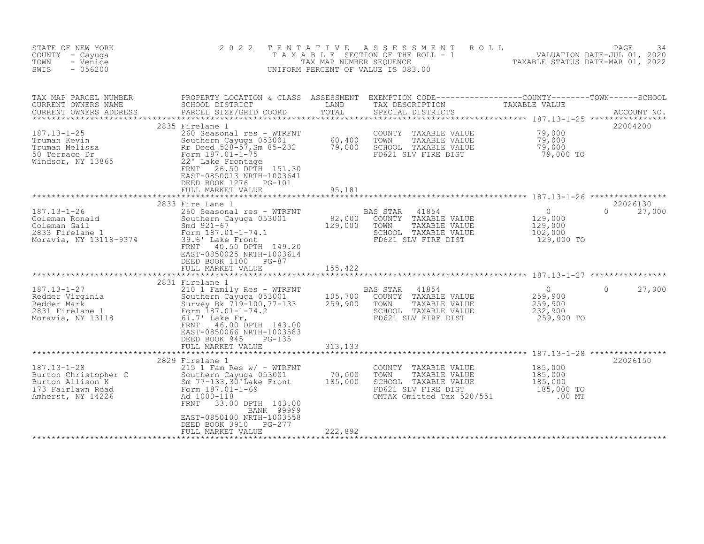| STATE OF NEW YORK<br>COUNTY - Cayuga<br>TOWN<br>- Venice<br>$-056200$<br>SWIS                              | 2 0 2 2<br>TENTATIVE                                                                                                                                                                                                                                                                                                                                                                                                                                                                                                                                     |                                           | A S S E S S M E N T<br>ROLL<br>TAXABLE SECTION OF THE ROLL - 1 ANDIATION DATE-JUL 01, 2020<br>UNIFORM PERCENT OF VALUE IS 083.00                                                                                                                                                                                               |                                                         | PAGE<br>34                     |
|------------------------------------------------------------------------------------------------------------|----------------------------------------------------------------------------------------------------------------------------------------------------------------------------------------------------------------------------------------------------------------------------------------------------------------------------------------------------------------------------------------------------------------------------------------------------------------------------------------------------------------------------------------------------------|-------------------------------------------|--------------------------------------------------------------------------------------------------------------------------------------------------------------------------------------------------------------------------------------------------------------------------------------------------------------------------------|---------------------------------------------------------|--------------------------------|
| TAX MAP PARCEL NUMBER<br>CURRENT OWNERS NAME<br>CURRENT OWNERS ADDRESS                                     | PROPERTY LOCATION & CLASS ASSESSMENT<br>SCHOOL DISTRICT<br>PARCEL SIZE/GRID COORD                                                                                                                                                                                                                                                                                                                                                                                                                                                                        | LAND TAND<br>TOTAL                        | $\begin{tabular}{ll} \texttt{EXEMPTION} & \texttt{CODE} \texttt{---}\texttt{---}\texttt{---}\texttt{---}\texttt{---}\texttt{COUNTY}\texttt{---}\texttt{---}\texttt{TOWN}\texttt{---}\texttt{---}\texttt{SCHOOL} \\ \texttt{TAX} & \texttt{DESCRIPTION} & \texttt{TAXABLE} & \texttt{VALUE} \end{tabular}$<br>SPECIAL DISTRICTS |                                                         | ACCOUNT NO.                    |
| $187.13 - 1 - 25$<br>Truman Kevin<br>Truman Melissa<br>50 Terrace Dr<br>Windsor, NY 13865                  | 2835 Firelane 1<br>260 Seasonal res - WTRFNT<br>Southern Cayuga 053001 60,400<br>Rr Deed_528-57, Sm 85-232 79,000<br>Southerney<br>Rr Deed 528-57,-<br>Form 187.01-1-75<br>221 Lake Frontag<br>Rr Deed 528-57, Sm 85-232<br>22' Lake Frontage<br>FRNT 26.50 DPTH 151.30<br>EAST-0850013 NRTH-1003641<br>DEED BOOK 1276 PG-101<br>FULL MARKET VALUE                                                                                                                                                                                                       | 95,181                                    | COUNTY TAXABLE VALUE<br>TOWN<br>TAXABLE VALUE<br>SCHOOL TAXABLE VALUE<br>FD621 SLV FIRE DIST                                                                                                                                                                                                                                   | 79,000<br>79,000<br>79,000<br>79,000 TO                 | 22004200                       |
| 187.13-1-26<br>Coleman Ronald<br>Coleman Gail<br>Coleman Gail<br>2833 Firelane 1<br>Moravia, NY 13118-9374 | 2833 Fire Lane 1<br>260 Seasonal res - WTRFNT<br>Southern Cayuga 053001<br>Smd 921-67<br>Form 187.01-1-74.1<br>39.6' Lake Front<br>FRNT<br>40.50 DPTH 149.20<br>EAST-0850025 NRTH-1003614<br>DEED BOOK 1100 PG-87<br>FULL MARKET VALUE                                                                                                                                                                                                                                                                                                                   | $82,000$<br>129.000<br>129,000<br>155,422 | BAS STAR<br>41854<br>COUNTY TAXABLE VALUE<br>TOWN<br>TAXABLE VALUE<br>SCHOOL TAXABLE VALUE<br>FD621 SLV FIRE DIST                                                                                                                                                                                                              | $\circ$<br>129,000<br>129,000<br>102,000<br>129,000 TO  | 22026130<br>$\Omega$<br>27,000 |
|                                                                                                            | 210 1 Family Res - WIKEN1<br>Southern Cayuga 053001 105,700<br>259,900<br>46.00 DPTH 143.00<br>EAST-0850066 NRTH-1003583<br>DEED BOOK 945<br>$PG-135$<br>FULL MARKET VALUE                                                                                                                                                                                                                                                                                                                                                                               | 313,133                                   | 41854<br><b>BAS STAR</b><br>COUNTY TAXABLE VALUE<br>TOWN<br>TAXABLE VALUE<br>SCHOOL TAXABLE VALUE<br>FD621 SLV FIRE DIST                                                                                                                                                                                                       | $\Omega$<br>259,900<br>259,900<br>232,900<br>259,900 TO | $\Omega$<br>27,000             |
| $187.13 - 1 - 28$<br>Burton Christopher C<br>Burton Allison K<br>173 Fairlawn Road<br>Amherst, NY 14226    | 2829 Firelane 1<br>$215$ 1 Fam Res w/ - WTRFNT<br>C<br>$5$ Southern Cayuga (<br>$5$ Sm 77-133, 30'Lake<br>$5$ Form 187.01-1-69<br>$\frac{1}{2}$<br>$\frac{1}{2}$<br>$\frac{1}{2}$<br>$\frac{1}{2}$<br>$\frac{1}{2}$<br>$\frac{1}{2}$<br>$\frac{1}{2}$<br>$\frac{1}{2}$<br>$\frac{1}{2}$<br>$\frac{1}{2}$<br>$\frac{1}{2}$<br>$\frac{1}{2}$<br>$\frac{1}{2}$<br>$\frac{1}{$<br>Southern Cayuga 053001<br>Sm 77-133,30'Lake Front<br>FRNT<br>33.00 DPTH 143.00<br>BANK 99999<br>EAST-0850100 NRTH-1003558<br>DEED BOOK 3910<br>PG-277<br>FULL MARKET VALUE | 70,000<br>185,000<br>185,000<br>222,892   | COUNTY TAXABLE VALUE<br>TOWN<br>TAXABLE VALUE<br>SCHOOL TAXABLE VALUE<br>FD621 SLV FIRE DIST<br>OMTAX Omitted Tax 520/551                                                                                                                                                                                                      | 185,000<br>185,000<br>185,000<br>185,000 TO<br>$.00$ MT | 22026150                       |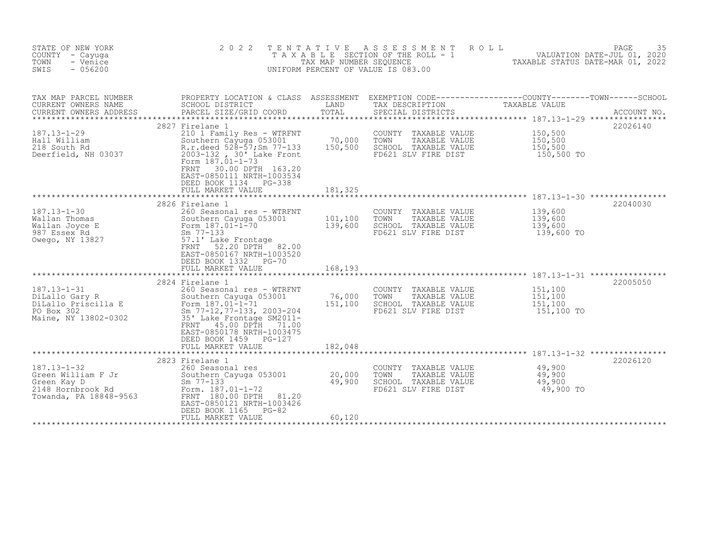| STATE OF NEW YORK<br>COUNTY - Cayuga<br>- Venice<br>TOWN<br>SWIS<br>$-056200$                         | 2 0 2 2                                                                                                                                                                                                                                                         | TENTATIVE<br>TAX MAP NUMBER SEQUENCE | A S S E S S M E N T<br>ROLL<br>T A X A B L E SECTION OF THE ROLL - 1<br>UNIFORM PERCENT OF VALUE IS 083.00 | VALUATION DATE-JUL 01, 2020<br>TAXABLE STATUS DATE-MAR 01, 2022 | PAGE<br>35  |
|-------------------------------------------------------------------------------------------------------|-----------------------------------------------------------------------------------------------------------------------------------------------------------------------------------------------------------------------------------------------------------------|--------------------------------------|------------------------------------------------------------------------------------------------------------|-----------------------------------------------------------------|-------------|
| TAX MAP PARCEL NUMBER<br>CURRENT OWNERS NAME                                                          | PROPERTY LOCATION & CLASS ASSESSMENT EXEMPTION CODE----------------COUNTY-------TOWN------SCHOOL<br>SCHOOL DISTRICT                                                                                                                                             | LAND                                 | TAX DESCRIPTION                                                                                            | TAXABLE VALUE                                                   |             |
| CURRENT OWNERS ADDRESS                                                                                | PARCEL SIZE/GRID COORD                                                                                                                                                                                                                                          | TOTAL                                | SPECIAL DISTRICTS                                                                                          |                                                                 | ACCOUNT NO. |
| $187.13 - 1 - 29$<br>Hall William<br>218 South Rd<br>Deerfield, NH 03037                              | 2827 Firelane 1<br>210 1 Family Res - WTRFNT<br>Southern Cayuga 053001<br>R.r.deed 528-57;Sm 77-133<br>2003-132, 30' Lake Front<br>Form 187.01-1-73<br>FRNT<br>30.00 DPTH 163.20<br>EAST-0850111 NRTH-1003534<br>DEED BOOK 1134 PG-338                          | 70,000<br>150,500                    | COUNTY TAXABLE VALUE<br>TOWN<br>TAXABLE VALUE<br>SCHOOL TAXABLE VALUE<br>FD621 SLV FIRE DIST               | 150,500<br>150,500<br>150,500<br>150,500 TO                     | 22026140    |
|                                                                                                       | FULL MARKET VALUE                                                                                                                                                                                                                                               | 181,325                              |                                                                                                            |                                                                 |             |
| $187.13 - 1 - 30$<br>Wallan Thomas<br>Wallan Joyce E<br>987 Essex Rd<br>Owego, NY 13827               | 2826 Firelane 1<br>260 Seasonal res - WTRFNT<br>Southern Cayuga 053001<br>Form 187.01-1-70<br>$Sm$ 77-133<br>57.1' Lake Frontage<br>52.20 DPTH 82.00<br>FRNT<br>EAST-0850167 NRTH-1003520<br>DEED BOOK 1332<br>$PG-70$                                          | 101,100<br>139,600                   | COUNTY TAXABLE VALUE<br>TOWN<br>TAXABLE VALUE<br>SCHOOL TAXABLE VALUE<br>FD621 SLV FIRE DIST               | 139,600<br>139,600<br>139,600<br>139,600 TO                     | 22040030    |
|                                                                                                       | FULL MARKET VALUE<br>***************************                                                                                                                                                                                                                | 168,193                              |                                                                                                            |                                                                 |             |
| $187.13 - 1 - 31$<br>DiLallo Gary R<br>DiLallo Priscilla E<br>PO Box 302<br>Maine, NY 13802-0302      | 2824 Firelane 1<br>260 Seasonal res - WTRFNT<br>Southern Cayuga 053001<br>Form 187.01-1-71<br>Sm 77-12, 77-133, 2003-204<br>35' Lake Frontage SM2011-<br>45.00 DPTH<br>FRNT<br>71.00<br>EAST-0850178 NRTH-1003475<br>DEED BOOK 1459 PG-127<br>FULL MARKET VALUE | 76,000<br>151,100<br>182,048         | COUNTY TAXABLE VALUE<br>TOWN<br>TAXABLE VALUE<br>SCHOOL TAXABLE VALUE<br>FD621 SLV FIRE DIST               | 151,100<br>151,100<br>151,100<br>151,100 TO                     | 22005050    |
|                                                                                                       | ************************                                                                                                                                                                                                                                        |                                      |                                                                                                            |                                                                 |             |
| $187.13 - 1 - 32$<br>Green William F Jr<br>Green Kay D<br>2148 Hornbrook Rd<br>Towanda, PA 18848-9563 | 2823 Firelane 1<br>260 Seasonal res<br>Southern Cayuga 053001<br>$Sm$ 77-133<br>Form. 187.01-1-72<br>FRNT 180.00 DPTH<br>81.20<br>EAST-0850121 NRTH-1003426<br>DEED BOOK 1165<br>$PG-82$<br>FULL MARKET VALUE                                                   | 20,000<br>49,900<br>60,120           | COUNTY TAXABLE VALUE<br>TOWN<br>TAXABLE VALUE<br>SCHOOL TAXABLE VALUE<br>FD621 SLV FIRE DIST               | 49,900<br>49,900<br>49,900<br>49,900 TO                         | 22026120    |
|                                                                                                       |                                                                                                                                                                                                                                                                 |                                      |                                                                                                            |                                                                 |             |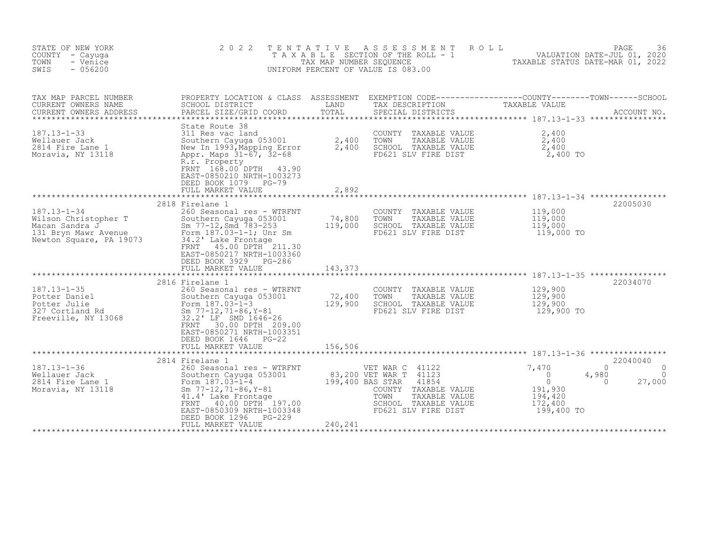| STATE OF NEW YORK<br>COUNTY - Cayuga<br>- Venice<br>TOWN<br>$-056200$<br>SWIS                                  | 2 0 2 2                                                                                                                                                                                                                                                | TENTATIVE<br>TAX MAP NUMBER SEOUENCE | ASSESSMENT<br>T A X A B L E SECTION OF THE ROLL - 1<br>UNIFORM PERCENT OF VALUE IS 083.00                                                          | ROLL<br>VALUATION DATE-JUL 01, 2020<br>TAXABLE STATUS DATE-MAR 01, 2022                                            | PAGE<br>36              |
|----------------------------------------------------------------------------------------------------------------|--------------------------------------------------------------------------------------------------------------------------------------------------------------------------------------------------------------------------------------------------------|--------------------------------------|----------------------------------------------------------------------------------------------------------------------------------------------------|--------------------------------------------------------------------------------------------------------------------|-------------------------|
| TAX MAP PARCEL NUMBER<br>CURRENT OWNERS NAME<br>CURRENT OWNERS ADDRESS<br>********************                 | SCHOOL DISTRICT<br>PARCEL SIZE/GRID COORD                                                                                                                                                                                                              | LAND<br>TOTAL                        | TAX DESCRIPTION<br>SPECIAL DISTRICTS                                                                                                               | PROPERTY LOCATION & CLASS ASSESSMENT EXEMPTION CODE----------------COUNTY-------TOWN------SCHOOL<br>TAXABLE VALUE  | ACCOUNT NO.             |
| $187.13 - 1 - 33$<br>Wellauer Jack<br>2814 Fire Lane 1<br>Moravia, NY 13118                                    | State Route 38<br>311 Res vac land<br>Southern Cayuga 053001<br>New In 1993, Mapping Error<br>Appr. Maps 31-67, 32-68<br>R.r. Property<br>FRNT 168.00 DPTH<br>43.90<br>EAST-0850210 NRTH-1003273<br>DEED BOOK 1079 PG-79<br>FULL MARKET VALUE          | 2,400<br>2,400<br>2,892              | COUNTY TAXABLE VALUE<br>TOWN<br>TAXABLE VALUE<br>SCHOOL TAXABLE VALUE<br>FD621 SLV FIRE DIST                                                       | 2,400<br>2,400<br>2,400<br>2,400 TO                                                                                |                         |
|                                                                                                                | 2818 Firelane 1                                                                                                                                                                                                                                        | ************                         |                                                                                                                                                    |                                                                                                                    | 22005030                |
| $187.13 - 1 - 34$<br>Wilson Christopher T<br>Macan Sandra J<br>131 Bryn Mawr Avenue<br>Newton Square, PA 19073 | 260 Seasonal res - WTRFNT<br>Southern Cayuga 053001<br>Sm $77-12$ , Smd $783-253$<br>Form 187.03-1-1; Unr Sm<br>34.2' Lake Frontage<br>45.00 DPTH 211.30<br>FRNT<br>EAST-0850217 NRTH-1003360<br>DEED BOOK 3929 PG-286                                 | 74,800<br>119,000                    | COUNTY TAXABLE VALUE<br>TOWN<br>TAXABLE VALUE<br>SCHOOL TAXABLE VALUE<br>FD621 SLV FIRE DIST                                                       | 119,000<br>119,000<br>119,000<br>119,000 TO                                                                        |                         |
|                                                                                                                | FULL MARKET VALUE                                                                                                                                                                                                                                      | 143,373                              |                                                                                                                                                    |                                                                                                                    |                         |
| $187.13 - 1 - 35$<br>Potter Daniel<br>Potter Julie<br>327 Cortland Rd<br>Freeville, NY 13068                   | 2816 Firelane 1<br>260 Seasonal res - WTRFNT<br>Southern Cayuga 053001<br>Form 187.03-1-3<br>Sm 77-12, 71-86, Y-81<br>32.2' LF SMD 1646-26<br>30.00 DPTH 209.00<br>FRNT<br>EAST-0850271 NRTH-1003351<br>DEED BOOK 1646<br>$PG-22$<br>FULL MARKET VALUE | 72,400<br>129,900<br>156,506         | COUNTY TAXABLE VALUE<br>TOWN<br>TAXABLE VALUE<br>SCHOOL TAXABLE VALUE<br>FD621 SLV FIRE DIST                                                       | 129,900<br>129,900<br>129,900<br>129,900 TO                                                                        | 22034070                |
|                                                                                                                | 2814 Firelane 1                                                                                                                                                                                                                                        |                                      |                                                                                                                                                    |                                                                                                                    | 22040040                |
| $187.13 - 1 - 36$<br>Wellauer Jack<br>2814 Fire Lane 1<br>Moravia, NY 13118                                    | 260 Seasonal res - WTRFNT<br>Southern Cayuga 053001<br>Form 187.03-1-4<br>Sm $77-12, 71-86, Y-81$<br>41.4' Lake Frontage<br>40.00 DPTH 197.00<br>FRNT<br>EAST-0850309 NRTH-1003348<br>DEED BOOK 1296<br>PG-229<br>FULL MARKET VALUE                    | 199,400 BAS STAR<br>240,241          | VET WAR C 41122<br>83,200 VET WAR T 41123<br>41854<br>COUNTY TAXABLE VALUE<br>TOWN<br>TAXABLE VALUE<br>SCHOOL TAXABLE VALUE<br>FD621 SLV FIRE DIST | 7,470<br>$\Omega$<br>$\overline{0}$<br>4,980<br>$\circ$<br>$\Omega$<br>191,930<br>194,420<br>172,400<br>199,400 TO | 0<br>$\Omega$<br>27,000 |
|                                                                                                                |                                                                                                                                                                                                                                                        |                                      |                                                                                                                                                    |                                                                                                                    |                         |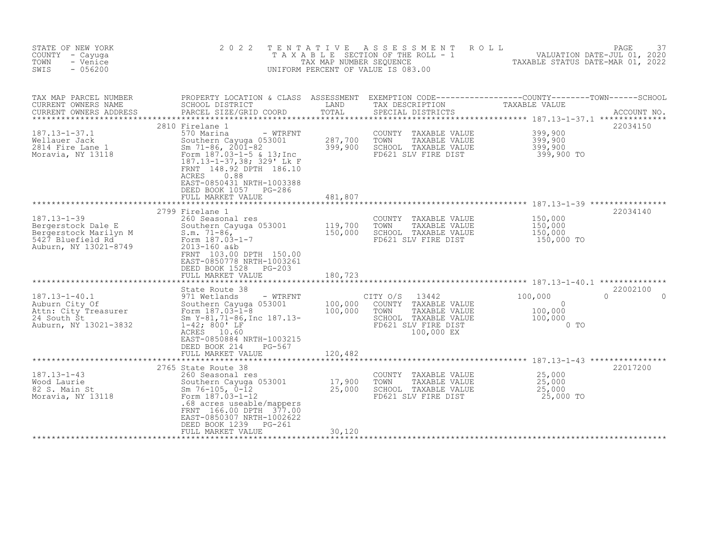| STATE OF NEW YORK<br>COUNTY - Cayuga<br>- Venice<br>TOWN<br>$-056200$<br>SWIS                                  | 2 0 2 2                                                                                                                                                                                                                                                              | T E N T A T I V E<br>TAX MAP NUMBER SEQUENCE | ASSESSMENT<br>UNIFORM PERCENT OF VALUE IS 083.00                                                                                   | ROLL<br>T A X A B L E SECTION OF THE ROLL - 1 VALUATION DATE-JUL 01, 2020<br>TAX MAP NUMBER SEQUENCE TAXABLE STATUS DATE-MAR 01. 2022<br>TAXABLE STATUS DATE-MAR 01, 2022 | PAGE<br>37         |
|----------------------------------------------------------------------------------------------------------------|----------------------------------------------------------------------------------------------------------------------------------------------------------------------------------------------------------------------------------------------------------------------|----------------------------------------------|------------------------------------------------------------------------------------------------------------------------------------|---------------------------------------------------------------------------------------------------------------------------------------------------------------------------|--------------------|
| TAX MAP PARCEL NUMBER<br>CURRENT OWNERS NAME<br>CURRENT OWNERS ADDRESS<br>*******************                  | PROPERTY LOCATION & CLASS ASSESSMENT EXEMPTION CODE----------------COUNTY-------TOWN-----SCHOOL<br>SCHOOL DISTRICT<br>PARCEL SIZE/GRID COORD                                                                                                                         | LAND<br>TOTAL                                | TAX DESCRIPTION<br>SPECIAL DISTRICTS                                                                                               | TAXABLE VALUE                                                                                                                                                             | ACCOUNT NO.        |
| $187.13 - 1 - 37.1$<br>Wellauer Jack<br>2814 Fire Lane 1<br>Moravia, NY 13118                                  | 2810 Firelane 1<br>570 Marina<br>- WTRFNT<br>Southern Cayuga 053001<br>Sm $71-86$ , $200\overline{1}-82$<br>Form 187.03-1-5 & 13; Inc<br>187.13-1-37,38; 329' Lk F<br>FRNT 148.92 DPTH 186.10<br>ACRES<br>0.88<br>EAST-0850431 NRTH-1003388<br>DEED BOOK 1057 PG-286 | 287,700<br>399,900                           | COUNTY TAXABLE VALUE<br>TOWN<br>TAXABLE VALUE<br>SCHOOL TAXABLE VALUE<br>FD621 SLV FIRE DIST                                       | 399,900<br>399,900<br>399,900<br>399,900 TO                                                                                                                               | 22034150           |
|                                                                                                                | FULL MARKET VALUE                                                                                                                                                                                                                                                    | 481,807                                      |                                                                                                                                    | ************** 187.13-1-39 ***********                                                                                                                                    |                    |
| $187.13 - 1 - 39$<br>Bergerstock Dale E<br>Bergerstock Marilyn M<br>5427 Bluefield Rd<br>Auburn, NY 13021-8749 | 2799 Firelane 1<br>260 Seasonal res<br>Southern Cayuga 053001<br>$S.m. 71-86$ ,<br>Form 187.03-1-7<br>2013-160 a&b<br>FRNT 103.00 DPTH 150.00<br>EAST-0850778 NRTH-1003261<br>DEED BOOK 1528<br>$PG-203$<br>FULL MARKET VALUE                                        | 119,700<br>150,000<br>180,723                | COUNTY TAXABLE VALUE<br>TOWN<br>TAXABLE VALUE<br>SCHOOL TAXABLE VALUE<br>FD621 SLV FIRE DIST                                       | 150,000<br>150,000<br>150,000<br>150,000 TO                                                                                                                               | 22034140           |
|                                                                                                                |                                                                                                                                                                                                                                                                      |                                              |                                                                                                                                    |                                                                                                                                                                           |                    |
| $187.13 - 1 - 40.1$<br>Auburn City Of<br>Attn: City Treasurer<br>24 South St<br>Auburn, NY 13021-3832          | State Route 38<br>971 Wetlands<br>- WTRFNT<br>Southern Cayuga 053001<br>Form 187.03-1-8<br>Sm Y-81, 71-86, Inc 187.13-<br>$1-42; 800'$ LF<br>ACRES 10.60<br>EAST-0850884 NRTH-1003215<br>DEED BOOK 214<br>PG-567                                                     | 100,000<br>100,000                           | CITY O/S<br>13442<br>COUNTY<br>TAXABLE VALUE<br>TOWN<br>TAXABLE VALUE<br>SCHOOL TAXABLE VALUE<br>FD621 SLV FIRE DIST<br>100,000 EX | 100,000<br>$\Omega$<br>100,000<br>100,000<br>$\sim$ 0 TO                                                                                                                  | 22002100<br>$\cap$ |
|                                                                                                                | FULL MARKET VALUE                                                                                                                                                                                                                                                    | 120,482<br>************                      |                                                                                                                                    | ************************ 187.13-1-43 *****************                                                                                                                    |                    |
| $187.13 - 1 - 43$<br>Wood Laurie<br>82 S. Main St<br>Moravia, NY 13118                                         | 2765 State Route 38<br>260 Seasonal res<br>Southern Cayuga 053001<br>Sm $76-105$ , $0-12$<br>Form 187.03-1-12<br>.68 acres useable/mappers<br>FRNT 166.00 DPTH 377.00<br>EAST-0850307 NRTH-1002622<br>DEED BOOK 1239<br>$PG-261$                                     | 17,900<br>25,000                             | COUNTY TAXABLE VALUE<br>TOWN<br>TAXABLE VALUE<br>SCHOOL TAXABLE VALUE<br>FD621 SLV FIRE DIST                                       | 25,000<br>25,000<br>25,000<br>25,000 TO                                                                                                                                   | 22017200           |
|                                                                                                                | FULL MARKET VALUE                                                                                                                                                                                                                                                    | 30,120                                       |                                                                                                                                    |                                                                                                                                                                           |                    |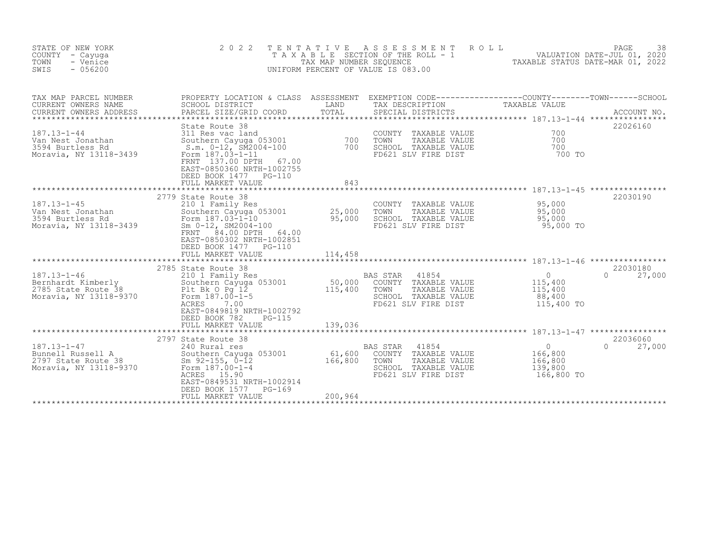| STATE OF NEW YORK<br>COUNTY<br>- Cayuqa<br>TOWN<br>- Venice<br>$-056200$<br>SWIS         | 2 0 2 2<br>TENTATIVE                                                                                                                                                                                                                   | TAX MAP NUMBER SEQUENCE      | ASSESSMENT<br>ROLL<br>T A X A B L E SECTION OF THE ROLL - 1<br>UNIFORM PERCENT OF VALUE IS 083.00                                        | 28<br>2020 VALUATION DATE-JUL 01, 2020<br>2000 201 DATE-MAR DATE STATUS DATE-MAR | PAGE<br>38                     |
|------------------------------------------------------------------------------------------|----------------------------------------------------------------------------------------------------------------------------------------------------------------------------------------------------------------------------------------|------------------------------|------------------------------------------------------------------------------------------------------------------------------------------|----------------------------------------------------------------------------------|--------------------------------|
| TAX MAP PARCEL NUMBER<br>CURRENT OWNERS NAME<br>CURRENT OWNERS ADDRESS                   | SCHOOL DISTRICT<br>PARCEL SIZE/GRID COORD                                                                                                                                                                                              | LAND<br>TOTAL                | PROPERTY LOCATION & CLASS ASSESSMENT EXEMPTION CODE----------------COUNTY-------TOWN------SCHOOL<br>TAX DESCRIPTION<br>SPECIAL DISTRICTS | TAXABLE VALUE                                                                    | ACCOUNT NO.                    |
| 187.13-1-44<br>Van Nest Jonathan<br>3594 Burtless Rd<br>Moravia, NY 13118-3439           | State Route 38<br>311 Res vac Jand<br>Southern Cayuga 053001 700<br>S.m. 0-12, SM2004-100 700<br>Form 187.03-1-11<br>FRNT 137.00 DPTH<br>67.00<br>EAST-0850360 NRTH-1002755<br>DEED BOOK 1477    PG-110<br>FULL MARKET VALUE           | 843                          | COUNTY TAXABLE VALUE<br>TOWN<br>TAXABLE VALUE<br>SCHOOL TAXABLE VALUE<br>FD621 SLV FIRE DIST                                             | 700<br>700<br>700<br>700 TO                                                      | 22026160                       |
|                                                                                          |                                                                                                                                                                                                                                        |                              |                                                                                                                                          |                                                                                  |                                |
| $187.13 - 1 - 45$<br>Van Nest Jonathan<br>3594 Burtless Rd<br>Moravia, NY 13118-3439     | 2779 State Route 38<br>210 1 Family Res<br>Southern Cayuga $053001$ 25,000<br>Form 187.03-1-10<br>Sm 0-12, SM2004-100<br>84.00 DPTH<br>FRNT<br>64.00<br>EAST-0850302 NRTH-1002851<br>DEED BOOK 1477 PG-110<br>FULL MARKET VALUE        | 95,000<br>114,458            | COUNTY TAXABLE VALUE<br>TOWN<br>TAXABLE VALUE<br>SCHOOL TAXABLE VALUE<br>FD621 SLV FIRE DIST                                             | 95,000<br>95,000<br>95,000<br>$95,000$ TO                                        | 22030190                       |
|                                                                                          |                                                                                                                                                                                                                                        |                              |                                                                                                                                          |                                                                                  |                                |
| $187.13 - 1 - 46$<br>Bernhardt Kimberly<br>2785 State Route 38<br>Moravia, NY 13118-9370 | 2785 State Route 38<br>210 1 Family Res<br>Southern Cares<br>Plt Bk O Pg 12<br>197 00-1-5<br>Southern Cayuga 053001<br>Form 187.00-1-5<br>ACRES<br>7.00<br>EAST-0849819 NRTH-1002792<br>DEED BOOK 782<br>$PG-115$<br>FULL MARKET VALUE | 50,000<br>115,400<br>139,036 | BAS STAR<br>41854<br>COUNTY TAXABLE VALUE<br>TOWN<br>TAXABLE VALUE<br>SCHOOL TAXABLE VALUE<br>FD621 SLV FIRE DIST                        | $\overline{0}$<br>115,400<br>115,400<br>88,400<br>115,400 TO                     | 22030180<br>$\cap$<br>27,000   |
|                                                                                          |                                                                                                                                                                                                                                        | ******************           |                                                                                                                                          |                                                                                  |                                |
| $187.13 - 1 - 47$<br>Bunnell Russell A<br>2797 State Route 38<br>Moravia, NY 13118-9370  | 2797 State Route 38<br>240 Rural res<br>Southern Cayuga 053001<br>Sm $92-155$ , $0-12$<br>Form 187.00-1-4<br>ACRES 15.90<br>EAST-0849531 NRTH-1002914<br>DEED BOOK 1577<br>$PG-169$<br>FULL MARKET VALUE                               | 61,600<br>166,800<br>200,964 | BAS STAR<br>41854<br>COUNTY TAXABLE VALUE<br>TOWN<br>TAXABLE VALUE<br>SCHOOL TAXABLE VALUE<br>FD621 SLV FIRE DIST                        | $\Omega$<br>166,800<br>166,800<br>139,800<br>166,800 TO                          | 22036060<br>27,000<br>$\Omega$ |
|                                                                                          |                                                                                                                                                                                                                                        |                              |                                                                                                                                          |                                                                                  |                                |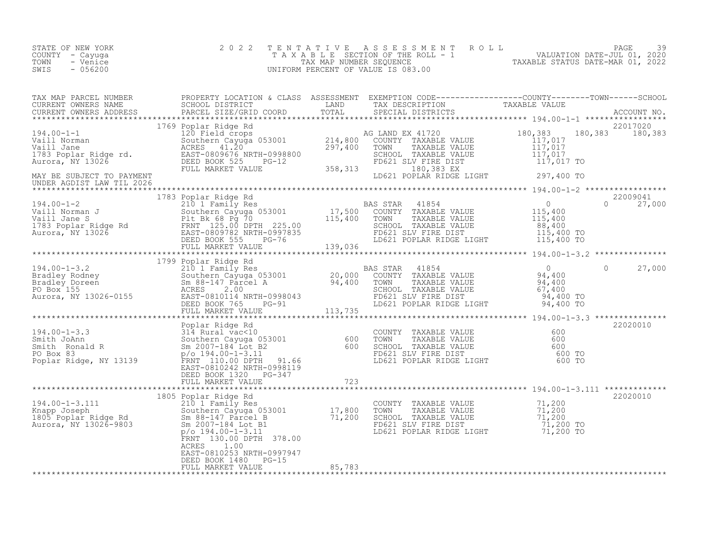| STATE OF NEW YORK<br>COUNTY - Cayuga<br>TOWN<br>- Venice<br>$-056200$<br>SWIS                                                                                                                                                     | 2022<br>2 0 2 2   |                                                                          | TENTATIVE ASSESSMENT ROLL<br>T A X A B L E SECTION OF THE ROLL - 1 W CALUATION DATE-JUL 01, 2020<br>TAX MAP NUMBER SEQUENCE TAXABLE STATUS DATE-MAR 01, 2022<br>UNIFORM PERCENT OF VALUE IS 083.00 | 39<br>PAGE         |
|-----------------------------------------------------------------------------------------------------------------------------------------------------------------------------------------------------------------------------------|-------------------|--------------------------------------------------------------------------|----------------------------------------------------------------------------------------------------------------------------------------------------------------------------------------------------|--------------------|
| TAX MAP PARCEL NUMBER PROPERTY LOCATION & CLASS ASSESSMENT EXEMPTION CODE------------------COUNTY--------TOWN------SCHOOL SCHOOL DISTRICT LAND TAX DESCRIPTION CORD TAXABLE VALUE<br>CURRENT OWNERS ADDRESS PARCEL SIZE/GRID COOR |                   |                                                                          |                                                                                                                                                                                                    |                    |
|                                                                                                                                                                                                                                   | FULL MARKET VALUE | $9998800$<br>$9998800$<br>$9998800$<br>$358,313$<br>$50621$<br>$358,313$ | 180,383 EX                                                                                                                                                                                         |                    |
| MAY BE SUBJECT TO PAYMENT<br>UNDER AGDIST LAW TIL 2026                                                                                                                                                                            |                   |                                                                          | LD621 POPLAR RIDGE LIGHT 297,400 TO                                                                                                                                                                |                    |
|                                                                                                                                                                                                                                   |                   |                                                                          |                                                                                                                                                                                                    |                    |
|                                                                                                                                                                                                                                   |                   |                                                                          |                                                                                                                                                                                                    |                    |
|                                                                                                                                                                                                                                   |                   |                                                                          |                                                                                                                                                                                                    | $\Omega$<br>27,000 |

|                                                                                                                                                                                                                                                                                                                 |                                                              |                                                                                                                                |                                                      | *************** |
|-----------------------------------------------------------------------------------------------------------------------------------------------------------------------------------------------------------------------------------------------------------------------------------------------------------------|--------------------------------------------------------------|--------------------------------------------------------------------------------------------------------------------------------|------------------------------------------------------|-----------------|
| Poplar Ridge Rd<br>314 Rural vac<10<br>$194.00 - 1 - 3.3$<br>Southern Cayuga 053001<br>Smith JoAnn<br>Sm 2007-184 Lot B2<br>Smith Ronald R<br>p/o 194.00-1-3.11<br>PO Box 83<br>FRNT 110.00 DPTH<br>Poplar Ridge, NY 13139<br>EAST-0810242 NRTH-0998119<br>DEED BOOK 1320<br>FULL MARKET VALUE                  | 600<br>600<br>91.66<br>PG-347<br>723                         | COUNTY<br>TAXABLE VALUE<br>TOWN<br>TAXABLE VALUE<br>SCHOOL TAXABLE VALUE<br>FD621 SLV FIRE DIST<br>LD621 POPLAR RIDGE LIGHT    | 600<br>600<br>600<br>600 TO<br>600 TO                | 22020010        |
|                                                                                                                                                                                                                                                                                                                 |                                                              |                                                                                                                                | $194.00 - 1 - 3.111$                                 | *************   |
| 1805 Poplar Ridge Rd<br>210 1 Family Res<br>194.00-1-3.111<br>Knapp Joseph<br>Sm 88-147 Parcel B<br>1805 Poplar Ridge Rd<br>Sm 2007-184 Lot B1<br>Aurora, NY 13026-9803<br>$p$ /o 194.00-1-3.11<br>FRNT 130.00 DPTH 378.00<br>1.00<br>ACRES<br>EAST-0810253 NRTH-0997947<br>DEED BOOK 1480<br>FULL MARKET VALUE | Southern Cayuga 053001 17,800<br>71,200<br>$PG-15$<br>85,783 | COUNTY<br>TAXABLE VALUE<br>TOWN<br>TAXABLE VALUE<br>SCHOOL<br>TAXABLE VALUE<br>FD621 SLV FIRE DIST<br>LD621 POPLAR RIDGE LIGHT | 71,200<br>71,200<br>71,200<br>71,200 TO<br>71,200 TO | 22020010        |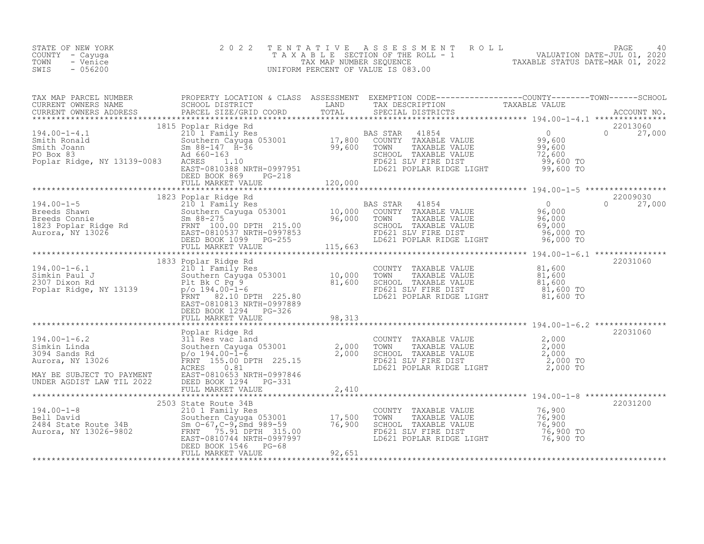| STATE OF NEW YORK<br>COUNTY - Cayuga<br>TOWN<br>- Venice<br>SWIS<br>- 056200 |                                                                                                  |  | 2022 TENTATIVE ASSESSMENT ROLL<br>TAXABLE SECTION OF THE ROLL - 1<br>TAX MAP NUMBER SEQUENCE<br>UNIFORM PERCENT OF VALUE IS 083.00 |  | TAXABLE STATUS DATE-MAR 01, 2022 | PAGE<br>VALUATION DATE-JUL 01, 2020 | -40 |
|------------------------------------------------------------------------------|--------------------------------------------------------------------------------------------------|--|------------------------------------------------------------------------------------------------------------------------------------|--|----------------------------------|-------------------------------------|-----|
| TAX MAP PARCEL NUMBER                                                        | PROPERTY LOCATION & CLASS ASSESSMENT EXEMPTION CODE----------------COUNTY-------TOWN------SCHOOL |  |                                                                                                                                    |  |                                  |                                     |     |

| CURRENT OWNERS NAME<br>CURRENT OWNERS ADDRESS<br>********************************                                                                                                                                                                  | SCHOOL DISTRICT<br>PARCEL SIZE/GRID COORD                                                                                                                                                                                                                                                                     | LAND<br>TOTAL | TAX DESCRIPTION<br>SPECIAL DISTRICTS                                                                                                                      | TAXABLE VALUE                                             | ACCOUNT NO.                    |
|----------------------------------------------------------------------------------------------------------------------------------------------------------------------------------------------------------------------------------------------------|---------------------------------------------------------------------------------------------------------------------------------------------------------------------------------------------------------------------------------------------------------------------------------------------------------------|---------------|-----------------------------------------------------------------------------------------------------------------------------------------------------------|-----------------------------------------------------------|--------------------------------|
| $194.00 - 1 - 4.1$<br>210 1 Family Res<br>Southern Cayuga<br>Sm 88-147 H-36<br>Ad 660-163<br>Ad 660-163<br>Smith Ronald<br>Smith Joann<br>PO Box 83<br>Poplar Ridge, NY 13139-0083 ACRES                                                           | 1815 Poplar Ridge Rd<br>Poplar Ridge Rd<br>210 1 Family Res<br>Southern Cayuga 053001<br>Sm 88-147 H-36<br>Ad 660-163<br>ACRES<br>1.10<br>EAS TAR 41854<br>99,600 COUNTY TAXABLE VALUE<br>SCHOOL TAXABLE VALUE<br>ACRES<br>1.10<br>FD621 SLV FIRE DIST<br>EAST-0810388 NRTH-0997<br>DEED BOOK 869<br>$PG-218$ |               |                                                                                                                                                           | 0<br>99,600<br>99,600<br>72,600<br>99,600 TO<br>99,600 TO | 22013060<br>$\Omega$<br>27,000 |
|                                                                                                                                                                                                                                                    |                                                                                                                                                                                                                                                                                                               |               |                                                                                                                                                           |                                                           |                                |
|                                                                                                                                                                                                                                                    |                                                                                                                                                                                                                                                                                                               |               |                                                                                                                                                           |                                                           |                                |
|                                                                                                                                                                                                                                                    |                                                                                                                                                                                                                                                                                                               |               |                                                                                                                                                           |                                                           |                                |
| 194.00-1-6.1<br>1833 Poplar Ridge Rd<br>210 1 Family Res<br>210 1 Family Res<br>2307 Dixon Rd<br>Poplar Ridge, NY 13139<br>Poplar Ridge, NY 13139<br>Poplar Ridge, NY 13139<br>Poplar Ridge, NY 13139<br>Poplar Ridge, NY 13139<br>Poplar Ridge, N | EAST-0810813 NRTH-0997889<br>DEED BOOK 1294 PG-326                                                                                                                                                                                                                                                            |               | COUNTY TAXABLE VALUE $81,600$<br>TOWN TAXABLE VALUE $81,600$<br>TOWN<br>SCHOOL TAXABLE VALUE<br>FD621 SLV FIRE DIST<br>LD621 POPLAR RIDGE LIGHT 81,600 TO | 81,600<br>81,600 TO                                       | 22031060                       |
| FULL MARKET VALUE<br>FULL MARKET VALUE<br>FULL MARKET VALUE<br>FULL MARKET VALUE<br>THE SECRET RIGHT<br>SIN RESULTE SOLUTION COUNTY TAXABLE VALUE<br>2,000<br>SULTER SOLUTE 22031060<br>SULTER SOLUTE 225.15<br>ACRES 0.0.0 DPTH 225.15<br>NAVER C |                                                                                                                                                                                                                                                                                                               |               |                                                                                                                                                           |                                                           |                                |
| MAY BE SUBJECT TO PAYMENT<br>UNDER AGDIST LAW TIL 2022 DEED BOOK 1294 PG-331                                                                                                                                                                       |                                                                                                                                                                                                                                                                                                               |               |                                                                                                                                                           |                                                           |                                |
|                                                                                                                                                                                                                                                    |                                                                                                                                                                                                                                                                                                               |               |                                                                                                                                                           |                                                           |                                |
| 194.00-1-8<br>Bell David<br>210 1 Family Res<br>2484 State Route 34B<br>2484 State Route 34B<br>2484 State Route 34B<br>25.00<br>25.91 DPTH 315.00<br>25.91 DPTH 315.00                                                                            | 2503 State Route 34B<br>EAST-0810744 NRTH-0997997<br>DEED BOOK 1546 PG-68                                                                                                                                                                                                                                     |               | COUNTY TAXABLE VALUE<br>TOWN<br>TAXABLE VALUE<br>SCHOOL TAXABLE VALUE<br>FD621 SLV FIRE DIST<br>LD621 POPLAR RIDGE LIGHT                                  | 76,900<br>76,900<br>76,900<br>76,900 TO<br>76,900 TO      | 22031200                       |
|                                                                                                                                                                                                                                                    | FULL MARKET VALUE                                                                                                                                                                                                                                                                                             | 92,651        |                                                                                                                                                           |                                                           |                                |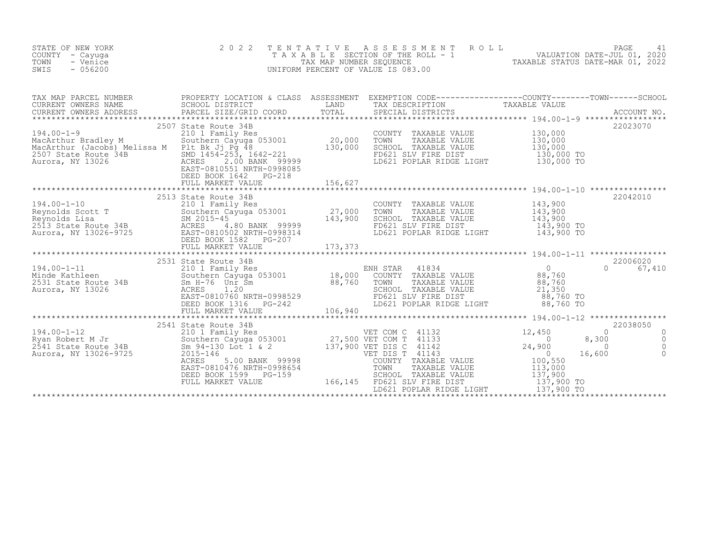| STATE OF NEW YORK<br>COUNTY - Cayuga<br>TOWN<br>- Venice<br>SWIS<br>$-056200$                                                                                                                                                                                                                                                                                                              | 2 0 2 2              | $\begin{tabular}{lllllllllllll} \multicolumn{4}{c }{\begin{tabular}{c} $\Gamma$ $\stackrel{\frown}{\begin{array}{c} $\Gamma$ $\stackrel{\frown}{\begin{array}{c} $\Gamma$ $\stackrel{\frown}{\begin{array}{c} $\Gamma$ $\stackrel{\frown}{\begin{array}{c} $\Gamma$ $\stackrel{\frown}{\begin{array}{c} $\Gamma$ $\stackrel{\frown}{\begin{array}{c} $\Gamma$ $\stackrel{\frown}{\begin{array}{c} $\Gamma$ $\stackrel{\frown}{\begin{array}{c} $\Gamma$ $\stackrel{\frown}{\begin{array}{c} $\Gamma$ $\stackrel{\frown}{\begin{array}{c} $\Gamma$ $\stackrel{\frown}{\begin{array}{c} $\$ |                                                     |                                                                    |
|--------------------------------------------------------------------------------------------------------------------------------------------------------------------------------------------------------------------------------------------------------------------------------------------------------------------------------------------------------------------------------------------|----------------------|-------------------------------------------------------------------------------------------------------------------------------------------------------------------------------------------------------------------------------------------------------------------------------------------------------------------------------------------------------------------------------------------------------------------------------------------------------------------------------------------------------------------------------------------------------------------------------------------|-----------------------------------------------------|--------------------------------------------------------------------|
|                                                                                                                                                                                                                                                                                                                                                                                            |                      |                                                                                                                                                                                                                                                                                                                                                                                                                                                                                                                                                                                           |                                                     |                                                                    |
| MacArthur Bradley M<br>MacArthur (Jacobs) Melissa M<br>20,000 MacArthur (Jacobs) Melissa M<br>20,000 Plt Bk Jj Pg 48<br>2507 State Route 34B<br>Aurora, NY 13026 MB<br>2507 State Route 34B<br>2.00 BANK 99999<br>2.00 BANK 99999<br>EAST-081055                                                                                                                                           |                      | COUNTY TAXABLE VALUE $130,000$<br>TOWN TAXABLE VALUE $130,000$<br>SCHOOL TAXABLE VALUE $130,000$<br>FOR THE DIST<br>FOR THE POST 130,000 TO<br>LD621 POPLAR RIDGE LIGHT 130,000 TO                                                                                                                                                                                                                                                                                                                                                                                                        |                                                     | 22023070                                                           |
|                                                                                                                                                                                                                                                                                                                                                                                            |                      |                                                                                                                                                                                                                                                                                                                                                                                                                                                                                                                                                                                           |                                                     | 22042010                                                           |
| 194.00-1-10<br>Reynolds Scott T<br>Reynolds Scott T<br>Reynolds Lisa<br>2513 State Route 34B<br>2513 State Route 34B<br>2513 State Route 34B<br>2513 State Route 34B<br>26-9725<br>26-9725<br>27,000<br>27,000<br>27,000<br>27,000<br>27,000<br>27,000<br>27,0                                                                                                                             | 2513 State Route 34B | COUNTY TAXABLE VALUE 143,900<br>TOWN TAXABLE VALUE 143,900<br>SCHOOL TAXABLE VALUE 143,900<br>FD621 SLV FIRE DIST 143,900 TO<br>LD621 POPLAR RIDGE LIGHT 143,900 TO                                                                                                                                                                                                                                                                                                                                                                                                                       |                                                     |                                                                    |
|                                                                                                                                                                                                                                                                                                                                                                                            |                      |                                                                                                                                                                                                                                                                                                                                                                                                                                                                                                                                                                                           |                                                     |                                                                    |
|                                                                                                                                                                                                                                                                                                                                                                                            |                      |                                                                                                                                                                                                                                                                                                                                                                                                                                                                                                                                                                                           |                                                     |                                                                    |
|                                                                                                                                                                                                                                                                                                                                                                                            |                      |                                                                                                                                                                                                                                                                                                                                                                                                                                                                                                                                                                                           |                                                     | 22038050                                                           |
| $\begin{tabular}{l c c c c c} \multicolumn{1}{c}{\text{\small\bf{194.00--1-12}}}\quad\text{\small\bf{2541 State Rule} & 194.00--1-12 & 2541 State Value & 34B & 2541 State Model & 132 & 12,450 & 8 \\ \text{Ryan Robert M Jr} & 2541 State Value & 34B & 500thern Cayuga 053001 & 27,500 VET COM T & 41133 & 12,450 & 8 \\ \text{Ryan Robert M Jr} & 27,500 VET OOM T & 41133 & 24,900 &$ |                      |                                                                                                                                                                                                                                                                                                                                                                                                                                                                                                                                                                                           | $\overline{0}$<br>8,300<br>$\sim$ 0 $\sim$ 0 $\sim$ | $\Omega$<br>$\overline{0}$<br>$\overline{0}$<br>16,600<br>$\Omega$ |
|                                                                                                                                                                                                                                                                                                                                                                                            |                      |                                                                                                                                                                                                                                                                                                                                                                                                                                                                                                                                                                                           |                                                     |                                                                    |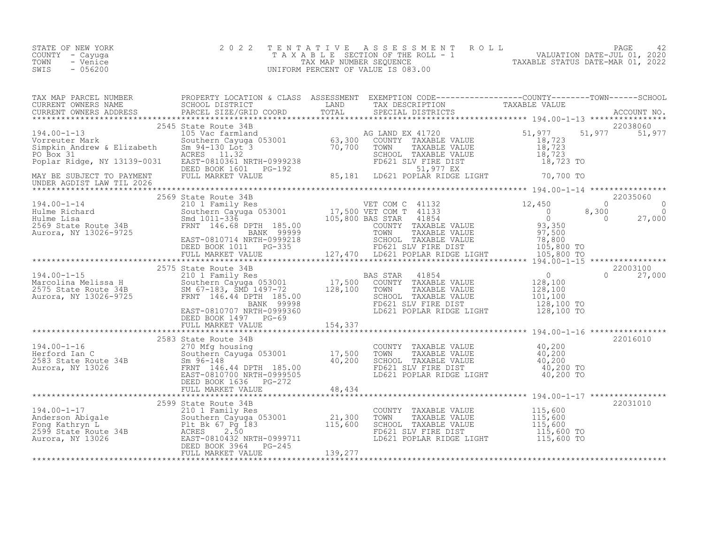| STATE OF NEW YORK | 2022 TENTATIVE ASSESSMENT ROLL     |                                  | PAGE                        |  |
|-------------------|------------------------------------|----------------------------------|-----------------------------|--|
| COUNTY - Cayuqa   | TAXABLE SECTION OF THE ROLL - 1    |                                  | VALUATION DATE-JUL 01, 2020 |  |
| TOWN<br>- Venice  | TAX MAP NUMBER SEOUENCE            | TAXABLE STATUS DATE-MAR 01, 2022 |                             |  |
| $-056200$<br>SWIS | UNIFORM PERCENT OF VALUE IS 083.00 |                                  |                             |  |

| $\begin{tabular}{lllllllllllllllllllll} \texttt{{\sc i}} & 194.00-1-16 & \texttt{{\sc i}} & 194.00-1-16 & \texttt{{\sc i}} & 194.00-1-16 & \texttt{{\sc i}} & 194.00-1-16 & \texttt{{\sc i}} & 194.00-1-16 & \texttt{{\sc i}} & 194.00-1-16 & \texttt{{\sc i}} & 22016010 & \texttt{22016010} \\ & 2583 \text{ State Rout} & 22016010 & \texttt{17,500} & $                                              |  |  |          |
|----------------------------------------------------------------------------------------------------------------------------------------------------------------------------------------------------------------------------------------------------------------------------------------------------------------------------------------------------------------------------------------------------------|--|--|----------|
|                                                                                                                                                                                                                                                                                                                                                                                                          |  |  |          |
| $\begin{tabular}{c c c c c} \multicolumn{3}{c c c} \multicolumn{3}{c c c} \multicolumn{3}{c c c} \multicolumn{3}{c c c} \multicolumn{3}{c c c} \multicolumn{3}{c c c} \multicolumn{3}{c c c} \multicolumn{3}{c c c} \multicolumn{3}{c c c} \multicolumn{3}{c c c} \multicolumn{3}{c c c} \multicolumn{3}{c c c} \multicolumn{3}{c c c} \multicolumn{3}{c c c} \multicolumn{3}{c c c} \multicolumn{3}{c $ |  |  | 22031010 |
|                                                                                                                                                                                                                                                                                                                                                                                                          |  |  |          |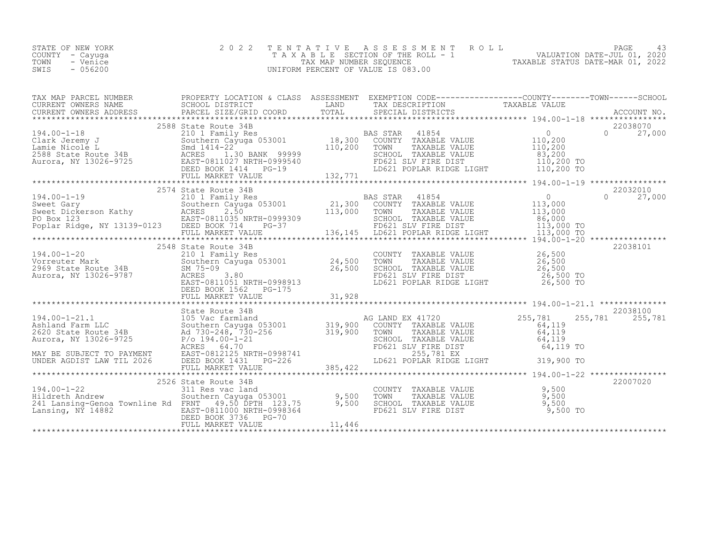|      | STATE OF NEW YORK | 2022 TENTATIVE ASSESSMENT ROLL     |                                  | PAGE                        |  |
|------|-------------------|------------------------------------|----------------------------------|-----------------------------|--|
|      | COUNTY - Cayuga   | TAXABLE SECTION OF THE ROLL - 1    |                                  | VALUATION DATE-JUL 01, 2020 |  |
| TOWN | - Venice          | TAX MAP NUMBER SEOUENCE            | TAXABLE STATUS DATE-MAR 01, 2022 |                             |  |
| SWIS | - 056200          | UNIFORM PERCENT OF VALUE IS 083.00 |                                  |                             |  |
|      |                   |                                    |                                  |                             |  |

| TAX MAP PARCEL NUMBER THE PROPERTY LOCATION & CLASS ASSESSMENT EXEMPTION CODE----------------COUNTY--------TOWN-----SCHOOL<br>CURRENT OWNERS NAME<br>CURRENT OWNERS NAME SCHOOL DISTRICT SCHOOL DISTRICT DAND COND TOTAL SPECIAL DISTRICTS PARABLE VALUE<br>CURRENT OWNERS ADDRESS PARCEL SIZE/GRID COORD TOTAL SPECIAL DISTRICTS ACCOUNT NO.<br>********************                      |  |  |          |
|--------------------------------------------------------------------------------------------------------------------------------------------------------------------------------------------------------------------------------------------------------------------------------------------------------------------------------------------------------------------------------------------|--|--|----------|
|                                                                                                                                                                                                                                                                                                                                                                                            |  |  |          |
|                                                                                                                                                                                                                                                                                                                                                                                            |  |  |          |
|                                                                                                                                                                                                                                                                                                                                                                                            |  |  |          |
|                                                                                                                                                                                                                                                                                                                                                                                            |  |  |          |
|                                                                                                                                                                                                                                                                                                                                                                                            |  |  |          |
|                                                                                                                                                                                                                                                                                                                                                                                            |  |  |          |
|                                                                                                                                                                                                                                                                                                                                                                                            |  |  |          |
| $\begin{tabular}{l c c c c c} \multicolumn{1}{c}{\text{\textbf{194.00--1--21.1}} & \multicolumn{1}{c}{\textbf{194.00--1--21.1}} & \multicolumn{1}{c}{\textbf{194.00--1--21.1}} & \multicolumn{1}{c}{\textbf{194.00--1--21.1}} & \multicolumn{1}{c}{\textbf{194.00--1--21.1}} & \multicolumn{1}{c}{\textbf{194.00--1--21.1}} & \multicolumn{1}{c}{\textbf{194.00--1--21.1}} & \multicolumn$ |  |  |          |
|                                                                                                                                                                                                                                                                                                                                                                                            |  |  |          |
|                                                                                                                                                                                                                                                                                                                                                                                            |  |  | 22007020 |
|                                                                                                                                                                                                                                                                                                                                                                                            |  |  |          |
|                                                                                                                                                                                                                                                                                                                                                                                            |  |  |          |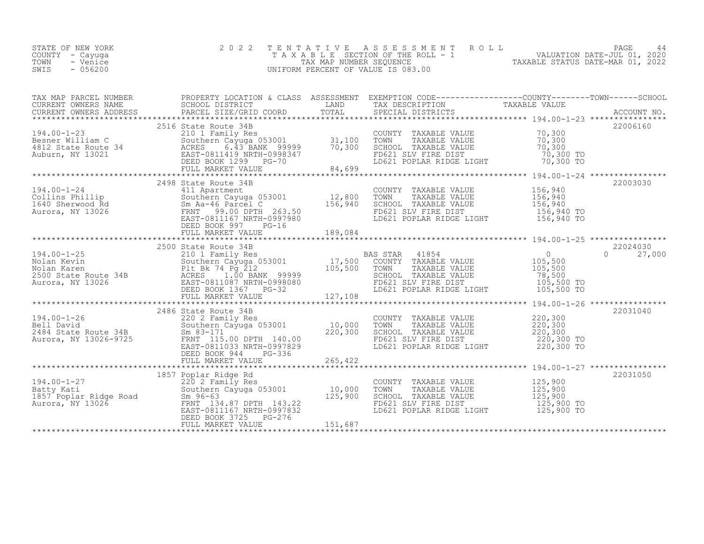| STATE OF NEW YORK<br>COUNTY – Cayuga  | 2022 TENTATIVE ASSESSMENT ROLL<br>T A X A B L E SECTION OF THE ROLL - 1 |                                  | PAGE<br>VALUATION DATE-JUL 01, 2020 |  |
|---------------------------------------|-------------------------------------------------------------------------|----------------------------------|-------------------------------------|--|
| TOWN<br>- Venice<br>$-056200$<br>SWIS | TAX MAP NUMBER SEOUENCE<br>UNIFORM PERCENT OF VALUE IS 083.00           | TAXABLE STATUS DATE-MAR 01, 2022 |                                     |  |

| TAX MAP PARCEL NUMBER                                                                                                                                                                                                                                | PROPERTY LOCATION & CLASS ASSESSMENT EXEMPTION CODE-----------------COUNTY-------TOWN------SCHOOL |  |          |
|------------------------------------------------------------------------------------------------------------------------------------------------------------------------------------------------------------------------------------------------------|---------------------------------------------------------------------------------------------------|--|----------|
|                                                                                                                                                                                                                                                      |                                                                                                   |  |          |
| 194.00-1-23<br>2516 State Route 34<br>2516 State Route 34<br>2516 State Route 34<br>2516 State Route 34<br>2516 Southern Cayuga 053001<br>210 1 Family Res<br>2516 Southern Cayuga 053001<br>31,100 TOWN TAXABLE VALUE<br>20,300 TO<br>20,300 TO<br> |                                                                                                   |  | 22006160 |
|                                                                                                                                                                                                                                                      |                                                                                                   |  |          |
| 194.00-1-24 2498 State Route 34B<br>Collins Phillip 300 State Route 34B<br>Collins Phillip Southern Cayuga 053001 12,800 TOWN TAXABLE VALUE 156,940<br>1640 Sherwood Rd Sm Aa-46 Parcel C<br>Aurora, NY 13026 FRNT 99.00 DPTH 263.50<br>             | 2498 State Route 34B                                                                              |  | 22003030 |
|                                                                                                                                                                                                                                                      |                                                                                                   |  |          |
|                                                                                                                                                                                                                                                      |                                                                                                   |  |          |
|                                                                                                                                                                                                                                                      |                                                                                                   |  |          |
|                                                                                                                                                                                                                                                      |                                                                                                   |  |          |
|                                                                                                                                                                                                                                                      |                                                                                                   |  |          |
|                                                                                                                                                                                                                                                      |                                                                                                   |  | 22031050 |
|                                                                                                                                                                                                                                                      |                                                                                                   |  |          |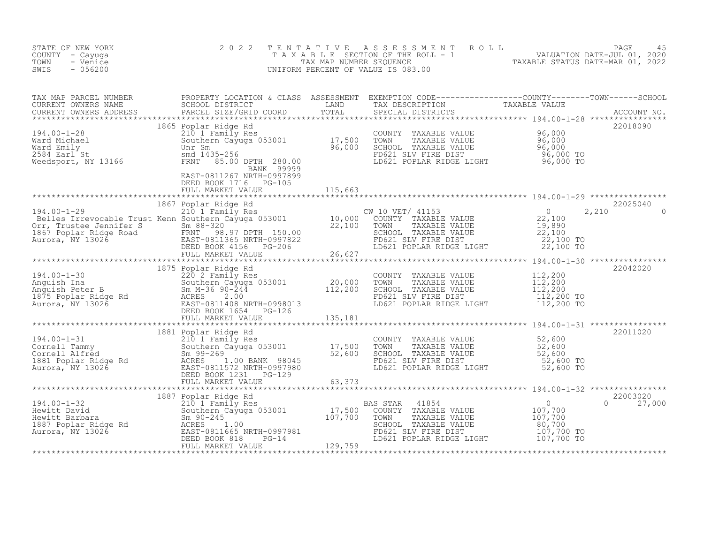| 2 0 2 2 |                       |                                                                                                                                                                                                                                                              |                                                                                                                                                                                                                                                                                                                                                                                                                                                                                                                                                                                                                                                                                     |
|---------|-----------------------|--------------------------------------------------------------------------------------------------------------------------------------------------------------------------------------------------------------------------------------------------------------|-------------------------------------------------------------------------------------------------------------------------------------------------------------------------------------------------------------------------------------------------------------------------------------------------------------------------------------------------------------------------------------------------------------------------------------------------------------------------------------------------------------------------------------------------------------------------------------------------------------------------------------------------------------------------------------|
|         |                       |                                                                                                                                                                                                                                                              |                                                                                                                                                                                                                                                                                                                                                                                                                                                                                                                                                                                                                                                                                     |
|         |                       |                                                                                                                                                                                                                                                              |                                                                                                                                                                                                                                                                                                                                                                                                                                                                                                                                                                                                                                                                                     |
|         |                       |                                                                                                                                                                                                                                                              |                                                                                                                                                                                                                                                                                                                                                                                                                                                                                                                                                                                                                                                                                     |
|         |                       |                                                                                                                                                                                                                                                              |                                                                                                                                                                                                                                                                                                                                                                                                                                                                                                                                                                                                                                                                                     |
|         |                       |                                                                                                                                                                                                                                                              |                                                                                                                                                                                                                                                                                                                                                                                                                                                                                                                                                                                                                                                                                     |
|         |                       |                                                                                                                                                                                                                                                              | 22042020                                                                                                                                                                                                                                                                                                                                                                                                                                                                                                                                                                                                                                                                            |
|         |                       |                                                                                                                                                                                                                                                              |                                                                                                                                                                                                                                                                                                                                                                                                                                                                                                                                                                                                                                                                                     |
|         |                       |                                                                                                                                                                                                                                                              |                                                                                                                                                                                                                                                                                                                                                                                                                                                                                                                                                                                                                                                                                     |
|         |                       |                                                                                                                                                                                                                                                              |                                                                                                                                                                                                                                                                                                                                                                                                                                                                                                                                                                                                                                                                                     |
|         |                       |                                                                                                                                                                                                                                                              |                                                                                                                                                                                                                                                                                                                                                                                                                                                                                                                                                                                                                                                                                     |
|         | DEED BOOK 1716 PG-105 | 194.00-1-30<br>1875 Poplar Ridge Rd<br>220 220 2 East 199.00-2-130<br>Anguish Ina<br>20,000 TOWN<br>Anguish Ina<br>20,000 TOWN<br>20,000 TOWN<br>20,000 TOWN<br>20,000 TOWN<br>20,000 TOWN<br>20,000 TOWN<br>20,000 TOWN<br>20,000 TOWN<br>20,000 TOWN<br>20 | TENTATIVE ASSESSMENT ROLL PAGE 45<br>TAXABLE SECTION OF THE ROLL - 1 VALUATION DATE-JUL 01, 2020<br>TAX MAP NUMBER SEQUENCE TAXABLE STATUS DATE-MAR 01, 2022<br>UNIFORM PERCENT OF VALUE IS 083.00<br>COUNTY TAXABLE VALUE 112,200<br>TOWN TAXABLE VALUE 112,200<br>SCHOOL TAXABLE VALUE 112,200<br>FD621 SLV FIRE DIST 112,200 TO<br>LD621 POPLAR RIDGE LIGHT 112,200 TO<br>$[194.00-1-31$+{\rm number of~10~cm~194.00-1-31}_{\mbox{Re}(10-12011020)}$-31.500$-{\rm number of~10~cm~194.00-1-31}_{\mbox{Re}(10-12011020)}$-31.500$-{\rm number of~10~cm~194.00-1-31}_{\mbox{Re}(10-12011020)}$-32.600$-{\rm number of~10~cm~104~cm~104~cm~104~cm~104~cm~104~cm~104~cm~104~cm~104~$ |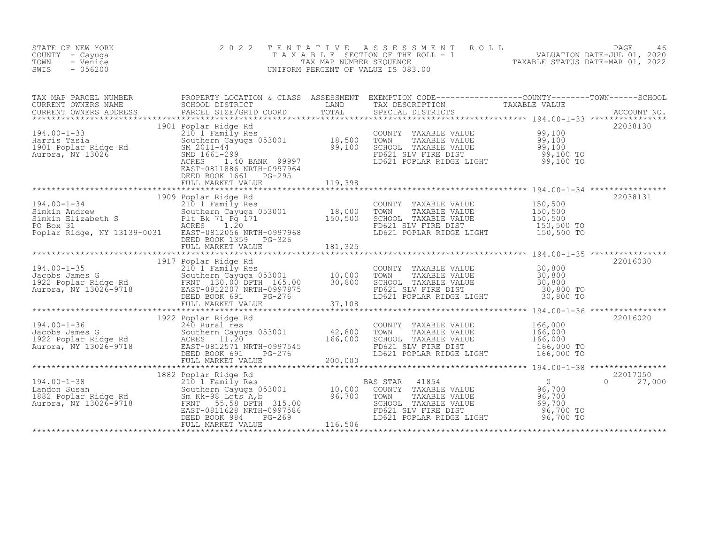| STATE OF NEW YORK<br>COUNTY - Cayuga<br>TOWN<br>- Venice<br>SWIS<br>$-056200$                                                                                                                                                                            | 2 0 2 2                                                                       | T E N T A T I V E | T E N T A T I V E A S S E S S M E N T R O L L<br>T A X A B L E SECTION OF THE ROLL - 1<br>TAX MAP NUMBER SEQUENCE<br>TAX MAP NUMBER SEQUENCE<br>TAXABLE STATUS DATE-MAR 01, 2022<br>TAXABLE STATUS DATE-MAR 01, 2022<br>UNIFORM PERCENT OF VALUE IS 083.00 |          |
|----------------------------------------------------------------------------------------------------------------------------------------------------------------------------------------------------------------------------------------------------------|-------------------------------------------------------------------------------|-------------------|------------------------------------------------------------------------------------------------------------------------------------------------------------------------------------------------------------------------------------------------------------|----------|
|                                                                                                                                                                                                                                                          |                                                                               |                   |                                                                                                                                                                                                                                                            |          |
| 194.00-1-33<br>Harris Tasia 210 1 Family Res<br>210 1 Family Res<br>210 1 Family Res<br>210 1 Family Res<br>2010 1 Family Res<br>2011 Family Res<br>2011 Family Res<br>2011 14<br>2011 203001<br>2011 14<br>2011 20311-44<br>2011 20311-44<br>2011 20311 | 1901 Poplar Ridge Rd<br>EAST-0811886 NRTH-0997964<br>DEED BOOK 1661    PG-295 |                   | COUNTY TAXABLE VALUE $99,100$<br>TOWN TAXABLE VALUE $99,100$<br>SCHOOL TAXABLE VALUE $99,100$<br>FD621 SLV FIRE DIST $99,100$<br>LD621 POPLAR RIDGE LIGHT $99,100$ TO                                                                                      | 22038130 |
|                                                                                                                                                                                                                                                          |                                                                               |                   |                                                                                                                                                                                                                                                            |          |
|                                                                                                                                                                                                                                                          |                                                                               |                   |                                                                                                                                                                                                                                                            |          |
|                                                                                                                                                                                                                                                          |                                                                               |                   |                                                                                                                                                                                                                                                            |          |
| 1917 Poplar Ridge Rd<br>1922 Poplar Ridge Rd<br>1922 Poplar Ridge Rd<br>1922 Poplar Ridge Rd<br>1922 Poplar Ridge Rd<br>1922 Poplar Ridge Rd<br>1922 Poplar Ridge Rd<br>1922 Poplar Ridge Rd<br>1922 Poplar Ridge Rd<br>1922 Poplar Ridge Rd<br>19       |                                                                               |                   | COUNTY TAXABLE VALUE<br>TOWN TAXABLE VALUE 30,800<br>SCHOOL TAXABLE VALUE 30,800<br>FD621 SLV FIRE DIST 30,800 TO<br>LD621 POPLAR RIDGE LIGHT 30,800 TO                                                                                                    | 22016030 |
|                                                                                                                                                                                                                                                          |                                                                               |                   |                                                                                                                                                                                                                                                            |          |
|                                                                                                                                                                                                                                                          |                                                                               |                   |                                                                                                                                                                                                                                                            |          |
|                                                                                                                                                                                                                                                          |                                                                               |                   |                                                                                                                                                                                                                                                            |          |
| 194.00-1-36 1922 Poplar Ridge Rd<br>Jacobs James County TAXABLE VALUE 106,000<br>1922 Poplar Ridge Rd<br>2010 Ray (1997)<br>1923 Poplar Ridge Rd<br>2010 Ray (1997)<br>194.00-1-38 20217050<br>194.00-1-38 1021 Popular Ridge Rd<br>194.00-1-3           |                                                                               |                   |                                                                                                                                                                                                                                                            |          |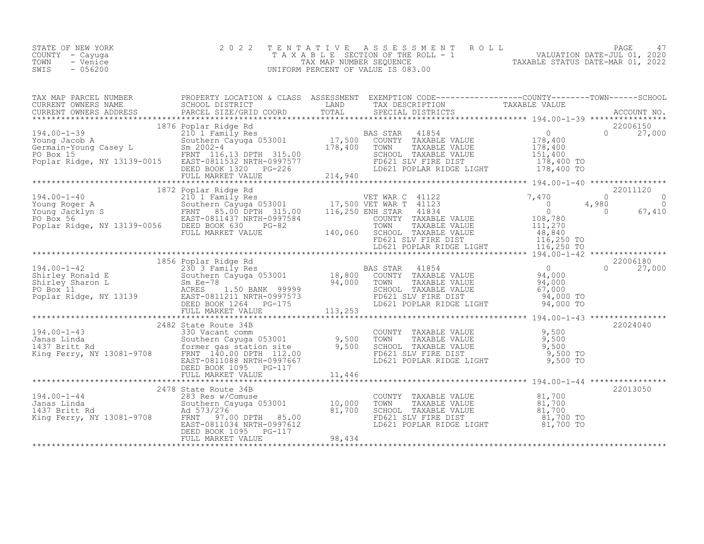| VALUATION DATE-JUL 01, 2020<br>COUNTY – Cayuga<br>T A X A B L E SECTION OF THE ROLL - 1<br>TOWN<br>TAXABLE STATUS DATE-MAR 01, 2022<br>- Venice<br>TAX MAP NUMBER SEOUENCE<br>$-0.56200$<br>SWIS<br>UNIFORM PERCENT OF VALUE IS 083.00 |  |
|----------------------------------------------------------------------------------------------------------------------------------------------------------------------------------------------------------------------------------------|--|
|----------------------------------------------------------------------------------------------------------------------------------------------------------------------------------------------------------------------------------------|--|

|                                                                                                                                                                                                                                                                                                                                      | 1876 Poplar Ridge Rd |                                                                                                                                                                       | 22006150 |  |
|--------------------------------------------------------------------------------------------------------------------------------------------------------------------------------------------------------------------------------------------------------------------------------------------------------------------------------------|----------------------|-----------------------------------------------------------------------------------------------------------------------------------------------------------------------|----------|--|
|                                                                                                                                                                                                                                                                                                                                      |                      |                                                                                                                                                                       |          |  |
| $\begin{tabular}{l cccc} \textbf{194.00--1-40} & \textbf{194.00--1-40} & \textbf{194.00--1-40} & \textbf{194.00--1-40} & \textbf{194.00--1-40} & \textbf{194.00--1-40} & \textbf{194.00--1-40} & \textbf{194.00--1-40} & \textbf{194.00--1-40} & \textbf{194.00--1-40} & \textbf{194.00--1-40} & \textbf{194.00--1-40} & \textbf{19$ |                      |                                                                                                                                                                       |          |  |
|                                                                                                                                                                                                                                                                                                                                      |                      |                                                                                                                                                                       |          |  |
|                                                                                                                                                                                                                                                                                                                                      |                      |                                                                                                                                                                       |          |  |
|                                                                                                                                                                                                                                                                                                                                      |                      |                                                                                                                                                                       |          |  |
| 194.00-1-43<br>194.00-1-43<br>194.00-1-43<br>194.00-1-43<br>194.00-1-43<br>330 Vacant comm<br>Southern Cayuga 053001<br>2000 EXSI SLV FIRE DIST<br>141.00 PD621 SLV FIRE DIST<br>2,500 PRNT 140.00 DPTH 112.00<br>2,500 PRNT 140.00 DPTH 112.00<br>E                                                                                 |                      |                                                                                                                                                                       | 22024040 |  |
|                                                                                                                                                                                                                                                                                                                                      |                      |                                                                                                                                                                       |          |  |
|                                                                                                                                                                                                                                                                                                                                      |                      |                                                                                                                                                                       | 22013050 |  |
| 194.00-1-44<br>2478 State Route 34B<br>38 Res w/Comuse<br>38 Res w/Comuse<br>283 Res w/Comuse<br>283 Res w/Comuse<br>283 Res w/Comuse<br>283 Res w/Comuse<br>283 Res w/Comuse<br>283 Res w/Comuse<br>283 Res w/Comuse<br>283 Res w/Comuse<br>283 Res w                                                                               |                      | COUNTY TAXABLE VALUE $81,700$<br>TOWN TAXABLE VALUE $81,700$<br>SCHOOL TAXABLE VALUE $81,700$<br>FD621 SLV FIRE DIST $81,700$<br>LD621 POPLAR RIDGE LIGHT $81,700$ TO |          |  |
|                                                                                                                                                                                                                                                                                                                                      |                      |                                                                                                                                                                       |          |  |
|                                                                                                                                                                                                                                                                                                                                      |                      |                                                                                                                                                                       |          |  |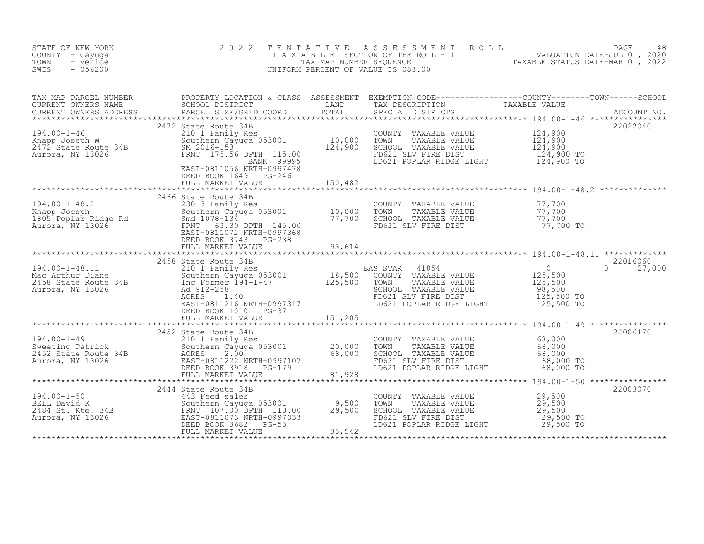| STATE OF NEW YORK<br>COUNTY - Cayuga<br>TOWN<br>- Venice<br>SWIS<br>$-056200$                                                                                                                                                                             | 2 0 2 2                                    |         | TENTATIVE ASSESSMENT ROLL PAGE 48<br>TAXABLE SECTION OF THE ROLL - 1 VALUATION DATE-JUL 01, 2020<br>TAX MAP NUMBER SEQUENCE TAXABLE STATUS DATE-MAR 01, 2022<br>UNIFORM PERCENT OF VALUE IS 083.00 |                                |
|-----------------------------------------------------------------------------------------------------------------------------------------------------------------------------------------------------------------------------------------------------------|--------------------------------------------|---------|----------------------------------------------------------------------------------------------------------------------------------------------------------------------------------------------------|--------------------------------|
|                                                                                                                                                                                                                                                           |                                            |         |                                                                                                                                                                                                    |                                |
|                                                                                                                                                                                                                                                           | DEED BOOK 1649 PG-246<br>FULL MARKET VALUE | 150,482 |                                                                                                                                                                                                    |                                |
|                                                                                                                                                                                                                                                           |                                            |         |                                                                                                                                                                                                    |                                |
| 194.00-1-48.11<br>2458 State Route 34B<br>2458 State Route 34B<br>2458 State Route 34B<br>2458 State Route 34B<br>2458 State Route 34B<br>2458 State Route 34B<br>2458 State Route 24B<br>2458 State Route 24B<br>2458 State Route 24B<br>245,500<br>     | DEED BOOK 1010 PG-37                       |         |                                                                                                                                                                                                    | 22016060<br>$\Omega$<br>27,000 |
| 194.00-1-49<br>Sweeting Patrick<br>20,000 TOWN<br>2452 State Route 34B<br>2452 State Route 34B<br>2452 State Route 34B<br>26,000 SCHOO<br>26,000 SCHOO<br>26,000 SCHOO<br>26,000 SCHOO<br>ED BOOK 3918<br>PG-179<br>20,000 SCHOO<br>20,000 TOWN<br>20,000 | 2452 State Route 34B                       |         | COUNTY TAXABLE VALUE 68,000<br>TOWN TAXABLE VALUE 68,000<br>SCHOOL TAXABLE VALUE 68,000<br>FD621 SLV FIRE DIST 68,000 TO<br>LD621 POPLAR RIDGE LIGHT 68,000 TO                                     | 22006170                       |
|                                                                                                                                                                                                                                                           |                                            |         | COUNTY TAXABLE VALUE $29,500$<br>TOWN TAXABLE VALUE $29,500$<br>SCHOOL TAXABLE VALUE $29,500$<br>FD621 SLV FIRE DIST $29,500$ TO<br>LD621 POPLAR RIDGE LIGHT $29,500$ TO                           | 22003070                       |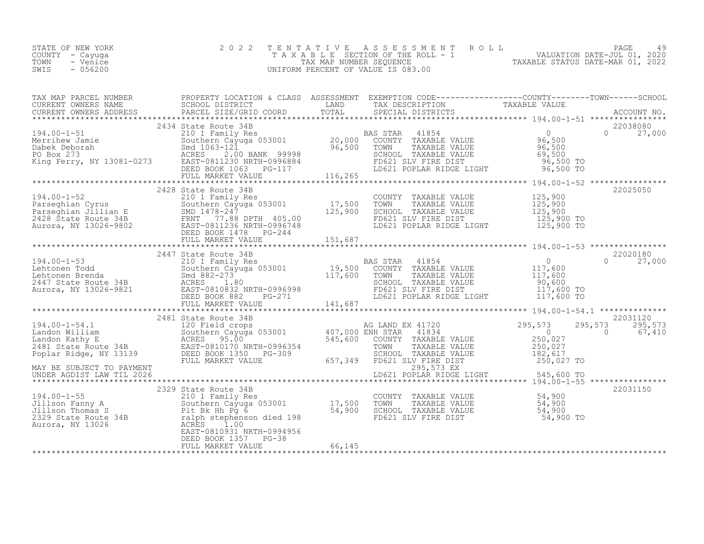| STATE OF NEW YORK | 2022 TENTATIVE ASSESSMENT ROLL        |                                  | PAGE                        | 49 |
|-------------------|---------------------------------------|----------------------------------|-----------------------------|----|
| COUNTY - Cayuga   | T A X A B L E SECTION OF THE ROLL - 1 |                                  | VALUATION DATE-JUL 01, 2020 |    |
| TOWN<br>- Venice  | TAX MAP NUMBER SEQUENCE               | TAXABLE STATUS DATE-MAR 01, 2022 |                             |    |
| SWIS<br>$-056200$ | UNIFORM PERCENT OF VALUE IS 083.00    |                                  |                             |    |
|                   |                                       |                                  |                             |    |

| $\begin{tabular}{l c c c c c c} \multicolumn{4}{c}{\text{\textbf{194.00--1-54.1}} & \multicolumn{4}{c}{2481.812} & \multicolumn{4}{c}{\textbf{2481.812}} & \multicolumn{4}{c}{\textbf{2481.812}} & \multicolumn{4}{c}{\textbf{2481.81}} & \multicolumn{4}{c}{\textbf{2482.81}} & \multicolumn{4}{c}{\textbf{2483.81}} & \multicolumn{4}{c}{\textbf{2484.81}} & \multicolumn{4}{c}{\textbf{2485.$ |  |  |
|--------------------------------------------------------------------------------------------------------------------------------------------------------------------------------------------------------------------------------------------------------------------------------------------------------------------------------------------------------------------------------------------------|--|--|
|                                                                                                                                                                                                                                                                                                                                                                                                  |  |  |
|                                                                                                                                                                                                                                                                                                                                                                                                  |  |  |
|                                                                                                                                                                                                                                                                                                                                                                                                  |  |  |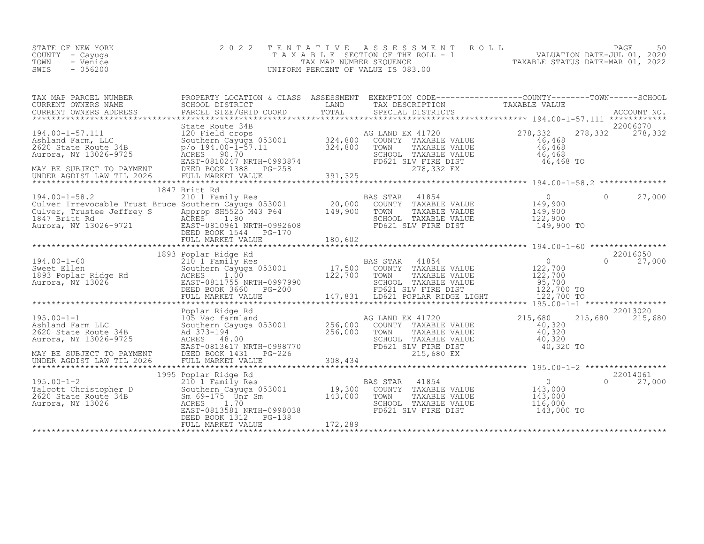|                 | STATE OF NEW YORK | 2022 TENTATIVE ASSESSMENT ROLL     |                                  | PAGE                        | 50 |
|-----------------|-------------------|------------------------------------|----------------------------------|-----------------------------|----|
| COUNTY - Cayuga |                   | TAXABLE SECTION OF THE ROLL - 1    |                                  | VALUATION DATE-JUL 01, 2020 |    |
| TOWN            | - Venice          | TAX MAP NUMBER SEOUENCE            | TAXABLE STATUS DATE-MAR 01, 2022 |                             |    |
| SWIS            | $-056200$         | UNIFORM PERCENT OF VALUE IS 083.00 |                                  |                             |    |
|                 |                   |                                    |                                  |                             |    |

| TAX MAP PARCEL NUMBER                                                                                                                                                                                                                                                                                                                                                                                  | PROPERTY LOCATION & CLASS ASSESSMENT EXEMPTION CODE----------------COUNTY-------TOWN-----SCHOOL |  |               |
|--------------------------------------------------------------------------------------------------------------------------------------------------------------------------------------------------------------------------------------------------------------------------------------------------------------------------------------------------------------------------------------------------------|-------------------------------------------------------------------------------------------------|--|---------------|
|                                                                                                                                                                                                                                                                                                                                                                                                        |                                                                                                 |  |               |
| $\begin{tabular}{lllllllll} 194.00-1-57.111 & \text{State Route 34B} & \text{120} & \text{134.00-1-57.11} & \text{State Route 34B} & \text{134.00-1-57.11} & \text{278,332} & 278,332 & 278,332 & 278,332 & 278,332 & 278,332 & 278,332 & 278,332 & 278,332 & 278,332 & 278,332 & 278,332 & 278,332 & 27$                                                                                              | State Route 34B                                                                                 |  | 22006070      |
|                                                                                                                                                                                                                                                                                                                                                                                                        | 1847 Britt Rd                                                                                   |  |               |
| $\begin{tabular}{lllllllllllllllllll} & & 1847 & & & 1847 & & & 1847 & & & 1847 & & & 1847 & & & 1847 & & & 1847 & & & 1847 & & & 1847 & & & 1847 & & & 1847 & & & 1847 & & & 1847 & & & 1847 & & & 1847 & & & 1847 & & & 1847 & & & 1847 & & & 1847 & & & 1847 & & & 1847 & & & 1847 & & & 1847 & & & 1847 & & & 1847 & & & $                                                                         |                                                                                                 |  |               |
|                                                                                                                                                                                                                                                                                                                                                                                                        |                                                                                                 |  |               |
| $\begin{tabular}{l cccc} \texttt{\textbf{193}} & \texttt{\textbf{22016050}} & \texttt{\textbf{193}} & \texttt{\textbf{22016050}} & \texttt{\textbf{22016050}} & \texttt{\textbf{22016050}} & \texttt{\textbf{22016050}} & \texttt{\textbf{22016050}} & \texttt{\textbf{22016050}} & \texttt{\textbf{22016050}} & \texttt{\textbf{22016050}} & \texttt{\textbf{22016050}} & \texttt{\textbf{22016050}}$ |                                                                                                 |  |               |
|                                                                                                                                                                                                                                                                                                                                                                                                        |                                                                                                 |  |               |
|                                                                                                                                                                                                                                                                                                                                                                                                        |                                                                                                 |  |               |
|                                                                                                                                                                                                                                                                                                                                                                                                        |                                                                                                 |  | 22014061      |
|                                                                                                                                                                                                                                                                                                                                                                                                        | DEED BOOK 1312 PG-138                                                                           |  | $0 \t 27,000$ |
|                                                                                                                                                                                                                                                                                                                                                                                                        |                                                                                                 |  |               |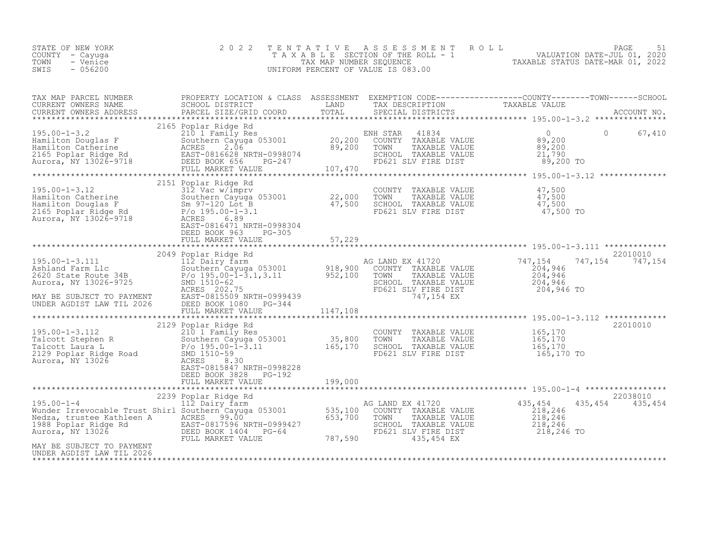| STATE OF NEW YORK | 2022 TENTATIVE ASSESSMENT ROLL        |                                  | PAGE                        |  |
|-------------------|---------------------------------------|----------------------------------|-----------------------------|--|
| COUNTY – Cayuga   | T A X A B L E SECTION OF THE ROLL - 1 |                                  | VALUATION DATE-JUL 01, 2020 |  |
| TOWN<br>- Venice  | TAX MAP NUMBER SEOUENCE               | TAXABLE STATUS DATE-MAR 01, 2022 |                             |  |
| $-056200$<br>SWIS | UNIFORM PERCENT OF VALUE IS 083.00    |                                  |                             |  |

| TAX MAP PARCEL NUMBER<br>CURRENT OWNERS NAME<br>CURRENT OWNERS NAME<br>CURRENT OWNERS ADDRESS                                                                                                                                                                                                                                                                     | PROPERTY LOCATION & CLASS ASSESSMENT EXEMPTION CODE-----------------COUNTY-------TOWN-----SCHOOL |                    | THAY DESCRIPTION TAXABLE VALUE<br>SPECIAL DISTRICTS TAXABLE VALUE                                                                                                                                                                                                      |                                                                                            |                                           |
|-------------------------------------------------------------------------------------------------------------------------------------------------------------------------------------------------------------------------------------------------------------------------------------------------------------------------------------------------------------------|--------------------------------------------------------------------------------------------------|--------------------|------------------------------------------------------------------------------------------------------------------------------------------------------------------------------------------------------------------------------------------------------------------------|--------------------------------------------------------------------------------------------|-------------------------------------------|
|                                                                                                                                                                                                                                                                                                                                                                   |                                                                                                  |                    |                                                                                                                                                                                                                                                                        |                                                                                            |                                           |
| 2165 POPIAr Ridge Rd 2165 POPIAR AIRS 20,200<br>EM STAR 41834<br>EM STAR 41834<br>EM STAR 41834<br>EM STAR 41834<br>COUNTY TAXABLE VALUE<br>EM STAR 41834<br>COUNTY TAXABLE VALUE<br>EM STAR 41834<br>COUNTY TAXABLE VALUE<br>20,200<br>COUNTY TAXAB                                                                                                              | 2165 Poplar Ridge Rd                                                                             |                    |                                                                                                                                                                                                                                                                        | $\Omega$<br>89,200 TO                                                                      | 67,410                                    |
|                                                                                                                                                                                                                                                                                                                                                                   |                                                                                                  |                    |                                                                                                                                                                                                                                                                        |                                                                                            |                                           |
| $\begin{tabular}{lllllllllllll} \textsc{195.00--1-3.12} & \textsc{21.01 r} & \textsc{10.01} & \textsc{21.02} & \textsc{21.03} & \textsc{21.04} & \textsc{21.04} & \textsc{21.05} & \textsc{21.05} & \textsc{21.06} & \textsc{21.07} & \textsc{21.07} & \textsc{21.07} & \textsc{21.07} & \textsc{21.07} & \textsc{21.07} & \textsc{21.07} & \textsc{21.07}$       | DEED BOOK 963<br>$PG-305$<br>FULL MARKET VALUE                                                   | 57,229             |                                                                                                                                                                                                                                                                        | 47,500 TO                                                                                  |                                           |
|                                                                                                                                                                                                                                                                                                                                                                   |                                                                                                  |                    |                                                                                                                                                                                                                                                                        |                                                                                            |                                           |
| MAY BE SUBJECT TO PAYMENT<br>MAY BE SUBJECT TO PAYMENT<br>UNDER AGDIST LAW TIL 2026 DEED BOOK 1080 PG-344<br>195.00-1-3.112<br>Talcott Stephen R<br>Talcott Laura L<br>2129 Poplar Ridge Road<br>Aurora, NY 13026<br>2008 P/o 195.00-1-3.11<br>2129 Poplar Ridge Road<br>2009-1-3.11<br>2129 Poplar Ridge Road<br>2009-1-3.11<br>2019 P/o 195.00-1-3.11<br>201510 | 2049 Poplar Ridge Rd<br>EAST-0815509 NRTH-0999439<br>FULL MARKET VALUE<br>2129 Poplar Ridge Rd   | 1147,108           | AG LAND EX 41720<br>COUNTY TAXABLE VALUE<br>TOWN TAXABLE VALUE 204,946<br>SCHOOL TAXABLE VALUE 204,946<br>FD621 SLV FIRE DIST 204,946 TO<br>747,154 EX<br>COUNTY TAXABLE VALUE<br>TAXABLE VALUE<br>SCHOOL TAXABLE VALUE<br>SUHOOL TAXABLE VALUE<br>FD621 SLV FIRE DIST | 747,154<br>165,170<br>165,170<br>165,170<br>165,170                                        | 22010010<br>747, 154 747, 154<br>22010010 |
|                                                                                                                                                                                                                                                                                                                                                                   | EAST-0815847 NRTH-0998228<br>DEED BOOK 3828 PG-192<br>FULL MARKET VALUE                          | 199,000            |                                                                                                                                                                                                                                                                        | 165,170 TO                                                                                 |                                           |
|                                                                                                                                                                                                                                                                                                                                                                   |                                                                                                  |                    |                                                                                                                                                                                                                                                                        |                                                                                            | 22038010                                  |
| Nedza, trustee Kathleen A<br>1988 Poplar Ridge Rd 1988 Poplar Ridge Rd 1988 Poplar Ridge Rd 1988 Poplar Ridge Rd 1988 Poplar Ridge Rd 1988 Poplar Ridge Rd 1988 Poplar Ridge Rd 1988 Poplar Ridge Rd 1988 Poplar Ridge Rd 1988 P                                                                                                                                  | FULL MARKET VALUE                                                                                | $127$<br>$787,590$ | SCHOOL TAXABLE VALUE<br>FD621 SLV FIRE DIST<br>435,454 EX                                                                                                                                                                                                              | AG LAND EX 41720 435, 454 435, 454 435, 454<br>218,246<br>218,246<br>218,246<br>218,246 TO |                                           |
| MAY BE SUBJECT TO PAYMENT<br>UNDER AGDIST LAW TIL 2026                                                                                                                                                                                                                                                                                                            |                                                                                                  |                    |                                                                                                                                                                                                                                                                        |                                                                                            |                                           |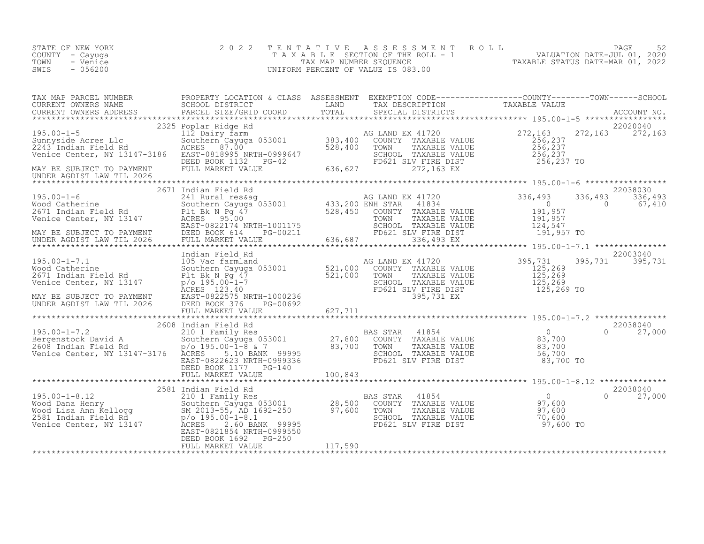| TENTATIVE ASSESSMENT ROLL PAGE 52<br>TAXABLE SECTION OF THE ROLL - 1 VALUATION DATE-JUL 01, 2020<br>TAX MAP NUMBER SEQUENCE TAXABLE STATUS DATE-MAR 01, 2022<br>UNIFORM PERCENT OF VALUE IS 083.00<br>COUNTY - Cayuga<br>TOWN<br>- Venice<br>SWIS<br>$-056200$                                                                                                                                                                                                                                                             |  |
|----------------------------------------------------------------------------------------------------------------------------------------------------------------------------------------------------------------------------------------------------------------------------------------------------------------------------------------------------------------------------------------------------------------------------------------------------------------------------------------------------------------------------|--|
|                                                                                                                                                                                                                                                                                                                                                                                                                                                                                                                            |  |
| $\begin{tabular}{lllllllllllllllll} \textsc{rank} & \textsc{PRACT~ONRIST} & \textsc{PROBERT} & \textsc{SCRODE} & \textsc{SLESMENT} & \textsc{EXEMENT} & \textsc{NCEMPTION} & \textsc{CODE} & \textsc{TAXABLE} & \textsc{VALUE} \\ \textsc{CUREENT~ONNERS} & \textsc{NAEES} & \textsc{SECBOL} & \textsc{DISTRT} & \textsc{TAXBLE} & \textsc{VALUE} & \textsc{TAXABLE} & \textsc{VALUE} \\ \textsc{CUREENT~ONNERS} & \textsc{ADRESS} & \textsc{PARCH} & \textsc{S$<br>MAY BE SUBJECT TO PAYMENT<br>UNDER AGDIST LAW TIL 2026 |  |
| 195.00-1-6 2671 INDER AGENE CHER AND EXABLE VALUE (195.00-1-6 2671 IN A SUARD EXAMPLE 2026 2038030<br>195.00-1-6 2671 INDER AGENE Southern Cayuga 053001 433,200 ENR STAR 41834 336,493 336,493 336,493 336,493 336,493 336,493                                                                                                                                                                                                                                                                                            |  |
|                                                                                                                                                                                                                                                                                                                                                                                                                                                                                                                            |  |
|                                                                                                                                                                                                                                                                                                                                                                                                                                                                                                                            |  |
| 22038040<br>2581 Indian Field Rd<br>2581 Indian Field Rd<br>Wood Dana Henry Southern Cayuga 053001<br>28,500 COUNTY TAXABLE VALUE<br>2581 Indian Kellogg SM 2013-55, AD 1692-250<br>2581 Indian Field Rd<br>2581 Indian Field Rd<br>2581 Indian Field Rd<br>$0 \t 27,000$<br>DEED BOOK 1692 PG-250<br>FULL MARKET VALUE PG-250                                                                                                                                                                                             |  |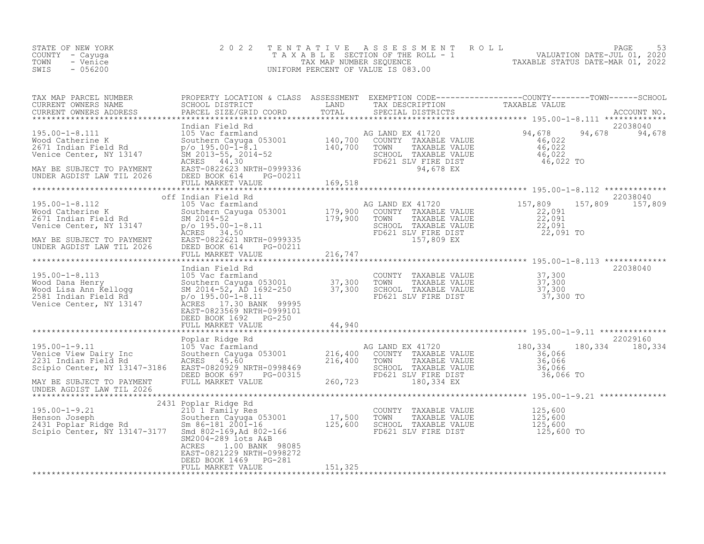| STATE OF NEW YORK<br>COUNTY - Cayuga<br>TOWN<br>- Venice<br>$-056200$<br>SWIS                                                                                                                                                                                                                                     | 2 0 2 2                                                                                                                                                                                                                                         |         |                                                                                                                                      | TENTATIVE ASSESSMENT ROLL PAGE 53<br>TAXABLE SECTION OF THE ROLL - 1 VALUATION DATE-JUL 01, 2020<br>TAX MAP NUMBER SEQUENCE TAXABLE STATUS DATE-MAR 01, 2022<br>UNIFORM PERCENT OF VALUE IS 083.00 |  |
|-------------------------------------------------------------------------------------------------------------------------------------------------------------------------------------------------------------------------------------------------------------------------------------------------------------------|-------------------------------------------------------------------------------------------------------------------------------------------------------------------------------------------------------------------------------------------------|---------|--------------------------------------------------------------------------------------------------------------------------------------|----------------------------------------------------------------------------------------------------------------------------------------------------------------------------------------------------|--|
|                                                                                                                                                                                                                                                                                                                   |                                                                                                                                                                                                                                                 |         |                                                                                                                                      |                                                                                                                                                                                                    |  |
| $\begin{tabular}{lllllllllllll} \text{195.00-1-8.111} & \text{Indian Field Rd} & \text{105 Vac farmland} & \text{AG LAND EX 41720} & 94,678 & 94,678 & 94,678 & 94,678 & 94,678 & 94,678 & 94,678 & 94,678 & 94,678 & 94,678 & 94,678 & 94,678 & 94,678 & 94,678 & 94,678 & 94,678 & 94,678 & 94,678 & 94,678 & $ | Indian Field Rd                                                                                                                                                                                                                                 |         |                                                                                                                                      | 22038040<br>94,678 94,678                                                                                                                                                                          |  |
|                                                                                                                                                                                                                                                                                                                   |                                                                                                                                                                                                                                                 |         |                                                                                                                                      |                                                                                                                                                                                                    |  |
| 395.00-1-8.112 off Indian Field Rd<br>Wood Catherine K and Southern Cayuga 053001 Mood Catherine K 22,091<br>2671 Indian Field Rd Southern Cayuga 053001 179,900 COUNTY TAXABLE VALUE<br>22,091 SCHOOL TAXABLE VALUE 22,091<br>22,091                                                                             | off Indian Field Rd                                                                                                                                                                                                                             |         |                                                                                                                                      | 22038040<br>157,809 157,809                                                                                                                                                                        |  |
|                                                                                                                                                                                                                                                                                                                   |                                                                                                                                                                                                                                                 |         |                                                                                                                                      |                                                                                                                                                                                                    |  |
|                                                                                                                                                                                                                                                                                                                   |                                                                                                                                                                                                                                                 |         |                                                                                                                                      |                                                                                                                                                                                                    |  |
| 195.00-1-8.113<br>Mood Dana Henry 195.00-1-8. Indian Field Rd<br>Mood Dana Henry Southern Cayuga 053001<br>Mood Dana Henry Southern Cayuga 053001<br>Mood Dana Henry 37,300<br>Mood Dana Henry Southern Cayuga 053001<br>Southern Cayuga 0                                                                        | DEED BOOK 1692    PG-250                                                                                                                                                                                                                        |         |                                                                                                                                      | 22038040                                                                                                                                                                                           |  |
|                                                                                                                                                                                                                                                                                                                   |                                                                                                                                                                                                                                                 |         |                                                                                                                                      |                                                                                                                                                                                                    |  |
| $195.00 - 1 - 9.11$<br>Venice View Dairy Inc<br>2231 Indian Field Rd<br>Scinic Conter<br>Scipio Center, NY 13147-3186<br>MAY BE SUBJECT TO PAYMENT<br>UNDER AGDIST LAW TIL 2026                                                                                                                                   |                                                                                                                                                                                                                                                 |         |                                                                                                                                      |                                                                                                                                                                                                    |  |
|                                                                                                                                                                                                                                                                                                                   | 2431 Poplar Ridge Rd                                                                                                                                                                                                                            |         |                                                                                                                                      |                                                                                                                                                                                                    |  |
| 195.00-1-9.21<br>Henson Joseph<br>2431 Poplar Ridge Rd<br>Scipio Center, NY 13147-3177                                                                                                                                                                                                                            | Poplar Ridge Rd<br>210 1 Family Res<br>300 1 Family Res<br>300 1 Family Res<br>500 1 7,500<br>5m 86-181 2001-16<br>5m2004-289 lots A&B<br>SM2004-289 lots A&B<br>1.00 BANK 98085<br>ACRES<br>EAST-0821229 NRTH-0998272<br>DEED BOOK 1469 PG-281 |         | COUNTY TAXABLE VALUE $125,600$<br>TOWN TAXABLE VALUE $125,600$<br>SCHOOL TAXABLE VALUE $125,600$<br>FD621 SLV FIRE DIST $125,600$ TO |                                                                                                                                                                                                    |  |
|                                                                                                                                                                                                                                                                                                                   | FULL MARKET VALUE                                                                                                                                                                                                                               | 151,325 |                                                                                                                                      |                                                                                                                                                                                                    |  |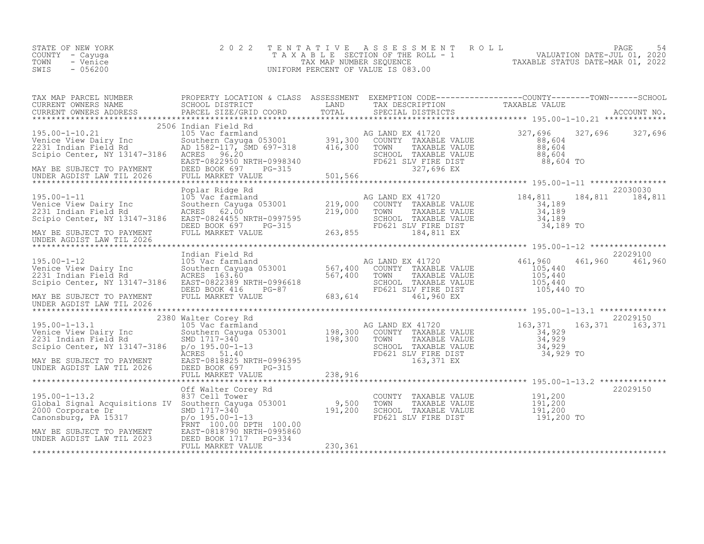| TAX MAP PARCEL NUMBER<br>TAX MAP PARCEN MUMBER ACCOUNT NO.<br>CURRENT OWNERS NAME SCHOOL DISTRICT COORD TOTAL TRIN SECIENT TO TAXABLE VALUE<br>CURRENT OWNERS ADDRESS PARCEL SIZE/GRID COORD TOTAL SPECIAL DISTRICTS ACCOUNT NO.<br>****************************                                   | PROPERTY LOCATION & CLASS ASSESSMENT EXEMPTION CODE-----------------COUNTY--------TOWN------SCHOOL |                                                                                                                              |                               |
|----------------------------------------------------------------------------------------------------------------------------------------------------------------------------------------------------------------------------------------------------------------------------------------------------|----------------------------------------------------------------------------------------------------|------------------------------------------------------------------------------------------------------------------------------|-------------------------------|
|                                                                                                                                                                                                                                                                                                    |                                                                                                    |                                                                                                                              |                               |
|                                                                                                                                                                                                                                                                                                    | 2506 Indian Field Rd                                                                               |                                                                                                                              |                               |
| 2506 Indian Field Rd<br>Venice View Dairy Inc 105 Vac farmland<br>2231 Indian Field Rd AD 1582-117, SMD 697-318 391,300 COUNTY TAXABLE VALUE<br>2231 Indian Field Rd AD 1582-117, SMD 697-318 416,300 TOWN TAXABLE VALUE<br>2231 India                                                             |                                                                                                    |                                                                                                                              |                               |
|                                                                                                                                                                                                                                                                                                    |                                                                                                    |                                                                                                                              |                               |
| 195.00-1-11 Poplar Ridge Rd<br>195.00-1-11 105 MAD EX 41720<br>Venice View Dairy Inc 50uthern Cayuga 053001 219,000 COUNTY TAXABLE VALUE<br>2231 Indian Field Rd ACRES 62.00 2000 COUNTY TAXABLE VALUE 34,189<br>Scipio Center, NY 131                                                             |                                                                                                    |                                                                                                                              | 22030030<br>184,811 184,811   |
| UNDER AGDIST LAW TIL 2026                                                                                                                                                                                                                                                                          |                                                                                                    |                                                                                                                              |                               |
| 195.00-1-12<br>Venice View Dairy Inc 105 Vac farmland<br>22029100<br>22029100<br>22029100<br>22029100<br>22029100<br>22029100<br>22029100<br>22029100<br>22029100<br>22029100<br>22029100<br>22029100<br>22029100<br>22029100<br>22029100<br>22029100<br>22029100<br><br>UNDER AGDIST LAW TIL 2026 |                                                                                                    |                                                                                                                              |                               |
|                                                                                                                                                                                                                                                                                                    |                                                                                                    |                                                                                                                              |                               |
| 2380 Walter Corey Rd<br>195.00-1-13.1 163,371 163<br>Venice View Dairy Inc Southern Cayuga 053001 198,300 COUNTY TAXABLE VALUE<br>2231 Indian Field Rd<br>Script Center, NY 13147-3186 p/c 198,300 TOWN TAXABLE VALUE<br>Script Center,                                                            |                                                                                                    |                                                                                                                              | 22029150<br>163, 371 163, 371 |
|                                                                                                                                                                                                                                                                                                    |                                                                                                    |                                                                                                                              |                               |
|                                                                                                                                                                                                                                                                                                    |                                                                                                    |                                                                                                                              |                               |
| 2000 Corporate Dr. 2000 Corporate Dr. 2000 Corporate Dr. 2000 Corporate Dr. 2000 Corporate Dr. 2000 PMB 201717-340<br>Canonsburg, PA 15317 p/o 195.00-1-13<br>MAY BE SUBJECT TO PAYMENT EAST-0818790 NRTH-0995860<br>UNDER AGDIST LA                                                               |                                                                                                    | COUNTY TAXABLE VALUE 191,200<br>TOWN TAXABLE VALUE 191,200<br>SCHOOL TAXABLE VALUE 191,200<br>FD621 SLV FIRE DIST 191,200 TO | 22029150                      |
|                                                                                                                                                                                                                                                                                                    |                                                                                                    |                                                                                                                              |                               |
|                                                                                                                                                                                                                                                                                                    |                                                                                                    |                                                                                                                              |                               |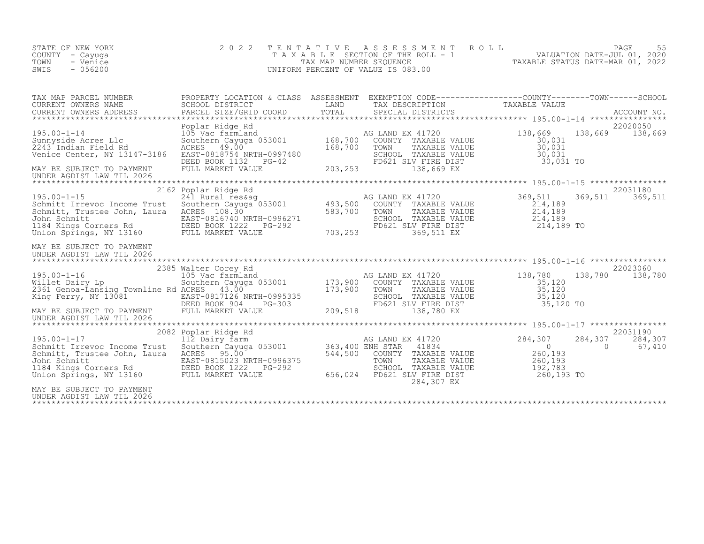| STATE OF NEW YORK<br>COUNTY - Cayuga<br>- Venice<br>TOWN<br>SWIS<br>$-056200$                                                                                                          | 2 0 2 2                                                                                                                                                      |               | TENTATIVE ASSESSMENT ROLL<br>UNIFORM PERCENT OF VALUE IS 083.00                                                                         | PAGE<br>T A X A B L E SECTION OF THE ROLL - 1 (1997) VALUATION DATE-JUL 01, 2020<br>TAX MAP NUMBER SEQUENCE TAXABLE STATUS DATE-MAR 01, 2022<br>JNIFORM PERCENT OF VALUE IS 083.00 | 55                |
|----------------------------------------------------------------------------------------------------------------------------------------------------------------------------------------|--------------------------------------------------------------------------------------------------------------------------------------------------------------|---------------|-----------------------------------------------------------------------------------------------------------------------------------------|------------------------------------------------------------------------------------------------------------------------------------------------------------------------------------|-------------------|
| TAX MAP PARCEL NUMBER<br>CURRENT OWNERS NAME<br>CURRENT OWNERS ADDRESS<br>$195.00 - 1 - 14$                                                                                            | SCHOOL DISTRICT<br>PARCEL SIZE/GRID COORD<br>Poplar Ridge Rd<br>Poplar Ridge Rd<br>105 Vac farmland<br>Southern Cayuga 053001 168,700<br>ACRES 49.00 168,700 | LAND<br>TOTAL | TAX DESCRIPTION TAXABLE VALUE<br>SPECIAL DISTRICTS<br>G LAND EX 41720<br>COUNTY TAXABLE VALUE 138,669<br>30,031<br>AG LAND EX 41720     | PROPERTY LOCATION & CLASS ASSESSMENT EXEMPTION CODE----------------COUNTY-------TOWN-----SCHOOL<br>22020050<br>138,669 138,669                                                     | ACCOUNT NO.       |
| Sunnyside Acres Llc<br>2243 Indian Field Rd<br>Venice Center, NY 13147-3186<br>MAY BE SUBJECT TO PAYMENT<br>UNDER AGDIST LAW TIL 2026                                                  | Southern 01, 07<br>RCRES 49.00<br>EAST-0818754 NRTH-0997480 SCHOOL<br>DEED BOOK 1132 PG-42 203, 253 FD621                                                    |               | TAXABLE VALUE<br>TOWN TAXABLE VALUE 50,031<br>SCHOOL TAXABLE VALUE 30,031<br>FD621 SLV FIRE DIST 30,031 TO<br>138.669 EX<br>138,669 EX  | 30,031                                                                                                                                                                             |                   |
| $195.00 - 1 - 15$<br>Schmitt Irrevoc Income Trust<br>Schmitt, Trustee John, Laura ACRES 108.30                                                                                         | 2162 Poplar Ridge Rd<br>241 Rural reskag<br>Southern Cayuga 053001 493,500                                                                                   | 583,700       | AG LAND EX 41720<br>COUNTY TAXABLE VALUE<br>TOWN<br>TAXABLE VALUE<br>SCHOOL TAXABLE VALUE<br>FD621 SLV FIRE DIST<br>369,511 EX          | 22031180<br>369,511<br>369,511<br>$\begin{array}{r} 214,189 \\ 214,189 \\ 214,189 \end{array}$<br>214,189 TO                                                                       | 369,511           |
| MAY BE SUBJECT TO PAYMENT<br>UNDER AGDIST LAW TIL 2026                                                                                                                                 |                                                                                                                                                              |               |                                                                                                                                         |                                                                                                                                                                                    |                   |
| Willet Dairy Lp.<br>2361 Genoa-Lansing Townline Rd ACRES<br>EAST-0817126 NRTH-0995335<br>MAY BE SUBJECT TO PAYMENT<br>INDEED BOOK 904 PG-303<br>UNDER AGDIST LAW TIL 2026              | 2385 Walter Corey Rd<br>Walter Corey Rd<br>105 Vac farmland<br>Southern Cayuga 053001 173,900<br>ACRES 43.00 173,900<br>RTH-0995335<br>PG-303<br>LUE 209,518 |               | AG LAND EX 41720<br>COUNTY TAXABLE VALUE<br>TOWN<br>TAXABLE VALUE<br>SCHOOL TAXABLE VALUE 35,120<br>FD621 SLV FIRE DIST<br>138,780 EX   | 22023060<br>138,780 138,780<br>35,120<br>35,120<br>35,120 TO                                                                                                                       | 138,780           |
| $195.00 - 1 - 17$<br>Schmitt Irrevoc Income Trust<br>Schmitt, Trustee John, Laura<br>John Schmitt<br>1184 Kings Corners Rd BEED BOOK 1222<br>Union Springs, NY 13160 FULL MARKET VALUE | 2082 Poplar Ridge Rd<br>112 Dairy farm<br>Southern Cayuga 053001 363,400 ENH STAR<br>ACRES 95.00 544,500 COUNTY<br>EAST-0815023 NRTH-0996375<br>PG-292       | 656,024       | AG LAND EX 41720<br>41834<br>COUNTY TAXABLE VALUE<br>TOWN<br>TAXABLE VALUE<br>SCHOOL TAXABLE VALUE<br>FD621 SLV FIRE DIST<br>284,307 EX | 22031190<br>284,307<br>284,307<br>$\begin{array}{c} 0 \\ 260,193 \end{array}$<br>$\bigcirc$<br>260,193<br>192,783<br>260,193 TO                                                    | 284,307<br>67,410 |
| MAY BE SUBJECT TO PAYMENT<br>UNDER AGDIST LAW TIL 2026                                                                                                                                 |                                                                                                                                                              |               |                                                                                                                                         |                                                                                                                                                                                    |                   |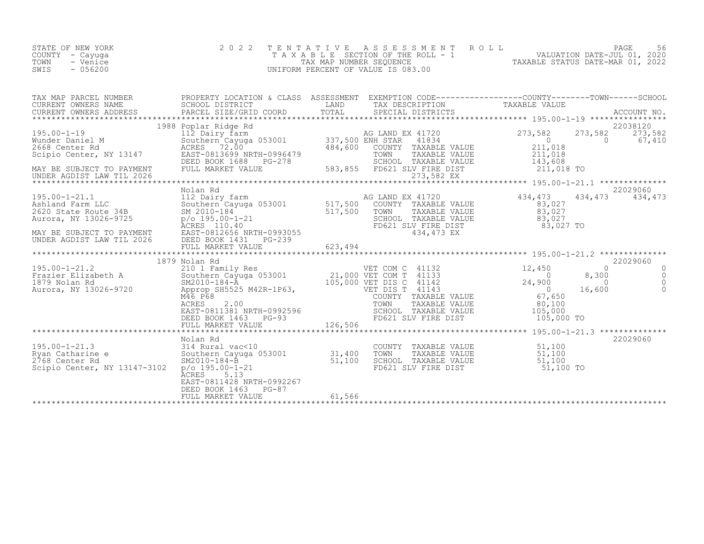| STATE OF NEW YORK<br>COUNTY - Cayuqa<br>TOWN<br>- Venice<br>$-056200$<br>SWIS | 2022 TENTATIVE ASSESSMENT ROLL<br>TAXABLE SECTION OF THE ROLL - 1<br>TAX MAP NUMBER SEQUENCE<br>UNIFORM PERCENT OF VALUE IS 083.00 | 56<br>PAGE<br>VALUATION DATE-JUL 01, 2020<br>TAXABLE STATUS DATE-MAR 01, 2022 |
|-------------------------------------------------------------------------------|------------------------------------------------------------------------------------------------------------------------------------|-------------------------------------------------------------------------------|
|-------------------------------------------------------------------------------|------------------------------------------------------------------------------------------------------------------------------------|-------------------------------------------------------------------------------|

| TAX MAP PARCEL NUMBER                                                                                                                                                                                                                                | PROPERTY LOCATION & CLASS ASSESSMENT EXEMPTION CODE-----------------COUNTY-------TOWN------SCHOOL |        |  |          |
|------------------------------------------------------------------------------------------------------------------------------------------------------------------------------------------------------------------------------------------------------|---------------------------------------------------------------------------------------------------|--------|--|----------|
|                                                                                                                                                                                                                                                      |                                                                                                   |        |  |          |
|                                                                                                                                                                                                                                                      |                                                                                                   |        |  |          |
|                                                                                                                                                                                                                                                      |                                                                                                   |        |  |          |
|                                                                                                                                                                                                                                                      |                                                                                                   |        |  |          |
|                                                                                                                                                                                                                                                      |                                                                                                   |        |  |          |
|                                                                                                                                                                                                                                                      |                                                                                                   |        |  |          |
|                                                                                                                                                                                                                                                      |                                                                                                   |        |  |          |
|                                                                                                                                                                                                                                                      |                                                                                                   |        |  |          |
|                                                                                                                                                                                                                                                      |                                                                                                   |        |  |          |
|                                                                                                                                                                                                                                                      | Nolan Rd                                                                                          |        |  | 22029060 |
|                                                                                                                                                                                                                                                      |                                                                                                   |        |  |          |
|                                                                                                                                                                                                                                                      |                                                                                                   |        |  |          |
|                                                                                                                                                                                                                                                      |                                                                                                   |        |  |          |
|                                                                                                                                                                                                                                                      |                                                                                                   |        |  |          |
|                                                                                                                                                                                                                                                      |                                                                                                   |        |  |          |
|                                                                                                                                                                                                                                                      |                                                                                                   |        |  |          |
|                                                                                                                                                                                                                                                      |                                                                                                   |        |  |          |
|                                                                                                                                                                                                                                                      |                                                                                                   |        |  |          |
|                                                                                                                                                                                                                                                      |                                                                                                   |        |  |          |
|                                                                                                                                                                                                                                                      |                                                                                                   |        |  |          |
|                                                                                                                                                                                                                                                      |                                                                                                   |        |  |          |
|                                                                                                                                                                                                                                                      |                                                                                                   |        |  |          |
|                                                                                                                                                                                                                                                      |                                                                                                   |        |  |          |
|                                                                                                                                                                                                                                                      |                                                                                                   |        |  |          |
|                                                                                                                                                                                                                                                      |                                                                                                   |        |  |          |
|                                                                                                                                                                                                                                                      | Nolan Rd                                                                                          |        |  | 22029060 |
|                                                                                                                                                                                                                                                      |                                                                                                   |        |  |          |
|                                                                                                                                                                                                                                                      |                                                                                                   |        |  |          |
| 195.00-1-21.3<br>Notali Nu (195.00-1-21.3<br>Notali Nural vac<10<br>Southern Cayuga 053001<br>SM2010-184-B<br>SM2010-184-B<br>SM2010-184-B<br>SM2010-184-B<br>SM2010-184-B<br>ST,100 SCHOOL TAXABLE VALUE<br>ST,100 SCHOOL TAXABLE VALUE<br>ST,100 5 |                                                                                                   |        |  |          |
|                                                                                                                                                                                                                                                      | ĀCRES<br>5.13                                                                                     |        |  |          |
|                                                                                                                                                                                                                                                      | EAST-0811428 NRTH-0992267<br>DEED BOOK 1463 PG-87                                                 |        |  |          |
|                                                                                                                                                                                                                                                      | FULL MARKET VALUE                                                                                 | 61,566 |  |          |
|                                                                                                                                                                                                                                                      |                                                                                                   |        |  |          |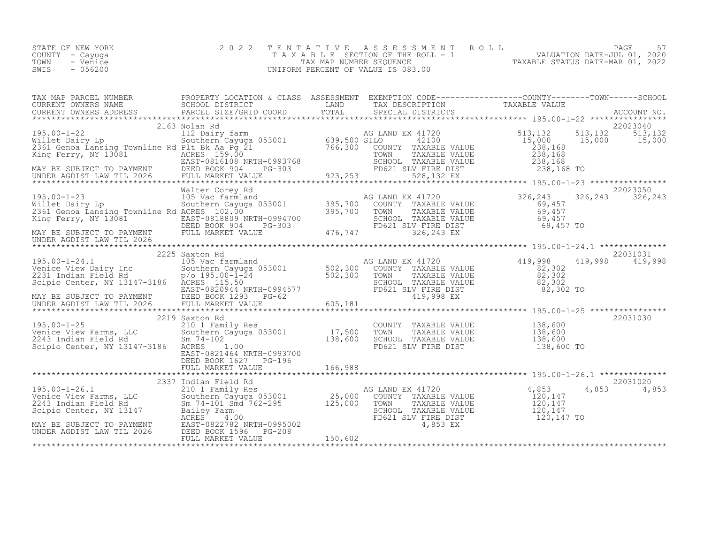| 2022 TENTATIVE ASSESSMENT ROLL<br>STATE OF NEW YORK                               | PAGE |  |
|-----------------------------------------------------------------------------------|------|--|
| VALUATION DATE-JUL 01, 2020<br>TAXABLE SECTION OF THE ROLL - 1<br>COUNTY – Cayuga |      |  |
| TAXABLE STATUS DATE-MAR 01, 2022<br>TOWN<br>- Venice<br>TAX MAP NUMBER SEQUENCE   |      |  |
| $-056200$<br>SWIS<br>UNIFORM PERCENT OF VALUE IS 083.00                           |      |  |

|                                                                                                                                                                                                                                                                                                                                                                                                                                   | 2163 Nolan Rd         |  | 22023040                      |
|-----------------------------------------------------------------------------------------------------------------------------------------------------------------------------------------------------------------------------------------------------------------------------------------------------------------------------------------------------------------------------------------------------------------------------------|-----------------------|--|-------------------------------|
| $\begin{tabular}{lllllllllllll} \textsc{195.00-1-23} & \textsc{Walter Corey Rd} & \textsc{Malter Corey Rd} & \textsc{Malter Corey Nd} & \textsc{Malter Corey Rd} & \textsc{Mamp\_200} & \textsc{Mamp\_200} & \textsc{Mamp\_200} & \textsc{Mamp\_200} & \textsc{Mamp\_200} & \textsc{Mamp\_200} & \textsc{Mamp\_200} & \textsc{Mamp\_200} & \textsc{Mamp\_200} & \textsc{Mamp\_200} & \textsc{Mamp\_200} & \textsc{Mamp\_200} & \$ |                       |  | 22023050<br>326, 243 326, 243 |
| $\begin{tabular}{lllllllllllllllllllll} \hline & & & & & & & 2225\text{ Saxton }\text{Rd} & & & & & \text{AG LAND EX 41720} & & & & & 22031031\\ \text{Venice View Dairy Inc && 105\text{ Vac farnland} & & & & & & \text{AG LAND EX 41720} & & & & 419,998 & & 419,998 & & 419,998 & & 419,998 & & 419,998\\ \text{Ze31 Indian Field Rd && p/o 195.00--1-24 && 502,300 && 502,300 && 5$                                          | 2225 Saxton Rd        |  | 22031031                      |
|                                                                                                                                                                                                                                                                                                                                                                                                                                   | DEED BOOK 1627 PG-196 |  | 22031030                      |
| $\begin{tabular}{lllllllllll} \multicolumn{3}{c c c c c} \multicolumn{3}{c c c c} \multicolumn{3}{c c c c} \multicolumn{3}{c c c} \multicolumn{3}{c c c} \multicolumn{3}{c c c} \multicolumn{3}{c c c} \multicolumn{3}{c c c} \multicolumn{3}{c c c} \multicolumn{3}{c c c} \multicolumn{3}{c c c} \multicolumn{3}{c c c} \multicolumn{3}{c c c} \multicolumn{3}{c c c} \multicolumn{3}{c c c} \multicolumn$                      |                       |  | 22031020<br>4,853 4,853       |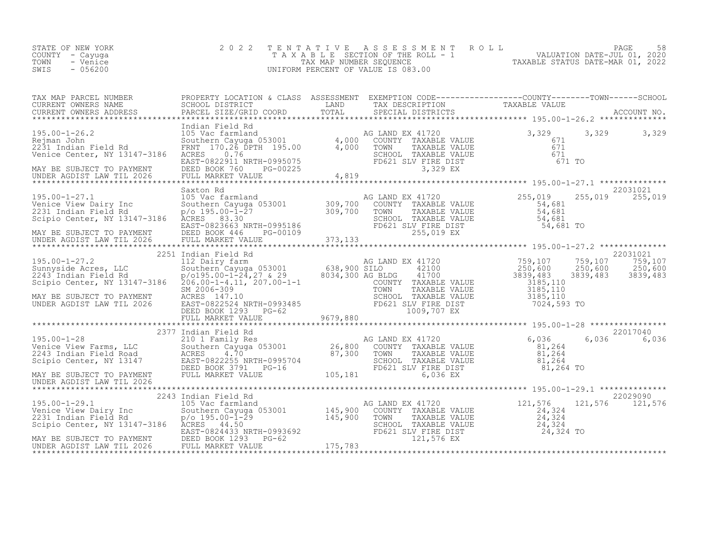| STATE OF NEW YORK<br>COUNTY - Cayuga<br>TOWN<br>- Venice<br>- 056200<br>SWIS | 2022 TENTATIVE ASSESSMENT ROLL<br>T A X A B L E SECTION OF THE ROLL - 1<br>TAX MAP NUMBER SEQUENCE<br>UNIFORM PERCENT OF VALUE IS 083.00 | 58<br>PAGE<br>VALUATION DATE-JUL 01, 2020<br>TAXABLE STATUS DATE-MAR 01, 2022 |
|------------------------------------------------------------------------------|------------------------------------------------------------------------------------------------------------------------------------------|-------------------------------------------------------------------------------|
|------------------------------------------------------------------------------|------------------------------------------------------------------------------------------------------------------------------------------|-------------------------------------------------------------------------------|

| TAX MAP PARCEL NUMBER<br>TAX MAP FAKULAR MUMBER AND FRUITING A CHASE AGAINST THE TAX ON THE TAXABLE VALUE<br>CURRENT OWNERS NAME SCHOOL DISTRICT TOTAL TRANSFERS TO TRANSFERS ADDRESS PARCEL SIZE/GRID COORD TOTAL SPECIAL DISTRICTS ACCOUNT NO.                                                                                                                      | PROPERTY LOCATION & CLASS ASSESSMENT EXEMPTION CODE----------------COUNTY-------TOWN-----SCHOOL                  |                                                                                                                                                                                                                                                                                                        |                   |
|-----------------------------------------------------------------------------------------------------------------------------------------------------------------------------------------------------------------------------------------------------------------------------------------------------------------------------------------------------------------------|------------------------------------------------------------------------------------------------------------------|--------------------------------------------------------------------------------------------------------------------------------------------------------------------------------------------------------------------------------------------------------------------------------------------------------|-------------------|
|                                                                                                                                                                                                                                                                                                                                                                       |                                                                                                                  |                                                                                                                                                                                                                                                                                                        |                   |
|                                                                                                                                                                                                                                                                                                                                                                       | Indian Field Rd                                                                                                  |                                                                                                                                                                                                                                                                                                        |                   |
|                                                                                                                                                                                                                                                                                                                                                                       |                                                                                                                  |                                                                                                                                                                                                                                                                                                        |                   |
|                                                                                                                                                                                                                                                                                                                                                                       |                                                                                                                  |                                                                                                                                                                                                                                                                                                        |                   |
|                                                                                                                                                                                                                                                                                                                                                                       |                                                                                                                  |                                                                                                                                                                                                                                                                                                        |                   |
|                                                                                                                                                                                                                                                                                                                                                                       |                                                                                                                  |                                                                                                                                                                                                                                                                                                        |                   |
|                                                                                                                                                                                                                                                                                                                                                                       |                                                                                                                  |                                                                                                                                                                                                                                                                                                        |                   |
|                                                                                                                                                                                                                                                                                                                                                                       |                                                                                                                  |                                                                                                                                                                                                                                                                                                        |                   |
|                                                                                                                                                                                                                                                                                                                                                                       | 105 Vac farmland<br>Southern Cayuga 053001 309,700 COUNTY<br>p/o 195.00-1-27 309,700 TOWN<br>ACRES 083.30 COUNTY |                                                                                                                                                                                                                                                                                                        | 22031021          |
| 195.00-1-27.1<br>Venice View Dairy Inc<br>2231 Indian Field Rd                                                                                                                                                                                                                                                                                                        |                                                                                                                  | AG LAND EX 41720                                                                                                                                                                                                                                                                                       | 255,019 255,019   |
|                                                                                                                                                                                                                                                                                                                                                                       |                                                                                                                  |                                                                                                                                                                                                                                                                                                        |                   |
| Scipio Center, NY 13147-3186 ACRES 83.30                                                                                                                                                                                                                                                                                                                              |                                                                                                                  |                                                                                                                                                                                                                                                                                                        |                   |
|                                                                                                                                                                                                                                                                                                                                                                       |                                                                                                                  | $\begin{tabular}{llllllll} \texttt{G LAND EX} & 41720 & 255,019 & 255\\ \texttt{COUNTY} & TAXABLE VALUE & 54,681\\ \texttt{TOWN} & TAXABLE VALUE & 54,681\\ \texttt{SCHOOL} & TAXABLE VALUE & 54,681\\ \texttt{FD621 SLV FIRE DIST} & 54,681 & 70\\ \texttt{255,019 EX} & 54,681 & 70\\ \end{tabular}$ |                   |
|                                                                                                                                                                                                                                                                                                                                                                       |                                                                                                                  |                                                                                                                                                                                                                                                                                                        |                   |
| Scipio Center, NY 13147-3186 ACRES 83.30<br>EAST-0823663 NRTH-0995186 FD621 SLV FIRE DIST 54,681 TO<br>MAY BE SUBJECT TO PAYMENT DEED BOOK 446 PG-00109 255,019 EX<br>UNDER AGDIST LAW TIL 2026 FULL MARKET VALUE 373,133<br>*********                                                                                                                                |                                                                                                                  |                                                                                                                                                                                                                                                                                                        |                   |
|                                                                                                                                                                                                                                                                                                                                                                       | 2251 Indian Field Rd                                                                                             |                                                                                                                                                                                                                                                                                                        |                   |
| 195.00-1-27.2<br>Sunnyside Acres, LLC<br>2243 Indian Field Rd                                                                                                                                                                                                                                                                                                         |                                                                                                                  |                                                                                                                                                                                                                                                                                                        |                   |
|                                                                                                                                                                                                                                                                                                                                                                       |                                                                                                                  |                                                                                                                                                                                                                                                                                                        |                   |
| Scipio Center, NY 13147-3186 206.00-1-4.11, 207.00-1-1                                                                                                                                                                                                                                                                                                                |                                                                                                                  |                                                                                                                                                                                                                                                                                                        |                   |
| MAY BE SUBJECT TO PAYMENT                                                                                                                                                                                                                                                                                                                                             |                                                                                                                  |                                                                                                                                                                                                                                                                                                        |                   |
| UNDER AGDIST LAW TIL 2026                                                                                                                                                                                                                                                                                                                                             |                                                                                                                  |                                                                                                                                                                                                                                                                                                        |                   |
|                                                                                                                                                                                                                                                                                                                                                                       |                                                                                                                  |                                                                                                                                                                                                                                                                                                        |                   |
|                                                                                                                                                                                                                                                                                                                                                                       |                                                                                                                  |                                                                                                                                                                                                                                                                                                        |                   |
|                                                                                                                                                                                                                                                                                                                                                                       | 2377 Indian Field Rd                                                                                             |                                                                                                                                                                                                                                                                                                        | 22017040<br>6,036 |
|                                                                                                                                                                                                                                                                                                                                                                       |                                                                                                                  |                                                                                                                                                                                                                                                                                                        |                   |
|                                                                                                                                                                                                                                                                                                                                                                       |                                                                                                                  |                                                                                                                                                                                                                                                                                                        |                   |
|                                                                                                                                                                                                                                                                                                                                                                       |                                                                                                                  |                                                                                                                                                                                                                                                                                                        |                   |
|                                                                                                                                                                                                                                                                                                                                                                       |                                                                                                                  |                                                                                                                                                                                                                                                                                                        |                   |
| UNDER AGDIST LAW TIL 2026                                                                                                                                                                                                                                                                                                                                             |                                                                                                                  |                                                                                                                                                                                                                                                                                                        |                   |
|                                                                                                                                                                                                                                                                                                                                                                       | 2243 Indian Field Rd                                                                                             |                                                                                                                                                                                                                                                                                                        | 22029090          |
|                                                                                                                                                                                                                                                                                                                                                                       |                                                                                                                  |                                                                                                                                                                                                                                                                                                        |                   |
|                                                                                                                                                                                                                                                                                                                                                                       |                                                                                                                  |                                                                                                                                                                                                                                                                                                        |                   |
|                                                                                                                                                                                                                                                                                                                                                                       |                                                                                                                  |                                                                                                                                                                                                                                                                                                        |                   |
|                                                                                                                                                                                                                                                                                                                                                                       |                                                                                                                  |                                                                                                                                                                                                                                                                                                        |                   |
|                                                                                                                                                                                                                                                                                                                                                                       |                                                                                                                  |                                                                                                                                                                                                                                                                                                        |                   |
| $\begin{array}{lllllllllllllll} 195.00-1-29.1 & 2243\; \text{Indian Field Rd} & \text{AG LAND EX 41720} & 121,576 & 121,576 & 22029090\\ \text{Venice View Dairy Inc} & 105\; \text{Voc farmland} & 145,900\; \text{COUNTY TAXABLE VALUE} & 24,324 & 24,324\\ \text{Scipio Center, NY 13147-3186} & 121,576 & 121,576 & 121,576\\ \text{Scipio Center, NY 13147-3186$ |                                                                                                                  |                                                                                                                                                                                                                                                                                                        |                   |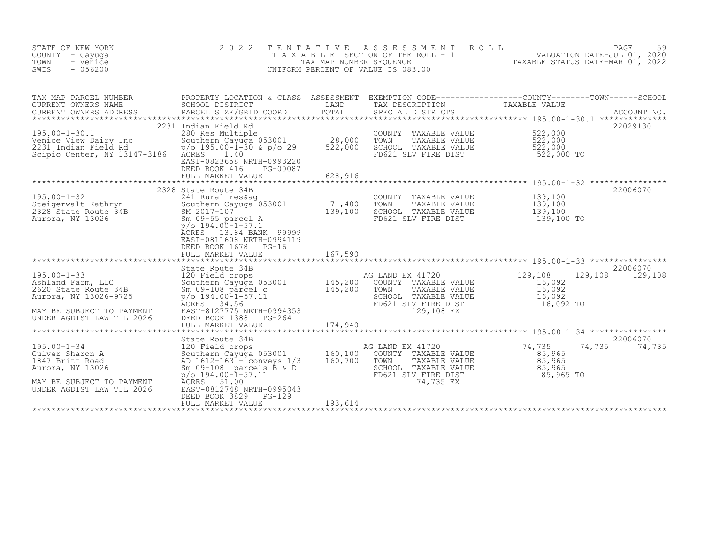| STATE OF NEW YORK<br>COUNTY - Cayuga<br>TOWN<br>- Venice<br>SWIS<br>$-056200$                                                                                                                                                                          | 2 0 2 2                                                                                                                                                                                                          |                   | TENTATIVE ASSESSMENT ROLL<br>UNIFORM PERCENT OF VALUE IS 083.00                                                                                                 | FAXABLE SECTION OF THE ROLL - 1<br>TAX MAP NUMBER SEQUENCE THE ROLL - 1<br>JNIFORM PERCENT OF VALUE IS 083.00 | PAGE<br>59    |
|--------------------------------------------------------------------------------------------------------------------------------------------------------------------------------------------------------------------------------------------------------|------------------------------------------------------------------------------------------------------------------------------------------------------------------------------------------------------------------|-------------------|-----------------------------------------------------------------------------------------------------------------------------------------------------------------|---------------------------------------------------------------------------------------------------------------|---------------|
|                                                                                                                                                                                                                                                        |                                                                                                                                                                                                                  |                   |                                                                                                                                                                 |                                                                                                               |               |
| 195.00-1-30.1<br>Venice View Dairy Inc<br>2231 Indian Field Rd<br>Scipio Center, NY 13147-3186 ACRES 1.40                                                                                                                                              | 2231 Indian Field Rd<br>280 Res Multiple<br>Southern Cayuga 053001 28,000<br>p/o 195.00-1-30 & p/o 29 522,000<br>aCRES 1 10<br>EAST-0823658 NRTH-0993220<br>DEED BOOK 416 PG-00087<br>FULL MARKET VALUE 628, 916 |                   | COUNTY TAXABLE VALUE 522,000<br>TOWN TAXABLE VALUE 522,000<br>SCHOOL TAXABLE VALUE 522,000<br>FD621 SLV FIRE DIST 522,000 TO                                    |                                                                                                               | 22029130      |
|                                                                                                                                                                                                                                                        | 2328 State Route 34B                                                                                                                                                                                             |                   |                                                                                                                                                                 |                                                                                                               | 22006070      |
| 195.00-1-32<br>Steigerwalt Kathryn<br>2328 State Route 34B<br>Aurora, NY 13026<br>2328 State Route 34B<br>2017-107<br>2328 State Route 34B<br>2017-107<br>2328 State Route 34B<br>2017-107<br>2328 State Route 34B<br>2017-107<br>2328 State Route 34B | $p$ /o 194.00-1-57.1<br>ACRES 13.84 BANK 99999<br>EAST-0811608 NRTH-0994119                                                                                                                                      |                   | COUNTY TAXABLE VALUE 139,100<br>TOWN TAXABLE VALUE 139,100<br>SCHOOL TAXABLE VALUE 139,100<br>FD621 SLV FIRE DIST 139,100 TO                                    |                                                                                                               |               |
|                                                                                                                                                                                                                                                        |                                                                                                                                                                                                                  |                   |                                                                                                                                                                 |                                                                                                               | 22006070      |
|                                                                                                                                                                                                                                                        |                                                                                                                                                                                                                  |                   |                                                                                                                                                                 | 129,108                                                                                                       | 129,108       |
|                                                                                                                                                                                                                                                        |                                                                                                                                                                                                                  |                   |                                                                                                                                                                 |                                                                                                               |               |
|                                                                                                                                                                                                                                                        | State Route 34B                                                                                                                                                                                                  |                   |                                                                                                                                                                 |                                                                                                               | 22006070      |
| Aurora, NY 13026<br>MAY BE SUBJECT TO PAYMENT<br>UNDER AGDIST LAW TIL 2026                                                                                                                                                                             | Sm $09-108$ parcels B & D<br>$p$ /o 194.00-l-57.11<br>ACRES 51.00<br>EAST-0812748 NRTH-0995043                                                                                                                   | SCHOOL<br>FD621 S | COUNTY TAXABLE VALUE<br>TOWN TAXABLE VALUE 85,965<br>SCHOOL TAXABLE VALUE 85,965<br>FD621 SLV_FIRE_DIST 85,965 TO<br>FD621 SLV_FIRE_DIST 85,965 TO<br>74,735 EX | 74,735                                                                                                        | 74,735 74,735 |
|                                                                                                                                                                                                                                                        | DEED BOOK 3829 PG-129<br>FULL MARKET VALUE                                                                                                                                                                       | 193,614           |                                                                                                                                                                 |                                                                                                               |               |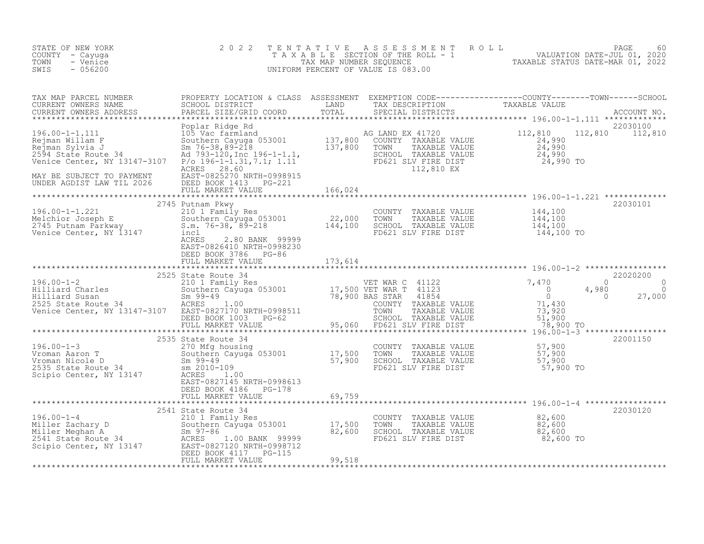| STATE OF NEW YORK<br>COUNTY - Cayuga<br>TOWN<br>- Venice<br>$-056200$<br>SWIS                                                                                                                                                                            | 2 0 2 2                                                                     | TENTATIVE                   | UNIFORM PERCENT OF VALUE IS 083.00                                                                                         | T E N T A T I V E A S S E S S M E N T R O L L<br>T A X A B L E SECTION OF THE ROLL - 1<br>TAX MAP NUMBER SEQUENCE<br>TAXABLE STATUS DATE-MAR 01, 2022<br>TAXABLE STATUS DATE-MAR 01, 2022                                               |  |
|----------------------------------------------------------------------------------------------------------------------------------------------------------------------------------------------------------------------------------------------------------|-----------------------------------------------------------------------------|-----------------------------|----------------------------------------------------------------------------------------------------------------------------|-----------------------------------------------------------------------------------------------------------------------------------------------------------------------------------------------------------------------------------------|--|
| TAX MAP PARCEL NUMBER<br>CURRENT OWNERS NAME<br>CURRENT OWNERS ADDRESS<br>*************************************                                                                                                                                          |                                                                             |                             |                                                                                                                            | PROPERTY LOCATION & CLASS ASSESSMENT EXEMPTION CODE-----------------COUNTY---------TOWN------SCHOOL<br>SCHOOL DISTRICT LAND TAX DESCRIPTION TAXABLE VALUE<br>PARCEL SIZE/GRID COORD TOTAL SPECIAL DISTRICTS ACCOUNT NO.<br>************ |  |
| 196.00-1-1.111<br>Rejman Willam F<br>Rejman Sylvia J<br>Rejman Sylvia J<br>Southern Cayuga 053001<br>Southern Cayuga 053001<br>24,990<br>24,990<br>24,990<br>24,990<br>24,990<br>MAY BE SUBJECT TO PAYMENT<br>MAY BE SUBJECT TO PAYMENT<br>ELECT TO PAYM | Poplar Ridge Rd                                                             |                             |                                                                                                                            | 22030100<br>112,810 112,810                                                                                                                                                                                                             |  |
| UNDER AGDIST LAW TIL 2026                                                                                                                                                                                                                                | DEED BOOK 1413 PG-221<br>PLED BOOK 1413 PG-221<br>FULL MARKET VALUE 166,024 |                             |                                                                                                                            |                                                                                                                                                                                                                                         |  |
| 2/45 Putnam PKWy<br>210 1 Family Res<br>210 1 Family Res<br>22,000 TOWN TAXABLE VALUE<br>2745 Putnam Parkway<br>2745 Putnam Parkway<br>2745 Southern Cayuga 053001<br>22,000 TOWN TAXABLE VALUE<br>22,000 TOWN TAXABLE VALUE<br>22,000 TOWN TAXA         | 2745 Putnam Pkwy<br>ACRES<br>2.80 BANK 99999                                |                             |                                                                                                                            | 22030101                                                                                                                                                                                                                                |  |
|                                                                                                                                                                                                                                                          | EAST-0826410 NRTH-0998230<br>DEED BOOK 3786 PG-86<br>FULL MARKET VALUE      | 173,614<br>**************** |                                                                                                                            |                                                                                                                                                                                                                                         |  |
|                                                                                                                                                                                                                                                          | 2525 State Route 34                                                         |                             |                                                                                                                            | 22020200                                                                                                                                                                                                                                |  |
|                                                                                                                                                                                                                                                          |                                                                             |                             |                                                                                                                            | 22001150                                                                                                                                                                                                                                |  |
| 196.00-1-3<br>Vroman Aaron T<br>196.00-1-3<br>270 Mfg housing<br>270 Mfg housing<br>270 Mfg housing<br>270 Mfg housing<br>270 Mfg housing<br>270 Mfg housing<br>270 Mfg housing<br>270 Mfg housing<br>270 Mfg housing<br>270 Mfg housing<br>270 Mfg hous |                                                                             |                             | COUNTY TAXABLE VALUE $57,900$<br>TOWN TAXABLE VALUE 57,900<br>SCHOOL TAXABLE VALUE 57,900<br>FD621 SLV FIRE DIST 57,900 TO |                                                                                                                                                                                                                                         |  |
|                                                                                                                                                                                                                                                          | DEED BOOK 4186 PG-178<br>FULL MARKET VALUE                                  | 69,759                      |                                                                                                                            |                                                                                                                                                                                                                                         |  |
| 2541 State Route 34<br>2541 State Route 34<br>210 1 Family Res<br>210 1 Family Res<br>2541 State Route 34<br>2541 State Route 34<br>2541 State Route 34<br>2541 State Route 34<br>2541 State Route 34<br>2541 State Route 34<br>2541 State Route 3       | 2541 State Route 34<br>DEED BOOK 4117 PG-115<br>FULL MARKET VALUE           | 99,518                      |                                                                                                                            | 22030120                                                                                                                                                                                                                                |  |
|                                                                                                                                                                                                                                                          |                                                                             |                             |                                                                                                                            |                                                                                                                                                                                                                                         |  |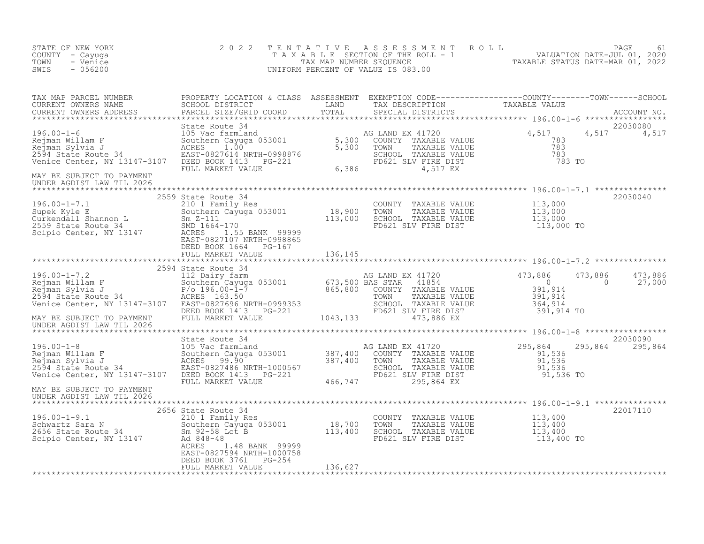| STATE OF NEW YORK<br>COUNTY - Cayuga<br>TOWN<br>- Venice<br>$-056200$<br>SWIS                                                                                        | 2 0 2 2                                                                                                                                                                                                                                                | TENTATIVE | UNIFORM PERCENT OF VALUE IS 083.00                                                                                                                                    | FAXABLE SECTION OF THE ROLL 5 AND MALUATION DATE-JUL 01, 2020<br>TAXABLE SECTION OF THE ROLL - 1<br>INIFORM PERCENT OF VALUE IS 083.00 |                             |
|----------------------------------------------------------------------------------------------------------------------------------------------------------------------|--------------------------------------------------------------------------------------------------------------------------------------------------------------------------------------------------------------------------------------------------------|-----------|-----------------------------------------------------------------------------------------------------------------------------------------------------------------------|----------------------------------------------------------------------------------------------------------------------------------------|-----------------------------|
| TAX MAP PARCEL NUMBER<br>CURRENT OWNERS NAME<br>CURRENT OWNERS ADDRESS                                                                                               | PROPERTY LOCATION & CLASS ASSESSMENT EXEMPTION CODE-----------------COUNTY--------TOWN------SCHOOL<br>SCHOOL DISTRICT LAND TAX DESCRIPTION TAXABLE VALUE<br>PARCEL SIZE/GRID COORD TOTAL SPECIAL DISTRICTS<br>State Route 34                           |           |                                                                                                                                                                       |                                                                                                                                        | 22030080                    |
| ->o.ou-1-6<br>Rejman Willam F<br>Rejman Sylvia J<br>2594 State Route 34<br>Venice Center, NY 13147 2111                                                              | 3105 Vac farmland<br>105 Vac farmland<br>Southern Cayuga 053001 5,300 COUNTY TAXABLE VALUE<br>SCRES 1.00 5,300 TOWN TAXABLE VALUE 783<br>EAST-0827614 NRTH-0998876 5,300 TOWN TAXABLE VALUE 783<br>DEED BOOK 1413 PG-221 6,386 FD621 SLV               |           |                                                                                                                                                                       |                                                                                                                                        | 4,517 4,517                 |
| MAY BE SUBJECT TO PAYMENT<br>UNDER AGDIST LAW TIL 2026                                                                                                               |                                                                                                                                                                                                                                                        |           |                                                                                                                                                                       |                                                                                                                                        |                             |
| 196.00-1-7.1<br>Supek Kyle E<br>Curkendall Shannon L<br>2559 State Route 34<br>Scipio Center, NY 13147                                                               | 2559 State Route 34<br>ACRES 1.55 BANK 99999<br>EAST-0827107 NRTH-0998865                                                                                                                                                                              |           |                                                                                                                                                                       |                                                                                                                                        | 22030040                    |
|                                                                                                                                                                      | DEED BOOK 1664 PG-167<br>FULL MARKET VALUE                                                                                                                                                                                                             | 136,145   |                                                                                                                                                                       |                                                                                                                                        |                             |
| ->0.00-1-7.2<br>Rejman Willam F<br>Rejman Sylvia J<br>2594 State Route 34<br>Venice Center Annual Corre<br>Venice Center, NY 13147-3107<br>MAY BE SUBJECT TO PAYMENT | 2594 State Route 34<br>State Route 34<br>112 Dairy farm and the Markov Mc Dairy of the Markov Mc Dairy of the Markov Mc Dairy of the Markov Mc Dairy of the Markov Mc Dairy of the Markov Mc Dairy of the Markov Mc Dairy (196.00-1-7 acres 163.50 and |           |                                                                                                                                                                       | 473,886<br>$\overline{0}$                                                                                                              | 473,886<br>27,000           |
| UNDER AGDIST LAW TIL 2026                                                                                                                                            |                                                                                                                                                                                                                                                        |           |                                                                                                                                                                       |                                                                                                                                        |                             |
| 196.00-1-8<br>Rejman Willam F<br>Rejman Sylvia J<br>2594 State Route 34<br>Venice Center Nuver 1011-11<br>Venice Center, NY 13147-3107                               | State Route 34                                                                                                                                                                                                                                         |           | COUNTY TAXABLE VALUE<br>COUNTY TAXABLE VALUE<br>TOWN TAXABLE VALUE<br>SCHOOL TAXABLE VALUE<br>SCHOOL TAXABLE VALUE<br>FD621 SLV FIRE DIST<br>295,864 EX<br>295,864 EX |                                                                                                                                        | 22030090<br>295,864 295,864 |
| MAY BE SUBJECT TO PAYMENT<br>UNDER AGDIST LAW TIL 2026                                                                                                               |                                                                                                                                                                                                                                                        |           |                                                                                                                                                                       |                                                                                                                                        |                             |
| 2656 State Rout<br>Schwartz Sara N<br>2656 State Route 34<br>Scipio Center, NY 13147<br>2656 State Route 34<br>268486-48<br>26848-48<br>26848-48                     | 2656 State Route 34<br>210 1 Family Res<br>2010 1 Family Res<br>50uthern Cayuga 053001 18,700<br>Sm 92-58 Lot B 113,400<br>Ad 848-48 113,400<br>ACRES<br>1.48 BANK 99999<br>EAST-0827594 NRTH-1000758<br>DEED BOOK 3761 PG-254                         |           | COUNTY TAXABLE VALUE $113,400$<br>TOWN TAXABLE VALUE $113,400$<br>SCHOOL TAXABLE VALUE $113,400$<br>FD621 SLV FIRE DIST $113,400$ TO                                  |                                                                                                                                        | 22017110                    |
|                                                                                                                                                                      | FULL MARKET VALUE                                                                                                                                                                                                                                      | 136,627   |                                                                                                                                                                       |                                                                                                                                        |                             |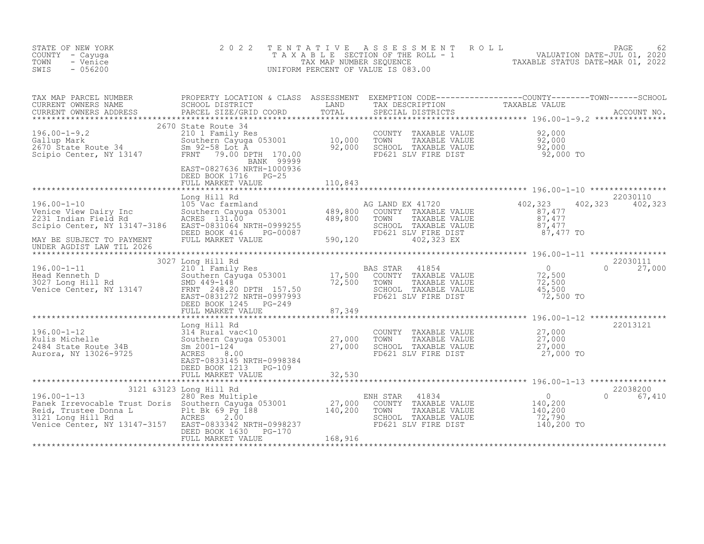| STATE OF NEW YORK<br>COUNTY - Cayuga<br>- Venice<br>TOWN<br>SWIS<br>$-056200$                                                                                                                                                                                                                                                                                                                                                         | 2 0 2 2                                                        | TENTATIVE | UNIFORM PERCENT OF VALUE IS 083.00                                                                                                                              | $\begin{tabular}{lllllllllllllllllllll} \multicolumn{4}{c }{\begin{tabular}{l} \multicolumn{4}{c}{\begin{tabular}{l} \multicolumn{4}{c}{\begin{tabular}{l} \multicolumn{4}{c}{\begin{tabular}{l} \multicolumn{4}{c}{\begin{tabular}{l} \multicolumn{4}{c}{\begin{tabular}{l} \multicolumn{4}{c}{\begin{tabular}{l} \multicolumn{4}{c}{\begin{tabular}{l} \multicolumn{4}{c}{\begin{tabular}{l} \multicolumn{4}{c}{\begin{tabular}{l} \multicolumn{4}{c}{\begin{tabular}{l} \multicolumn{4}{c}{\begin{tabular}{$ |  |
|---------------------------------------------------------------------------------------------------------------------------------------------------------------------------------------------------------------------------------------------------------------------------------------------------------------------------------------------------------------------------------------------------------------------------------------|----------------------------------------------------------------|-----------|-----------------------------------------------------------------------------------------------------------------------------------------------------------------|-----------------------------------------------------------------------------------------------------------------------------------------------------------------------------------------------------------------------------------------------------------------------------------------------------------------------------------------------------------------------------------------------------------------------------------------------------------------------------------------------------------------|--|
| TAX MAP PARCEL NUMBER<br>CURRENT OWNERS NAME<br>CURRENT OWNERS ADDRESS                                                                                                                                                                                                                                                                                                                                                                |                                                                |           |                                                                                                                                                                 | PROPERTY LOCATION & CLASS ASSESSMENT EXEMPTION CODE-----------------COUNTY--------TOWN------SCHOOL<br>SCHOOL DISTRICT LAND TAX DESCRIPTION TAXABLE VALUE<br>PARCEL SIZE/GRID COORD TOTAL SPECIAL DISTRICTS                                                                                                                                                                                                                                                                                                      |  |
| 2070 State Route 34<br>2070 State Routhern Cayuga 053001 10,000<br>2670 State Route 34 Southern Cayuga 053001 10,000<br>Sm 92-58 Lot A 92,000<br>Scipio Center, NY 13147 FRNT 79.00 DPTH 170.00                                                                                                                                                                                                                                       | 2670 State Route 34<br>BANK 99999<br>EAST-0827636 NRTH-1000936 |           | COUNTY TAXABLE VALUE $92,000$<br>TOWN TAXABLE VALUE $92,000$<br>SCHOOL TAXABLE VALUE $92,000$<br>FD621 SLV FIRE DIST $92,000$ TO                                |                                                                                                                                                                                                                                                                                                                                                                                                                                                                                                                 |  |
|                                                                                                                                                                                                                                                                                                                                                                                                                                       | DEED BOOK 1716 PG-25<br>FULL MARKET VALUE                      | 110,843   |                                                                                                                                                                 |                                                                                                                                                                                                                                                                                                                                                                                                                                                                                                                 |  |
| 196.00-1-10<br>196.00-1-10<br>105 Venice View Dairy Inc<br>2231 Indian Field Rd<br>2231 Indian Field Rd<br>2231 Indian Field Rd<br>2231 Indian Field Rd<br>2231 Indian Field Rd<br>2231 Indian Field Rd<br>2231 Indian Field Rd<br>2231 Indian Fie<br>UNDER AGDIST LAW TIL 2026                                                                                                                                                       | Long Hill Rd                                                   |           | AG LAND EX 41720<br>SCHOOL TAAADDD VIDLE<br>FD621 SLV FIRE DIST<br>A00 223 EX                                                                                   | 22030110<br>402, 323<br>402, 323 402, 323<br>$\begin{smallmatrix} 1 & 0 & 0 \\ 0 & 0 & 0 \\ 0 & 0 & 0 \\ 0 & 0 & 0 \\ 0 & 0 & 0 \\ 0 & 0 & 0 \\ 0 & 0 & 0 \\ 0 & 0 & 0 \\ 0 & 0 & 0 \\ 0 & 0 & 0 \\ 0 & 0 & 0 \\ 0 & 0 & 0 \\ 0 & 0 & 0 \\ 0 & 0 & 0 \\ 0 & 0 & 0 \\ 0 & 0 & 0 \\ 0 & 0 & 0 \\ 0 & 0 & 0 \\ 0 & 0 & 0 \\ 0 & 0 & 0 \\ 0 & 0 & 0 \\ 0 & 0 & 0 \\ 0 & 0 & 0 \\ 0 & 0 & $                                                                                                                          |  |
|                                                                                                                                                                                                                                                                                                                                                                                                                                       | 3027 Long Hill Rd                                              |           |                                                                                                                                                                 | 22030111                                                                                                                                                                                                                                                                                                                                                                                                                                                                                                        |  |
| $\begin{array}{lllllllllllll} 196.00-1-11 & 3027&\text{Long Hill Rd} & \text{BAS STAR} & 41854 \\\text{Head Kenneth D} & 2101 &\text{Family Res} & 17,500 & \text{COUNTY} & \text{TAXABLE VALUE} \\ 3027 &\text{Long Hill Rd} & 5001 & 17,500 & \text{COUNTY} & \text{TAXABLE VALUE} \\ \text{Venice Center, NY} & 13147 & 248.20 DPTH & 157.50 & 72,500 & \text{TONIN} & \text{TAXABLE VALUE} \\ \text{Venice Center, NY} & 13147 &$ | DEED BOOK 1245 PG-249                                          |           | AS STAR 41854<br>COUNTY TAXABLE VALUE 72,500<br>TOWN TAXABLE VALUE 72,500<br>SCHOOL TAXABLE VALUE 45,500<br>45,500                                              | $0 \t 27,000$<br>72,500 TO                                                                                                                                                                                                                                                                                                                                                                                                                                                                                      |  |
|                                                                                                                                                                                                                                                                                                                                                                                                                                       | FULL MARKET VALUE                                              | 87,349    |                                                                                                                                                                 |                                                                                                                                                                                                                                                                                                                                                                                                                                                                                                                 |  |
| 196.00-1-12<br>Kulis Michelle<br>2484 State Route 34B<br>Aurora, NY 13026-9725                                                                                                                                                                                                                                                                                                                                                        | DEED BOOK 1213 PG-109<br>FULL MARKET VALUE                     | 32,530    | COUNTY TAXABLE VALUE $27,000$<br>TOWN TAXABLE VALUE $27,000$<br>SCHOOL TAXABLE VALUE $27,000$<br>FD621 SLV FIRE DIST $27,000$ TO                                | 22013121                                                                                                                                                                                                                                                                                                                                                                                                                                                                                                        |  |
|                                                                                                                                                                                                                                                                                                                                                                                                                                       |                                                                |           |                                                                                                                                                                 | 22038200                                                                                                                                                                                                                                                                                                                                                                                                                                                                                                        |  |
|                                                                                                                                                                                                                                                                                                                                                                                                                                       | DEED BOOK 1630 PG-170                                          |           | 41834<br>ENH STAR<br>COUNTY TAXABLE VALUE<br>TOWN<br>TAXABLE VALUE<br>SCHOOL TAXABLE VALUE<br>SCHOOL TAXABLE VALUE 6 72,790<br>FD621 SLV FIRE DIST 6 140,200 TO | $\begin{array}{c}0\\140,200\\140,200\end{array}$<br>0 67,410                                                                                                                                                                                                                                                                                                                                                                                                                                                    |  |
|                                                                                                                                                                                                                                                                                                                                                                                                                                       | FULL MARKET VALUE                                              | 168,916   |                                                                                                                                                                 |                                                                                                                                                                                                                                                                                                                                                                                                                                                                                                                 |  |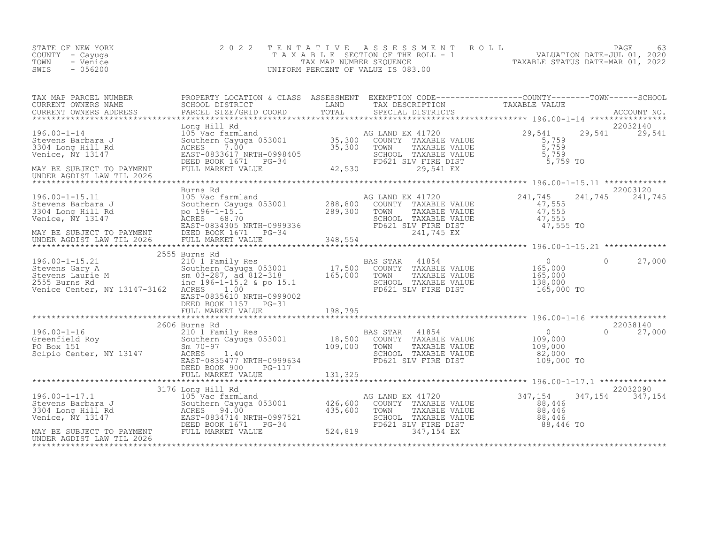| STATE OF NEW YORK<br>COUNTY - Cayuga<br>TOWN<br>- Venice<br>SWIS<br>$-056200$                                                                                                                                                                                     | 2 0 2 2                                                                                                                                                                                                           |                                      | UNIFORM PERCENT OF VALUE IS 083.00                                                                                                                  | TENTATIVE ASSESSMENT ROLL PACE 63<br>TAXABLE SECTION OF THE ROLL - 1 VALUATION DATE-JUL 01, 2020<br>TAXABLE STATUS DATE-MAR 01, 2022<br>INTEORM DEROFNT OF VALUE TS 083 00 |         |
|-------------------------------------------------------------------------------------------------------------------------------------------------------------------------------------------------------------------------------------------------------------------|-------------------------------------------------------------------------------------------------------------------------------------------------------------------------------------------------------------------|--------------------------------------|-----------------------------------------------------------------------------------------------------------------------------------------------------|----------------------------------------------------------------------------------------------------------------------------------------------------------------------------|---------|
| TAX MAP PARCEL NUMBER<br>CURRENT OWNERS NAME<br>CURRENT OWNERS ADDRESS                                                                                                                                                                                            |                                                                                                                                                                                                                   |                                      |                                                                                                                                                     | PROPERTY LOCATION & CLASS ASSESSMENT EXEMPTION CODE------------------COUNTY--------TOWN------SCHOOL SCHOOL DISTRICT LAND TAX DESCRIPTION TAXABLE VALUE ACCOUNT NO.         |         |
| $196.00 - 1 - 14$<br>Stevens Barbara J<br>3304 Long Hill Rd<br>Venice, NY 13147<br>MAY BE SUBJECT TO PAYMENT<br>UNDER AGDIST LAW TIL 2026                                                                                                                         | Long Hill Rd<br>Long Hill Kd<br>105 Vac farmland<br>Southern Cayuga 053001 35,300 COUN<br>RCRES 7.00 35,300 TOWN<br>EAST-0833617 NRTH-0998405 35,300 TOWN<br>DEED BOOK 1671 PG-34 42,530 FULL MARKET VALUE 42,530 |                                      | AG LAND EX 41720<br>COUNTY TAXABLE VALUE<br>TAXABLE VALUE<br>TOWN<br>TOWN TAXABLE VALUE<br>SCHOOL TAXABLE VALUE<br>FD621 SLV FIRE DIST<br>29,541 EX | 22032140<br>29,541<br>29,541 29,541<br>5,759<br>5,759<br>5,759<br>5,759 TO                                                                                                 |         |
| 196.00-1-15.11<br>Stevens Barbara J<br>3304 Long Hill Rd<br>Venice, NY 13147<br>MAY BE SUBJECT TO PAYMENT                                                                                                                                                         | Burns Rd<br>105 Vac farmland<br>Southern Cayuga 053001<br>po 196-1-15.1<br>ACRES 68.70<br>EAST-0834305 NRTH-0999336<br>FD621 SLV FIRE DIST<br>PERS ROOK 1671 PG-34<br>PERS ROOK 1671 PG-34                        |                                      | TAXABLE VALUE<br>SCHOOL TAXABLE VALUE<br>FD621 SLV FIRE DIST<br>241.745 EX                                                                          | 22003120<br>241,745<br>241,745<br>$\begin{array}{r} 47,555 \\ 47,555 \\ 47,555 \end{array}$<br>47,555 TO                                                                   | 241,745 |
| UNDER AGDIST LAW TIL 2026                                                                                                                                                                                                                                         | FULL MARKET VALUE                                                                                                                                                                                                 | 348,554                              |                                                                                                                                                     |                                                                                                                                                                            |         |
| 196.00-1-15.21<br>Stevens Gary A<br>Stevens Laurie M<br>Stevens Laurie M<br>2555 Burns Rd<br>2555 Burns Rd<br>2555 Burns Rd<br>2555 Burns Rd<br>2555 Burns Rd<br>2555 Burns Rd<br>2555 Burns Rd<br>2555 Burns Rd<br>2555 Burns Rd<br>2555 Burns Rd<br>2555        | 2555 Burns Rd<br>EAST-0835610 NRTH-0999002<br>DEED BOOK 1157 PG-31                                                                                                                                                |                                      |                                                                                                                                                     | $\overline{0}$<br>$\circ$<br>165,000<br>165,000<br>138,000<br>165,000 TO                                                                                                   | 27,000  |
|                                                                                                                                                                                                                                                                   | FULL MARKET VALUE                                                                                                                                                                                                 | 198,795                              |                                                                                                                                                     |                                                                                                                                                                            |         |
| 196.00-1-16<br>Greenfield Roy<br>PO Box 151<br>Scipio Center, NY 13147<br>$\begin{array}{r}2300 \text{ J} \text{ Family Res} \\ 210 \text{ l} \text{ Family Res} \\ 50 \text{ subterm} \text{ Cay} \text{ 0} \\ \text{Eq. 140} \\ 1.40 \\ R0.8008634 \end{array}$ | 2606 Burns Rd<br>EAST-0835477 NRTH-0999634<br>DEED BOOK 900 PG-117<br>FULL MARKET VALUE                                                                                                                           | $\frac{18,500}{109,000}$<br>131, 325 | 41854<br>BAS STAR<br>COUNTY TAXABLE VALUE<br>TOWN<br>TAXABLE VALUE<br>SCHOOL TAXABLE VALUE<br>FD621 SLV FIRE DIST                                   | 22038140<br>$\overline{0}$<br>$\Omega$<br>109,000<br>109,000<br>82,000<br>109,000 TO                                                                                       | 27,000  |
|                                                                                                                                                                                                                                                                   | ************************                                                                                                                                                                                          |                                      |                                                                                                                                                     |                                                                                                                                                                            |         |
| $196.00 - 1 - 17.1$<br>Stevens Barbara J<br>3304 Long Hill Rd<br>Venice, NY 13147                                                                                                                                                                                 | 3176 Long Hill Rd<br>105 Vac farmland<br>Southern Cayuga 053001 426,600<br>94.00<br>ACRES<br>EAST-0834714 NRTH-0997521<br>DEED BOOK 1671 PG-34                                                                    | 435,600                              | AG LAND EX 41720<br>COUNTY TAXABLE VALUE<br>TOWN<br>TAXABLE VALUE<br>SCHOOL TAXABLE VALUE<br>FD621 SLV FIRE DIST                                    | 22032090<br>347,154<br>347, 154 347, 154<br>88,446<br>88,446<br>88,446<br>88,446 TO                                                                                        |         |
| MAY BE SUBJECT TO PAYMENT<br>UNDER AGDIST LAW TIL 2026                                                                                                                                                                                                            | FULL MARKET VALUE                                                                                                                                                                                                 | 524,819                              | 347,154 EX                                                                                                                                          |                                                                                                                                                                            |         |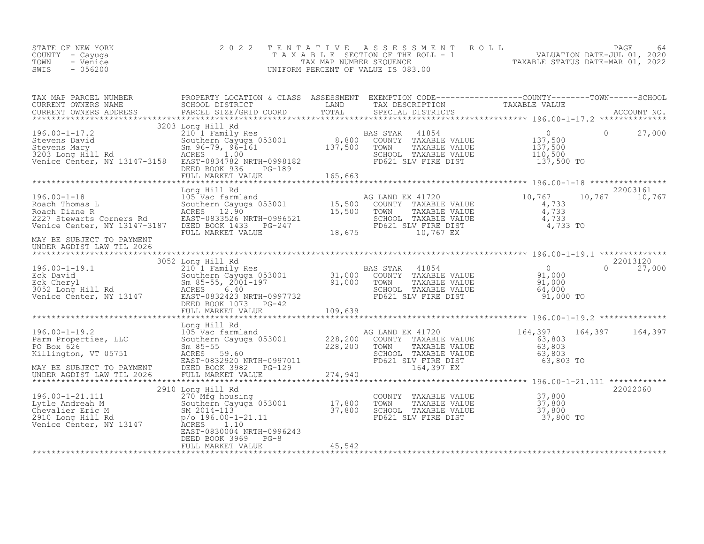| STATE OF NEW YORK<br>COUNTY - Cayuga<br>- Venice<br>TOWN<br>$-056200$<br>SWIS                                                                                                           | 2 0 2 2                                                                                                                                                                                                                               | TENTATIVE          | $\begin{tabular}{lllllllllllllllllll} $\textsc{n} & \textsc{n} & \textsc{n} & \textsc{n} & \textsc{n} & \textsc{n} & \textsc{n} & \textsc{n} & \textsc{n} & \textsc{n} & \textsc{n} & \textsc{n} & \textsc{n} & \textsc{n} & \textsc{n} & \textsc{n} & \textsc{n} & \textsc{n} & \textsc{n} & \textsc{n} & \textsc{n} & \textsc{n} & \textsc{n} & \textsc{n} & \textsc{n} & \textsc{n} & \textsc{n} & \textsc{n} & \textsc{n} & \textsc{n} & \textsc{n} & \textsc{n} & \textsc{n} & \textsc{n} &$<br>UNIFORM PERCENT OF VALUE IS 083.00 |                                                                      |          |                    |
|-----------------------------------------------------------------------------------------------------------------------------------------------------------------------------------------|---------------------------------------------------------------------------------------------------------------------------------------------------------------------------------------------------------------------------------------|--------------------|-----------------------------------------------------------------------------------------------------------------------------------------------------------------------------------------------------------------------------------------------------------------------------------------------------------------------------------------------------------------------------------------------------------------------------------------------------------------------------------------------------------------------------------------|----------------------------------------------------------------------|----------|--------------------|
| TAX MAP PARCEL NUMBER<br>CURRENT OWNERS NAME<br>CURRENT OWNERS ADDRESS                                                                                                                  | PROPERTY LOCATION & CLASS ASSESSMENT EXEMPTION CODE------------------COUNTY--------TOWN------SCHOOL<br>SCHOOL DISTRICT LAND TAX DESCRIPTION TAXABLE VALUE<br>PARCEL SIZE/GRID COORD TOTAL SPECIAL DISTRICTS                           |                    |                                                                                                                                                                                                                                                                                                                                                                                                                                                                                                                                         |                                                                      |          |                    |
| $196.00 - 1 - 17.2$<br>190.00-1-17.2<br>Stevens David<br>Stevens Mary<br>3203 Long Hill Rd<br>Menico Catter NW 10115 City<br>Venice Center, NY 13147-3158                               | 3203 Long Hill Rd<br>10019 HIII Kd<br>210 1 Family Res<br>Southern Cayuga 053001 8,800<br>Sm 96-79, 96-161 137,500<br>ACRES 1.00<br>EAST-0834782 NRTH-0998182<br>DEED BOOK 936 PG-189<br>DEED BOOK 936<br>PG-189<br>FULL MARKET VALUE | 165,663            | BAS STAR<br>41854<br>U US STAR 41854<br>COUNTY TAXABLE VALUE 137,500<br>TOWN TAXABLE VALUE 137,500<br>SCHOOL TAXABLE VALUE<br>FD621 SLV FIRE DIST                                                                                                                                                                                                                                                                                                                                                                                       | $\overline{0}$<br>110,500<br>137,500 TO                              | 0        | 27,000             |
|                                                                                                                                                                                         | Long Hill Rd                                                                                                                                                                                                                          |                    |                                                                                                                                                                                                                                                                                                                                                                                                                                                                                                                                         |                                                                      |          | 22003161           |
| $196.00 - 1 - 18$<br>Roach Thomas L<br>Roach Diane R<br>2227 Stewarts Corners Rd<br>Venice Center, NY 13147-3187                                                                        | Long HIII Kd<br>105 Vac farmland<br>Southern Cayuga 053001 15,500<br>ACRES 12.90 15,500<br>EAST-0833526 NRTH-0996521<br>DEED BOOK 1433  PG-247<br>FULL MARKET VALUE                                                                   | 18,675             | AG LAND EX 41720<br>COUNTY TAXABLE VALUE<br>TOWN<br>TAXABLE VALUE<br>SCHOOL TAXABLE VALUE<br>FD621 SLV FIRE DIST<br>10,767 EX                                                                                                                                                                                                                                                                                                                                                                                                           | 10,767<br>4,733<br>4,733<br>4,733<br>4,733 TO                        | 10,767   | 10,767             |
| MAY BE SUBJECT TO PAYMENT<br>UNDER AGDIST LAW TIL 2026<br>*******************************                                                                                               |                                                                                                                                                                                                                                       |                    |                                                                                                                                                                                                                                                                                                                                                                                                                                                                                                                                         |                                                                      |          |                    |
|                                                                                                                                                                                         | 3052 Long Hill Rd<br><br>Long Hill Rd<br>210 1 Family Res<br>Southern Cayuga 053001 31,000 COUNTY TAXABLE VALUE Sm 85-55, 2001-197 91,000 TOWN TAXABLE VALUE ACRES<br>                                                                | 109,639            | TOWN TAXABLE VALUE<br>SCHOOL TAXABLE VALUE                                                                                                                                                                                                                                                                                                                                                                                                                                                                                              | $\bigcirc$<br>$91,000$<br>$91,000$<br>$64,000$<br>91,000 TO          | $\Omega$ | 22013120<br>27,000 |
|                                                                                                                                                                                         |                                                                                                                                                                                                                                       |                    |                                                                                                                                                                                                                                                                                                                                                                                                                                                                                                                                         |                                                                      |          |                    |
| 196.00-1-19.2<br>196.00-1-19.2<br>Comparties, LLC<br>Parm Properties, LLC<br>PO Box 626<br>PO Box 626<br>Killington, VT 05751<br>MAY BE SUBJECT TO PAYMENT<br>UNDER AGDIST LAW TIL 2026 | Long Hill Rd<br>105 Vac farmland<br>Southern Cayuga 053001 228,200<br>$Sm$ 85-55<br>ACRES 59.60<br>EAST-0832920 NRTH-0997011<br>DEED BOOK 3982 PG-129<br>FULL MARKET VALUE                                                            | 228,200<br>274,940 | AG LAND EX 41720<br>COUNTY TAXABLE VALUE<br>TOWN<br>TAXABLE VALUE<br>SCHOOL TAXABLE VALUE<br>FD621 SLV FIRE DIST<br>164,397 EX                                                                                                                                                                                                                                                                                                                                                                                                          | 164,397 164,397<br>63,803<br>63,803<br>63,803<br>63,803<br>63,803 TO |          | 164,397            |
|                                                                                                                                                                                         |                                                                                                                                                                                                                                       |                    |                                                                                                                                                                                                                                                                                                                                                                                                                                                                                                                                         |                                                                      |          |                    |
| 196.00-1-21.111 270 Mfg hous<br>Lytle Andreah M Southern Cay<br>Chevalier Eric M SM 2014-113<br>2910 Long Hill Rd p/o 196.00-1<br>Venice Center, NY 13147                               | 2910 Long Hill Rd<br>270 Mfg housing<br>270 Mfg housing<br>Southern Cayuga 053001 17,800<br>SM 2014-113 37,800<br>p/o 196.00-1-21.11 37,800<br>1.10<br>EAST-0830004 NRTH-0996243                                                      |                    | COUNTY TAXABLE VALUE 37,800<br>TOWN TAXABLE VALUE 37,800<br>SCHOOL TAXABLE VALUE 37,800<br>FD621 SLV FIBE DIST (1990)<br>FD621 SLV FIRE DIST                                                                                                                                                                                                                                                                                                                                                                                            | 37,800 TO                                                            |          | 22022060           |
|                                                                                                                                                                                         | DEED BOOK 3969<br>$PG-8$<br>FULL MARKET VALUE                                                                                                                                                                                         | 45,542             |                                                                                                                                                                                                                                                                                                                                                                                                                                                                                                                                         |                                                                      |          |                    |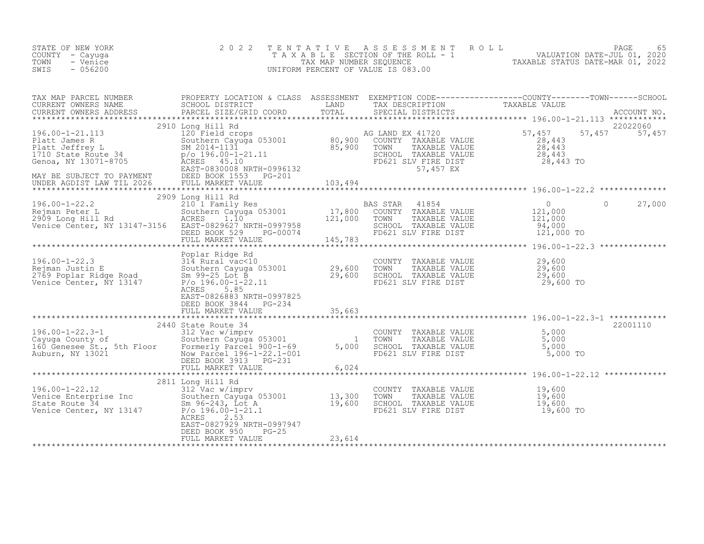| STATE OF NEW YORK<br>COUNTY – Cayuga<br>TOWN<br>- Venice<br>$-056200$<br>SWIS | 2022 TENTATIVE ASSESSMENT ROLL<br>TAXABLE SECTION OF THE ROLL - 1<br>TAX MAP NUMBER SEOUENCE<br>UNIFORM PERCENT OF VALUE IS 083.00 | TAXABLE STATUS DATE-MAR 01, 2022 | <b>PAGE</b><br>VALUATION DATE-JUL 01, 2020 | 65 |
|-------------------------------------------------------------------------------|------------------------------------------------------------------------------------------------------------------------------------|----------------------------------|--------------------------------------------|----|
|                                                                               |                                                                                                                                    |                                  |                                            |    |

| TAX MAP PARCEL NUMBER                                                                                                                                                                                                                                  |                                                                                          |        |                                                                                                                                  | PROPERTY LOCATION & CLASS ASSESSMENT EXEMPTION CODE----------------COUNTY-------TOWN------SCHOOL |                    |
|--------------------------------------------------------------------------------------------------------------------------------------------------------------------------------------------------------------------------------------------------------|------------------------------------------------------------------------------------------|--------|----------------------------------------------------------------------------------------------------------------------------------|--------------------------------------------------------------------------------------------------|--------------------|
|                                                                                                                                                                                                                                                        |                                                                                          |        |                                                                                                                                  |                                                                                                  |                    |
|                                                                                                                                                                                                                                                        |                                                                                          |        |                                                                                                                                  |                                                                                                  |                    |
|                                                                                                                                                                                                                                                        | 2910 Long Hill Rd                                                                        |        | SCHOOL TAXABLE VALUE<br>FD621 SLV FIRE DIST<br>57,457 EX 28,443 TO                                                               | 57, 457<br>28, 443<br>57,457<br>$\frac{28}{28}$ , 443                                            | 22022060<br>57,457 |
|                                                                                                                                                                                                                                                        |                                                                                          |        |                                                                                                                                  |                                                                                                  |                    |
| 196.00-1-22.2<br>2909 Long Hill Rd<br>2909 Long Hill Res<br>2001 Family Res<br>2001 Family Res<br>2001 Family Res<br>2003 Long Hill Rd<br>2003 Long Hill Rd<br>2003 Long Hill Rd<br>2003 Long Hill Rd<br>2003 Long Hill Rd<br>2003 Long Hill Rd<br>200 |                                                                                          |        |                                                                                                                                  |                                                                                                  |                    |
|                                                                                                                                                                                                                                                        |                                                                                          |        |                                                                                                                                  |                                                                                                  |                    |
| 196.00-1-22.3<br>196.00-1-22.3<br>Rejman Justin E<br>29,600 Southern Cayuga 053001<br>29,600 TOMNY TAXABLE VALUE<br>29,600 TOMNY TAXABLE VALUE<br>29,600 TOMNY TAXABLE VALUE<br>29,600 TOMNY COUNTY TAXABLE VALUE<br>29,600 TOMNY COUNTY TAXAB         | 5.85<br>ACRES<br>EAST-0826883 NRTH-0997825<br>DEED BOOK 3844 PG-234                      |        |                                                                                                                                  |                                                                                                  |                    |
|                                                                                                                                                                                                                                                        | FULL MARKET VALUE                                                                        | 35,663 |                                                                                                                                  |                                                                                                  |                    |
|                                                                                                                                                                                                                                                        |                                                                                          |        |                                                                                                                                  |                                                                                                  |                    |
| 196.00-1-22.3-1<br>Cayuga County of 312 Vac w/imprv<br>Southern Cayuga 053001 160 Genesee St., 5th Floor Formerly Parcel 900-1-69 5,000<br>Auburn, NY 13021 196-1-22.1-001<br>DEED BOOK 3913 PG-231<br>FULL MARKET VALUE 6.024                         | 2440 State Route 34<br>FULL MARKET VALUE                                                 | 6,024  | COUNTY TAXABLE VALUE 5,000<br>TOWN TAXABLE VALUE 5,000<br>SCHOOL TAXABLE VALUE 5,000<br>FD621 SLV FIRE DIST 5,000 TO             |                                                                                                  | 22001110           |
|                                                                                                                                                                                                                                                        |                                                                                          |        |                                                                                                                                  |                                                                                                  |                    |
| 196.00-1-22.12<br>Venice Enterprise Inc<br>State Route 34<br>Venice Center, NY 13147<br>Venice Center, NY 13147<br>Venice Center, NY 13147<br>P/O 196.00-1-21.1<br>P/O 196.00-1-21.1<br>P/O 196.00-1-21.1                                              | 2811 Long Hill Rd<br>ACRES 2.53<br>EAST-0827929 NRTH-0997947<br>DEED BOOK 950<br>$PG-25$ |        | COUNTY TAXABLE VALUE $19,600$<br>TOWN TAXABLE VALUE $19,600$<br>SCHOOL TAXABLE VALUE $19,600$<br>FD621 SLV FIRE DIST $19,600$ TO |                                                                                                  |                    |
|                                                                                                                                                                                                                                                        | FULL MARKET VALUE                                                                        | 23,614 |                                                                                                                                  |                                                                                                  |                    |
|                                                                                                                                                                                                                                                        |                                                                                          |        |                                                                                                                                  |                                                                                                  |                    |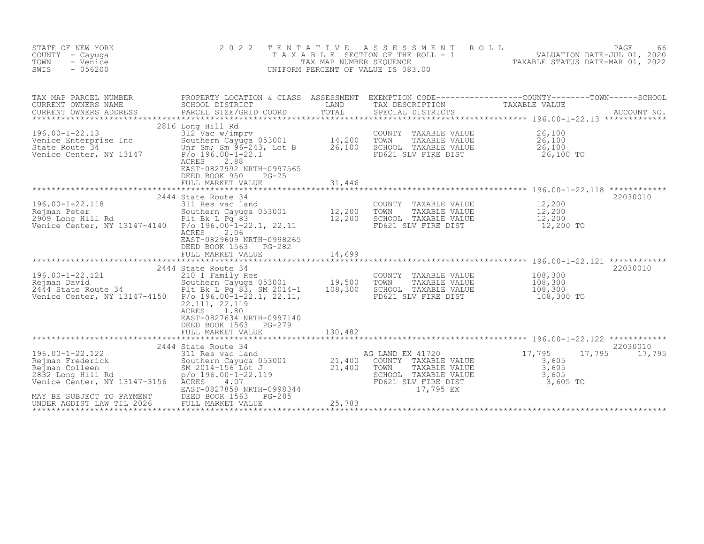| STATE OF NEW YORK<br>COUNTY<br>- Cayuga<br>TOWN<br>- Venice<br>SWIS<br>$-056200$                                  | 2 0 2 2                                                                                                                                                                                                                        | T E N T A T I V E<br>TAX MAP NUMBER SEQUENCE | A S S E S S M E N T<br>T A X A B L E SECTION OF THE ROLL - 1<br>UNIFORM PERCENT OF VALUE IS 083.00                            | 66 PAGE 66<br>VALUATION DATE-JUL 01, 2020<br>TAXABLE STATIIS DATE-MAD 61, 2020                                                  |
|-------------------------------------------------------------------------------------------------------------------|--------------------------------------------------------------------------------------------------------------------------------------------------------------------------------------------------------------------------------|----------------------------------------------|-------------------------------------------------------------------------------------------------------------------------------|---------------------------------------------------------------------------------------------------------------------------------|
| TAX MAP PARCEL NUMBER<br>CURRENT OWNERS NAME<br>CURRENT OWNERS ADDRESS<br>*************************               | SCHOOL DISTRICT<br>PARCEL SIZE/GRID COORD                                                                                                                                                                                      | LAND<br>TOTAL                                | TAX DESCRIPTION<br>SPECIAL DISTRICTS                                                                                          | PROPERTY LOCATION & CLASS ASSESSMENT EXEMPTION CODE----------------COUNTY-------TOWN-----SCHOOL<br>TAXABLE VALUE<br>ACCOUNT NO. |
| $196.00 - 1 - 22.13$<br>Venice Enterprise Inc<br>State Route 34<br>Venice Center, NY 13147                        | 2816 Long Hill Rd<br>312 Vac w/imprv<br>Southern Cayuga 053001 14,200<br>Unr Sm; Sm 96-243, Lot B<br>$P/O$ 196.00-1-22.1<br>2.88<br>ACRES<br>EAST-0827992 NRTH-0997565<br>DEED BOOK 950<br>$PG-25$<br>FULL MARKET VALUE        | 26,100<br>31,446                             | COUNTY<br>TAXABLE VALUE<br>TOWN<br>TAXABLE VALUE<br>SCHOOL TAXABLE VALUE<br>FD621 SLV FIRE DIST                               | 26,100<br>26,100<br>26,100<br>26,100 TO                                                                                         |
|                                                                                                                   |                                                                                                                                                                                                                                |                                              |                                                                                                                               | ************                                                                                                                    |
| 196.00-1-22.118<br>Rejman Peter<br>2909 Long Hill Rd<br>Venice Center, NY 13147-4140 P/o 196.00-1-22.1, 22.11     | 2444 State Route 34<br>311 Res vac land<br>Southern Cayuga 053001<br>Plt Bk L Pq 83<br>ACRES<br>2.06<br>EAST-0829609 NRTH-0998265<br>DEED BOOK 1563<br>PG-282                                                                  | 12,200<br>12,200                             | COUNTY TAXABLE VALUE<br>TOWN<br>TAXABLE VALUE<br>SCHOOL TAXABLE VALUE<br>FD621 SLV FIRE DIST                                  | 22030010<br>12,200<br>12,200<br>12,200<br>12,200 TO                                                                             |
|                                                                                                                   | FULL MARKET VALUE                                                                                                                                                                                                              | 14,699                                       |                                                                                                                               |                                                                                                                                 |
| 196.00-1-22.121<br>Rejman David<br>2444 State Route 34<br>Venice Center, NY 13147-4150  P/o 196.00-1-22.1, 22.11, | 2444 State Route 34<br>210 1 Family Res<br>Southern Cayuga 053001 19,500<br>Plt Bk L Pg 83, SM 2014-1 108,300<br>22.111, 22.119<br>1.80<br>ACRES<br>EAST-0827634 NRTH-0997140<br>DEED BOOK 1563<br>PG-279<br>FULL MARKET VALUE |                                              | COUNTY TAXABLE VALUE<br>TOWN<br>TAXABLE VALUE<br>SCHOOL TAXABLE VALUE<br>FD621 SLV FIRE DIST                                  | 22030010<br>108,300<br>108,300<br>108,300<br>108,300 TO                                                                         |
|                                                                                                                   |                                                                                                                                                                                                                                | 130,482                                      |                                                                                                                               |                                                                                                                                 |
| 196.00-1-22.122<br>Rejman Frederick<br>Rejman Colleen<br>2832 Long Hill Rd<br>Venice Center, NY 13147-3156 ACRES  | 2444 State Route 34<br>311 Res vac land<br>Southern Cayuga 053001<br>SM 2014-156 Lot J<br>$p$ /o 196.00-1-22.119<br>4.07<br>EAST-0827858 NRTH-0998344                                                                          | 21,400<br>21,400                             | AG LAND EX 41720<br>COUNTY TAXABLE VALUE<br>TAXABLE VALUE<br>TOWN<br>SCHOOL TAXABLE VALUE<br>FD621 SLV FIRE DIST<br>17,795 EX | 22030010<br>17,795<br>17,795<br>17,795<br>3,605<br>3,605<br>3,605<br>3,605 TO                                                   |
| MAY BE SUBJECT TO PAYMENT<br>UNDER AGDIST LAW TIL 2026                                                            | DEED BOOK 1563<br>PG-285<br>FULL MARKET VALUE                                                                                                                                                                                  | 25,783                                       |                                                                                                                               |                                                                                                                                 |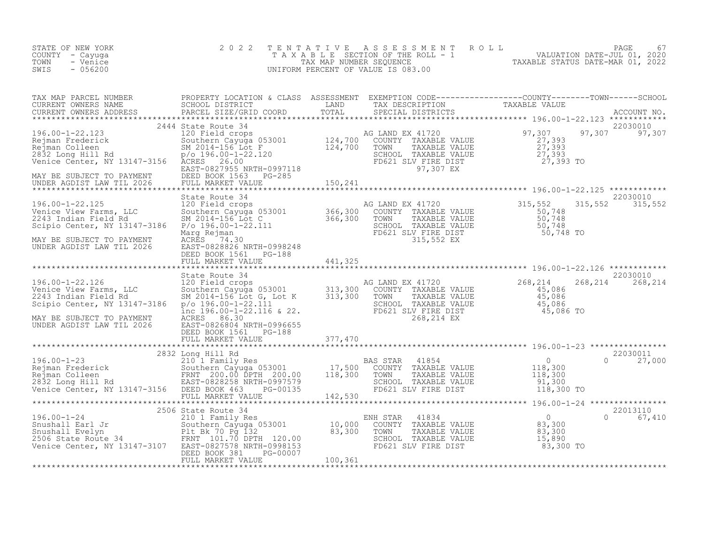| STATE OF NEW YORK<br>COUNTY - Cayuga<br>- Venice<br>TOWN<br>SWIS<br>$-056200$                                                                                                                                                                                                                                                                 | 2 0 2 2<br>TENTATIVE                                                                                                                                                                                                                                                                              |          | FENTATIVE ASSESSMENT ROLL MALUATION DATE-JUL 01, 2020<br>TAXABLE SECTION OF THE ROLL - 1 VALUATION DATE-JUL 01, 2020<br>TAXABLE STATUS DATE-MAR 01, 2022<br>JNIFORM PERCENT OF VALUE IS 083.00<br>UNIFORM PERCENT OF VALUE IS 083.00 |          |                               |
|-----------------------------------------------------------------------------------------------------------------------------------------------------------------------------------------------------------------------------------------------------------------------------------------------------------------------------------------------|---------------------------------------------------------------------------------------------------------------------------------------------------------------------------------------------------------------------------------------------------------------------------------------------------|----------|--------------------------------------------------------------------------------------------------------------------------------------------------------------------------------------------------------------------------------------|----------|-------------------------------|
|                                                                                                                                                                                                                                                                                                                                               |                                                                                                                                                                                                                                                                                                   |          |                                                                                                                                                                                                                                      |          |                               |
|                                                                                                                                                                                                                                                                                                                                               |                                                                                                                                                                                                                                                                                                   |          |                                                                                                                                                                                                                                      |          | 22030010<br>97,307 97,307     |
| MAY BE SUBJECT TO PAYMENT<br>UNDER AGDIST LAW TIL 2026                                                                                                                                                                                                                                                                                        | State Route 34<br>State Route 34<br>120 Field crops<br>Southern Cayuga 053001<br>SM 2014-156 Lot C<br>Po 196.00-1-22.111<br>Marg Rejman<br>ACRES 74.30<br>RARES 74.30<br>EAST-0828248<br>FD621 SLV FIRE DIST<br>FD621 SLV FIRE DIST<br>FD621 SLV FIRE DIST<br>SUPERDISSI<br>DEED BOOK 1561 PG-188 |          |                                                                                                                                                                                                                                      | 315,552  | 22030010<br>315,552           |
|                                                                                                                                                                                                                                                                                                                                               | FULL MARKET VALUE 441,325                                                                                                                                                                                                                                                                         |          |                                                                                                                                                                                                                                      |          |                               |
| $196.00 - 1 - 22.126$<br>Surve view Farms, LLC<br>2243 Indian Field Rd<br>Scipio Center, NY 12147<br>MAY BE SUBJECT TO PAYMENT<br>UNDER AGDIST LAW TIL 2026                                                                                                                                                                                   | State Route 34<br>State Route 34<br>120 Field crops<br>Suchern Cayuga 053001<br>SM 2014-156 Lot G, Lot K<br>9/0 196.00-1-22.111<br>13,300 COUNTY TAXABLE VALUE<br>SCHOOL TAXABLE VALUE<br>SCHOOL TAXABLE VALUE<br>15,086<br>15,086<br>15,086<br>RCRES 86.30<br>EAST-0821                          |          |                                                                                                                                                                                                                                      |          | 22030010<br>268, 214 268, 214 |
|                                                                                                                                                                                                                                                                                                                                               |                                                                                                                                                                                                                                                                                                   |          |                                                                                                                                                                                                                                      |          |                               |
| $\begin{tabular}{lllllllllll} 196.00-1-23 & 2832 \;Long Hill Rd & 22030011 & 20000 & 17,500 & 27,000 \\ \hline \texttt{Rejman Frederick} & 22030011 & 27,000 & 27,000 \\ \texttt{Rejman Frederick} & 2203001 & 27,000 & 27,000 \\ \texttt{Rejman Colleen Cayuga 053001} & 17,500 & 27,000 & 118,300 \\ \texttt{R3CMA} & 220,000 & 27,000 & 2$ |                                                                                                                                                                                                                                                                                                   |          |                                                                                                                                                                                                                                      |          |                               |
|                                                                                                                                                                                                                                                                                                                                               | 2506 State Route 34                                                                                                                                                                                                                                                                               |          |                                                                                                                                                                                                                                      | 22013110 |                               |
| 2506 State Route 34<br>2196.00-1-24 2506 State Route 34<br>210 10,000 COUNTY TAXABLE VALUE<br>2506 State Route 34 FRNT 101.70 DPTH 120.00 83,300 TOWN TAXABLE VALUE<br>2506 State Route 34 FRNT 101.70 DPTH 120.00 83,300 TOWN TAXABLE                                                                                                        | PG-00007<br>DEED BOOK 381                                                                                                                                                                                                                                                                         |          |                                                                                                                                                                                                                                      |          | 0 67,410                      |
|                                                                                                                                                                                                                                                                                                                                               | FULL MARKET VALUE                                                                                                                                                                                                                                                                                 | 100, 361 |                                                                                                                                                                                                                                      |          |                               |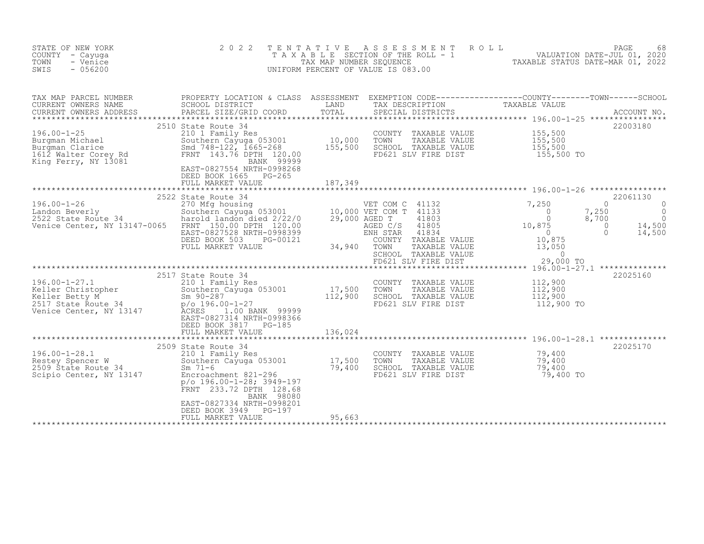| STATE OF NEW YORK<br>COUNTY - Cayuga<br>TOWN<br>- Venice<br>$-056200$<br>SWIS                                            | 2 0 2 2                                                                                                                                                                                                        | TENTATIVE<br>TAX MAP NUMBER SEOUENCE | A S S E S S M E N T<br>T A X A B L E SECTION OF THE ROLL - 1<br>UNIFORM PERCENT OF VALUE IS 083.00                                                             | ROLL<br>08<br>VALUATION DATE-JUL 01, 2020<br>TAXABLE STATUS DATE-MAP 01 2022                                        | PAGE<br>68                                                                              |
|--------------------------------------------------------------------------------------------------------------------------|----------------------------------------------------------------------------------------------------------------------------------------------------------------------------------------------------------------|--------------------------------------|----------------------------------------------------------------------------------------------------------------------------------------------------------------|---------------------------------------------------------------------------------------------------------------------|-----------------------------------------------------------------------------------------|
| TAX MAP PARCEL NUMBER<br>CURRENT OWNERS NAME<br>CURRENT OWNERS ADDRESS                                                   | PROPERTY LOCATION & CLASS ASSESSMENT<br>SCHOOL DISTRICT<br>PARCEL SIZE/GRID COORD                                                                                                                              | LAND<br>TOTAL                        | EXEMPTION CODE-----------------COUNTY-------TOWN------SCHOOL<br>TAX DESCRIPTION<br>SPECIAL DISTRICTS                                                           | TAXABLE VALUE                                                                                                       | ACCOUNT NO.                                                                             |
| $196.00 - 1 - 25$<br>Burgman Michael<br>Burgman Clarice<br>1612 Walter Corey Rd<br>King Ferry, NY 13081                  | 2510 State Route 34<br>210 1 Family Res<br>Southern Cayuga 053001<br>Smd 748-122, 1665-268<br>FRNT 143.76 DPTH 120.00<br>BANK 99999<br>EAST-0827554 NRTH-0998268<br>DEED BOOK 1665 PG-265<br>FULL MARKET VALUE | 10,000<br>155,500<br>187,349         | COUNTY TAXABLE VALUE<br>TOWN<br>TAXABLE VALUE<br>SCHOOL TAXABLE VALUE<br>FD621 SLV FIRE DIST                                                                   | 155,500<br>155,500<br>155,500<br>155,500 TO                                                                         | 22003180                                                                                |
|                                                                                                                          |                                                                                                                                                                                                                |                                      |                                                                                                                                                                |                                                                                                                     |                                                                                         |
| $196.00 - 1 - 26$<br>Landon Beverly<br>Landon Deverly<br>2522 State Route 34<br>Monics 3<br>Venice Center, NY 13147-0065 | 2522 State Route 34<br>270 Mfg housing<br>Southern Cayuga 053001<br>harold landon died 2/22/0<br>FRNT 150.00 DPTH 120.00<br>EAST-0827528 NRTH-0998399<br>DEED BOOK 503<br>PG-00121<br>FULL MARKET VALUE        | 34,940                               | VET COM C 41132<br>10,000 VET COM T 41133<br>29,000 AGED T<br>41803<br>AGED C/S<br>41805<br>ENH STAR<br>41834<br>COUNTY TAXABLE VALUE<br>TOWN<br>TAXABLE VALUE | 7,250<br>7,250<br>$\overline{0}$<br>$\Omega$<br>8,700<br>10,875<br>$\bigcirc$<br>$\overline{0}$<br>10,875<br>13,050 | 22061130<br>$\Omega$<br>0<br>$\overline{0}$<br>$\Omega$<br>14,500<br>$\Omega$<br>14,500 |
|                                                                                                                          |                                                                                                                                                                                                                |                                      | SCHOOL TAXABLE VALUE<br>FD621 SLV FIRE DIST                                                                                                                    | $\overline{0}$<br>29,000 TO                                                                                         |                                                                                         |
|                                                                                                                          |                                                                                                                                                                                                                |                                      |                                                                                                                                                                |                                                                                                                     |                                                                                         |
| $196.00 - 1 - 27.1$<br>Keller Christopher<br>Example: The Computer<br>2517 State Route 34<br>Venice Center, NV 100       | 2517 State Route 34<br>210 1 Family Res<br>Southern Cayuga 053001<br>$Sm$ 90-287<br>$p$ /o 196.00-1-27<br>ACRES<br>1.00 BANK 99999<br>EAST-0827314 NRTH-0998366<br>DEED BOOK 3817 PG-185                       | 17,500<br>112,900                    | COUNTY TAXABLE VALUE<br>TOWN<br>TAXABLE VALUE<br>SCHOOL TAXABLE VALUE<br>FD621 SLV FIRE DIST                                                                   | 112,900<br>112,900<br>112,900<br>112,900 TO                                                                         | 22025160                                                                                |
|                                                                                                                          | FULL MARKET VALUE                                                                                                                                                                                              | 136,024<br>***************           |                                                                                                                                                                | ****************************** 196.00-1-28.1 **************                                                         |                                                                                         |
| $196.00 - 1 - 28.1$<br>Restey Spencer W<br>2509 State Route 34<br>Scipio Center, NY 13147                                | 2509 State Route 34<br>210 1 Family Res<br>Southern Cayuga 053001<br>$Sm$ 71-6<br>Encroachment 821-296<br>$p$ /o 196.00-1-28; 3949-197<br>FRNT 233.72 DPTH 128.68<br>BANK 98080                                | 17,500<br>79,400                     | COUNTY TAXABLE VALUE<br>TOWN<br>TAXABLE VALUE<br>SCHOOL TAXABLE VALUE<br>FD621 SLV FIRE DIST                                                                   | 79,400<br>79,400<br>79,400<br>79,400 TO                                                                             | 22025170                                                                                |
|                                                                                                                          | EAST-0827334 NRTH-0998201<br>DEED BOOK 3949<br>$PG-197$<br>FULL MARKET VALUE                                                                                                                                   | 95,663                               |                                                                                                                                                                |                                                                                                                     |                                                                                         |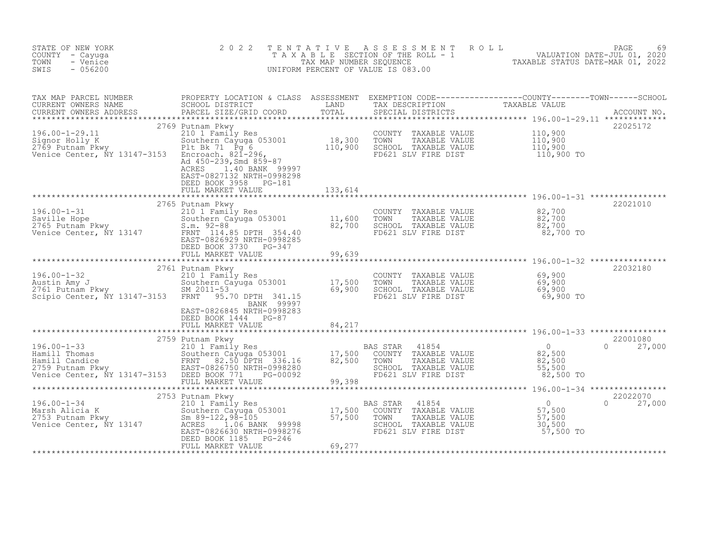| STATE OF NEW YORK<br>COUNTY - Cayuga<br>- Venice<br>TOWN<br>$-056200$<br>SWIS                                                                                                                                                                                | 2 0 2 2                                                                                                                                                                                                                                                                        | TENTATIVE            | TENTATIVE ASSESSMENT ROLL MALUATION DATE-JUL 01, 2020<br>TAXABLE SECTION OF THE ROLL - 1<br>TAX MAP NUMBER SEQUENCE TAXABLE STATUS DATE-MAR 01, 2022<br>JNIFORM PERCENT OF VALUE IS 083.00<br>UNIFORM PERCENT OF VALUE IS 083.00 |                           |
|--------------------------------------------------------------------------------------------------------------------------------------------------------------------------------------------------------------------------------------------------------------|--------------------------------------------------------------------------------------------------------------------------------------------------------------------------------------------------------------------------------------------------------------------------------|----------------------|----------------------------------------------------------------------------------------------------------------------------------------------------------------------------------------------------------------------------------|---------------------------|
|                                                                                                                                                                                                                                                              |                                                                                                                                                                                                                                                                                |                      |                                                                                                                                                                                                                                  |                           |
|                                                                                                                                                                                                                                                              | ACRES<br>1.40 BANK 99997<br>EAST-0827132 NRTH-0998298<br>DEED BOOK 3958 PG-181                                                                                                                                                                                                 |                      |                                                                                                                                                                                                                                  |                           |
| 196.00-1-31<br>Saville Hope<br>2765 Putnam Pkwy<br>2765 Putnam Pkwy<br>2765 Putnam Pkwy<br>2765 Southern Cayuga 053001<br>2765 Putnam Pkwy<br>2765 Southern Cayuga 053001<br>2765 Putnam Pkwy<br>2.m. 92-88<br>27700<br>27700<br>27700<br>27700<br>27700<br> | FULL MARKET VALUE                                                                                                                                                                                                                                                              | 99,639               | COUNTY TAXABLE VALUE $82,700$<br>TOWN TAXABLE VALUE $82,700$<br>SCHOOL TAXABLE VALUE $82,700$<br>FD621 SLV FIRE DIST $82,700$                                                                                                    | 22021010                  |
|                                                                                                                                                                                                                                                              | BANK 99997<br>EAST-0826845 NRTH-0998283<br>DEED BOOK 1444 PG-87<br>FULL MARKET VALUE                                                                                                                                                                                           | 84,217               | COUNTY TAXABLE VALUE 69,900<br>TOWN TAXABLE VALUE 69,900<br>SCHOOL TAXABLE VALUE 69,900<br>FD621 SLV FIRE DIST 69,900 TO                                                                                                         | 22032180                  |
|                                                                                                                                                                                                                                                              |                                                                                                                                                                                                                                                                                | ******************** |                                                                                                                                                                                                                                  | 22001080<br>$0 \t 27,000$ |
|                                                                                                                                                                                                                                                              | DEED BOOK 1185 PG-246<br>e de la provincia de la provincia del provincia del provincia del provincia del provincia del provincia del pr<br>En 1930, en 1930, en 1930, en 1930, en 1930, en 1930, en 1930, en 1930, en 1930, en 1930, en 1930, en 1930, en<br>FULL MARKET VALUE | 69,277               |                                                                                                                                                                                                                                  |                           |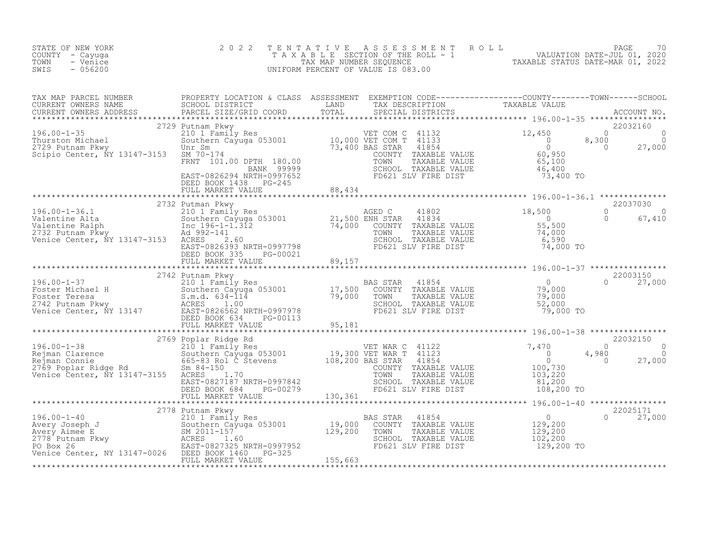| STATE OF NEW YORK<br>COUNTY - Cayuga<br>TOWN<br>- Venice<br>$-056200$<br>SWIS                                                                                                                                                                                                                                                                                                                                                      | 2 0 2 2 |  | TENTATIVE ASSESSMENT ROLL PAGE 70<br>TAXABLE SECTION OF THE ROLL - 1 VALUATION DATE-JUL 01, 2020<br>TAX MAP NUMBER SEQUENCE TAXABLE STATUS DATE-MAR 01, 2022<br>UNIFORM PERCENT OF VALUE IS 083.00 |                    |
|------------------------------------------------------------------------------------------------------------------------------------------------------------------------------------------------------------------------------------------------------------------------------------------------------------------------------------------------------------------------------------------------------------------------------------|---------|--|----------------------------------------------------------------------------------------------------------------------------------------------------------------------------------------------------|--------------------|
|                                                                                                                                                                                                                                                                                                                                                                                                                                    |         |  |                                                                                                                                                                                                    |                    |
|                                                                                                                                                                                                                                                                                                                                                                                                                                    |         |  |                                                                                                                                                                                                    |                    |
|                                                                                                                                                                                                                                                                                                                                                                                                                                    |         |  |                                                                                                                                                                                                    |                    |
|                                                                                                                                                                                                                                                                                                                                                                                                                                    |         |  |                                                                                                                                                                                                    | $\Omega$<br>67,410 |
|                                                                                                                                                                                                                                                                                                                                                                                                                                    |         |  |                                                                                                                                                                                                    |                    |
|                                                                                                                                                                                                                                                                                                                                                                                                                                    |         |  |                                                                                                                                                                                                    |                    |
|                                                                                                                                                                                                                                                                                                                                                                                                                                    |         |  |                                                                                                                                                                                                    |                    |
|                                                                                                                                                                                                                                                                                                                                                                                                                                    |         |  |                                                                                                                                                                                                    |                    |
| $\begin{tabular}{l c c c c c} \hline & \multicolumn{4}{c}{\textbf{\texttt{196.00--1-38}}} & \multicolumn{4}{c}{\textbf{\texttt{2022150}}} & \multicolumn{4}{c}{\textbf{\texttt{2022150}}} & \multicolumn{4}{c}{\textbf{\texttt{2022150}}} & \multicolumn{4}{c}{\textbf{\texttt{2022150}}} & \multicolumn{4}{c}{\textbf{\texttt{2022150}}} & \multicolumn{4}{c}{\textbf{\texttt{2022150}}} & \multicolumn{4}{c}{\textbf{\texttt{20$ |         |  |                                                                                                                                                                                                    |                    |
|                                                                                                                                                                                                                                                                                                                                                                                                                                    |         |  |                                                                                                                                                                                                    |                    |
|                                                                                                                                                                                                                                                                                                                                                                                                                                    |         |  |                                                                                                                                                                                                    | $0 \t 27,000$      |
|                                                                                                                                                                                                                                                                                                                                                                                                                                    |         |  |                                                                                                                                                                                                    |                    |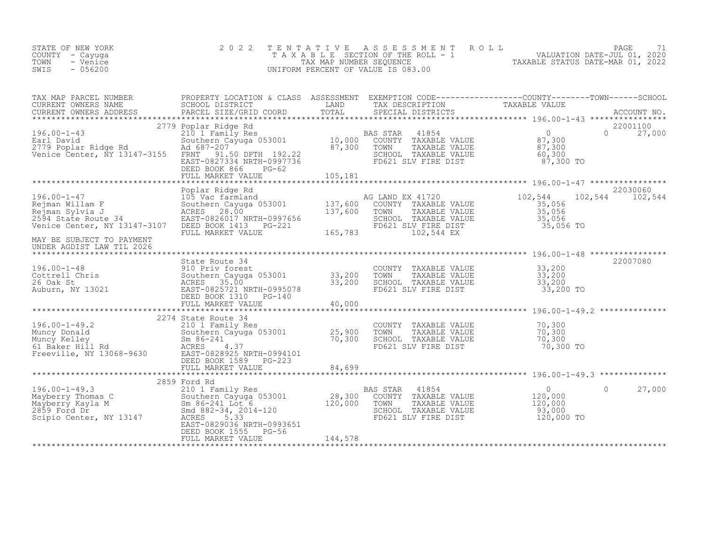| STATE OF NEW YORK<br>COUNTY - Cayuga<br>TOWN<br>- Venice<br>$-056200$<br>SWIS                                  | 2 0 2 2                                                                                                                                                                             | TENTATIVE                  | A S S E S S M E N T R O L L<br>UNIFORM PERCENT OF VALUE IS 083.00                                                              | PAGE                                                                                                                                                                                                                                          | 71 |  |  |
|----------------------------------------------------------------------------------------------------------------|-------------------------------------------------------------------------------------------------------------------------------------------------------------------------------------|----------------------------|--------------------------------------------------------------------------------------------------------------------------------|-----------------------------------------------------------------------------------------------------------------------------------------------------------------------------------------------------------------------------------------------|----|--|--|
| TAX MAP PARCEL NUMBER<br>CURRENT OWNERS NAME<br>CURRENT OWNERS ADDRESS                                         | PARCEL SIZE/GRID COORD                                                                                                                                                              |                            | SPECIAL DISTRICTS                                                                                                              | PROPERTY LOCATION & CLASS ASSESSMENT EXEMPTION CODE----------------COUNTY-------TOWN------SCHOOL<br>SCHOOL DISTRICT       LAND     TAX DESCRIPTION     TAXABLE VALUE<br>PARCEL SIZE/GRID COORD     TOTAL     SPECIAL DISTRICTS<br>ACCOUNT NO. |    |  |  |
| $196.00 - 1 - 43$<br>Earl David<br>2779 Poplar Ridge Rd<br>Venice Center, NY 13147-3155                        | 2779 Poplar Ridge Rd<br>210 1 Family Res<br>Southern Cayuga 053001 10,000 B<br>Ad 687-207 87.300<br>FRNT 91.50 DPTH 192.22<br>EAST-0827334 NRTH-0997736<br>DEED BOOK 866<br>$PG-62$ |                            | BAS STAR<br>41854<br>COUNTY TAXABLE VALUE<br>TAXABLE VALUE<br>TOWN<br>SCHOOL TAXABLE VALUE<br>FD621 SLV FIRE DIST              | 22001100<br>$\overline{0}$<br>$\Omega$<br>27,000<br>87,300<br>87,300<br>60,300<br>87,300 TO                                                                                                                                                   |    |  |  |
|                                                                                                                | FULL MARKET VALUE                                                                                                                                                                   | 105,181                    |                                                                                                                                |                                                                                                                                                                                                                                               |    |  |  |
| $196.00 - 1 - 47$<br>Rejman Willam F<br>Rejman Sylvia J<br>2594 State Route 34<br>Venice Center, NY 13147-3107 | Poplar Ridge Rd<br>105 Vac farmland<br>Southern Cayuga 053001 137,600<br>ACRES 28.00 137.600<br>EAST-0826017 NRTH-0997656<br>DEED BOOK 1413 PG-221<br>FULL MARKET VALUE             | 165,783                    | AG LAND EX 41720<br>COUNTY TAXABLE VALUE<br>TOWN<br>TAXABLE VALUE<br>SCHOOL TAXABLE VALUE<br>FD621 SLV FIRE DIST<br>102,544 EX | 22030060<br>102,544<br>102,544<br>102,544<br>35,056<br>35,056<br>35,056<br>35,056 TO                                                                                                                                                          |    |  |  |
| MAY BE SUBJECT TO PAYMENT<br>UNDER AGDIST LAW TIL 2026                                                         |                                                                                                                                                                                     |                            |                                                                                                                                |                                                                                                                                                                                                                                               |    |  |  |
| 196.00-1-48<br>Cottrell Chris<br>26 Oak St<br>Auburn, NY 13021                                                 | State Route 34<br>910 Priv forest<br>Southern Cayuga 053001<br>ACRES 35.00<br>EAST-0825721 NRTH-0995078<br>DEED BOOK 1310<br>PG-140<br>FULL MARKET VALUE                            | 33,200<br>33,200<br>40,000 | COUNTY<br>TAXABLE VALUE<br>TOWN<br>TAXABLE VALUE<br>SCHOOL TAXABLE VALUE<br>FD621 SLV FIRE DIST                                | 22007080<br>33,200<br>33,200<br>33,200<br>33,200 TO                                                                                                                                                                                           |    |  |  |
|                                                                                                                |                                                                                                                                                                                     |                            |                                                                                                                                |                                                                                                                                                                                                                                               |    |  |  |
| $196.00 - 1 - 49.2$<br>Muncy Donald<br>Muncy Kelley<br>61 Baker Hill Rd<br>Execuli<br>Freeville, NY 13068-9630 | 2274 State Route 34<br>210 1 Family Res<br>Southern Cayuga 053001<br>Sm $86 - 241$<br>ACRES<br>4.37<br>EAST-0828925 NRTH-0994101<br>DEED BOOK 1589<br>$PG-223$                      | 25,900<br>70.300<br>70,300 | COUNTY<br>TAXABLE VALUE<br>TOWN<br>TAXABLE VALUE<br>SCHOOL TAXABLE VALUE<br>FD621 SLV FIRE DIST                                | 70,300<br>70,300<br>70,300<br>70,300 TO                                                                                                                                                                                                       |    |  |  |
|                                                                                                                | FULL MARKET VALUE                                                                                                                                                                   | 84,699                     |                                                                                                                                |                                                                                                                                                                                                                                               |    |  |  |
|                                                                                                                |                                                                                                                                                                                     |                            |                                                                                                                                |                                                                                                                                                                                                                                               |    |  |  |
| $196.00 - 1 - 49.3$<br>Mayberry Thomas C<br>Mayberry Kayla M<br>2859 Ford Dr<br>Scipio Center, NY 13147        | 2859 Ford Rd<br>210 1 Family Res<br>Southern Cayuga 053001<br>Sm 86-241 Lot 6<br>Smd 882-34, 2014-120<br>ACRES<br>5.33<br>EAST-0829036 NRTH-0993651<br>DEED BOOK 1555<br>PG-56      | 28,300<br>120,000          | 41854<br>BAS STAR<br>COUNTY<br>TAXABLE VALUE<br>TOWN<br>TAXABLE VALUE<br>SCHOOL TAXABLE VALUE<br>FD621 SLV FIRE DIST           | $\overline{0}$<br>27,000<br>0<br>120,000<br>120,000<br>93,000<br>120,000 TO                                                                                                                                                                   |    |  |  |
|                                                                                                                | FULL MARKET VALUE                                                                                                                                                                   | 144,578                    |                                                                                                                                |                                                                                                                                                                                                                                               |    |  |  |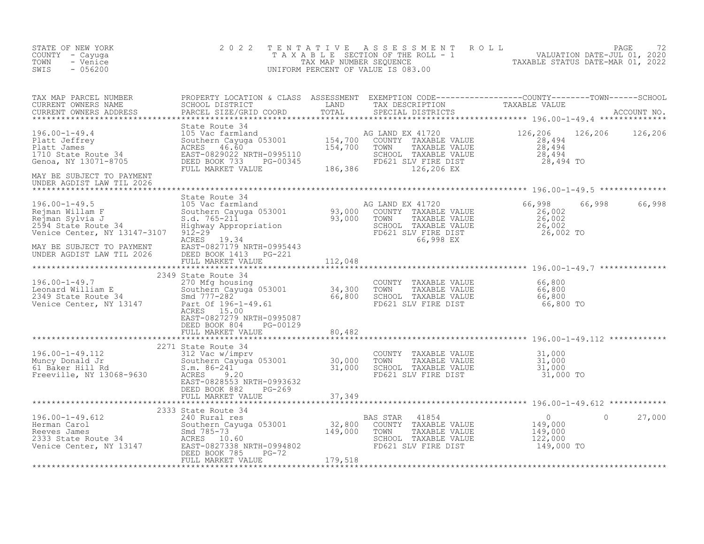| STATE OF NEW YORK<br>COUNTY - Cayuga<br>- Venice<br>TOWN<br>SWIS<br>$-056200$                                                                                                                                                                                          | 2 0 2 2                                          |  | TENTATIVE ASSESSMENT ROLL PALUATION DATE-JUL 01, 2020<br>TAXABLE SECTION OF THE ROLL - 1 VALUATION DATE-JUL 01, 2020<br>UNIFORM PERCENT OF VALUE IS 083.00<br>UNIFORM PERCENT OF VALUE IS 083.00 |               |
|------------------------------------------------------------------------------------------------------------------------------------------------------------------------------------------------------------------------------------------------------------------------|--------------------------------------------------|--|--------------------------------------------------------------------------------------------------------------------------------------------------------------------------------------------------|---------------|
| TAX MAP PARCEL NUMBER PROPERTY LOCATION & CLASS ASSESSMENT EXEMPTION CODE----------------COUNTY--------TOWN------SCHOOL SCHOOL DISTRICT LAND TAX DESCRIPTION TAXABLE VALUE<br>CURRENT OWNERS ADDRESS PARCEL SIZE/GRID COORD TOTAL                                      |                                                  |  |                                                                                                                                                                                                  |               |
| XERE SOLUTION AND EXAMPLE VALUE<br>196.00-1-49.4 State Route 34<br>196.00-1-49.4 100 Value and and and the southern Cayuga 053001 154,700 COUNTY TAXABLE VALUE<br>28,494 28,494<br>1710 Southern Cayuga 053001 154,700 COUNTY TAXABLE                                  |                                                  |  |                                                                                                                                                                                                  |               |
| UNDER AGDIST LAW TIL 2026                                                                                                                                                                                                                                              |                                                  |  |                                                                                                                                                                                                  |               |
| 196.00-1-49.5<br>196.00-1-49.5<br>26.00-1-49.5<br>26.00-1-49.<br>26.00-1-49.5<br>26.00-1-49.5<br>26.00-1-49.5<br>26.00-1-49.5<br>26.00-1-49.5<br>26.00-1-49.<br>29.000<br>26.002<br>26.002<br>26.002<br>26.002<br>26.002<br>26.002<br>26.002<br>26.002<br>26.002<br>26 |                                                  |  |                                                                                                                                                                                                  | 66,998 66,998 |
| MAY BE SUBJECT TO PAYMENT<br>UNDER AGDIST LAW TIL 2026                                                                                                                                                                                                                 |                                                  |  |                                                                                                                                                                                                  |               |
|                                                                                                                                                                                                                                                                        |                                                  |  |                                                                                                                                                                                                  |               |
| 196.00-1-49.7<br>196.00-1-49.7<br>2349 State Route Taxable Value<br>2349 State Route Taxable Value<br>2349 State Route 34<br>2349 State Route 34<br>2349 State Route 34<br>2349 State Route 34<br>2349 State Route 34<br>2349 State Route 34<br>23                     | EAST-0827279 NRTH-0995087                        |  |                                                                                                                                                                                                  |               |
|                                                                                                                                                                                                                                                                        | DEED BOOK 804 PG-00129                           |  |                                                                                                                                                                                                  |               |
|                                                                                                                                                                                                                                                                        |                                                  |  |                                                                                                                                                                                                  |               |
| 196.00-1-49.112<br>196.00-1-49.112<br>2271 State Route 34<br>2271 State Route 34<br>31,000<br>Muncy Donald Jr<br>61 Baker Hill Rd<br>5.m. 86-241<br>Freeville, NY 13068-9630<br>EAST-0828553 NRTH-0993632<br>EVALUE<br>Freeville, NY 13068-9630<br>EAS                 |                                                  |  |                                                                                                                                                                                                  |               |
|                                                                                                                                                                                                                                                                        | DEED BOOK 882 PG-269<br>FULL MARKET VALUE 37,349 |  |                                                                                                                                                                                                  |               |
|                                                                                                                                                                                                                                                                        |                                                  |  |                                                                                                                                                                                                  |               |
| 196.00-1-49.612<br>196.00-1-49.612<br>2333 State Route 34<br>Eleman Carol Southern Cayuga 053001<br>Reverse Janes 52<br>2333 State Route 34<br>2333 State Route 34<br>2333 State Route 34<br>2333 State Route 34<br>2333 State Route 34<br>2333 St                     |                                                  |  |                                                                                                                                                                                                  | 27,000        |
|                                                                                                                                                                                                                                                                        |                                                  |  |                                                                                                                                                                                                  |               |
|                                                                                                                                                                                                                                                                        |                                                  |  |                                                                                                                                                                                                  |               |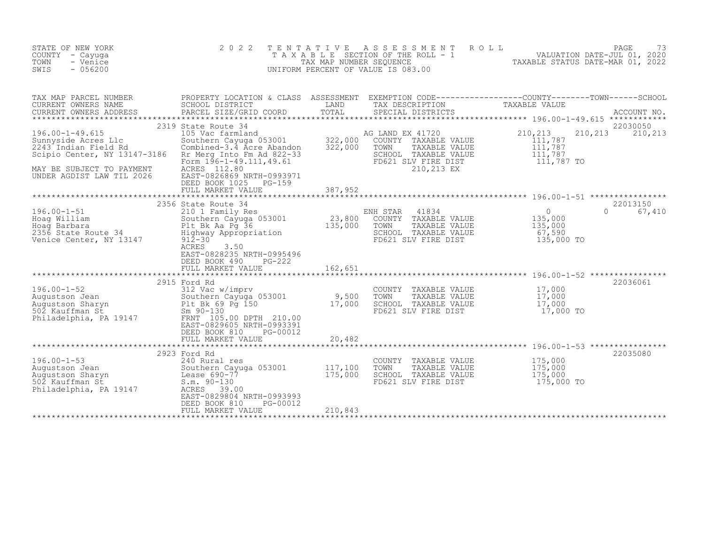| STATE OF NEW YORK<br>COUNTY - Cayuga<br>- Venice<br>TOWN<br>SWIS<br>$-056200$                                                                                                                                                                                                | 2 0 2 2<br>TAXABLE                                                                                                                                                                                                                                                                | TENTATIVE<br>TAX MAP NUMBER SEQUENCE | ASSESSMENT<br>ROLL<br>SECTION OF THE ROLL - 1<br>UNIFORM PERCENT OF VALUE IS 083.00                                            | PAGE<br>73<br>1 VALUATION DATE-JUL 01, 2020<br>TAXABLE STATUS DATE-MAR 01, 2022                                                 |
|------------------------------------------------------------------------------------------------------------------------------------------------------------------------------------------------------------------------------------------------------------------------------|-----------------------------------------------------------------------------------------------------------------------------------------------------------------------------------------------------------------------------------------------------------------------------------|--------------------------------------|--------------------------------------------------------------------------------------------------------------------------------|---------------------------------------------------------------------------------------------------------------------------------|
| TAX MAP PARCEL NUMBER<br>CURRENT OWNERS NAME<br>CURRENT OWNERS ADDRESS                                                                                                                                                                                                       | SCHOOL DISTRICT<br>PARCEL SIZE/GRID COORD                                                                                                                                                                                                                                         | LAND<br>TOTAL                        | TAX DESCRIPTION<br>SPECIAL DISTRICTS                                                                                           | PROPERTY LOCATION & CLASS ASSESSMENT EXEMPTION CODE----------------COUNTY-------TOWN-----SCHOOL<br>TAXABLE VALUE<br>ACCOUNT NO. |
| $196.00 - 1 - 49.615$<br>Sunnyside Acres Llc<br>2243 Indian Field Rd<br>2243 Indian Field Rd<br>Scipio Center, NY 13147-3186<br>MAY BE SUBJECT TO PAYMENT<br>UNDER AGDIST LAW TIL 2026                                                                                       | 2319 State Route 34<br>105 Vac farmland<br>105 vac Iarmianu<br>Southern Cayuga 053001 - 322,000<br>Combined-3.4 Acre Abandon - 322,000<br>Rr Merg Into Fm Ad 822-33<br>Form $1\bar{9}6 - 1 - 49.111, 49.61$<br>ACRES 112.80<br>EAST-0826869 NRTH-0993971<br>DEED BOOK 1025 PG-159 |                                      | AG LAND EX 41720<br>COUNTY TAXABLE VALUE<br>TOWN<br>TAXABLE VALUE<br>SCHOOL TAXABLE VALUE<br>FD621 SLV FIRE DIST<br>210,213 EX | 22030050<br>210,213<br>210,213<br>210,213<br>111,787<br>111,787<br>111,787<br>111,787 TO                                        |
| $196.00 - 1 - 51$<br>Foag William<br>Hoag William<br>Hoag Barbara<br>2356 State Route 34<br>2356 State Route 34<br>2356 State Route 34<br>2356 State Route 34<br>Venice Center, NY 13147                                                                                     | 2356 State Route 34<br>210 1 Family Res<br>Southern Cayuga 053001<br>$912 - 30$<br>3.50<br>ACRES<br>EAST-0828235 NRTH-0995496<br>DEED BOOK 490<br>$PG-222$<br>FULL MARKET VALUE                                                                                                   | 23,800<br>135,000<br>162,651         | 41834<br>ENH STAR<br>COUNTY TAXABLE VALUE<br>TOWN<br>TAXABLE VALUE<br>SCHOOL TAXABLE VALUE<br>FD621 SLV FIRE DIST              | 22013150<br>$\overline{0}$<br>$\Omega$<br>67,410<br>135,000<br>135,000<br>67,590<br>135,000 TO                                  |
| Augustson Jean<br>Augustson Sharyn Southern Cayuga 0<br>Southern Cayuga 0<br>David Southern Cayuga 0<br>Southern Cayuga 0<br>Southern Cayuga 0<br>Southern Cayuga 0<br>Southern Cayuga 0<br>Southern Cayuga 0<br>Southern Cayuga 0<br>Southern Cay<br>Philadelphia, PA 19147 | 2915 Ford Rd<br>Southern Cayuga 053001<br>Plt Bk 69 Pg 150<br>FRNT 105.00 DPTH 210.00<br>EAST-0829605 NRTH-0993391<br>DEED BOOK 810<br>PG-00012<br>FULL MARKET VALUE                                                                                                              | 9,500<br>17,000<br>20,482            | COUNTY TAXABLE VALUE<br>TOWN<br>TAXABLE VALUE<br>SCHOOL TAXABLE VALUE<br>FD621 SLV FIRE DIST                                   | 22036061<br>17,000<br>17,000<br>17,000<br>17,000 TO                                                                             |
| $196.00 - 1 - 53$<br>240 Rural re.<br>Southern Cayu<br>n Lease 690-77<br>s m 00.100<br>Augustson Jean<br>Augustson Sharyn<br>502 Kauffman St<br>Philadelphia, PA 19147                                                                                                       | 2923 Ford Rd<br>240 Rural res<br>Southern Cayuga 053001<br>ACRES<br>39.00<br>EAST-0829804 NRTH-0993993<br>DEED BOOK 810<br>PG-00012<br>FULL MARKET VALUE                                                                                                                          | 117,100<br>175,000<br>210,843        | COUNTY TAXABLE VALUE<br>TOWN<br>TAXABLE VALUE<br>SCHOOL TAXABLE VALUE<br>FD621 SLV FIRE DIST                                   | 22035080<br>175,000<br>175,000<br>175,000<br>175,000 TO                                                                         |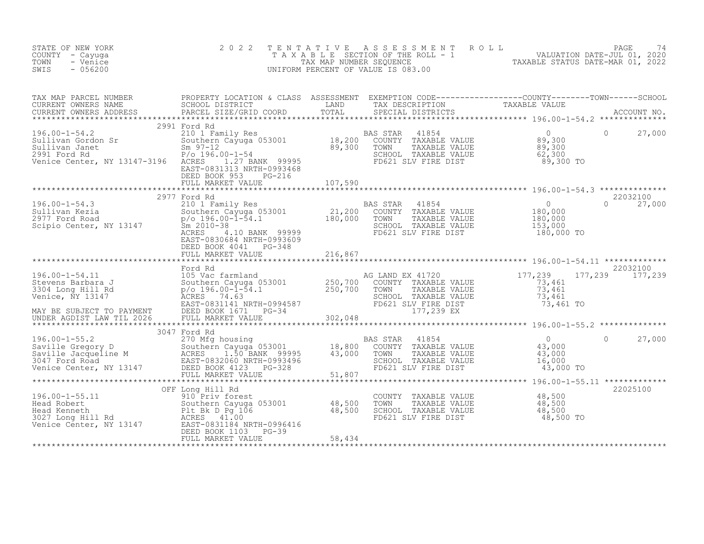| STATE OF NEW YORK<br>COUNTY - Cayuga<br>- Venice<br>TOWN<br>$-056200$<br>SWIS                                                                                                                                                                                | 2 0 2 2                                                            | T E N T A T I V E | UNIFORM PERCENT OF VALUE IS 083.00 | TENTATIVE ASSESSMENT ROLL UNIVERSITY PAGE 74<br>TAXABLE SECTION OF THE ROLL - 1 VALUATION DATE-JUL 01, 2020<br>TAXABLE STATUS DATE-MAR 01, 2022<br>JNIFORM PERCENT OF VALUE IS 083.00                                                                 |         |                           |
|--------------------------------------------------------------------------------------------------------------------------------------------------------------------------------------------------------------------------------------------------------------|--------------------------------------------------------------------|-------------------|------------------------------------|-------------------------------------------------------------------------------------------------------------------------------------------------------------------------------------------------------------------------------------------------------|---------|---------------------------|
|                                                                                                                                                                                                                                                              |                                                                    |                   |                                    |                                                                                                                                                                                                                                                       |         |                           |
|                                                                                                                                                                                                                                                              | 2991 Ford Rd                                                       |                   |                                    |                                                                                                                                                                                                                                                       |         |                           |
| 2991 Ford Rd<br>2991 Ford Rd<br>2001 Family Res<br>Sullivan Gordon Sr<br>2011 Family Res<br>2991 Ford Rd<br>2991 Ford Rd<br>2991 Ford Rd<br>2991 Ford Rd<br>2991 Ford Rd<br>2991 Ford Rd<br>2991 Ford Rd<br>2991 Ford Rd<br>2991 Ford Rd<br>2991 Ford Rd<br> | EAST-0831313 NRTH-0993468<br>DEED BOOK 953 PG-216                  |                   |                                    |                                                                                                                                                                                                                                                       |         |                           |
|                                                                                                                                                                                                                                                              | FULL MARKET VALUE                                                  | 107,590           |                                    |                                                                                                                                                                                                                                                       |         |                           |
| 196.00-1-54.3<br>2977 Ford Rd<br>2001 Family Res<br>2001 Ford Road<br>2977 Ford Road<br>2977 Ford Road<br>2977 Ford Road<br>2977 Ford Road<br>2977 Ford Road<br>2977 Ford Road<br>29899<br>21,200 COUNTY TAXABLE VALUE<br>21,200 COUNTY TAXABLE VALUE        | 2977 Ford Rd<br>EAST-0830684 NRTH-0993609<br>DEED BOOK 4041 PG-348 |                   |                                    | AS STAR 41854 0<br>COUNTY TAXABLE VALUE 180,000<br>TOWN TAXABLE VALUE 180,000<br>SCHOOL TAXABLE VALUE 153,000<br>FD621 SLV FIRE DIST 180,000 TO                                                                                                       |         | 22032100<br>$0 \t 27,000$ |
|                                                                                                                                                                                                                                                              |                                                                    |                   |                                    |                                                                                                                                                                                                                                                       |         |                           |
|                                                                                                                                                                                                                                                              | Ford Rd                                                            |                   |                                    |                                                                                                                                                                                                                                                       |         | 22032100                  |
|                                                                                                                                                                                                                                                              |                                                                    |                   |                                    |                                                                                                                                                                                                                                                       |         |                           |
|                                                                                                                                                                                                                                                              |                                                                    |                   |                                    |                                                                                                                                                                                                                                                       |         |                           |
|                                                                                                                                                                                                                                                              | 3047 Ford Rd                                                       |                   |                                    |                                                                                                                                                                                                                                                       |         |                           |
|                                                                                                                                                                                                                                                              |                                                                    |                   |                                    | 43,000 TO                                                                                                                                                                                                                                             | $\circ$ | 27,000                    |
|                                                                                                                                                                                                                                                              |                                                                    |                   |                                    |                                                                                                                                                                                                                                                       |         |                           |
| 196.00-1-55.11<br>Head Robert Southern Cayuga 053001<br>Head Robert Southern Cayuga 053001 48,500<br>Head Kenneth P11 Rd ACRES 41.00<br>Venice Center, NY 13147 EAST-0831184 NRTH-0996416<br>DEED BOOK 1103 PG-39<br>PULL MARKET VALUE A                     | OFF Long Hill Rd                                                   |                   |                                    | COUNTY TAXABLE VALUE $\begin{array}{cccc} 48,500 \ \text{TOWN} & \text{TAXABLE VALUE} & 48,500 \ \text{SCHOOL} & \text{TAXABLE VALUE} & 48,500 \ \text{FD621 SLV FIRE DIST} & & & & 48,500 \ \text{FD621 SLV FIRE DIST} & & & & 48,500 \ \end{array}$ |         | 22025100                  |
|                                                                                                                                                                                                                                                              |                                                                    |                   |                                    |                                                                                                                                                                                                                                                       |         |                           |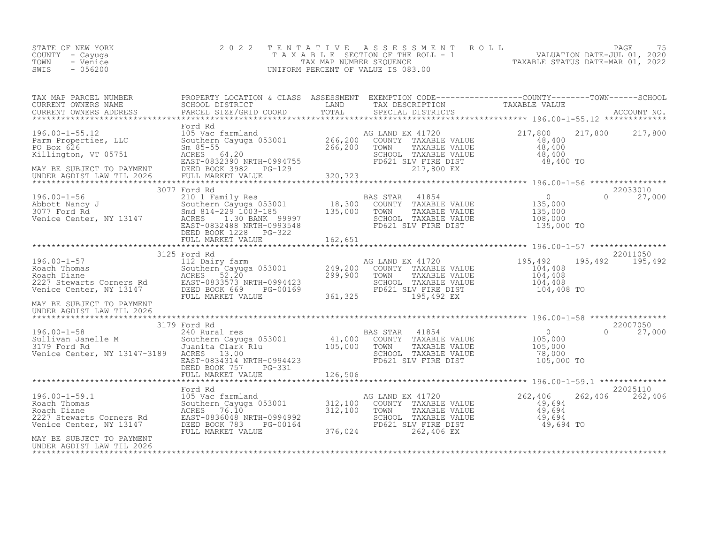| STATE OF NEW YORK<br>COUNTY - Cayuga<br>TOWN<br>- Venice<br>SWIS<br>$-056200$                                                                                                                                                              | 2 0 2 2 |  | TENTATIVE ASSESSMENT ROLL PAGE 75<br>TAXABLE SECTION OF THE ROLL - 1 VALUATION DATE-JUL 01, 2020<br>TAX MAP NUMBER SEQUENCE TAXABLE STATUS DATE-MAR 01, 2022<br>UNIFORM PERCENT OF VALUE IS 083.00 |  |
|--------------------------------------------------------------------------------------------------------------------------------------------------------------------------------------------------------------------------------------------|---------|--|----------------------------------------------------------------------------------------------------------------------------------------------------------------------------------------------------|--|
|                                                                                                                                                                                                                                            |         |  |                                                                                                                                                                                                    |  |
|                                                                                                                                                                                                                                            |         |  |                                                                                                                                                                                                    |  |
|                                                                                                                                                                                                                                            |         |  |                                                                                                                                                                                                    |  |
|                                                                                                                                                                                                                                            |         |  |                                                                                                                                                                                                    |  |
|                                                                                                                                                                                                                                            |         |  | 22011050<br>195, 492 195, 492                                                                                                                                                                      |  |
| UNDER AGDIST LAW TIL 2026                                                                                                                                                                                                                  |         |  |                                                                                                                                                                                                    |  |
|                                                                                                                                                                                                                                            |         |  |                                                                                                                                                                                                    |  |
|                                                                                                                                                                                                                                            |         |  | 22025110                                                                                                                                                                                           |  |
| 196.00-1-59.1<br>Roach Thomas 105 Vac farmland<br>Roach Diane 262,406 262<br>Roach Diane 267,406 262<br>Roach Diane 267,406 262<br>Roach Diane 267,406 EX<br>2227 Stewarts Corners Rd EAST-0836048 NRTH-0994992<br>Venice Center, NY 13147 |         |  | 262,406 262,406                                                                                                                                                                                    |  |
| MAY BE SUBJECT TO PAYMENT<br>UNDER AGDIST LAW TIL 2026                                                                                                                                                                                     |         |  |                                                                                                                                                                                                    |  |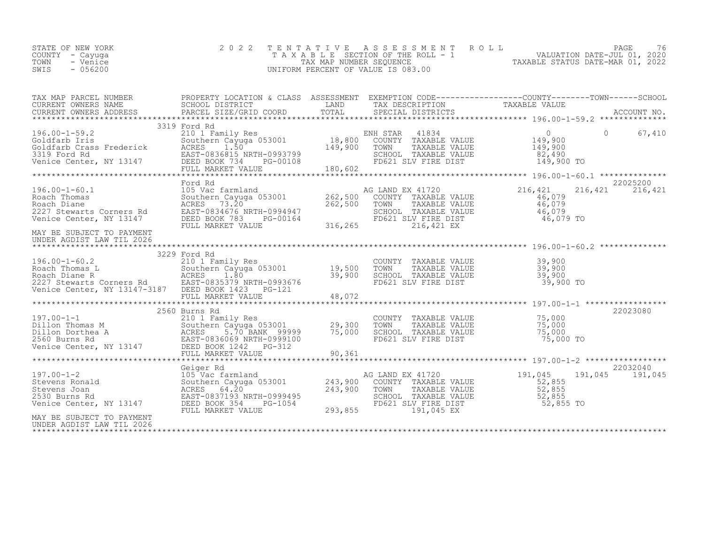|  | STATE OF NEW YORK<br>COUNTY – Cayuga<br>TOWN<br>- Venice<br>$-056200$<br>SWIS |  | 2022 TENTATIVE ASSESSMENT ROLL<br>T A X A B L E SECTION OF THE ROLL - 1<br>TAX MAP NUMBER SEQUENCE<br>UNIFORM PERCENT OF VALUE IS 083.00 | TAXABLE STATUS DATE-MAR 01, 2022 | PAGE<br>VALUATION DATE-JUL 01, 2020 | 76 |
|--|-------------------------------------------------------------------------------|--|------------------------------------------------------------------------------------------------------------------------------------------|----------------------------------|-------------------------------------|----|
|--|-------------------------------------------------------------------------------|--|------------------------------------------------------------------------------------------------------------------------------------------|----------------------------------|-------------------------------------|----|

| TAX MAP PARCEL NUMBER PROPERTY LOCATION & CLASS ASSESSMENT EXEMPTION CODE----------------COUNTY-------TOWN-----SCHOOL                                                                                                                              |              |  |                 |
|----------------------------------------------------------------------------------------------------------------------------------------------------------------------------------------------------------------------------------------------------|--------------|--|-----------------|
|                                                                                                                                                                                                                                                    | 3319 Ford Rd |  |                 |
|                                                                                                                                                                                                                                                    |              |  |                 |
|                                                                                                                                                                                                                                                    |              |  |                 |
| 196.00-1-60.1<br>196.00-1-60.1<br>22025200<br>Roach Diane Southern Cayuga 053001<br>Roach Diane AGRES 73.20<br>262,500 TOWNY TAXABLE VALUE<br>262,500 TOWN TAXABLE VALUE<br>262,500 TOWN TAXABLE VALUE<br>262,500 TOWN TAXABLE VALUE 46,079<br>2   |              |  |                 |
| MAY BE SUBJECT TO PAYMENT<br>UNDER AGDIST LAW TIL 2026                                                                                                                                                                                             |              |  |                 |
|                                                                                                                                                                                                                                                    | 3229 Ford Rd |  |                 |
|                                                                                                                                                                                                                                                    |              |  |                 |
|                                                                                                                                                                                                                                                    |              |  |                 |
|                                                                                                                                                                                                                                                    |              |  |                 |
|                                                                                                                                                                                                                                                    |              |  | 22032040        |
| Geiger Rd 105 Vac farmland 243,900 COUNTY TAXABLE VALUE 191,045<br>Stevens Joan 191,045<br>Stevens Joan 22,855<br>2530 Burns Rd 2530 Burns Rd 262,855<br>2621 Stevens Joan 22,855<br>27,855<br>293,855<br>293,855<br>293,855<br>293,855<br>293,855 |              |  | 191,045 191,045 |
| MAY BE SUBJECT TO PAYMENT<br>UNDER AGDIST LAW TIL 2026                                                                                                                                                                                             |              |  |                 |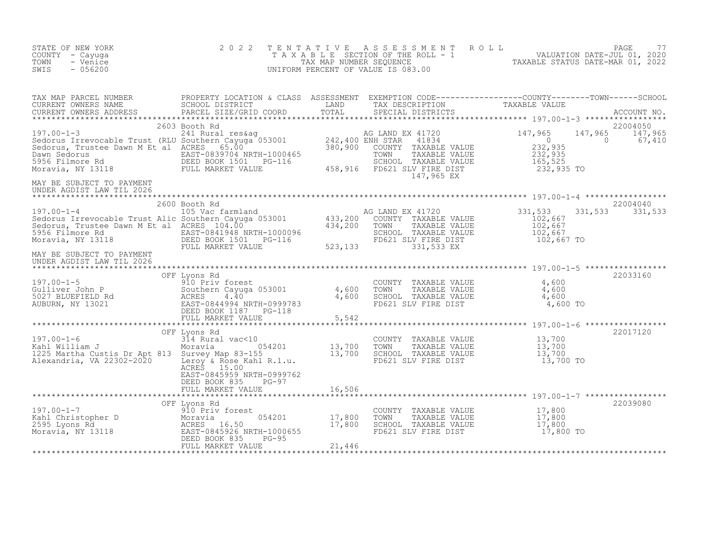| STATE OF NEW YORK<br>COUNTY - Cayuga<br>- Venice<br>TOWN<br>SWIS<br>$-056200$                                                                                                                                                                                                                                                                                     | 2 0 2 2                                                                         | T E N T A T I V E | TENTATIVE ASSESSMENT ROLL<br>TAXABLE SECTION OF THE ROLL - 1 VALUATION DATE-JUL 01, 2020<br>TAX MAP NUMBER SEQUENCE TAXABLE STATUS DATE-MAR 01, 2022<br>INIFORM PERCENT OF VALUE IS 083.00<br>UNIFORM PERCENT OF VALUE IS 083.00 |          |                                       |
|-------------------------------------------------------------------------------------------------------------------------------------------------------------------------------------------------------------------------------------------------------------------------------------------------------------------------------------------------------------------|---------------------------------------------------------------------------------|-------------------|----------------------------------------------------------------------------------------------------------------------------------------------------------------------------------------------------------------------------------|----------|---------------------------------------|
| TAX MAP PARCEL NUMBER PROPERTY LOCATION & CLASS ASSESSMENT EXEMPTION CODE----------------COUNTY--------TOWN------SCHOOL CURRENT OWNERS NAME SCHOOL DISTRICT LAND TAX DESCRIPTION TAXABLE VALUE<br>CURRENT OWNERS ADDRESS PARCEL S                                                                                                                                 |                                                                                 |                   |                                                                                                                                                                                                                                  |          |                                       |
| $197.00 - 1 - 3$ 2603<br>$\begin{tabular}{lllllllllllllllllll} \textbf{197.00--1-3} & \textbf{2603 Booth Rd} & \textbf{241 Rural res\& 241 Rural res\& 242,400 ENH STR & 41720 & 147,965 & 147,965 & 147,965 & 147,965 & 147,965 & 147,965 & 147,965 & 147,965 & 147,965 & 147,965 & 147,965 & 147,965 & 147,965 & 147,965 & 147,96$<br>MAY BE SUBJECT TO PAYMENT | 2603 Booth Rd                                                                   |                   |                                                                                                                                                                                                                                  | $\sim$ 0 | 22004050<br>147,965 147,965<br>67,410 |
| UNDER AGDIST LAW TIL 2026                                                                                                                                                                                                                                                                                                                                         |                                                                                 |                   |                                                                                                                                                                                                                                  |          |                                       |
| XAMIN'S CONCRET CONTROLLER CONTROLLER CONTROLLER CONTROLLER CONTROLLER CONTROLLER CONTROLLER CONTROLLER CONTROLLER CONTROLLER CONTROLLER CONTROLLER CONTROLLER CONTROLLER CONTROLLER CONTROLLER CONTROLLER CONTROLLER CONTROLL                                                                                                                                    |                                                                                 |                   |                                                                                                                                                                                                                                  |          | 22004040<br>331, 533 331, 533         |
| UNDER AGDIST LAW TIL 2026                                                                                                                                                                                                                                                                                                                                         |                                                                                 |                   |                                                                                                                                                                                                                                  |          |                                       |
| OFF Lyons Rd<br>OFF Lyons Rd<br>COUNTY TAXABLE VALUE 4,600<br>GULIVET John P Southern Cayuga 053001<br>SO27 BLUEFIELD Rd<br>AUBURN, NY 13021 EAST-08449994783<br>DEED BOOK 1187 PG-118<br>DEED BOOK 1187 PG-118<br>FULL MARKET VALUE 5,542<br>FU                                                                                                                  |                                                                                 |                   |                                                                                                                                                                                                                                  |          | 22033160                              |
|                                                                                                                                                                                                                                                                                                                                                                   |                                                                                 |                   |                                                                                                                                                                                                                                  |          |                                       |
|                                                                                                                                                                                                                                                                                                                                                                   | OFF Lyons Rd<br>ACRES 15.00<br>EAST-0845959 NRTH-0999762<br>DEED BOOK 835 PG-97 |                   |                                                                                                                                                                                                                                  |          | 22017120                              |
|                                                                                                                                                                                                                                                                                                                                                                   |                                                                                 |                   |                                                                                                                                                                                                                                  |          |                                       |
| 197.00-1-7<br>Kahl Christopher D<br>2595 Lyons Rd<br>Moravia, NY 13118<br>Moravia, NY 13118<br>The BOSS DEED BOOK 835<br>THE PRESS TO BEED BOOK 835<br>THE PRESS TO BEED BOOK 835<br>THE PRESS TO BEED BOOK 835<br>THE PRESS TO BEED BOOK 835<br>T                                                                                                                |                                                                                 |                   | COUNTY TAXABLE VALUE $17,800$<br>TOWN TAXABLE VALUE $17,800$<br>SCHOOL TAXABLE VALUE $17,800$<br>FD621 SLV FIRE DIST $17,800$                                                                                                    |          | 22039080                              |
|                                                                                                                                                                                                                                                                                                                                                                   |                                                                                 |                   |                                                                                                                                                                                                                                  |          |                                       |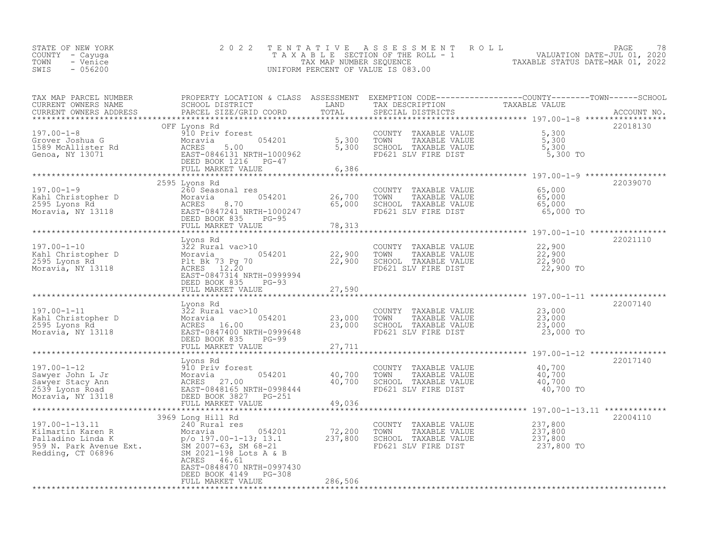| STATE OF NEW YORK | 2022 TENTATIVE ASSESSMENT ROLL        |                                  | PAGE                        | 78 |
|-------------------|---------------------------------------|----------------------------------|-----------------------------|----|
| COUNTY – Cayuga   | T A X A B L E SECTION OF THE ROLL - 1 |                                  | VALUATION DATE-JUL 01, 2020 |    |
| TOWN<br>- Venice  | TAX MAP NUMBER SEOUENCE               | TAXABLE STATUS DATE-MAR 01, 2022 |                             |    |
| - 056200<br>SWIS  | UNIFORM PERCENT OF VALUE IS 083.00    |                                  |                             |    |
|                   |                                       |                                  |                             |    |

| TAX MAP PARCEL NUMBER                                                                                                                                                                                                                                                                 | PROPERTY LOCATION & CLASS ASSESSMENT EXEMPTION CODE----------------COUNTY-------TOWN-----SCHOOL |         |                                                                                    |            |             |
|---------------------------------------------------------------------------------------------------------------------------------------------------------------------------------------------------------------------------------------------------------------------------------------|-------------------------------------------------------------------------------------------------|---------|------------------------------------------------------------------------------------|------------|-------------|
| CURRENT OWNERS NAME<br>CURRENT OWNERS ADDRESS                                                                                                                                                                                                                                         | SCHOOL DISTRICT LAND<br>PARCEL SIZE/GRID COORD                                                  | TOTAL   | TAX DESCRIPTION TAXABLE VALUE<br>SPECIAL DISTRICTS                                 |            | ACCOUNT NO. |
|                                                                                                                                                                                                                                                                                       |                                                                                                 |         |                                                                                    |            |             |
|                                                                                                                                                                                                                                                                                       | OFF Lyons Rd                                                                                    |         |                                                                                    |            | 22018130    |
|                                                                                                                                                                                                                                                                                       |                                                                                                 |         |                                                                                    |            |             |
|                                                                                                                                                                                                                                                                                       |                                                                                                 |         |                                                                                    |            |             |
|                                                                                                                                                                                                                                                                                       |                                                                                                 |         |                                                                                    |            |             |
|                                                                                                                                                                                                                                                                                       |                                                                                                 |         |                                                                                    |            |             |
|                                                                                                                                                                                                                                                                                       |                                                                                                 |         |                                                                                    |            |             |
|                                                                                                                                                                                                                                                                                       |                                                                                                 |         |                                                                                    |            |             |
|                                                                                                                                                                                                                                                                                       |                                                                                                 |         |                                                                                    |            |             |
|                                                                                                                                                                                                                                                                                       | 2595 Lyons Rd                                                                                   |         |                                                                                    |            | 22039070    |
|                                                                                                                                                                                                                                                                                       |                                                                                                 |         |                                                                                    |            |             |
|                                                                                                                                                                                                                                                                                       |                                                                                                 |         |                                                                                    |            |             |
|                                                                                                                                                                                                                                                                                       |                                                                                                 |         |                                                                                    |            |             |
|                                                                                                                                                                                                                                                                                       |                                                                                                 |         |                                                                                    |            |             |
|                                                                                                                                                                                                                                                                                       |                                                                                                 |         |                                                                                    |            |             |
|                                                                                                                                                                                                                                                                                       |                                                                                                 |         |                                                                                    |            |             |
| $\begin{array}{cccccccc} 197.00-1-9 & 2595 & \text{Lyons Ka} & 20008 & \text{Meas} & 26,700 & 26,700 & 26,700 & 26,700 & 26,700 & 26,700 & 26,700 & 26,700 & 26,700 & 26,700 & 26,700 & 26,700 & 26,700 & 26,700 & 26,700 & 26,700 & 26,700 & 26,700 & 26,700 & 26,700 & 26,700 & 26$ |                                                                                                 |         |                                                                                    |            | 22021110    |
|                                                                                                                                                                                                                                                                                       |                                                                                                 |         |                                                                                    |            |             |
|                                                                                                                                                                                                                                                                                       |                                                                                                 |         |                                                                                    |            |             |
|                                                                                                                                                                                                                                                                                       |                                                                                                 |         |                                                                                    |            |             |
|                                                                                                                                                                                                                                                                                       |                                                                                                 |         |                                                                                    |            |             |
|                                                                                                                                                                                                                                                                                       |                                                                                                 |         |                                                                                    |            |             |
|                                                                                                                                                                                                                                                                                       |                                                                                                 |         |                                                                                    |            |             |
|                                                                                                                                                                                                                                                                                       |                                                                                                 |         |                                                                                    |            |             |
|                                                                                                                                                                                                                                                                                       |                                                                                                 |         |                                                                                    |            |             |
|                                                                                                                                                                                                                                                                                       |                                                                                                 |         |                                                                                    |            | 22007140    |
|                                                                                                                                                                                                                                                                                       |                                                                                                 |         |                                                                                    |            |             |
|                                                                                                                                                                                                                                                                                       |                                                                                                 |         |                                                                                    |            |             |
|                                                                                                                                                                                                                                                                                       |                                                                                                 |         |                                                                                    |            |             |
|                                                                                                                                                                                                                                                                                       |                                                                                                 |         |                                                                                    |            |             |
|                                                                                                                                                                                                                                                                                       |                                                                                                 |         |                                                                                    |            |             |
|                                                                                                                                                                                                                                                                                       |                                                                                                 |         |                                                                                    |            |             |
|                                                                                                                                                                                                                                                                                       | Lyons Rd                                                                                        |         |                                                                                    |            | 22017140    |
|                                                                                                                                                                                                                                                                                       |                                                                                                 |         |                                                                                    |            |             |
|                                                                                                                                                                                                                                                                                       |                                                                                                 |         |                                                                                    |            |             |
|                                                                                                                                                                                                                                                                                       |                                                                                                 |         |                                                                                    |            |             |
|                                                                                                                                                                                                                                                                                       |                                                                                                 |         |                                                                                    |            |             |
|                                                                                                                                                                                                                                                                                       |                                                                                                 |         |                                                                                    |            |             |
|                                                                                                                                                                                                                                                                                       |                                                                                                 |         |                                                                                    |            |             |
|                                                                                                                                                                                                                                                                                       |                                                                                                 |         |                                                                                    |            |             |
|                                                                                                                                                                                                                                                                                       | 3969 Long Hill Rd                                                                               |         |                                                                                    |            | 22004110    |
|                                                                                                                                                                                                                                                                                       |                                                                                                 |         |                                                                                    |            |             |
|                                                                                                                                                                                                                                                                                       |                                                                                                 |         | COUNTY TAXABLE VALUE<br>TOWN TAXABLE VALUE 237,800<br>SCHOOL TAXABLE VALUE 237,800 |            |             |
|                                                                                                                                                                                                                                                                                       |                                                                                                 |         | SCHOOL TAXABLE VALUE<br>FD621 SLV FIRE DIST                                        |            |             |
|                                                                                                                                                                                                                                                                                       |                                                                                                 |         |                                                                                    | 237,800 TO |             |
| 197.00-1-13.11<br>Kilmartin Karen R<br>Palladino Linda K<br>Palladino Linda K<br>Photo 197.00-1-13; 13.1<br>959 N. Park Avenue Ext.<br>Redding, CT 06896<br>Redding, CT 06896<br>2021-198 Lots A & B                                                                                  | ACRES 46.61                                                                                     |         |                                                                                    |            |             |
|                                                                                                                                                                                                                                                                                       | EAST-0848470 NRTH-0997430                                                                       |         |                                                                                    |            |             |
|                                                                                                                                                                                                                                                                                       | DEED BOOK 4149 PG-308                                                                           |         |                                                                                    |            |             |
|                                                                                                                                                                                                                                                                                       | FULL MARKET VALUE                                                                               | 286,506 |                                                                                    |            |             |
|                                                                                                                                                                                                                                                                                       |                                                                                                 |         |                                                                                    |            |             |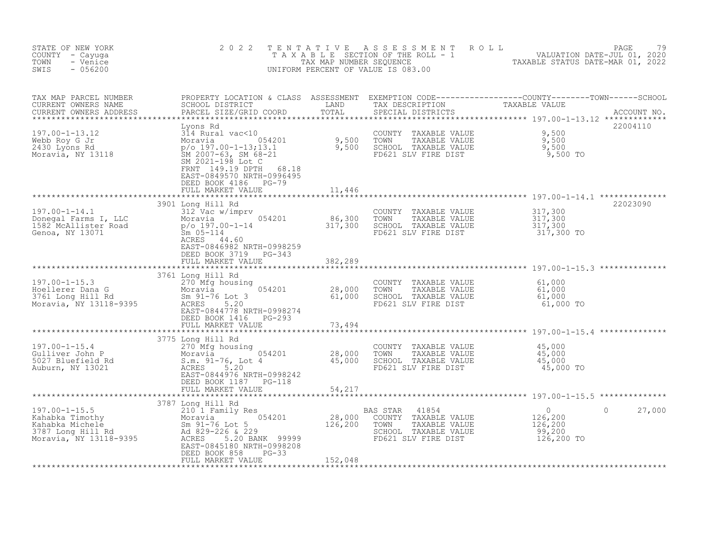| STATE OF NEW YORK<br>COUNTY - Cayuga<br>TOWN<br>- Venice<br>SWIS<br>$-056200$                           | 2 0 2 2<br>T E N T A T I V E                                                                                                                                                                                                                        |                                | A S S E S S M E N T<br>ROLL<br>TAXABLE SECTION OF THE ROLL - 1 WALUATION DATE-JUL 01, 2020<br>TAX MAP NUMBER SEQUENCE TAXABLE STATUS DATE-MAR 01, 2022<br>UNIFORM PERCENT OF VALUE IS 083.00 |                                                             | 79<br>PAGE |
|---------------------------------------------------------------------------------------------------------|-----------------------------------------------------------------------------------------------------------------------------------------------------------------------------------------------------------------------------------------------------|--------------------------------|----------------------------------------------------------------------------------------------------------------------------------------------------------------------------------------------|-------------------------------------------------------------|------------|
| TAX MAP PARCEL NUMBER<br>CURRENT OWNERS NAME<br>CURRENT OWNERS ADDRESS                                  |                                                                                                                                                                                                                                                     |                                |                                                                                                                                                                                              |                                                             |            |
| $197.00 - 1 - 13.12$<br>Webb Roy G Jr<br>2430 Lyons Rd<br>Moravia, NY 13118                             | Lyons Rd<br>Lyons Rd<br>314 Rural vac<10<br>Moravia 054201 9,500<br>p/o 197.00-1-13;13.1 9,500<br>SM 2007-63, SM 68-21<br>Max 2007-198 Notes<br>SM 2021-198 Lot C<br>FRNT 149.19 DPTH<br>68.18<br>EAST-0849570 NRTH-0996495<br>DEED BOOK 4186 PG-79 |                                | COUNTY TAXABLE VALUE<br>TAXABLE VALUE<br>TOWN<br>SCHOOL TAXABLE VALUE<br>FD621 SLV FIRE DIST                                                                                                 | 9,500<br>9,500<br>9,500<br>9,500 TO                         | 22004110   |
|                                                                                                         | FULL MARKET VALUE                                                                                                                                                                                                                                   | 11,446                         |                                                                                                                                                                                              |                                                             |            |
| $197.00 - 1 - 14.1$<br>197.00-1-14.1<br>Donegal Farms I, LLC<br>1582 McAllister Road<br>Genoa, NY 13071 | 3901 Long Hill Rd<br>312 Vac w/imprv<br>Moravia 1954201<br>054201 86,300<br>317,300<br>p/o 197.00-1-14<br>$Sm$ 05-114<br>ACRES 44.60<br>EAST-0846982 NRTH-0998259                                                                                   |                                | COUNTY TAXABLE VALUE<br>TOWN<br>TAXABLE VALUE<br>SCHOOL TAXABLE VALUE<br>FD621 SLV FIRE DIST                                                                                                 | 317,300<br>317,300<br>317,300<br>317,300 TO                 | 22023090   |
|                                                                                                         | DEED BOOK 3719<br>PG-343<br>FULL MARKET VALUE                                                                                                                                                                                                       | 382,289<br>******************* |                                                                                                                                                                                              |                                                             |            |
| $197.00 - 1 - 15.3$<br>Hoellerer Dana G<br>3761 Long Hill Rd<br>Moravia, NY 13118-9395                  | 3761 Long Hill Rd<br>270 Mfg housing<br>$10t$ 3 054201<br>Moravia<br>Sm 91-76 Lot 3<br>5.20<br>ACRES<br>EAST-0844778 NRTH-0998274<br>DEED BOOK 1416 PG-293                                                                                          | 28,000<br>61,000               | COUNTY TAXABLE VALUE<br>TAXABLE VALUE<br>TOWN<br>SCHOOL TAXABLE VALUE<br>FD621 SLV FIRE DIST                                                                                                 | 61,000<br>61,000<br>61,000<br>61,000 TO                     |            |
|                                                                                                         | FULL MARKET VALUE                                                                                                                                                                                                                                   | 73,494                         |                                                                                                                                                                                              |                                                             |            |
|                                                                                                         |                                                                                                                                                                                                                                                     |                                |                                                                                                                                                                                              |                                                             |            |
| $197.00 - 1 - 15.4$<br>Gulliver John P<br>5027 Bluefield Rd<br>Auburn, NY 13021                         | 3775 Long Hill Rd<br>270 Mfg housing<br>Moravia 054201<br>S.m. 91-76, Lot 4<br>5.20<br>ACRES<br>EAST-0844976 NRTH-0998242<br>DEED BOOK 1187 PG-118                                                                                                  | 28,000<br>45,000<br>45,000     | COUNTY TAXABLE VALUE<br>TOWN<br>TAXABLE VALUE<br>SCHOOL TAXABLE VALUE<br>FD621 SLV FIRE DIST                                                                                                 | 45,000<br>45,000<br>45,000<br>45,000 TO                     |            |
|                                                                                                         | FULL MARKET VALUE                                                                                                                                                                                                                                   | 54,217                         |                                                                                                                                                                                              |                                                             |            |
|                                                                                                         |                                                                                                                                                                                                                                                     |                                |                                                                                                                                                                                              | ********************** 197.00-1-15.5 **************         |            |
|                                                                                                         |                                                                                                                                                                                                                                                     | 28,000<br>126,200              | BAS STAR<br>41854<br>TAXABLE VALUE<br>COUNTY<br>TOWN<br>TAXABLE VALUE<br>SCHOOL TAXABLE VALUE<br>FD621 SLV FIRE DIST                                                                         | $\circ$<br>0<br>126, 200<br>126,200<br>99,200<br>126,200 TO | 27,000     |
|                                                                                                         | FULL MARKET VALUE                                                                                                                                                                                                                                   | 152,048                        |                                                                                                                                                                                              |                                                             |            |
|                                                                                                         |                                                                                                                                                                                                                                                     |                                |                                                                                                                                                                                              |                                                             |            |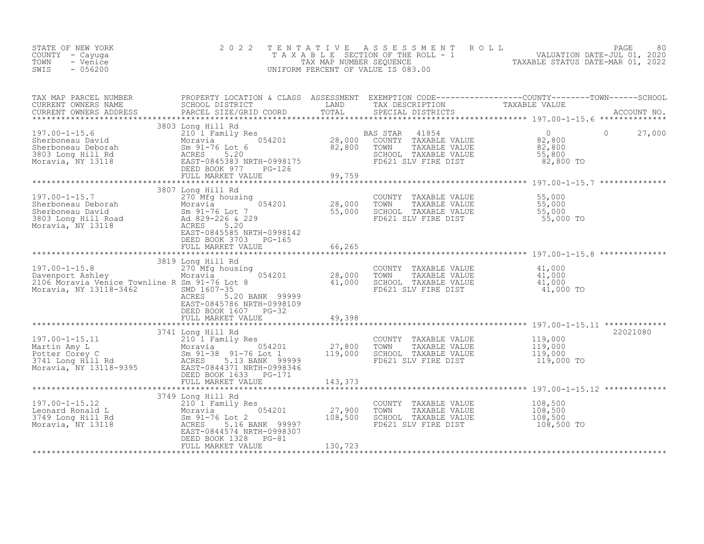| STATE OF NEW YORK<br>COUNTY - Cayuga<br>- Venice<br>TOWN<br>$-056200$<br>SWIS                                                                                                                                                                          | 2 0 2 2                                                                                                              | TENTATIVE | UNIFORM PERCENT OF VALUE IS 083.00                                                                                                                                                         | FENTATIVE ASSESSMENT ROLL<br>TAXABLE SECTION OF THE ROLL - 1 VALUATION DATE-JUL 01, 2020<br>TAX MAP NUMBER SEQUENCE TAXABLE STATUS DATE-MAR 01, 2022<br>INIFORM PERCENT OF VALUE IS 083 00 |
|--------------------------------------------------------------------------------------------------------------------------------------------------------------------------------------------------------------------------------------------------------|----------------------------------------------------------------------------------------------------------------------|-----------|--------------------------------------------------------------------------------------------------------------------------------------------------------------------------------------------|--------------------------------------------------------------------------------------------------------------------------------------------------------------------------------------------|
|                                                                                                                                                                                                                                                        |                                                                                                                      |           |                                                                                                                                                                                            |                                                                                                                                                                                            |
|                                                                                                                                                                                                                                                        |                                                                                                                      |           |                                                                                                                                                                                            |                                                                                                                                                                                            |
| 19/.00-1-15.7<br>Sherboneau Deborah<br>Sherboneau David<br>Sherboneau David<br>Sherboneau David<br>Sherboneau David<br>Sherboneau David<br>Sherboneau David<br>Sherboneau David<br>Sherboneau David<br>Sherboneau David<br>Sherboneau David<br>Sherbon |                                                                                                                      |           | COUNTY TAXABLE VALUE 55,000<br>TOWN TAXABLE VALUE 55,000<br>SCHOOL TAXABLE VALUE 55,000<br>FD621 SLV FIRE DIST 55,000 TO                                                                   |                                                                                                                                                                                            |
| 3819 Long Hill Rd<br>270 Mfg housing<br>Davenport Ashley<br>28,000<br>2106 Moravia Venice Townline R Sm 91-76 Lot 8<br>Moravia, NY 13118-3462<br>20000<br>20000<br>20000<br>20000<br>20000<br>20000<br>20000<br>20000<br>20000<br>20000<br>20000       | 3819 Long Hill Rd<br>ACRES 5.20 BANK 99999<br>EAST-0845786 NRTH-0998109<br>DEED BOOK 1607 PG-32<br>FULL MARKET VALUE | 49,398    | COUNTY TAXABLE VALUE $\begin{array}{cccc} 41,000 \ 1000 \ 1000 \ 11000 \ 11000 \ 12000 \ 13000 \ 14000 \ 15000 \ 15000 \ 16000 \ 17000 \ 17000 \ 17000 \ 18000 \ 19000 \ 1000 \end{array}$ |                                                                                                                                                                                            |
| 197.00-1-15.11<br>Martin Amy L Moravia (197.00-1-15.11 MM Moravia (210 1 Family Res<br>Moravia (27,800 TOWN TAXABLE VALUE<br>Moravia (27,800 TOWN TAXABLE VALUE<br>Moravia (27,800 TOWN TAXABLE VALUE<br>Moravia (27,800 TOWN TAXABLE V                | 3741 Long Hill Rd                                                                                                    |           | COUNTY TAXABLE VALUE $119,000$<br>TOWN TAXABLE VALUE $119,000$<br>SCHOOL TAXABLE VALUE $119,000$<br>FD621 SLV FIRE DIST $119,000$ TO                                                       | 22021080                                                                                                                                                                                   |
| 197.00-1-15.12<br>Leonard Ronald L. Moravia 054201<br>3749 Long Hill Rd Sm 91-76 Lot 2<br>Moravia, NY 13118<br>Moravia, NY 13118<br>SM 228 5.16 BANK 99997<br>EAET 0844574 NRTH-0998307<br>DEED BOOK 1328 PG-81                                        | 3749 Long Hill Rd<br>210 <sup>'</sup> 1 Family Res<br>DEED BOOK 1328 PG-81<br>FULL MARKET VALUE                      | 130,723   | COUNTY TAXABLE VALUE<br>TOWN<br>TAXABLE VALUE<br>SCHOOL TAXABLE VALUE<br>FD621 SLV FIRE DIST                                                                                               | 108,500<br>$108,500$<br>108,500<br>108,500 TO                                                                                                                                              |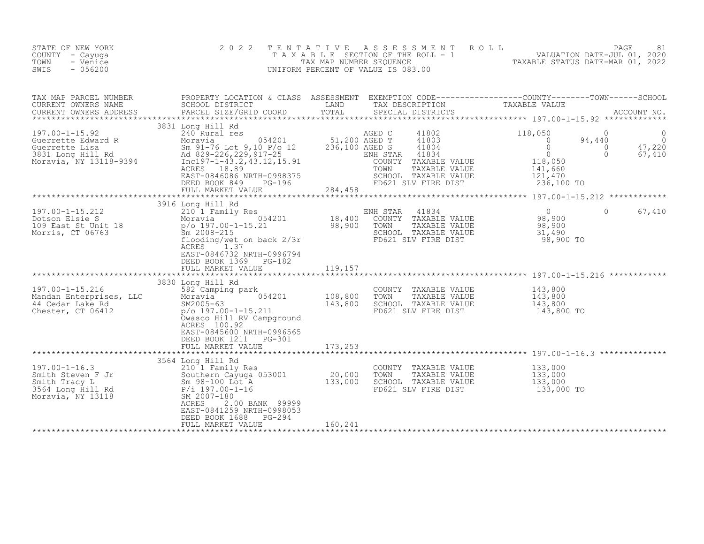| STATE OF NEW YORK<br>COUNTY - Cayuga<br>- Venice<br>TOWN<br>$-056200$<br>SWIS                                                    | 2 0 2 2                                                                                                                                                                                                                                                                                                                                                       | TENTATIVE                     | ASSESSMENT ROLL<br>UNIFORM PERCENT OF VALUE IS 083.00                                                                                                     | T A X A B L E SECTION OF THE ROLL - 1 VALUATION DATE-JUL 01, 2020                                                                               | 81<br>PAGE                               |
|----------------------------------------------------------------------------------------------------------------------------------|---------------------------------------------------------------------------------------------------------------------------------------------------------------------------------------------------------------------------------------------------------------------------------------------------------------------------------------------------------------|-------------------------------|-----------------------------------------------------------------------------------------------------------------------------------------------------------|-------------------------------------------------------------------------------------------------------------------------------------------------|------------------------------------------|
| TAX MAP PARCEL NUMBER<br>CURRENT OWNERS NAME<br>CURRENT OWNERS ADDRESS                                                           | PARCEL SIZE/GRID COORD                                                                                                                                                                                                                                                                                                                                        | TOTAL                         |                                                                                                                                                           |                                                                                                                                                 |                                          |
| $197.00 - 1 - 15.92$                                                                                                             | 3831 Long Hill Rd<br>240 Rural res<br>Cuerrette Edward R<br>Guerrette Edward R<br>Guerrette Lisa Sm 91-76 Lot 9,10 P/o 12 236,100 AGED T<br>3831 Long Hill Rd Ad 829-226,229,917-25 ENH STAR<br>Moravia, NY 13118-9394 Incl97-1-43.2,43.12,15.91 COUNTY<br>ACRES 18.89<br>EAST-0846086 NRTH-0998375<br>DEED BOOK 849<br>PG-196<br>FULL MARKET VALUE           | $284 \text{ } 45^{\circ}$     | AGED C<br>41802<br>41803<br>41804<br>ENH STAR<br>41834<br>TAXABLE VALUE<br>COUNTY<br>TOWN<br>TAXABLE VALUE<br>SCHOOL TAXABLE VALUE<br>FD621 SLV FIRE DIST | 118,050<br>$\Omega$<br>$\bigcirc$<br>94,440<br>$\circ$<br>$\overline{0}$<br>$\Omega$<br>$\Omega$<br>118,050<br>141,660<br>121,470<br>236,100 TO | $\Omega$<br>$\Omega$<br>47,220<br>67,410 |
|                                                                                                                                  |                                                                                                                                                                                                                                                                                                                                                               |                               |                                                                                                                                                           |                                                                                                                                                 |                                          |
| 197.00-1-15.212<br>Dotson Elsie S<br>109 East St Unit 18<br>Morris, CT 06763                                                     | 3916 Long Hill Rd<br>210 1 $r_{\text{dust1}}$ 054201<br>Moravia p/o 197.00-1-15.21 98,900<br>$\frac{C_{m}}{C_{m}}$ 2008-215<br>$\frac{C_{m}}{C_{m}}$ and $\frac{C_{m}}{C_{m}}$ and $\frac{C_{m}}{C_{m}}$ and $\frac{C_{m}}{C_{m}}$ and $\frac{C_{m}}{C_{m}}$ and $\frac{C_{m}}{C_{m}}$<br>ACRES<br>1.37<br>EAST-0846732 NRTH-0996794<br>DEED BOOK 1369 PG-182 |                               | 41834<br>ENH STAR<br>COUNTY TAXABLE VALUE<br>TOWN<br>TAXABLE VALUE<br>SCHOOL TAXABLE VALUE<br>FD621 SLV FIRE DIST                                         | $\overline{0}$<br>$\Omega$<br>98,900<br>98,900<br>31,490<br>98,900 TO                                                                           | 67,410                                   |
|                                                                                                                                  |                                                                                                                                                                                                                                                                                                                                                               |                               |                                                                                                                                                           |                                                                                                                                                 |                                          |
| 197.00-1-15.216<br>Mandan Enterprises, LLC<br>44 Cedar Lake Rd<br>Chester, CT 06412                                              | 3830 Long Hill Rd<br>582 Camping park<br>054201<br>Moravia<br>SM2005-63<br>$p$ /o 197.00-1-15.211<br>Owasco Hill RV Campground<br>ACRES 100.92<br>EAST-0845600 NRTH-0996565<br>DEED BOOK 1211    PG-301<br>FULL MARKET VALUE                                                                                                                                  | 108,800<br>143,800<br>173,253 | COUNTY TAXABLE VALUE<br>TAXABLE VALUE<br>TOWN<br>SCHOOL TAXABLE VALUE<br>FD621 SLV FIRE DIST                                                              | 143,800<br>143,800<br>143,800<br>143,800<br>143,800 TO                                                                                          |                                          |
|                                                                                                                                  |                                                                                                                                                                                                                                                                                                                                                               |                               |                                                                                                                                                           |                                                                                                                                                 |                                          |
| $197.00 - 1 - 16.3$<br>197.00-1-16.3<br>Smith Steven F Jr<br>Smith Tracy L<br>3564 Long Hill Rd<br>Moravia, NY 13118<br>2007-180 | 3564 Long Hill Rd<br>210 1 Family Res<br>Southern Cayuga 053001<br>ACRES<br>2.00 BANK 99999<br>EAST-0841259 NRTH-0998053<br>DEED BOOK 1688<br><b>PG-294</b><br>FULL MARKET VALUE                                                                                                                                                                              | 20,000<br>133,000<br>160,241  | COUNTY TAXABLE VALUE<br>TOWN<br>TAXABLE VALUE<br>SCHOOL TAXABLE VALUE<br>FD621 SLV FIRE DIST                                                              | 133,000<br>133,000<br>133,000<br>133,000 TO                                                                                                     |                                          |
|                                                                                                                                  |                                                                                                                                                                                                                                                                                                                                                               |                               |                                                                                                                                                           |                                                                                                                                                 |                                          |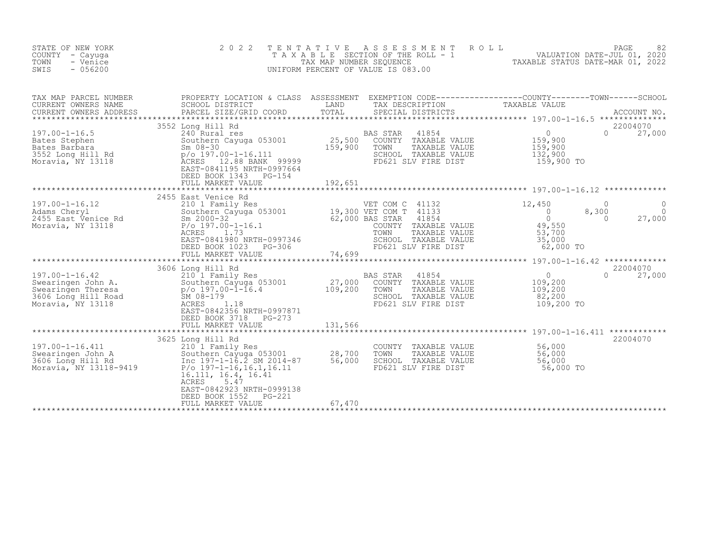| STATE OF NEW YORK<br>COUNTY<br>- Cayuqa<br>TOWN<br>- Venice<br>$-056200$<br>SWIS                             | 2 0 2 2<br>TAXABLE                                                                                                                                                                      | T E N T A T I V E<br>TAX MAP NUMBER SEQUENCE | A S S E S S M E N T<br>SECTION OF THE ROLL - 1<br>UNIFORM PERCENT OF VALUE IS 083.00                                                                                  | ROLL<br>TAXABLE STATUS DATE-MAR 01, 2022                                                | PAGE<br>82<br>VALUATION DATE-JUL 01, 2020       |
|--------------------------------------------------------------------------------------------------------------|-----------------------------------------------------------------------------------------------------------------------------------------------------------------------------------------|----------------------------------------------|-----------------------------------------------------------------------------------------------------------------------------------------------------------------------|-----------------------------------------------------------------------------------------|-------------------------------------------------|
| TAX MAP PARCEL NUMBER<br>CURRENT OWNERS NAME<br>CURRENT OWNERS ADDRESS<br>************************           | PROPERTY LOCATION & CLASS ASSESSMENT<br>SCHOOL DISTRICT<br>PARCEL SIZE/GRID COORD                                                                                                       | LAND<br>TOTAL                                | EXEMPTION CODE-----------------COUNTY-------TOWN------SCHOOL<br>TAX DESCRIPTION<br>SPECIAL DISTRICTS                                                                  | TAXABLE VALUE                                                                           | ACCOUNT NO.<br>**************                   |
| $197.00 - 1 - 16.5$<br>Bates Stephen<br>Bates Barbara<br>3552 Long Hill Rd<br>Moravia, NY 13118              | 3552 Long Hill Rd<br>240 Rural res<br>Southern Cayuga 053001<br>$Sm$ 08-30<br>p/o 197.00-1-16.111<br>ACRES<br>12.88 BANK 99999<br>EAST-0841195 NRTH-0997664<br>DEED BOOK 1343<br>PG-154 | 25,500<br>159,900                            | 41854<br><b>BAS STAR</b><br>COUNTY TAXABLE VALUE<br>TOWN<br>TAXABLE VALUE<br>SCHOOL TAXABLE VALUE<br>FD621 SLV FIRE DIST                                              | $\overline{0}$<br>159,900<br>159,900<br>132,900<br>159,900 TO                           | 22004070<br>$\Omega$<br>27,000                  |
|                                                                                                              | FULL MARKET VALUE                                                                                                                                                                       | 192,651                                      |                                                                                                                                                                       |                                                                                         |                                                 |
| $197.00 - 1 - 16.12$<br>Adams Cheryl<br>2455 East Venice Rd<br>Moravia, NY 13118                             | 2455 East Venice Rd<br>210 1 Family Res<br>Southern Cayuga 053001<br>$Sm$ 2000-32<br>$P/O$ 197.00-1-16.1<br>ACRES<br>1.73<br>EAST-0841980 NRTH-0997346<br>DEED BOOK 1023<br>$PG-306$    |                                              | VET COM C 41132<br>19,300 VET COM T 41133<br>62,000 BAS STAR<br>41854<br>COUNTY TAXABLE VALUE<br>TOWN<br>TAXABLE VALUE<br>SCHOOL TAXABLE VALUE<br>FD621 SLV FIRE DIST | 12,450<br>$\overline{0}$<br>8,300<br>$\circ$<br>49,550<br>53,700<br>35,000<br>62,000 TO | $\Omega$<br>$\Omega$<br>0<br>27,000<br>$\Omega$ |
|                                                                                                              | FULL MARKET VALUE                                                                                                                                                                       | 74,699                                       |                                                                                                                                                                       |                                                                                         |                                                 |
| $197.00 - 1 - 16.42$<br>Swearingen John A.<br>Swearingen Theresa<br>3606 Long Hill Road<br>Moravia, NY 13118 | 3606 Long Hill Rd<br>210 1 Family Res<br>Southern Cayuga 053001<br>$p$ /o 197.00-1-16.4<br>SM 08-179<br>ACRES<br>1.18<br>EAST-0842356 NRTH-0997871                                      | 27,000<br>109,200                            | 41854<br>BAS STAR<br>COUNTY TAXABLE VALUE<br>TOWN<br>TAXABLE VALUE<br>SCHOOL TAXABLE VALUE<br>FD621 SLV FIRE DIST                                                     | $\circ$<br>109,200<br>109,200<br>82,200<br>109,200 TO                                   | 22004070<br>$\cap$<br>27,000                    |
|                                                                                                              | DEED BOOK 3718<br>PG-273<br>FULL MARKET VALUE                                                                                                                                           | 131,566                                      |                                                                                                                                                                       | *************** 197.00-1-16.411 ******                                                  |                                                 |
| 197.00-1-16.411<br>Swearingen John A<br>3606 Long Hill Rd<br>Moravia, NY 13118-9419                          | 3625 Long Hill Rd<br>210 1 Family Res<br>Southern Cayuga 053001<br>Inc 197-1-16.2 SM 2014-87<br>$P/O$ 197-1-16, 16.1, 16.11<br>16.111, 16.4, 16.41<br>ACRES<br>5.47                     | 28,700<br>56,000                             | COUNTY<br>TAXABLE VALUE<br>TOWN<br>TAXABLE VALUE<br>SCHOOL TAXABLE VALUE<br>FD621 SLV FIRE DIST                                                                       | 56,000<br>56,000<br>56,000<br>56,000 TO                                                 | 22004070                                        |
|                                                                                                              | EAST-0842923 NRTH-0999138<br>DEED BOOK 1552<br>PG-221<br>FULL MARKET VALUE                                                                                                              | 67,470                                       |                                                                                                                                                                       |                                                                                         |                                                 |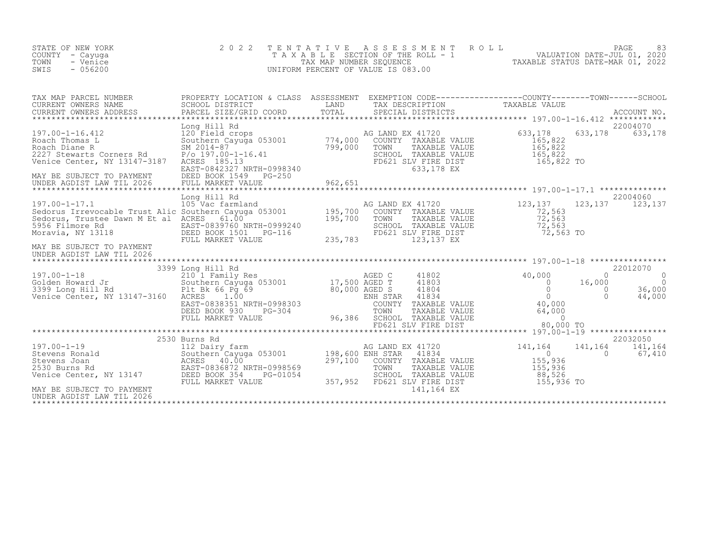| STATE OF NEW YORK<br>COUNTY - Cayuga<br>TOWN<br>- Venice<br>$-056200$<br>SWIS | 2022 TENTATIVE ASSESSMENT ROLL<br>TAXABLE SECTION OF THE ROLL - 1<br>TAX MAP NUMBER SEOUENCE<br>UNIFORM PERCENT OF VALUE IS 083.00 | 83<br>PAGE<br>VALUATION DATE-JUL 01, 2020<br>TAXABLE STATUS DATE-MAR 01, 2022 |
|-------------------------------------------------------------------------------|------------------------------------------------------------------------------------------------------------------------------------|-------------------------------------------------------------------------------|
|                                                                               |                                                                                                                                    |                                                                               |

| TAX MAP PARCEL NUMBER                                                                                                                                                                                                                                                                                                                                                                                                                                | PROPERTY LOCATION & CLASS ASSESSMENT EXEMPTION CODE-----------------COUNTY-------TOWN-----SCHOOL |  |         |                                                           |
|------------------------------------------------------------------------------------------------------------------------------------------------------------------------------------------------------------------------------------------------------------------------------------------------------------------------------------------------------------------------------------------------------------------------------------------------------|--------------------------------------------------------------------------------------------------|--|---------|-----------------------------------------------------------|
|                                                                                                                                                                                                                                                                                                                                                                                                                                                      |                                                                                                  |  | 633,178 | 22004070<br>633,178                                       |
| MAY BE SUBJECT TO PAYMENT<br>UNDER AGDIST LAW TIL 2026                                                                                                                                                                                                                                                                                                                                                                                               | Long Hill Rd                                                                                     |  |         | 22004060                                                  |
| $\begin{tabular}{l c c c c c} \multicolumn{1}{c}{\text{\small 3393} & \multicolumn{1}{c}{\text{\small 3394} & \multicolumn{1}{c}{\text{\small 3395} & \multicolumn{1}{c}{\text{\small 3399} & \multicolumn{1}{c}{\text{\small 3399} & \multicolumn{1}{c}{\text{\small 3399} & \multicolumn{1}{c}{\text{\small 3399} & \multicolumn{1}{c}{\text{\small 3399} & \multicolumn{1}{c}{\text{\small 3399} & \multicolumn{1}{c}{\text{\small 3399} & \mult$ |                                                                                                  |  |         | 22012070<br>$\circ$<br>$\overline{0}$<br>36,000<br>44,000 |
| 197.00-1-19<br>Stevens Ronald<br>Stevens Ronald<br>Stevens Joan MacRES 40.00<br>297,100 COUNTY TAXABLE VALUE<br>297,100 COUNTY TAXABLE VALUE<br>297,100 COUNTY TAXABLE VALUE<br>297,100 COUNTY TAXABLE VALUE<br>297,100 COUNTY TAXABLE VALUE<br><br>UNDER AGDIST LAW TIL 2026                                                                                                                                                                        | 2530 Burns Rd                                                                                    |  |         | 22032050<br>141,164<br>67,410                             |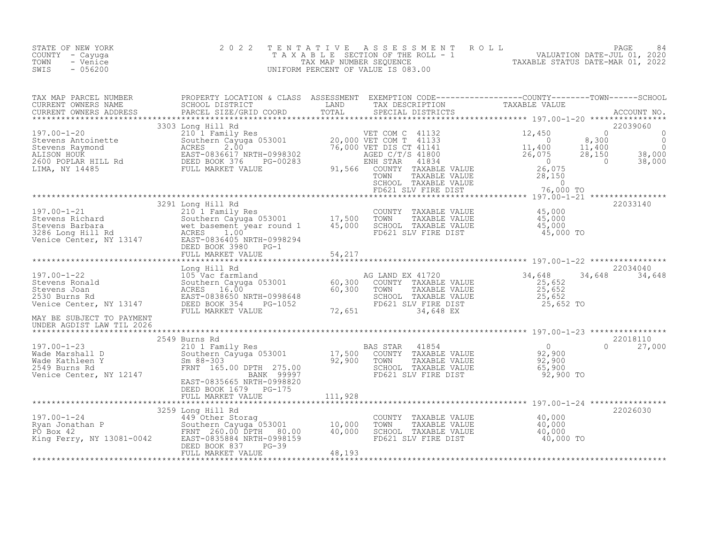| STATE OF NEW YORK<br>COUNTY - Cayuga<br>TOWN<br>- Venice<br>$-056200$<br>SWIS                                                                                                                                                                                                                                                                                              | 2 0 2 2 |  | TENTATIVE ASSESSMENT ROLL PAGE 84<br>TAXABLE SECTION OF THE ROLL - 1 VALUATION DATE-JUL 01, 2020<br>TAX MAP NUMBER SEQUENCE TAXABLE STATUS DATE-MAR 01, 2022<br>UNIFORM PERCENT OF VALUE IS 083.00 |               |
|----------------------------------------------------------------------------------------------------------------------------------------------------------------------------------------------------------------------------------------------------------------------------------------------------------------------------------------------------------------------------|---------|--|----------------------------------------------------------------------------------------------------------------------------------------------------------------------------------------------------|---------------|
|                                                                                                                                                                                                                                                                                                                                                                            |         |  |                                                                                                                                                                                                    |               |
|                                                                                                                                                                                                                                                                                                                                                                            |         |  |                                                                                                                                                                                                    |               |
| $[197.00-1-21$  \mbox{zero} \mbox{B201} \mbox{J001} \mbox{J011} \mbox{R3} \mbox{Stevens Richard} \\ 197.00-1-21$  \mbox{zero} \mbox{R4} \mbox{R4} \mbox{J01} \mbox{Family Res} \\ 2101 \mbox{S1} \mbox{Family Res} \\ 2101 \mbox{S1} \mbox{S201} \mbox{J01} \mbox{J01} \mbox{J01} \mbox{J01} \mbox{J01} \mbox{J01} \mbox{J01} \mbox{J$                                     |         |  |                                                                                                                                                                                                    |               |
|                                                                                                                                                                                                                                                                                                                                                                            |         |  |                                                                                                                                                                                                    |               |
| MAY BE SUBJECT TO PAYMENT                                                                                                                                                                                                                                                                                                                                                  |         |  |                                                                                                                                                                                                    |               |
| UNDER AGDIST LAW TIL 2026                                                                                                                                                                                                                                                                                                                                                  |         |  |                                                                                                                                                                                                    |               |
|                                                                                                                                                                                                                                                                                                                                                                            |         |  |                                                                                                                                                                                                    | $0 \t 27,000$ |
|                                                                                                                                                                                                                                                                                                                                                                            |         |  |                                                                                                                                                                                                    |               |
| $\begin{tabular}{c c c c c} \hline & EBED BOS/656587 NRTI-0998820 \\ \hline DEED BOS/6579 & FULL MARKET VALUDE \\ 197.00-1-24 & &3259 Long Hill Rd \\ 3259 Long Hill Rd \\ \hline \end{tabular} \hline \begin{tabular}{c c c} \hline & EUEI MARKET VALUE \\ 3259 Long Hill Rd \\ 40,000 & 40,000 & TOMN \\ 5259 Long Hill Rd \\ 52026030 & &20026030 \\ 52026030 & &20026$ |         |  |                                                                                                                                                                                                    |               |
|                                                                                                                                                                                                                                                                                                                                                                            |         |  |                                                                                                                                                                                                    |               |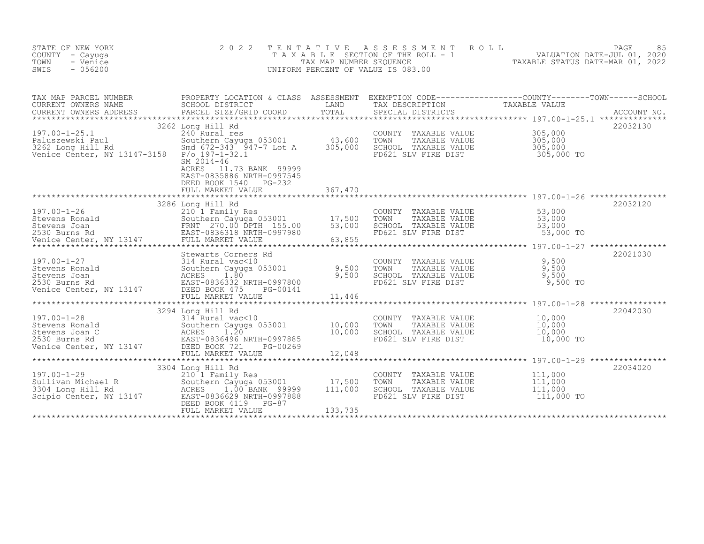| STATE OF NEW YORK<br>COUNTY - Cayuga<br>- Venice<br>TOWN<br>SWIS<br>$-056200$                                                                                                                                                                              | 2 0 2 2                                                                                                                              | TENTATIVE | TAXABLE SECTION OF THE ROLL TAXABLE STATUS DATE-JUL 01, 2020<br>TAX ABLE SECTION OF THE ROLL - 1<br>TAXABLE STATUS DATE-MAR 01, 2022<br>INIFORM PERCENT OF VALUE IS 083.00<br>UNIFORM PERCENT OF VALUE IS 083.00 |                                                      |          |
|------------------------------------------------------------------------------------------------------------------------------------------------------------------------------------------------------------------------------------------------------------|--------------------------------------------------------------------------------------------------------------------------------------|-----------|------------------------------------------------------------------------------------------------------------------------------------------------------------------------------------------------------------------|------------------------------------------------------|----------|
|                                                                                                                                                                                                                                                            |                                                                                                                                      |           |                                                                                                                                                                                                                  |                                                      |          |
| 197.00-1-25.1 240 <sup>-</sup> Rural res<br>Paluszewski Paul southern Cayuga 053001 43,600<br>3262 Long Hill Rd Smd 672-343 947-7 Lot A 305,000<br>Venice Center, NY 13147-3158 P/o 197-1-32 1                                                             | 3262 Long Hill Rd<br>SM 2014-46<br>ACRES 11.73 BANK 99999<br>EAST-0835886 NRTH-0997545<br>DEED BOOK 1540 PG-232<br>FULL MARKET VALUE | 367,470   | COUNTY TAXABLE VALUE<br>TAXABLE VALUE<br>TOWN<br>SCHOOL TAXABLE VALUE<br>FD621 SLV FIRE DIST 305,000 TO                                                                                                          | 305,000<br>$305,000$<br>$305,000$                    | 22032130 |
|                                                                                                                                                                                                                                                            | 3286 Long Hill Rd                                                                                                                    |           | COUNTY TAXABLE VALUE 53,000<br>TOWN TAXABLE VALUE 53,000<br>SCHOOL TAXABLE VALUE 53,000<br>FD621 SLV FIRE DIST 53,000 TO                                                                                         |                                                      | 22032120 |
| 197.00-1-27<br>Stewarts Corners Role<br>Stevens Ronald<br>Stevens Joan<br>2530 Burns Rd<br>2530 Burns Rd<br>2530 Burns Rd<br>2530 Burns Rd<br>2530 Burns Rd<br>2530 Burns Rd<br>2530 Burns Rd<br>2530 Burns Rd<br>2530 Burns Rd<br>2530 Burns Rd<br>2530 B |                                                                                                                                      |           | COUNTY TAXABLE VALUE $9,500$<br>TOWN TAXABLE VALUE $9,500$<br>SCHOOL TAXABLE VALUE $9,500$<br>FD621 SLV FIRE DIST $9,500$                                                                                        | *********************** 197.00-1-27 **************** | 22021030 |
| 197.00-1-28<br>Stevens Ronald<br>Stevens Joan C<br>2530 Burns Rd<br>Venice Center, NY 13147<br>CHER CONGER CONGER CONGER CONGER CONGER CONGER CONGER CONGER CONGER CONGER CONGERED BY THE<br>TULE MARKET VALUE<br>FULL MARKET VALUE POOS 12.               | 3294 Long Hill Rd<br>FULL MARKET VALUE                                                                                               | 12,048    | COUNTY TAXABLE VALUE 10,000<br>TOWN TAXABLE VALUE 10,000<br>TOWN TAXABLE VALUE<br>SCHOOL TAXABLE VALUE 10,000<br>10,000 TO 10,000 TO                                                                             |                                                      | 22042030 |
| 197.00-1-29<br>Sullivan Michael R<br>Sullivan Michael R<br>3304 Long Hill Rd<br>Scipio Center, NY 13147<br>ACRES<br>ACRES 1.00 BANK 99999<br>ACRES 1.00 BANK 99999<br>BAST-0836629 NRTH-0997888<br>FRED BOOK 4119<br>PG-87                                 | 3304 Long Hill Rd<br>DEED BOOK 4119 PG-87<br>FULL MARKET VALUE                                                                       | 133,735   | COUNTY TAXABLE VALUE<br>TOWN<br>TAXABLE VALUE<br>SCHOOL TAXABLE VALUE<br>FD621 SLV FIRE DIST                                                                                                                     | 111,000<br>111,000<br>111,000<br>111,000 TO          | 22034020 |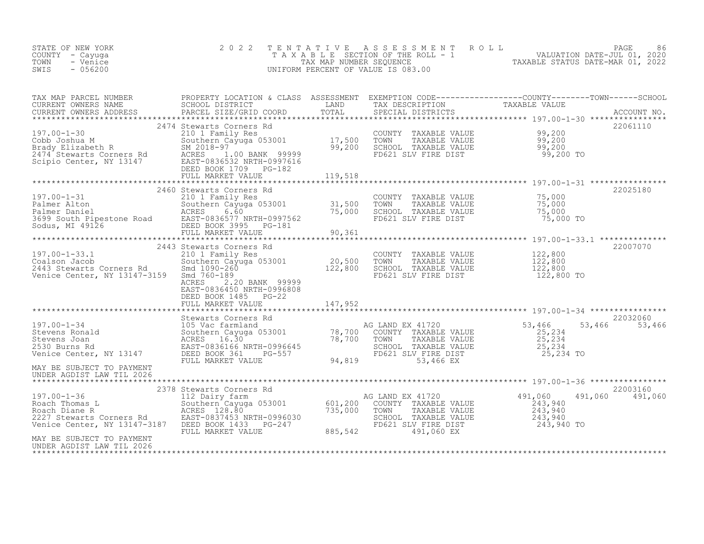| STATE OF NEW YORK<br>COUNTY - Cayuga<br>- Venice<br>TOWN<br>SWIS<br>$-056200$                                                                                                                                                                                                                                                                                                                                                                  | 2 0 2 2                                                                                                                                                                                                                                                                                         | TENTATIVE ASSESSMENT ROLL PAGE PAGE 86<br>TAXABLE SECTION OF THE ROLL - 1 VALUATION DATE-JUL 01, 2020<br>TAX MAP NUMBER SEQUENCE TAXABLE STATUS DATE-MAR 01, 2022<br>UNIFORM PERCENT OF VALUE IS 083.00 |                 |
|------------------------------------------------------------------------------------------------------------------------------------------------------------------------------------------------------------------------------------------------------------------------------------------------------------------------------------------------------------------------------------------------------------------------------------------------|-------------------------------------------------------------------------------------------------------------------------------------------------------------------------------------------------------------------------------------------------------------------------------------------------|---------------------------------------------------------------------------------------------------------------------------------------------------------------------------------------------------------|-----------------|
| TAX MAP PARCEL NUMBER PROPERTY LOCATION & CLASS ASSESSMENT EXEMPTION CODE-----------------COUNTY---------TOWN------SCHOOL SCHOOL DISTRICT LAND TAX DESCRIPTION<br>CURRENT OWNERS NAME PARCEL SIZE/GRID COORD TOTAL SPECIAL DISTRI                                                                                                                                                                                                              |                                                                                                                                                                                                                                                                                                 |                                                                                                                                                                                                         |                 |
| ${\small \newline \text{FULL} \newline \text{MARKET} \newline \text{119,518} \newline \text{139,518} \newline \text{149,518} \newline \text{150,518} \newline \text{160,518} \newline \text{17,518} \newline \text{180,518} \newline \text{197,520} \newline \text{197,531} \newline \text{197,518} \newline \text{198,520} \newline \text{199,531} \newline \text{199,531} \newline \text{199,532} \newline \text{199,533} \newline \text{19$ |                                                                                                                                                                                                                                                                                                 |                                                                                                                                                                                                         | 22061110        |
| $\footnotesize \begin{array}{c cccc} \text{2460} & \text{2460} & \text{31,500} & \text{197.00--1-31} & \text{2460} & \text{31,500} & \text{2101} & \text{2101} & \text{22400} & \text{2101} & \text{22400} & \text{22400} & \text{22400} & \text{22400} & \text{22400} & \text{22400} & \text{22400} & \text{22400} & \text{22400} & \text{22400} & \text{22$                                                                                  | 2460 Stewarts Corners Rd                                                                                                                                                                                                                                                                        |                                                                                                                                                                                                         | 22025180        |
| 197.00-1-33.1<br>Coalson Jacob<br>2443 Stewarts Corners Rd<br>Venice Center, NY 13147-3159                                                                                                                                                                                                                                                                                                                                                     | 2443 Stewarts Corners Rd<br>210 1 Family Res<br>Southern Cayuga 053001 20,500 TOWN TAXABLE VALUE<br>3159 Smd 760-189 20,500 SCHOOL TAXABLE VALUE<br>3159 Smd 760-189 FD621 SLV FIRE DIST<br>ACRES 2.20 BANK 999999<br>ACRES 2.20 BANK 9999<br>EAST-0836450 NRTH-0996808<br>DEED BOOK 1485 PG-22 |                                                                                                                                                                                                         | 22007070        |
|                                                                                                                                                                                                                                                                                                                                                                                                                                                |                                                                                                                                                                                                                                                                                                 |                                                                                                                                                                                                         | 22032060        |
|                                                                                                                                                                                                                                                                                                                                                                                                                                                |                                                                                                                                                                                                                                                                                                 |                                                                                                                                                                                                         | 53,466 53,466   |
| MAY BE SUBJECT TO PAYMENT<br>UNDER AGDIST LAW TIL 2026                                                                                                                                                                                                                                                                                                                                                                                         |                                                                                                                                                                                                                                                                                                 |                                                                                                                                                                                                         |                 |
|                                                                                                                                                                                                                                                                                                                                                                                                                                                | 2378 Stewarts Corners Rd                                                                                                                                                                                                                                                                        |                                                                                                                                                                                                         | 22003160        |
| 197.00-1-36<br>Roach Thomas L 2378 Stewarts Corners Rd<br>Roach Thomas L Southern Cayuga 053001 601,200 COUNTY TAXABLE VALUE<br>Roach Diane R 2227 Stewarts Corners Rd EAST-0837453 NRTH-0996030 735,000 TOWN TAXABLE VALUE 243,940                                                                                                                                                                                                            |                                                                                                                                                                                                                                                                                                 |                                                                                                                                                                                                         | 491,060 491,060 |
| MAY BE SUBJECT TO PAYMENT<br>UNDER AGDIST LAW TIL 2026                                                                                                                                                                                                                                                                                                                                                                                         |                                                                                                                                                                                                                                                                                                 |                                                                                                                                                                                                         |                 |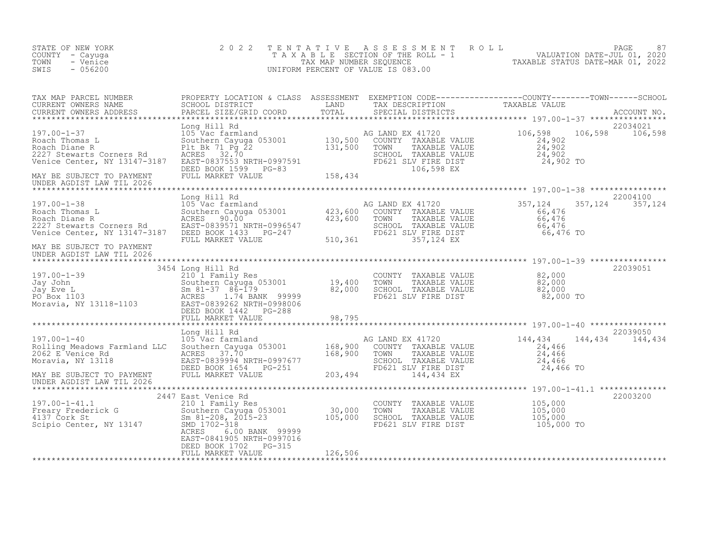| STATE OF NEW YORK<br>COUNTY - Cayuga<br>TOWN<br>- Venice<br>SWIS<br>$-056200$                                                                                                                                                                                                                                                      | 2 0 2 2                                                                                                                                                                                                                                | TENTATIVE                    | UNIFORM PERCENT OF VALUE IS 083.00                                                                                             | FAGE 87<br>TAXABLE SECTION OF THE ROLL - 1 VALUATION DATE-JUL 01, 2020<br>TAX MAP NUMBER SEQUENCE TAXABLE STATUS DATE-MAR 01, 2022<br>NIFORM PERCENT OF VALUE IS 083.00 |                     |
|------------------------------------------------------------------------------------------------------------------------------------------------------------------------------------------------------------------------------------------------------------------------------------------------------------------------------------|----------------------------------------------------------------------------------------------------------------------------------------------------------------------------------------------------------------------------------------|------------------------------|--------------------------------------------------------------------------------------------------------------------------------|-------------------------------------------------------------------------------------------------------------------------------------------------------------------------|---------------------|
| TAX MAP PARCEL NUMBER<br>CURRENT OWNERS NAME<br>CURRENT OWNERS ADDRESS<br>*************************                                                                                                                                                                                                                                | PROPERTY LOCATION & CLASS ASSESSMENT EXEMPTION CODE----------------COUNTY--------TOWN------SCHOOL<br>SCHOOL DISTRICT               LAND       TAX DESCRIPTION         TAXABLE VALUE<br>PARCEL SIZE/GRID COORD       TOTAL     SPECIA   |                              | SPECIAL DISTRICTS                                                                                                              |                                                                                                                                                                         | ACCOUNT NO.         |
| 197.00-1-37<br>Roach Thomas L<br>Roach Diane R<br>2227 Stewarts Corners Rd<br>Venice Center, NY 13147-3187<br>MAY BE SUBJECT TO PAYMENT<br>UNDER AGDIST LAW TIL 2026                                                                                                                                                               | Long Hill Rd<br>105 Vac farmland<br>Southern Cayuga 053001 130,500<br>Plt Bk 71 Pg 22 131,500<br>ACRES 32.70 131,500<br>FILE BA 1119<br>ACRES 132.70<br>EAST-0837553 NRTH-0997591<br>DEED BOOK 1599 PG-83<br>FULL MARKET VALUE 158,434 |                              | AG LAND EX 41720<br>COUNTY TAXABLE VALUE<br>TAXABLE VALUE<br>TOWN<br>SCHOOL TAXABLE VALUE<br>FD621 SLV FIRE DIST<br>106,598 EX | 106, 598<br>106,598<br>$\begin{array}{r} 24,902 \\ 24,902 \\ 24,902 \\ 24,902 \end{array}$<br>24,902 TO                                                                 | 22034021<br>106,598 |
| 197.00-1-38<br>Roach Thomas L<br>Roach Diane R<br>2227 Stewarts Corners Rd<br>Venice Center, NY 13147-3187<br>MAY BE SUBJECT TO PAYMENT<br>UNDER AGDIST LAW TIL 2026                                                                                                                                                               | Long Hill Rd<br>105 Vac farmland<br>Southern Cayuga 053001 (423,600 COUNTY TAXABLE VALUE<br>ACRES 90.00 (423,600 TOWN TAXABLE VALUE<br>DEED BOOK 1433 PG-247<br>FULL MARKET VALUE 510,361                                              | 510, 361                     | TAXABLE VALUE<br>SCHOOL TAXABLE VALUE<br>FD621 SLV FIRE DIST<br>357,124 EX                                                     | 357,124<br>357,124<br>66,476<br>66,476<br>66,476<br>66,476 TO                                                                                                           | 22004100<br>357,124 |
| 197.00-1-39<br>Jay John Southern Cayuga 053001<br>Jay Eve L Sm 81-37 86-179<br>PO Box 1103 RORES 1.74 BANK 99999<br>Moravia, NY 13118-1103 EAST-0839262 NRTH-0998006<br>DEED BOOK 1442 PG-288                                                                                                                                      | 3454 Long Hill Rd<br>210 1 Family Res<br>Southern Cayuga 053001 19,400<br>Sm 81-37 86-179 82,000<br>ACRES 1.74 BANK 99999 82,000                                                                                                       |                              | COUNTY<br>TAXABLE VALUE<br>TOWN<br>TAXABLE VALUE<br>SCHOOL TAXABLE VALUE 82,000<br>FD621 SLV FIRE DIST 82,000 TO               | 82,000<br>82,000<br>82,000                                                                                                                                              | 22039051            |
|                                                                                                                                                                                                                                                                                                                                    | FULL MARKET VALUE                                                                                                                                                                                                                      | 98,795                       |                                                                                                                                |                                                                                                                                                                         |                     |
| Eong Hill Rd<br>197.00-1-40 105 Vac farmland<br>2019 168,900 COUNTY TAXABLE VALUE<br>2011ng Meadows Farmland LLC Southern Cayuga 053001 168,900 COUNTY TAXABLE VALUE<br>2010 168,900 TOWN TAXABLE VALUE<br>201001 TAXABLE VALUE<br>2062 E Venice Rd<br>Moravia, NY 13118<br>MAY BE SUBJECT TO PAYMENT<br>UNDER AGDIST LAW TIL 2026 | EAST-0839994 NRTH-0997677<br>DEED BOOK 1654 PG-251<br>FULL MARKET VALUE                                                                                                                                                                | 203,494                      | SCHOOL TAXABLE VALUE<br>FD621 SLV FIRE DIST<br>144,434 EX                                                                      | 144,434<br>144,434<br>24,466<br>24,466<br>24,466<br>24,466 TO                                                                                                           | 22039050<br>144,434 |
| 197.00-1-41.1<br>-<br>rick G<br>Freary Frederick G<br>4137 Cork St<br>Scipio Center, NY 13147                                                                                                                                                                                                                                      | 2447 East Venice Rd<br>210 1 Family Res<br>Southern Cayuga 053001<br>Sm 81-208, 2015-23<br>SMD 1703 210<br>SMD 1702-318<br>6.00 BANK 99999<br>ACRES<br>EAST-0841905 NRTH-0997016<br>DEED BOOK 1702<br>PG-315<br>FULL MARKET VALUE      | 30,000<br>105,000<br>126,506 | COUNTY TAXABLE VALUE<br>TOWN<br>TAXABLE VALUE<br>SCHOOL TAXABLE VALUE<br>FD621 SLV FIRE DIST                                   | 105,000<br>105,000<br>105,000<br>105,000 TO                                                                                                                             | 22003200            |
|                                                                                                                                                                                                                                                                                                                                    |                                                                                                                                                                                                                                        |                              |                                                                                                                                |                                                                                                                                                                         |                     |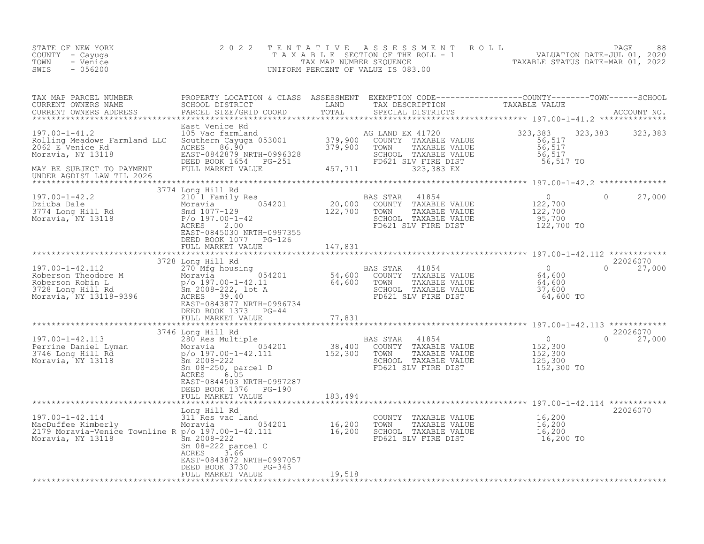| STATE OF NEW YORK<br>COUNTY - Cayuga<br>TOWN<br>- Venice<br>SWIS<br>$-056200$                                                                                                                                                                       | 2 0 2 2                                                                                                                                                                                                                                                                                                                                                                                                                                                                                                             | TENTATIVE | UNIFORM PERCENT OF VALUE IS 083.00                                                                                                           | T E N T A T I V E A S S E S S M E N T R O L L<br>T A X A B L E SECTION OF THE ROLL - 1 VALUATION DATE-JUL 01, 2020<br>TAX MAP NUMBER SEQUENCE TAXABLE STATUS DATE-MAR 01, 2022<br>UNIFORM PERCENT OF VALUE IS 083.00 |                                |
|-----------------------------------------------------------------------------------------------------------------------------------------------------------------------------------------------------------------------------------------------------|---------------------------------------------------------------------------------------------------------------------------------------------------------------------------------------------------------------------------------------------------------------------------------------------------------------------------------------------------------------------------------------------------------------------------------------------------------------------------------------------------------------------|-----------|----------------------------------------------------------------------------------------------------------------------------------------------|----------------------------------------------------------------------------------------------------------------------------------------------------------------------------------------------------------------------|--------------------------------|
| TAX MAP PARCEL NUMBER<br>CURRENT OWNERS NAME<br>CURRENT OWNERS ADDRESS                                                                                                                                                                              | $\begin{tabular}{lllllllll} \texttt{PROPERTY LOCATION & CLLASS & ASSESSMENT & EXEMPITION & CODE--------------COUNTY-------TOWN------SCHOOL \\ \texttt{SCHOOL DISTRICT} & & & & & & & \\ \texttt{LAND} & & & & & \texttt{TAX DECATION} & & & \texttt{TAXABLE VALUE} \\ \texttt{PANCE} & & & & & \texttt{SPECIAL DISTRICTS} & & & & \\ \texttt{PANCE} & & & & & \texttt{SPECIAL DISTRICTS} & & & \\ \texttt{XXABLE} & & & & & \texttt{SPCUAL} & & \\ \texttt{XXABLE} & & & & & \texttt{SACCOUNT NO} & & \\ \texttt{X$ |           |                                                                                                                                              |                                                                                                                                                                                                                      |                                |
| 197.00-1-41.2<br>Rolling Meadows Farmland LLC 50uthern Cayuga 053001<br>2062 E Venice Rd RCRES 86.90<br>Moravia, NY 13118 EAST-0842879 NRTH-0996328<br>MAY BE SUBJECT TO PAYMENT FULL MARKET VALUE<br>MAY BE SUBJECT TO PAYMENT FULL MAR            | East Venice Rd                                                                                                                                                                                                                                                                                                                                                                                                                                                                                                      |           | SCHOOL TAXABLE VALUE<br>FD621 SLV FIRE DIST                                                                                                  | 323, 383<br>$56,517$<br>56,517<br>56,517                                                                                                                                                                             | 323, 383 323, 383              |
| UNDER AGDIST LAW TIL 2026                                                                                                                                                                                                                           |                                                                                                                                                                                                                                                                                                                                                                                                                                                                                                                     |           |                                                                                                                                              | 56,517 TO                                                                                                                                                                                                            |                                |
|                                                                                                                                                                                                                                                     | 3774 Long Hill Rd                                                                                                                                                                                                                                                                                                                                                                                                                                                                                                   |           |                                                                                                                                              |                                                                                                                                                                                                                      |                                |
| 197.00-1-42.2<br>Dziuba Dale<br>Dziuba Dale<br>3774 Long Hill Rd<br>Moravia, NY 13118                                                                                                                                                               | Long Hill Kd<br>20,000 COUNTY TAXABLE VALUE<br>Moravia 054201 20,000 COUNTY TAXABLE VALUE<br>Smd 1077-129 122,700 TOWN TAXABLE VALUE<br>P/o 197.00-1-42 5CHOOL TAXABLE VALUE<br>ACRES 0452.00 VIDEU 0007355<br>EAST-0845030 NRTH-0997355                                                                                                                                                                                                                                                                            |           | AS STAR 41854<br>COUNTY TAXABLE VALUE 122,700<br>TOWN TAXABLE VALUE 122,700<br>SCHOOL TAXABLE VALUE 95,700<br>FD621 SLV FIRE DIST 122,700 TO | $\overline{0}$                                                                                                                                                                                                       | $\Omega$<br>27,000             |
|                                                                                                                                                                                                                                                     | DEED BOOK 1077 PG-126                                                                                                                                                                                                                                                                                                                                                                                                                                                                                               |           |                                                                                                                                              |                                                                                                                                                                                                                      |                                |
|                                                                                                                                                                                                                                                     | FULL MARKET VALUE                                                                                                                                                                                                                                                                                                                                                                                                                                                                                                   | 147,831   |                                                                                                                                              |                                                                                                                                                                                                                      |                                |
|                                                                                                                                                                                                                                                     |                                                                                                                                                                                                                                                                                                                                                                                                                                                                                                                     |           |                                                                                                                                              |                                                                                                                                                                                                                      |                                |
| 37.00-1-42.112<br>Roberson Theodore M<br>Roberson Robin L<br>Moravia Moravia 2008-222, lot A<br>Moravia, NY 13118-9396<br>Moravia, NY 13118-9396<br>Roberson Robin L<br>Sm 2008-222, lot A<br>Moravia, NY 13118-9396<br>Roberson School Sm 2008-    | 3728 Long Hill Rd<br>EAST-0843877 NRTH-0996734<br>DEED BOOK 1373 PG-44                                                                                                                                                                                                                                                                                                                                                                                                                                              |           | TOWN TAXABLE VALUE 64,600<br>SCHOOL TAXABLE VALUE 37,600<br>FD621 SLV FIRE DIST 64,600 TO                                                    |                                                                                                                                                                                                                      | 22026070<br>27,000<br>$\Omega$ |
|                                                                                                                                                                                                                                                     |                                                                                                                                                                                                                                                                                                                                                                                                                                                                                                                     |           |                                                                                                                                              |                                                                                                                                                                                                                      |                                |
| 3/46 Long Hill Rd<br>280 Res Multiple<br>280 Res Multiple<br>280 Res Multiple<br>280 Res Multiple<br>280 Res Multiple<br>280 Res Multiple<br>280 Res Multiple<br>280 Res Multiple<br>284201<br>28,400 COUNTY TAXABLE VALUE<br>38,400 COUNTY TAXABLE | 3746 Long Hill Rd<br>ACRES 6.05                                                                                                                                                                                                                                                                                                                                                                                                                                                                                     |           | FD621 SLV FIRE DIST                                                                                                                          | 0<br>152,300<br>152,300<br>125,300<br>152,300 TO                                                                                                                                                                     | 22026070<br>$\Omega$<br>27,000 |
|                                                                                                                                                                                                                                                     | EAST-0844503 NRTH-0997287<br>DEED BOOK 1376 PG-190<br>FULL MARKET VALUE                                                                                                                                                                                                                                                                                                                                                                                                                                             | 183,494   |                                                                                                                                              |                                                                                                                                                                                                                      |                                |
|                                                                                                                                                                                                                                                     |                                                                                                                                                                                                                                                                                                                                                                                                                                                                                                                     |           |                                                                                                                                              |                                                                                                                                                                                                                      | 22026070                       |
| 197.00-1-42.114<br>MacDuffee Kimberly<br>MacDuffee Kimberly<br>2179 Moravia-Venice Townline R p/o 197.00-1-42.111<br>Sm 2008-222                                                                                                                    | Sm 08-222 parcel C<br>3.66<br>ACRES<br>EAST-0843872 NRTH-0997057                                                                                                                                                                                                                                                                                                                                                                                                                                                    |           | COUNTY TAXABLE VALUE 16,200<br>TOWN TAXABLE VALUE 16,200<br>SCHOOL TAXABLE VALUE 16,200<br>FD621 SLV FIRE DIST 16,200 TO                     |                                                                                                                                                                                                                      |                                |
|                                                                                                                                                                                                                                                     | DEED BOOK 3730 PG-345                                                                                                                                                                                                                                                                                                                                                                                                                                                                                               |           |                                                                                                                                              |                                                                                                                                                                                                                      |                                |
|                                                                                                                                                                                                                                                     | FULL MARKET VALUE                                                                                                                                                                                                                                                                                                                                                                                                                                                                                                   | 19,518    |                                                                                                                                              |                                                                                                                                                                                                                      |                                |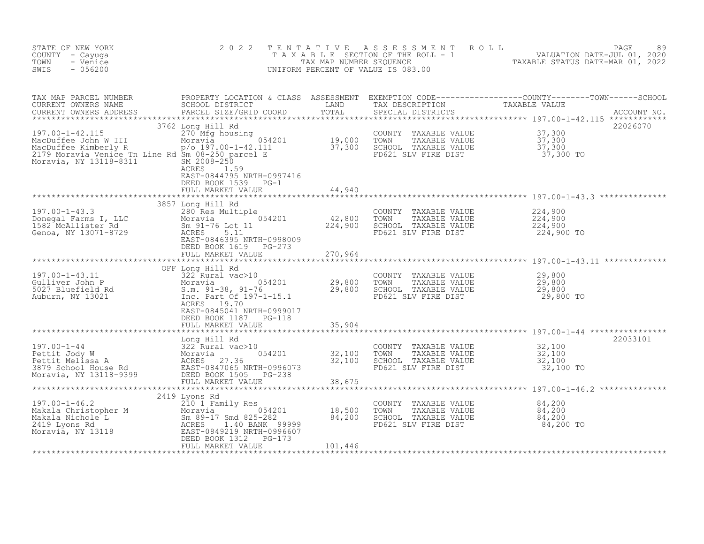| STATE OF NEW YORK<br>COUNTY - Cayuga<br>TOWN<br>- Venice<br>$-056200$<br>SWIS                                                                                               | 2 0 2 2                                                                                                                                                                                                                                                                         | TENTATIVE                                                                                   | ASSESSMENT<br>ROLL<br>UNIFORM PERCENT OF VALUE IS 083.00                                                                                     | PAGE<br>89<br>TAXABLE SECTION OF THE ROLL - 1 WALUATION DATE-JUL 01, 2020<br>TAX MAP NUMBER SEQUENCE TAXABLE STATUS DATE-MAR 01, 2022                                                                                                |
|-----------------------------------------------------------------------------------------------------------------------------------------------------------------------------|---------------------------------------------------------------------------------------------------------------------------------------------------------------------------------------------------------------------------------------------------------------------------------|---------------------------------------------------------------------------------------------|----------------------------------------------------------------------------------------------------------------------------------------------|--------------------------------------------------------------------------------------------------------------------------------------------------------------------------------------------------------------------------------------|
| CURRENT OWNERS ADDRESS                                                                                                                                                      |                                                                                                                                                                                                                                                                                 |                                                                                             |                                                                                                                                              | PROPERTY LOCATION & CLASS ASSESSMENT EXEMPTION CODE----------------COUNTY--------TOWN------SCHOOL<br>SCHOOL DISTRICT               LAND       TAX DESCRIPTION           TAXABLE VALUE<br>PARCEL SIZE/GRID COORD       TOTAL     SPEC |
| 197.00-1-42.115<br>MacDuffee John W III Moravia 054<br>MacDuffee Kimberly R (197.00-1-42.111<br>2179 Moravia Venice Tn Line Rd Sm 08-250 parcel E<br>Moravia, NY 13118-8311 | 3762 Long Hill Rd<br>Long Hill Rd<br>270 Mfg housing<br>Moravia 054201 19,000 TOWN<br>p/o 197.00-1-42.111 37,300 SCHOOL<br>SM 2008-250 Darcel E FD621 S.<br>SM 2008-250<br>ACRES 1.59<br>EAST-0844795 NRTH-0997416<br>DEED BOOK 1539 PG-1<br>FULL MARKET VALUE                  | 44,940                                                                                      | COUNTY TAXABLE VALUE $37,300$<br>TOWN TAXABLE VALUE $37,300$<br>SCHOOL TAXABLE VALUE $37,300$<br>FD621 SLV FIRE DIST $37,300$                | 22026070                                                                                                                                                                                                                             |
|                                                                                                                                                                             |                                                                                                                                                                                                                                                                                 |                                                                                             |                                                                                                                                              |                                                                                                                                                                                                                                      |
| 197.00-1-43.3<br>Donegal Farms I, LLC Moravia<br>1582 McAllister Rd Sm 91-76<br>Genoa, NY 13071-8729 ACRES<br>RAST-0846                                                     | 3857 Long Hill Rd<br>5.11<br>EAST-0846395 NRTH-0998009<br>DEED BOOK 1619 PG-273                                                                                                                                                                                                 |                                                                                             | COUNTY TAXABLE VALUE<br>TOWN<br>TAXABLE VALUE<br>SCHOOL TAXABLE VALUE<br>FD621 SLV FIRE DIST                                                 | 224,900<br>224,900<br>224,900<br>224,900 TO                                                                                                                                                                                          |
|                                                                                                                                                                             | FULL MARKET VALUE                                                                                                                                                                                                                                                               | 270,964                                                                                     |                                                                                                                                              |                                                                                                                                                                                                                                      |
|                                                                                                                                                                             | OFF Long Hill Rd<br>197.00-1-43.11<br>Gulliver John P 322 Ruefield Rd Moravia 054201 29,800<br>5027 Bluefield Rd Moravia 91-38, 91-76 29,800<br>Auburn, NY 13021 10. Part of 197-1-15.1 29,800<br>EAST-0845041 NRTH-0999017<br>DEED BOOK 1187 PG-118                            |                                                                                             | COUNTY TAXABLE VALUE<br>TAXABLE VALUE<br>TAXABLE VALUE 29,800<br>TAXABLE VALUE 29,800<br>TOWN<br>SCHOOL TAXABLE VALUE<br>FD621 SLV FIRE DIST | 29,800<br>29,800 TO                                                                                                                                                                                                                  |
|                                                                                                                                                                             | FULL MARKET VALUE                                                                                                                                                                                                                                                               | 35,904                                                                                      |                                                                                                                                              |                                                                                                                                                                                                                                      |
|                                                                                                                                                                             | ************************<br>197.00-1-44<br>Pettit Jody W<br>Pettit Melissa A<br>3879 School House Rd<br>Moravia 27.36<br>Moravia, NY 13118-9399<br>PEED BOOK 1505 PG-238<br>PEEL MARKET VALUE<br>PEED BOOK 1505 PG-238<br>PULL MARKET VALUE                                     | ************<br>$\begin{array}{r} 054201 & 32,100 \\ -25222 & 32,100 \end{array}$<br>38,675 | COUNTY TAXABLE VALUE 32,100<br>TOWN TAXABLE VALUE 32,100<br>SCHOOL TAXABLE VALUE 32,100<br>FD621 SLV FIRE DIST                               | ******************************* 197.00-1-44 ************<br>22033101<br>32,100 TO                                                                                                                                                    |
|                                                                                                                                                                             | 2419 Lyons Rd                                                                                                                                                                                                                                                                   |                                                                                             |                                                                                                                                              |                                                                                                                                                                                                                                      |
|                                                                                                                                                                             | 197.00-1-46.2<br>Makala Christopher M<br>Makala Nichole L<br>2419 Lyons Rd<br>2419 Lyons Rd<br>2419 Lyons Rd<br>2419 Lyons Rd<br>2419 Lyons Rd<br>2419 Lyons Rd<br>2419 Lyons Rd<br>2419 Lyons Rd<br>2419 Lyons Rd<br>2419 Lyons Rd<br>2419 Lyons Rd<br>24<br>FULL MARKET VALUE | 101,446                                                                                     | COUNTY TAXABLE VALUE<br>TOWN<br>TAXABLE VALUE<br>SCHOOL TAXABLE VALUE<br>FD621 SLV FIRE DIST 84,200 TO                                       | 84,200<br>$84,200$<br>$84,200$                                                                                                                                                                                                       |
|                                                                                                                                                                             |                                                                                                                                                                                                                                                                                 |                                                                                             |                                                                                                                                              |                                                                                                                                                                                                                                      |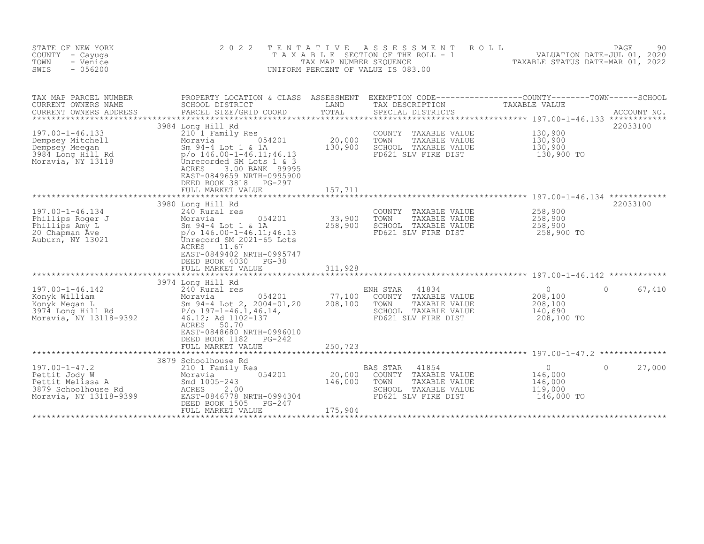| STATE OF NEW YORK<br>COUNTY - Cayuga<br>TOWN<br>- Venice<br>$-056200$<br>SWIS                                       | 2 0 2 2<br>TAXABLE                                                                                                                                                                                                                                    | TENTATIVE<br>TAX MAP NUMBER SEQUENCE | A S S E S S M E N T<br>ROLL<br>SECTION OF THE ROLL - 1<br>UNIFORM PERCENT OF VALUE IS 083.00                                | VALUATION DATE-JUL 01, 2020<br>TAXABLE STATUS DATE-MAR 01, 2022 | 90<br>PAGE              |
|---------------------------------------------------------------------------------------------------------------------|-------------------------------------------------------------------------------------------------------------------------------------------------------------------------------------------------------------------------------------------------------|--------------------------------------|-----------------------------------------------------------------------------------------------------------------------------|-----------------------------------------------------------------|-------------------------|
| TAX MAP PARCEL NUMBER<br>CURRENT OWNERS NAME<br>CURRENT OWNERS ADDRESS<br>***********************                   | PROPERTY LOCATION & CLASS ASSESSMENT<br>SCHOOL DISTRICT<br>PARCEL SIZE/GRID COORD<br>*****************************                                                                                                                                    | LAND<br>TOTAL                        | EXEMPTION CODE-----------------COUNTY-------TOWN------SCHOOL<br>TAX DESCRIPTION<br>SPECIAL DISTRICTS                        | TAXABLE VALUE                                                   | ACCOUNT NO.<br>22033100 |
| 197.00-1-46.133<br>Dempsey Mitchell<br>Dempsey Meegan<br>3984 Long Hill Rd<br>Moravia, NY 13118                     | 3984 Long Hill Rd<br>210 1 Family Res<br>054201<br>Moravia<br>Sm 94-4 Lot 1 & 1A<br>$p$ /o 146.00-1-46.11;46.13<br>Unrecorded SM Lots 1 & 3<br>ACRES<br>3.00 BANK 99995<br>EAST-0849659 NRTH-0995900<br>DEED BOOK 3818<br>PG-297<br>FULL MARKET VALUE | 20,000<br>130,900<br>157,711         | COUNTY<br>TAXABLE VALUE<br>TOWN<br>TAXABLE VALUE<br>SCHOOL TAXABLE VALUE<br>FD621 SLV FIRE DIST                             | 130,900<br>130,900<br>130,900<br>130,900 TO                     |                         |
| 197.00-1-46.134<br>Phillips Roger J<br>Phillips Amy L<br>20 Chapman Ave<br>Auburn, NY 13021                         | 3980 Long Hill Rd<br>240 Rural res<br>054201<br>Moravia<br>Sm 94-4 Lot 1 & 1A<br>$p$ /o 146.00-1-46.11;46.13<br>Unrecord SM 2021-65 Lots<br>ACRES<br>11.67<br>EAST-0849402 NRTH-0995747<br>DEED BOOK 4030<br>PG-38<br>FULL MARKET VALUE               | 33,900<br>258,900<br>311,928         | COUNTY<br>TAXABLE VALUE<br>TOWN<br>TAXABLE VALUE<br>SCHOOL TAXABLE VALUE<br>FD621 SLV FIRE DIST                             | 258,900<br>258,900<br>258,900<br>258,900 TO                     | 22033100                |
| 197.00-1-46.142<br>Konyk William<br>Konyk Megan L<br>3974 Long Hill Rd<br>Moravia Wy 1015<br>Moravia, NY 13118-9392 | 3974 Long Hill Rd<br>240 Rural res<br>054201<br>Moravia<br>Sm 94-4 Lot 2, 2004-01, 20<br>$P$ /o 197-1-46.1,46.14,<br>46.12; Ad 1102-137<br>ACRES<br>50.70<br>EAST-0848680 NRTH-0996010<br>$PG-242$<br>DEED BOOK 1182<br>FULL MARKET VALUE             | 77,100<br>208,100<br>250,723         | 41834<br>ENH STAR<br>COUNTY<br>TAXABLE VALUE<br>TOWN<br>TAXABLE VALUE<br>SCHOOL TAXABLE VALUE<br>FD621 SLV FIRE DIST        | $\circ$<br>208,100<br>208,100<br>140,690<br>208,100 TO          | 67,410<br>$\Omega$      |
| $197.00 - 1 - 47.2$<br>Pettit Jody W<br>Pettit Melissa A<br>3879 Schoolhouse Rd<br>Moravia, NY 13118-9399           | 3879 Schoolhouse Rd<br>210 1 Family Res<br>054201<br>Moravia<br>Smd 1005-243<br>ACRES<br>2.00<br>EAST-0846778 NRTH-0994304<br>DEED BOOK 1505<br>PG-247<br>FULL MARKET VALUE                                                                           | 20,000<br>146,000<br>175,904         | <b>BAS STAR</b><br>41854<br>COUNTY<br>TAXABLE VALUE<br>TOWN<br>TAXABLE VALUE<br>SCHOOL TAXABLE VALUE<br>FD621 SLV FIRE DIST | $\overline{0}$<br>146,000<br>146,000<br>119,000<br>146,000 TO   | 27,000<br>$\Omega$      |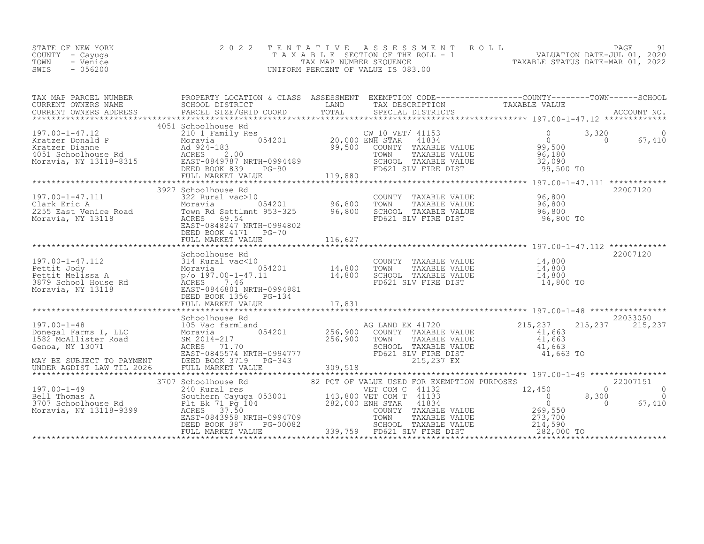| STATE OF NEW YORK | 2022 TENTATIVE ASSESSMENT ROLL     |                                  | PAGE                        |  |
|-------------------|------------------------------------|----------------------------------|-----------------------------|--|
| COUNTY - Cayuga   | TAXABLE SECTION OF THE ROLL - 1    |                                  | VALUATION DATE-JUL 01, 2020 |  |
| TOWN<br>- Venice  | TAX MAP NUMBER SEOUENCE            | TAXABLE STATUS DATE-MAR 01, 2022 |                             |  |
| SWIS<br>- 056200  | UNIFORM PERCENT OF VALUE IS 083.00 |                                  |                             |  |
|                   |                                    |                                  |                             |  |

| TAX MAP PARCEL NUMBER                                                                                                                                                                                                                            | PROPERTY LOCATION & CLASS ASSESSMENT EXEMPTION CODE----------------COUNTY-------TOWN------SCHOOL |  |          |
|--------------------------------------------------------------------------------------------------------------------------------------------------------------------------------------------------------------------------------------------------|--------------------------------------------------------------------------------------------------|--|----------|
| TAX MAP PARCES ADDRESS FROM BORDER TO BURGET AND TRIVING THE CONTRESS CHOOL DESCRIPTION TRIVING TRIVING TRIVING<br>CURRENT OWNERS ADDRESS BECLOID DISTRICT TOTAL TRIVING TRIVING TRIVING TRIVING TRIVING TRIVING TRIVING TRIVING<br>             |                                                                                                  |  |          |
|                                                                                                                                                                                                                                                  |                                                                                                  |  |          |
|                                                                                                                                                                                                                                                  | 4051 Schoolhouse Rd                                                                              |  |          |
|                                                                                                                                                                                                                                                  |                                                                                                  |  |          |
| 96,800 Clark Eric A<br>Clark Eric A<br>2255 East Venice Road Moravia Moravia (Mark 2015)<br>Moravia, NY 13118 Moravia (Mark 2017)<br>Moravia, NY 13118 (Mark 2017)<br>Moravia, NY 13118 (Mark 2017)<br>EAST-0848247 NRTH-0994802<br>EAST-084     | 3927 Schoolhouse Rd                                                                              |  | 22007120 |
|                                                                                                                                                                                                                                                  |                                                                                                  |  |          |
| 317.00-1-47.112<br>Pettit Jody<br>Pettit Jody<br>Pettit Melissa A Moravia (197.00-1-47.11<br>Pettit Melissa A Moravia (197.00-1-47.11<br>3879 School House Rd ACRES<br>Moravia, NY 13118<br>Moravia, NY 13118<br>PEED BOOK 1356 PG-134<br>PEED B | Schoolhouse Rd                                                                                   |  | 22007120 |
|                                                                                                                                                                                                                                                  | Schoolhouse Rd                                                                                   |  | 22033050 |
|                                                                                                                                                                                                                                                  |                                                                                                  |  |          |
|                                                                                                                                                                                                                                                  |                                                                                                  |  |          |
|                                                                                                                                                                                                                                                  |                                                                                                  |  | 67,410   |
|                                                                                                                                                                                                                                                  |                                                                                                  |  |          |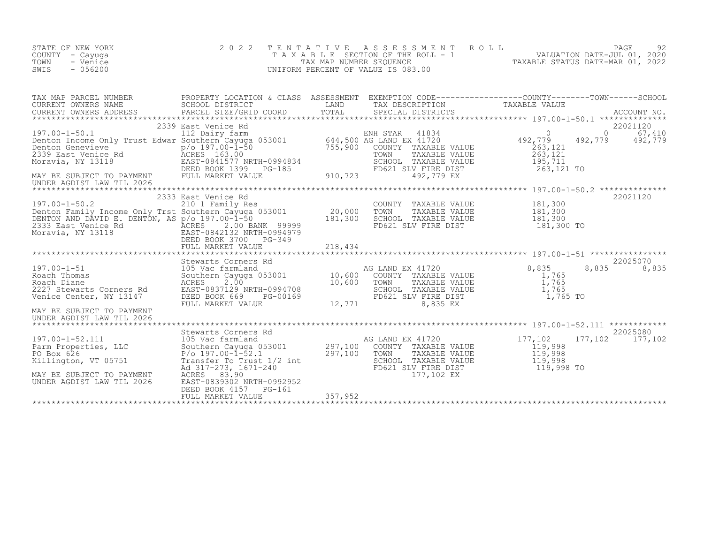| STATE OF NEW YORK<br>COUNTY - Cayuga<br>TOWN<br>- Venice<br>$-056200$<br>SWIS | 2 0 2 2                                                                                |         |            | TENTATIVE ASSESSMENT ROLL PAGE 92<br>TAXABLE SECTION OF THE ROLL - 1 VALUATION DATE-JUL 01, 2020<br>TAX MAP NUMBER SEQUENCE TAXABLE STATUS DATE-MAR 01, 2022<br>UNIFORM PERCENT OF VALUE IS 083.00                                                     |
|-------------------------------------------------------------------------------|----------------------------------------------------------------------------------------|---------|------------|--------------------------------------------------------------------------------------------------------------------------------------------------------------------------------------------------------------------------------------------------------|
|                                                                               |                                                                                        |         |            | TAX MAP PARCEL NUMBER PROPERTY LOCATION & CLASS ASSESSMENT EXEMPTION CODE------------------COUNTY--------TOWN------SCHOOL SCHOOL DISTRICT LAND TAX DESCRIPTION CORNER TAXABLE VALUE<br>CURRENT OWNERS ADDRESS PARCEL SIZE/GRID CO                      |
|                                                                               |                                                                                        |         |            |                                                                                                                                                                                                                                                        |
|                                                                               |                                                                                        |         |            | 22021120                                                                                                                                                                                                                                               |
| MAY BE SUBJECT TO PAYMENT<br>UNDER AGDIST LAW TIL 2026                        |                                                                                        |         |            | 197.00-1-51<br>197.00-1-51<br>197.00-1-51<br>105 Vac farmland<br>Roach Thomas<br>22025070<br>22025070<br>22025070<br>2227 Stewarts Corners Rd<br>2227 Stewarts Corners Rd<br>2227 Stewarts Corners Rd<br>2227 Stewarts Corners Rd<br>2227 Stewarts Cor |
| MAY BE SUBJECT TO PAYMENT<br>UNDER AGDIST LAW TIL 2026                        | ACRES 83.90<br>EAST-0839302 NRTH-0992952<br>DEED BOOK 4157 PG-161<br>FULL MARKET VALUE | 357,952 | 177,102 EX | 32025080<br>197.00-1-52.111 105 Vac farmland<br>Parm Properties, LLC Southern Cayuga 053001 297,100 COUNTY TAXABLE VALUE<br>PO Box 626 P/o 197.00-1-52.1 297,100 TOWN TAXABLE VALUE 119,998<br>Killington, VT 05751 Transfer To Prime                  |

\*\*\*\*\*\*\*\*\*\*\*\*\*\*\*\*\*\*\*\*\*\*\*\*\*\*\*\*\*\*\*\*\*\*\*\*\*\*\*\*\*\*\*\*\*\*\*\*\*\*\*\*\*\*\*\*\*\*\*\*\*\*\*\*\*\*\*\*\*\*\*\*\*\*\*\*\*\*\*\*\*\*\*\*\*\*\*\*\*\*\*\*\*\*\*\*\*\*\*\*\*\*\*\*\*\*\*\*\*\*\*\*\*\*\*\*\*\*\*\*\*\*\*\*\*\*\*\*\*\*\*\*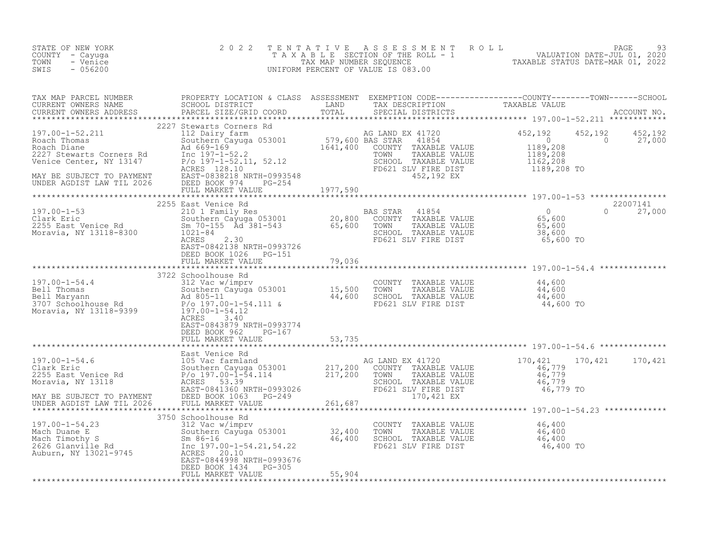| STATE OF NEW YORK<br>COUNTY - Cayuga<br>- Venice<br>TOWN<br>$-056200$<br>SWIS | 2 0 2 2                                                                                                                                                                                                                                                                       |        | TENTATIVE ASSESSMENT ROLL PAGE 93<br>TAXABLE SECTION OF THE ROLL - 1 VALUATION DATE-JUL 01, 2020<br>TAX MAP NUMBER SEQUENCE TAXABLE STATUS DATE-MAR 01, 2022<br>UNIFORM PERCENT OF VALUE IS 083.00                                                                                                                                            |  |
|-------------------------------------------------------------------------------|-------------------------------------------------------------------------------------------------------------------------------------------------------------------------------------------------------------------------------------------------------------------------------|--------|-----------------------------------------------------------------------------------------------------------------------------------------------------------------------------------------------------------------------------------------------------------------------------------------------------------------------------------------------|--|
|                                                                               |                                                                                                                                                                                                                                                                               |        |                                                                                                                                                                                                                                                                                                                                               |  |
|                                                                               |                                                                                                                                                                                                                                                                               |        | $\begin{tabular}{l cccc} \hline \textbf{3.00-1-52, 211} & \textbf{2.21-780} & \textbf{2.22-780} & \textbf{2.23-780} & \textbf{2.24-81} & \textbf{2.25-80} & \textbf{2.26-81} & \textbf{2.27-81} & \textbf{2.28-82} & \textbf{2.29-83} & \textbf{2.20-81} & \textbf{2.21-82} & \textbf{2.22-83} & \textbf{2.23-84} & \textbf{2.24-85} & \text$ |  |
|                                                                               |                                                                                                                                                                                                                                                                               |        |                                                                                                                                                                                                                                                                                                                                               |  |
|                                                                               |                                                                                                                                                                                                                                                                               |        |                                                                                                                                                                                                                                                                                                                                               |  |
|                                                                               |                                                                                                                                                                                                                                                                               |        |                                                                                                                                                                                                                                                                                                                                               |  |
|                                                                               | ACRES 3.40<br>EAST-0843879 NRTH-0993774                                                                                                                                                                                                                                       |        |                                                                                                                                                                                                                                                                                                                                               |  |
|                                                                               | DEED BOOK 962 PG-167<br>FULL MARKET VALUE 53,735                                                                                                                                                                                                                              |        |                                                                                                                                                                                                                                                                                                                                               |  |
|                                                                               |                                                                                                                                                                                                                                                                               |        |                                                                                                                                                                                                                                                                                                                                               |  |
|                                                                               |                                                                                                                                                                                                                                                                               |        |                                                                                                                                                                                                                                                                                                                                               |  |
|                                                                               |                                                                                                                                                                                                                                                                               |        |                                                                                                                                                                                                                                                                                                                                               |  |
|                                                                               | 197.00-1-54.23<br>197.00-1-54.23<br>Mach Duane E Southern Cayuga 053001<br>Mach Duane E Southern Cayuga 053001<br>Mach Timothy S<br>Mach Timothy S<br>Mach Timothy S<br>Mach Timothy S<br>Mach Timothy S<br>Mach Timothy S<br>Mach Timothy S<br>2626<br>DEED BOOK 1434 PG-305 |        |                                                                                                                                                                                                                                                                                                                                               |  |
|                                                                               | FULL MARKET VALUE                                                                                                                                                                                                                                                             | 55,904 |                                                                                                                                                                                                                                                                                                                                               |  |
|                                                                               |                                                                                                                                                                                                                                                                               |        |                                                                                                                                                                                                                                                                                                                                               |  |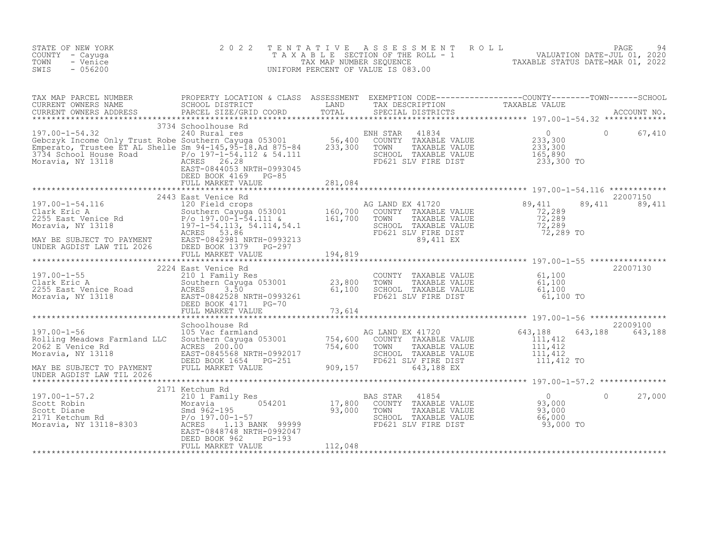| STATE OF NEW YORK<br>COUNTY - Cayuga<br>- Venice<br>TOWN<br>$-056200$<br>SWIS                                                                                                                                                                    | 2 0 2 2                                        | TENTATIVE | FENTATIVE ASSESSMENT ROLL UNIVERSITY PAGE 94<br>TAXABLE SECTION OF THE ROLL - 1 VALUATION DATE-JUL 01, 2020<br>TAXABLE STATUS DATE-MAR 01, 2022<br>JNIFORM PERCENT OF VALUE IS 083.00<br>UNIFORM PERCENT OF VALUE IS 083.00 |          |                           |
|--------------------------------------------------------------------------------------------------------------------------------------------------------------------------------------------------------------------------------------------------|------------------------------------------------|-----------|-----------------------------------------------------------------------------------------------------------------------------------------------------------------------------------------------------------------------------|----------|---------------------------|
|                                                                                                                                                                                                                                                  |                                                |           |                                                                                                                                                                                                                             |          |                           |
|                                                                                                                                                                                                                                                  | DEED BOOK 4169 PG-85                           |           |                                                                                                                                                                                                                             |          |                           |
|                                                                                                                                                                                                                                                  |                                                |           |                                                                                                                                                                                                                             |          |                           |
|                                                                                                                                                                                                                                                  |                                                |           | AG LAND EX 41720<br>COUNTY TAXABLE VALUE 72,289<br>TOWN TAXABLE VALUE 72,289<br>SCHOOL TAXABLE VALUE 72,289<br>FD621 SLV F1RE DIST<br>TO21 SLV F1RE DIST<br>T2,289 TO                                                       |          | 22007150<br>89,411 89,411 |
|                                                                                                                                                                                                                                                  |                                                |           |                                                                                                                                                                                                                             |          |                           |
|                                                                                                                                                                                                                                                  |                                                |           |                                                                                                                                                                                                                             |          |                           |
|                                                                                                                                                                                                                                                  |                                                |           |                                                                                                                                                                                                                             |          |                           |
|                                                                                                                                                                                                                                                  |                                                |           |                                                                                                                                                                                                                             |          |                           |
|                                                                                                                                                                                                                                                  |                                                |           |                                                                                                                                                                                                                             |          |                           |
|                                                                                                                                                                                                                                                  | 2171 Ketchum Rd                                |           |                                                                                                                                                                                                                             |          |                           |
| 197.00-1-57.2<br>Scott Robin 21/1 Ketchum Rd<br>Moravia, NY 13118-8303<br>Moravia, NY 13118-8303<br>Moravia, NY 13118-8303<br>CHEREN 1.13 BANK 99999<br>CHEREN 1.13 BANK 99999<br>CHEREN 1.13 BANK 99999<br>CHEREN 1.13 BANK 99999<br>CHEREN 1.1 | DEED BOOK 962<br>$PG-193$<br>FULL MARKET VALUE | 112,048   |                                                                                                                                                                                                                             | $\Omega$ | 27,000                    |
|                                                                                                                                                                                                                                                  |                                                |           |                                                                                                                                                                                                                             |          |                           |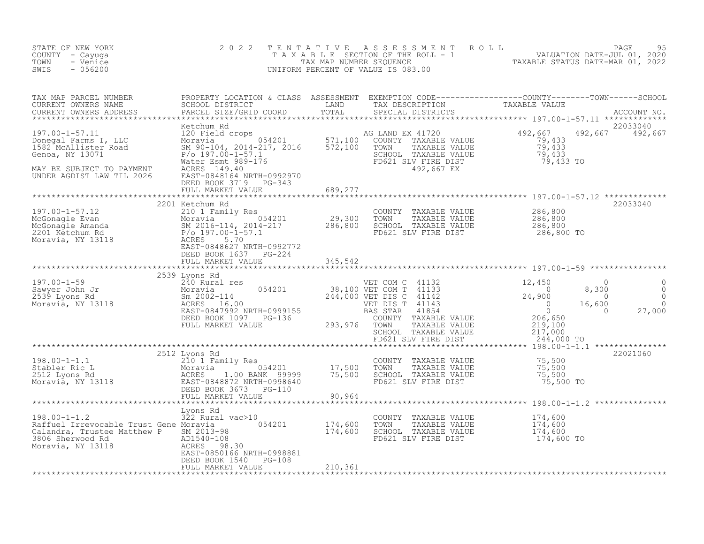| STATE OF NEW YORK<br>COUNTY - Cayuga<br>TOWN<br>- Venice<br>SWIS<br>$-056200$                                                                                                                                                                                                                                                                    | 2 0 2 2                                            |         | TENTATIVE ASSESSMENT ROLL PAGE 95<br>TAXABLE SECTION OF THE ROLL - 1 VALUATION DATE-JUL 01, 2020<br>TAX MAP NUMBER SEQUENCE TAXABLE STATUS DATE-MAR 01, 2022<br>UNIFORM PERCENT OF VALUE IS 083.00 |                |
|--------------------------------------------------------------------------------------------------------------------------------------------------------------------------------------------------------------------------------------------------------------------------------------------------------------------------------------------------|----------------------------------------------------|---------|----------------------------------------------------------------------------------------------------------------------------------------------------------------------------------------------------|----------------|
|                                                                                                                                                                                                                                                                                                                                                  |                                                    |         | 22033040                                                                                                                                                                                           |                |
| 197.00-1-57.11<br>Metchum Rd (1720 Metchum Rd (1720 Metchum Rd (1720 Metchum Rd (1720 Metal Crops)<br>20 Field crops (1720 Moravia 197.100 MONTY TAXABLE VALUE<br>1882 McAllister Road SM 90-104, 2014-217, 2016 572,100 TOWN TAXAB                                                                                                              |                                                    |         | 492,667 492,667                                                                                                                                                                                    |                |
|                                                                                                                                                                                                                                                                                                                                                  | DEED BOOK 3719 PG-343<br>FULL MARKET VALUE 689,277 |         |                                                                                                                                                                                                    |                |
| 197.00-1-57.12<br>McGonagle Evan Moravia<br>McGonagle Amanda Moravia<br>2016-114, 2014-217<br>2017.00-1-57.1<br>2018 Example Amanda P/o 197.00-1-57.1<br>Moravia, NY 13118<br>286,800 EAST 5.70<br>EAST 5.70<br>EAST 5.70<br>EAST PC-224<br>286,800                                                                                              | 2201 Ketchum Rd                                    |         | 22033040                                                                                                                                                                                           |                |
|                                                                                                                                                                                                                                                                                                                                                  | DEED BOOK 1637 PG-224<br>FULL MARKET VALUE         | 345,542 |                                                                                                                                                                                                    |                |
| $\begin{array}{cccc} \texttt{197.00-1-59} & \texttt{2539\; Lyons\;Rd} & \texttt{240\;Ru} & \texttt{2539\;Lyons} & \texttt{200\;Ru} & \texttt{200\;Ru} & \texttt{201\;Ru} & \texttt{201\;Ru} & \texttt{202\;Pu} & \texttt{203\;Pu} & \texttt{204\;Pu} & \texttt{205\;Pu} & \texttt{206\;Pu} & \texttt{207\;Pu} & \texttt{208\;Pu} & \texttt{208\$ | 2539 Lyons Rd                                      |         | $\overline{0}$<br>$\begin{matrix} 0 \\ 0 \\ 0 \end{matrix}$<br>$8,300$<br>$-00$<br>16,600<br>27,000<br>$\overline{0}$                                                                              | $\overline{0}$ |
|                                                                                                                                                                                                                                                                                                                                                  |                                                    |         |                                                                                                                                                                                                    |                |
|                                                                                                                                                                                                                                                                                                                                                  |                                                    |         |                                                                                                                                                                                                    |                |
|                                                                                                                                                                                                                                                                                                                                                  |                                                    |         |                                                                                                                                                                                                    |                |
| 198.00-1-1.2<br>198.00-1-1.2<br>198.00-1-1.2<br>174,600<br>Raffuel Irrevocable Trust Gene Moravia<br>22 Rusal vac>10<br>CoUNTY TAXABLE VALUE<br>2013-98<br>2013-98<br>2013-98<br>2013-98<br>2013-98<br>2013-98<br>2013-98<br>2013-98<br>2013-98<br>2013-98<br>20                                                                                 | EAST-0850166 NRTH-0998881                          |         |                                                                                                                                                                                                    |                |
|                                                                                                                                                                                                                                                                                                                                                  | DEED BOOK 1540 PG-108<br>FULL MARKET VALUE         | 210,361 |                                                                                                                                                                                                    |                |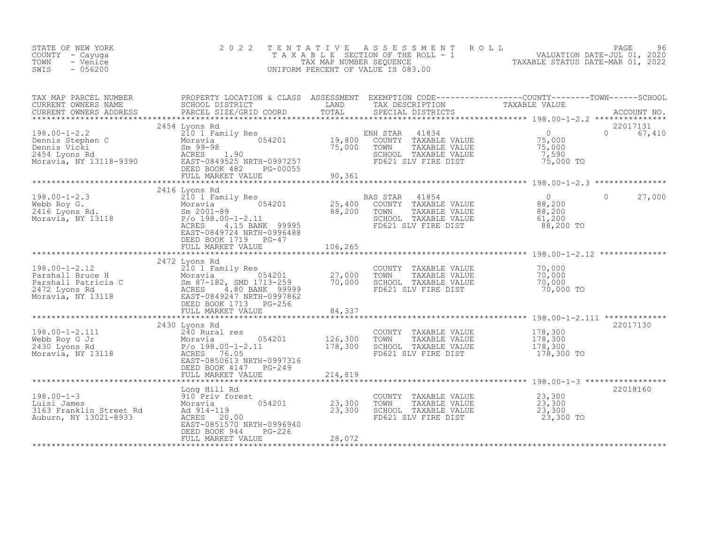| STATE OF NEW YORK<br>COUNTY - Cayuga<br>TOWN<br>- Venice<br>SWIS<br>$-056200$                                                                                                                                                                                                                                                                                                                                               | 2 0 2 2                                                              | TENTATIVE               | UNIFORM PERCENT OF VALUE IS 083.00                                                                                                                                                                                                                                                                                                                                                                                                                                   | PAGE 96<br>TAXABLE SECTION OF THE ROLL - 1 VALUATION DATE-JUL 01, 2020<br>TAX MAP NUMBER SEQUENCE TAXABLE STATUS DATE-MAR 01, 2022<br>NIFORM PERCENT OF VALUE IS 083.00 |
|-----------------------------------------------------------------------------------------------------------------------------------------------------------------------------------------------------------------------------------------------------------------------------------------------------------------------------------------------------------------------------------------------------------------------------|----------------------------------------------------------------------|-------------------------|----------------------------------------------------------------------------------------------------------------------------------------------------------------------------------------------------------------------------------------------------------------------------------------------------------------------------------------------------------------------------------------------------------------------------------------------------------------------|-------------------------------------------------------------------------------------------------------------------------------------------------------------------------|
|                                                                                                                                                                                                                                                                                                                                                                                                                             |                                                                      |                         |                                                                                                                                                                                                                                                                                                                                                                                                                                                                      |                                                                                                                                                                         |
| $\begin{array}{lllllllllllllllllllll} \text{198.00--1--2.2} & \text{2101 Family Res} & \text{ENH STAR} & 41834 & 0 \\ \text{Dennis Stephen C} & \text{Moravia} & 210 & 1 Family Res & 054201 & 0 \\ \text{Dennis Vicki} & \text{Sm 99--98} & 054201 & 75,000 & \text{TONNN} & \text{TXABLE VALUE} & 75,000 \\ \text{Dennis Vicki} & \text{Sm 99--98} & \text{ACRES} & 1.90 & \text{SCHOOL TAXABLE VALUE} & 75,000 \\ \text$ | 2454 Lyons Rd<br>FULL MARKET VALUE 90.361                            |                         |                                                                                                                                                                                                                                                                                                                                                                                                                                                                      | 22017131<br>0 67,410<br>75,000 TO                                                                                                                                       |
|                                                                                                                                                                                                                                                                                                                                                                                                                             |                                                                      |                         |                                                                                                                                                                                                                                                                                                                                                                                                                                                                      |                                                                                                                                                                         |
|                                                                                                                                                                                                                                                                                                                                                                                                                             | 2416 Lyons Rd<br>EAST-0849724 NRTH-0996488<br>DEED BOOK 1719 PG-47   |                         | BAS STAR 41854 0<br>COUNTY TAXABLE VALUE 88,200<br>TOWN TAXABLE VALUE 88,200<br>SCHOOL TAXABLE VALUE 61,200                                                                                                                                                                                                                                                                                                                                                          | 27,000<br>$\Omega$<br>88,200 TO                                                                                                                                         |
|                                                                                                                                                                                                                                                                                                                                                                                                                             |                                                                      |                         |                                                                                                                                                                                                                                                                                                                                                                                                                                                                      |                                                                                                                                                                         |
| 198.00-1-2.12<br>Parshall Bruce H 210 1 Family Res<br>Parshall Patricia C Moravia, NY 13118<br>Moravia, NY 13118<br>Parshall Patricia C ACRES 4.80 BANK 99999<br>Moravia, NY 13118<br>Past-0849247 NRTH-0997862<br>DEED BOOK 1713 PG-256<br>*                                                                                                                                                                               | 2472 Lyons Rd                                                        |                         | COUNTY TAXABLE VALUE 70,000<br>TOWN     TAXABLE VALUE 70,000<br>FD621 SLV FIRE DIST 70,000                                                                                                                                                                                                                                                                                                                                                                           | 70,000 TO                                                                                                                                                               |
|                                                                                                                                                                                                                                                                                                                                                                                                                             |                                                                      |                         |                                                                                                                                                                                                                                                                                                                                                                                                                                                                      |                                                                                                                                                                         |
| 198.00-1-2.111<br>Webb Roy G Jr Moravia 054201 126,300<br>2430 Lyons Rd P/o 198.00-1-2.11 178,300<br>Moravia, NY 13118 128.5T-0850613 NRTH-0997316                                                                                                                                                                                                                                                                          | 2430 Lyons Rd<br>DEED BOOK 4147 PG-249                               |                         | COUNTY TAXABLE VALUE<br>TOWN     TAXABLE VALUE<br>SCHOOL TAXABLE VALUE<br>FD621 SLV FIRE DIST                                                                                                                                                                                                                                                                                                                                                                        | 22017130<br>178,300<br>178,300<br>178,300<br>178,300 TO                                                                                                                 |
|                                                                                                                                                                                                                                                                                                                                                                                                                             | FULL MARKET VALUE                                                    | 214,819<br>***********  |                                                                                                                                                                                                                                                                                                                                                                                                                                                                      | ********************** 198.00-1-3 *************                                                                                                                         |
| 198.00-1-3<br>Luisi James<br>3163 Franklin Street Rd<br>3163 Franklin Street Rd<br>Auburn, NY 13021-8933<br>ACRES 20.00                                                                                                                                                                                                                                                                                                     | Long Hill Rd<br>EAST-0851570 NRTH-0996940<br>DEED BOOK 944<br>PG-226 | 054201 23,300<br>23,300 | $\begin{tabular}{lllllllllll} \multicolumn{4}{c}{\multicolumn{4}{c}{\textbf{TOWN}}} & \multicolumn{4}{c}{\multicolumn{4}{c}{\textbf{TAWABLE VALUE}}} & \multicolumn{4}{c}{\textbf{23, 300}}\\ \multicolumn{4}{c}{\textbf{TOWN}} & \multicolumn{4}{c}{\textbf{TAXABLE VALUE}} & \multicolumn{4}{c}{\textbf{23, 300}}\\ \multicolumn{4}{c}{\textbf{SCHOOL}} & \multicolumn{4}{c}{\textbf{TAXABLE VALUE}} & \multicolumn{4}{c}{\textbf{23, 300}}\\ \multicolumn{4}{c}{$ | 22018160<br>23,300 TO                                                                                                                                                   |
|                                                                                                                                                                                                                                                                                                                                                                                                                             | FULL MARKET VALUE                                                    | 28,072                  |                                                                                                                                                                                                                                                                                                                                                                                                                                                                      |                                                                                                                                                                         |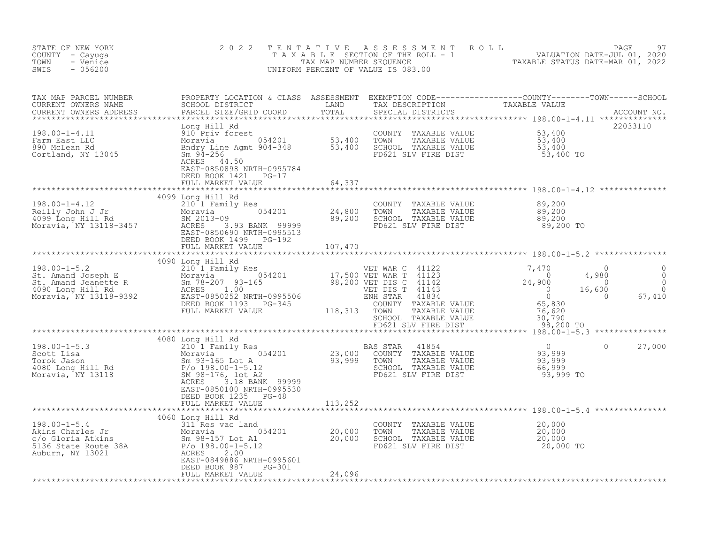| STATE OF NEW YORK<br>COUNTY - Cayuga<br>TOWN<br>- Venice<br>$-056200$<br>SWIS                                                                                                                                                                                                                                                                      | 2 0 2 2                                           |         | TENTATIVE ASSESSMENT ROLL PAGE 97<br>TAXABLE SECTION OF THE ROLL - 1 VALUATION DATE-JUL 01, 2020<br>TAX MAP NUMBER SEQUENCE TAXABLE STATUS DATE-MAR 01, 2022<br>UNIFORM PERCENT OF VALUE IS 083.00                             |        |
|----------------------------------------------------------------------------------------------------------------------------------------------------------------------------------------------------------------------------------------------------------------------------------------------------------------------------------------------------|---------------------------------------------------|---------|--------------------------------------------------------------------------------------------------------------------------------------------------------------------------------------------------------------------------------|--------|
|                                                                                                                                                                                                                                                                                                                                                    |                                                   |         | TAX MAP PARCEL NUMBER BROPERTY LOCATION & CLASS ASSESSMENT EXEMPTION CODE----------------COUNTY--------TOWN------SCHOOL CURRENT OWNERS NAME SCHOOL DISTRICT LAND TAX DESCRIPTION TAXABLE VALUE CURRENT OWNERS ADDRESS PARCEL S |        |
|                                                                                                                                                                                                                                                                                                                                                    | DEED BOOK 1421 PG-17                              |         | 22033110                                                                                                                                                                                                                       |        |
|                                                                                                                                                                                                                                                                                                                                                    | FULL MARKET VALUE                                 | 64,337  |                                                                                                                                                                                                                                |        |
| $\begin{array}{cccccccc} 198.00-1-4.12 & 4099&\text{Long Hill Rd} & 210&1&\text{Red} & 200&1&\text{OMTY TAXABLE VALUE} & 89,200&1&1&\text{Red} & 210&1&\text{Red} & 210&1&\text{Red} & 210&1&\text{Red} & 210&1&\text{Red} & 210&1&\text{Red} & 210&1&\text{Red} & 210&1&\text{Red} & 210&1&\text{Red} & 210&1&\text{Red} & 210&1&\text{Red} & 21$ | 4099 Long Hill Rd                                 |         |                                                                                                                                                                                                                                |        |
|                                                                                                                                                                                                                                                                                                                                                    |                                                   |         |                                                                                                                                                                                                                                |        |
|                                                                                                                                                                                                                                                                                                                                                    |                                                   |         |                                                                                                                                                                                                                                |        |
|                                                                                                                                                                                                                                                                                                                                                    |                                                   |         |                                                                                                                                                                                                                                |        |
| 4080 Long Hill Rd<br>3210 1 Family Res<br>Scott Lisa Moravia 054201<br>Torok Jason Sm 93,999<br>4080 Long Hill Rd<br>Moravia Sm 93-165 Lot A<br>4080 Long Hill Rd<br>33,999 TOWN TAXABLE VALUE<br>4080 Long Hill Rd<br>4080 Long Hill Rd<br>83,999                                                                                                 | EAST-0850100 NRTH-0995530<br>DEED BOOK 1235 PG-48 |         | $\circ$                                                                                                                                                                                                                        | 27,000 |
|                                                                                                                                                                                                                                                                                                                                                    | FULL MARKET VALUE                                 | 113,252 |                                                                                                                                                                                                                                |        |
|                                                                                                                                                                                                                                                                                                                                                    | DEED BOOK 987 PG-301<br>FULL MARKET VALUE         | 24,096  |                                                                                                                                                                                                                                |        |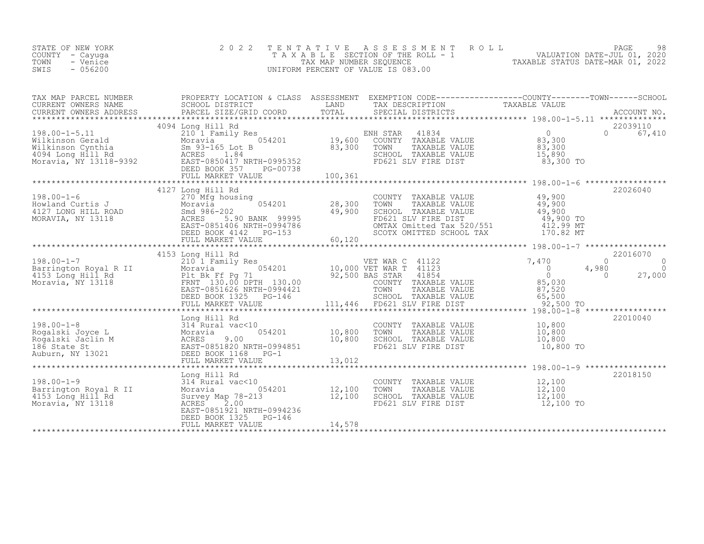| STATE OF NEW YORK<br>COUNTY - Cayuga<br>- Venice<br>TOWN<br>SWIS<br>$-056200$                                                                                                  | 2 0 2 2                                                                                                                                                                                                                                                                                                                                             |        | TENTATIVE ASSESSMENT ROLL PAGE 98<br>TAXABLE SECTION OF THE ROLL - 1 VALUATION DATE-JUL 01, 2020<br>TAX MAP NUMBER SEQUENCE TAXABLE STATUS DATE-MAR 01, 2022<br>UNIFORM PERCENT OF VALUE IS 083.00                                                                                                                                                                                                  |                                      |                                                  |
|--------------------------------------------------------------------------------------------------------------------------------------------------------------------------------|-----------------------------------------------------------------------------------------------------------------------------------------------------------------------------------------------------------------------------------------------------------------------------------------------------------------------------------------------------|--------|-----------------------------------------------------------------------------------------------------------------------------------------------------------------------------------------------------------------------------------------------------------------------------------------------------------------------------------------------------------------------------------------------------|--------------------------------------|--------------------------------------------------|
|                                                                                                                                                                                | TAX MAP PARCEL NUMBER BROPERTY LOCATION & CLASS ASSESSMENT EXEMPTION CODE-----------------COUNTY--------TOWN-----SCHOOL CURRENT OWNERS NAME SCHOOL DISTRICT LAND TAX DESCRIPTION TAXABLE VALUE<br>CURRENT OWNERS ADDRESS PARCEL S                                                                                                                   |        |                                                                                                                                                                                                                                                                                                                                                                                                     |                                      |                                                  |
|                                                                                                                                                                                | 4094 Long Hill Rd<br>198.00-1-5.11 $\texttt{4094 Long Hill Rd}$<br>Wilkinson Gerald 210 I Family Res ENH STAR 41834 0<br>Wilkinson Cynthia Sm 93-165 Lot B 33,300 TOWN TAXABLE VALUE 83,300<br>4094 Long Hill Rd ACRES 1.84 83,300 TOWN TAXABLE VALUE 83,300<br>Moravia,                                                                            |        |                                                                                                                                                                                                                                                                                                                                                                                                     | $\Omega$                             | 22039110<br>67,410                               |
| 198.00-1-6<br>Howland Curtis J<br>4127 LONG HILL ROAD<br>MORAVIA, NY 13118<br>MORAVIA, NY 13118<br>MORAVIA, NY 13118<br>MORAVIA, NY 13118<br>MORAVIA, NY 13118<br>DEED BOOK 41 | 4127 Long Hill Rd<br>270 Mfg housing<br>270 mig nousing<br>Moravia (194201 1986-202<br>Smd 986-202 19,900<br>ACRES 5.90 BANK 99995<br>EAST-0851406 NRTH-0994786<br>DEED BOOK 4142 PG-153                                                                                                                                                            |        | COUNTY TAXABLE VALUE $\begin{array}{cccc} 49,900 \ \text{TOMN} & \text{TAXABLE VALUE} & 49,900 \ \text{SCHOOL} & \text{TAXABLE VALUE} & 49,900 \ \text{FD621 SLV FIRE DIST} & 49,900 \ \text{FD621 SLV FIRE DIST} & 49,900 \ \text{SOTX}} & 49,900 \ \text{SCTX}} & 49,900 \ \text{SCTX}} & 49,900 \ \text{SCTX}} & 49,900 \ \text{SCTX}} & 49,900 \ \text{SCTX}} & 49$<br>SCOTX OMITTED SCHOOL TAX | 170.82 MT                            | 22026040                                         |
|                                                                                                                                                                                | FULL MARKET VALUE                                                                                                                                                                                                                                                                                                                                   | 60,120 |                                                                                                                                                                                                                                                                                                                                                                                                     |                                      |                                                  |
|                                                                                                                                                                                | 4153 Long Hill Rd                                                                                                                                                                                                                                                                                                                                   |        |                                                                                                                                                                                                                                                                                                                                                                                                     | $\bigcap$<br>4,980<br>$\overline{0}$ | 22016070<br>$\Omega$<br>$\overline{0}$<br>27,000 |
|                                                                                                                                                                                |                                                                                                                                                                                                                                                                                                                                                     |        |                                                                                                                                                                                                                                                                                                                                                                                                     |                                      | 22010040                                         |
|                                                                                                                                                                                | 198.00-1-8<br>Moravia Long Hill Rd<br>198.00-1-8<br>Rogalski Joyce L<br>Rogalski Joyce L<br>Rogalski Jaclin M<br>10,800<br>10,800<br>10,800<br>10,800<br>10,800<br>10,800<br>10,800<br>10,800<br>10,800<br>10,800<br>10,800<br>10,800<br>10,800<br>10,800<br>10,800<br>1                                                                            |        | COUNTY TAXABLE VALUE 10,800<br>TOWN TAXABLE VALUE 10,800<br>SCHOOL TAXABLE VALUE 10,800<br>FD621 SLV FIRE DIST 10,800 TO                                                                                                                                                                                                                                                                            |                                      |                                                  |
|                                                                                                                                                                                |                                                                                                                                                                                                                                                                                                                                                     |        |                                                                                                                                                                                                                                                                                                                                                                                                     |                                      |                                                  |
|                                                                                                                                                                                | 198.00-1-9<br>198.00-1-9<br>Barrington Royal R II 314 Rural vac<10<br>4153 Long Hill Rd<br>4153 Long Hill Rd<br>4153 Long Hill Rd<br>42.00<br>ACRESS<br>ACRESS<br>2.00<br>ACRESS<br>2.00<br>2.00<br>2.00<br>2.00<br>2.00<br>2.00<br>2.00<br>2.00<br>2.00<br>2.00<br>2.00<br>EAST-0851921 NRTH-0994236<br>DEED BOOK 1325 PG-146<br>FULL MARKET VALUE | 14,578 | COUNTY TAXABLE VALUE $12,100$<br>TOWN TAXABLE VALUE $12,100$<br>SCHOOL TAXABLE VALUE $12,100$<br>FD621 SLV FIRE DIST                                                                                                                                                                                                                                                                                | 12,100 TO                            | 22018150                                         |

\*\*\*\*\*\*\*\*\*\*\*\*\*\*\*\*\*\*\*\*\*\*\*\*\*\*\*\*\*\*\*\*\*\*\*\*\*\*\*\*\*\*\*\*\*\*\*\*\*\*\*\*\*\*\*\*\*\*\*\*\*\*\*\*\*\*\*\*\*\*\*\*\*\*\*\*\*\*\*\*\*\*\*\*\*\*\*\*\*\*\*\*\*\*\*\*\*\*\*\*\*\*\*\*\*\*\*\*\*\*\*\*\*\*\*\*\*\*\*\*\*\*\*\*\*\*\*\*\*\*\*\*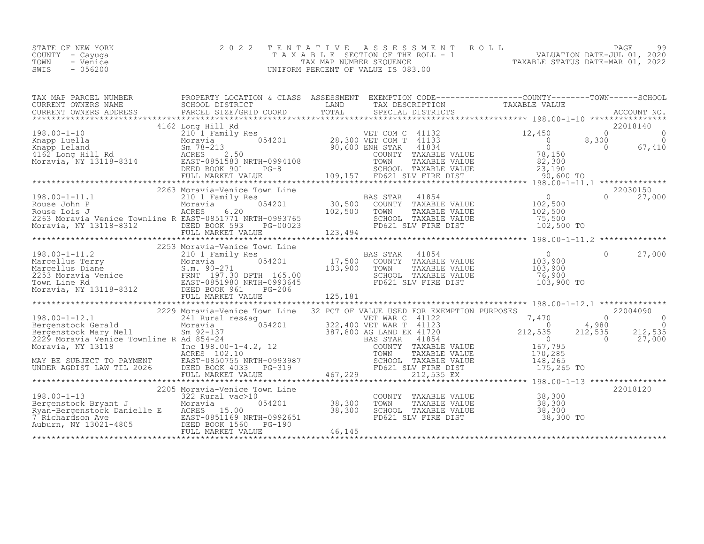| STATE OF NEW YORK | 2022 TENTATIVE ASSESSMENT ROLL        |                                  | PAGE                        | 99 |
|-------------------|---------------------------------------|----------------------------------|-----------------------------|----|
| COUNTY - Cayuqa   | T A X A B L E SECTION OF THE ROLL - 1 |                                  | VALUATION DATE-JUL 01, 2020 |    |
| TOWN<br>- Venice  | TAX MAP NUMBER SEQUENCE               | TAXABLE STATUS DATE-MAR 01, 2022 |                             |    |
| $-056200$<br>SWIS | UNIFORM PERCENT OF VALUE IS 083.00    |                                  |                             |    |

| TAX MAP PARCEL NUMBER                                                                                                                                                                                                                                                                                                                                                                                                                                                                                                                                                                                                 | PROPERTY LOCATION & CLASS ASSESSMENT EXEMPTION CODE----------------COUNTY-------TOWN-----SCHOOL |                    |                                                                                                                                                                                                                   |                                |
|-----------------------------------------------------------------------------------------------------------------------------------------------------------------------------------------------------------------------------------------------------------------------------------------------------------------------------------------------------------------------------------------------------------------------------------------------------------------------------------------------------------------------------------------------------------------------------------------------------------------------|-------------------------------------------------------------------------------------------------|--------------------|-------------------------------------------------------------------------------------------------------------------------------------------------------------------------------------------------------------------|--------------------------------|
|                                                                                                                                                                                                                                                                                                                                                                                                                                                                                                                                                                                                                       |                                                                                                 |                    |                                                                                                                                                                                                                   |                                |
|                                                                                                                                                                                                                                                                                                                                                                                                                                                                                                                                                                                                                       |                                                                                                 |                    |                                                                                                                                                                                                                   |                                |
|                                                                                                                                                                                                                                                                                                                                                                                                                                                                                                                                                                                                                       |                                                                                                 |                    |                                                                                                                                                                                                                   |                                |
| $\begin{tabular}{l c c c c c} \multicolumn{1}{c}{\text{\texttt{Matrix}}{\texttt{Matrix}}{\texttt{Matrix}}{\texttt{Matrix}}{\texttt{Matrix}}{\texttt{Matrix}}{\texttt{Matrix}}{\texttt{Matrix}}{\texttt{Matrix}}{\texttt{Matrix}}{\texttt{Matrix}}{\texttt{Matrix}}{\texttt{Matrix}}{\texttt{Matrix}}{\texttt{Matrix}}{\texttt{Matrix}}{\texttt{Matrix}}{\texttt{Matrix}}{\texttt{Matrix}}{\texttt{Matrix}}{\texttt{Matrix}}{\texttt{Matrix}}{\texttt{Matrix}}{\texttt{Matrix}}{\texttt{Matrix}}{\texttt{Matrix}}{\texttt{Matrix}}{\texttt{Matrix}}{\texttt{Matrix}}{\texttt{Matrix}}{\texttt{Matrix}}{\texttt{Matrix$ |                                                                                                 |                    |                                                                                                                                                                                                                   |                                |
|                                                                                                                                                                                                                                                                                                                                                                                                                                                                                                                                                                                                                       |                                                                                                 |                    |                                                                                                                                                                                                                   |                                |
| 198.00-1-11.1<br>Rouse John P Moravia (<br>Rouse Lois J (ACRES 6.20<br>ROUSE JOINT 2007<br>ROUSE 102,500 TOWN TAXABLE VALUE<br>2009 TOINT TAXABLE VALUE 102,500 TO 102,500 TO 102,500 TO 102,500 TO 23<br>Moravia, NY 13118-8312 DEED BOOK 593 PG-00023 FD621 SLV FIRE DIST 102,500 TO<br>FULL MARKET VALUE 1                                                                                                                                                                                                                                                                                                         | 2263 Moravia-Venice Town Line                                                                   |                    | BAS STAR 41854 0<br>054201 102,500 COUNTY TAXABLE VALUE 102,500<br>TH-0993765 102,500 TOWN TAXABLE VALUE 102,500<br>TH-0993765 SCHOOL TAXABLE VALUE 75,500<br>THE PG-00023 123 494 FD621 SLV FIRE DIST 102,500 TO | 22030150<br>$\Omega$<br>27,000 |
|                                                                                                                                                                                                                                                                                                                                                                                                                                                                                                                                                                                                                       | 2253 Moravia-Venice Town Line                                                                   |                    |                                                                                                                                                                                                                   |                                |
|                                                                                                                                                                                                                                                                                                                                                                                                                                                                                                                                                                                                                       |                                                                                                 |                    |                                                                                                                                                                                                                   |                                |
|                                                                                                                                                                                                                                                                                                                                                                                                                                                                                                                                                                                                                       |                                                                                                 |                    |                                                                                                                                                                                                                   |                                |
| $\begin{tabular}{l cccc} \texttt{167.795} \texttt{MAX} & \texttt{167.795} \\\hline 198.00-1-12.1 & \texttt{167.795} \\\texttt{167.795} \\\texttt{MAX} & \texttt{168.700} \\\texttt{MAX} & \texttt{168.700} \\\texttt{MAX} & \texttt{168.700} \\\texttt{MAX} & \texttt{168.700} \\\texttt{MAX} & \texttt{168.700} \\\texttt{MAX} & \texttt{168.700} \\\texttt{MAX} & \texttt{168$                                                                                                                                                                                                                                      |                                                                                                 |                    |                                                                                                                                                                                                                   |                                |
|                                                                                                                                                                                                                                                                                                                                                                                                                                                                                                                                                                                                                       |                                                                                                 |                    |                                                                                                                                                                                                                   |                                |
|                                                                                                                                                                                                                                                                                                                                                                                                                                                                                                                                                                                                                       |                                                                                                 |                    |                                                                                                                                                                                                                   |                                |
| 198.00-1-13<br>2205 Moravia Venice Town Line<br>2205 Moravia Venice Town Line<br>222 Rural vac>10<br>22 Rural vac>10<br>238,300 TOWN<br>Ryan-Bergenstock Danielle E<br>23.00 TOWN<br>23.00 TOWN<br>23.00 TOWN<br>23.00 SCHOO BACKES<br>23.00 SCHOO B                                                                                                                                                                                                                                                                                                                                                                  |                                                                                                 | 054201 38,300 TOWN | COUNTY TAXABLE VALUE 38,300<br>38,300 TOWN TAXABLE VALUE 38,300<br>38,300 SCHOOL TAXABLE VALUE 38,300<br>FD621 SLV FIRE DIST 38,300 TO                                                                            | 22018120                       |
|                                                                                                                                                                                                                                                                                                                                                                                                                                                                                                                                                                                                                       |                                                                                                 |                    |                                                                                                                                                                                                                   |                                |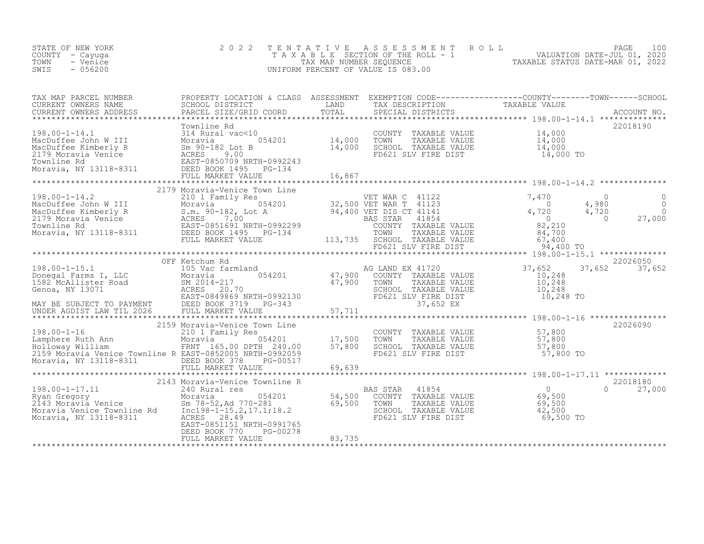| STATE OF NEW YORK<br>COUNTY - Cayuga<br>TOWN<br>- Venice<br>SWIS<br>$-056200$                                                                                                                                                                 | 2 0 2 2                                                | TENTATIVE | UNIFORM PERCENT OF VALUE IS 083.00 | TENTATIVE ASSESSMENT ROLL MALUATION DATE-JUL 01, 2020<br>TAXABLE SECTION OF THE ROLL - 1 VALUATION DATE-JUL 01, 2020<br>TAXABLE STATUS DATE-MAR 01, 2022<br>UNIFORM PERCENT OF VALUE IS 083.00 |                    |
|-----------------------------------------------------------------------------------------------------------------------------------------------------------------------------------------------------------------------------------------------|--------------------------------------------------------|-----------|------------------------------------|------------------------------------------------------------------------------------------------------------------------------------------------------------------------------------------------|--------------------|
| CURRENT OWNERS NAME<br>CURRENT OWNERS ADDRESS                                                                                                                                                                                                 |                                                        |           |                                    |                                                                                                                                                                                                |                    |
|                                                                                                                                                                                                                                               | FULL MARKET VALUE                                      | 16,867    |                                    |                                                                                                                                                                                                | 22018190           |
|                                                                                                                                                                                                                                               | 2179 Moravia-Venice Town Line                          |           |                                    |                                                                                                                                                                                                |                    |
|                                                                                                                                                                                                                                               |                                                        |           |                                    |                                                                                                                                                                                                |                    |
|                                                                                                                                                                                                                                               | OFF Ketchum Rd                                         |           |                                    |                                                                                                                                                                                                | 22026050           |
|                                                                                                                                                                                                                                               |                                                        |           |                                    |                                                                                                                                                                                                | 22026090           |
| Moravia, NY 13118-8311 DEED BOOK 378                                                                                                                                                                                                          | PG-00517<br>FULL MARKET VALUE                          | 69,639    |                                    |                                                                                                                                                                                                |                    |
|                                                                                                                                                                                                                                               | 2143 Moravia-Venice Townline R                         |           |                                    |                                                                                                                                                                                                | 22018180           |
| 198.00-1-17.11<br>Notavia Venice 1000 1240 Rural res<br>Moravia Venice Moravia Venice 58,500<br>Moravia Venice 59,500<br>Moravia Venice Townline Rd<br>Moravia, NY 13118-8311<br>Moravia, NY 13118-8311<br>Moravia, NY 13118-8311<br>Moravia, | EAST-0851151 NRTH-0991765<br>DEED BOOK 770<br>PG-00278 |           |                                    |                                                                                                                                                                                                | $\Omega$<br>27,000 |
|                                                                                                                                                                                                                                               | FULL MARKET VALUE                                      | 83,735    |                                    |                                                                                                                                                                                                |                    |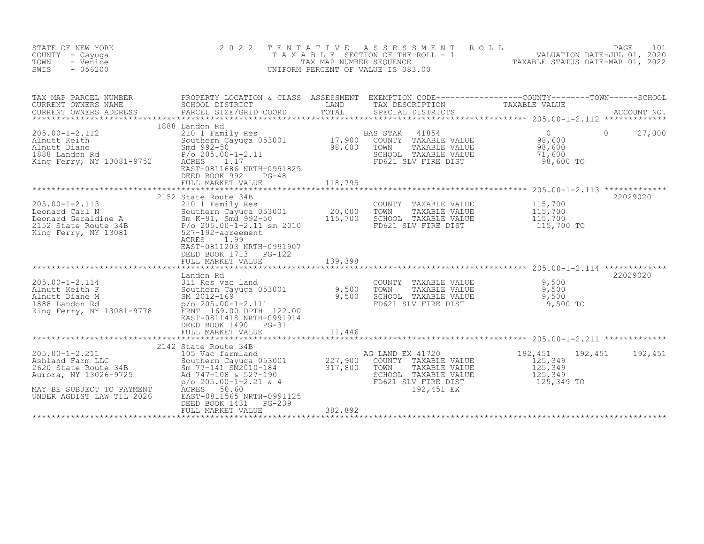| STATE OF NEW YORK<br>COUNTY - Cayuga<br>- Venice<br>TOWN<br>SWIS<br>$-056200$                                                                                                                                                                               | 2 0 2 2                                                                                                                                                                                                                                                                          | TENTATIVE | UNIFORM PERCENT OF VALUE IS 083.00                                                                                             | TENTATIVE ASSESSMENT ROLL<br>TAXABLE SECTION OF THE ROLL - 1 VALUATION DATE-JUL 01, 2020<br>TAXABLE STATUS DATE-MAR 01, 2022            |
|-------------------------------------------------------------------------------------------------------------------------------------------------------------------------------------------------------------------------------------------------------------|----------------------------------------------------------------------------------------------------------------------------------------------------------------------------------------------------------------------------------------------------------------------------------|-----------|--------------------------------------------------------------------------------------------------------------------------------|-----------------------------------------------------------------------------------------------------------------------------------------|
| TAX MAP PARCEL NUMBERS<br>CURRENT OWNERS NAME                                                                                                                                                                                                               | SCHOOL DISTRICT<br><b>EXAMPLE THE STATE OF STATE</b><br>PARCEL SIZE/GRID COORD                                                                                                                                                                                                   | TOTAL     | TAX DESCRIPTION TAXABLE VALUE<br>SPECIAL DISTRICTS TAXABLE VALUE<br>SPECIAL DISTRICTS                                          | TAX MAP PARCEL NUMBER THE PROPERTY LOCATION & CLASS ASSESSMENT EXEMPTION CODE---------------COUNTY-------TOWN-----SCHOOL<br>ACCOUNT NO. |
| 205.00-1-2.112<br>Alnutt Keith<br>Alnutt Diane<br>1888 Landon Rd<br>1888 Landon Rd<br>1992-50<br>205.00-<br>King Ferry, NY 13081-9752<br>208.011.20                                                                                                         | 1888 Landon Rd<br>1210 1 Family Res<br>Southern Cayuga 053001 17,900<br>Smd 992-50 98,600<br>P/o 205.00-1-2.11 ACRES<br>EAST-0811686 NRTH-0991829<br>DEED BOOK 992<br>$PG-48$<br>FULL MARKET VALUE                                                                               | 118,795   | 41854<br>BAS STAR<br>COUNTY TAXABLE VALUE<br>TOWN<br>TAXABLE VALUE<br>SCHOOL TAXABLE VALUE<br>FD621 SLV FIRE DIST              | $\overline{0}$<br>$\Omega$<br>27,000<br>98,600<br>98,600<br>71,600<br>98,600 TO                                                         |
| 205.00-1-2.113<br>Leonard Carl N<br>Leonard Geraldine A<br>210 1 Family Res<br>Southern Cayuga 053001<br>20,000<br>20,000<br>20,000<br>20,000<br>2152 State Route 34B<br>2152 State Route 34B<br>215,700<br>2152 State Route 34B<br>2252 -192-agreement<br> | 2152 State Route 34B<br>ACRES 1.99<br>EAST-0811203 NRTH-0991907<br>DEED BOOK 1713 PG-122<br>FULL MARKET VALUE                                                                                                                                                                    | 139,398   | COUNTY TAXABLE VALUE<br>TOWN<br>TAXABLE VALUE<br>SCHOOL TAXABLE VALUE<br>FD621 SLV FIRE DIST                                   | 22029020<br>115,700<br>115,700<br>115,700<br>115,700 TO                                                                                 |
| 205.00-1-2.114<br>Alnutt Keith F 311 Res vac land<br>311 Res vac land<br>311 River Cayuga 053001 9,500<br>311 River Cayuga 053001 9,500<br>SM 2012-169<br>2012-169<br>2010 D/O DPTH 122.00<br>2010 P/O 205.00-1-2.111<br>2010 D/O DPTH 122.00               | Landon Rd<br>EAST-0811418 NRTH-0991914<br>DEED BOOK 1490 PG-31                                                                                                                                                                                                                   |           | COUNTY TAXABLE VALUE<br>TOWN TAXABLE VALUE<br>SCHOOL TAXABLE VALUE<br>CHOOL TAXABLE VALUE<br>FD621 SLV FIRE DIST               | 22029020<br>9,500<br>9,500<br>9,500<br>9,500 TO                                                                                         |
| $205.00 - 1 - 2.211$<br>205.00-1-2.211<br>Ashland Farm LLC<br>2620 State Route 34B<br>Aurora, NY 13026-9725<br>MAY BE SUBJECT TO PAYMENT<br>UNDER AGDIST LAW TIL 2026                                                                                       | 2142 State Route 34B<br>JLL MARKET<br>********************<br>3tate Route 34B<br>105 Vac farmland<br>Southern Cayuga 053001 227,900 C<br>8m 77-141 SM2010-184 317,800 C<br>108 & 527-190 317,800 C<br>EAST-0811565 NRTH-0991125<br>DEED BOOK 1431<br>PG-239<br>FULL MARKET VALUE | 382,892   | AG LAND EX 41720<br>COUNTY TAXABLE VALUE<br>TOWN<br>TAXABLE VALUE<br>SCHOOL TAXABLE VALUE<br>FD621 SLV FIRE DIST<br>192,451 EX | 192,451<br>192,451<br>192,451<br>125,349<br>125,349<br>125,349<br>125,349 TO                                                            |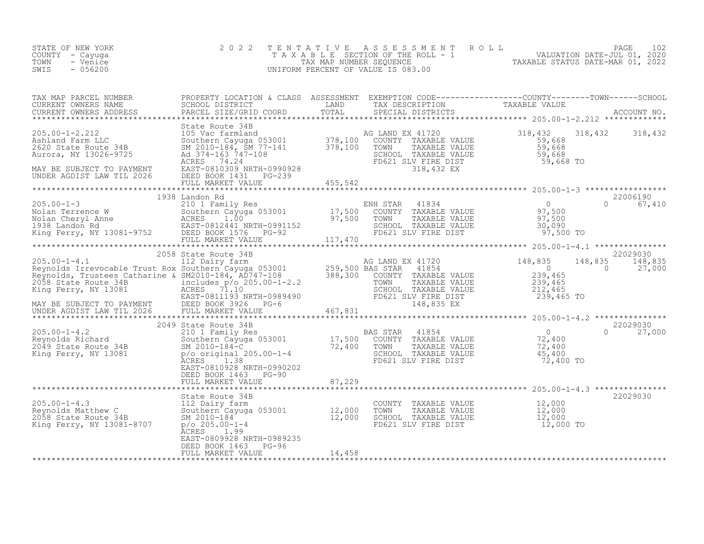| STATE OF NEW YORK<br>COUNTY - Cayuga<br>- Venice<br>TOWN<br>$-056200$<br>SWIS |                                                                        |                             | 2022 TENTATIVE ASSESSMENT ROLL<br>T A X A B L E SECTION OF THE ROLL - 1<br>TAX MAP NUMBER SEQUENCE<br>UNIFORM PERCENT OF VALUE IS 083.00 |                                                                               | 102<br>PAGE<br>VALUATION DATE-JUL 01, 2020<br>TAXABLE STATUS DATE-MAR 01, 2022 |
|-------------------------------------------------------------------------------|------------------------------------------------------------------------|-----------------------------|------------------------------------------------------------------------------------------------------------------------------------------|-------------------------------------------------------------------------------|--------------------------------------------------------------------------------|
| TAX MAP PARCEL NUMBER<br>CURRENT OWNERS NAME<br>CURRENT OWNERS ADDRESS        | PROPERTY LOCATION & CLASS<br>SCHOOL DISTRICT<br>PARCEL SIZE/GRID COORD | ASSESSMENT<br>LAND<br>TOTAL | TAX DESCRIPTION<br>SPECIAL DISTRICTS                                                                                                     | EXEMPTION CODE-----------------COUNTY-------TOWN------SCHOOL<br>TAXABLE VALUE | ACCOUNT NO.                                                                    |

|                                                                                                                                                                                                                                                        | State Route 34B                                   |        |  |          |
|--------------------------------------------------------------------------------------------------------------------------------------------------------------------------------------------------------------------------------------------------------|---------------------------------------------------|--------|--|----------|
|                                                                                                                                                                                                                                                        |                                                   |        |  |          |
|                                                                                                                                                                                                                                                        | 1938 Landon Rd                                    |        |  | 22006190 |
|                                                                                                                                                                                                                                                        |                                                   |        |  |          |
| 12 Dairy farm and the SM2010-184, AD747-108<br>Reynolds Trustees Catharine & SM2010-184, AD747-108<br>Reynolds Trustees Catharine & SM2010-184, AD747-108<br>Reynolds Trustees Catharine & SM2010-184, AD747-108<br>Reynolds Trustees                  |                                                   |        |  |          |
| 205.00-1-4.2<br>2049 State Route 34B<br>205.00-1-4.2<br>2049 State Routern Cayuga 053001<br>2049 State Route 34B<br>2049 State Route 34B<br>2010-184-C<br>2049 State Route 34B<br>2010-184-C<br>2010-184-C<br>2029 State Route 34B<br>2010-184-C<br>20 | EAST-0810928 NRTH-0990202<br>DEED BOOK 1463 PG-90 |        |  |          |
|                                                                                                                                                                                                                                                        |                                                   |        |  | 22029030 |
|                                                                                                                                                                                                                                                        | EAST-0809928 NRTH-0989235<br>DEED BOOK 1463 PG-96 |        |  |          |
|                                                                                                                                                                                                                                                        | FULL MARKET VALUE                                 | 14,458 |  |          |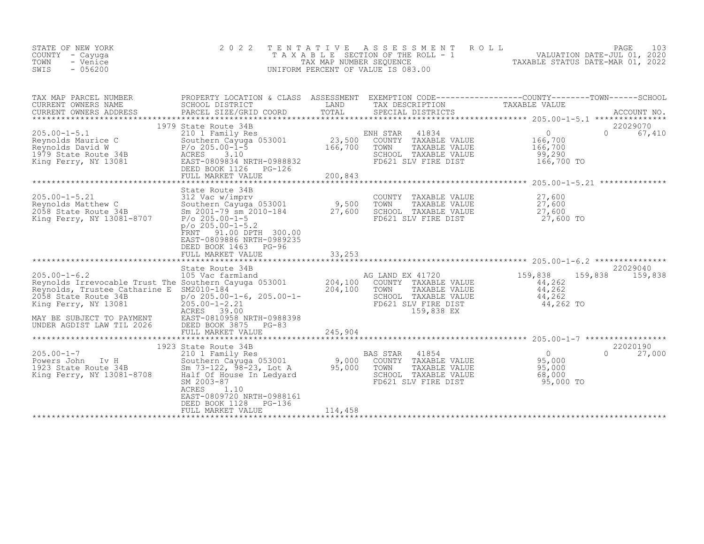| STATE OF NEW YORK<br>COUNTY - Cayuga<br>TOWN<br>- Venice<br>SWIS<br>$-056200$                                                                                                                                          | 2 0 2 2<br>TAXABLE                                                                                                                                                                                                                                    | TENTATIVE<br>TAX MAP NUMBER SEQUENCE | A S S E S S M E N T<br>SECTION OF THE ROLL - 1<br>UNIFORM PERCENT OF VALUE IS 083.00                                           | 103<br>ROLL<br>PAGE<br>VALUATION DATE-JUL 01, 2020<br>TAXABLE STATUS DATE-MAR 01, 2022                                          |
|------------------------------------------------------------------------------------------------------------------------------------------------------------------------------------------------------------------------|-------------------------------------------------------------------------------------------------------------------------------------------------------------------------------------------------------------------------------------------------------|--------------------------------------|--------------------------------------------------------------------------------------------------------------------------------|---------------------------------------------------------------------------------------------------------------------------------|
| TAX MAP PARCEL NUMBER<br>CURRENT OWNERS NAME<br>CURRENT OWNERS ADDRESS                                                                                                                                                 | SCHOOL DISTRICT<br>PARCEL SIZE/GRID COORD                                                                                                                                                                                                             | LAND<br>TOTAL                        | TAX DESCRIPTION<br>SPECIAL DISTRICTS                                                                                           | PROPERTY LOCATION & CLASS ASSESSMENT EXEMPTION CODE----------------COUNTY-------TOWN-----SCHOOL<br>TAXABLE VALUE<br>ACCOUNT NO. |
| $205.00 - 1 - 5.1$<br>Reynolds Maurice C<br>Reynolds David W<br>1979 State Route 34B<br>King Ferry, NY 13081                                                                                                           | 1979 State Route 34B<br>210 1 Family Res<br>Southern Cayuga 053001<br>$P/O 205.00 - 1 - 5$<br>ACRES<br>3.10<br>EAST-0809834 NRTH-0988832<br>DEED BOOK 1126 PG-126<br>FULL MARKET VALUE                                                                | 23,500<br>166,700<br>200,843         | ENH STAR<br>41834<br>TAXABLE VALUE<br>COUNTY<br>TOWN<br>TAXABLE VALUE<br>SCHOOL TAXABLE VALUE<br>FD621 SLV FIRE DIST           | 22029070<br>$\circ$<br>$\Omega$<br>67,410<br>166,700<br>166,700<br>99,290<br>166,700 TO                                         |
| $205.00 - 1 - 5.21$<br>Reynolds Matthew C<br>2058 State Route 34B<br>King Ferry, NY 13081-8707                                                                                                                         | State Route 34B<br>312 Vac w/imprv<br>Southern Cayuga 053001<br>Sm $2001 - 79$ sm $2010 - 184$<br>$P/O$ 205.00-1-5<br>$p$ /o 205.00-1-5.2<br>91.00 DPTH 300.00<br>FRNT<br>EAST-0809886 NRTH-0989235<br>DEED BOOK 1463<br>$PG-96$<br>FULL MARKET VALUE | 9,500<br>27,600<br>33,253            | COUNTY TAXABLE VALUE<br>TOWN<br>TAXABLE VALUE<br>SCHOOL TAXABLE VALUE<br>FD621 SLV FIRE DIST                                   | *********************** 205.00-1-5.21 **************<br>27,600<br>27,600<br>27,600<br>27,600 TO                                 |
| $205.00 - 1 - 6.2$<br>Reynolds Irrevocable Trust The Southern Cayuga 053001<br>Reynolds, Trustee Catharine E<br>2058 State Route 34B<br>King Ferry, NY 13081<br>MAY BE SUBJECT TO PAYMENT<br>UNDER AGDIST LAW TIL 2026 | State Route 34B<br>105 Vac farmland<br>SM2010-184<br>$p$ /o 205.00-1-6, 205.00-1-<br>$205.00 - 1 - 2.21$<br>ACRES 39.00<br>EAST-0810958 NRTH-0988398<br>DEED BOOK 3875<br>$PG-83$<br>FULL MARKET VALUE                                                | 204,100<br>204,100<br>245,904        | AG LAND EX 41720<br>COUNTY TAXABLE VALUE<br>TOWN<br>TAXABLE VALUE<br>SCHOOL TAXABLE VALUE<br>FD621 SLV FIRE DIST<br>159,838 EX | 22029040<br>159,838<br>159,838<br>159,838<br>44,262<br>44,262<br>44,262<br>44,262 TO                                            |
| $205.00 - 1 - 7$<br>Powers John Iv H<br>1923 State Route 34B<br>King Ferry, NY 13081-8708                                                                                                                              | 1923 State Route 34B<br>210 1 Family Res<br>Southern Cayuga 053001<br>Sm 73-122, 98-23, Lot A<br>Half Of House In Ledyard<br>SM 2003-87<br>ACRES<br>1.10<br>EAST-0809720 NRTH-0988161<br>DEED BOOK 1128<br>PG-136<br>FULL MARKET VALUE                | 9,000<br>95,000<br>114,458           | 41854<br>BAS STAR<br>COUNTY TAXABLE VALUE<br>TOWN<br>TAXABLE VALUE<br>SCHOOL TAXABLE VALUE<br>FD621 SLV FIRE DIST              | 22020190<br>$\overline{0}$<br>27,000<br>$\Omega$<br>95,000<br>95,000<br>68,000<br>95,000 TO                                     |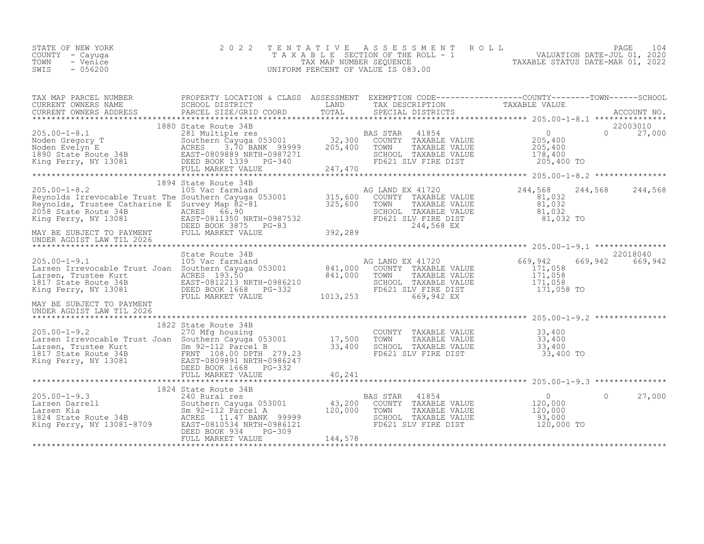| STATE OF NEW YORK | 2022 TENTATIVE ASSESSMENT ROLL        |                                  | PAGE                        | 104 |
|-------------------|---------------------------------------|----------------------------------|-----------------------------|-----|
| COUNTY - Cayuga   | T A X A B L E SECTION OF THE ROLL - 1 |                                  | VALUATION DATE-JUL 01, 2020 |     |
| TOWN<br>- Venice  | TAX MAP NUMBER SEOUENCE               | TAXABLE STATUS DATE-MAR 01, 2022 |                             |     |
| $-056200$<br>SWIS | UNIFORM PERCENT OF VALUE IS 083.00    |                                  |                             |     |
|                   |                                       |                                  |                             |     |

| 22003010<br>1880 State Route 34B<br>1000 black Node of BAS STAR 41854<br>281 Moden Gregory T<br>281 Moden Evelyn E<br>205,400<br>205,400<br>205,400<br>205,400<br>205,400<br>205,400<br>205,400<br>205,400<br>205,400<br>205,400<br>205,400<br>205,400<br>205,400<br>205,400<br>205,400<br>205,400<br>20<br>$\cap$<br>27,000<br>205,400 TO<br>1894 State Route 34B<br>205.00-1-8.2<br>Reynolds Irrevocable Trust The Southern Cayuga 053001<br>Reynolds, Trustee Catharine E Survey Map 82-81<br>2058 State Route 34B<br>2058 State Route 34B<br>2058 State Route 34B<br>2058 State Route 34B<br>2058 State Route<br>244,568 244,568<br>244,568<br>81,032<br>$81,032$<br>$81,032$<br>SCHOOL TAXABLE VALUE 81,032<br>FD621 SLV FIRE DIST 81,032 TO<br>244,568 EX 81,032 TO<br>UNDER AGDIST LAW TIL 2026<br>22018040<br>305.00-1-9.1<br>205.00-1-9.1<br>105 Vac farmland<br>Larsen Irrevocable Trust Joan Southern Cayuga 053001<br>165 Vac farmland<br>105 Vac farmland<br>2017 State Route 34B<br>2017 State Route 34B<br>2017 State Route 34B<br>2017 State Route 34B<br>669,942<br>669,942<br>1013,253<br>FULL MARKET VALUE<br>669,942 EX<br>MAY BE SUBJECT TO PAYMENT<br>UNDER AGDIST LAW TIL 2026<br>1822 State Route 34B<br>270 Mfg housing<br>Larsen Irrevocable Trust Joan Southern Cayuga 053001 17,500 TOWN TAXABLE VALUE<br>17,500 TOWN TAXABLE VALUE 33,400<br>17,500 TOWN TAXABLE VALUE 33,400<br>1817 State Route 34B FRNT 108.00 DP<br>Larsen Trustee Kurt and Successive Community of the CHOOL TAXABLE VALUE<br>1817 State Route 34B FRNT 108.00 DPTH 279.23<br>King Ferry, NY 13081 EAST-0809891 NRTH-0986247<br>ELED BOOK 1668 FD621 SLV FIRE DIST 33,400 TO<br>FULL MARK<br>1824 State Route 34B<br>$\begin{smallmatrix} & & 0 \\ 120,000 \end{smallmatrix}$<br>27,000<br>$\Omega$ | TAX MAP PARCEL NUMBER | PROPERTY LOCATION & CLASS ASSESSMENT EXEMPTION CODE----------------COUNTY-------TOWN-----SCHOOL |  | TAXABLE VALUE |  |
|-------------------------------------------------------------------------------------------------------------------------------------------------------------------------------------------------------------------------------------------------------------------------------------------------------------------------------------------------------------------------------------------------------------------------------------------------------------------------------------------------------------------------------------------------------------------------------------------------------------------------------------------------------------------------------------------------------------------------------------------------------------------------------------------------------------------------------------------------------------------------------------------------------------------------------------------------------------------------------------------------------------------------------------------------------------------------------------------------------------------------------------------------------------------------------------------------------------------------------------------------------------------------------------------------------------------------------------------------------------------------------------------------------------------------------------------------------------------------------------------------------------------------------------------------------------------------------------------------------------------------------------------------------------------------------------------------------------------------------------------------------------------------------------------------------|-----------------------|-------------------------------------------------------------------------------------------------|--|---------------|--|
|                                                                                                                                                                                                                                                                                                                                                                                                                                                                                                                                                                                                                                                                                                                                                                                                                                                                                                                                                                                                                                                                                                                                                                                                                                                                                                                                                                                                                                                                                                                                                                                                                                                                                                                                                                                                       |                       |                                                                                                 |  |               |  |
|                                                                                                                                                                                                                                                                                                                                                                                                                                                                                                                                                                                                                                                                                                                                                                                                                                                                                                                                                                                                                                                                                                                                                                                                                                                                                                                                                                                                                                                                                                                                                                                                                                                                                                                                                                                                       |                       |                                                                                                 |  |               |  |
|                                                                                                                                                                                                                                                                                                                                                                                                                                                                                                                                                                                                                                                                                                                                                                                                                                                                                                                                                                                                                                                                                                                                                                                                                                                                                                                                                                                                                                                                                                                                                                                                                                                                                                                                                                                                       |                       |                                                                                                 |  |               |  |
|                                                                                                                                                                                                                                                                                                                                                                                                                                                                                                                                                                                                                                                                                                                                                                                                                                                                                                                                                                                                                                                                                                                                                                                                                                                                                                                                                                                                                                                                                                                                                                                                                                                                                                                                                                                                       |                       |                                                                                                 |  |               |  |
|                                                                                                                                                                                                                                                                                                                                                                                                                                                                                                                                                                                                                                                                                                                                                                                                                                                                                                                                                                                                                                                                                                                                                                                                                                                                                                                                                                                                                                                                                                                                                                                                                                                                                                                                                                                                       |                       |                                                                                                 |  |               |  |
|                                                                                                                                                                                                                                                                                                                                                                                                                                                                                                                                                                                                                                                                                                                                                                                                                                                                                                                                                                                                                                                                                                                                                                                                                                                                                                                                                                                                                                                                                                                                                                                                                                                                                                                                                                                                       |                       |                                                                                                 |  |               |  |
|                                                                                                                                                                                                                                                                                                                                                                                                                                                                                                                                                                                                                                                                                                                                                                                                                                                                                                                                                                                                                                                                                                                                                                                                                                                                                                                                                                                                                                                                                                                                                                                                                                                                                                                                                                                                       |                       |                                                                                                 |  |               |  |
|                                                                                                                                                                                                                                                                                                                                                                                                                                                                                                                                                                                                                                                                                                                                                                                                                                                                                                                                                                                                                                                                                                                                                                                                                                                                                                                                                                                                                                                                                                                                                                                                                                                                                                                                                                                                       |                       |                                                                                                 |  |               |  |
|                                                                                                                                                                                                                                                                                                                                                                                                                                                                                                                                                                                                                                                                                                                                                                                                                                                                                                                                                                                                                                                                                                                                                                                                                                                                                                                                                                                                                                                                                                                                                                                                                                                                                                                                                                                                       |                       |                                                                                                 |  |               |  |
|                                                                                                                                                                                                                                                                                                                                                                                                                                                                                                                                                                                                                                                                                                                                                                                                                                                                                                                                                                                                                                                                                                                                                                                                                                                                                                                                                                                                                                                                                                                                                                                                                                                                                                                                                                                                       |                       |                                                                                                 |  |               |  |
| SCHOOL TAXABLE VALUE 53,000<br>FD621 SLV FIRE DIST 120,000 TO<br>DEED BOOK 934<br>PG-309                                                                                                                                                                                                                                                                                                                                                                                                                                                                                                                                                                                                                                                                                                                                                                                                                                                                                                                                                                                                                                                                                                                                                                                                                                                                                                                                                                                                                                                                                                                                                                                                                                                                                                              |                       |                                                                                                 |  | 120,000       |  |
| 144,578<br>FULL MARKET VALUE                                                                                                                                                                                                                                                                                                                                                                                                                                                                                                                                                                                                                                                                                                                                                                                                                                                                                                                                                                                                                                                                                                                                                                                                                                                                                                                                                                                                                                                                                                                                                                                                                                                                                                                                                                          |                       |                                                                                                 |  |               |  |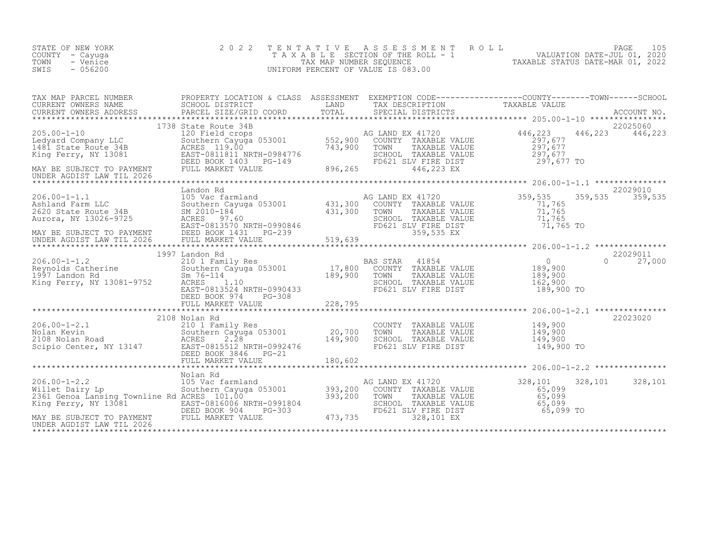| STATE OF NEW YORK<br>COUNTY - Cayuga<br>TOWN<br>- Venice<br>SWIS<br>$-056200$                                                                                                                                                                                                                                                                                                                | 2 0 2 2                                                                                                                                                                                                |                                                  | TENTATIVE ASSESSMENT<br>UNIFORM PERCENT OF VALUE IS 083.00                                                                     |                                                                                                        |                                |
|----------------------------------------------------------------------------------------------------------------------------------------------------------------------------------------------------------------------------------------------------------------------------------------------------------------------------------------------------------------------------------------------|--------------------------------------------------------------------------------------------------------------------------------------------------------------------------------------------------------|--------------------------------------------------|--------------------------------------------------------------------------------------------------------------------------------|--------------------------------------------------------------------------------------------------------|--------------------------------|
| CURRENT OWNERS ADDRESS                                                                                                                                                                                                                                                                                                                                                                       | PARCEL SIZE/GRID COORD                                                                                                                                                                                 | TOTAL                                            | SPECIAL DISTRICTS                                                                                                              |                                                                                                        | ACCOUNT NO.                    |
| MAY BE SUBJECT TO PAYMENT<br>UNDER AGDIST LAW TIL 2026                                                                                                                                                                                                                                                                                                                                       | 1738 State Route 34B<br>120 Field crops<br>Southern Cayuga 053001 552,900<br>ACRES 119.00 743,900<br>AURES 119.00<br>EAST-0811811 NRTH-0984776<br>DEED BOOK 1403 PG-149<br>FULL MARKET VALUE 896,265   |                                                  | AG LAND EX 41720<br>COUNTY TAXABLE VALUE<br>TOWN TAXABLE VALUE<br>SCHOOL TAXABLE VALUE<br>FD621 SLV FIRE DIST<br>446,223 EX    | 446,223<br>297,677<br>297, 677<br>297, 677<br>297,677 TO                                               | 22025060<br>446,223<br>446,223 |
| 206.00-1-1.1<br>105 Vac farmland<br>Ashland Farm LLC<br>2620 State Route 34B<br>2620 State Route 34B<br>2010-184<br>2010-184<br>2010-184<br>2010-184<br>2010-184<br>2020 State Route 34B<br>2020 State Route 34B<br>2020 State Route 34B<br>20210-184<br>2<br>Aurora, NY 13026-9725<br>MAY BE SUBJECT TO PAYMENT DEED BOOK 1431 PG-239<br>UNDER AGDIST LAW TIL 2026 FULL MARKET VALUE (1999) | Landon Rd<br>100 vac rarmland<br>Southern Cayuga 053001 431,300<br>SM 2010-184 431,300<br>ACRES 97.60 431,300                                                                                          |                                                  | AG LAND EX 41720<br>COUNTY TAXABLE VALUE<br>TOWN<br>TAXABLE VALUE<br>SCHOOL TAXABLE VALUE<br>FD621 SLV FIRE DIST<br>359,535 EX | ******************* 206.00-1-1.1 ***************<br>359,535<br>71,765<br>71,765<br>71,765<br>71,765 TO | 22029010<br>359,535<br>359,535 |
| $206.00 - 1 - 1.2$<br>206.00-1-1.2<br>Reynolds Catherine<br>1997 Landon Rd<br>King Ferry, NY 13081-9752                                                                                                                                                                                                                                                                                      | 1997 Landon Rd<br>210 1 Family Res<br>Southern Cayuga 053001 17,800<br>Sm 76-114 189,900<br>Sm $76 - 114$<br>ACRES 1.10<br>EAST-0813524 NRTH-0990433<br>DEED BOOK 974<br>$PG-308$<br>FULL MARKET VALUE | 228,795                                          | BAS STAR<br>41854<br>COUNTY TAXABLE VALUE<br>TOWN<br>TAXABLE VALUE<br>SCHOOL TAXABLE VALUE<br>FD621 SLV FIRE DIST              | $\overline{0}$<br>189,900<br>189,900<br>162,900<br>189,900 TO                                          | 22029011<br>$\Omega$<br>27,000 |
| $206.00 - 1 - 2.1$<br>206.00-1-2.1 210 1 Family Res<br>Nolan Kevin Southern Cayuga 053001<br>2108 Nolan Road ACRES 2.28<br>Scipio Center, NY 13147 EAST-0815512 NRTH-0992476<br>EAST-08152 NRTH-0992476                                                                                                                                                                                      | 2108 Nolan Rd<br>Southern Cayuga 053001<br>DEED BOOK 3846    PG-21                                                                                                                                     | 20,700<br>149,900                                | COUNTY TAXABLE VALUE<br>TOWN<br>TAXABLE VALUE<br>SCHOOL TAXABLE VALUE<br>FD621 SLV FIRE DIST                                   | 149,900<br>149,900<br>149,900<br>149,900 TO                                                            | 22023020                       |
| $206.00 - 1 - 2.2$<br>Willet Dairy Lp<br>2361 Genoa Lansing Townline Rd ACRES 101.00<br>EAST-0816006 NRTH-0991804<br>MAY BE SUBJECT TO PAYMENT<br>INDEED BOOK 904 PG-303<br>INDEE SUBJECT TO PAYMENT<br>FULL MARKET VALUE<br>UNDER AGDIST LAW TIL 2026                                                                                                                                       | Nolan Rd<br>NOI NGC 1818<br>105 Vac farmland<br>Southern Cayuga 053001 - 393,200<br>ACRES 101.00 - 393,200                                                                                             | 393,200<br>-0991804 SCHOC<br>G-303 FD621 473,735 | AG LAND EX 41720<br>COUNTY TAXABLE VALUE<br>TOWN<br>TAXABLE VALUE<br>SCHOOL TAXABLE VALUE<br>FD621 SLV FIRE DIST<br>328,101 EX | 328,101<br>65,099<br>65,099<br>65,099<br>65,099 TO                                                     | 328,101<br>328,101             |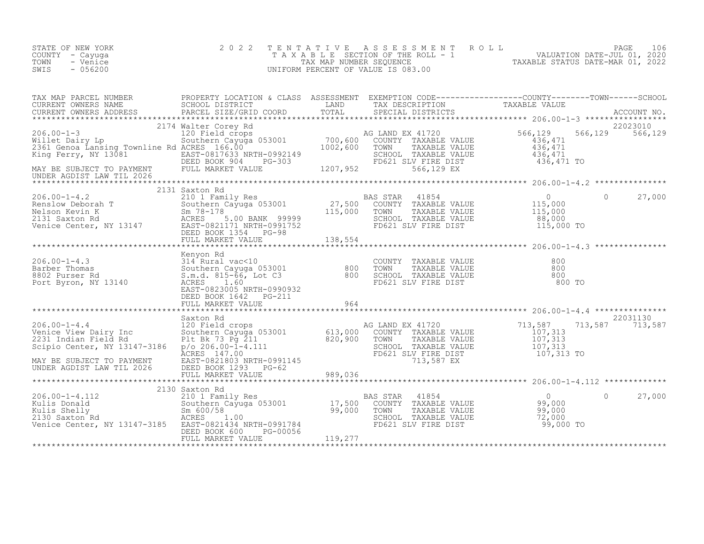| STATE OF NEW YORK<br>COUNTY - Cayuga<br>- Venice<br>TOWN<br>$-056200$<br>SWIS                                                                                                                                                                                                                                                                                                                                                                   | 2 0 2 2                                        |         | TENTATIVE ASSESSMENT ROLL PACE 106<br>TAXABLE SECTION OF THE ROLL - 1 VALUATION DATE-JUL 01, 2020<br>TAXABLE STATUS DATE-MAR 01, 2022<br>UNIFORM PERCENT OF VALUE IS 083.00 |            |
|-------------------------------------------------------------------------------------------------------------------------------------------------------------------------------------------------------------------------------------------------------------------------------------------------------------------------------------------------------------------------------------------------------------------------------------------------|------------------------------------------------|---------|-----------------------------------------------------------------------------------------------------------------------------------------------------------------------------|------------|
|                                                                                                                                                                                                                                                                                                                                                                                                                                                 |                                                |         |                                                                                                                                                                             |            |
|                                                                                                                                                                                                                                                                                                                                                                                                                                                 |                                                |         |                                                                                                                                                                             |            |
|                                                                                                                                                                                                                                                                                                                                                                                                                                                 |                                                |         |                                                                                                                                                                             |            |
| $\begin{tabular}{lllllllllllll} 206.00-1-4.2 & 2131\text{ Saxton Rd} & 2101\text{ Family Res} & 27,500\text{ COUNTY TAXABLE VALUE} & 115,000\text{Neolson Kevin K} & 115,000\text{Neolson Review K} & 115,000\text{Neolson Review K} & 115,000\text{Neolson Review K} & 115,000\text{ESD RXXABLE VALUE} & 115,000\text{ESD BON RXXABLE VALUE} & 115,000\text{ESD BON RXXABLE VALUE} & 115,000\text{ESD BON$                                     | 2131 Saxton Rd                                 |         |                                                                                                                                                                             | 0 $27,000$ |
|                                                                                                                                                                                                                                                                                                                                                                                                                                                 |                                                |         |                                                                                                                                                                             |            |
| $\begin{tabular}{lllllllllllllllllll} \multicolumn{3}{c }{206.00-1-4.3} & \multicolumn{3}{c }{\tt Kenyon~Rd} & \multicolumn{3}{c }{\tt SRIN} & \multicolumn{3}{c }{\tt SRIV} & \multicolumn{3}{c }{\tt SRIV} & \multicolumn{3}{c }{\tt SRIV} & \multicolumn{3}{c }{\tt SRIV} & \multicolumn{3}{c }{\tt SRIV} & \multicolumn{3}{c }{\tt SRIV} & \multicolumn{3}{c }{\tt SRIV} & \multicolumn{3}{c }{\tt SRIV} & \multicolumn{3}{c }{\tt SRIV} &$ | FULL MARKET VALUE 964                          |         |                                                                                                                                                                             |            |
|                                                                                                                                                                                                                                                                                                                                                                                                                                                 |                                                |         |                                                                                                                                                                             |            |
|                                                                                                                                                                                                                                                                                                                                                                                                                                                 | Saxton Rd                                      |         |                                                                                                                                                                             | 22031130   |
|                                                                                                                                                                                                                                                                                                                                                                                                                                                 |                                                |         |                                                                                                                                                                             |            |
|                                                                                                                                                                                                                                                                                                                                                                                                                                                 | DEED BOOK 600<br>PG-00056<br>FULL MARKET VALUE | 119,277 |                                                                                                                                                                             |            |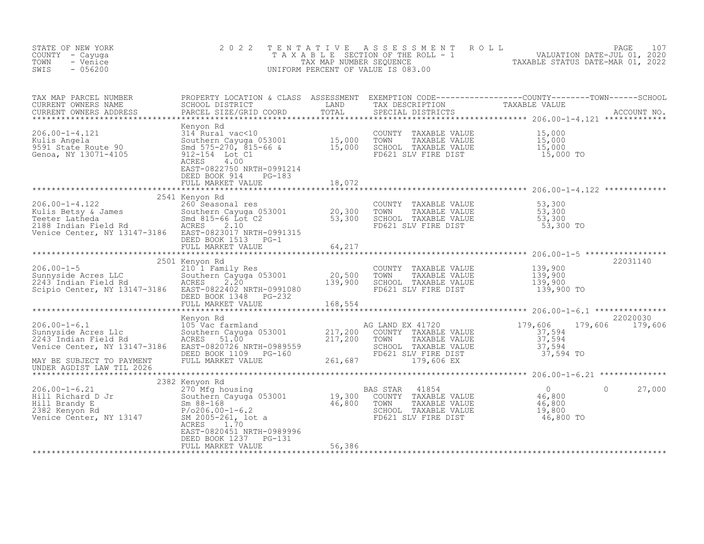| STATE OF NEW YORK<br>COUNTY - Cayuga<br>TOWN<br>- Venice<br>$-056200$<br>SWIS                                                                                                                                                                        | 2 0 2 2                                                                                                                                       |        |                                                                                                                                               | TENTATIVE ASSESSMENT ROLL PAGE 107<br>TAXABLE SECTION OF THE ROLL - 1 VALUATION DATE-JUL 01, 2020<br>TAX MAP NUMBER SEQUENCE TAXABLE STATUS DATE-MAR 01, 2022<br>UNIFORM PERCENT OF VALUE IS 083.00 |                             |
|------------------------------------------------------------------------------------------------------------------------------------------------------------------------------------------------------------------------------------------------------|-----------------------------------------------------------------------------------------------------------------------------------------------|--------|-----------------------------------------------------------------------------------------------------------------------------------------------|-----------------------------------------------------------------------------------------------------------------------------------------------------------------------------------------------------|-----------------------------|
|                                                                                                                                                                                                                                                      |                                                                                                                                               |        |                                                                                                                                               |                                                                                                                                                                                                     |                             |
| Xenyon Rd Menyon Rd S14 Rural vac<10 Southern Cayuga 053001 State Route 90 Southern Cayuga 053001 State Route 90 Southern Cayuga 053001 State Route 90 Southern Cayuga 053001 State Route 90 Southern Cayuga 053001 State Rout                       | 4.00<br>ACRES<br>EAST-0822750 NRTH-0991214<br>DEED BOOK 914 PG-183                                                                            |        |                                                                                                                                               |                                                                                                                                                                                                     |                             |
|                                                                                                                                                                                                                                                      | FULL MARKET VALUE                                                                                                                             | 18,072 |                                                                                                                                               |                                                                                                                                                                                                     |                             |
| 206.00-1-4.122<br>Kulis Betsy & James<br>Teeter Latheda<br>20,300<br>Teeter Latheda<br>2188 Indian Field Rd<br>2188 Indian Field Rd<br>2188 Indian Field Rd<br>2188 Indian Field Rd<br>2188 Indian Field Rd<br>2189 Indian Field Rd<br>2189 Indian F | 2541 Kenyon Rd                                                                                                                                |        | COUNTY TAXABLE VALUE 53,300<br>TOWN TAXABLE VALUE 53,300<br>SCHOOL TAXABLE VALUE 53,300<br>FD621 SLV FIRE DIST 53,300 TO                      |                                                                                                                                                                                                     |                             |
|                                                                                                                                                                                                                                                      |                                                                                                                                               |        |                                                                                                                                               |                                                                                                                                                                                                     |                             |
|                                                                                                                                                                                                                                                      | 2501 Kenyon Rd                                                                                                                                |        |                                                                                                                                               |                                                                                                                                                                                                     | 22031140                    |
| $206.00 - 1 - 5$<br>206.00-1-5<br>Sunnyside Acres LLC                  Southe<br>2243 Indian Field Rd                ACRES<br>Scipio Center, NY 13147-3186 EAST-0822402 NRTH-0991080                                                                 | x 10 1 Family Res<br>Southern Cayuga 053001 20,500<br>ACRES 202220 1777 2001002 139,900<br>DEED BOOK 1348 PG-232<br>FULL MARKET VALUE 168,554 |        | COUNTY TAXABLE VALUE<br>TAXABLE VALUE<br>TOWN<br>SCHOOL TAXABLE VALUE<br>FD621 SLV FIRE DIST                                                  | 139,900<br>139,900<br>139,900<br>138,900<br>139,900 TO                                                                                                                                              |                             |
|                                                                                                                                                                                                                                                      |                                                                                                                                               |        |                                                                                                                                               |                                                                                                                                                                                                     |                             |
| 206.00-1-6.1 Menyon Rd Magnetic Magnetic Magnetic Magnetic Magnetic Magnetic Magnetic Magnetic Magnetic Magnetic Sunnyside Acres L1c Southern Cayuga 053001 217,200 COUNTY TAXABLE VALUE<br>2243 Indian Field Rd McRES 51.00 217,                    | Kenyon Rd                                                                                                                                     |        | COUNTY TAXABLE VALUE<br>TOWN TAXABLE VALUE<br>SCHOOL TAXABLE VALUE<br>SCHOOL TAXABLE VALUE<br>FD621 SLV FIRE DIST<br>179,606 EX<br>179,606 EX | 179,606                                                                                                                                                                                             | 22020030<br>179,606 179,606 |
| UNDER AGDIST LAW TIL 2026                                                                                                                                                                                                                            |                                                                                                                                               |        |                                                                                                                                               |                                                                                                                                                                                                     |                             |
|                                                                                                                                                                                                                                                      | 2382 Kenyon Rd<br>ACRES 1.70<br>EAST-0820451 NRTH-0989996                                                                                     |        |                                                                                                                                               | 46,800 TO                                                                                                                                                                                           | 27,000<br>$\circ$           |
|                                                                                                                                                                                                                                                      | DEED BOOK 1237 PG-131<br>FULL MARKET VALUE                                                                                                    | 56,386 |                                                                                                                                               |                                                                                                                                                                                                     |                             |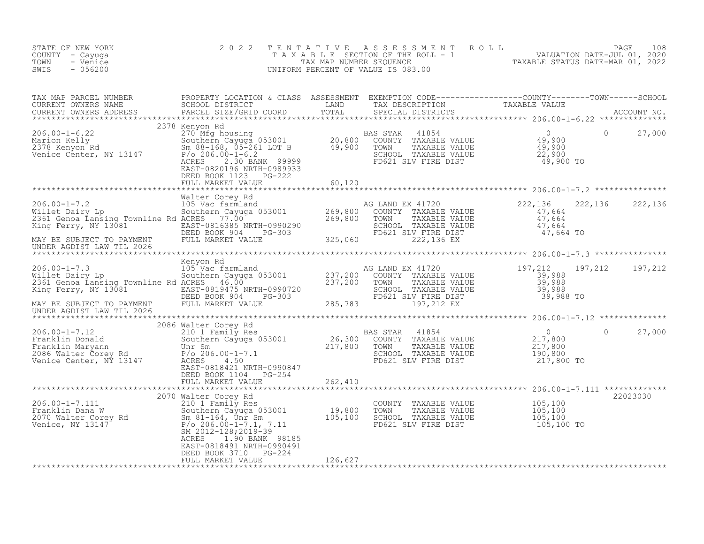| STATE OF NEW YORK<br>COUNTY - Cayuga<br>TOWN<br>- Venice<br>SWIS<br>$-056200$                                                                                                                                                                                                                                                                                                                                        | 2 0 2 2                                                                                                                    | TENTATIVE<br>UNIFORM PERCENT OF VALUE IS 083.00 | T E N T A T I V E A S S E S S M E N T R O L L<br>T A X A B L E SECTION OF THE ROLL - 1 VALUATION DATE-JUL 01, 2020<br>TAX MAP NUMBER SEQUENCE TAXABLE STATUS DATE-MAR 01, 2022<br>JNIFORM PERCENT OF VALUE IS 083.00                                                                                                                                                                                                                                                                    |                                                  |                   |          |
|----------------------------------------------------------------------------------------------------------------------------------------------------------------------------------------------------------------------------------------------------------------------------------------------------------------------------------------------------------------------------------------------------------------------|----------------------------------------------------------------------------------------------------------------------------|-------------------------------------------------|-----------------------------------------------------------------------------------------------------------------------------------------------------------------------------------------------------------------------------------------------------------------------------------------------------------------------------------------------------------------------------------------------------------------------------------------------------------------------------------------|--------------------------------------------------|-------------------|----------|
|                                                                                                                                                                                                                                                                                                                                                                                                                      |                                                                                                                            |                                                 |                                                                                                                                                                                                                                                                                                                                                                                                                                                                                         |                                                  |                   |          |
| $\begin{array}{lllllllllllllllllll} \text{206.00-1-6.22} & \text{2378 Kenyon Rd} & \text{BAS STAR} & \text{41854} & 0 \\ \text{Marion Kelly} & \text{Southern Cayuga 053001} & \text{20,800} & \text{COMITY} & \text{PAXABLE VALUE} & 49,900 \\ \text{2378 Kenyon Rd} & \text{Sm 88-168, 05-261 LOT B} & \text{49,900} & \text{TOWN} & \text{TAXABLE VALUE} & 49,900 \\ \text{Venice Center, NY 13147} & \text{P/O $ | DEED BOOK 1123 PG-222                                                                                                      |                                                 |                                                                                                                                                                                                                                                                                                                                                                                                                                                                                         |                                                  | $\Omega$          | 27,000   |
|                                                                                                                                                                                                                                                                                                                                                                                                                      | FULL MARKET VALUE                                                                                                          | 60,120                                          |                                                                                                                                                                                                                                                                                                                                                                                                                                                                                         |                                                  |                   |          |
| 206.00-1-7.2<br>Walter Corey Rd<br>105 Vac farmland<br>206.00-1-7.2<br>206.00-1-7.2<br>206.00-1-7.2<br>206.00-1-7.2<br>205 Vac farmland<br>205 Vac farmland<br>205 Vac farmland<br>205 Vac farmland<br>205 229,800 COUNTY TAXABLE VALUE<br>20361 Genoa                                                                                                                                                               | Walter Corey Rd                                                                                                            |                                                 | 222,136 22<br>COUNTY TAXABLE VALUE 47,664<br>TOWN TAXABLE VALUE 47,664<br>SCHOOL TAXABLE VALUE 47,664<br>FD621 SLV FIRE DIST 47,664 TO<br>222,136 EX 47,664 TO                                                                                                                                                                                                                                                                                                                          |                                                  | 222, 136 222, 136 |          |
| UNDER AGDIST LAW TIL 2026                                                                                                                                                                                                                                                                                                                                                                                            |                                                                                                                            |                                                 |                                                                                                                                                                                                                                                                                                                                                                                                                                                                                         |                                                  |                   |          |
| EXAMPLE 2006.00-1-7.3<br>Willet Dairy Lp (105 Vac farmland Millet Dairy Lp (105 Vac farmland Southern Cayuga 053001 237,200 COUNTY TAXABLE VALUATION COUNTY TRANGER VALUATION COUNTY PAYABLE VALUATION COUNTY TRANGER VALUATION                                                                                                                                                                                      |                                                                                                                            |                                                 | AG LAND EX 41720<br>G LAND EX 41720<br>COUNTY TAXABLE VALUE 39,988<br>TOWN TAXABLE VALUE 39,988<br>SCHOOL TAXABLE VALUE 39,988<br>FD621 SLV FIRE DIST 39,988<br>197,212 EX 39,988 TO                                                                                                                                                                                                                                                                                                    |                                                  | 197,212           | 197,212  |
|                                                                                                                                                                                                                                                                                                                                                                                                                      | 2086 Walter Corey Rd                                                                                                       |                                                 |                                                                                                                                                                                                                                                                                                                                                                                                                                                                                         |                                                  |                   |          |
| 2006.00-1-7.12<br>Franklin Donald<br>Franklin Maryann 2006.00-1-7.1<br>2006.00-1-7.1<br>2006.00-1-7.1<br>2006.00-1-7.1<br>2006.00-1-7.1<br>2006.00-1-7.1<br>2006.00-1-7.1<br>2006.00-1-7.1<br>2006.00-1-7.1<br>2006.00-1-7.1<br>2006.00-1-7.1                                                                                                                                                                        | EAST-0818421 NRTH-0990847<br>DEED BOOK 1104 PG-254                                                                         |                                                 | TOWN TAXABLE VALUE<br>SCHOOL TAXABLE VALUE                                                                                                                                                                                                                                                                                                                                                                                                                                              | 0<br>217,800<br>217,800<br>190,800<br>217,800 TO | $\Omega$          | 27,000   |
|                                                                                                                                                                                                                                                                                                                                                                                                                      | FULL MARKET VALUE                                                                                                          | 262,410                                         |                                                                                                                                                                                                                                                                                                                                                                                                                                                                                         |                                                  |                   |          |
| 206.00-1-7.111 2070 Walter Corey Rd<br>Eranklin Dana W 2070 Walter Corey Rd<br>2070 Walter Corey Rd<br>2070 Walter Corey Rd<br>2070 Walter Corey Rd<br>2070 Walter Corey Rd<br>208.00-1-7.1, 7.11 105,100<br>208.00-1-7.1, 7.11 105,100<br>208                                                                                                                                                                       | SM 2012-128;2019-39<br>ACRES<br>1.90 BANK 98185<br>EAST-0818491 NRTH-0990491<br>DEED BOOK 3710 PG-224<br>FULL MARKET VALUE | 126,627                                         | $\begin{tabular}{lllllllll} \multicolumn{4}{c}{\multicolumn{4}{c}{\multicolumn{4}{c}{\multicolumn{4}{c}{\multicolumn{4}{c}{\multicolumn{4}{c}{\multicolumn{4}{c}{\multicolumn{4}{c}{\multicolumn{4}{c}{\multicolumn{4}{c}{\multicolumn{4}{c}{\multicolumn{4}{c}{\multicolumn{4}{c}{\multicolumn{4}{c}{\multicolumn{4}{c}{\multicolumn{4}{c}{\multicolumn{4}{c}{\multicolumn{4}{c}{\multicolumn{4}{c}{\multicolumn{4}{c}{\multicolumn{4}{c}{\multicolumn{4}{c}{\multicolumn{4}{c}{\mult$ | 105,100 TO                                       |                   | 22023030 |
|                                                                                                                                                                                                                                                                                                                                                                                                                      |                                                                                                                            |                                                 |                                                                                                                                                                                                                                                                                                                                                                                                                                                                                         |                                                  |                   |          |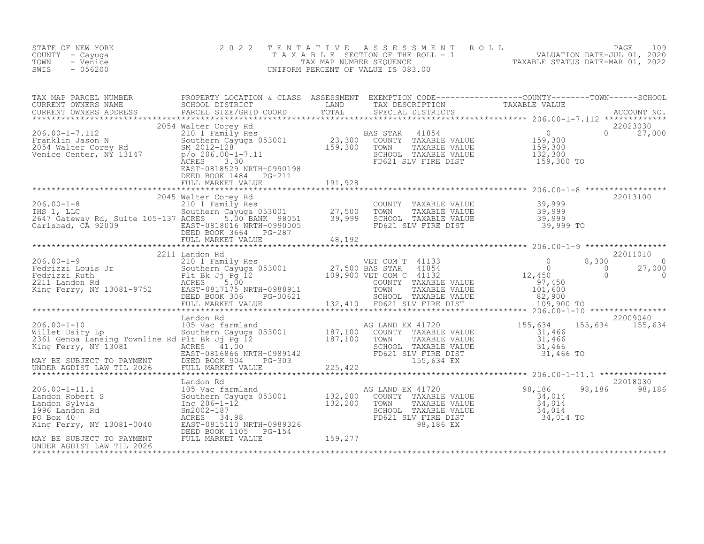| STATE OF NEW YORK<br>COUNTY - Cayuga<br>- Venice<br>TOWN<br>$-056200$<br>SWIS                                                                                                                                                                                                                                                                                                  | 2 0 2 2        |  | TENTATIVE ASSESSMENT ROLL PAGE 109<br>TAXABLE SECTION OF THE ROLL - 1 VALUATION DATE-JUL 01, 2020<br>TAX MAP NUMBER SEQUENCE TAXABLE STATUS DATE-MAR 01, 2022<br>UNIFORM PERCENT OF VALUE IS 083.00 |                           |
|--------------------------------------------------------------------------------------------------------------------------------------------------------------------------------------------------------------------------------------------------------------------------------------------------------------------------------------------------------------------------------|----------------|--|-----------------------------------------------------------------------------------------------------------------------------------------------------------------------------------------------------|---------------------------|
| TAX MAP PARCEL NUMBER<br>CURRENT OWNERS NAME<br>CURRENT OWNERS NAME SCHOOL DISTRICT LAND TAX DESCRIPTION TAXABLE VALUE<br>CURRENT OWNERS ADDRESS PARCEL SIZE/GRID COORD TOTAL SPECIAL DISTRICTS ACCOUNT NO.<br>2054 Walter Core Rambus                                                                                                                                         |                |  |                                                                                                                                                                                                     |                           |
|                                                                                                                                                                                                                                                                                                                                                                                |                |  |                                                                                                                                                                                                     |                           |
|                                                                                                                                                                                                                                                                                                                                                                                |                |  |                                                                                                                                                                                                     |                           |
|                                                                                                                                                                                                                                                                                                                                                                                |                |  |                                                                                                                                                                                                     |                           |
|                                                                                                                                                                                                                                                                                                                                                                                |                |  |                                                                                                                                                                                                     |                           |
| $\begin{tabular}{lllllllllllllllllllll} \hline 206.00-1-9 & 2211 \text{ Landon Rd} & \text{VET COM T} & 41133 & 0 & 8,300 & 27011010 \\ & 210 \text{ I raml1y Res} & 0 & 8,300 & 0 & 0 \\ \hline \text{Fedrizzi Louis Jr} & 0 & 0 & 27,000 & 0 \\ \text{Fedrizzi Ruth} & \text{Ruth} & \text{F1 E K JJ Pg 12} & 109,900 \text{ VET COM C} & 41132 & 0 & 0 & 27,000 \\ \text{F$ | 2211 Landon Rd |  |                                                                                                                                                                                                     | 22011010                  |
|                                                                                                                                                                                                                                                                                                                                                                                |                |  |                                                                                                                                                                                                     |                           |
|                                                                                                                                                                                                                                                                                                                                                                                |                |  |                                                                                                                                                                                                     |                           |
|                                                                                                                                                                                                                                                                                                                                                                                |                |  |                                                                                                                                                                                                     |                           |
|                                                                                                                                                                                                                                                                                                                                                                                |                |  |                                                                                                                                                                                                     | 22018030<br>98,186 98,186 |
|                                                                                                                                                                                                                                                                                                                                                                                |                |  |                                                                                                                                                                                                     |                           |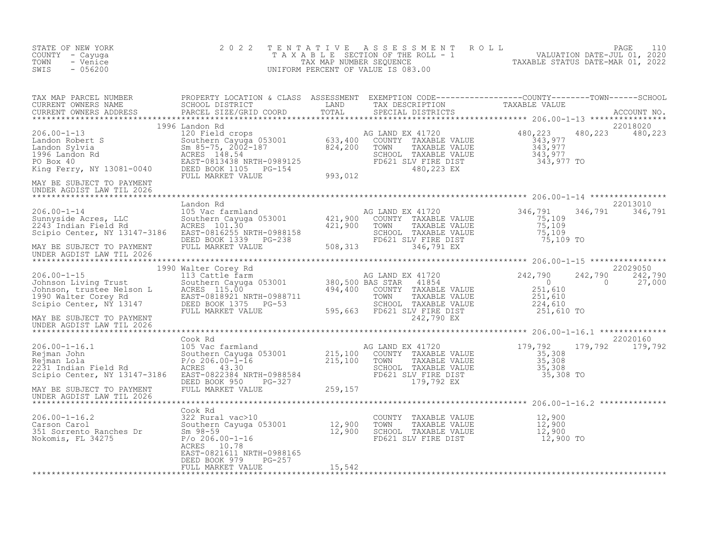| STATE OF NEW YORK<br>COUNTY - Cayuga<br>TOWN<br>- Venice<br>SWIS<br>$-056200$                                                                                                                                                                                                                                                                  | 2 0 2 2                                        | T E N T A T I V E | UNIFORM PERCENT OF VALUE IS 083.00 | T E N T A T I V E A S S E S S M E N T R O L L<br>T A X A B L E SECTION OF THE ROLL - 1<br>TAX MAP NUMBER SEQUENCE<br>UNIFORM PERCENT OF VALUE IS 083.00<br>TAXABLE STATUS DATE-MAR 01, 2022                                          |  |
|------------------------------------------------------------------------------------------------------------------------------------------------------------------------------------------------------------------------------------------------------------------------------------------------------------------------------------------------|------------------------------------------------|-------------------|------------------------------------|--------------------------------------------------------------------------------------------------------------------------------------------------------------------------------------------------------------------------------------|--|
|                                                                                                                                                                                                                                                                                                                                                |                                                |                   |                                    |                                                                                                                                                                                                                                      |  |
| 1996 Landon Rd<br>1996 Landon Rd 1206.00-1-13<br>Landon Robert S<br>Landon Sylvia<br>Landon Sylvia<br>206.00-1-13<br>2002-187<br>2002-187<br>2002-187<br>2002-187<br>2002-187<br>2002-187<br>2002-187<br>2010 2008<br>224,200<br>224,200<br>224,200<br>224,200<br>224,200<br>224,200<br>MAY BE SUBJECT TO PAYMENT<br>UNDER AGDIST LAW TIL 2026 |                                                |                   |                                    | 22018020<br>480, 223 480, 223                                                                                                                                                                                                        |  |
|                                                                                                                                                                                                                                                                                                                                                |                                                |                   |                                    |                                                                                                                                                                                                                                      |  |
| XAMPLE VALUE<br>206.00-1-14<br>206.00-1-14<br>206.00-1-14<br>206.00-1-14<br>206.00-1-14<br>206.00-1-14<br>208.00-1-14<br>208.00-1-14<br>208.00-1-14<br>208.00-1-14<br>208.00-1-14<br>208.00-1-14<br>208.00-1-14<br>208.00-1-14<br>208.00-1-14<br>208.00-1-14<br>                                                                               |                                                |                   |                                    | 22013010<br>346,791 346,791<br>75,109 TO                                                                                                                                                                                             |  |
| UNDER AGDIST LAW TIL 2026                                                                                                                                                                                                                                                                                                                      |                                                |                   |                                    |                                                                                                                                                                                                                                      |  |
| 1990 Walter Corey Rd (1990 Market 2006)<br>1990 Walter Corey Rd (1990 Market 2006)<br>1990 Walter Cayuga 053001 380,500 BAS STAR 41854<br>1990 Walter Corey Rd (1990 Market 2008)<br>1990 Walter Corey Rd (1990 Market 2008)<br>1990 Mar<br>UNDER AGDIST LAW TIL 2026                                                                          |                                                |                   |                                    | 22029050<br>242,790 242,790<br>27,000                                                                                                                                                                                                |  |
|                                                                                                                                                                                                                                                                                                                                                |                                                |                   |                                    |                                                                                                                                                                                                                                      |  |
|                                                                                                                                                                                                                                                                                                                                                |                                                |                   |                                    | 179,792 179,792 22020160<br>206.00-1-16.1 Cook Ramland AG LAND EX 41720 179,792 179,792 179,792 179,792<br>Rejman John Southern Cayuga 053001 215,100 COUNTY TAXABLE VALUE 35,308<br>Rejman John Southern Cayuga 053001 215,100 COUN |  |
|                                                                                                                                                                                                                                                                                                                                                |                                                |                   |                                    |                                                                                                                                                                                                                                      |  |
| Cook Rd Cook Rd Cook Rd Cook Rd Cook Rd Cook Rd Cook Rd Cook Rd Cook Rd Cook Rd Cook Rd Cook Rd Cook Rd Cook Rd Cook Rd Cook Rd Cook Rd Cook Rd Cook Rd Cook Rd Cook Rd Cook Rd Cook Rd Cook Rd Cook Rd Cook Rd Cook Rd Cook R                                                                                                                 | ACRES 10.78<br>EAST-0821611 NRTH-0988165       |                   |                                    |                                                                                                                                                                                                                                      |  |
|                                                                                                                                                                                                                                                                                                                                                | $PG-257$<br>DEED BOOK 979<br>FULL MARKET VALUE | 15,542            |                                    |                                                                                                                                                                                                                                      |  |
|                                                                                                                                                                                                                                                                                                                                                |                                                |                   |                                    |                                                                                                                                                                                                                                      |  |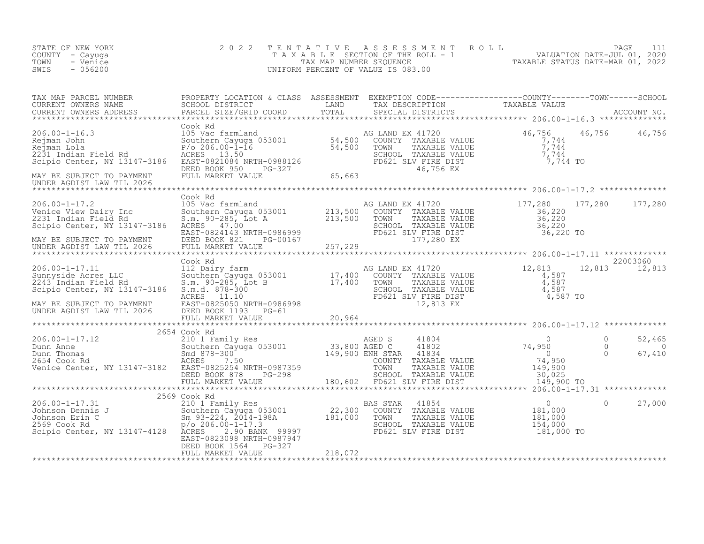| STATE OF NEW YORK<br>COUNTY - Cayuga<br>TOWN<br>- Venice<br>SWIS<br>$-056200$                                                                                                                                                                                                                                                                                                                                                                                                           | 2 0 2 2               |         | TENTATIVE ASSESSMENT ROLL PAGE 111<br>TAXABLE SECTION OF THE ROLL - 1 VALUATION DATE-JUL 01, 2020<br>TAX MAP NUMBER SEQUENCE TAXABLE STATUS DATE-MAR 01, 2022<br>UNIFORM PERCENT OF VALUE IS 083.00 |                              |
|-----------------------------------------------------------------------------------------------------------------------------------------------------------------------------------------------------------------------------------------------------------------------------------------------------------------------------------------------------------------------------------------------------------------------------------------------------------------------------------------|-----------------------|---------|-----------------------------------------------------------------------------------------------------------------------------------------------------------------------------------------------------|------------------------------|
| TAX MAP PARCEL NUMBER PROPERTY LOCATION & CLASS ASSESSMENT EXEMPTION CODE------------------COUNTY--------TOWN------SCHOOL SCHOOL DISTRICT LAND TAX DESCRIPTION TAXABLE VALUE<br>CURRENT OWNERS NAME SCHOOL DISTRICT LAND TAX DESC                                                                                                                                                                                                                                                       |                       |         |                                                                                                                                                                                                     |                              |
|                                                                                                                                                                                                                                                                                                                                                                                                                                                                                         |                       |         |                                                                                                                                                                                                     | 46,756 46,756                |
|                                                                                                                                                                                                                                                                                                                                                                                                                                                                                         |                       |         |                                                                                                                                                                                                     |                              |
|                                                                                                                                                                                                                                                                                                                                                                                                                                                                                         | Cook Rd               |         |                                                                                                                                                                                                     |                              |
|                                                                                                                                                                                                                                                                                                                                                                                                                                                                                         |                       |         |                                                                                                                                                                                                     |                              |
|                                                                                                                                                                                                                                                                                                                                                                                                                                                                                         |                       |         |                                                                                                                                                                                                     | 22003060                     |
| 206.00-1-17.11<br>Sunnyside Acres LLC<br>2243 Indian Field Rd<br>Scipio Center AW 101.-<br>$\begin{tabular}{lllllllllllll} 206.00-1-17.11 & \multicolumn{3}{c }{\textbf{Cook Rd}} & 100 & \multicolumn{3}{c }{\textbf{Cook Rd}} & 17,400 & \multicolumn{3}{c }{\textbf{CONNTY}} & 17,400 & \multicolumn{3}{c }{\textbf{CONNTY}} & 17,400 & \multicolumn{3}{c }{\textbf{CONNTY}} & 17,400 & \multicolumn{3}{c }{\textbf{CONNTY}} & 17,400 & \multicolumn{3}{c }{\textbf{CONNTY}} & 17,4$ |                       |         |                                                                                                                                                                                                     |                              |
|                                                                                                                                                                                                                                                                                                                                                                                                                                                                                         |                       |         |                                                                                                                                                                                                     |                              |
|                                                                                                                                                                                                                                                                                                                                                                                                                                                                                         |                       |         |                                                                                                                                                                                                     |                              |
|                                                                                                                                                                                                                                                                                                                                                                                                                                                                                         |                       |         |                                                                                                                                                                                                     | 52,465<br>$\Omega$<br>67,410 |
|                                                                                                                                                                                                                                                                                                                                                                                                                                                                                         |                       |         |                                                                                                                                                                                                     |                              |
|                                                                                                                                                                                                                                                                                                                                                                                                                                                                                         |                       |         |                                                                                                                                                                                                     |                              |
|                                                                                                                                                                                                                                                                                                                                                                                                                                                                                         | DEED BOOK 1564 PG-327 |         |                                                                                                                                                                                                     | 27,000                       |
|                                                                                                                                                                                                                                                                                                                                                                                                                                                                                         | FULL MARKET VALUE     | 218,072 |                                                                                                                                                                                                     |                              |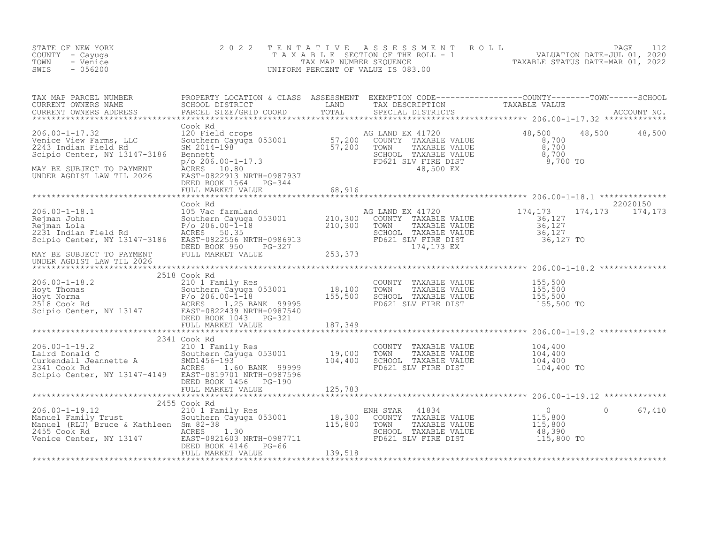| 206.00-1-17.32<br>Venice View Farms, LLC<br>2243 Indian Field Rd<br>Scinio Center Andrew Corporation<br>Cook Rd<br>Cook Rd<br>120 Field crops<br>Suihern Cayuga 053001<br>SM 2014-198<br>SM 2014-198<br>FD621 SM 2014-198<br>FD621 SM 2016 OUNTY TAXABLE VALUE<br>ST, 200<br>TOWN TAXABLE VALUE<br>SCHOOL TAXABLE VALUE<br>SCHOOL TAXABLE VALUE<br>SCHOOL TAXABLE VALUE<br>48,500 48,500<br>Scipio Center, NY 13147-3186<br>MAY BE SUBJECT TO PAYMENT<br>UNDER AGDIST LAW TIL 2026<br>UNDER AGDIST LAW TIL 2026<br>$\begin{tabular}{lllllllllllllllllllll} \hline 206.00-1-19.2 & 2341\, \, {\rm Cook\, \, Rd} & 2341\, \, {\rm Cook\, \, Rd} & 2341\, \, {\rm Cook\, \, Rd} & 2341\, \, {\rm Cook\, \, Rd} & 2341\, \, {\rm d} & 241\, \, {\rm d} & 241\, \, {\rm d} & 241\, \, {\rm d} & 241\, \, {\rm d} & 241\, \, {\rm d} & 241\, \, {\rm d} & 241\, \, {\rm d$<br>DEED BOOK 1456 PG-190<br>אפט אפאר אייטאר באפט איז אייט אוייט א דער בער באראייע א דאר 125,783<br>FULL MARKET VALUE 25,783 אוייג דאדא 125,783 אוייג דאגאאא דא 125,783 אוייג דאגאאאא דא 125,783 אוייג דאגאאא דא דא<br>2455 Cook Rd<br>67,410<br>$\Omega$ | STATE OF NEW YORK<br>COUNTY - Cayuga<br>TOWN<br>- Venice<br>SWIS<br>$-056200$ | 2 0 2 2 |  | TENTATIVE ASSESSMENT ROLL PAGE 112<br>TAXABLE SECTION OF THE ROLL - 1 VALUATION DATE-JUL 01, 2020<br>TAX MAP NUMBER SEQUENCE TAXABLE STATUS DATE-MAR 01, 2022<br>UNIFORM PERCENT OF VALUE IS 083.00 |  |
|-------------------------------------------------------------------------------------------------------------------------------------------------------------------------------------------------------------------------------------------------------------------------------------------------------------------------------------------------------------------------------------------------------------------------------------------------------------------------------------------------------------------------------------------------------------------------------------------------------------------------------------------------------------------------------------------------------------------------------------------------------------------------------------------------------------------------------------------------------------------------------------------------------------------------------------------------------------------------------------------------------------------------------------------------------------------------------------------------------------------------------|-------------------------------------------------------------------------------|---------|--|-----------------------------------------------------------------------------------------------------------------------------------------------------------------------------------------------------|--|
|                                                                                                                                                                                                                                                                                                                                                                                                                                                                                                                                                                                                                                                                                                                                                                                                                                                                                                                                                                                                                                                                                                                               |                                                                               |         |  |                                                                                                                                                                                                     |  |
|                                                                                                                                                                                                                                                                                                                                                                                                                                                                                                                                                                                                                                                                                                                                                                                                                                                                                                                                                                                                                                                                                                                               |                                                                               |         |  |                                                                                                                                                                                                     |  |
|                                                                                                                                                                                                                                                                                                                                                                                                                                                                                                                                                                                                                                                                                                                                                                                                                                                                                                                                                                                                                                                                                                                               |                                                                               |         |  |                                                                                                                                                                                                     |  |
|                                                                                                                                                                                                                                                                                                                                                                                                                                                                                                                                                                                                                                                                                                                                                                                                                                                                                                                                                                                                                                                                                                                               |                                                                               |         |  |                                                                                                                                                                                                     |  |
|                                                                                                                                                                                                                                                                                                                                                                                                                                                                                                                                                                                                                                                                                                                                                                                                                                                                                                                                                                                                                                                                                                                               |                                                                               |         |  |                                                                                                                                                                                                     |  |
|                                                                                                                                                                                                                                                                                                                                                                                                                                                                                                                                                                                                                                                                                                                                                                                                                                                                                                                                                                                                                                                                                                                               |                                                                               |         |  |                                                                                                                                                                                                     |  |
|                                                                                                                                                                                                                                                                                                                                                                                                                                                                                                                                                                                                                                                                                                                                                                                                                                                                                                                                                                                                                                                                                                                               |                                                                               |         |  |                                                                                                                                                                                                     |  |
|                                                                                                                                                                                                                                                                                                                                                                                                                                                                                                                                                                                                                                                                                                                                                                                                                                                                                                                                                                                                                                                                                                                               |                                                                               |         |  |                                                                                                                                                                                                     |  |
|                                                                                                                                                                                                                                                                                                                                                                                                                                                                                                                                                                                                                                                                                                                                                                                                                                                                                                                                                                                                                                                                                                                               |                                                                               |         |  |                                                                                                                                                                                                     |  |
|                                                                                                                                                                                                                                                                                                                                                                                                                                                                                                                                                                                                                                                                                                                                                                                                                                                                                                                                                                                                                                                                                                                               |                                                                               |         |  |                                                                                                                                                                                                     |  |
|                                                                                                                                                                                                                                                                                                                                                                                                                                                                                                                                                                                                                                                                                                                                                                                                                                                                                                                                                                                                                                                                                                                               |                                                                               |         |  |                                                                                                                                                                                                     |  |
|                                                                                                                                                                                                                                                                                                                                                                                                                                                                                                                                                                                                                                                                                                                                                                                                                                                                                                                                                                                                                                                                                                                               |                                                                               |         |  |                                                                                                                                                                                                     |  |
|                                                                                                                                                                                                                                                                                                                                                                                                                                                                                                                                                                                                                                                                                                                                                                                                                                                                                                                                                                                                                                                                                                                               |                                                                               |         |  |                                                                                                                                                                                                     |  |
|                                                                                                                                                                                                                                                                                                                                                                                                                                                                                                                                                                                                                                                                                                                                                                                                                                                                                                                                                                                                                                                                                                                               |                                                                               |         |  |                                                                                                                                                                                                     |  |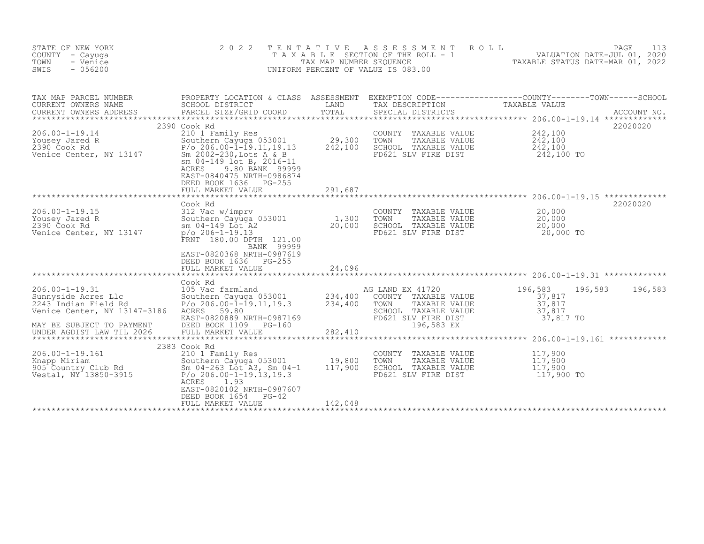| STATE OF NEW YORK<br>COUNTY - Cayuga<br>TOWN<br>- Venice<br>SWIS<br>$-056200$                       | 2 0 2 2<br>TAXABLE                                                                                                                                                                                                                                          | TENTATIVE<br>TAX MAP NUMBER SEQUENCE | A S S E S S M E N T<br>ROLL<br>SECTION OF THE ROLL - 1<br>UNIFORM PERCENT OF VALUE IS 083.00                     | VALUATION DATE-JUL 01, 2020<br>TAXABLE STATUS DATE-MAR 01, 2022 | 113<br>PAGE |
|-----------------------------------------------------------------------------------------------------|-------------------------------------------------------------------------------------------------------------------------------------------------------------------------------------------------------------------------------------------------------------|--------------------------------------|------------------------------------------------------------------------------------------------------------------|-----------------------------------------------------------------|-------------|
| TAX MAP PARCEL NUMBER<br>CURRENT OWNERS NAME<br>CURRENT OWNERS ADDRESS<br>************************  | PROPERTY LOCATION & CLASS ASSESSMENT EXEMPTION CODE----------------COUNTY-------TOWN-----SCHOOL<br>SCHOOL DISTRICT<br>PARCEL SIZE/GRID COORD                                                                                                                | LAND<br>TOTAL                        | TAX DESCRIPTION<br>SPECIAL DISTRICTS                                                                             | TAXABLE VALUE                                                   | ACCOUNT NO. |
| $206.00 - 1 - 19.14$<br>Yousey Jared R<br>2390 Cook Rd<br>Venice Center, NY 13147                   | 2390 Cook Rd<br>210 1 Family Res<br>Southern Cayuga 053001<br>$P/O$ 206.00-1-19.11,19.13<br>Sm 2002-230, Lots A & B<br>sm 04-149 lot B, 2016-11<br>9.80 BANK 99999<br>ACRES<br>EAST-0840475 NRTH-0986874<br>DEED BOOK 1636<br>$PG-255$<br>FULL MARKET VALUE | 29,300<br>242,100<br>291,687         | COUNTY<br>TAXABLE VALUE<br>TOWN<br>TAXABLE VALUE<br>SCHOOL TAXABLE VALUE<br>FD621 SLV FIRE DIST                  | 242,100<br>242,100<br>242,100<br>242,100 TO                     | 22020020    |
| $206.00 - 1 - 19.15$                                                                                | Cook Rd<br>312 Vac w/imprv                                                                                                                                                                                                                                  |                                      | COUNTY TAXABLE VALUE                                                                                             | 20,000                                                          | 22020020    |
| Yousey Jared R<br>2390 Cook Rd<br>Venice Center, NY 13147                                           | Southern Cayuga 053001<br>sm 04-149 Lot A2<br>$p$ /o 206-1-19.13<br>FRNT 180.00 DPTH 121.00<br>BANK 99999                                                                                                                                                   | 1,300<br>20,000                      | TOWN<br>TAXABLE VALUE<br>SCHOOL TAXABLE VALUE<br>FD621 SLV FIRE DIST                                             | 20,000<br>20,000<br>20,000 TO                                   |             |
|                                                                                                     | EAST-0820368 NRTH-0987619<br>DEED BOOK 1636<br>$PG-255$<br>FULL MARKET VALUE                                                                                                                                                                                | 24,096                               |                                                                                                                  |                                                                 |             |
| $206.00 - 1 - 19.31$<br>Sunnyside Acres Llc<br>2243 Indian Field Rd<br>Venice Center, NY 13147-3186 | Cook Rd<br>105 Vac farmland<br>Southern Cayuga 053001<br>$P$ /o 206.00- $\bar{1}$ -19.11,19.3<br>ACRES<br>59.80<br>EAST-0820889 NRTH-0987169                                                                                                                | 234,400<br>234,400                   | AG LAND EX 41720<br>COUNTY TAXABLE VALUE<br>TOWN<br>TAXABLE VALUE<br>SCHOOL TAXABLE VALUE<br>FD621 SLV FIRE DIST | 196,583<br>196,583<br>37,817<br>37,817<br>37,817<br>37,817 TO   | 196,583     |
| MAY BE SUBJECT TO PAYMENT<br>UNDER AGDIST LAW TIL 2026                                              | DEED BOOK 1109<br>PG-160<br>FULL MARKET VALUE                                                                                                                                                                                                               | 282,410                              | 196,583 EX                                                                                                       |                                                                 |             |
| $206.00 - 1 - 19.161$<br>Knapp Miriam<br>905 Country Club Rd<br>Vestal, NY 13850-3915               | 2383 Cook Rd<br>210 1 Family Res<br>Southern Cayuga 053001<br>Sm 04-263 Lot A3, Sm 04-1<br>$P/O 206.00 - 1 - 19.13, 19.3$<br>ACRES<br>1.93<br>EAST-0820102 NRTH-0987607                                                                                     | 19,800<br>117,900                    | COUNTY TAXABLE VALUE<br>TOWN<br>TAXABLE VALUE<br>SCHOOL TAXABLE VALUE<br>FD621 SLV FIRE DIST                     | 117,900<br>117,900<br>117,900<br>117,900 TO                     |             |
|                                                                                                     | DEED BOOK 1654<br>$PG-42$<br>FULL MARKET VALUE                                                                                                                                                                                                              | 142,048                              |                                                                                                                  |                                                                 |             |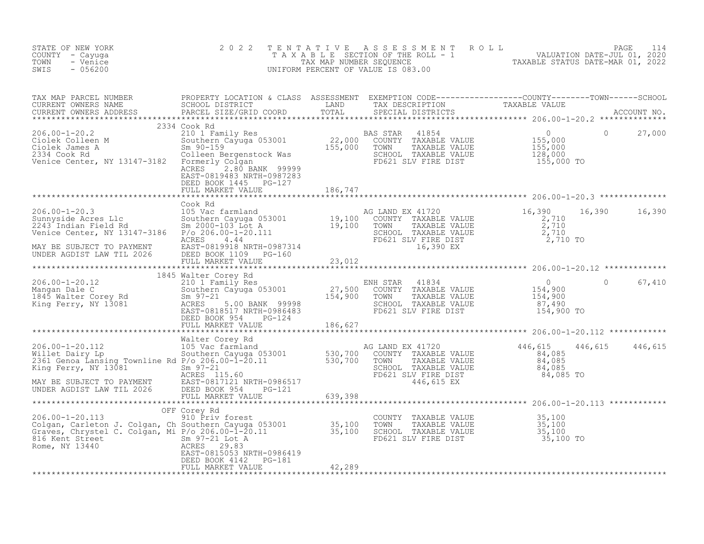| STATE OF NEW YORK<br>COUNTY - Cayuga<br>TOWN<br>- Venice<br>$-056200$<br>SWIS                                                                                                                                                          | 2 0 2 2                                               |         | TENTATIVE ASSESSMENT ROLL PAGE 114<br>TAXABLE SECTION OF THE ROLL - 1 VALUATION DATE-JUL 01, 2020<br>TAX MAP NUMBER SEQUENCE TAXABLE STATUS DATE-MAR 01, 2022<br>UNIFORM PERCENT OF VALUE IS 083.00 |                |        |
|----------------------------------------------------------------------------------------------------------------------------------------------------------------------------------------------------------------------------------------|-------------------------------------------------------|---------|-----------------------------------------------------------------------------------------------------------------------------------------------------------------------------------------------------|----------------|--------|
| TAX MAP PARCEL NUMBER PROPERTY LOCATION & CLASS ASSESSMENT EXEMPTION CODE-----------------COUNTY--------TOWN------SCHOOL SCHOOL DISTRICT LAND TAX DESCRIPTION TAXABLE VALUE<br>CURRENT OWNERS NAME PARCEL SIZE/GRID COORD TOTAL S      |                                                       |         |                                                                                                                                                                                                     |                |        |
|                                                                                                                                                                                                                                        | DEED BOOK 1445 PG-127                                 | 186,747 |                                                                                                                                                                                                     | $\overline{0}$ | 27,000 |
|                                                                                                                                                                                                                                        | FULL MARKET VALUE                                     |         |                                                                                                                                                                                                     |                |        |
| 206.00-1-20.3<br>Sunnyside Acres L1c 105 Vac farmland<br>2243 Indian Field Rd 5m 2000-103 Lot A 19,100 COUNTY TAXABLE VALUE 2,710<br>2710 SCHOOL TAXABLE VALUE 2,710<br>2710 SCHOOL TAXABLE VALUE 2,710<br>2710 SCHOOL TAXABLE VALUE 2 | Cook Rd                                               |         |                                                                                                                                                                                                     | 16,390 16,390  |        |
|                                                                                                                                                                                                                                        |                                                       |         |                                                                                                                                                                                                     |                |        |
|                                                                                                                                                                                                                                        |                                                       |         |                                                                                                                                                                                                     |                |        |
|                                                                                                                                                                                                                                        |                                                       |         |                                                                                                                                                                                                     |                |        |
|                                                                                                                                                                                                                                        |                                                       |         |                                                                                                                                                                                                     |                |        |
|                                                                                                                                                                                                                                        |                                                       |         |                                                                                                                                                                                                     |                |        |
|                                                                                                                                                                                                                                        |                                                       |         |                                                                                                                                                                                                     |                |        |
|                                                                                                                                                                                                                                        |                                                       |         |                                                                                                                                                                                                     |                |        |
| 816 Kent Street<br>Rome, NY 13440<br>Rome, NY 13440<br>EAST-0815053 NF                                                                                                                                                                 | EAST-0815053 NRTH-0986419<br>DEED BOOK 4142    PG-181 |         |                                                                                                                                                                                                     |                |        |
|                                                                                                                                                                                                                                        | FULL MARKET VALUE                                     | 42,289  |                                                                                                                                                                                                     |                |        |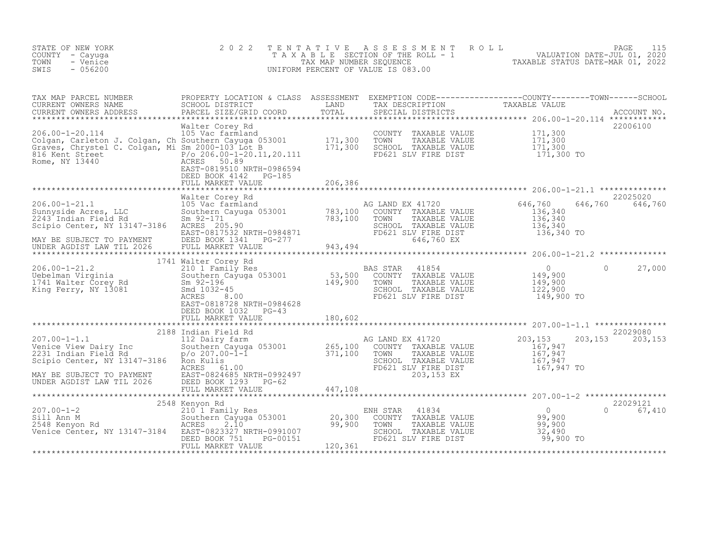| STATE OF NEW YORK<br>COUNTY - Cayuga<br>TOWN<br>- Venice<br>SWIS<br>$-056200$                                                    | 2 0 2 2                                                                                                                                                                                                | TENTATIVE | UNIFORM PERCENT OF VALUE IS 083.00                                                                                                                             | TAXABLE TAXABLE PAGE 115<br>TAXABLE SECTION OF THE ROLL - 1 VALUATION DATE-JUL 01, 2020<br>TAX MAP NUMBER SEQUENCE TAXABLE STATUS DATE-MAR 01, 2022<br>JNIFORM PERCENT OF VALUE IS 083.00 |                           |
|----------------------------------------------------------------------------------------------------------------------------------|--------------------------------------------------------------------------------------------------------------------------------------------------------------------------------------------------------|-----------|----------------------------------------------------------------------------------------------------------------------------------------------------------------|-------------------------------------------------------------------------------------------------------------------------------------------------------------------------------------------|---------------------------|
|                                                                                                                                  |                                                                                                                                                                                                        |           |                                                                                                                                                                |                                                                                                                                                                                           |                           |
|                                                                                                                                  | DEED BOOK 4142    PG-185                                                                                                                                                                               |           |                                                                                                                                                                |                                                                                                                                                                                           |                           |
|                                                                                                                                  | FULL MARKET VALUE                                                                                                                                                                                      | 206,386   |                                                                                                                                                                |                                                                                                                                                                                           |                           |
| zoo.ou-1-21.1<br>Sunnyside Acres, LLC<br>2243 Indian Field Rd<br>Scinic Contraction<br>Scipio Center, NY 13147-3186 ACRES 205.90 |                                                                                                                                                                                                        |           | AG LAND EX 41720<br>COUNTY TAXABLE VALUE<br>TOWN TAXABLE VALUE 136,340<br>SCHOOL TAXABLE VALUE 136,340<br>FD621 SLV FIRE DIST 136,340<br>646 760 EV 136,340 TO | 646,760<br>646,760<br>136,340                                                                                                                                                             | 22025020<br>646,760       |
| MAY BE SUBJECT TO PAYMENT<br>MAY BE SUBJECT TO PAYMENT<br>UNDER AGDIST LAW TIL 2026                                              |                                                                                                                                                                                                        |           | 646,760 EX                                                                                                                                                     |                                                                                                                                                                                           |                           |
| 1/41<br>Uebelman Virginia<br>1741 Walter Corey Rd<br>King Ferry, NY 13081                                                        | 1741 Walter Corey Rd<br>EAST-0818728 NRTH-0984628                                                                                                                                                      |           |                                                                                                                                                                | $\Omega$                                                                                                                                                                                  | 27,000                    |
|                                                                                                                                  | DEED BOOK 1032 PG-43<br>FULL MARKET VALUE                                                                                                                                                              | 180,602   |                                                                                                                                                                |                                                                                                                                                                                           |                           |
|                                                                                                                                  | 2188 Indian Field Rd                                                                                                                                                                                   |           |                                                                                                                                                                |                                                                                                                                                                                           | 22029080                  |
|                                                                                                                                  |                                                                                                                                                                                                        |           |                                                                                                                                                                |                                                                                                                                                                                           |                           |
|                                                                                                                                  |                                                                                                                                                                                                        |           |                                                                                                                                                                |                                                                                                                                                                                           |                           |
| 207.00-1-2<br>Sill Ann M<br>2548 Kenyon Rd<br>Venice Center, NY 13147-3184 EAST-0823327 NRTH-0991007                             | EED BOOK 122<br>TULL MARKET VALUE<br>*****************************<br>Kenyon Rd<br>20,300<br>20,300<br>ACRES 2.10<br>FAST-0823327 NRTH-0991007<br>751 PG-00151<br>120,361<br>120,361<br>2548 Kenyon Rd |           | NH STAR 41834<br>COUNTY TAXABLE VALUE 99,900<br>TOWN TAXABLE VALUE 99,900<br>SCHOOL TAXABLE VALUE 99,900<br>FD621 SLV FIRE DIST 99,900 TO<br>ENH STAR          |                                                                                                                                                                                           | 22029121<br>$0 \t 67,410$ |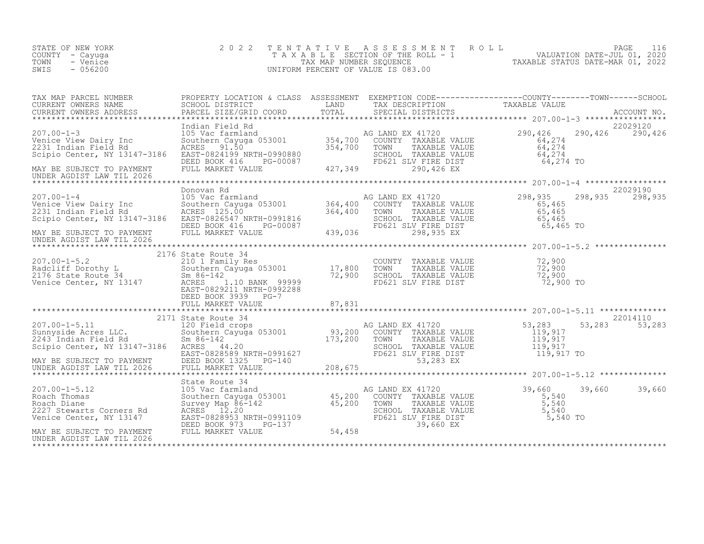| STATE OF NEW YORK<br>COUNTY - Cayuga<br>TOWN<br>- Venice<br>$-056200$<br>SWIS                                                                                                                                                                                                    | 2 0 2 2                                                                                                                                                                                                                                          | TENTATIVE | PAGE 116<br>TAXABLE SECTION OF THE ROLL - 1<br>TAXABLE STATUS DATE-JUL 01, 2020<br>NIFORM PERCENT OF VALUE IS 083.00<br>TAXABLE STATUS DATE-MAR 01, 2022<br>UNIFORM PERCENT OF VALUE IS 083.00 |                                                   |                             |
|----------------------------------------------------------------------------------------------------------------------------------------------------------------------------------------------------------------------------------------------------------------------------------|--------------------------------------------------------------------------------------------------------------------------------------------------------------------------------------------------------------------------------------------------|-----------|------------------------------------------------------------------------------------------------------------------------------------------------------------------------------------------------|---------------------------------------------------|-----------------------------|
| TAX MAP PARCEL NUMBER PROPERTY LOCATION & CLASS ASSESSMENT EXEMPTION CODE----------------COUNTY--------TOWN------SCHOOL CURRENT OWNERS NAME SCHOOL DISTRICT LAND TAX DESCRIPTION TAXABLE VALUE<br>CURRENT OWNERS ADDRESS PARCEL S                                                |                                                                                                                                                                                                                                                  |           |                                                                                                                                                                                                |                                                   |                             |
| UNDER AGDIST LAW TIL 2026                                                                                                                                                                                                                                                        |                                                                                                                                                                                                                                                  |           |                                                                                                                                                                                                |                                                   | 22029120<br>290,426 290,426 |
|                                                                                                                                                                                                                                                                                  |                                                                                                                                                                                                                                                  |           |                                                                                                                                                                                                |                                                   |                             |
| 07.00-1-4<br>207.00-1-4<br>207.00-1-4<br>207.00-1-4<br>207.00-1-4<br>207.00-1-4<br>208.00<br>208.1<br>208.1<br>208.1<br>208.1<br>208.1<br>208.1<br>208.1<br>208.1<br>208.1<br>208.1<br>208.1<br>2091816<br>2091816<br>208.2<br>208.2<br>208.2<br>208.2<br>208.2<br>208.2<br>208. |                                                                                                                                                                                                                                                  |           | TOWN TAXABLE VALUE<br>TOWN TAXABLE VALUE<br>SCHOOL TAXABLE VALUE<br>FD621 SLV FIRE DIST<br>298,935 EX<br>THE PRESS SCHOOL CONTRACT STRAGS TO                                                   | 298,935                                           | 22029190<br>298,935 298,935 |
| UNDER AGDIST LAW TIL 2026                                                                                                                                                                                                                                                        |                                                                                                                                                                                                                                                  |           |                                                                                                                                                                                                |                                                   |                             |
|                                                                                                                                                                                                                                                                                  |                                                                                                                                                                                                                                                  |           |                                                                                                                                                                                                |                                                   |                             |
| 207.00-1-5.2<br>2176 State Route 34<br>210 1 Family Res<br>2176 State Route 34<br>2176 State Route 34<br>2176 State Route 34<br>2176 State Route 34<br>22,900<br>2176 State Route 34<br>22,900<br>22,900<br>22,900<br>22,900<br>22,900<br>22,900<br>22,900<br>                   | DEED BOOK 3939 PG-7                                                                                                                                                                                                                              |           | COUNTY TAXABLE VALUE<br>TOWN TAXABLE VALUE 72,900<br>SCHOOL TAXABLE VALUE 72,900<br>FD621 SLV FIRE DIST 72,900 TO                                                                              |                                                   |                             |
|                                                                                                                                                                                                                                                                                  |                                                                                                                                                                                                                                                  |           |                                                                                                                                                                                                |                                                   |                             |
|                                                                                                                                                                                                                                                                                  |                                                                                                                                                                                                                                                  |           |                                                                                                                                                                                                |                                                   |                             |
|                                                                                                                                                                                                                                                                                  |                                                                                                                                                                                                                                                  |           |                                                                                                                                                                                                |                                                   |                             |
| $207.00 - 1 - 5.12$<br>Roach Thomas<br>Roach Diane<br>2227 Stewarts Corners Rd<br>Venice Center, NY 13147                                                                                                                                                                        | DEED DOOR<br>FULL MARKET VALUE<br>*******************************<br>State Route 34<br>105 Vac farmland Magnus<br>Survey Map 86-142 45,200 (<br>Survey Map 86-142 45,200 '<br>ACRES 12.20<br>EAST-0828953 NRTH-0991109<br>DEED BOOK 973 PG-137 5 |           | AG LAND EX 41720<br>COUNTY TAXABLE VALUE<br>TOWN TAXABLE VALUE<br>39,660 EX                                                                                                                    | 39,660<br>$5,540$<br>$5,540$<br>5,540<br>5,540 TO | 39,660<br>39,660            |
| MAY BE SUBJECT TO PAYMENT<br>UNDER AGDIST LAW TIL 2026                                                                                                                                                                                                                           |                                                                                                                                                                                                                                                  |           |                                                                                                                                                                                                |                                                   |                             |

\*\*\*\*\*\*\*\*\*\*\*\*\*\*\*\*\*\*\*\*\*\*\*\*\*\*\*\*\*\*\*\*\*\*\*\*\*\*\*\*\*\*\*\*\*\*\*\*\*\*\*\*\*\*\*\*\*\*\*\*\*\*\*\*\*\*\*\*\*\*\*\*\*\*\*\*\*\*\*\*\*\*\*\*\*\*\*\*\*\*\*\*\*\*\*\*\*\*\*\*\*\*\*\*\*\*\*\*\*\*\*\*\*\*\*\*\*\*\*\*\*\*\*\*\*\*\*\*\*\*\*\*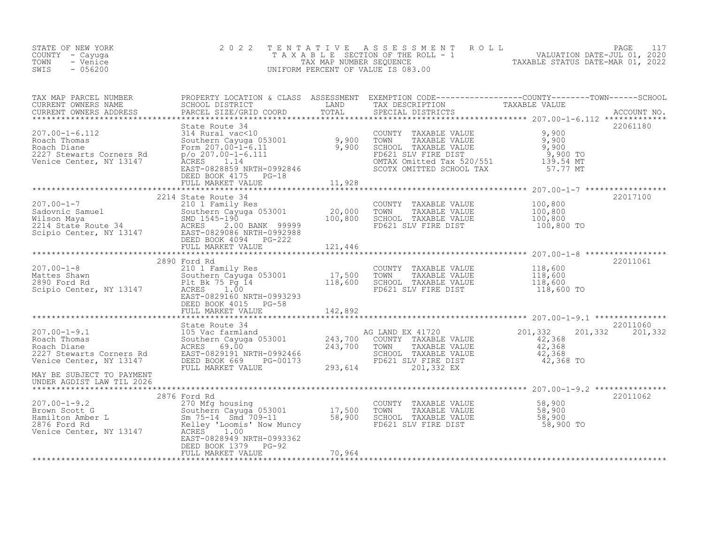| STATE OF NEW YORK<br>COUNTY - Cayuga<br>TOWN<br>- Venice<br>$-056200$<br>SWIS | 2022 TENTATIVE ASSESSMENT ROLL<br>T A X A B L E SECTION OF THE ROLL - 1<br>TAX MAP NUMBER SEOUENCE<br>UNIFORM PERCENT OF VALUE IS 083.00 |  | PAGE 117<br>VALUATION DATE-JUL 01, 2020<br>TAXABLE STATUS DATE-MAR 01, 2022 |
|-------------------------------------------------------------------------------|------------------------------------------------------------------------------------------------------------------------------------------|--|-----------------------------------------------------------------------------|
|-------------------------------------------------------------------------------|------------------------------------------------------------------------------------------------------------------------------------------|--|-----------------------------------------------------------------------------|

| TAX MAP PARCEL NUMBER<br>CURRENT OWNERS NAME<br>CURRENT OWNERS NAME SCHOOL DISTRICT - ------- LAND TAX DESCRIPTION TAXABLE VALUE<br>CURRENT OWNERS ADDRESS PARCEL SIZE/GRID COORD TOTAL SPECIAL DISTRICTS ACCOUNT NO.                                          | PROPERTY LOCATION & CLASS ASSESSMENT EXEMPTION CODE----------------COUNTY-------TOWN-----SCHOOL |        |           |                               |
|----------------------------------------------------------------------------------------------------------------------------------------------------------------------------------------------------------------------------------------------------------------|-------------------------------------------------------------------------------------------------|--------|-----------|-------------------------------|
|                                                                                                                                                                                                                                                                |                                                                                                 |        |           | 22061180                      |
|                                                                                                                                                                                                                                                                | 2214 State Route 34                                                                             |        |           | 22017100                      |
| 207.00-1-8<br>Mattes Shawn 210 118,600<br>2890 Ford Rd 210 1 Family Res<br>2890 Ford Rd Southern Cayuga 053001 17,500 TOWN TAXABLE VALUE 118,600<br>2890 Ford Rd 2118,600<br>2890 Ford Rd 2118,600<br>2890 Ford Rd 2118,600<br>2890 Ford Rd                    | 2890 Ford Rd                                                                                    |        |           | 22011061                      |
| MAY BE SUBJECT TO PAYMENT<br>UNDER AGDIST LAW TIL 2026                                                                                                                                                                                                         |                                                                                                 |        | 42,368 TO | 22011060<br>201, 332 201, 332 |
| 207.00-1-9.2<br>2876 Ford Rd<br>270.00-1-9.2<br>Brown Scott G<br>38,900<br>2876 Ford Rd<br>2876 Ford Rd<br>2876 Ford Rd<br>2876 Ford Rd<br>2876 Ford Rd<br>2876 Ford Rd<br>2876 Ford Rd<br>2876 Ford Rd<br>2876 Ford Rd<br>2876 Ford Rd<br>2876 Ford Rd<br>287 | 2876 Ford Rd<br>EAST-0828949 NRTH-0993362<br>DEED BOOK 1379 PG-92<br>FULL MARKET VALUE          | 70,964 |           | 22011062                      |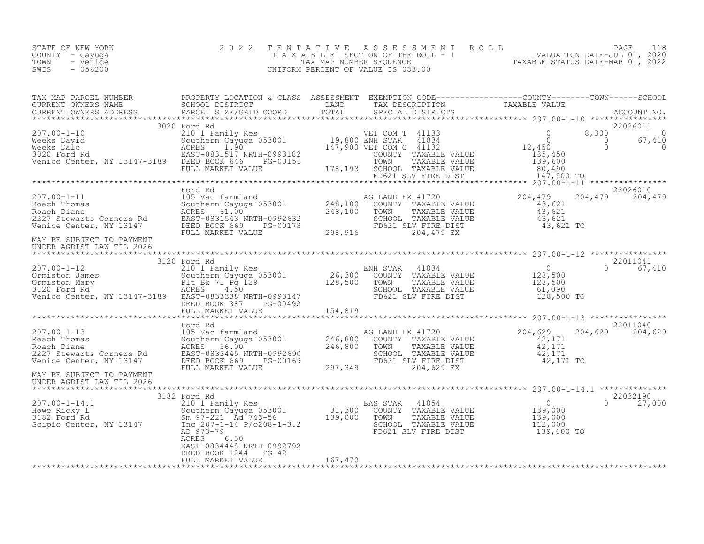| STATE OF NEW YORK<br>COUNTY - Cayuga<br>TOWN - Venice<br>SWIS - 056200 |                                           |         | 2022 TENTATIVE ASSESSMENT ROLL PAGE 118<br>TAXABLE SECTION OF THE ROLL - 1 VALUATION DATE-JUL 01, 2020<br>TAX MAP NUMBER SEQUENCE TAXABLE STATUS DATE-MAR 01, 2022<br>UNIFORM PERCENT OF VALUE IS 083.00                       |
|------------------------------------------------------------------------|-------------------------------------------|---------|--------------------------------------------------------------------------------------------------------------------------------------------------------------------------------------------------------------------------------|
|                                                                        |                                           |         | TAX MAP PARCEL NUMBER PROPERTY LOCATION & CLASS ASSESSMENT EXEMPTION CODE------------------COUNTY---------TOWN-------SCHOOL SCHOOL DISTRICT LAND TAX DESCRIPTION CORNERS NAME SCHOOL DISTRICT LAND TAX DESCRIPTION TAXABLE VAL |
|                                                                        |                                           |         |                                                                                                                                                                                                                                |
|                                                                        |                                           |         |                                                                                                                                                                                                                                |
|                                                                        |                                           |         |                                                                                                                                                                                                                                |
|                                                                        |                                           |         |                                                                                                                                                                                                                                |
|                                                                        |                                           |         |                                                                                                                                                                                                                                |
|                                                                        |                                           |         |                                                                                                                                                                                                                                |
|                                                                        |                                           |         |                                                                                                                                                                                                                                |
|                                                                        |                                           |         |                                                                                                                                                                                                                                |
| UNDER AGDIST LAW TIL 2026                                              |                                           |         |                                                                                                                                                                                                                                |
|                                                                        |                                           |         |                                                                                                                                                                                                                                |
|                                                                        | EAST-0834448 NRTH-0992792                 |         |                                                                                                                                                                                                                                |
|                                                                        | DEED BOOK 1244 PG-42<br>FULL MARKET VALUE | 167,470 |                                                                                                                                                                                                                                |

\*\*\*\*\*\*\*\*\*\*\*\*\*\*\*\*\*\*\*\*\*\*\*\*\*\*\*\*\*\*\*\*\*\*\*\*\*\*\*\*\*\*\*\*\*\*\*\*\*\*\*\*\*\*\*\*\*\*\*\*\*\*\*\*\*\*\*\*\*\*\*\*\*\*\*\*\*\*\*\*\*\*\*\*\*\*\*\*\*\*\*\*\*\*\*\*\*\*\*\*\*\*\*\*\*\*\*\*\*\*\*\*\*\*\*\*\*\*\*\*\*\*\*\*\*\*\*\*\*\*\*\*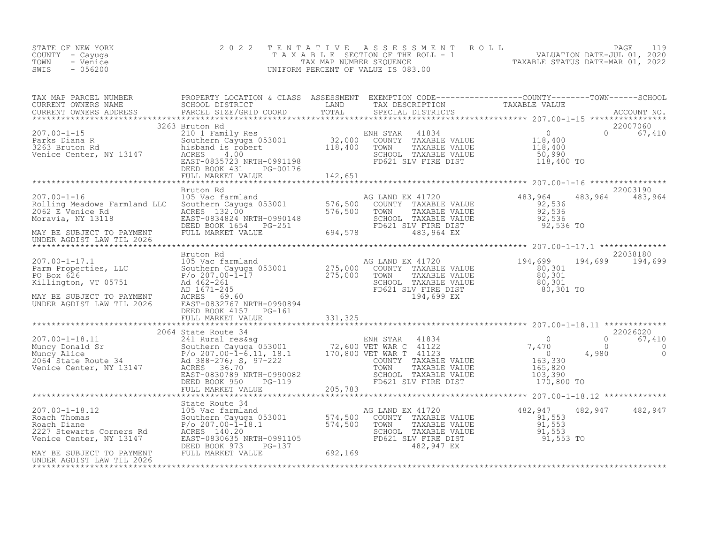| STATE OF NEW YORK<br>COUNTY - Cayuga<br>TOWN<br>- Venice<br>SWIS<br>$-056200$ | 2 0 2 2 |  | TENTATIVE ASSESSMENT ROLL PAGE 119<br>TAXABLE SECTION OF THE ROLL - 1 VALUATION DATE-JUL 01, 2020<br>TAX MAP NUMBER SEQUENCE TAXABLE STATUS DATE-MAR 01, 2022<br>UNIFORM PERCENT OF VALUE IS 083.00                                                                                                                                                                                                                          |
|-------------------------------------------------------------------------------|---------|--|------------------------------------------------------------------------------------------------------------------------------------------------------------------------------------------------------------------------------------------------------------------------------------------------------------------------------------------------------------------------------------------------------------------------------|
|                                                                               |         |  |                                                                                                                                                                                                                                                                                                                                                                                                                              |
|                                                                               |         |  |                                                                                                                                                                                                                                                                                                                                                                                                                              |
|                                                                               |         |  |                                                                                                                                                                                                                                                                                                                                                                                                                              |
|                                                                               |         |  |                                                                                                                                                                                                                                                                                                                                                                                                                              |
|                                                                               |         |  |                                                                                                                                                                                                                                                                                                                                                                                                                              |
|                                                                               |         |  | $\begin{tabular}{lllllllllllllllllllll} \hline $\text{0.185} & $\text{0.187} & $\text{0.187} \\ \hline $\text{0.197} & $\text{0.194},699$ & $194,699$ & $194,699$ & $2038180$ \\ \hline \text{Parm Properties, LLC} & $\text{Southern Cayuga 053001}$ & 275,000& $\text{COUNT TAXABLE VALUE} \\ \text{Rarm Properties, LLC} & $\text{Southern Cayuga 053001}$ & 275,000& $\text{COUNT TAXABLE VALUE} \\ \text{R11670, YT 05$ |
|                                                                               |         |  |                                                                                                                                                                                                                                                                                                                                                                                                                              |
|                                                                               |         |  |                                                                                                                                                                                                                                                                                                                                                                                                                              |
|                                                                               |         |  | UNDER AGDIST LAW TIL 2026 EAST-0832767 NRTH-0990082<br>TELL MARKET VALUE<br>TELL MARKET VALUE<br>TELL MARKET VALUE<br>TELL MARKET VALUE<br>TELL MARKET VALUE<br>TELL MARKET VALUE<br>TELL MARKET VALUE<br>TELL MARKET VALUE<br>TELL MARKET VALUE                                                                                                                                                                             |
|                                                                               |         |  |                                                                                                                                                                                                                                                                                                                                                                                                                              |
|                                                                               |         |  | 482, 947 482, 947                                                                                                                                                                                                                                                                                                                                                                                                            |
|                                                                               |         |  |                                                                                                                                                                                                                                                                                                                                                                                                                              |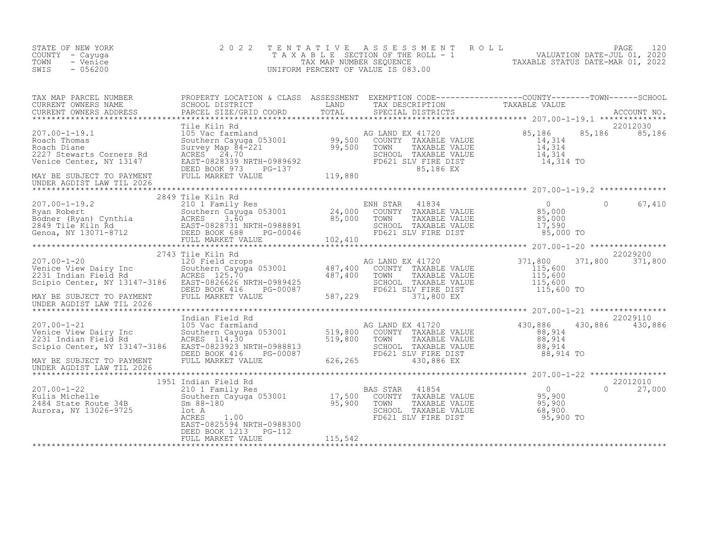| STATE OF NEW YORK<br>COUNTY - Cayuga<br>TOWN<br>- Venice<br>$-056200$<br>SWIS                                                                                                                                                          | 2 0 2 2                                                                                                                                                                                                                                                                                        | TENTATIVE | TAXABLE SECTION OF THE ROLL - 1<br>TAXABLE SECTION OF THE ROLL - 1<br>TAXABLE STATUS DATE-MAR 01, 2022<br>JNIFORM PERCENT OF VALUE IS 083.00<br>UNIFORM PERCENT OF VALUE IS 083.00 |                                     |                                |
|----------------------------------------------------------------------------------------------------------------------------------------------------------------------------------------------------------------------------------------|------------------------------------------------------------------------------------------------------------------------------------------------------------------------------------------------------------------------------------------------------------------------------------------------|-----------|------------------------------------------------------------------------------------------------------------------------------------------------------------------------------------|-------------------------------------|--------------------------------|
| TAX MAP PARCEL NUMBER BROPERTY LOCATION & CLASS ASSESSMENT EXEMPTION CODE-----------------COUNTY--------TOWN-----SCHOOL CURRENT OWNERS NAME SCHOOL DISTRICT LAND TAX DESCRIPTION TAXABLE VALUE<br>CURRENT OWNERS ADDRESS PARCEL S      |                                                                                                                                                                                                                                                                                                |           |                                                                                                                                                                                    |                                     |                                |
| 207.00-1-19.1<br>Roach Thomas<br>Roach Diane<br>2227 Stewarts Corners Rd<br>Venice Center, NY 13147<br>228339 N<br>228339 N<br>DEED BOOK 973                                                                                           | Tile Kiln Rd<br>The Kiln Rd<br>105 Vac farmland<br>Southern Cayuga 053001<br>Survey Map 84-221<br>Survey Map 84-221<br>ACRES<br>24.70<br>EAST-0828339 NRTH-0989692<br>DEED BOOK 973 PG-137<br>PELD BOOK 973 PG-137<br>FULL MARKET VALUE<br>FULL MARKET VALUE<br>PELD B                         |           | AG LAND EX 41720 85,186<br>COUNTY TAXABLE VALUE 14,314<br>SCHOOL TAXABLE VALUE<br>FD621 SLV FIRE DIST<br>85.186 EX                                                                 | $14, 314$<br>$14, 314$<br>14,314 TO | 22012030<br>85,186 85,186      |
| MAY BE SUBJECT TO PAYMENT<br>UNDER AGDIST LAW TIL 2026                                                                                                                                                                                 |                                                                                                                                                                                                                                                                                                |           |                                                                                                                                                                                    |                                     |                                |
|                                                                                                                                                                                                                                        | 2849 Tile Kiln Rd                                                                                                                                                                                                                                                                              |           |                                                                                                                                                                                    |                                     |                                |
|                                                                                                                                                                                                                                        |                                                                                                                                                                                                                                                                                                |           |                                                                                                                                                                                    |                                     |                                |
| $207.00 - 1 - 20$<br>zu <i>r.</i> 00-1-20<br>Venice View Dairy Inc<br>2231 Indian Field Rd<br>Scinic Coster  300-1<br>Scipio Center, NY 13147-3186 EAST-0826626 NRTH-0989425<br>MAY BE SUBJECT TO PAYMENT<br>UNDER AGDIST LAW TIL 2026 | 2743 Tile Kiln Rd<br>Tile Kiln Rd<br>120 Field crops<br>Southern Cayuga 053001<br>AG LAND EX 41720<br>AG LAND EX 41720<br>SOUTY TAXABLE VALUE<br>ACRES 125.70<br>EAST-0826626 NRTH-0989425<br>DEED BOOK 416<br>PG-00087<br>TAXABLE PG21 SUV FIRE DIST<br>FD621 SUV FIRE D<br>FULL MARKET VALUE |           | COUNTY TAXABLE VALUE<br>TOWN TAXABLE VALUE 115,600<br>SCHOOL TAXABLE VALUE 115,600<br>FD621 SLV FIRE DIST 115,600 TO<br>771 800 FV<br>587,229<br>371,800 EX                        | 371,800                             | 22029200<br>371,800<br>371,800 |
|                                                                                                                                                                                                                                        |                                                                                                                                                                                                                                                                                                |           |                                                                                                                                                                                    |                                     |                                |
| $207.00 - 1 - 21$<br>Venice View Dairy Inc<br>2231 Indian Field Rd<br>Scipio Center, NY 13147-3186<br>MAY BE SUBJECT TO PAYMENT                                                                                                        | Indian Field Rd<br>Indian Field Rd<br>105 Vac farmland<br>Southern Cayya 053001<br>ACRES 114.30 519,800 COUNTY TAXABLE VALUE<br>RCRES 114.30 519,800 TOWN TAXABLE VALUE<br>RES 1023923 NRTH-0988813<br>DEED BOOK 416 PG-00087 626,265 430,886 EX<br>FULL MARKET                                |           | AG LAND EX 41720<br>TOWN TAAADDE VALUE<br>SCHOOL TAXABLE VALUE 88,914<br>FD621 SLV FIRE DIST 88,914 TO                                                                             | 430,886<br>$88,914$<br>$88,914$     | 22029110<br>430,886 430,886    |
| UNDER AGDIST LAW TIL 2026                                                                                                                                                                                                              |                                                                                                                                                                                                                                                                                                |           |                                                                                                                                                                                    |                                     |                                |
| 207.00-1-22<br>Kulis Michelle<br>2484 State Route 34B<br>Aurora, NY 13026-9725                                                                                                                                                         | 1951 Indian Field Rd<br>1001an Field Rd<br>210 1 Family Res<br>Southern Cayuga 053001 17,500 COUNTY<br>Sm 88-180 95,900 TOWN<br>100 ACRES<br>ACRES 1.00 FD621 SL<br>EAST-0825594 NRTH-0988300 FD621 SL<br>FD621 SL                                                                             |           | 0<br>TOWN TAXABLE VALUE 95,900<br>SCHOOL TAXABLE VALUE 95,900<br>FD621 SLV FIRE DIST 95.900<br>95.900<br>PD621 SLV FIRE DIST                                                       | $95,900$ TO                         | 22012010<br>$\Omega$<br>27,000 |
|                                                                                                                                                                                                                                        | DEED BOOK 1213<br>$PG-112$<br>FULL MARKET VALUE                                                                                                                                                                                                                                                | 115,542   |                                                                                                                                                                                    |                                     |                                |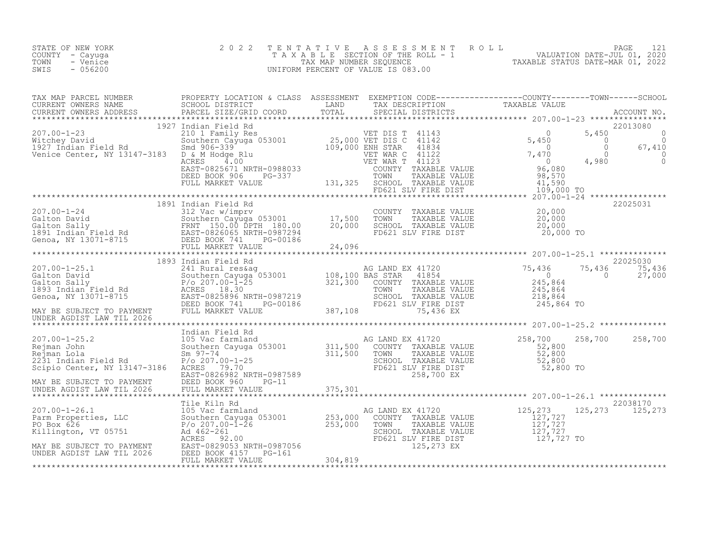| STATE OF NEW YORK | 2022 TENTATIVE ASSESSMENT ROLL        |                                  | PAGE                        |  |
|-------------------|---------------------------------------|----------------------------------|-----------------------------|--|
| COUNTY – Cayuga   | T A X A B L E SECTION OF THE ROLL - 1 |                                  | VALUATION DATE-JUL 01, 2020 |  |
| TOWN<br>- Venice  | TAX MAP NUMBER SEOUENCE               | TAXABLE STATUS DATE-MAR 01, 2022 |                             |  |
| $-056200$<br>SWIS | UNIFORM PERCENT OF VALUE IS 083.00    |                                  |                             |  |
|                   |                                       |                                  |                             |  |

| 1891 Indian Field Rd<br>207.00-1-24 1891 Indian Field Rd<br>Galton David Southern Cavingry<br>Southern Cayuse 053001 17,500 TOWN TAXABLE VALUE<br>Galton Sally FRNT 150.00 DPTH 180.00 20,000 SCHOOL TAXABLE VALUE<br>1891 Indian Field |  |  |  |  |
|-----------------------------------------------------------------------------------------------------------------------------------------------------------------------------------------------------------------------------------------|--|--|--|--|
|                                                                                                                                                                                                                                         |  |  |  |  |
|                                                                                                                                                                                                                                         |  |  |  |  |
|                                                                                                                                                                                                                                         |  |  |  |  |
|                                                                                                                                                                                                                                         |  |  |  |  |
|                                                                                                                                                                                                                                         |  |  |  |  |
|                                                                                                                                                                                                                                         |  |  |  |  |
|                                                                                                                                                                                                                                         |  |  |  |  |
|                                                                                                                                                                                                                                         |  |  |  |  |
|                                                                                                                                                                                                                                         |  |  |  |  |
|                                                                                                                                                                                                                                         |  |  |  |  |
|                                                                                                                                                                                                                                         |  |  |  |  |
|                                                                                                                                                                                                                                         |  |  |  |  |
|                                                                                                                                                                                                                                         |  |  |  |  |
|                                                                                                                                                                                                                                         |  |  |  |  |
|                                                                                                                                                                                                                                         |  |  |  |  |
|                                                                                                                                                                                                                                         |  |  |  |  |
|                                                                                                                                                                                                                                         |  |  |  |  |
|                                                                                                                                                                                                                                         |  |  |  |  |
|                                                                                                                                                                                                                                         |  |  |  |  |
|                                                                                                                                                                                                                                         |  |  |  |  |
|                                                                                                                                                                                                                                         |  |  |  |  |
|                                                                                                                                                                                                                                         |  |  |  |  |
|                                                                                                                                                                                                                                         |  |  |  |  |
|                                                                                                                                                                                                                                         |  |  |  |  |
|                                                                                                                                                                                                                                         |  |  |  |  |
|                                                                                                                                                                                                                                         |  |  |  |  |
|                                                                                                                                                                                                                                         |  |  |  |  |
|                                                                                                                                                                                                                                         |  |  |  |  |
|                                                                                                                                                                                                                                         |  |  |  |  |
|                                                                                                                                                                                                                                         |  |  |  |  |
|                                                                                                                                                                                                                                         |  |  |  |  |
|                                                                                                                                                                                                                                         |  |  |  |  |
|                                                                                                                                                                                                                                         |  |  |  |  |
|                                                                                                                                                                                                                                         |  |  |  |  |
|                                                                                                                                                                                                                                         |  |  |  |  |
|                                                                                                                                                                                                                                         |  |  |  |  |
|                                                                                                                                                                                                                                         |  |  |  |  |
|                                                                                                                                                                                                                                         |  |  |  |  |
|                                                                                                                                                                                                                                         |  |  |  |  |
|                                                                                                                                                                                                                                         |  |  |  |  |
|                                                                                                                                                                                                                                         |  |  |  |  |
|                                                                                                                                                                                                                                         |  |  |  |  |
|                                                                                                                                                                                                                                         |  |  |  |  |
|                                                                                                                                                                                                                                         |  |  |  |  |
|                                                                                                                                                                                                                                         |  |  |  |  |
|                                                                                                                                                                                                                                         |  |  |  |  |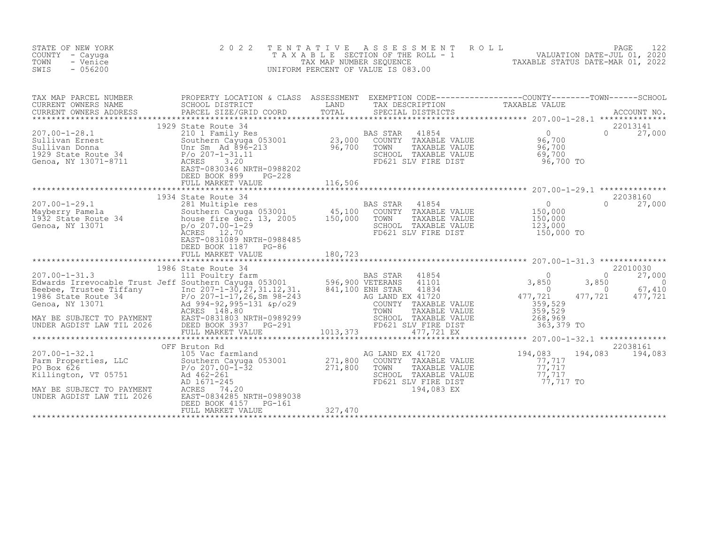| STATE OF NEW YORK<br>COUNTY<br>- Cayuqa<br>TOWN<br>- Venice<br>SWIS<br>$-056200$                                                                                                                                                                                                          | 2 0 2 2                                                                                                                                                                                                                                                                 | T E N T A T I V E<br>UNIFORM PERCENT OF VALUE IS 083.00 |                                                                                                                                                                     | FAXABLE SECTION OF THE ROLL 5 TAXABLE STATUS DATE-JUL 01, 2020<br>TAX MAP NUMBER SEQUENCE TAXABLE STATUS DATE-MAR 01, 2022<br>INIFORM PERCENT OF VALUE IS 083.00 |                                                                       |
|-------------------------------------------------------------------------------------------------------------------------------------------------------------------------------------------------------------------------------------------------------------------------------------------|-------------------------------------------------------------------------------------------------------------------------------------------------------------------------------------------------------------------------------------------------------------------------|---------------------------------------------------------|---------------------------------------------------------------------------------------------------------------------------------------------------------------------|------------------------------------------------------------------------------------------------------------------------------------------------------------------|-----------------------------------------------------------------------|
| TAX MAP PARCEL NUMBER<br>CURRENT OWNERS NAME<br>CURRENT OWNERS ADDRESS                                                                                                                                                                                                                    | PROPERTY LOCATION & CLASS ASSESSMENT EXEMPTION CODE----------------COUNTY-------TOWN------SCHOOL<br>SCHOOL DISTRICT<br><b>EXAMPLE SERVICE SERVICE SERVICE SERVICE SERVICE SERVICE SERVICE SERVICE SERVICE SERVICE SERVICE SERVICE SERVICE</b><br>PARCEL SIZE/GRID COORD | TOTAL                                                   | TAX DESCRIPTION TAXABLE VALUE<br>SPECIAL DISTRICTS TAXABLE VALUE<br>SPECIAL DISTRICTS                                                                               |                                                                                                                                                                  | ACCOUNT NO.                                                           |
| 1971.00-1-28.1<br>Sullivan Ernest 210 1 Family Res BAS STAR 41854<br>Sullivan Donna Mur Sm Ad 896-213<br>Sullivan Donna Unr Sm Ad 896-213<br>P/o 207-1-31.11<br>Genoa, NY 13071-8711 ACRES 3.20<br>Genoa, NY 13071-8711 ACRES 3.20<br>EAST-0                                              | 1929 State Route 34<br>DEED BOOK 899<br>PG-228<br>FULL MARKET VALUE                                                                                                                                                                                                     | 116,506                                                 |                                                                                                                                                                     | 96,700 TO                                                                                                                                                        | 22013141<br>$0 \t 27,000$                                             |
| 207.00-1-29.1<br>Mayberry Pamela<br>1932 State Route 34<br>Genoa, NY 13071<br>Cenoa, NY 13071<br>Cenoa, 2007<br>207.00-1-29<br>207.00-1-29<br>207.00-1-29<br>207.00-1-29                                                                                                                  | 1934 State Route 34<br>ACRES 12.70<br>EAST-0831089 NRTH-0988485<br>DEED BOOK 1187 PG-86<br>FULL MARKET VALUE                                                                                                                                                            | BAS STAR<br>180,723                                     | AS STAR 41854<br>COUNTY TAXABLE VALUE 150,000<br>TOWN TAXABLE VALUE 150,000<br>SCHOOL TAXABLE VALUE<br>FD621 SLV FIRE DIST                                          | 123,000<br>150,000 TO                                                                                                                                            | 22038160<br>$0 \t 27,000$                                             |
| UNDER AGDIST LAW TIL 2026                                                                                                                                                                                                                                                                 | ACKES 190.00<br>EAST-0831803 NRTH-0989299 SCHOO<br>DEED BOOK 3937 PG-291 FULL MARKET VALUE $1013,373$                                                                                                                                                                   |                                                         | BAS STAR 41854<br>COUNTY TAXABLE VALUE 359,529<br>TOWN TAXABLE VALUE 359,529<br>SCHOOL TAXABLE VALUE 359,529<br>SCHOOL TAXABLE VALUE 268,962<br>FD621 SLV FIRE DIST | 3,850<br>3,850<br>$\overline{0}$<br>477,721<br>477,721<br>363,379 TO                                                                                             | 22010030<br>27,000<br>$\Omega$<br>$\overline{0}$<br>67,410<br>477,721 |
| 207.00-1-32.1<br>Parm Properties, LLC<br>PO Box 626<br>Killington, VT 05751<br>MAY BE SUBJECT TO_PAYMENT<br>PO 207.00-1-32<br>MAY BE SUBJECT TO_PAYMENT<br>PO 207.00-1-32<br>ACRES<br>ACRES<br>PO 202.01-245<br>ACRES<br>PO 3201,800<br>ACRES<br>271,800<br><br>UNDER AGDIST LAW TIL 2026 | OFF Bruton Rd<br>EAST-0834285 NRTH-0989038<br>DEED BOOK 4157<br>PG-161<br>FULL MARKET VALUE                                                                                                                                                                             | TOWN<br>327,470                                         | AG LAND EX 41720 $194,083$<br>COUNTY TAXABLE VALUE $77,717$<br>TAXABLE VALUE<br>SCHOOL TAXABLE VALUE<br>194,083 EX                                                  | 77,717<br>77,717<br>FOG21 SLV FIRE DIST FOG21 SLV FIRE DIST S                                                                                                    | 22038161<br>194,083 194,083                                           |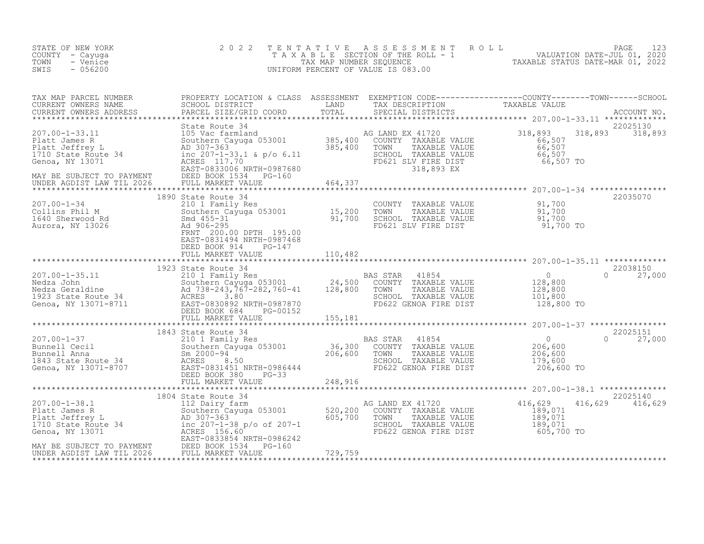| STATE OF NEW YORK<br>COUNTY – Cayuga<br>TOWN<br>- Venice<br>- 056200<br>SWIS | 2022 TENTATIVE ASSESSMENT ROLL<br>TAXABLE SECTION OF THE ROLL - 1<br>TAX MAP NUMBER SEOUENCE<br>UNIFORM PERCENT OF VALUE IS 083.00 | PAGE<br>VALUATION DATE-JUL 01, 2020<br>TAXABLE STATUS DATE-MAR 01, 2022 |
|------------------------------------------------------------------------------|------------------------------------------------------------------------------------------------------------------------------------|-------------------------------------------------------------------------|
|------------------------------------------------------------------------------|------------------------------------------------------------------------------------------------------------------------------------|-------------------------------------------------------------------------|

| TAX MAP PARCEL NUMBER                                                                                                                                                                                                                                                                                                   | PROPERTY LOCATION & CLASS ASSESSMENT EXEMPTION CODE----------------COUNTY-------TOWN-----SCHOOL |         |                                                              |                                                                       |                           |
|-------------------------------------------------------------------------------------------------------------------------------------------------------------------------------------------------------------------------------------------------------------------------------------------------------------------------|-------------------------------------------------------------------------------------------------|---------|--------------------------------------------------------------|-----------------------------------------------------------------------|---------------------------|
|                                                                                                                                                                                                                                                                                                                         |                                                                                                 |         |                                                              |                                                                       |                           |
| $\begin{tabular}{lllllllllllll} 207.00-1-33.11 & \mbox{State Route 34} & \mbox{105 Vec} & \mbox{318,893} & \mbox{318,893} & \mbox{318,893} & \mbox{318,893} & \mbox{318,893} & \mbox{318,893} & \mbox{318,893} & \mbox{318,893} & \mbox{318,893} & \mbox{318,893} & \mbox{318,893} & \mbox{318,893} & \mbox{318,893} &$ | State Route 34                                                                                  |         |                                                              |                                                                       | 22025130                  |
|                                                                                                                                                                                                                                                                                                                         |                                                                                                 |         |                                                              |                                                                       | 22035070                  |
| 1090 State Koute 34<br>201.00-1-34<br>2011 M<br>2011 M<br>2016 Sherwood Rd<br>201.00-295<br>Aurora, NY 13026<br>201.00 DPTH 195.00<br>201.00 DPTH 195.00<br>201.00 DPTH 195.00<br>201.00 DPTH 195.00<br>201.00                                                                                                          | 1890 State Route 34<br>EAST-0831494 NRTH-0987468<br>DEED BOOK 914 PG-147                        |         | SCHOOL TAXABLE VALUE 91,700<br>FD621 SLV FIRE DIST 91,700 TO |                                                                       |                           |
|                                                                                                                                                                                                                                                                                                                         | FULL MARKET VALUE                                                                               | 110,482 |                                                              |                                                                       |                           |
|                                                                                                                                                                                                                                                                                                                         |                                                                                                 |         |                                                              |                                                                       | 22038150                  |
|                                                                                                                                                                                                                                                                                                                         | FULL MARKET VALUE                                                                               | 155,181 |                                                              |                                                                       | $0 \t 27,000$             |
|                                                                                                                                                                                                                                                                                                                         |                                                                                                 |         |                                                              |                                                                       |                           |
| 207.00-1-37<br>Bunnell Cecil<br>Eunnell Anna<br>Sm 2000-94<br>Sm 2000-94<br>EAST-0831451 NRTH-0986444<br>Senoa, NY 13071-8707<br>DEED BOOK 380<br>DEED BOOK 380<br>PG-33<br>PG-33<br>PG-33<br>PG-33<br>PG-33<br>PG-33<br>PG-33<br>PG-23<br>PG-22 GENOA FIRE DIST                                                        | 1843 State Route 34                                                                             |         |                                                              | $0$<br>206,600<br>206,600<br>179,600<br>206,600 TO                    | 22025151<br>$0 \t 27,000$ |
|                                                                                                                                                                                                                                                                                                                         |                                                                                                 |         |                                                              |                                                                       |                           |
|                                                                                                                                                                                                                                                                                                                         |                                                                                                 |         |                                                              |                                                                       | 22025140                  |
|                                                                                                                                                                                                                                                                                                                         |                                                                                                 |         | AG LAND EX 41720 416,629<br>FD622 GENOA FIRE DIST 605,700 TO | $\begin{smallmatrix}189,071\189,071\189,071\189,071\end{smallmatrix}$ | 416,629 416,629           |
|                                                                                                                                                                                                                                                                                                                         |                                                                                                 |         |                                                              |                                                                       |                           |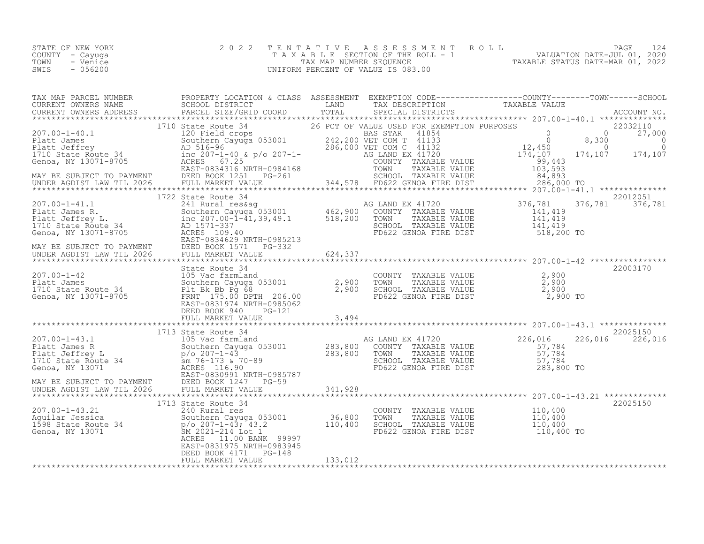| STATE OF NEW YORK | 2022 TENTATIVE ASSESSMENT ROLL     | PAGE 124                         |
|-------------------|------------------------------------|----------------------------------|
| COUNTY - Cayuqa   | TAXABLE SECTION OF THE ROLL - 1    | VALUATION DATE-JUL 01, 2020      |
| TOWN<br>- Venice  | TAX MAP NUMBER SEOUENCE            | TAXABLE STATUS DATE-MAR 01, 2022 |
| SWIS<br>- 056200  | UNIFORM PERCENT OF VALUE IS 083.00 |                                  |

|                                                                                                                                                                                                                                                                                                                                                                                               | 1722 State Route 34                           |         |                                                                                                                                |                 | 22012051 |
|-----------------------------------------------------------------------------------------------------------------------------------------------------------------------------------------------------------------------------------------------------------------------------------------------------------------------------------------------------------------------------------------------|-----------------------------------------------|---------|--------------------------------------------------------------------------------------------------------------------------------|-----------------|----------|
|                                                                                                                                                                                                                                                                                                                                                                                               |                                               |         |                                                                                                                                | 376,781 376,781 |          |
|                                                                                                                                                                                                                                                                                                                                                                                               |                                               |         |                                                                                                                                |                 |          |
|                                                                                                                                                                                                                                                                                                                                                                                               |                                               |         |                                                                                                                                |                 |          |
|                                                                                                                                                                                                                                                                                                                                                                                               |                                               |         |                                                                                                                                |                 | 22003170 |
| 1710 State Route 34<br>State Route 34<br>207.00-1-42<br>Platt James<br>2,900<br>1710 State Route 34<br>Genoa, NY 13071-8705<br>ERST-0831974 NRTH-0985062<br>ERST-0831974 NRTH-0985062                                                                                                                                                                                                         |                                               |         | COUNTY TAXABLE VALUE $2,900$<br>TOWN TAXABLE VALUE $2,900$<br>SCHOOL TAXABLE VALUE $2,900$<br>FD622 GENOA FIRE DIST $2,900$ TO |                 |          |
|                                                                                                                                                                                                                                                                                                                                                                                               | DEED BOOK 940                                 |         |                                                                                                                                |                 |          |
|                                                                                                                                                                                                                                                                                                                                                                                               |                                               |         |                                                                                                                                |                 |          |
|                                                                                                                                                                                                                                                                                                                                                                                               |                                               |         |                                                                                                                                |                 |          |
|                                                                                                                                                                                                                                                                                                                                                                                               |                                               |         |                                                                                                                                |                 |          |
|                                                                                                                                                                                                                                                                                                                                                                                               |                                               |         |                                                                                                                                |                 |          |
|                                                                                                                                                                                                                                                                                                                                                                                               |                                               |         |                                                                                                                                |                 |          |
|                                                                                                                                                                                                                                                                                                                                                                                               |                                               |         |                                                                                                                                |                 |          |
|                                                                                                                                                                                                                                                                                                                                                                                               |                                               |         |                                                                                                                                |                 |          |
|                                                                                                                                                                                                                                                                                                                                                                                               |                                               |         |                                                                                                                                |                 |          |
| $\begin{tabular}{l cccc} \textbf{MAT} & \textbf{DBED BONC} & 940 & \textbf{TPG-121} & 3,494 \\ \hline 207.00-1-43.1 & 1713 State Routte & 34 \\ \textbf{P1att James R} & 1013 State Routte & 34 \\ \textbf{P1att James R} & 1015 \text{ Vae farmland} & 2085001 & 283,800 & \text{COMNY T AXABLE VAUDE} & 226,016 & 2226,016 \\ \textbf{Platt James R} & 1008 \text{ Vae farmland} & 207.00-$ | EAST-0831975 NRTH-0983945                     |         |                                                                                                                                |                 |          |
|                                                                                                                                                                                                                                                                                                                                                                                               | DEED BOOK 4171<br>PG-148<br>FULL MARKET VALUE | 133,012 |                                                                                                                                |                 |          |
|                                                                                                                                                                                                                                                                                                                                                                                               |                                               |         |                                                                                                                                |                 |          |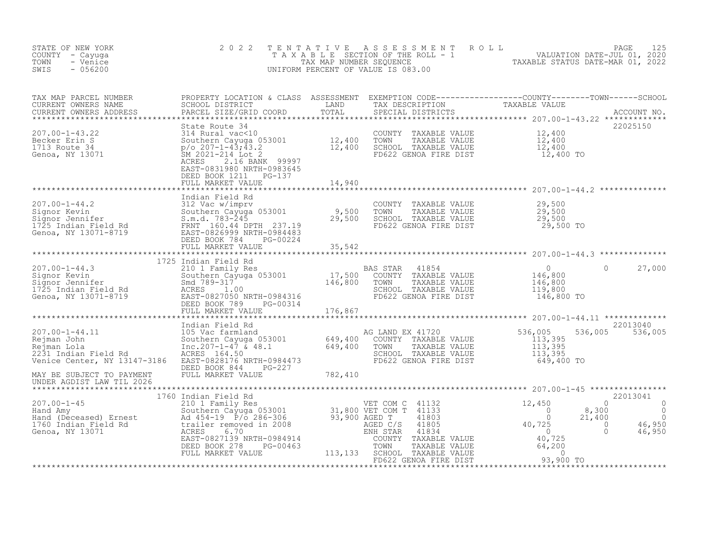| STATE OF NEW YORK<br>COUNTY - Cayuga<br>TOWN<br>- Venice<br>$-056200$<br>SWIS                                                                                                                                                                           | 2 0 2 2<br>TAXABLE                                                                                                                                                                                                                                                                               | TENTATIVE<br>TAX MAP NUMBER SEQUENCE | UNIFORM PERCENT OF VALUE IS 083.00                                                                                                 | PAGE 125<br>SECTION OF THE ROLL - 1 VALUATION DATE-JUL 01, 2020<br>NUMBER SEQUENCE TO TAXABLE STATUS DATE-MAR 01, 2022<br>TOF VALUE IS 083.00                                                                                       |
|---------------------------------------------------------------------------------------------------------------------------------------------------------------------------------------------------------------------------------------------------------|--------------------------------------------------------------------------------------------------------------------------------------------------------------------------------------------------------------------------------------------------------------------------------------------------|--------------------------------------|------------------------------------------------------------------------------------------------------------------------------------|-------------------------------------------------------------------------------------------------------------------------------------------------------------------------------------------------------------------------------------|
| TAX MAP PARCEL NUMBER<br>CURRENT OWNERS NAME<br>CURRENT OWNERS ADDRESS                                                                                                                                                                                  |                                                                                                                                                                                                                                                                                                  |                                      |                                                                                                                                    | PROPERTY LOCATION & CLASS ASSESSMENT EXEMPTION CODE---------------COUNTY-------TOWN------SCHOOL<br>SCHOOL DISTRICT                     LAND       TAX DESCRIPTION             TAXABLE VALUE<br>PARCEL SIZE/GRID COORD         TOTAL |
| $207.00 - 1 - 43.22$<br>Becker Erin S<br>1713 Route 34<br>Genoa, NY 13071                                                                                                                                                                               | State Route 34<br>314 Rural vac<10<br>500thern Cayuga 053001 12,400<br>$p$ /o 207-1-43;43.2 12,400<br>5M 2021-214 Lot 2 12,400<br>ACRES 216 Beau<br>2.16 BANK 99997<br>EAST-0831980 NRTH-0983645<br>DEED BOOK 1211    PG-137<br>FULL MARKET VALUE                                                | 14,940                               | COUNTY TAXABLE VALUE<br>TOWN<br>TAXABLE VALUE<br>SCHOOL TAXABLE VALUE<br>FD622 GENOA FIRE DIST                                     | 22025150<br>12,400<br>12,400<br>12,400<br>12,400 TO                                                                                                                                                                                 |
|                                                                                                                                                                                                                                                         |                                                                                                                                                                                                                                                                                                  |                                      |                                                                                                                                    |                                                                                                                                                                                                                                     |
| 107.00-1-44.2<br>Signor Kevin<br>Signor Jennifer Sum.d. 783-245<br>The Sum.d. 783-245<br>Signor Jennifer S.m.d. 783-245<br>The S.m.d. 783-245<br>The S.m.d. 783-245<br>The PTH 237.19<br>Genoa, NY 13071-8719<br>DEED BOOK 784 PG-00224                 | Indian Field Rd<br>DEED BOOK 784<br>PG-00224                                                                                                                                                                                                                                                     |                                      | COUNTY TAXABLE VALUE $29,500$<br>TOWN TAXABLE VALUE $29,500$<br>SCHOOL TAXABLE VALUE $29,500$<br>FD622 GENOA FIRE DIST $29,500$ TO |                                                                                                                                                                                                                                     |
|                                                                                                                                                                                                                                                         | FULL MARKET VALUE                                                                                                                                                                                                                                                                                | 35,542                               |                                                                                                                                    |                                                                                                                                                                                                                                     |
|                                                                                                                                                                                                                                                         |                                                                                                                                                                                                                                                                                                  |                                      |                                                                                                                                    |                                                                                                                                                                                                                                     |
| 207.00-1-44.3<br>Signor Kevin<br>Signor Jennifer<br>1725 Indian Field Rd<br>Genoa, NY 13071-8719<br>210 1 Family R<br>Southern Cayug<br>Southern Cayug<br>210 1 Family R<br>210 1 Family R<br>210 1 Family R<br>210 1 Family R<br>210 1 Family R<br>210 | 1725 Indian Field Rd<br>1011 Field Rd<br>2011 Family Res<br>2011 Family Res<br>501 COUNTY<br>Smd 789-317<br>ACRES 1.00<br>EAST-08270550 NRTH-0984316<br>FRED ROOK 789 PC-00314<br>FRED ROOK 789 PC-00314<br>FRED ROOK 789 PC-00314<br>EAST-0827050 NRTH-0984316<br>PG-00314<br>FULL MARKET VALUE | $-00314$ $176,867$                   | 41854<br>COUNTY TAXABLE VALUE<br>TAXABLE VALUE<br>SCHOOL TAXABLE VALUE<br>FD622 GENOA FIRE DIST                                    | $\overline{0}$<br>0<br>27,000<br>$\begin{smallmatrix}&&0\146,800\146,800\119,800\119,800\146,800\end{smallmatrix}$<br>146,800 TO                                                                                                    |
|                                                                                                                                                                                                                                                         |                                                                                                                                                                                                                                                                                                  |                                      |                                                                                                                                    |                                                                                                                                                                                                                                     |
| 207.00-1-44.11<br>Rejman John<br>Rejman Lola<br>2231 Indian Field Rd<br>Venice Center NW 1314<br>Venice Center, NY 13147-3186 EAST-0828176 NRTH-0984473                                                                                                 | $x^2$<br>$x^3$<br>$x^2$<br>$x^3$<br>$x^4$<br>$x^3$<br>$x^4$<br>$x^4$<br>$x^4$<br>$x^3$<br>$x^4$<br>$x^4$<br>$x^4$<br>$x^5$<br>$x^6$<br>$x^7$<br>$x^8$<br>$x^8$<br>$x^6$<br>$x^6$<br>$x^6$<br>$x^6$<br>$x^6$<br>$x^6$<br>$x^6$<br>$x^6$<br>$x^6$<br>$x^6$<br>$x^6$<br>$x^6$<br>$x^6$<br>$x^6$     |                                      | AG LAND EX 41720<br>COUNTY TAXABLE VALUE<br>TAXABLE VALUE<br>TOWN<br>SCHOOL TAXABLE VALUE<br>FD622 GENOA FIRE DIST                 | 22013040<br>536,005<br>536,005<br>536,005<br>$\begin{array}{r} 113,395 \\ 113,395 \\ 113,395 \end{array}$<br>649,400 TO                                                                                                             |
| MAY BE SUBJECT TO PAYMENT<br>UNDER AGDIST LAW TIL 2026                                                                                                                                                                                                  | DEED BOOK 844 PG-227<br>FULL MARKET VALUE                                                                                                                                                                                                                                                        | 782,410                              |                                                                                                                                    |                                                                                                                                                                                                                                     |
|                                                                                                                                                                                                                                                         |                                                                                                                                                                                                                                                                                                  |                                      |                                                                                                                                    | 22013041                                                                                                                                                                                                                            |
| 1760 Indian Field Rd<br>207.00-1-45 210 1 Family Res<br>Hand Amy Southern Cayuga 053001 31,800 VET COM C 41132<br>Hand (Deceased) Ernest Ad 454-19 P/o 286-306 93,900 AGED T 41803<br>1760 Indian Field Rd trailer removed in 2008 AGE                  |                                                                                                                                                                                                                                                                                                  |                                      |                                                                                                                                    | $12,450$<br>0<br>0<br>$\bigcirc$<br>$\circ$<br>40,725<br>8,300<br>$\begin{matrix} 0 \\ 0 \end{matrix}$<br>21,400<br>16,950<br>$\overline{0}$<br>46,950                                                                              |
|                                                                                                                                                                                                                                                         | FULL MARKET VALUE                                                                                                                                                                                                                                                                                | 113,133                              | SCHOOL TAXABLE VALUE<br>FD622 GENOA FIRE DIST                                                                                      | TAXABLE VALUE $\begin{array}{ccc} 40,725 \\ \text{TAXABLE VALUE} \\ \text{TAXABLE VALUE} \\ \text{SENOA FIRE DIST} \\ \end{array}$ 93,900 TO                                                                                        |

\*\*\*\*\*\*\*\*\*\*\*\*\*\*\*\*\*\*\*\*\*\*\*\*\*\*\*\*\*\*\*\*\*\*\*\*\*\*\*\*\*\*\*\*\*\*\*\*\*\*\*\*\*\*\*\*\*\*\*\*\*\*\*\*\*\*\*\*\*\*\*\*\*\*\*\*\*\*\*\*\*\*\*\*\*\*\*\*\*\*\*\*\*\*\*\*\*\*\*\*\*\*\*\*\*\*\*\*\*\*\*\*\*\*\*\*\*\*\*\*\*\*\*\*\*\*\*\*\*\*\*\*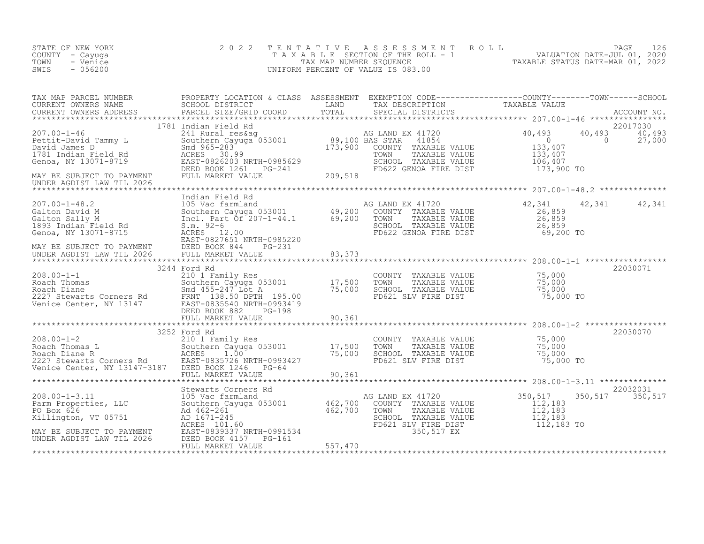| STATE OF NEW YORK<br>COUNTY - Cayuga<br>- Venice<br>TOWN<br>$-056200$<br>SWIS                                                                                                                                                                      | 2 0 2 2           |        | TENTATIVE ASSESSMENT ROLL PAGE 126<br>TAXABLE SECTION OF THE ROLL - 1 VALUATION DATE-JUL 01, 2020<br>TAX MAP NUMBER SEQUENCE TAXABLE STATUS DATE-MAR 01, 2022<br>UNIFORM PERCENT OF VALUE IS 083.00 |                   |          |
|----------------------------------------------------------------------------------------------------------------------------------------------------------------------------------------------------------------------------------------------------|-------------------|--------|-----------------------------------------------------------------------------------------------------------------------------------------------------------------------------------------------------|-------------------|----------|
|                                                                                                                                                                                                                                                    |                   |        |                                                                                                                                                                                                     |                   |          |
|                                                                                                                                                                                                                                                    |                   |        |                                                                                                                                                                                                     |                   |          |
|                                                                                                                                                                                                                                                    |                   |        |                                                                                                                                                                                                     |                   |          |
|                                                                                                                                                                                                                                                    |                   |        |                                                                                                                                                                                                     |                   |          |
|                                                                                                                                                                                                                                                    |                   |        |                                                                                                                                                                                                     |                   |          |
|                                                                                                                                                                                                                                                    |                   |        |                                                                                                                                                                                                     |                   | 22030071 |
|                                                                                                                                                                                                                                                    |                   |        |                                                                                                                                                                                                     |                   |          |
|                                                                                                                                                                                                                                                    |                   |        |                                                                                                                                                                                                     |                   |          |
|                                                                                                                                                                                                                                                    | 3252 Ford Rd      |        |                                                                                                                                                                                                     |                   | 22030070 |
| 3252 Ford Rd<br>2101 Family Res<br>Roach Thomas L<br>Southern Cayuga 053001<br>Roach Diane R<br>2227 Stewarts Corners Rd<br>2227 Stewarts Corners Rd<br>2227 Stewarts Corners Rd<br>2227 Stewarts Corners Rd<br>2227 Stewarts Corners Rd<br>2227 S | FULL MARKET VALUE | 90,361 |                                                                                                                                                                                                     |                   |          |
|                                                                                                                                                                                                                                                    |                   |        |                                                                                                                                                                                                     |                   | 22032031 |
|                                                                                                                                                                                                                                                    |                   |        |                                                                                                                                                                                                     | 350, 517 350, 517 |          |
|                                                                                                                                                                                                                                                    |                   |        |                                                                                                                                                                                                     |                   |          |
|                                                                                                                                                                                                                                                    |                   |        |                                                                                                                                                                                                     |                   |          |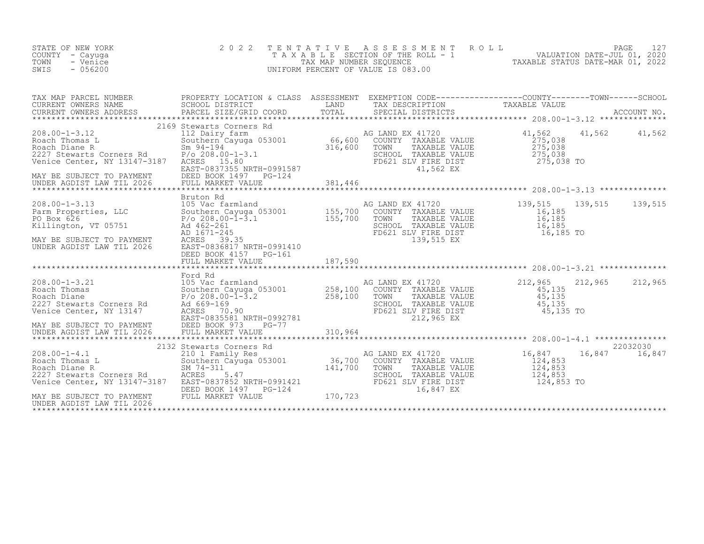| STATE OF NEW YORK<br>COUNTY - Cayuga<br>- Venice<br>TOWN<br>SWIS<br>$-056200$                                                                                                                                                                                                                    | 2 0 2 2<br>TAXABLE                                                                                                                                                                                                                          | TENTATIVE<br>TAX MAP NUMBER SEQUENCE | A S S E S S M E N T<br>ROLL<br>SECTION OF THE ROLL - 1<br>UNIFORM PERCENT OF VALUE IS 083.00                                   | - 1<br>VALUATION DATE-JUL 01, 2020<br>TAXABLE STATUS DATE-MAR 01, 2022 | PAGE<br>127               |
|--------------------------------------------------------------------------------------------------------------------------------------------------------------------------------------------------------------------------------------------------------------------------------------------------|---------------------------------------------------------------------------------------------------------------------------------------------------------------------------------------------------------------------------------------------|--------------------------------------|--------------------------------------------------------------------------------------------------------------------------------|------------------------------------------------------------------------|---------------------------|
| TAX MAP PARCEL NUMBER<br>CURRENT OWNERS NAME<br>CURRENT OWNERS ADDRESS                                                                                                                                                                                                                           | PARCEL SIZE/GRID COORD                                                                                                                                                                                                                      |                                      | SPECIAL DISTRICTS                                                                                                              |                                                                        |                           |
| $208.00 - 1 - 3.12$<br>Roach Thomas L<br>Roach Diane R<br>2227 Stewarts Corners Rd<br>Venice Center, NY 13147-3187<br>MAY BE SUBJECT TO PAYMENT<br>UNDER AGDIST LAW TIL 2026                                                                                                                     | 2169 Stewarts Corners Rd<br>112 Dairy farm<br>112 Daliry 14fm<br>Southern Cayuga 053001 66,600<br>Sm 94-194 316,600<br>P/o 208.00-1-3.1<br>ACRES 15.80<br>$P/O 208.00 - 1 - 3.1$<br>EAST-0837355 NRTH-0991587<br>DEED BOOK 1497<br>$PG-124$ |                                      | AG LAND EX 41720<br>COUNTY TAXABLE VALUE<br>TOWN<br>TAXABLE VALUE<br>SCHOOL TAXABLE VALUE<br>FD621 SLV FIRE DIST<br>41,562 EX  | 41,562<br>41,562<br>275,038<br>275,038<br>275,038<br>275,038 TO        | 41,562                    |
|                                                                                                                                                                                                                                                                                                  | Bruton Rd                                                                                                                                                                                                                                   |                                      |                                                                                                                                |                                                                        |                           |
| 208.00-1-3.13<br>Parm Properties, LLC 300thern Cayuga 053001 155,700<br>PO Box 626 208.00-1-3.1 155.700<br>Killington, VT 05751<br>MAY BE SUBJECT TO PAYMENT<br>UNDER AGDIST LAW TIL 2026                                                                                                        | $P/O 208.00-\overline{1}-\overline{3}.1$<br>Ad 462-261<br>AD 1671-245<br>ACRES 39.35<br>EAST-0836817 NRTH-0991410<br>DEED BOOK 4157 PG-161<br>FULL MARKET VALUE                                                                             | 187,590                              | AG LAND EX 41720<br>COUNTY TAXABLE VALUE<br>TOWN<br>TAXABLE VALUE<br>SCHOOL TAXABLE VALUE<br>FD621 SLV FIRE DIST<br>139,515 EX | 139,515<br>139,515<br>16,185<br>16,185<br>16,185<br>16,185 TO          | 139,515                   |
|                                                                                                                                                                                                                                                                                                  |                                                                                                                                                                                                                                             | ***************                      |                                                                                                                                |                                                                        |                           |
| 105 Vac far<br>Roach Thomas<br>Roach Diane<br>227 Stewarts Corners Rd<br>227 Stewarts Corners Rd<br>227 Stewarts Corners Rd<br>208.00-<br>208.00-<br>208.00-<br>208.00-<br>208.00-<br>208.00-<br>208.00-<br>208.00-<br>208.00-<br>208.00-<br>208.00-<br>208.00-<br><br>MAY BE SUBJECT TO PAYMENT | Ford Rd<br>105 Vac farmland<br>Southern Cayuga 053001<br>$P/\circ 208.00 - \bar{1} - 3.2$<br>ACRES 70.90<br>EAST-0835581 NRTH-0992781<br>$PG-77$                                                                                            | 258,100<br>$\frac{258,100}{258,100}$ | AG LAND EX 41720<br>COUNTY TAXABLE VALUE<br>TOWN<br>TAXABLE VALUE<br>SCHOOL TAXABLE VALUE<br>FD621 SLV FIRE DIST<br>212,965 EX | 212,965<br>212,965<br>45,135<br>45,135<br>45,135<br>45,135 TO          | 212,965                   |
| UNDER AGDIST LAW TIL 2026                                                                                                                                                                                                                                                                        | EASI 0033301 1<br>DEED BOOK 973<br>FULL MARKET V<br>FULL MARKET VALUE                                                                                                                                                                       | 310,964                              |                                                                                                                                |                                                                        |                           |
| Roach Thomas L<br>Roach Diane R<br>2227 Stewarts Corners Rd<br>Venice Center. NY 13147 3107<br>Venice Center, NY 13147-3187 EAST-0837852 NRTH-0991421<br>MAY BE SUBJECT TO PAYMENT<br>UNDER AGDIST LAW TIL 2026                                                                                  | 2132 Stewarts Corners Rd<br>210 1 Family Res<br>Southern Cayuga 053001 36,700<br>SM 74-311 141,700<br>RAEE 2225-47<br>DEED BOOK 1497    PG-124<br>FULL MARKET VALUE                                                                         | 170, 723                             | AG LAND EX 41720<br>COUNTY TAXABLE VALUE<br>TOWN<br>TAXABLE VALUE<br>SCHOOL TAXABLE VALUE<br>FD621 SLV FIRE DIST<br>16,847 EX  | 16,847<br>124,853<br>124,853<br>124,853<br>124,853 TO                  | 22032030<br>16,847 16,847 |
|                                                                                                                                                                                                                                                                                                  |                                                                                                                                                                                                                                             |                                      |                                                                                                                                |                                                                        |                           |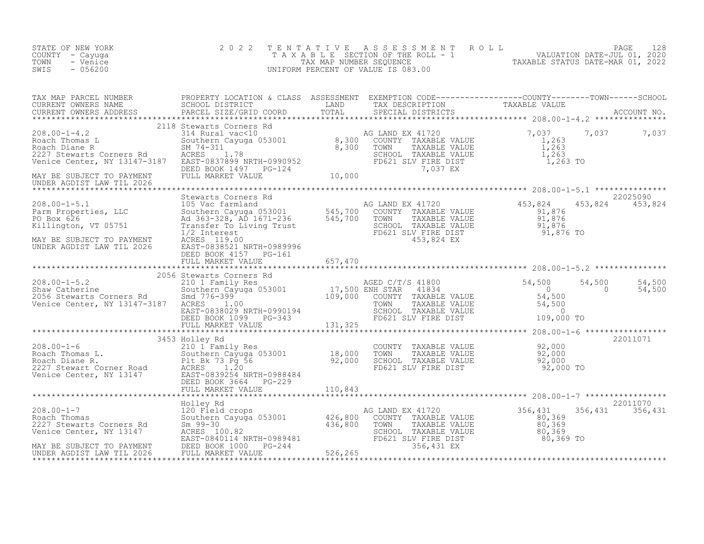| STATE OF NEW YORK<br>COUNTY - Cayuga<br>TOWN<br>- Venice<br>$-056200$<br>SWIS                                                                                                                                                                                         | 2 0 2 2 | TENTATIVE ASSESSMENT ROLL PAGE 128<br>TAXABLE SECTION OF THE ROLL - 1 VALUATION DATE-JUL 01, 2020<br>TAX MAP NUMBER SEQUENCE TAXABLE STATUS DATE-MAR 01, 2022<br>UNIFORM PERCENT OF VALUE IS 083.00 |  |
|-----------------------------------------------------------------------------------------------------------------------------------------------------------------------------------------------------------------------------------------------------------------------|---------|-----------------------------------------------------------------------------------------------------------------------------------------------------------------------------------------------------|--|
|                                                                                                                                                                                                                                                                       |         |                                                                                                                                                                                                     |  |
|                                                                                                                                                                                                                                                                       |         |                                                                                                                                                                                                     |  |
|                                                                                                                                                                                                                                                                       |         |                                                                                                                                                                                                     |  |
|                                                                                                                                                                                                                                                                       |         |                                                                                                                                                                                                     |  |
|                                                                                                                                                                                                                                                                       |         |                                                                                                                                                                                                     |  |
| $\begin{tabular}{lllllllllll} \hline 1.01 & 0.00-1-7 & 0.00-1-7 & 0.00-1-7 & 0.00-1-7 & 0.00-1-7 & 0.00-1-7 & 0.00-1-7 & 0.00-1-7 & 0.00-1-7 & 0.00-1-7 & 0.00-1-7 & 0.00-1-7 & 0.00-1-7 & 0.00-1-7 & 0.00-1-7 & 0.00-1-7 & 0.00-1-7 & 0.00-1-7 & 0.00-1-7 & 0.00-1-$ |         |                                                                                                                                                                                                     |  |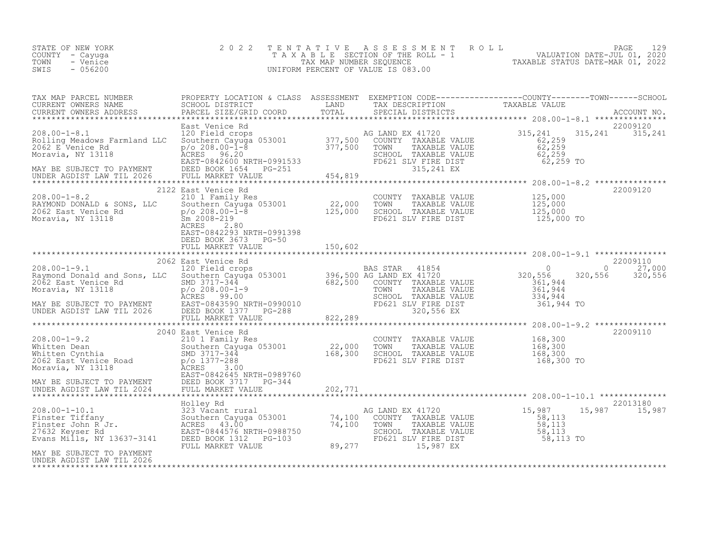| STATE OF NEW YORK<br>COUNTY<br>- Cayuqa<br>TOWN<br>- Venice<br>$-056200$<br>SWIS                                                                                                                                                                                                       | 2 0 2 2<br>TENTATIVE                                                                                                                            | A S S E S S M E N T                                                                                                          | ROLL<br>PAGE<br>129<br>TAXABLE SECTION OF THE ROLL - 1<br>TAXABLE STATUS DATE-JUL 01, 2020<br>UNIFORM PERCENT OF VALUE IS 083.00 |
|----------------------------------------------------------------------------------------------------------------------------------------------------------------------------------------------------------------------------------------------------------------------------------------|-------------------------------------------------------------------------------------------------------------------------------------------------|------------------------------------------------------------------------------------------------------------------------------|----------------------------------------------------------------------------------------------------------------------------------|
| TAX MAP PARCEL NUMBER                                                                                                                                                                                                                                                                  |                                                                                                                                                 |                                                                                                                              | PROPERTY LOCATION & CLASS ASSESSMENT EXEMPTION CODE----------------COUNTY-------TOWN-----SCHOOL                                  |
| $208.00 - 1 - 8.1$<br>Rolling Meadows Farmland LLC<br>XOLLING Meadows railuland LLC SOULDEN DO 2008.00-1-8.2<br>2062 E Venice Rd 2062 E Venice Rd 2062 E Venice Rd 2062 E Venice Rd 2062 E Venice Rd 2062 E Venice Rd 2062 E Venice Rd 2062 E Venice Rd 2062 E Venice Rd 2062 E Venice | East Venice Rd<br>120 Field crops (1998) AG LAND EX 41720 (1998) 315,241<br>Southern Cayuga 053001 (1997,500 COUNTY TAXABLE VALUE (1998) 62,259 |                                                                                                                              | 22009120<br>315, 241 315, 241                                                                                                    |
|                                                                                                                                                                                                                                                                                        |                                                                                                                                                 |                                                                                                                              | ***************                                                                                                                  |
| 208.00-1-8.2<br>RAYMOND DONALD & SONS, LLC<br>2062 East Venice Rd<br>Moravia, NY 13118<br>Moravia, NY 13118<br>22,000 TOWN<br>2062 East Venice Rd<br>22,000 TOWN<br>22,000 TOWN<br>22,000 TOWN<br>22,000 TOWN<br>22,000 TOWN<br>22,000 TOWN<br>22,000 TO                               | 2122 East Venice Rd<br>ACRES<br>2.80<br>EAST-0842293 NRTH-0991398<br>DEED BOOK 3673 PG-50                                                       | COUNTY TAXABLE VALUE 125,000<br>TAXABLE VALUE<br>SCHOOL TAXABLE VALUE<br>FD621 SLV FIRE DIST                                 | 22009120<br>125,000<br>125,000<br>125,000 TO                                                                                     |
|                                                                                                                                                                                                                                                                                        |                                                                                                                                                 |                                                                                                                              |                                                                                                                                  |
| 8.00-1-9.1<br>4ymond Donald and Sons, LLC 30000010<br>062 East Venice Rd SMD 3717-344<br>40ravia, NY 13118 p/o 208.00-1-9<br>MAY BE SUBJECT TO PAYMENT EAST-0843590 NRTH-0990010 FD62?<br>MAY BE SUBJECT TO PAYMENT EAST-0843590 NRTH-0                                                |                                                                                                                                                 | BAS STAR 41854 0<br>AG LAND EX 41720 320,556<br>SCHOOL TAXABLE VALUE 334,944<br>FD621 SLV FIRE DIST 361,944 TO<br>320,556 EX | 22009110<br>$0 \t 27,000$<br>320,556 320,556<br>361,944<br>TAXABLE VALUE 361, 944                                                |
|                                                                                                                                                                                                                                                                                        |                                                                                                                                                 |                                                                                                                              |                                                                                                                                  |

2010 East Venice Rd 2009110<br>210 1 Family Res COUNTY TAXABLE VALUE 168,300

UNDER AGDIST LAW TIL 2024 FULL MARKET VALUE 202,771 \*\*\*\*\*\*\*\*\*\*\*\*\*\*\*\*\*\*\*\*\*\*\*\*\*\*\*\*\*\*\*\*\*\*\*\*\*\*\*\*\*\*\*\*\*\*\*\*\*\*\*\*\*\*\*\*\*\*\*\*\*\*\*\*\*\*\*\*\*\*\*\*\*\*\*\*\*\*\*\*\*\*\*\*\*\*\*\*\*\*\*\*\*\*\*\*\*\*\*\*\*\*\* 208.00-1-10.1 \*\*\*\*\*\*\*\*\*\*\*\*\*\* Holley Rd 22013180 208.00-1-10.1 323 Vacant rural AG LAND EX 41720 15,987 15,987 15,987 Finster Tiffany Southern Cayuga 053001 74,100 COUNTY TAXABLE VALUE 58,113

\*\*\*\*\*\*\*\*\*\*\*\*\*\*\*\*\*\*\*\*\*\*\*\*\*\*\*\*\*\*\*\*\*\*\*\*\*\*\*\*\*\*\*\*\*\*\*\*\*\*\*\*\*\*\*\*\*\*\*\*\*\*\*\*\*\*\*\*\*\*\*\*\*\*\*\*\*\*\*\*\*\*\*\*\*\*\*\*\*\*\*\*\*\*\*\*\*\*\*\*\*\*\*\*\*\*\*\*\*\*\*\*\*\*\*\*\*\*\*\*\*\*\*\*\*\*\*\*\*\*\*\*

208.00-1-9.2 210 1 Family Res COUNTY TAXABLE VALUE 168,300 Whitten Dean Southern Cayuga 053001 22,000 TOWN TAXABLE VALUE 168,300 Whitten Cynthia SMD 3717-344 168,300 SCHOOL TAXABLE VALUE 168,300 white the cynthics of the state of the state of the state of the state of the state of the state of the state o<br>2062 East Venice Road p/o 1377-288 FD621 SLV FIRE DIST 168,300 TO<br>Moravia, NY 13118

Finster John R<sup>-</sup>Jr. ACRES 43.00<sup>"</sup> 74,100 TOWN TAXABLE VALUE 58,113 27632 Keyser Rd EAST-0844576 NRTH-0988750 SCHOOL TAXABLE VALUE 58,113 Evans Mills, NY 13637-3141 DEED BOOK 1312 PG-103 FD621 SLV FIRE DIST 58,113 TO

EAST-0842645 NRTH-0989760

FULL MARKET VALUE 89,277 15,987 EX

MAY BE SUBJECT TO PAYMENT DEED BOOK 3717 PG-344<br>UNDER AGDIST LAW TIL 2024 FULL MARKET VALUE

UNDER AGDIST LAW TIL 2026

Moravia, NY 13118

MAY BE SUBJECT TO PAYMENT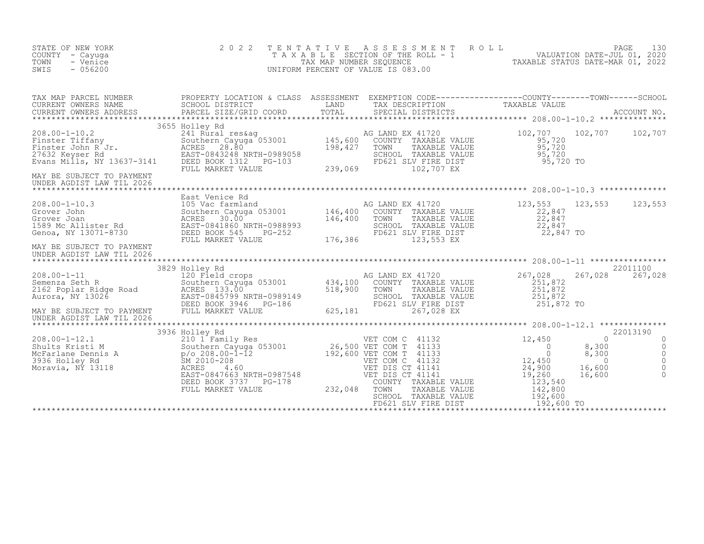| STATE OF NEW YORK<br>COUNTY - Cayuga<br>TOWN<br>- Venice<br>$-056200$<br>SWIS                                                                                                                                                                | 2 0 2 2<br>TENTATIVE                                                                                                                                                                                                                                                                                                          |                                                      | ASSESSMENT ROLL<br>UNIFORM PERCENT OF VALUE IS 083.00                                                                                                   | PAGE<br>T A X A B L E SECTION OF THE ROLL - 1 WALUATION DATE-JUL 01, 2020<br>TAX MAP NUMBER SEQUENCE TAXABLE STATUS DATE-MAR 01, 2022<br>JNIFORM PERCENT OF VALUE IS 083.00                                 | 130                                                            |
|----------------------------------------------------------------------------------------------------------------------------------------------------------------------------------------------------------------------------------------------|-------------------------------------------------------------------------------------------------------------------------------------------------------------------------------------------------------------------------------------------------------------------------------------------------------------------------------|------------------------------------------------------|---------------------------------------------------------------------------------------------------------------------------------------------------------|-------------------------------------------------------------------------------------------------------------------------------------------------------------------------------------------------------------|----------------------------------------------------------------|
| TAX MAP PARCEL NUMBER<br>CURRENT OWNERS NAME<br>CURRENT OWNERS ADDRESS                                                                                                                                                                       |                                                                                                                                                                                                                                                                                                                               |                                                      |                                                                                                                                                         | PROPERTY LOCATION & CLASS ASSESSMENT EXEMPTION CODE------------------COUNTY--------TOWN------SCHOOL<br>SCHOOL DISTRICT LAND TAX DESCRIPTION TAXABLE VALUE<br>PARCEL SIZE/GRID COORD TOTAL SPECIAL DISTRICTS |                                                                |
| 208.00-1-10.2<br>Finster Tiffany Southe<br>Finster John R Jr. ACRES<br>27632 Keyser Rd EAST-0<br>Evans Mills, NY 13637-3141<br>MAY BE SUBJECT TO PAYMENT<br>UNDER AGDIST LAW TIL 2026                                                        | 3655 Holley Rd<br>--- Nurai res&ag<br>Southern Cayuga 053001 145,600<br>ACRES 28.80<br>EAST-0843240 ----<br>EAST-0843248 NRTH-0989058<br>DEED BOOK 1312<br>$\frac{1}{2}$<br>PG-103<br>FULL MARKET VALUE                                                                                                                       | 239,069                                              | AG LAND EX 41720<br>COUNTY TAXABLE VALUE<br>TAXABLE VALUE<br>TOWN<br>SCHOOL TAXABLE VALUE<br>FD621 SLV FIRE DIST<br>102,707 EX                          | 102,707 102,707 102,707<br>95,720<br>95,720<br>95,720<br>95,720 TO                                                                                                                                          |                                                                |
| 208.00-1-10.3<br>Crover John Southern Cayuga 053001 146,400<br>Grover Joan Southern Cayuga 053001 146,400<br>1589 Mc Allister Rd EAST-0841860 NRTH-0988993 146,400<br>Genoa, NY 13071-8730 DEED BOOK 545 PG-252<br>MAY BE SUBJECT TO PAYMENT | FULL MARKET VALUE                                                                                                                                                                                                                                                                                                             | 176,386                                              | AG LAND EX 41720<br>COUNTY TAXABLE VALUE<br>TOWN<br>TAXABLE VALUE<br>SCHOOL TAXABLE VALUE<br>FD621 SLV FIRE DIST<br>123 FERE DIST<br>123,553 EX         | 123,553 123,553 123,553<br>22,847<br>22,847<br>22,847<br>22,847 TO                                                                                                                                          |                                                                |
| UNDER AGDIST LAW TIL 2026<br>$208.00 - 1 - 11$<br>208.00-1-11<br>Semenza Seth R<br>2162 Poplar Ridge Road<br>Aurora, NY 13026<br>MAY BE SUBJECT TO PAYMENT<br>UNDER AGDIST LAW TIL 2026                                                      | 3829 Holley Rd<br>120 Field crops<br>Southern Cayuga $053001$ 434,100<br>ACRES 133.00<br>EAST-0845799 NRTH-0989149<br>DEED BOOK 3946 PG-186<br>FULL MARKET VALUE                                                                                                                                                              | 518,900<br>$-0989149$<br>G-186<br>625,181<br>625,181 | AG LAND EX 41720<br>COUNTY TAXABLE VALUE<br>TOWN<br>TAXABLE VALUE<br>SCHOOL TAXABLE VALUE<br>FD621 SLV FIRE DIST<br>267,028 EX                          | 267,028<br>267,028<br>251,872<br>251,872<br>251,872<br>251,872 TO                                                                                                                                           | 22011100<br>267,028                                            |
| Shults Kristi M<br>McFarlane Dennis A<br>3936 Holley Rd<br>McTarlane Dennis A<br>3936 Holley Rd<br>Moravia, NY 13118<br>McRES 4 60                                                                                                           | Nothern Caylors (1920)<br>Southern Caylors (192, 600 VET COM T<br>192, 600 VET COM T<br>192, 600 VET COM T<br>192, 600 VET COM C<br>192, 600 VET COM C<br>192, 600 VET COM C<br>192, 600 VET COM C<br>192, 600 VET COM C<br>192, 600 VET COM C<br><br>EAST-0847663 NRTH-0987548<br>DEED BOOK 3737 PG-178<br>FULL MARKET VALUE | 232,048                                              | VET COM C 41132<br>VET DIS CT 41141<br>VET DIS CT 41141<br>COUNTY TAXABLE VALUE<br>TOWN<br>TAXABLE VALUE<br>SCHOOL TAXABLE VALUE<br>FD621 SLV FIRE DIST | 12,450<br>$\Omega$<br>$\overline{0}$<br>8,300<br>$\overline{0}$<br>8,300<br>$\frac{12}{24}$ , $\frac{450}{290}$<br>$\bigcirc$<br>16,600<br>19,260<br>16,600<br>123,540<br>142,800<br>192,600<br>192,600 TO  | 22013190<br>0<br>$\mathbf 0$<br>$\overline{0}$<br>0<br>$\circ$ |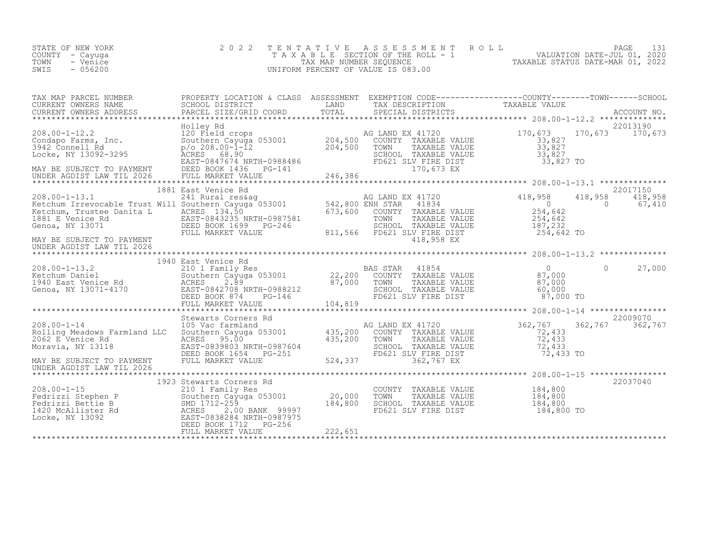| STATE OF NEW YORK<br>COUNTY – Cayuga<br>TOWN<br>- Venice<br>$-056200$<br>SWIS | 2022 TENTATIVE ASSESSMENT ROLL<br>TAXABLE SECTION OF THE ROLL - 1<br>TAX MAP NUMBER SEOUENCE<br>UNIFORM PERCENT OF VALUE IS 083.00 | TAXABLE STATUS DATE-MAR 01, 2022 | PAGE 131<br>VALUATION DATE-JUL 01, 2020 |  |
|-------------------------------------------------------------------------------|------------------------------------------------------------------------------------------------------------------------------------|----------------------------------|-----------------------------------------|--|
|                                                                               |                                                                                                                                    |                                  |                                         |  |

| TAX MAP PARCEL NUMBER                                                                                                                                                                                                                                                                | PROPERTY LOCATION & CLASS ASSESSMENT EXEMPTION CODE----------------COUNTY-------TOWN-----SCHOOL |                                                                                                                                                 |                       |                    |
|--------------------------------------------------------------------------------------------------------------------------------------------------------------------------------------------------------------------------------------------------------------------------------------|-------------------------------------------------------------------------------------------------|-------------------------------------------------------------------------------------------------------------------------------------------------|-----------------------|--------------------|
| TAX MAP FARCES NAMEN SCHOOL DISTRICT WAS ADDENTIFIED TO TAXABLE VALUE<br>CURRENT OWNERS ADDRESS BARCEL SIZE/GRID COORD TOTAL SPECIAL DISTRICTS ACCOUNT NO.<br>TAXABLE VALUE ACCOUNT NO. ACCOUNT MO. TOTAL SPECIAL DISTRICTS ACCOUNT<br>CURRENT OWNERS NAME<br>CURRENT OWNERS ADDRESS |                                                                                                 |                                                                                                                                                 |                       |                    |
|                                                                                                                                                                                                                                                                                      |                                                                                                 |                                                                                                                                                 |                       |                    |
|                                                                                                                                                                                                                                                                                      | Holley Rd                                                                                       |                                                                                                                                                 |                       | 22013190           |
|                                                                                                                                                                                                                                                                                      |                                                                                                 | AG LAND EX 41720 170, 673 170, 673 170, 673                                                                                                     |                       |                    |
|                                                                                                                                                                                                                                                                                      |                                                                                                 |                                                                                                                                                 |                       |                    |
| 2008.00-1-13.1<br>Netchum Irrevocable Trust Will Southern Cayuga 053001<br>Ketchum, Trustee Danita L<br>E Venice Rainta L<br>E Venice Rainta L<br>SOUTHER STAR 41834<br>1891 E Venice Rainta L<br>Controlling County TAXABLE VALUE<br>1891 E V<br>UNDER AGDIST LAW TIL 2026          | 1881 East Venice Rd                                                                             |                                                                                                                                                 |                       | 22017150           |
|                                                                                                                                                                                                                                                                                      |                                                                                                 |                                                                                                                                                 |                       |                    |
|                                                                                                                                                                                                                                                                                      | 1940 East Venice Rd                                                                             |                                                                                                                                                 |                       |                    |
|                                                                                                                                                                                                                                                                                      |                                                                                                 |                                                                                                                                                 |                       | 22009070           |
|                                                                                                                                                                                                                                                                                      |                                                                                                 |                                                                                                                                                 | 72,433 TO             | 362,767<br>362,767 |
| UNDER AGDIST LAW TIL 2026                                                                                                                                                                                                                                                            |                                                                                                 |                                                                                                                                                 |                       |                    |
|                                                                                                                                                                                                                                                                                      | 1923 Stewarts Corners Rd                                                                        |                                                                                                                                                 |                       | 22037040           |
| 208.00-1-15<br>Fedrizzi Stephen P<br>Fedrizzi Bettie B<br>1420 McAllister Rd<br>1620 McAllister Rd<br>1620 McRES 2.00 BANK 99997<br>20,000<br>20,000<br>20,000<br>20,000<br>20,000<br>20,000<br>20,000<br>20,000<br>20,000<br>20,000<br>20,000<br>20,000<br>20,000                   |                                                                                                 | COUNTY TAXABLE VALUE 184,800<br>TOWN TAXABLE VALUE 184,800<br>TOWN TAXABLE VALUE 184,800<br>SCHOOL TAXABLE VALUE 184,800<br>FD621 SLV FIRE DIST | 184,800<br>184,800 TO |                    |
|                                                                                                                                                                                                                                                                                      |                                                                                                 |                                                                                                                                                 |                       |                    |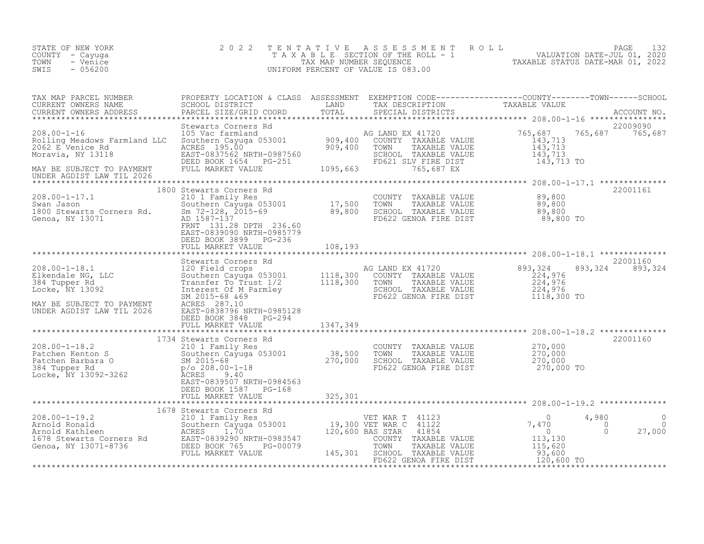| STATE OF NEW YORK<br>COUNTY - Cayuga<br>TOWN<br>- Venice<br>$-056200$<br>SWIS                                                                                                                                                                                                                                     | 2022 |  | TENTATIVE ASSESSMENT ROLL PAGE 132<br>TAXABLE SECTION OF THE ROLL - 1 VALUATION DATE-JUL 01, 2020<br>TAX MAP NUMBER SEQUENCE TAXABLE STATUS DATE-MAR 01, 2022<br>UNIFORM PERCENT OF VALUE IS 083.00 |          |
|-------------------------------------------------------------------------------------------------------------------------------------------------------------------------------------------------------------------------------------------------------------------------------------------------------------------|------|--|-----------------------------------------------------------------------------------------------------------------------------------------------------------------------------------------------------|----------|
| TAX MAP PARCEL NUMBER PROPERTY LOCATION & CLASS ASSESSMENT EXEMPTION CODE-----------------COUNTY--------TOWN------SCHOOL CURRENT OWNERS NAME SCHOOL DISTRICT LAND TAX DESCRIPTION TAXABLE VALUE ACCOUNT NO.<br>CURRENT OWNERS ADD                                                                                 |      |  |                                                                                                                                                                                                     | 22009090 |
|                                                                                                                                                                                                                                                                                                                   |      |  | 765,687 765,687                                                                                                                                                                                     |          |
|                                                                                                                                                                                                                                                                                                                   |      |  |                                                                                                                                                                                                     |          |
| 1800 Stewarts Corners Rd<br>2008.00-1-17.1 210 1 Family Res<br>Swan Jason Southern Cayuga 053001 17,500 TOWN TAXABLE VALUE<br>1800 Stewarts Corners Rd. Sm 72-128, 2015-69 89,800 SCHOOL TAXABLE VALUE<br>Genoa, NY 13071 2017 131.28                                                                             |      |  |                                                                                                                                                                                                     | 22001161 |
|                                                                                                                                                                                                                                                                                                                   |      |  |                                                                                                                                                                                                     |          |
| 308.00-1-18.1<br>208.00-1-18.1<br>Elkenda NG LAMP EX 41720<br>384 Tupper Rd<br>384 Tupper Rd<br>1002<br>224,976<br>384 Tupper Rd<br>224,976<br>384 Tupper Rd<br>224,976<br>384 Tupper Rd<br>224,976<br>384 Tupper Rd<br>224,976<br>384 Tupper Rd<br>302 Intere                                                    |      |  | 893, 324 893, 324                                                                                                                                                                                   | 22001160 |
|                                                                                                                                                                                                                                                                                                                   |      |  |                                                                                                                                                                                                     |          |
|                                                                                                                                                                                                                                                                                                                   |      |  |                                                                                                                                                                                                     | 22001160 |
|                                                                                                                                                                                                                                                                                                                   |      |  |                                                                                                                                                                                                     |          |
| $\begin{tabular}{lcccc} \texttt{208.00-1-19.2} & 1678 \text{ 53001} & 1678 \text{ 5301} & 1678 \text{ 5301} & 1678 \text{ 5301} & 1678 \text{ 5302} & 1678 \text{ 5301} & 1678 \text{ 5301} & 1678 \text{ 5301} & 1678 \text{ 5302} & 1678 \text{ 5301} & 1678 \text{ 5302} & 1678 \text{ 5301} & 1678 \text{ 53$ |      |  |                                                                                                                                                                                                     |          |
|                                                                                                                                                                                                                                                                                                                   |      |  |                                                                                                                                                                                                     |          |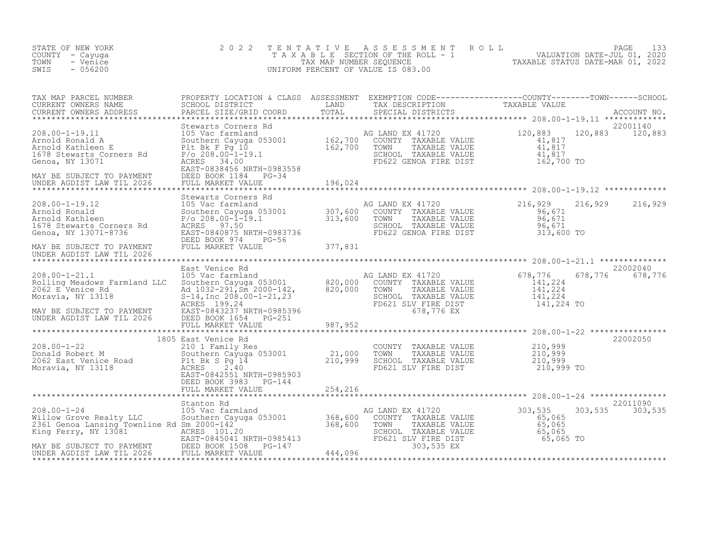| STATE OF NEW YORK<br>COUNTY - Cayuga<br>TOWN<br>- Venice<br>SWIS<br>$-056200$                                                                                                                                                                                                                                                                                                              | 2 0 2 2                                          |         |                                                                                                                                                              | TENTATIVE ASSESSMENT ROLL MALUATION DATE-JUL 01, 2020<br>TAXABLE SECTION OF THE ROLL - 1 VALUATION DATE-JUL 01, 2020<br>TAXABLE STATUS DATE-MAR 01, 2022<br>UNIFORM PERCENT OF VALUE IS 083.00 |                             |
|--------------------------------------------------------------------------------------------------------------------------------------------------------------------------------------------------------------------------------------------------------------------------------------------------------------------------------------------------------------------------------------------|--------------------------------------------------|---------|--------------------------------------------------------------------------------------------------------------------------------------------------------------|------------------------------------------------------------------------------------------------------------------------------------------------------------------------------------------------|-----------------------------|
| TAX MAP PARCEL NUMBER PROPERTY LOCATION & CLASS ASSESSMENT EXEMPTION CODE-----------------COUNTY--------TOWN------SCHOOL CURRENT OWNERS NAME SCHOOL DISTRICT LAND TAX DESCRIPTION TAXABLE VALUE<br>CURRENT OWNERS ADDRESS PARCEL                                                                                                                                                           | PARCEL SIZE/GRID COORD                           |         |                                                                                                                                                              |                                                                                                                                                                                                |                             |
| $\begin{tabular}{lllllllllllll} \textbf{208.00--1-19.11} & \textbf{5} & \textbf{5} & \textbf{6} & \textbf{6} & \textbf{6} & \textbf{700} & \textbf{80} & \textbf{80} & \textbf{90} & \textbf{120} & \textbf{120} & \textbf{120} & \textbf{120} & \textbf{120} & \textbf{120} & \textbf{120} & \textbf{120} & \textbf{120} & \textbf{120} & \textbf{120} & \textbf{120} & \textbf{120} & \$ | Stewarts Corners Rd<br>DEED BOOK 1184 PG-34      | 196,024 |                                                                                                                                                              |                                                                                                                                                                                                | 22001140<br>120,883 120,883 |
|                                                                                                                                                                                                                                                                                                                                                                                            |                                                  |         |                                                                                                                                                              |                                                                                                                                                                                                | 216,929 216,929             |
| 208.00-1-19.12<br>Arnold Ronald<br>Arnold Kathleen<br>1678 Stewarts Corners Rd<br>Genoa, NY 13071-8736<br>Genoa, NY 13071-8736                                                                                                                                                                                                                                                             |                                                  |         |                                                                                                                                                              |                                                                                                                                                                                                |                             |
| MAY BE SUBJECT TO PAYMENT<br>UNDER AGDIST LAW TIL 2026                                                                                                                                                                                                                                                                                                                                     |                                                  |         |                                                                                                                                                              |                                                                                                                                                                                                |                             |
|                                                                                                                                                                                                                                                                                                                                                                                            | East Venice Rd                                   |         |                                                                                                                                                              |                                                                                                                                                                                                | 22002040<br>678,776 678,776 |
|                                                                                                                                                                                                                                                                                                                                                                                            |                                                  |         | AG LAND EX 41720 678,776 678<br>COUNTY TAXABLE VALUE 141,224<br>TOWN TAXABLE VALUE 141,224<br>SCHOOL TAXABLE VALUE 141,224<br>FD621 SLV_FIRE DIST 141,224 TO |                                                                                                                                                                                                |                             |
|                                                                                                                                                                                                                                                                                                                                                                                            |                                                  |         |                                                                                                                                                              |                                                                                                                                                                                                |                             |
|                                                                                                                                                                                                                                                                                                                                                                                            |                                                  |         |                                                                                                                                                              |                                                                                                                                                                                                |                             |
| 208.00-1-22<br>Donald Robert M<br>2062 East Venice Road<br>Moravia, NY 13118<br>Moravia, NY 13118<br>2062 East Venice Road<br>21,000<br>21,000<br>21,000<br>21,000<br>21,000<br>21,000<br>21,000<br>21,000<br>21,000<br>21,000<br>21,000<br>21,000<br>21,999                                                                                                                               | 1805 East Venice Rd<br>EAST-0842551 NRTH-0985903 |         | COUNTY TAXABLE VALUE $210,999$<br>TOWN TAXABLE VALUE $210,999$<br>SCHOOL TAXABLE VALUE $210,999$<br>FD621 SLV FIRE DIST 210 999<br>FD621 SLV FIRE DIST       | 210,999 TO                                                                                                                                                                                     | 22002050                    |
|                                                                                                                                                                                                                                                                                                                                                                                            | DEED BOOK 3983 PG-144<br>FULL MARKET VALUE       | 254,216 |                                                                                                                                                              |                                                                                                                                                                                                |                             |
| Xtanton Rd 368.00-1-24<br>Willow Grove Realty LLC<br>2361 Genoa Lansing Townline Rd Southern Cayuga 053001<br>2361 Genoa Lansing Townline Rd Sm 2000-142<br>King Ferry, NY 13081<br>2367-0845041 NRTH-0985413<br>2368,600 TOWN TAXABLE VAL                                                                                                                                                 | Stanton Rd                                       |         | G LAND EX 41720<br>COUNTY TAXABLE VALUE 65,065<br>TOWN TAXABLE VALUE 65,065<br>SCHOOL TAXABLE VALUE 65,065<br>FD621 SLV FIRE DIST 65,065 TO                  |                                                                                                                                                                                                | 22011090<br>303,535 303,535 |
|                                                                                                                                                                                                                                                                                                                                                                                            |                                                  |         |                                                                                                                                                              |                                                                                                                                                                                                |                             |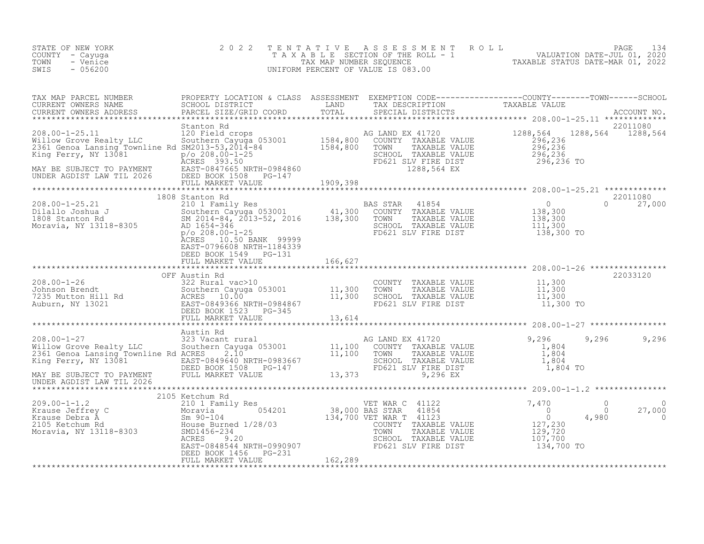| STATE OF NEW YORK<br>COUNTY - Cayuga<br>- Venice<br>TOWN<br>SWIS<br>$-056200$                                                                                                                                                                                                                                                                                 | 2 0 2 2                                                                                         |         | TENTATIVE ASSESSMENT ROLL PAGE 134<br>TAXABLE SECTION OF THE ROLL - 1 VALUATION DATE-JUL 01, 2020<br>TAX MAP NUMBER SEQUENCE TAXABLE STATUS DATE-MAR 01, 2022<br>UNIFORM PERCENT OF VALUE IS 083.00 |               |                                                                                                                                              |                                       |                                |
|---------------------------------------------------------------------------------------------------------------------------------------------------------------------------------------------------------------------------------------------------------------------------------------------------------------------------------------------------------------|-------------------------------------------------------------------------------------------------|---------|-----------------------------------------------------------------------------------------------------------------------------------------------------------------------------------------------------|---------------|----------------------------------------------------------------------------------------------------------------------------------------------|---------------------------------------|--------------------------------|
|                                                                                                                                                                                                                                                                                                                                                               |                                                                                                 |         |                                                                                                                                                                                                     |               |                                                                                                                                              |                                       |                                |
|                                                                                                                                                                                                                                                                                                                                                               |                                                                                                 |         | SCHOOL TAXABLE VALUE<br>FD621 SLV FIRE DIST<br>1288,564 EX                                                                                                                                          |               | 1288,564 1288,564 1288,564<br>$296, 236$<br>$296, 236$<br>$296, 236$<br>$296, 236$<br>$296, 236$ TO                                          |                                       | 22011080                       |
|                                                                                                                                                                                                                                                                                                                                                               |                                                                                                 |         |                                                                                                                                                                                                     |               |                                                                                                                                              |                                       |                                |
|                                                                                                                                                                                                                                                                                                                                                               | 1808 Stanton Rd<br>ACRES 10.50 BANK 99999<br>EAST-0796608 NRTH-1184339<br>DEED BOOK 1549 PG-131 |         |                                                                                                                                                                                                     |               |                                                                                                                                              | $\Omega$                              | 22011080<br>27,000             |
|                                                                                                                                                                                                                                                                                                                                                               | FULL MARKET VALUE                                                                               | 166,627 |                                                                                                                                                                                                     |               |                                                                                                                                              |                                       |                                |
|                                                                                                                                                                                                                                                                                                                                                               | OFF Austin Rd                                                                                   |         |                                                                                                                                                                                                     |               |                                                                                                                                              |                                       | 22033120                       |
|                                                                                                                                                                                                                                                                                                                                                               | FULL MARKET VALUE                                                                               | 13,614  | COUNTY TAXABLE VALUE $11,300$<br>TOWN TAXABLE VALUE $11,300$<br>SCHOOL TAXABLE VALUE $11,300$<br>SCHOOL TIVETE NATUE 11,300<br>FD621 SLV FIRE DIST                                                  |               | 11,300 TO                                                                                                                                    |                                       |                                |
|                                                                                                                                                                                                                                                                                                                                                               |                                                                                                 |         |                                                                                                                                                                                                     |               |                                                                                                                                              |                                       |                                |
| Austin Rd<br>208.00-1-27 323 Vacant rural<br>208.00-1-27 323 Vacant rural<br>2361 Genoa Lansing Townline Rd ACRES 2.10<br>2361 Genoa Lansing Townline Rd ACRES 2.10<br>2361 Genoa Lansing Townline Rd ACRES 2.10<br>2361 Genoa Lansing Tow<br>MAY BE SUBJECT TO PAYMENT<br>UNDER AGDIST LAW TIL 2026<br>UNDER AGDIST LAW TIL 2026                             |                                                                                                 |         | TOWN TAXABLE VALUE<br>SCHOOL TAXABLE VALUE<br>FD621 SLV FIRE DIST                                                                                                                                   |               | 9,296<br>$\begin{array}{r} 1,804 \\ 1,804 \\ 1,804 \end{array}$<br>1,804 TO                                                                  | 9,296                                 | 9,296                          |
|                                                                                                                                                                                                                                                                                                                                                               | 2105 Ketchum Rd                                                                                 |         |                                                                                                                                                                                                     |               |                                                                                                                                              |                                       |                                |
| $\begin{tabular}{lcccc} 209.00-1-1.2 & 2105 Ketchum Rd & 2105 Ketchum Rd & 2100 Krause Jeffrey C & 2101 Family Res \\ Krause Debra A & 2101 Yamily Res & 38,000 BAS STAR 418542105 Ketchum Rd & 2105 Ketchum Rd & 134,700 VET WAR T 411232105 Ketchum Rd & 134,700 VET WAR T 411232105 Ketchum Rd & 134,700 VET WAR T 411232105 Ketchum Rd & 134,700 VET WAR$ | DEED BOOK 1456 PG-231<br>FULL MARKET VALUE                                                      | 162,289 | COUNTY TAXABLE VALUE<br>SCHOOL TAXABLE VALUE<br>FD621 SLV FIRE DIST                                                                                                                                 | TAXABLE VALUE | 7,470<br>$\begin{array}{c} \n 1, 4, 1 \cup \\ \n 0 \\ \n 0 \\ \n \end{array}$<br>U<br>127,230<br>129,720<br>107,700<br>107,700<br>134,700 TO | $\bigcirc$<br>$\overline{0}$<br>4,980 | $\Omega$<br>27,000<br>$\Omega$ |
|                                                                                                                                                                                                                                                                                                                                                               |                                                                                                 |         |                                                                                                                                                                                                     |               |                                                                                                                                              |                                       |                                |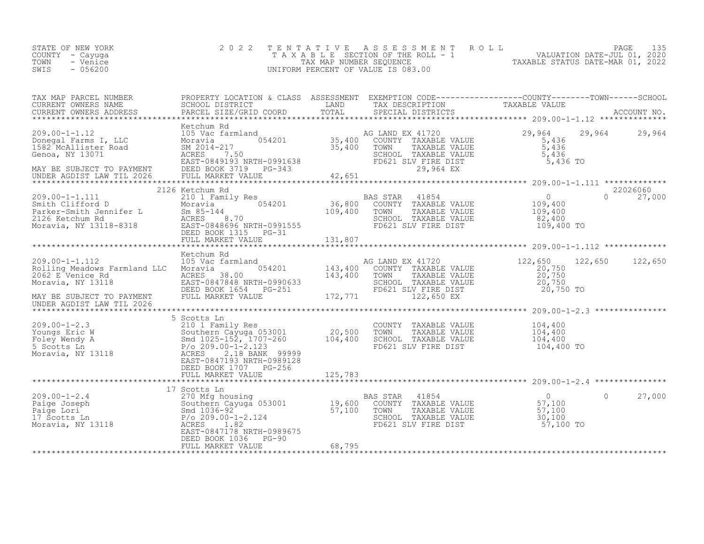| STATE OF NEW YORK<br>COUNTY - Cayuga<br>- Venice<br>TOWN<br>SWIS<br>$-056200$                                                                                                                                                          | 2 0 2 2    |  | TENTATIVE ASSESSMENT ROLL PAGE 135<br>TAXABLE SECTION OF THE ROLL - 1 VALUATION DATE-JUL 01, 2020<br>TAX MAP NUMBER SEQUENCE TAXABLE STATUS DATE-MAR 01, 2022<br>UNIFORM PERCENT OF VALUE IS 083.00 |                           |
|----------------------------------------------------------------------------------------------------------------------------------------------------------------------------------------------------------------------------------------|------------|--|-----------------------------------------------------------------------------------------------------------------------------------------------------------------------------------------------------|---------------------------|
| TAX MAP PARCEL NUMBER PROPERTY LOCATION & CLASS ASSESSMENT EXEMPTION CODE----------------COUNTY--------TOWN------SCHOOL CURRENT OWNERS NAME SCHOOL DISTRICT LAND TAX DESCRIPTION CONTRENT TAXABLE VALUE<br>CURRENT OWNERS ADDRESS      |            |  |                                                                                                                                                                                                     |                           |
|                                                                                                                                                                                                                                        |            |  |                                                                                                                                                                                                     |                           |
| 2126 Ketchum Rd                                                                                                                                                                                                                        |            |  |                                                                                                                                                                                                     | 22026060<br>$0 \t 27,000$ |
| 105 Vechum Rd<br>Rolling Meadows Farmland 1LC Moravia 054201 143,400 COUNTY TAXABLE VALUE<br>20,750 202 E Venice Rd<br>Moravia, NY 13118 EAST-0847848 NRTH-0990633 EVENIE VALUE<br>Moravia, NY 13118 EAST-084784812 BOOK 1654 PG-251 F | Ketchum Rd |  |                                                                                                                                                                                                     |                           |
|                                                                                                                                                                                                                                        |            |  |                                                                                                                                                                                                     |                           |
|                                                                                                                                                                                                                                        |            |  | ************************************ 209.00-1-2.4 **************<br>$\Omega$                                                                                                                        | 27,000                    |
|                                                                                                                                                                                                                                        |            |  |                                                                                                                                                                                                     |                           |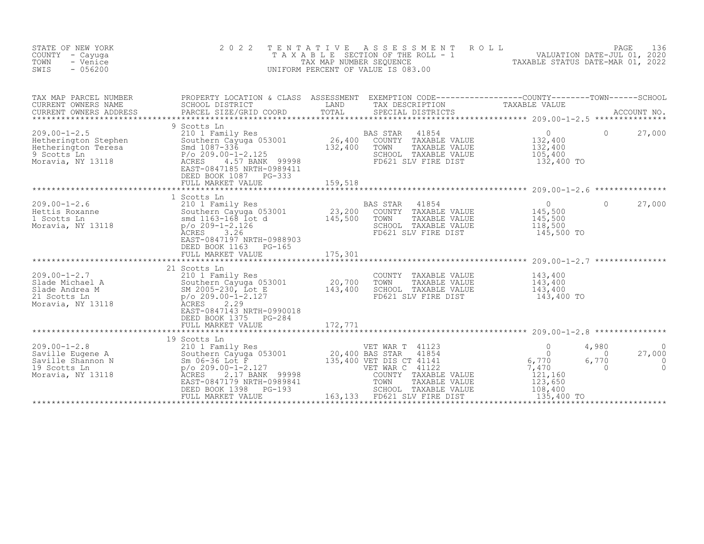| STATE OF NEW YORK<br>COUNTY - Cayuga<br>TOWN<br>- Venice<br>$-056200$<br>SWIS                                                                                                                                                                            | 2 0 2 2<br>TENTATIVE                                                                                                                                                                                                           |                              | A S S E S S M E N T<br>UNIFORM PERCENT OF VALUE IS 083.00                                                                | ROLL          | TAXABLE SECTION OF THE ROLL - 1 VALUATION DATE-JUL 01, 2020               | PAGE                                   | 136                           |
|----------------------------------------------------------------------------------------------------------------------------------------------------------------------------------------------------------------------------------------------------------|--------------------------------------------------------------------------------------------------------------------------------------------------------------------------------------------------------------------------------|------------------------------|--------------------------------------------------------------------------------------------------------------------------|---------------|---------------------------------------------------------------------------|----------------------------------------|-------------------------------|
| TAX MAP PARCEL NUMBER<br>CURRENT OWNERS NAME<br>CURRENT OWNERS ADDRESS                                                                                                                                                                                   |                                                                                                                                                                                                                                |                              |                                                                                                                          |               |                                                                           |                                        |                               |
| $209.00 - 1 - 2.5$<br>Examples and 1087-336<br>Hetherington Stephen<br>Southern Cayuga 053<br>Hetherington Teresa<br>9 Scotts Ln<br>Moravia, NY 13118<br>ACRES 24.57 BANK<br>PAGES<br>ACRES 24.57 BANK                                                   | 9 Scotts Ln<br>210 1 Family Res<br>Southern Cayuga 053001<br>4.57 BANK 99998<br>EAST-0847185 NRTH-0989411<br>DEED BOOK 1087 PG-333                                                                                             | 26,400<br>132,400            | BAS STAR<br>41854<br>COUNTY TAXABLE VALUE<br>TOWN<br>SCHOOL TAXABLE VALUE<br>FD621 SLV FIRE DIST                         | TAXABLE VALUE | $\overline{0}$<br>132,400<br>132,400<br>105,400<br>132,400 TO             | $\Omega$                               | 27,000                        |
|                                                                                                                                                                                                                                                          | 1 Scotts Ln                                                                                                                                                                                                                    |                              |                                                                                                                          |               |                                                                           |                                        |                               |
|                                                                                                                                                                                                                                                          | <b>ACRES</b><br>3.26<br>EAST-0847197 NRTH-0988903<br>DEED BOOK 1163<br>PG-165<br>FULL MARKET VALUE                                                                                                                             | 175,301                      | <b>BAS STAR</b><br>41854<br>COUNTY TAXABLE VALUE<br>TOWN<br>TAXABLE VALUE<br>SCHOOL TAXABLE VALUE<br>FD621 SLV FIRE DIST |               | $\Omega$<br>145,500<br>145,500<br>118,500<br>145,500 TO                   | $\Omega$                               | 27,000                        |
|                                                                                                                                                                                                                                                          |                                                                                                                                                                                                                                |                              |                                                                                                                          |               |                                                                           |                                        |                               |
| 209.00-1-2.7<br>Slade Michael A<br>Slade Andrea M<br>21 Southern Cayuga 053001<br>Slade Andrea M<br>21 Scotts In<br>21 Scotts In<br>22 Southern Cayuga 053001<br>22 Scotts In<br>22 Scotts In<br>22 Scotts In<br>22 Scotts In<br>22 Scotts In<br>22 Scot | EAST-0847143 NRTH-0990018<br>DEED BOOK 1375<br>PG-284<br>FULL MARKET VALUE                                                                                                                                                     | 20,700<br>143,400<br>172,771 | COUNTY TAXABLE VALUE<br>TOWN<br>TAXABLE VALUE<br>SCHOOL TAXABLE VALUE<br>FD621 SLV FIRE DIST                             |               | 143,400<br>143,400<br>143,400<br>143,400 TO                               |                                        |                               |
|                                                                                                                                                                                                                                                          | *************************************                                                                                                                                                                                          | ************                 |                                                                                                                          |               |                                                                           |                                        |                               |
| 209.00-1-2.8<br>Saville Eugene A Southern Cayuya Correlation Saville Shannon N Sm 06-36 Lot F<br>$p/o 209.00-1-2.127$<br>$p/o 209.00-1-2.127$<br>2.17 BANK<br>Moravia, NY 13118 ACRES                                                                    | 19 Scotts Ln<br>210 1 Family Res<br>Southern Cayuga 053001 20,400 BAS STAR 41854<br>Sm 06-36 Lot F 125,400 VET DIS CT 41141<br>2.17 BANK 99998<br>EAST-0847179 NRTH-0989841<br>DEED BOOK 1398<br>$PG-193$<br>FULL MARKET VALUE | 163,133                      | VET WAR C 41122<br>COUNTY TAXABLE VALUE<br>TOWN<br>TAXABLE VALUE<br>SCHOOL TAXABLE VALUE<br>FD621 SLV FIRE DIST          |               | $\Omega$<br>6,770<br>7,470<br>121,160<br>123,650<br>108,400<br>135,400 TO | 4,980<br>$\Omega$<br>6,770<br>$\Omega$ | 27,000<br>$\circ$<br>$\Omega$ |
|                                                                                                                                                                                                                                                          |                                                                                                                                                                                                                                |                              |                                                                                                                          |               |                                                                           |                                        |                               |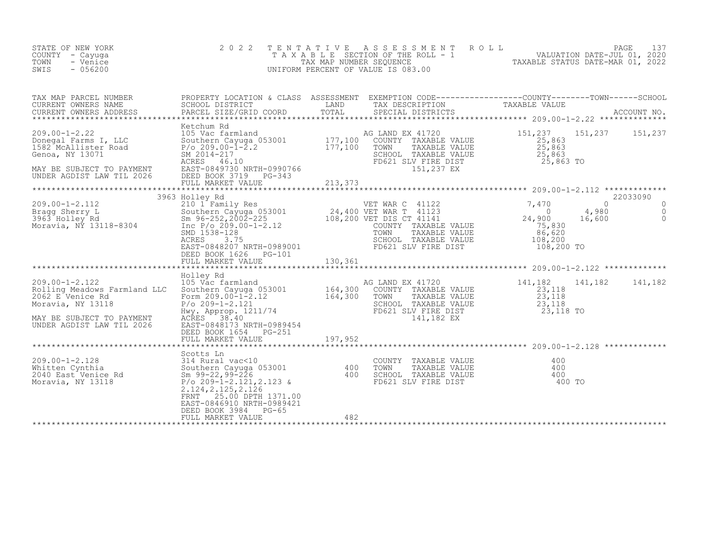| STATE OF NEW YORK<br>COUNTY - Cayuga<br>TOWN<br>- Venice<br>$-056200$<br>SWIS                                                                                                                                                                     | 2 0 2 2                                                                                                                                                                                                                       | TENTATIVE<br>TANABLE SECTION OF THE ROLL - 1 1999 VALUATION DATE-JUL 01, 2020<br>TAX MAP NUMBER SEQUENCE TAXABLE STATUS DATE-MAR 01, 2022<br>UNIFORM PERCENT OF VALUE IS 083.00 | ASSESSMENT ROLL                                                                                                        |                                                                                   | PAGE<br>137                                                               |
|---------------------------------------------------------------------------------------------------------------------------------------------------------------------------------------------------------------------------------------------------|-------------------------------------------------------------------------------------------------------------------------------------------------------------------------------------------------------------------------------|---------------------------------------------------------------------------------------------------------------------------------------------------------------------------------|------------------------------------------------------------------------------------------------------------------------|-----------------------------------------------------------------------------------|---------------------------------------------------------------------------|
| TAX MAP PARCEL NUMBER<br>CURRENT OWNERS NAME<br>CURRENT OWNERS ADDRESS                                                                                                                                                                            | PROPERTY LOCATION & CLASS ASSESSMENT EXEMPTION CODE----------------COUNTY-------TOWN-----SCHOOL<br>SCHOOL DISTRICT<br>PARCEL SIZE/GRID COORD                                                                                  | LAND<br>TOTAL                                                                                                                                                                   | TAX DESCRIPTION TAXABLE VALUE<br>SPECIAL DISTRICTS TAXABLE VALUE<br>SPECIAL DISTRICTS                                  |                                                                                   | ACCOUNT NO.                                                               |
| $209.00 - 1 - 2.22$<br>Donegal Farms I, LLC<br>1582 McAllister Road<br>Genoa, NY 13071<br>MAY BE SUBJECT TO PAYMENT<br>UNDER AGDIST LAW TIL 2026                                                                                                  | Ketchum Rd<br>105 Vac farmland<br>Southern Cayuga 053001 177,100<br>P/o 209.00-1-2.2 177,100<br>SM 2014-217<br>SM 2014-217<br>ACRES 46.10<br>EAST-0849730 NRTH-0990766<br>DEED BOOK 3719 PG-343<br>FULL MARKET VALUE          | AG LAND EX 41720<br>TOWN<br>213,373                                                                                                                                             | COUNTY TAXABLE VALUE<br>TAXABLE VALUE<br>SCHOOL TAXABLE VALUE<br>FD621 SLV FIRE DIST<br>151.237 EX<br>151,237 EX       | 151,237 151,237<br>25,863<br>25,863<br>25,863<br>25,863 TO                        | 151,237                                                                   |
|                                                                                                                                                                                                                                                   |                                                                                                                                                                                                                               |                                                                                                                                                                                 |                                                                                                                        |                                                                                   |                                                                           |
| 209.00-1-2.112<br>Bragg Sherry L<br>3963 Holley Rd<br>Moravia, NY 13118-8304<br>Moravia, NY 13118-8304<br>SMURIER 209.00-1-2.12<br>Moravia, NY 13118-8304<br>Moravia, NY 13118-8304<br>SMURIER 209.00-1-2.12<br>Moravia, NY 13118-8304<br>TAXABLE | 3963 Holley Rd<br>SMD 1538-128<br>ACRES<br>3.75<br>EAST-0848207 NRTH-0989001<br>DEED BOOK 1626   PG-101<br>FULL MARKET VALUE                                                                                                  | TOWN<br>130,361                                                                                                                                                                 | COUNTY TAXABLE VALUE<br>TAXABLE VALUE<br>SCHOOL TAXABLE VALUE<br>FD621 SLV FIRE DIST                                   | $\frac{7.4}{9}$<br>24, 900<br>24,900<br>75,830<br>86,620<br>108,200<br>108,200 TO | 22033090<br>$\Omega$<br>$\circ$<br>4,980<br>$\circ$<br>16,600<br>$\Omega$ |
|                                                                                                                                                                                                                                                   |                                                                                                                                                                                                                               |                                                                                                                                                                                 |                                                                                                                        |                                                                                   |                                                                           |
| 209.00-1-2.122<br>Rolling Meadows Farmland LLC<br>2062 E Venice Rd<br>Moravia, NY 13118<br>MAY BE SUBJECT TO PAYMENT<br>UNDER AGDIST LAW TIL 2026                                                                                                 | Holley Rd<br>noiley Ku<br>105 Vac farmland<br>Southern Cayuga 053001 164,300<br>Form 209.00-1-2.12 164,300<br>P/o 209-1-2.121<br>Hwy. Approp. 1211/74<br>ACRES 38.40<br>ACRES <sup>1</sup> 38.40<br>EAST-0848173 NRTH-0989454 | TOWN                                                                                                                                                                            | AG LAND EX 41720<br>COUNTY TAXABLE VALUE<br>TAXABLE VALUE<br>SCHOOL TAXABLE VALUE<br>FD621 SLV FIRE DIST<br>141,182 EX | 23,118<br>23,118<br>23,118<br>23,118 TO                                           | 141, 182 141, 182 141, 182                                                |
|                                                                                                                                                                                                                                                   | DEED BOOK 1654 PG-251                                                                                                                                                                                                         |                                                                                                                                                                                 |                                                                                                                        |                                                                                   |                                                                           |
|                                                                                                                                                                                                                                                   | FULL MARKET VALUE                                                                                                                                                                                                             | 197,952                                                                                                                                                                         |                                                                                                                        |                                                                                   |                                                                           |
| Whitten Cynthia<br>2040 East Venice Rd<br>Moravia, NY 13118                                                                                                                                                                                       | Scotts Ln<br>314 Rural vac<10<br>Southern Cayuga 053001 400<br>Sm 99–22, 99–226 400<br>P/o 209–1–2.121, 2.123 & 400<br>2.124, 2.125, 2.126<br>25.00 DPTH 1371.00<br>FRNT<br>EAST-0846910 NRTH-0989421                         | TOWN                                                                                                                                                                            | COUNTY TAXABLE VALUE<br>TAXABLE VALUE<br>SCHOOL TAXABLE VALUE<br>FD621 SLV FIRE DIST                                   | 400<br>400<br>400<br>400 TO                                                       |                                                                           |
|                                                                                                                                                                                                                                                   | DEED BOOK 3984 PG-65<br>FULL MARKET VALUE                                                                                                                                                                                     | 482                                                                                                                                                                             |                                                                                                                        |                                                                                   |                                                                           |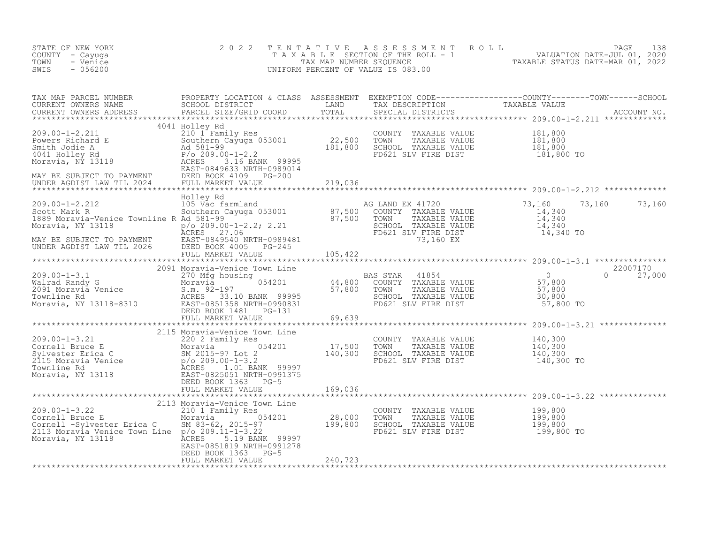| STATE OF NEW YORK<br>COUNTY - Cayuga<br>- Venice<br>TOWN<br>SWIS<br>$-056200$                                                                                                                                                                                         | 2 0 2 2                                                               |                 | TENTATIVE ASSESSMENT ROLL PAGE 138<br>TAXABLE SECTION OF THE ROLL - 1 VALUATION DATE-JUL 01, 2020<br>TAX MAP NUMBER SEQUENCE TAXABLE STATUS DATE-MAR 01, 2022<br>UNIFORM PERCENT OF VALUE IS 083.00                                       |
|-----------------------------------------------------------------------------------------------------------------------------------------------------------------------------------------------------------------------------------------------------------------------|-----------------------------------------------------------------------|-----------------|-------------------------------------------------------------------------------------------------------------------------------------------------------------------------------------------------------------------------------------------|
|                                                                                                                                                                                                                                                                       |                                                                       |                 |                                                                                                                                                                                                                                           |
|                                                                                                                                                                                                                                                                       |                                                                       |                 |                                                                                                                                                                                                                                           |
|                                                                                                                                                                                                                                                                       |                                                                       |                 |                                                                                                                                                                                                                                           |
|                                                                                                                                                                                                                                                                       |                                                                       |                 | UNDER AGDIST LAW TIL 2026<br>MORE SOLUTE MARKET VALUE<br>MORE AGDIST TREE DISTRIBUTE AND EXABLE VALUE<br>MORE SOLUTE TO PAYMENT EXABLE VALUE<br>MORE SOLUTE TO PAYMENT AND RAND EXAINSEX AND EXAINELY AND TRANSPORT TRANSPORT 14, 340<br> |
|                                                                                                                                                                                                                                                                       |                                                                       |                 |                                                                                                                                                                                                                                           |
|                                                                                                                                                                                                                                                                       |                                                                       |                 |                                                                                                                                                                                                                                           |
|                                                                                                                                                                                                                                                                       |                                                                       |                 |                                                                                                                                                                                                                                           |
|                                                                                                                                                                                                                                                                       |                                                                       |                 |                                                                                                                                                                                                                                           |
|                                                                                                                                                                                                                                                                       |                                                                       |                 |                                                                                                                                                                                                                                           |
| 209.00-1-3.22<br>209.00-1-3.22<br>Cornell Bruce E<br>Cornell Sylvester Erica C<br>2013 Moravia Venice Town Line<br>2013 Moravia Venice Town Line<br>2014 28,000 TOWN TAXABLE VALUE<br>28,000 TOWN TAXABLE VALUE<br>28,000 TOWN TAXABLE VALUE<br><br>Moravia, NY 13118 | EAST-0851819 NRTH-0991278<br>DEED BOOK 1363 PG-5<br>FULL MARKET VALUE | $G - 5$ 240,723 |                                                                                                                                                                                                                                           |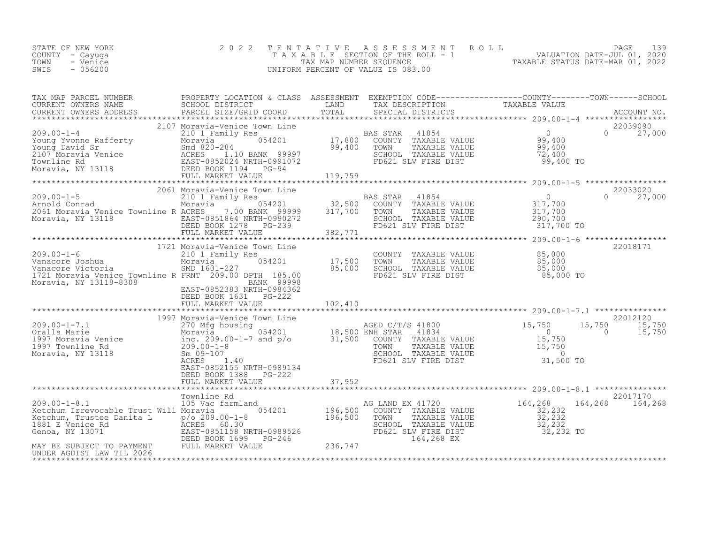| $-056200$<br>SWIS<br>UNIFORM PERCENT OF VALUE IS 083.00 | STATE OF NEW YORK<br>COUNTY – Cayuga<br>TOWN<br>- Venice |  | 2022 TENTATIVE ASSESSMENT ROLL<br>T A X A B L E SECTION OF THE ROLL - 1<br>TAX MAP NUMBER SEQUENCE |  | TAXABLE STATUS DATE-MAR 01, 2022 | PAGE<br>VALUATION DATE-JUL 01, 2020 | 139 |
|---------------------------------------------------------|----------------------------------------------------------|--|----------------------------------------------------------------------------------------------------|--|----------------------------------|-------------------------------------|-----|
|---------------------------------------------------------|----------------------------------------------------------|--|----------------------------------------------------------------------------------------------------|--|----------------------------------|-------------------------------------|-----|

| TAX MAP PARCEL NUMBER<br>CURRENT OWNERS NAME<br>CURRENT OWNERS ADDRESS<br>PARCEL SIZE/GRID COORD<br>$\begin{minipage}{.45\textwidth} \begin{minipage}{.45\textwidth} \begin{minipage}{.45\textwidth} \begin{minipage}{.45\textwidth} \begin{minipage}{.45\textwidth} \begin{minipage}{.45\textwidth} \begin{minipage}{.45\textwidth} \begin{minipage}{.45\textwidth} \begin{minipage}{.45\textwidth} \begin{minipage}{.45\textwidth} \begin{minipage}{.45\textwidth} \begin{minipage}{.45\textwidth} \begin{minipage}{.45\textwidth} \begin{minipage}{.45\textwidth} \begin{minipage}{.45\textwidth} \begin{minipage}{.45$ | PROPERTY LOCATION & CLASS ASSESSMENT EXEMPTION CODE----------------COUNTY-------TOWN-----SCHOOL<br><b>EXAMPLE DESCRIPTION OF A LAND</b>                                        |         | TAX DESCRIPTION                                                                                                                             | TAXABLE VALUE                                 |                              |
|----------------------------------------------------------------------------------------------------------------------------------------------------------------------------------------------------------------------------------------------------------------------------------------------------------------------------------------------------------------------------------------------------------------------------------------------------------------------------------------------------------------------------------------------------------------------------------------------------------------------------|--------------------------------------------------------------------------------------------------------------------------------------------------------------------------------|---------|---------------------------------------------------------------------------------------------------------------------------------------------|-----------------------------------------------|------------------------------|
|                                                                                                                                                                                                                                                                                                                                                                                                                                                                                                                                                                                                                            |                                                                                                                                                                                |         |                                                                                                                                             |                                               |                              |
|                                                                                                                                                                                                                                                                                                                                                                                                                                                                                                                                                                                                                            |                                                                                                                                                                                |         |                                                                                                                                             |                                               |                              |
|                                                                                                                                                                                                                                                                                                                                                                                                                                                                                                                                                                                                                            |                                                                                                                                                                                |         |                                                                                                                                             |                                               | 22033020                     |
| 209.00-1-5<br>2009.00-1-5<br>2009.00-1-5<br>2001 Family Res<br>2001 Family Res<br>2001 Town 11854<br>2001 Moravia Moravia 2017, 200<br>2001 Moravia 2017, 200 BAS STAR 41854<br>2001 Moravia Venice Townline R ACRES 317, 200 BAN 32, 500 COUN<br>2061 Moravia Venice Townline R ACRES (100 BANA 3333)<br>Moravia, NY 13118 EAST-0851864 NRTH-0990272<br>DEED BOOK 1278 PG-239<br>FULL MARKET VALUE (100 1382,771                                                                                                                                                                                                          |                                                                                                                                                                                |         | SCHOOL TAXABLE VALUE<br>FD621 SLV FIRE DIST                                                                                                 | 290,700<br>317,700 TO                         | $0 \t 27,000$                |
|                                                                                                                                                                                                                                                                                                                                                                                                                                                                                                                                                                                                                            |                                                                                                                                                                                |         |                                                                                                                                             |                                               |                              |
| 1/21<br>Vanacore Joshua<br>Vanacore Victoria<br>1721 Moravia Venice Townline R FRNT 209.00 DPTH 185.00<br>Moravia, NY 13118-8308                                                                                                                                                                                                                                                                                                                                                                                                                                                                                           | 1721 Moravia-Venice Town Line<br>210 1 Family Res<br>Moravia<br>SMD 1631-227<br>89998 BANK<br>76890-BAST-0852383 NRTH<br>EAST-0852383 NRTH-0984362<br>DEED BOOK 1631    PG-222 |         | Town Line<br>S<br>S<br>54201 17,500 TOWN TAXABLE VALUE<br>85,000 SCHOOL TAXABLE VALUE<br>PTH 185.00 85,000 FD621 SLV FIRE DIST<br>85,000 TO |                                               | 22018171                     |
|                                                                                                                                                                                                                                                                                                                                                                                                                                                                                                                                                                                                                            | FULL MARKET VALUE                                                                                                                                                              | 102,410 |                                                                                                                                             |                                               |                              |
| 1997 Moravia Ventee Town Line (1997 Moravia Ventee Town Line (1997 Moravia Ventee Town Line (1997 Moravia Ventee Moravia Ventee Moravia (1997 Moravia Moravia (1997 Moravia Moravia (1997 Moravia Moravia Moravia (199.00–1–7                                                                                                                                                                                                                                                                                                                                                                                              | EAST-0852155 NRTH-0989134                                                                                                                                                      |         |                                                                                                                                             | 15,750<br>$\overline{0}$                      | 22012120<br>15,750<br>15,750 |
|                                                                                                                                                                                                                                                                                                                                                                                                                                                                                                                                                                                                                            | DEED BOOK 1388 PG-222<br>FULL MARKET VALUE                                                                                                                                     | 37,952  |                                                                                                                                             |                                               |                              |
|                                                                                                                                                                                                                                                                                                                                                                                                                                                                                                                                                                                                                            |                                                                                                                                                                                |         | AG LAND EX 41720 164,268                                                                                                                    | 164,268                                       | 22017170<br>164,268          |
| Exerchim, Trustee Danita L<br>196,500<br>196,500<br>196,500<br>Genoa, NY 13071<br>MAY BE SUBJECT TO PAYMENT<br>MAY BE SUBJECT TO PAYMENT<br>TULL MARKET VALUE<br>TULL MARKET VALUE<br>236,747<br>NDER AGDIST LAW TIL 2026<br>NDER AGDIST LAW TIL 202                                                                                                                                                                                                                                                                                                                                                                       |                                                                                                                                                                                |         | SCHOOL TAXABLE VALUE<br>FD621 SLV FIRE DIST<br>164,268 EX                                                                                   | $32, 232$<br>$32, 232$<br>32,232<br>32,232 TO |                              |
|                                                                                                                                                                                                                                                                                                                                                                                                                                                                                                                                                                                                                            |                                                                                                                                                                                |         |                                                                                                                                             |                                               |                              |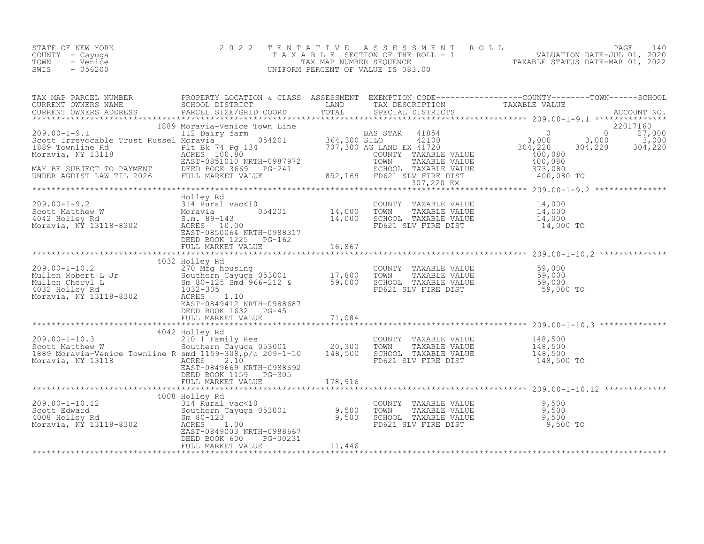| STATE OF NEW YORK | 2022 TENTATIVE ASSESSMENT ROLL     | 140<br>PAGE                      |
|-------------------|------------------------------------|----------------------------------|
| COUNTY – Cayuga   | TAXABLE SECTION OF THE ROLL - 1    | VALUATION DATE-JUL 01, 2020      |
| TOWN<br>- Venice  | TAX MAP NUMBER SEOUENCE            | TAXABLE STATUS DATE-MAR 01, 2022 |
| $-056200$<br>SWIS | UNIFORM PERCENT OF VALUE IS 083.00 |                                  |

| $\begin{tabular}{lllllllllllllllllllllll} \textsc{Value} & \textsc{PAPE} & \textsc{PAPE} & \textsc{PAPE} & \textsc{PAPE} & \textsc{PAPE} & \textsc{PAPE} & \textsc{PAPE} & \textsc{PAPE} & \textsc{PAPE} & \textsc{PAPE} & \textsc{PAPE} & \textsc{PAPE} & \textsc{PAPE} & \textsc{PAPE} & \textsc{PAPE} & \textsc{PAPE} & \textsc{PAPE} & \textsc{PAPE} & \textsc{PAPE} & \textsc{PAPE} & \textsc{PAPE} & \textsc{P$                                                           |  |  |  |
|---------------------------------------------------------------------------------------------------------------------------------------------------------------------------------------------------------------------------------------------------------------------------------------------------------------------------------------------------------------------------------------------------------------------------------------------------------------------------------|--|--|--|
|                                                                                                                                                                                                                                                                                                                                                                                                                                                                                 |  |  |  |
|                                                                                                                                                                                                                                                                                                                                                                                                                                                                                 |  |  |  |
| $\begin{tabular}{lllllllllllll} \multicolumn{3}{l} \multicolumn{3}{l}{} & \multicolumn{3}{l}{} & \multicolumn{3}{l}{} & \multicolumn{3}{l}{} & \multicolumn{3}{l}{} & \multicolumn{3}{l}{} & \multicolumn{3}{l}{} & \multicolumn{3}{l}{} & \multicolumn{3}{l}{} & \multicolumn{3}{l}{} & \multicolumn{3}{l}{} & \multicolumn{3}{l}{} & \multicolumn{3}{l}{} & \multicolumn{3}{l}{} & \multicolumn{3}{l}{} & \multicolumn{3}{l}{} & \multicolumn{3}{l}{} & \multicolumn{3}{l}{}$ |  |  |  |
|                                                                                                                                                                                                                                                                                                                                                                                                                                                                                 |  |  |  |
|                                                                                                                                                                                                                                                                                                                                                                                                                                                                                 |  |  |  |
|                                                                                                                                                                                                                                                                                                                                                                                                                                                                                 |  |  |  |
|                                                                                                                                                                                                                                                                                                                                                                                                                                                                                 |  |  |  |
|                                                                                                                                                                                                                                                                                                                                                                                                                                                                                 |  |  |  |
|                                                                                                                                                                                                                                                                                                                                                                                                                                                                                 |  |  |  |
|                                                                                                                                                                                                                                                                                                                                                                                                                                                                                 |  |  |  |
|                                                                                                                                                                                                                                                                                                                                                                                                                                                                                 |  |  |  |
|                                                                                                                                                                                                                                                                                                                                                                                                                                                                                 |  |  |  |
|                                                                                                                                                                                                                                                                                                                                                                                                                                                                                 |  |  |  |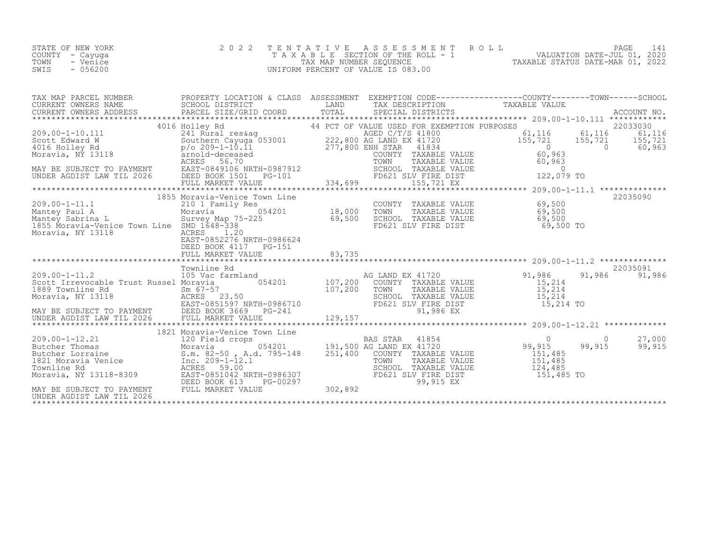| STATE OF NEW YORK | 2022 TENTATIVE ASSESSMENT ROLL        |                                  | PAGE                        |  |
|-------------------|---------------------------------------|----------------------------------|-----------------------------|--|
| COUNTY - Cayuga   | T A X A B L E SECTION OF THE ROLL - 1 |                                  | VALUATION DATE-JUL 01, 2020 |  |
| TOWN<br>- Venice  | TAX MAP NUMBER SEOUENCE               | TAXABLE STATUS DATE-MAR 01, 2022 |                             |  |
| $-056200$<br>SWIS | UNIFORM PERCENT OF VALUE IS 083.00    |                                  |                             |  |

| TAX MAP PARCEL NUMBER                                                                             | PROPERTY LOCATION & CLASS ASSESSMENT EXEMPTION CODE----------------COUNTY-------TOWN------SCHOOL                                                                                                                                                                            |  |  |          |
|---------------------------------------------------------------------------------------------------|-----------------------------------------------------------------------------------------------------------------------------------------------------------------------------------------------------------------------------------------------------------------------------|--|--|----------|
|                                                                                                   |                                                                                                                                                                                                                                                                             |  |  |          |
| 209.00-1-11.1<br>Mantey Paul A<br>Mantey Sabrina L.<br>1855 Moravia-Venice Town Line SMD 1648-338 | 1855 Moravia-Venice Town Line<br>ACTES 210 1 Family Res<br>Moravia 210 1 Family Res<br>Moravia 210 1 Family Res<br>Moravia 254201 28,000 TOWN TAXABLE VALUE 69,500<br>Survey Map 75-225 69,500 SCHOOL TAXABLE VALUE 69,500<br>SMD 1648-338<br>ACRES 20021 SLV FIRE DIST 69, |  |  | 22035090 |
|                                                                                                   |                                                                                                                                                                                                                                                                             |  |  |          |
| UNDER AGDIST LAW TIL 2026                                                                         |                                                                                                                                                                                                                                                                             |  |  |          |
|                                                                                                   |                                                                                                                                                                                                                                                                             |  |  |          |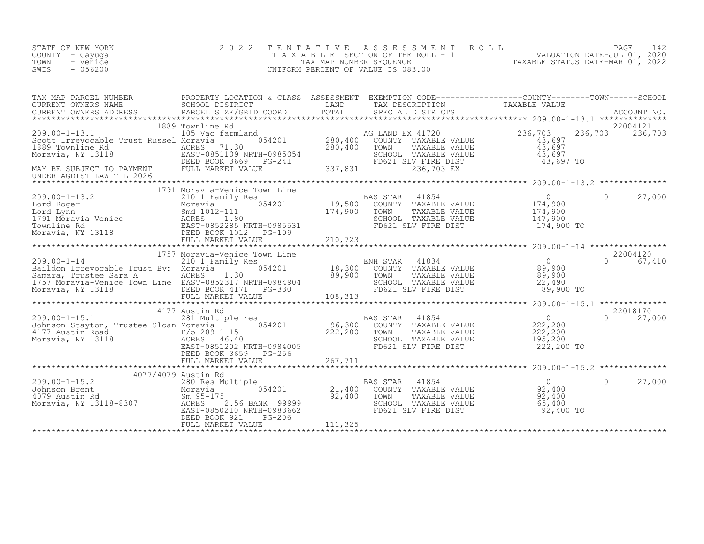| STATE OF NEW YORK<br>COUNTY - Cayuga<br>TOWN<br>- Venice<br>SWIS<br>- 056200 | 2022 TENTATIVE ASSESSMENT ROLL<br>T A X A B L E SECTION OF THE ROLL - 1<br>TAX MAP NUMBER SEQUENCE<br>UNIFORM PERCENT OF VALUE IS 083.00 | TAXABLE STATUS DATE-MAR 01, 2022 | PAGE 1<br>VALUATION DATE-JUL 01, 2020 |  |
|------------------------------------------------------------------------------|------------------------------------------------------------------------------------------------------------------------------------------|----------------------------------|---------------------------------------|--|
|                                                                              |                                                                                                                                          |                                  |                                       |  |

| TAX MAP PARCEL NUMBER                                                                                                                                                                                                                | PROPERTY LOCATION & CLASS ASSESSMENT EXEMPTION CODE----------------COUNTY-------TOWN------SCHOOL |  |               |
|--------------------------------------------------------------------------------------------------------------------------------------------------------------------------------------------------------------------------------------|--------------------------------------------------------------------------------------------------|--|---------------|
| CURRENT OWNERS NAME SCHOOL DISTRICT CORD IN THE TRIDE TRIDE TRIDE TRIDE TRIDE TRIDE TRIDE TRIDE TRIDE TRIDE TR<br>CURRENT OWNERS ADDRESS PARCEL SIZE/GRID COORD TOTAL SPECIAL DISTRICTS PARABLE VALUE ACCOUNT NO.<br>*************** |                                                                                                  |  |               |
|                                                                                                                                                                                                                                      |                                                                                                  |  |               |
|                                                                                                                                                                                                                                      |                                                                                                  |  |               |
|                                                                                                                                                                                                                                      |                                                                                                  |  |               |
|                                                                                                                                                                                                                                      |                                                                                                  |  |               |
|                                                                                                                                                                                                                                      |                                                                                                  |  |               |
|                                                                                                                                                                                                                                      |                                                                                                  |  |               |
|                                                                                                                                                                                                                                      |                                                                                                  |  | 22018170      |
|                                                                                                                                                                                                                                      |                                                                                                  |  | $0 \t 27,000$ |
|                                                                                                                                                                                                                                      |                                                                                                  |  |               |
|                                                                                                                                                                                                                                      |                                                                                                  |  |               |
|                                                                                                                                                                                                                                      |                                                                                                  |  |               |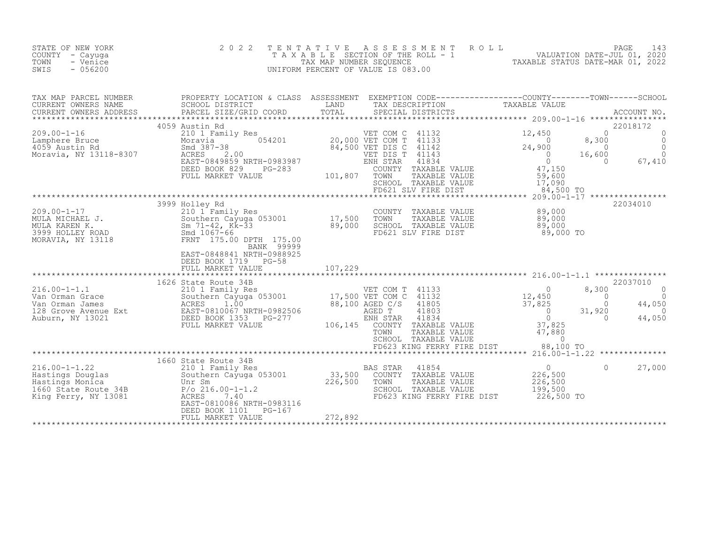| STATE OF NEW YORK<br>COUNTY - Cayuga<br>TOWN<br>- Venice<br>SWIS<br>$-056200$                                                                                                                                                                                                      | 2 0 2 2                                                                 |               | TENTATIVE ASSESSMENT ROLL<br>UNIFORM PERCENT OF VALUE IS 083.00                                                                  | PAGE 143<br>TAXABLE SECTION OF THE ROLL - 1 VALUATION DATE-JUL 01, 2020<br>TAX MAP NUMBER SEQUENCE TAXABLE STATUS DATE-MAR 01, 2022<br>INIFORM PERCENT OF VALUE IS 083.00 |                                                                                                                                   |
|------------------------------------------------------------------------------------------------------------------------------------------------------------------------------------------------------------------------------------------------------------------------------------|-------------------------------------------------------------------------|---------------|----------------------------------------------------------------------------------------------------------------------------------|---------------------------------------------------------------------------------------------------------------------------------------------------------------------------|-----------------------------------------------------------------------------------------------------------------------------------|
| TAX MAP PARCEL NUMBER PROPERTY LOCATION & CLASS ASSESSMENT EXEMPTION CODE-----------------COUNTY--------TOWN------SCHOOL CURRENT OWNERS NAME SCHOOL DISTRICT LAND TAX DESCRIPTION TAXABLE VALUE<br>CURRENT OWNERS ADDRESS PARCEL                                                   |                                                                         |               |                                                                                                                                  |                                                                                                                                                                           |                                                                                                                                   |
| $\begin{tabular}{lllllllllllll} 209.00-1-16 & 4059 \text{ Austin Rd} & 12,450 & 12,450 & 12,450 & 12,450 & 12,450 & 12,450 & 12,450 & 12,450 & 12,450 & 12,450 & 12,450 & 12,450 & 12,450 & 12,450 & 12,450 & 12,450 & 12,450 & 12,450 & 12,450 & 12,450 & 12,450 & 12,450 & 12,4$ | 4059 Austin Rd                                                          |               |                                                                                                                                  | 8,300<br>0 , 30<br>0<br>16,600<br>84,500 TO                                                                                                                               | 22018172<br>$\bigcap$<br>$\circ$<br>0<br>0 0<br>600 0<br>0 67,410                                                                 |
| Arr All Changes Corporation of the MULA MICHAEL J.<br>MULA MICHAEL J.<br>MULA KAREN K.<br>MULA KAREN K.<br>Southern Cayuga 053001 17,500<br>Sm 71-42, Kk-33 89,000<br>MORAVIA, NY 13118 FRNT 175.00<br>MORAVIA, NY 13118 EAST-0848841 NPTY 0                                       | DEED BOOK 1719 PG-58<br>FULL MARKET VALUE                               | 107,229       | COUNTY TAXABLE VALUE $89,000$<br>TOWN TAXABLE VALUE $89,000$<br>SCHOOL TAXABLE VALUE $89,000$<br>FD621 SLV FIRE DIST $89,000$ TO | **********************************    209.00-1-17    *****************                                                                                                    | 22034010                                                                                                                          |
|                                                                                                                                                                                                                                                                                    | 1626 State Route 34B                                                    | ************* | FD623 KING FERRY FIRE DIST 88,100 TO                                                                                             | 8,300<br>$\begin{matrix} 0 \\ 0 \end{matrix}$<br>$\sim$ 0                                                                                                                 | 22037010<br>$\sim$ 000 $\sim$ 000 $\sim$ 000 $\sim$ 000 $\sim$ 000 $\sim$<br>$\Omega$<br>44,050<br>31,920<br>$\bigcirc$<br>44,050 |
|                                                                                                                                                                                                                                                                                    | EAST-0810086 NRTH-0983116<br>DEED BOOK 1101 PG-167<br>FULL MARKET VALUE | 272,892       | FD623 KING FERRY FIRE DIST                                                                                                       | $\overline{0}$<br>226,500<br>226,500<br>199,500<br>226,500 TO                                                                                                             | $\Omega$<br>27,000                                                                                                                |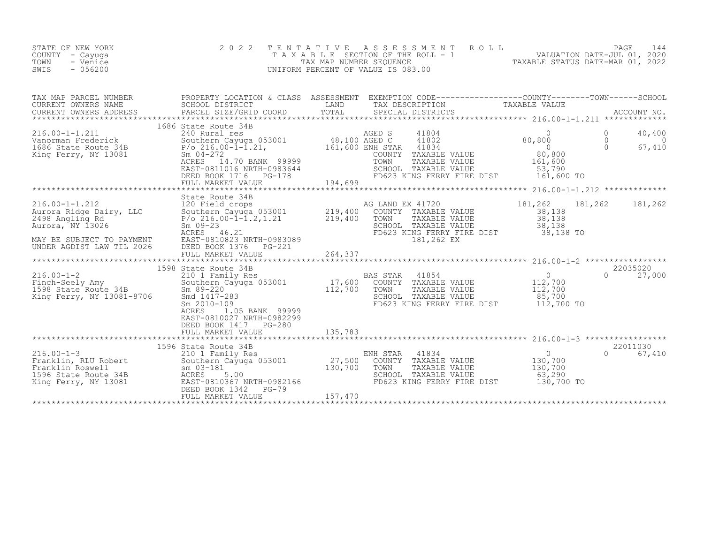| STATE OF NEW YORK<br>COUNTY - Cayuga<br>TOWN<br>- Venice<br>$-056200$<br>SWIS                                                                                                                                                                                                                                                                                                                                                                             | 2 0 2 2                                               |         | TENTATIVE ASSESSMENT ROLL PAGE 144<br>TAXABLE SECTION OF THE ROLL - 1 VALUATION DATE-JUL 01, 2020<br>TAX MAP NUMBER SEQUENCE TAXABLE STATUS DATE-MAR 01, 2022<br>UNIFORM PERCENT OF VALUE IS 083.00 |                            |
|-----------------------------------------------------------------------------------------------------------------------------------------------------------------------------------------------------------------------------------------------------------------------------------------------------------------------------------------------------------------------------------------------------------------------------------------------------------|-------------------------------------------------------|---------|-----------------------------------------------------------------------------------------------------------------------------------------------------------------------------------------------------|----------------------------|
|                                                                                                                                                                                                                                                                                                                                                                                                                                                           |                                                       |         |                                                                                                                                                                                                     |                            |
| $\begin{tabular}{c cccc} \textbf{1686 State Route} & \textbf{368 State Route} & \textbf{368 State Route} & \textbf{368 State Route} & \textbf{368 & \textbf{544e Route} & \textbf{368 & \textbf{654e Route} & \textbf{368 & \textbf{74e Note}} & \textbf{368 & \textbf{854e Note}} \\ & \textbf{240 Rural res} & \textbf{348 & \textbf{348 & \textbf{1804} & \textbf{1804} & \textbf{1804} & \textbf{1804} \\ \textbf{1686 State Route 34B} & \textbf{54$ |                                                       |         |                                                                                                                                                                                                     | 40,400<br>67,410<br>67,410 |
|                                                                                                                                                                                                                                                                                                                                                                                                                                                           |                                                       |         |                                                                                                                                                                                                     |                            |
| 316.00-1-1.212<br>Aurora Ridge Dairy, LLC 120 Field crops<br>2198 Angling Rd P/o 216.00-1-1.2,1.21 219,400 COUNTY TAXABLE VALUE<br>2198 Angling Rd P/o 216.00-1-1.2,1.21 219,400 TOWN TAXABLE VALUE 38,138<br>Aurora, NY 13026 Secrets                                                                                                                                                                                                                    |                                                       |         |                                                                                                                                                                                                     |                            |
|                                                                                                                                                                                                                                                                                                                                                                                                                                                           |                                                       |         |                                                                                                                                                                                                     |                            |
| 1598 State Route 34B<br>216.00-1-2 210 1 Family Res<br>Finch-Seely Amy 210 1 Family Res<br>1598 State Route 34B<br>Xing Ferry, NY 13081-8706 5md 1417-283                                                                                                                                                                                                                                                                                                 | EAST-0810027 NRTH-0982299<br>DEED BOOK 1417    PG-280 |         |                                                                                                                                                                                                     |                            |
|                                                                                                                                                                                                                                                                                                                                                                                                                                                           |                                                       |         |                                                                                                                                                                                                     |                            |
|                                                                                                                                                                                                                                                                                                                                                                                                                                                           | DEED BOOK 1342 PG-79<br>FULL MARKET VALUE             | 157,470 |                                                                                                                                                                                                     |                            |

\*\*\*\*\*\*\*\*\*\*\*\*\*\*\*\*\*\*\*\*\*\*\*\*\*\*\*\*\*\*\*\*\*\*\*\*\*\*\*\*\*\*\*\*\*\*\*\*\*\*\*\*\*\*\*\*\*\*\*\*\*\*\*\*\*\*\*\*\*\*\*\*\*\*\*\*\*\*\*\*\*\*\*\*\*\*\*\*\*\*\*\*\*\*\*\*\*\*\*\*\*\*\*\*\*\*\*\*\*\*\*\*\*\*\*\*\*\*\*\*\*\*\*\*\*\*\*\*\*\*\*\*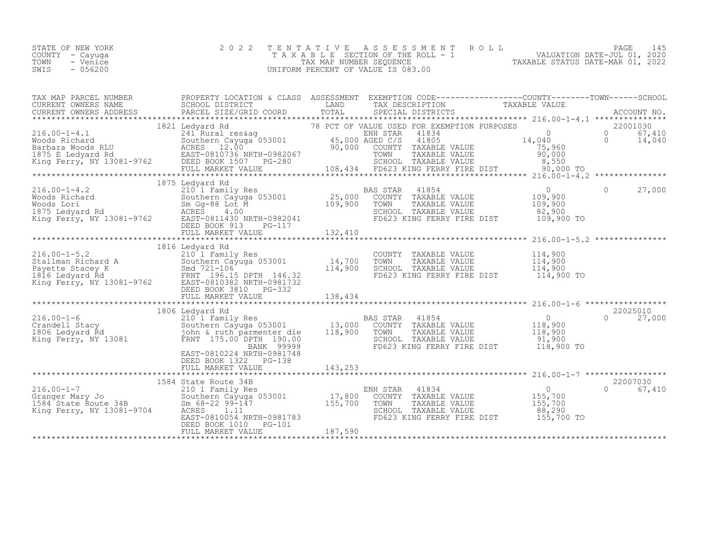| STATE OF NEW YORK | 2022 TENTATIVE ASSESSMENT ROLL     | PAGE 145                         |
|-------------------|------------------------------------|----------------------------------|
| COUNTY – Cayuga   | TAXABLE SECTION OF THE ROLL - 1    | VALUATION DATE-JUL 01, 2020      |
| TOWN<br>- Venice  | TAX MAP NUMBER SEOUENCE            | TAXABLE STATUS DATE-MAR 01, 2022 |
| $-056200$<br>SWIS | UNIFORM PERCENT OF VALUE IS 083.00 |                                  |

| TAX MAP PARCEL NUMBER PROPERTY LOCATION & CLASS ASSESSMENT EXEMPTION CODE----------------COUNTY-------TOWN------SCHOOL<br>A MAP PARCEL SCHOOL DISTRICT<br>CURRENT OWNERS ADDRESS BARCEL SIZE/GRID COORD TOTAL SPECIAL DISTRICTS TAXABLE VALUE<br>CURRENT OWNERS ADDRESS PARCEL SIZE/GRID COORD TOTAL SPECIAL DISTRICTS ACCOUNT NO.<br>***************************                                                                                |                                                    |                                       |          |                    |
|--------------------------------------------------------------------------------------------------------------------------------------------------------------------------------------------------------------------------------------------------------------------------------------------------------------------------------------------------------------------------------------------------------------------------------------------------|----------------------------------------------------|---------------------------------------|----------|--------------------|
|                                                                                                                                                                                                                                                                                                                                                                                                                                                  |                                                    |                                       |          |                    |
| $\begin{tabular}{l cccc} \texttt{\small 18.1} & \texttt{\small 18.2} & \texttt{\small 18.2} & \texttt{\small 18.2} & \texttt{\small 18.2} & \texttt{\small 18.2} & \texttt{\small 18.2} & \texttt{\small 18.2} & \texttt{\small 18.2} & \texttt{\small 18.2} & \texttt{\small 18.2} & \texttt{\small 18.2} & \texttt{\small 18.2} & \texttt{\small 18.2} & \texttt{\small 18.2} & \texttt{\small 18.2} & \texttt{\small 18.2} & \texttt{\small $ |                                                    |                                       |          |                    |
|                                                                                                                                                                                                                                                                                                                                                                                                                                                  |                                                    |                                       |          |                    |
|                                                                                                                                                                                                                                                                                                                                                                                                                                                  |                                                    |                                       |          |                    |
|                                                                                                                                                                                                                                                                                                                                                                                                                                                  |                                                    |                                       |          |                    |
|                                                                                                                                                                                                                                                                                                                                                                                                                                                  | 1816 Ledyard Rd                                    |                                       |          |                    |
|                                                                                                                                                                                                                                                                                                                                                                                                                                                  |                                                    |                                       |          | 22025010           |
| 1806 Ledyard Rd 1806 Ledyard Rd 216.00-1-6 210 1 Family Res 216.00-1-6 210 1 Family Res 216.00-1-6 210 1 Family Res 216.00-1-6 210 1 Family Res 216.00-1-6 210 1 Family Res 216.00-1-6 210 1 Family Res 216.00-1-6 210 1 Famil                                                                                                                                                                                                                   | EAST-0810224 NRTH-0981748<br>DEED BOOK 1322 PG-138 | FD623 KING FERRY FIRE DIST 118,900 TO |          | $0 \t 27,000$      |
|                                                                                                                                                                                                                                                                                                                                                                                                                                                  |                                                    |                                       |          |                    |
|                                                                                                                                                                                                                                                                                                                                                                                                                                                  |                                                    |                                       |          |                    |
| 216.00-1-7<br>216.00-1-7<br>216.00-1-7<br>216.00-1-7<br>216.00-1-7<br>216.00-1-7<br>216.00-1-7<br>210 I Family Res<br>210 I Family Res<br>210 I Family Res<br>210 I Family Res<br>210 I Family Res<br>210 I Family Res<br>210 I Family Res<br>210 I Family                                                                                                                                                                                       |                                                    |                                       | $\Omega$ | 22007030<br>67,410 |
|                                                                                                                                                                                                                                                                                                                                                                                                                                                  |                                                    |                                       |          |                    |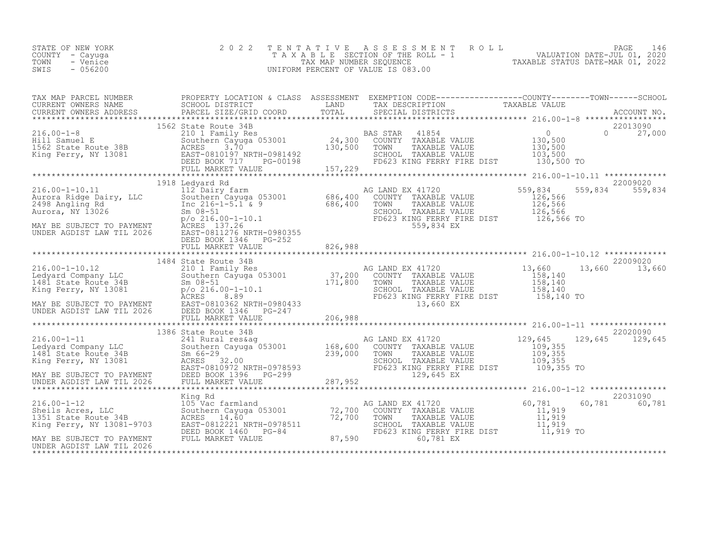| 2022 TENTATIVE ASSESSMENT ROLL<br>STATE OF NEW YORK<br>TAXABLE SECTION OF THE ROLL - 1<br>COUNTY – Cayuga<br>TAXABLE STATUS DATE-MAR 01, 2022<br>TOWN<br>- Venice<br>TAX MAP NUMBER SEOUENCE<br>- 056200<br>SWIS<br>UNIFORM PERCENT OF VALUE IS 083.00 | PAGE 146<br>VALUATION DATE-JUL 01, 2020 |  |
|--------------------------------------------------------------------------------------------------------------------------------------------------------------------------------------------------------------------------------------------------------|-----------------------------------------|--|
|--------------------------------------------------------------------------------------------------------------------------------------------------------------------------------------------------------------------------------------------------------|-----------------------------------------|--|

| 1562 State Route 34B<br>216.00-1-8 22013090<br>216.00-1-8 22013090<br>216.00-1-8 22013090<br>216.00-1-8 22013090<br>216.00-1-8 22013090<br>217,000<br>217,000<br>216.00-1-8 22013090<br>217,000<br>216.00-1-20 27,000<br>22013090<br>216.00-1-20 22013 |  |          |               |
|--------------------------------------------------------------------------------------------------------------------------------------------------------------------------------------------------------------------------------------------------------|--|----------|---------------|
|                                                                                                                                                                                                                                                        |  |          |               |
|                                                                                                                                                                                                                                                        |  |          |               |
|                                                                                                                                                                                                                                                        |  |          |               |
|                                                                                                                                                                                                                                                        |  |          |               |
|                                                                                                                                                                                                                                                        |  |          |               |
| 1386 State Route 34B<br>216.00-1-11 1386 State Route 34B<br>22020090 241 Rural res&ag<br>239,000 TOWN TAXABLE VALUE 109,355<br>MAY BE SUBJECT TO PAYMENT DEED BOOK 1396 SULL MARKET VALUE<br>237,952 RING FERRY FIRE DIST<br>237,952 RING              |  |          |               |
|                                                                                                                                                                                                                                                        |  |          |               |
|                                                                                                                                                                                                                                                        |  | 22031090 | 60,781 60,781 |
|                                                                                                                                                                                                                                                        |  |          |               |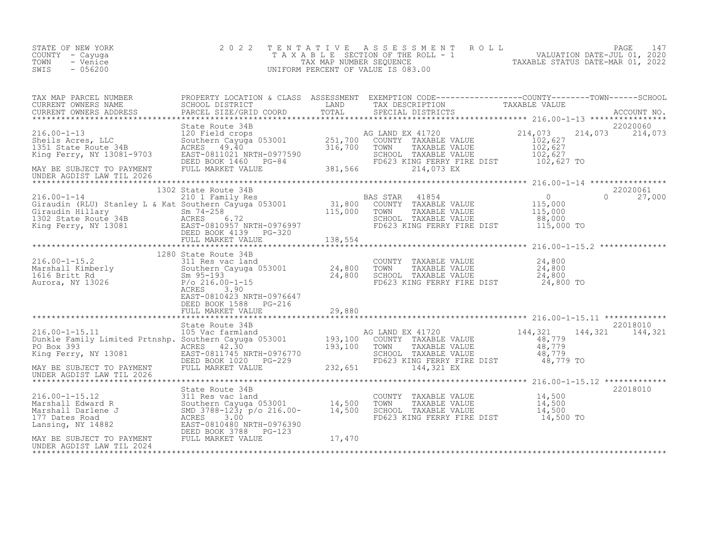| STATE OF NEW YORK<br>COUNTY - Cayuga<br>TOWN<br>- Venice<br>SWIS<br>- 056200                                                                                                                                                                                                                                                                                                                                | 2022                                                                       | TENTATIVE ASSESSMENT ROLL PACE 147<br>TAXABLE SECTION OF THE ROLL - 1 VALUATION DATE-JUL 01, 2020<br>TAX MAP NUMBER SEQUENCE TAXABLE STATUS DATE-MAR 01, 2022<br>UNIFORM PERCENT OF VALUE IS 083.00 |                             |
|-------------------------------------------------------------------------------------------------------------------------------------------------------------------------------------------------------------------------------------------------------------------------------------------------------------------------------------------------------------------------------------------------------------|----------------------------------------------------------------------------|-----------------------------------------------------------------------------------------------------------------------------------------------------------------------------------------------------|-----------------------------|
|                                                                                                                                                                                                                                                                                                                                                                                                             |                                                                            |                                                                                                                                                                                                     | 22020060<br>214,073 214,073 |
|                                                                                                                                                                                                                                                                                                                                                                                                             |                                                                            |                                                                                                                                                                                                     |                             |
| UNDER AGDIST LAW TIL 2026                                                                                                                                                                                                                                                                                                                                                                                   |                                                                            |                                                                                                                                                                                                     |                             |
| $\begin{tabular}{lllllllllllllllllllll} \begin{array}{c} & 116.00-1-14 & 1302 \text{ State Route 34B} & \text{BAS STAR 41854} & 0 & 22020061 \\ & 210.1 \text{ Family Res} & \text{BAS STAR 41854} & 0 & 0 & 27,000 \\ \text{Giraudin (RLU) Stanley L & & Kat Southern Cayuga 053001 & 31,800 & \text{COUNTY TAXABLE VALUE} & 115,000 & 0 & 27,000 \\ \text{Giraudin Hillary} & Sn & T4-258 & 6.72 & \text$ | 1302 State Route 34B                                                       |                                                                                                                                                                                                     | 22020061                    |
|                                                                                                                                                                                                                                                                                                                                                                                                             |                                                                            |                                                                                                                                                                                                     |                             |
|                                                                                                                                                                                                                                                                                                                                                                                                             | 1280 State Route 34B<br>EAST-0810423 NRTH-0976647<br>DEED BOOK 1588 PG-216 |                                                                                                                                                                                                     |                             |
|                                                                                                                                                                                                                                                                                                                                                                                                             |                                                                            |                                                                                                                                                                                                     |                             |
|                                                                                                                                                                                                                                                                                                                                                                                                             |                                                                            |                                                                                                                                                                                                     | 22018010<br>144,321 144,321 |
|                                                                                                                                                                                                                                                                                                                                                                                                             |                                                                            |                                                                                                                                                                                                     |                             |
|                                                                                                                                                                                                                                                                                                                                                                                                             |                                                                            |                                                                                                                                                                                                     | 22018010                    |
|                                                                                                                                                                                                                                                                                                                                                                                                             |                                                                            |                                                                                                                                                                                                     |                             |
|                                                                                                                                                                                                                                                                                                                                                                                                             |                                                                            |                                                                                                                                                                                                     |                             |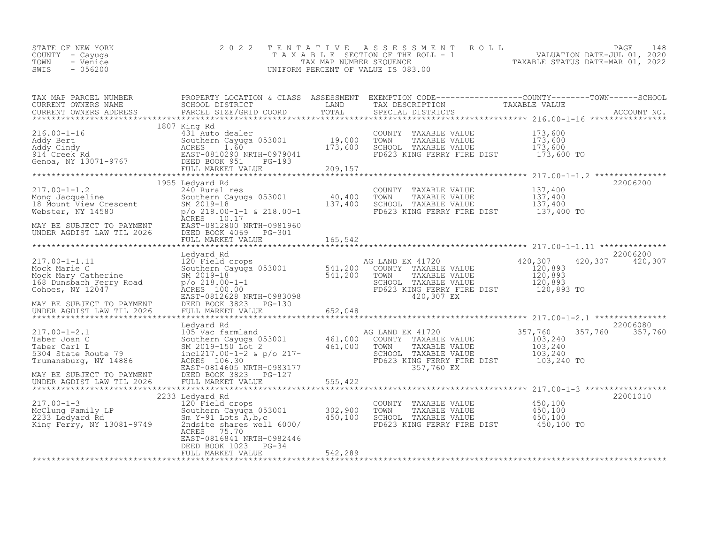| STATE OF NEW YORK<br>COUNTY – Cayuga<br>TOWN<br>- Venice<br>SWIS<br>- 056200 | 2022 TENTATIVE ASSESSMENT ROLL<br>TAXABLE SECTION OF THE ROLL - 1<br>TAX MAP NUMBER SEOUENCE<br>UNIFORM PERCENT OF VALUE IS 083.00 | PAGE 148<br>VALUATION DATE-JUL 01, 2020<br>TAXABLE STATUS DATE-MAR 01, 2022 |
|------------------------------------------------------------------------------|------------------------------------------------------------------------------------------------------------------------------------|-----------------------------------------------------------------------------|
|                                                                              |                                                                                                                                    |                                                                             |

| TAX MAP PARCEL NUMBER<br>CURRENT OWNERS NAME<br>CURRENT OWNERS ADDRESS                                                                                                                               | PROPERTY LOCATION & CLASS ASSESSMENT<br>SCHOOL DISTRICT                                                                                                                                                                                | LAND                           | TAX DESCRIPTION                                                                                                                       | EXEMPTION CODE-----------------COUNTY-------TOWN------SCHOOL<br>TAXABLE VALUE            |  |
|------------------------------------------------------------------------------------------------------------------------------------------------------------------------------------------------------|----------------------------------------------------------------------------------------------------------------------------------------------------------------------------------------------------------------------------------------|--------------------------------|---------------------------------------------------------------------------------------------------------------------------------------|------------------------------------------------------------------------------------------|--|
|                                                                                                                                                                                                      | 1807 King Rd<br>431 Auto dealer<br>Southern Cayuga 053001<br>FULL MARKET VALUE                                                                                                                                                         | 19,000<br>173,600<br>209,157   | COUNTY TAXABLE VALUE<br>TOWN<br>TAXABLE VALUE<br>SCHOOL TAXABLE VALUE<br>FD623 KING FERRY FIRE DIST                                   | 173,600<br>173,600<br>173,600<br>173,600 TO                                              |  |
| $217.00 - 1 - 1.2$<br>217.00-1-1.2<br>Mong Jacqueline<br>18 Mount View Crescent<br>Webster, NY 14580<br>20218.00-218.00<br>20218.00-218.00<br>MAY BE SUBJECT TO PAYMENT<br>UNDER AGDIST LAW TIL 2026 | 1955 Ledyard Rd<br>240 Rural res<br>Southern Cayuga 053001<br>$p$ /o 218.00-1-1 & 218.00-1<br>ACRES 10.17<br>EAST-0812800 NRTH-0981960<br>DEED BOOK 4069<br>PG-301                                                                     | $\frac{40,400}{137,400}$       | COUNTY TAXABLE VALUE<br>TOWN<br>TAXABLE VALUE<br>SCHOOL TAXABLE VALUE<br>FD623 KING FERRY FIRE DIST                                   | 22006200<br>137,400<br>137,400<br>137,400<br>137,400 TO                                  |  |
|                                                                                                                                                                                                      | FULL MARKET VALUE                                                                                                                                                                                                                      | 165,542                        |                                                                                                                                       |                                                                                          |  |
| $217.00 - 1 - 1.11$<br>Mock Marie C<br>Mock Mary Catherine<br>168 Dunsbach Ferry Road<br>Cohoes, NY 12047<br>MAY BE SUBJECT TO PAYMENT                                                               | Ledyard Rd<br>120 Field crops<br>Southern Cayuga 053001 541,200<br>SM 2019-18<br>$p$ /o 218.00-1-1<br>ACRES 100.00<br>EAST-0812628 NRTH-0983098<br>DEED BOOK 3823<br>PG-130                                                            | 541,200                        | AG LAND EX 41720<br>COUNTY TAXABLE VALUE<br>TOWN<br>TAXABLE VALUE<br>SCHOOL TAXABLE VALUE<br>FD623 KING FERRY FIRE DIST<br>420,307 EX | 22006200<br>420,307<br>420,307<br>420,307<br>120,893<br>120,893<br>120,893<br>120,893 TO |  |
|                                                                                                                                                                                                      |                                                                                                                                                                                                                                        |                                |                                                                                                                                       |                                                                                          |  |
| $217.00 - 1 - 2.1$<br>Taber Joan C<br>Taber Carl L<br>5304 State Route 79<br>Trumansburg, NY 14886<br>MAY BE SUBJECT TO PAYMENT                                                                      | Ledyard Rd<br>105 Vac farmland<br>Southern Cayuga 053001 461,000<br>105 Vac farmland<br>Southern Cayuga 053001<br>SM 2019-150 Lot 2<br>incl217.00-1-2 & p/o 217-<br>ACRES 106.30<br>EAST-0814605 NRTH-0983177<br>DEED BOOK 3823 PG-127 | 461,000                        | AG LAND EX 41720<br>COUNTY TAXABLE VALUE<br>TOWN<br>TAXABLE VALUE<br>SCHOOL TAXABLE VALUE<br>FD623 KING FERRY FIRE DIST<br>357,760 EX | 22006080<br>357,760<br>357,760<br>357,760<br>103,240<br>103,240<br>103,240<br>103,240 TO |  |
| UNDER AGDIST LAW TIL 2026                                                                                                                                                                            | FULL MARKET VALUE                                                                                                                                                                                                                      | 555,422                        |                                                                                                                                       |                                                                                          |  |
| $217.00 - 1 - 3$<br>217.00-1-3<br>McClung Family LP<br>2233 Ledyard Rd<br>King Ferry, NY 13081-9749                                                                                                  | 2233 Ledyard Rd<br>120 <sup>-</sup> Field crops<br>Southern Cayuga 053001<br>Sm Y-91 Lots $\tilde{A}$ , b, c<br>2ndsite shares well 6000/<br>ACRES 75.70<br>EAST-0816841 NRTH-0982446<br>DEED BOOK 1023<br>PG-34<br>FULL MARKET VALUE  | 302, 900<br>450,100<br>542,289 | COUNTY TAXABLE VALUE<br>TOWN<br>TAXABLE VALUE<br>SCHOOL TAXABLE VALUE<br>FD623 KING FERRY FIRE DIST 450,100 TO                        | 22001010<br>450,100<br>450,100<br>450,100                                                |  |
|                                                                                                                                                                                                      |                                                                                                                                                                                                                                        |                                |                                                                                                                                       |                                                                                          |  |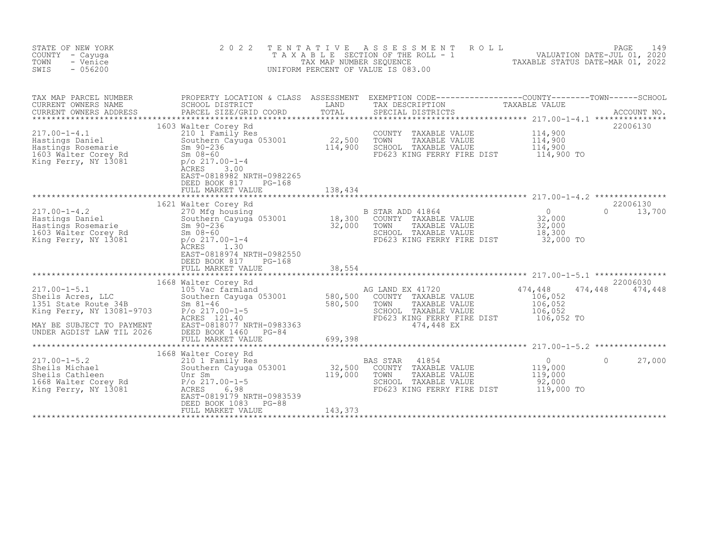| STATE OF NEW YORK<br>COUNTY - Cayuga<br>TOWN<br>- Venice<br>SWIS<br>$-056200$                                                                                                                  | 2 0 2 2                                                                                                                                                                                                                                                      | TENTATIVE         | A S S E S S M E N T<br>ROLL<br>UNIFORM PERCENT OF VALUE IS 083.00                                                                     | PAGE<br>149<br>T A X A B L E SECTION OF THE ROLL - 1<br>TAX MAP NUMBER SEQUENCE - 1 VALUATION DATE-JUL 01, 2020<br>TAXABLE STATUS DATE-MAR 01, 2022 |
|------------------------------------------------------------------------------------------------------------------------------------------------------------------------------------------------|--------------------------------------------------------------------------------------------------------------------------------------------------------------------------------------------------------------------------------------------------------------|-------------------|---------------------------------------------------------------------------------------------------------------------------------------|-----------------------------------------------------------------------------------------------------------------------------------------------------|
| TAX MAP PARCEL NUMBER<br>CURRENT OWNERS NAME<br>CURRENT OWNERS ADDRESS                                                                                                                         | SCHOOL DISTRICT<br>PARCEL SIZE/GRID COORD                                                                                                                                                                                                                    | LAND<br>TOTAL     | TAX DESCRIPTION<br>SPECIAL DISTRICTS                                                                                                  | PROPERTY LOCATION & CLASS ASSESSMENT EXEMPTION CODE----------------COUNTY-------TOWN------SCHOOL<br>TAXABLE VALUE<br>ACCOUNT NO.                    |
| $217.00 - 1 - 4.1$<br>Hastings Daniel<br>Hastings Rosemarie<br>Hastings Rosemarie<br>1603 Malter Corey Rd<br>King Ferry, NY 13081                                                              | 1603 Walter Corey Rd<br>210 1 Family Res<br>210 1 Family Res<br>Southern Cayuga 053001 22,500<br>Sm 90-236 114,900<br>$Sm$ 08-60<br>$p$ /o 217.00-1-4<br><b>ACRES</b><br>3.00<br>EAST-0818982 NRTH-0982265<br>DEED BOOK 817<br>$PG-168$<br>FULL MARKET VALUE | 138,434           | COUNTY TAXABLE VALUE<br>TOWN<br>TAXABLE VALUE<br>SCHOOL TAXABLE VALUE<br>FD623 KING FERRY FIRE DIST                                   | 22006130<br>114,900<br>114,900<br>114,900<br>114,900 TO                                                                                             |
|                                                                                                                                                                                                | 1621 Walter Corey Rd                                                                                                                                                                                                                                         |                   |                                                                                                                                       | 22006130                                                                                                                                            |
| $217.00 - 1 - 4.2$<br>217.00-1-4.2<br>Hastings Daniel<br>Hastings Rosemarie<br>1603 Walter Corey Rd<br>King Ferry, NY 13081<br>King Ferry, NY 13081                                            | 270 Mfg housing<br>Southern Cayuga 053001 18,300<br>Sm 90-236 32,000<br>Sm 08-60<br>$p$ /o 217.00-1-4<br><b>ACRES</b><br>1.30<br>EAST-0818974 NRTH-0982550<br>DEED BOOK 817<br>$PG-168$                                                                      |                   | B STAR ADD 41864<br>COUNTY TAXABLE VALUE<br>TOWN<br>TAXABLE VALUE<br>SCHOOL TAXABLE VALUE<br>FD623 KING FERRY FIRE DIST 32,000 TO     | $\Omega$<br>$\Omega$<br>13,700<br>32,000<br>32,000<br>18,300                                                                                        |
|                                                                                                                                                                                                | 1668 Walter Corey Rd                                                                                                                                                                                                                                         |                   |                                                                                                                                       | 22006030                                                                                                                                            |
| $217.00 - 1 - 5.1$<br>217.00-1-5.1<br>Sheils Acres, LLC<br>1351 State Route 34B<br>1351 State Route 34B<br>King Ferry, NY 13081-9703<br>MAY BE SUBJECT TO PAYMENT<br>UNDER AGDIST LAW TIL 2026 | ACRES 121.40<br>EAST-0818077 NRTH-0983363<br>DEED BOOK 1460<br>PG-84                                                                                                                                                                                         |                   | AG LAND EX 41720<br>COUNTY TAXABLE VALUE<br>TOWN<br>TAXABLE VALUE<br>SCHOOL TAXABLE VALUE<br>FD623 KING FERRY FIRE DIST<br>474,448 EX | 474,448<br>474,448<br>474,448<br>106,052<br>106,052<br>106,052<br>106,052 TO                                                                        |
|                                                                                                                                                                                                | FULL MARKET VALUE                                                                                                                                                                                                                                            | 699,398           |                                                                                                                                       |                                                                                                                                                     |
| $217.00 - 1 - 5.2$<br>Sheils Michael<br>Sheils Cathleen<br>1668 Walter Corey Rd<br>King Ferry, NY 13081                                                                                        | 1668 Walter Corey Rd<br>210 1 Family Res<br>Southern Cayuga 053001<br>Unr Sm<br>$P/O$ 217.00-1-5<br>ACRES<br>6.98<br>EAST-0819179 NRTH-0983539<br>DEED BOOK 1083<br>PG-88                                                                                    | 32,500<br>119,000 | BAS STAR<br>41854<br>COUNTY TAXABLE VALUE<br>TOWN<br>TAXABLE VALUE<br>SCHOOL TAXABLE VALUE<br>FD623 KING FERRY FIRE DIST              | $\overline{0}$<br>$\Omega$<br>27,000<br>119,000<br>119,000<br>92,000<br>119,000 TO                                                                  |
|                                                                                                                                                                                                | FULL MARKET VALUE                                                                                                                                                                                                                                            | 143,373           |                                                                                                                                       |                                                                                                                                                     |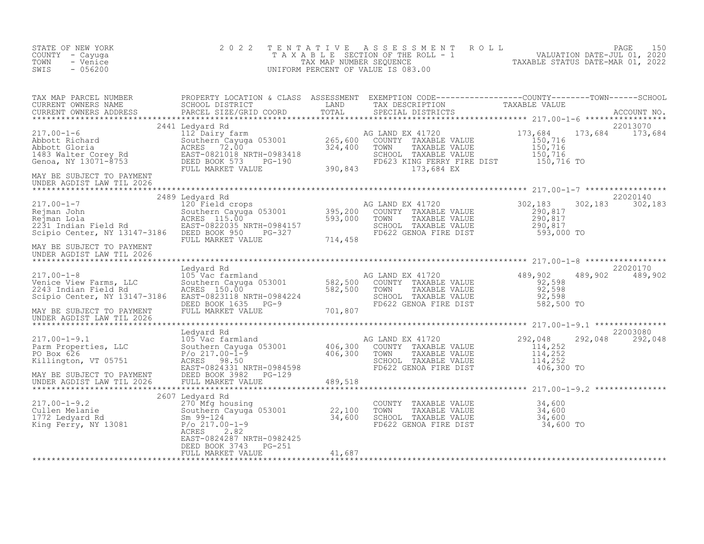| STATE OF NEW YORK<br>COUNTY - Cayuga<br>TOWN<br>- Venice<br>$-056200$<br>SWIS                                                                                                                                                              | 2 0 2 2                                    |        |                                                                                                                        | TENTATIVE ASSESSMENT ROLL PAGE 150<br>TAXABLE SECTION OF THE ROLL - 1 VALUATION DATE-JUL 01, 2020<br>TAXABLE STATUS DATE-MAR 01, 2022<br>UNIFORM PERCENT OF VALUE IS 083.00 |                             |
|--------------------------------------------------------------------------------------------------------------------------------------------------------------------------------------------------------------------------------------------|--------------------------------------------|--------|------------------------------------------------------------------------------------------------------------------------|-----------------------------------------------------------------------------------------------------------------------------------------------------------------------------|-----------------------------|
| TAX MAP PARCEL NUMBER PROPERTY LOCATION & CLASS ASSESSMENT EXEMPTION CODE----------------COUNTY--------TOWN------SCHOOL CURRENT OWNERS NAME SCHOOL DISTRICT LAND TAX DESCRIPTION TAXABLE VALUE CURRENT OWNERS ADDRESS PARCEL S             |                                            |        |                                                                                                                        |                                                                                                                                                                             |                             |
| MAY BE SUBJECT TO PAYMENT<br>UNDER AGDIST LAW TIL 2026                                                                                                                                                                                     |                                            |        |                                                                                                                        |                                                                                                                                                                             |                             |
|                                                                                                                                                                                                                                            |                                            |        |                                                                                                                        |                                                                                                                                                                             | 22020140                    |
|                                                                                                                                                                                                                                            |                                            |        | COUNTY TAXABLE VALUE<br>TOWN TAXABLE VALUE 290,817<br>SCHOOL TAXABLE VALUE 290,817<br>FD622 GENOA FIRE DIST 593,000 TO | 302,183                                                                                                                                                                     | 302, 183 302, 183           |
| MAY BE SUBJECT TO PAYMENT<br>UNDER AGDIST LAW TIL 2026                                                                                                                                                                                     |                                            |        |                                                                                                                        |                                                                                                                                                                             |                             |
| 105 Venice View Farms, LLC<br>Venice View Farms, LLC<br>2243 Indian Field Rd<br>Scipio Center, NY 13147-3186 EAST-0823118 NRTH-0984224<br>MAY BE SUBJECT TO PAYMENT FULL MARKET VALUE<br>MAY BE SUBJECT TO PAYMENT FULL MARKET VALUE<br>MA | Ledyard Rd                                 |        |                                                                                                                        |                                                                                                                                                                             | 22020170<br>489,902 489,902 |
| UNDER AGDIST LAW TIL 2026                                                                                                                                                                                                                  |                                            |        |                                                                                                                        |                                                                                                                                                                             |                             |
|                                                                                                                                                                                                                                            |                                            |        |                                                                                                                        | 292,048<br>$\begin{array}{r} 114,252 \\ 114,252 \\ 114,252 \end{array}$<br>406,300 TO                                                                                       | 22003080<br>292,048 292,048 |
|                                                                                                                                                                                                                                            |                                            |        |                                                                                                                        |                                                                                                                                                                             |                             |
| 217.00-1-9.2<br>2607 Ledyard Rd<br>270 Mfg housing<br>22,100<br>1772 Ledyard Rd<br>1772 Ledyard Rd<br>8m 99-124<br>22,100<br>22,100<br>22,100<br>24,600<br>24,600<br>24,600<br>24,600<br>27,000-1-9<br>24,600                              | ACRES<br>2.82<br>EAST-0824287 NRTH-0982425 |        | TOWN - ANADLE VALUE 34,600<br>TOWN TAXABLE VALUE 34,600<br>SCHOOL TAXABLE VALUE 34,600<br>FD622 GENOA FIRE DIST 34,600 | 34,600 TO                                                                                                                                                                   |                             |
|                                                                                                                                                                                                                                            | DEED BOOK 3743 PG-251<br>FULL MARKET VALUE | 41,687 |                                                                                                                        |                                                                                                                                                                             |                             |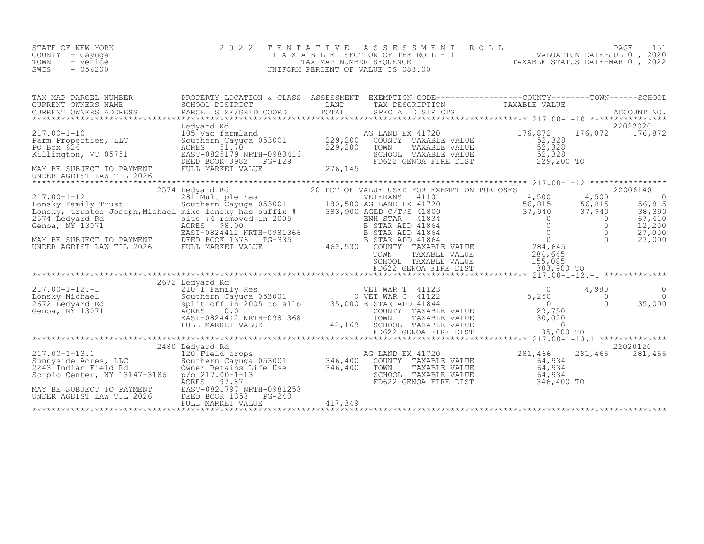| STATE OF NEW YORK<br>COUNTY - Cayuga<br>TOWN<br>- Venice<br>SWIS<br>$-056200$                                                                                                                                                                                               | 2 0 2 2                                                                                       | TENTATIVE | PAGE 151<br>TAXABLE SECTION OF THE ROLL - 1 VALUATION DATE-JUL 01, 2020<br>TAX MAP NUMBER SEQUENCE TAXABLE STATUS DATE-MAR 01, 2022<br>TAXABLE STATUS DATE-MAR 01, 2022<br>UNIFORM PERCENT OF VALUE IS 083.00                                                                                   |                             |                                     |                                                                           |
|-----------------------------------------------------------------------------------------------------------------------------------------------------------------------------------------------------------------------------------------------------------------------------|-----------------------------------------------------------------------------------------------|-----------|-------------------------------------------------------------------------------------------------------------------------------------------------------------------------------------------------------------------------------------------------------------------------------------------------|-----------------------------|-------------------------------------|---------------------------------------------------------------------------|
| CURRENT OWNERS ADDRESS                                                                                                                                                                                                                                                      |                                                                                               |           |                                                                                                                                                                                                                                                                                                 |                             |                                     |                                                                           |
| 17.00-1-10<br>217.00-1-10<br>229,200 COUNTY TAXABLE VALUE<br>229,200 COUNTY TAXABLE VALUE<br>229,200 TOWN TAXABLE VALUE<br>229,200 TOWN TAXABLE VALUE<br>229,200 TOWN TAXABLE VALUE<br>229,200 TOWN TAXABLE VALUE<br>229,200 TOWN TAXABLE VALU<br>UNDER AGDIST LAW TIL 2026 | Ledyard Rd                                                                                    |           |                                                                                                                                                                                                                                                                                                 |                             |                                     | 22022020                                                                  |
|                                                                                                                                                                                                                                                                             |                                                                                               |           | 20 PCT OF VALUE USED FOR EXEMPTION PURPOSES<br>LAND EX 41720<br>9 AGED C/T/S 41800<br>ENH STAR 41834<br>B STAR ADD 41864<br>B STAR ADD 41864<br>B STAR ADD 41864<br>COUNTY TAXABLE VALUE<br>TOWN TAXABLE VALUE<br>TOWN TAXABLE VALUE<br>TOWN TAXABLE VALUE<br>TOWN TAXABLE VALUE<br>TOWN TAXABL |                             |                                     | 22006140<br>56,815<br>$\frac{38}{67}$ , 390<br>67,410<br>12,200<br>27,000 |
|                                                                                                                                                                                                                                                                             |                                                                                               |           |                                                                                                                                                                                                                                                                                                 |                             |                                     | 27,000                                                                    |
|                                                                                                                                                                                                                                                                             |                                                                                               |           |                                                                                                                                                                                                                                                                                                 |                             |                                     |                                                                           |
| 2017.00-1-12.-1<br>2017.00-1-12.-1 2010 1-2011 painting Res<br>2011 2672 Ledyard Rd Southern Cayuga 053001 0 VET WAR C 41122 5,250<br>2672 Ledyard Rd split off in 2005 to allo 35,000 E STAR ADD 41844 0<br>Genoa, NY 13071 29,750<br>E                                    | 2672 Ledyard Rd<br>FULL MARKET VALUE                                                          |           | COUNTY TAXABLE VALUE 0<br>COUNTY TAXABLE VALUE 29,750<br>TOWN TAXABLE VALUE 30,020<br>SCHOOL TAXABLE VALUE 80,020<br>FD622 GENOA FIRE DIST 35,000                                                                                                                                               |                             | 4,980<br>$\overline{0}$<br>$\Omega$ | 0<br>$\Omega$<br>35,000                                                   |
|                                                                                                                                                                                                                                                                             |                                                                                               |           |                                                                                                                                                                                                                                                                                                 |                             |                                     |                                                                           |
| 217.00-1-13.1<br>Sunnyside Acres, LLC<br>2243 Indian Field Rd<br>Scipio Center, NY 13147-3186    p/o 217.00-1-13<br>MAY BE SUBJECT TO PAYMENT<br>UNDER AGDIST LAW TIL 2026                                                                                                  | 2480 Ledyard Rd<br>EAST-0821797 NRTH-0981258<br>DEED BOOK 1358<br>PG-240<br>FULL MARKET VALUE | 417,349   | COUNTY TAXABLE VALUE<br>TOWN     TAXABLE VALUE<br>SCHOOL TAXABLE VALUE<br>FD622 GENOA FIRE DIST 54,934                                                                                                                                                                                          | 281,466<br>64,934<br>64,934 | 281,466 281,466                     | 22020120                                                                  |
|                                                                                                                                                                                                                                                                             |                                                                                               |           |                                                                                                                                                                                                                                                                                                 |                             |                                     |                                                                           |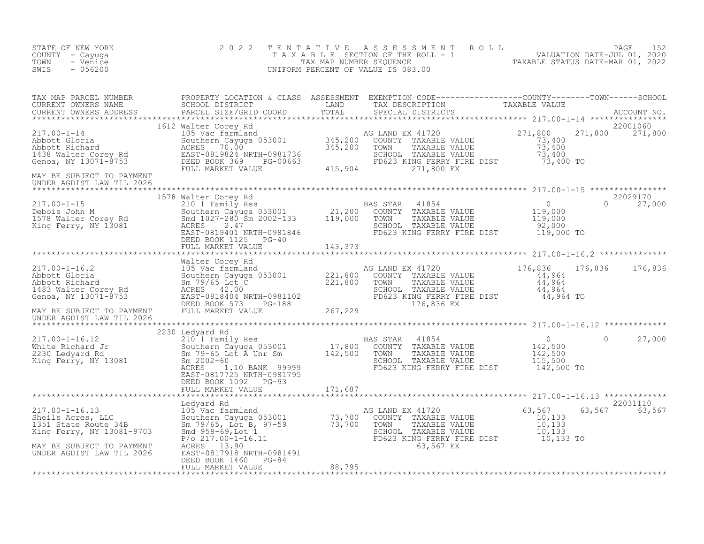| STATE OF NEW YORK<br>COUNTY - Cayuga<br>TOWN<br>- Venice<br>SWIS<br>$-056200$                                                                                                                                                                                                                                                                                                                                                                                                                                  | 2 0 2 2 | TENTATIVE ASSESSMENT ROLL PAGE 152<br>TAXABLE SECTION OF THE ROLL - 1 VALUATION DATE-JUL 01, 2020<br>TAXABLE STATUS DATE-MAR 01, 2022<br>UNIFORM PERCENT OF VALUE IS 083.00 |                           |  |
|----------------------------------------------------------------------------------------------------------------------------------------------------------------------------------------------------------------------------------------------------------------------------------------------------------------------------------------------------------------------------------------------------------------------------------------------------------------------------------------------------------------|---------|-----------------------------------------------------------------------------------------------------------------------------------------------------------------------------|---------------------------|--|
|                                                                                                                                                                                                                                                                                                                                                                                                                                                                                                                |         |                                                                                                                                                                             |                           |  |
|                                                                                                                                                                                                                                                                                                                                                                                                                                                                                                                |         |                                                                                                                                                                             |                           |  |
| UNDER AGDIST LAW TIL 2026                                                                                                                                                                                                                                                                                                                                                                                                                                                                                      |         |                                                                                                                                                                             |                           |  |
| $\begin{tabular}{lcccc} \texttt{****}{\texttt{****}{\texttt{****}{\texttt{****}{\texttt{****}{\texttt{****}{\texttt{****}{\texttt{****}{\texttt{****}{\texttt{****}{\texttt{****}{\texttt{****}{\texttt{****}{\texttt{****}{\texttt{****}{\texttt{****}{\texttt{****}{\texttt{****}{\texttt{****}{\texttt{****}{\texttt{****}{\texttt{****}{\texttt{****}{\texttt{****}{\texttt{****}{\texttt{****}{\texttt{****}{\texttt{****}{\texttt{****}{\texttt{****}}}}}}}}}}}}}}$}}& \begin{tabular}{c c c c c c c c $ |         |                                                                                                                                                                             |                           |  |
|                                                                                                                                                                                                                                                                                                                                                                                                                                                                                                                |         |                                                                                                                                                                             |                           |  |
| ARE SUBJECT TO PAYMENT FULL MARKET VALUE<br>MAY BE SUBJECT TO PAYMENT TRILL MARKET VALUE<br>MAY BE SUBJECT TO PAYMENT TRILL MARKET VALUE<br>MAY BE SUBJECT TO PAYMENT TRILL MARKET VALUE<br>MAY BE SUBJECT TO PAYMENT TRILL MARKET VAL                                                                                                                                                                                                                                                                         |         |                                                                                                                                                                             |                           |  |
|                                                                                                                                                                                                                                                                                                                                                                                                                                                                                                                |         |                                                                                                                                                                             |                           |  |
|                                                                                                                                                                                                                                                                                                                                                                                                                                                                                                                |         |                                                                                                                                                                             | $0 \t 27,000$             |  |
|                                                                                                                                                                                                                                                                                                                                                                                                                                                                                                                |         |                                                                                                                                                                             |                           |  |
|                                                                                                                                                                                                                                                                                                                                                                                                                                                                                                                |         |                                                                                                                                                                             | 22031110<br>63,567 63,567 |  |
|                                                                                                                                                                                                                                                                                                                                                                                                                                                                                                                |         |                                                                                                                                                                             |                           |  |
|                                                                                                                                                                                                                                                                                                                                                                                                                                                                                                                |         |                                                                                                                                                                             |                           |  |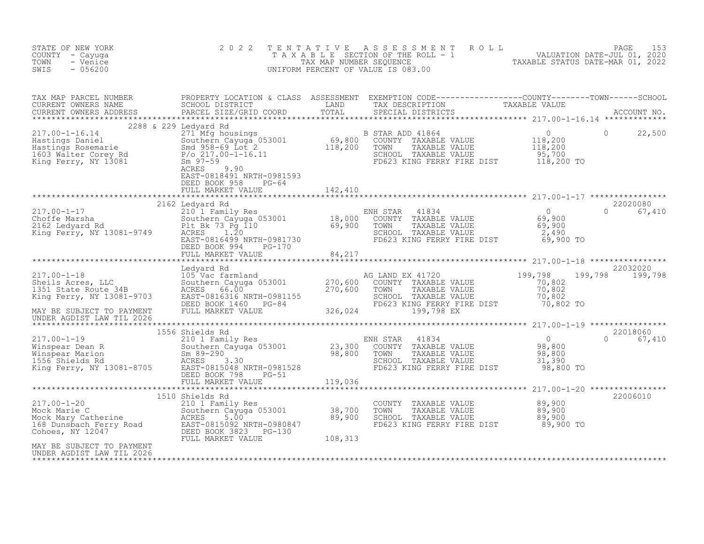| STATE OF NEW YORK<br>COUNTY - Cayuga<br>TOWN<br>- Venice<br>SWIS<br>$-056200$                                                                                                                                                                         | 2 0 2 2                                                                                                | TENTATIVE | FENTATIVE ASSESSMENT ROLL UNIVATION DATE-JUL 01, 2020<br>TAXABLE SECTION OF THE ROLL - 1 VALUATION DATE-JUL 01, 2020<br>TAX MAP NUMBER SEQUENCE TAXABLE STATUS DATE-MAR 01, 2022<br>JNIFORM PERCENT OF VALUE IS 083.00<br>UNIFORM PERCENT OF VALUE IS 083.00 |                                |
|-------------------------------------------------------------------------------------------------------------------------------------------------------------------------------------------------------------------------------------------------------|--------------------------------------------------------------------------------------------------------|-----------|--------------------------------------------------------------------------------------------------------------------------------------------------------------------------------------------------------------------------------------------------------------|--------------------------------|
| TAX MAP PARCEL NUMBER PROPERTY LOCATION & CLASS ASSESSMENT EXEMPTION CODE----------------COUNTY--------TOWN------SCHOOL CURRENT OWNERS NAME SCHOOL DISTRICT LAND TAX DESCRIPTION TAXABLE VALUE CURRENT OWNERS ADDRESS PARCEL S                        |                                                                                                        |           |                                                                                                                                                                                                                                                              |                                |
|                                                                                                                                                                                                                                                       | 2288 & 229 Ledyard Rd<br>EAST-0818491 NRTH-0981593<br>DEED BOOK 958 PG-64<br>FULL MARKET VALUE 142,410 |           |                                                                                                                                                                                                                                                              | 22,500<br>$\overline{0}$       |
|                                                                                                                                                                                                                                                       |                                                                                                        |           |                                                                                                                                                                                                                                                              |                                |
| 217.00-1-17<br>2162 Ledyard Rd<br>2105 Ledyard Rd<br>2162 Ledyard Rd<br>2162 Ledyard Rd<br>2162 Ledyard Rd<br>2162 Ledyard Rd<br>217.00-1-17<br>2162 Ledyard Rd<br>2162 Ledyard Rd<br>2162 Ledyard Rd<br>218.73 Pg 110<br>218.000 COUNTY TAXABLE VALU | 2162 Ledyard Rd                                                                                        |           |                                                                                                                                                                                                                                                              | 22020080<br>$\Omega$<br>67,410 |
|                                                                                                                                                                                                                                                       |                                                                                                        |           |                                                                                                                                                                                                                                                              |                                |
|                                                                                                                                                                                                                                                       |                                                                                                        |           |                                                                                                                                                                                                                                                              | 22032020<br>199,798 199,798    |
|                                                                                                                                                                                                                                                       |                                                                                                        |           |                                                                                                                                                                                                                                                              |                                |
|                                                                                                                                                                                                                                                       |                                                                                                        |           | FD623 KING FERRY FIRE DIST 98,800 TO                                                                                                                                                                                                                         | 22018060<br>0 67,410           |
|                                                                                                                                                                                                                                                       |                                                                                                        |           |                                                                                                                                                                                                                                                              |                                |
| 217.00-1-20<br>Mock Marie C<br>Mock Mary Catherine Southern Expansional Consumer SACRES<br>Mock Mary Catherine ACRES<br>SOU B9,900<br>168 Dunsbach Ferry Road<br>Cohoes, NY 12047<br>MAY BEED BOOK 3823 PG-130<br>MAY BE SUBJECT TO PAYMENT<br>M      | 1510 Shields Rd                                                                                        |           | COUNTY TAXABLE VALUE $89,900$<br>TOWN TAXABLE VALUE $89,900$<br>SCHOOL TAXABLE VALUE $89,900$<br>FD623 KING FERRY FIRE DIST $89,900$ TO                                                                                                                      | 22006010                       |
|                                                                                                                                                                                                                                                       |                                                                                                        |           |                                                                                                                                                                                                                                                              |                                |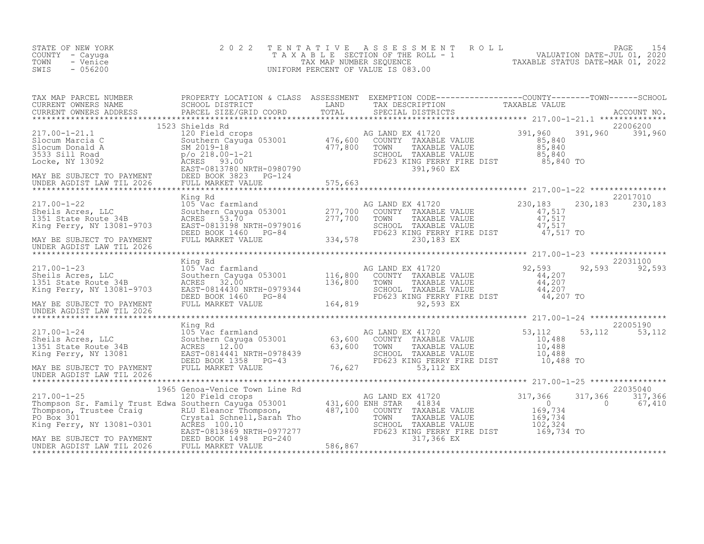| STATE OF NEW YORK<br>COUNTY - Cayuga<br>TOWN<br>- Venice<br>SWIS<br>$-056200$                                                                                                                                                              | 2 0 2 2 | TENTATIVE ASSESSMENT ROLL PAGE 154<br>TAXABLE SECTION OF THE ROLL - 1 VALUATION DATE-JUL 01, 2020<br>TAX MAP NUMBER SEQUENCE TAXABLE STATUS DATE-MAR 01, 2022<br>UNIFORM PERCENT OF VALUE IS 083.00 |                               |
|--------------------------------------------------------------------------------------------------------------------------------------------------------------------------------------------------------------------------------------------|---------|-----------------------------------------------------------------------------------------------------------------------------------------------------------------------------------------------------|-------------------------------|
|                                                                                                                                                                                                                                            |         |                                                                                                                                                                                                     |                               |
|                                                                                                                                                                                                                                            |         |                                                                                                                                                                                                     |                               |
| MAY BE SUBJECT TO PAYMENT<br>UNDER AGDIST LAW TIL 2026                                                                                                                                                                                     |         |                                                                                                                                                                                                     | 22017010<br>230, 183 230, 183 |
| MAY BE SUBJECT TO PAYMENT<br>UNDER AGDIST LAW TIL 2026                                                                                                                                                                                     |         |                                                                                                                                                                                                     | 22031100<br>92,593 92,593     |
|                                                                                                                                                                                                                                            |         |                                                                                                                                                                                                     |                               |
| 17.00-1-24 Ming Rd Land AG LAND EX 41720<br>217.00-1-24 Ming Rd Land AG LAND EX 41720<br>S3,112 53,112 53,112<br>185 Aces, 12.00<br>185 May BE SUBJECT TO PAYMENT TRIABLE VALUE<br>NAY BE SUBJECT TO PAYMENT DEED BOOK 1358<br>MAY BE SUBJ |         |                                                                                                                                                                                                     |                               |
| 1965 Genoa-Venice Town Line Rd<br>1965 Genoa-Venice Town Line Rd<br>1965 Genoa-Venice Town Line Rd<br>1965 Genoa-Venice Town Line Rd<br>1967 Genoa-Venice Town Branch (1997)<br>22035040<br>1971,366 317,366 317,366 317,366 317,366 317,3 |         |                                                                                                                                                                                                     |                               |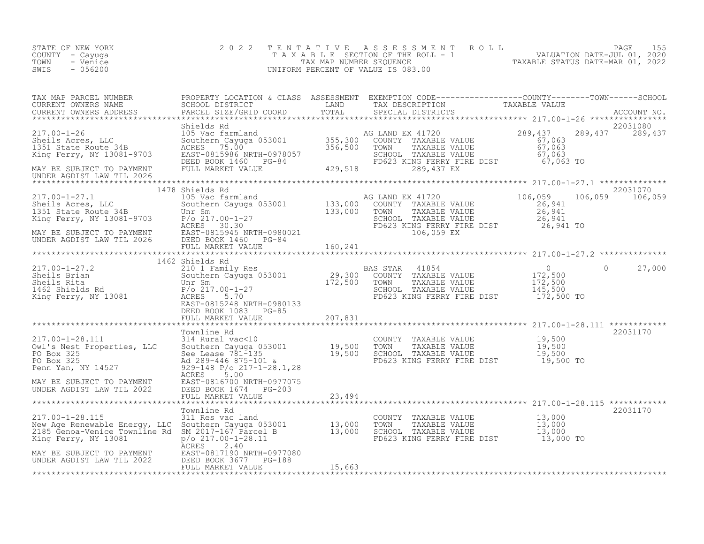| STATE OF NEW YORK<br>COUNTY - Cayuga<br>- Venice<br>TOWN<br>$-056200$<br>SWIS                     | 2 0 2 2                                           |        | TENTATIVE ASSESSMENT ROLL PAGE 155<br>TAXABLE SECTION OF THE ROLL - 1 VALUATION DATE-JUL 01, 2020<br>TAX MAP NUMBER SEQUENCE TAXABLE STATUS DATE-MAR 01, 2022<br>UNIFORM PERCENT OF VALUE IS 083.00                                          |
|---------------------------------------------------------------------------------------------------|---------------------------------------------------|--------|----------------------------------------------------------------------------------------------------------------------------------------------------------------------------------------------------------------------------------------------|
|                                                                                                   |                                                   |        | TAX MAP PARCEL NUMBER PROPERTY LOCATION & CLASS ASSESSMENT EXEMPTION CODE-----------------COUNTY--------TOWN-----SCHOOL CURRENT OWNERS NAME SCHOOL DISTRICT LAND TAX DESCRIPTION TAXABLE VALUE<br>CURRENT OWNERS ADDRESS PARCEL S            |
|                                                                                                   |                                                   |        |                                                                                                                                                                                                                                              |
|                                                                                                   |                                                   |        |                                                                                                                                                                                                                                              |
|                                                                                                   |                                                   |        | 1978 (17.00-1-27.1)<br>217.00-1-27.1 1478 Shields Rd<br>217.00-1-27.1 1478 Shields Rd<br>202031070 105 Vac farmland<br>202031070 106,059 106,059<br>26,941 133,000 COUNTY TAXABLE VALUE<br>26,941 26,941<br>26,941 26,941 26,059 106,059 106 |
|                                                                                                   |                                                   |        |                                                                                                                                                                                                                                              |
|                                                                                                   |                                                   |        |                                                                                                                                                                                                                                              |
|                                                                                                   | DEED BOOK 1083 PG-85<br>FULL MARKET VALUE 207,831 |        |                                                                                                                                                                                                                                              |
|                                                                                                   |                                                   |        | 22031170                                                                                                                                                                                                                                     |
|                                                                                                   |                                                   |        |                                                                                                                                                                                                                                              |
|                                                                                                   |                                                   |        |                                                                                                                                                                                                                                              |
|                                                                                                   |                                                   |        |                                                                                                                                                                                                                                              |
|                                                                                                   |                                                   |        | 22031170                                                                                                                                                                                                                                     |
| MAY BE SUBJECT TO PAYMENT<br>UNDER AGDIST LAW TIL 2022 DEED BOOK 3677 PG-188<br>FULL MARKET VALUE | FULL MARKET VALUE                                 | 15,663 |                                                                                                                                                                                                                                              |
|                                                                                                   |                                                   |        |                                                                                                                                                                                                                                              |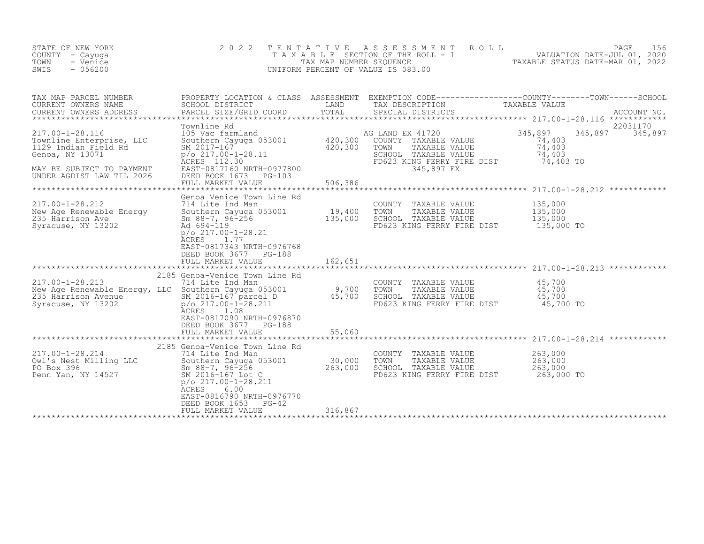| STATE OF NEW YORK<br>COUNTY - Cayuga<br>TOWN<br>- Venice<br>$-056200$<br>SWIS                                                                    | 2 0 2 2                                                                                                                                                                                                                                           | TENTATIVE<br>TAX MAP NUMBER SEQUENCE | ASSESSMENT<br>ROLL<br>T A X A B L E SECTION OF THE ROLL - 1<br>UNIFORM PERCENT OF VALUE IS 083.00                                     | PAGE<br>156<br>156<br>2020 ,VALUATION DATE-JUL 01<br>2020 TAXABLE STATUS DATE-MAR 01                                            |
|--------------------------------------------------------------------------------------------------------------------------------------------------|---------------------------------------------------------------------------------------------------------------------------------------------------------------------------------------------------------------------------------------------------|--------------------------------------|---------------------------------------------------------------------------------------------------------------------------------------|---------------------------------------------------------------------------------------------------------------------------------|
| TAX MAP PARCEL NUMBER<br>CURRENT OWNERS NAME<br>CURRENT OWNERS ADDRESS                                                                           | SCHOOL DISTRICT<br>PARCEL SIZE/GRID COORD                                                                                                                                                                                                         | LAND<br>TOTAL                        | TAX DESCRIPTION<br>SPECIAL DISTRICTS                                                                                                  | PROPERTY LOCATION & CLASS ASSESSMENT EXEMPTION CODE----------------COUNTY-------TOWN-----SCHOOL<br>TAXABLE VALUE<br>ACCOUNT NO. |
| 217.00-1-28.116<br>Townline Enterprise, LLC<br>1129 Indian Field Rd<br>Genoa, NY 13071<br>MAY BE SUBJECT TO PAYMENT<br>UNDER AGDIST LAW TIL 2026 | Townline Rd<br>105 Vac farmland<br>Southern Cayuga 053001<br>SM 2017-167<br>$p$ /o 217.00-1-28.11<br>ACRES 112.30<br>EAST-0817160 NRTH-0977800<br>DEED BOOK 1673<br>$PG-103$<br>FULL MARKET VALUE                                                 | 420,300<br>420,300<br>506,386        | AG LAND EX 41720<br>COUNTY TAXABLE VALUE<br>TOWN<br>TAXABLE VALUE<br>SCHOOL TAXABLE VALUE<br>FD623 KING FERRY FIRE DIST<br>345,897 EX | 22031170<br>345,897<br>345,897<br>345,897<br>74,403<br>74,403<br>74,403<br>74,403 TO                                            |
| 217.00-1-28.212<br>New Age Renewable Energy<br>235 Harrison Ave<br>Syracuse, NY 13202                                                            | Genoa Venice Town Line Rd<br>714 Lite Ind Man<br>Southern Cayuga 053001<br>Sm $88-7$ , $96-256$<br>Ad 694-119<br>$p$ /o 217.00-1-28.21<br>ACRES<br>1.77<br>EAST-0817343 NRTH-0976768<br>DEED BOOK 3677 PG-188<br>FULL MARKET VALUE                | 19,400<br>135,000<br>162,651         | COUNTY TAXABLE VALUE<br>TOWN<br>TAXABLE VALUE<br>SCHOOL TAXABLE VALUE<br>FD623 KING FERRY FIRE DIST                                   | 135,000<br>135,000<br>135,000<br>135,000 TO                                                                                     |
| 217.00-1-28.213<br>New Age Renewable Energy, LLC Southern Cayuga 053001<br>235 Harrison Avenue<br>Syracuse, NY 13202                             | 2185 Genoa-Venice Town Line Rd<br>714 Lite Ind Man<br>SM 2016-167 parcel D<br>$p$ /o 217.00-1-28.211<br>1.08<br>ACRES<br>EAST-0817090 NRTH-0976870<br>DEED BOOK 3677 PG-188<br>FULL MARKET VALUE                                                  | 9,700<br>45,700<br>55,060            | COUNTY<br>TAXABLE VALUE<br>TOWN<br>TAXABLE VALUE<br>SCHOOL TAXABLE VALUE<br>FD623 KING FERRY FIRE DIST                                | 45,700<br>45,700<br>45,700<br>45,700 TO                                                                                         |
| $217.00 - 1 - 28.214$<br>Owl's Nest Milling LLC<br>PO Box 396<br>Penn Yan, NY 14527                                                              | 2185 Genoa-Venice Town Line Rd<br>714 Lite Ind Man<br>Southern Cayuga 053001<br>Sm $88-7$ , $96-256$<br>SM 2016-167 Lot C<br>$p$ /o 217.00-1-28.211<br>6.00<br>ACRES<br>EAST-0816790 NRTH-0976770<br>DEED BOOK 1653<br>PG-42<br>FULL MARKET VALUE | 30,000<br>263,000<br>316,867         | COUNTY<br>TAXABLE VALUE<br>TOWN<br>TAXABLE VALUE<br>SCHOOL TAXABLE VALUE<br>FD623 KING FERRY FIRE DIST                                | 263,000<br>263,000<br>263,000<br>263,000 TO                                                                                     |
|                                                                                                                                                  |                                                                                                                                                                                                                                                   |                                      |                                                                                                                                       |                                                                                                                                 |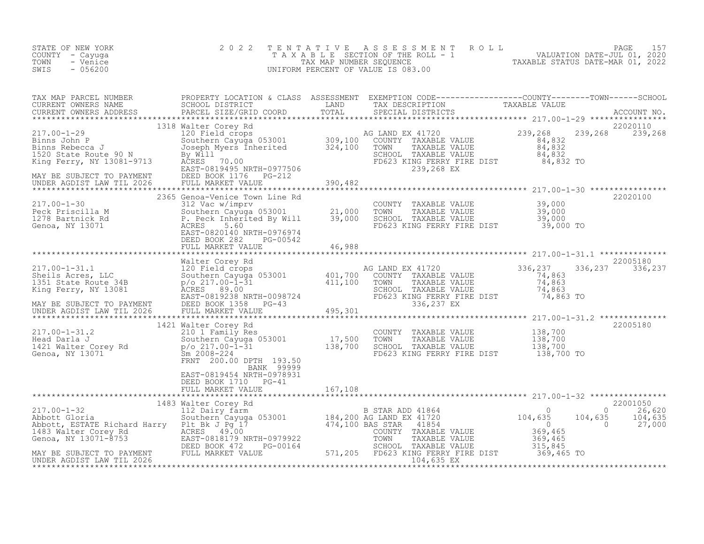| STATE OF NEW YORK<br>COUNTY - Cayuga<br>- Venice<br>TOWN<br>SWIS<br>$-056200$                                                                                                                                                                                                                                                                                     | 2 0 2 2<br>TENTATIVE                                                                                                                                                                                                                                              |         | UNIFORM PERCENT OF VALUE IS 083.00                                                                                                                                | FENTATIVE ASSESSMENT ROLL<br>TAXABLE SECTION OF THE ROLL - 1 VALUATION DATE-JUL 01, 2020<br>TAX MAP NUMBER SEQUENCE TAXABLE STATUS DATE-MAR 01, 2022<br>JNIFORM PERCENT OF VALUE IS 083.00                                        |
|-------------------------------------------------------------------------------------------------------------------------------------------------------------------------------------------------------------------------------------------------------------------------------------------------------------------------------------------------------------------|-------------------------------------------------------------------------------------------------------------------------------------------------------------------------------------------------------------------------------------------------------------------|---------|-------------------------------------------------------------------------------------------------------------------------------------------------------------------|-----------------------------------------------------------------------------------------------------------------------------------------------------------------------------------------------------------------------------------|
|                                                                                                                                                                                                                                                                                                                                                                   |                                                                                                                                                                                                                                                                   |         |                                                                                                                                                                   | TAX MAP PARCEL NUMBER BROPERTY LOCATION & CLASS ASSESSMENT EXEMPTION CODE-----------------COUNTY--------TOWN-----SCHOOL CURRENT OWNERS NAME SCHOOL DISTRICT LAND TAX DESCRIPTION TAXABLE VALUE<br>CURRENT OWNERS ADDRESS PARCEL S |
| 1318 Walter Corey Rd<br>1318 Walter Corey Rd<br>120 Field crops and Mark and Mark and Mark and Southern Cayuga 053001<br>1520 State Route 90 N<br>1520 State Route 90 N<br>1520 State Route 90 N<br>1520 State Route 90 N<br>1520 State Rout                                                                                                                      | 1318 Walter Corey Rd                                                                                                                                                                                                                                              |         | AG LAND EX 41720<br>COUNTY TAXABLE VALUE 84,832<br>TOWN TAXABLE VALUE 84,832<br>SCHOOL TAXABLE VALUE 84,832<br>FD623 KING FERRY FIRE DIST 84,832 TO<br>239,268 EX | 22020110<br>239,268 239,268                                                                                                                                                                                                       |
| $\begin{array}{llllll} 217.00\text{--}1\text{--}30 & \text{2365} \text{ Genoa-} \text{Venic} & \text{Town Line Rd} \ \text{Peck Priscilla M} & 312 \text{ Vac w/imprv} & 053001 & 21,000 \ 1278 \text{ Bartnick Rd} & \text{S. Peck Thherited By Will} & 39,000 \ \text{Genoa, NY } 13071 & \text{ACRES} & 5.60 \ \text{EAST-0820140 NRTH-0976974} & \end{array}$ | 2365 Genoa-Venice Town Line Rd<br>DEED BOOK 282 PG-00542<br>FULL MARKET VALUE 46,988                                                                                                                                                                              |         | COUNTY TAXABLE VALUE $39,000$<br>TOWN TAXABLE VALUE $39,000$<br>SCHOOL TAXABLE VALUE $39,000$<br>FD623 KING FERRY FIRE DIST $39,000$ TO                           | 22020100                                                                                                                                                                                                                          |
|                                                                                                                                                                                                                                                                                                                                                                   |                                                                                                                                                                                                                                                                   |         |                                                                                                                                                                   |                                                                                                                                                                                                                                   |
| 117.00-1-31.2<br>Head Darla J<br>Head Darla J<br>1421 Walter Corey Rd<br>Genoa, NY 13071<br>Cenoa, NY 13071<br>Cenoa, NY 13071<br>Cenoa, NY 13071<br>Cenoa, NY 13071<br>Cenoa, NY 13071<br>Cenoa, NY 13071<br>Cenoa, NY 13071<br>Cenoa, NY 13071<br>Ceno                                                                                                          | walter Corey Rd<br>210 1 Family Res<br>Southern Cayuga 053001 17,500<br>p/o 217.00-1-31 138,700<br>Sm 2008-224 138,700<br>1421 Walter Corey Rd<br>FRNT 200.00 DPTH 193.50<br>BANK 99999<br>EAST-0819454 NRTH-0978931<br>DEED BOOK 1710 PG-41<br>FULL MARKET VALUE | 167,108 | COUNTY TAXABLE VALUE 138,700<br>TOWN TAXABLE VALUE 138,700<br>SCHOOL TAXABLE VALUE 138,700<br>FD623 KING FERRY FIRE DIST 138,700 TO                               | 22005180                                                                                                                                                                                                                          |
|                                                                                                                                                                                                                                                                                                                                                                   |                                                                                                                                                                                                                                                                   |         |                                                                                                                                                                   | 22001050<br>$\Omega$<br>26,620<br>104,635<br>104,635<br>$\overline{0}$<br>27,000                                                                                                                                                  |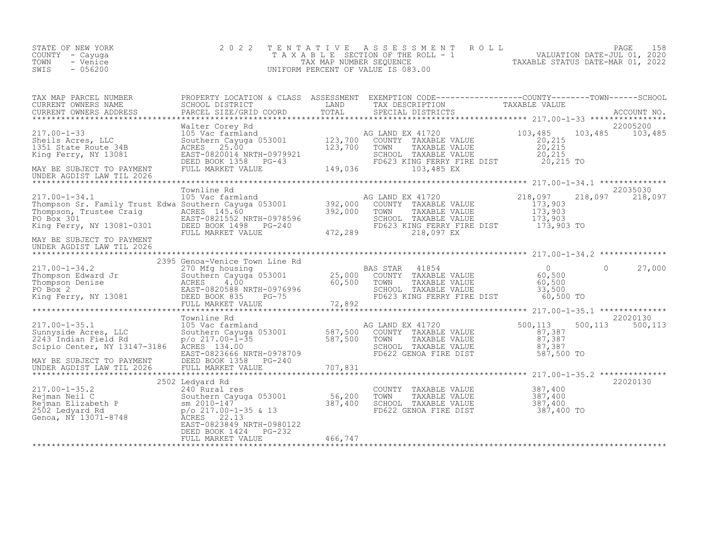| STATE OF NEW YORK<br>COUNTY - Cayuga<br>TOWN<br>- Venice<br>$-056200$<br>SWIS                                                                                                                                           | 2 0 2 2                                                                                                                                                                                      | TENTATIVE                     | ASSESSMENT ROLL<br>T A X A B L E SECTION OF THE ROLL - 1<br>TAX MAP NUMBER SEQUENCE<br>JNIFORM PERCENT OF VALUE IS 083.00<br>UNIFORM PERCENT OF VALUE IS 083.00 |                                                           | PAGE     | 158                 |
|-------------------------------------------------------------------------------------------------------------------------------------------------------------------------------------------------------------------------|----------------------------------------------------------------------------------------------------------------------------------------------------------------------------------------------|-------------------------------|-----------------------------------------------------------------------------------------------------------------------------------------------------------------|-----------------------------------------------------------|----------|---------------------|
| TAX MAP PARCEL NUMBER<br>CURRENT OWNERS NAME<br>CURRENT OWNERS ADDRESS                                                                                                                                                  | PROPERTY LOCATION & CLASS ASSESSMENT EXEMPTION CODE----------------COUNTY-------TOWN-----SCHOOL<br>SCHOOL DISTRICT<br>PARCEL SIZE/GRID COORD                                                 | LAND<br>TOTAL                 | TAX DESCRIPTION TAXABLE VALUE<br>SPECIAL DISTRICTS                                                                                                              |                                                           |          | ACCOUNT NO.         |
| $217.00 - 1 - 33$<br>Sheils Acres, LLC<br>1351 State Route 34B<br>King Ferry, NY 13081<br>MAY BE SUBJECT TO PAYMENT<br>UNDER AGDIST LAW TIL 2026                                                                        | Walter Corey Rd<br>Southern Cayuga 053001<br>Southern Cayuga 053001 123,700<br>ACRES 25.00<br>EAST-0820014 NRTH-0979921<br>DEED BOOK 1358 PG-43<br>FULL MARKET VALUE                         | 149,036                       | AG LAND EX 41720<br>COUNTY TAXABLE VALUE<br>TAXABLE VALUE<br>TOWN<br>SCHOOL TAXABLE VALUE<br>FD623 KING FERRY FIRE DIST<br>103,485 EX                           | 103,485<br>20,215<br>20,215<br>20,215<br>20,215 TO        | 103,485  | 22005200<br>103,485 |
|                                                                                                                                                                                                                         | Townline Rd                                                                                                                                                                                  |                               |                                                                                                                                                                 |                                                           |          | 22035030            |
| $217.00 - 1 - 34.1$<br>Thompson Sr. Family Trust Edwa Southern Cayuga 053001 392,000<br>Thompson, Trustee Craig ACRES 145.60 392.000<br>Thompson, Trustee Craig ACRES 145.60<br>PO Box 301<br>King Ferry, NY 13081-0301 | 105 Vac farmland<br>EAST-0821552 NRTH-0978596<br>DEED BOOK 1498<br>$PG-240$<br>FULL MARKET VALUE                                                                                             | 392,000<br>472,289            | AG LAND EX 41720<br>COUNTY TAXABLE VALUE<br>TOWN<br>TAXABLE VALUE<br>SCHOOL TAXABLE VALUE<br>FD623 KING FERRY FIRE DIST<br>218,097 EX                           | 218,097<br>173,903<br>173,903<br>173,903<br>173,903 TO    | 218,097  | 218,097             |
| MAY BE SUBJECT TO PAYMENT<br>UNDER AGDIST LAW TIL 2026                                                                                                                                                                  |                                                                                                                                                                                              |                               |                                                                                                                                                                 |                                                           |          |                     |
|                                                                                                                                                                                                                         | 2395 Genoa-Venice Town Line Rd                                                                                                                                                               |                               |                                                                                                                                                                 |                                                           |          |                     |
| 217.00-1-34.2<br>Thompson Edward Jr<br>Thompson Denise<br>PO Box 2<br>King Ferry, NY 13081                                                                                                                              | 270 Mfg housing<br>Southern Cayuga 053001<br>4.00<br>ACRES<br>EAST-0820588 NRTH-0976996<br>DEED BOOK 835<br>PG-75<br>FULL MARKET VALUE                                                       | 60,500<br>72,892              | BAS STAR<br>41854<br>25,000 COUNTY<br>TAXABLE VALUE<br>TOWN<br>TAXABLE VALUE<br>SCHOOL TAXABLE VALUE<br>FD623 KING FERRY FIRE DIST                              | $\overline{0}$<br>60,500<br>60,500<br>33,500<br>60,500 TO | $\Omega$ | 27,000              |
|                                                                                                                                                                                                                         |                                                                                                                                                                                              |                               |                                                                                                                                                                 |                                                           |          |                     |
| $217.00 - 1 - 35.1$<br>Sunnyside Acres, LLC<br>2243 Indian Field Rd<br>Scipio Center, NY 13147-3186<br>MAY BE SUBJECT TO PAYMENT<br>UNDER AGDIST LAW TIL 2026                                                           | Townline Rd<br>105 Vac farmland<br>Southern Cayuga 053001<br>$p$ /o 217.00- $\overline{1}$ -35<br>ACRES 134.00<br>EAST-0823666 NRTH-0978709<br>DEED BOOK 1358<br>PG-240<br>FULL MARKET VALUE | 587,500<br>587,500<br>707,831 | AG LAND EX 41720<br>COUNTY TAXABLE VALUE<br>TAXABLE VALUE<br>TOWN<br>SCHOOL TAXABLE VALUE<br>FD622 GENOA FIRE DIST                                              | 500,113<br>87,387<br>87,387<br>87,387<br>587,500 TO       | 500,113  | 22020130<br>500,113 |
|                                                                                                                                                                                                                         | 2502 Ledyard Rd                                                                                                                                                                              |                               |                                                                                                                                                                 |                                                           |          | 22020130            |
| $217.00 - 1 - 35.2$<br>Rejman Neil C<br>Nejman Nuil<br>Rejman Elizabeth P<br>2502 Ledyard Rd<br>Genoa, NY 13071-8748                                                                                                    | 240 Rural res<br>Southern Cayuga 053001<br>sm 2010-147<br>p/o 217.00-1-35 & 13<br>22.13<br>ACRES<br>EAST-0823849 NRTH-0980122                                                                | 56,200<br>387,400             | COUNTY<br>TAXABLE VALUE<br>TOWN<br>TAXABLE VALUE<br>SCHOOL TAXABLE VALUE<br>FD622 GENOA FIRE DIST                                                               | 387,400<br>387,400<br>387,400<br>387,400 TO               |          |                     |
|                                                                                                                                                                                                                         | DEED BOOK 1424<br>$PG-232$<br>FULL MARKET VALUE                                                                                                                                              | 466,747                       |                                                                                                                                                                 |                                                           |          |                     |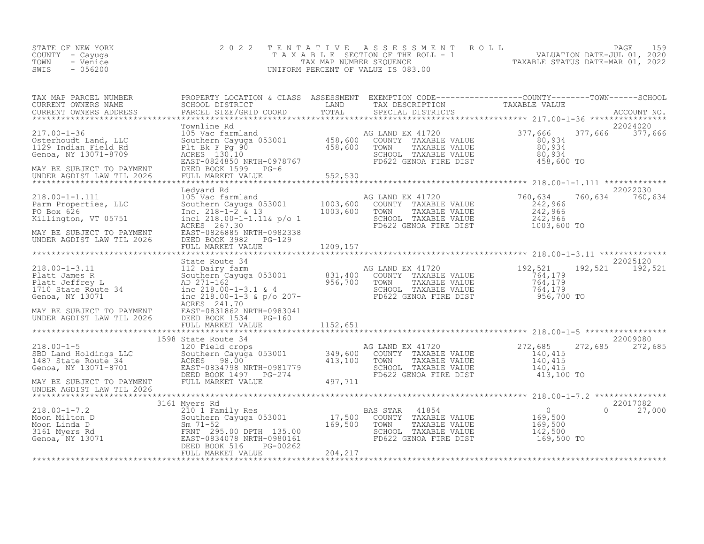| STATE OF NEW YORK<br>COUNTY - Cayuga<br>TOWN<br>- Venice<br>SWIS<br>$-056200$                                                                                                                                                                    | 2 0 2 2                                                                                                                                                                                                                                                         | TENTATIVE                 | A S S E S S M E N T A O L L<br>T A X A B L E SECTION OF THE ROLL - 1 VALUATION DATE-JUL 01, 2020<br>TAX MAP NUMBER SEQUENCE<br>JNIFORM PERCENT OF VALUE IS 083.00<br>UNIFORM PERCENT OF VALUE IS 083.00                                                                                          |                                                                                               | PAGE<br>159                    |
|--------------------------------------------------------------------------------------------------------------------------------------------------------------------------------------------------------------------------------------------------|-----------------------------------------------------------------------------------------------------------------------------------------------------------------------------------------------------------------------------------------------------------------|---------------------------|--------------------------------------------------------------------------------------------------------------------------------------------------------------------------------------------------------------------------------------------------------------------------------------------------|-----------------------------------------------------------------------------------------------|--------------------------------|
| TAX MAP PARCEL NUMBER<br>CURRENT OWNERS NAME<br>CURRENT OWNERS ADDRESS                                                                                                                                                                           | PROPERTY LOCATION & CLASS ASSESSMENT EXEMPTION CODE-----------------COUNTY--------TOWN------SCHOOL<br>SCHOOL DISTRICT                         LAND       TAX DESCRIPTION             TAXABLE VALUE<br>PARCEL SIZE/GRID COORD                                    |                           |                                                                                                                                                                                                                                                                                                  |                                                                                               |                                |
| $217.00 - 1 - 36$<br>Osterhoudt Land, LLC<br>1129 Indian Field Rd<br>Genoa, NY 13071-8709<br>MAY BE SUBJECT TO PAYMENT<br>UNDER AGDIST LAW TIL 2026                                                                                              | Townline Rd<br>Townline Ram<br>105 Vac farmland<br>2010 EAST-0824850 NRTH-0978767<br>EAST-0824850 NRTH-0978767<br>DEED BOOK 1599 PG-6<br>2010 EAST-0824850 NRTH-0978767<br>2010 BOOK 1599 PG-6<br>2010 BOOK 1599 PG-6<br>2011 BOOK 1599 PG-6<br>2022 GENOA FIRE |                           | COUNTY TAXABLE VALUE $\begin{array}{ccc} 0.934 \\ 0.934 \\ 0.934 \\ 0.934 \\ 0.934 \\ 0.934 \\ 0.934 \\ 0.934 \\ 0.934 \\ 0.934 \\ 0.934 \\ 0.934 \\ 0.934 \\ 0.934 \\ 0.934 \\ 0.934 \\ 0.934 \\ 0.934 \\ 0.934 \\ 0.934 \\ 0.934 \\ 0.934 \\ 0.934 \\ 0.934 \\ 0.934 \\ 0.934 \\ 0.934 \\ 0.9$ | 377,666                                                                                       | 22024020<br>377,666 377,666    |
|                                                                                                                                                                                                                                                  | Ledyard Rd                                                                                                                                                                                                                                                      |                           |                                                                                                                                                                                                                                                                                                  |                                                                                               | 22022030                       |
| $218.00 - 1 - 1.111$<br>218.00-1-1.111<br>Parm Properties, LLC<br>PO Boy 626<br>PO Box 626<br>Killington, VT 05751                                                                                                                               | 105 Vac farmland<br>105 Vac farmland<br>Southern Cayuga 053001 1003,600<br>Inc. 218-1-2 & 13 1003,600<br>incl $218.00 - 1 - 1.114$ p/o 1<br>ACRES $267.30$                                                                                                      |                           | AG LAND EX 41720<br>COUNTY TAXABLE VALUE<br>TOWN TAXABLE VALUE $242,966$<br>SCHOOL TAXABLE VALUE 242,966<br>FD622 GENOA FIRE DIST 1003,600 TO                                                                                                                                                    | 760,634<br>760,634<br>242,966                                                                 | 760,634                        |
| MAY BE SUBJECT TO PAYMENT<br>UNDER AGDIST LAW TIL 2026<br>********************                                                                                                                                                                   | EAST-0826885 NRTH-0982338<br>DEED BOOK 3982 PG-129<br>FULL MARKET VALUE                                                                                                                                                                                         | 1209,157<br>************* |                                                                                                                                                                                                                                                                                                  |                                                                                               |                                |
|                                                                                                                                                                                                                                                  | State Route 34                                                                                                                                                                                                                                                  |                           | COUNTY TAXABLE VALUE<br>TOWN TAXABLE VALUE 764,179<br>SCHOOL TAXABLE VALUE 764,179<br>FD622 GENOA FIRE DIST 764,179<br>FD622 GENOA FIRE DIST 956,700 TO                                                                                                                                          | 192,521                                                                                       | 22025120<br>192,521 192,521    |
| ********************************                                                                                                                                                                                                                 |                                                                                                                                                                                                                                                                 | ***************           |                                                                                                                                                                                                                                                                                                  |                                                                                               |                                |
|                                                                                                                                                                                                                                                  |                                                                                                                                                                                                                                                                 |                           |                                                                                                                                                                                                                                                                                                  |                                                                                               | 22009080                       |
| 218.00-1-5<br>SBD Land Holdings LLC<br>120 Field crops<br>Southern Cayuga 053001<br>249,600 COUNTY TAXABLE VALUE<br>413,100 TOWN TAXABLE VALUE<br>Genoa, NY 13071-8701<br>MAY BE SUBJECT TO PAYMENT<br>MAY BE SUBJECT TO PAYMENT<br>MAY BE SUBJE |                                                                                                                                                                                                                                                                 |                           |                                                                                                                                                                                                                                                                                                  | 272,685<br>$\begin{array}{r} 140,415 \\ 140,415 \\ 140,415 \\ 413,100 \text{ TO} \end{array}$ | 272,685 272,685                |
|                                                                                                                                                                                                                                                  |                                                                                                                                                                                                                                                                 |                           |                                                                                                                                                                                                                                                                                                  |                                                                                               |                                |
|                                                                                                                                                                                                                                                  | 3161 Myers Rd<br>Myers Rd<br>210 1 Family Res<br>Southern Cayuga 053001 17,500<br>20 71 52 169,500<br>FULL MARKET VALUE                                                                                                                                         | 204,217                   | <b>BAS STAR</b><br>41854<br>COUNTY TAXABLE VALUE<br>TOWN<br>TAXABLE VALUE<br>SCHOOL TAXABLE VALUE<br>FD622 GENOA FIRE DIST                                                                                                                                                                       | $\overline{0}$<br>169,500<br>169,500<br>142,500<br>169,500 TO                                 | 22017082<br>$\Omega$<br>27,000 |
|                                                                                                                                                                                                                                                  |                                                                                                                                                                                                                                                                 |                           |                                                                                                                                                                                                                                                                                                  |                                                                                               |                                |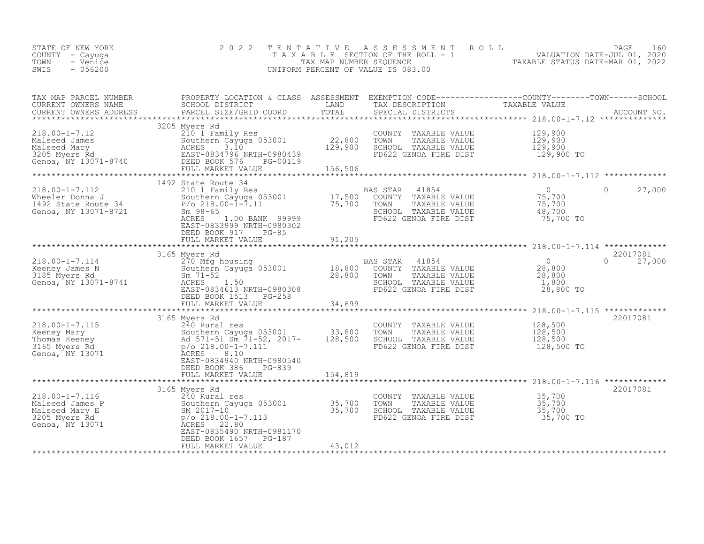| STATE OF NEW YORK<br>COUNTY - Cayuga<br>- Venice<br>TOWN<br>$-056200$<br>SWIS                                                                                                                                                                                              | 2 0 2 2                                                                                                                                                                                                                                                                                                   | TENTATIVE       | UNIFORM PERCENT OF VALUE IS 083.00                                                                                                        | FENTATIVE ASSESSMENT ROLL<br>TAXABLE SECTION OF THE ROLL - 1 VALUATION DATE-JUL 01, 2020<br>TAX MAP NUMBER SEQUENCE TAXABLE STATUS DATE-MAR 01, 2022<br>JNIFORM PERCENT OF VALUE IS 083.00                   |                    |
|----------------------------------------------------------------------------------------------------------------------------------------------------------------------------------------------------------------------------------------------------------------------------|-----------------------------------------------------------------------------------------------------------------------------------------------------------------------------------------------------------------------------------------------------------------------------------------------------------|-----------------|-------------------------------------------------------------------------------------------------------------------------------------------|--------------------------------------------------------------------------------------------------------------------------------------------------------------------------------------------------------------|--------------------|
| TAX MAP PARCEL NUMBER<br>CURRENT OWNERS NAME<br>CURRENT OWNERS ADDRESS                                                                                                                                                                                                     |                                                                                                                                                                                                                                                                                                           |                 |                                                                                                                                           |                                                                                                                                                                                                              |                    |
| 218.00-1-7.12<br>Malseed James<br>Malseed Mary<br>Malseed Mary<br>3205 Myers Rd<br>3205 Myers Rd<br>6enoa, NY 13071-8740<br>EAST-0834796 NRTH-0980439<br>EAST-083476 NRTH-0980439<br>EAST-083476 NRTH-0980439<br>EEED BOOK 576 PG-00119<br>FULL MARK                       | 3205 Myers Rd<br>FULL MARKET VALUE 156,506                                                                                                                                                                                                                                                                |                 | COUNTY TAXABLE VALUE<br>TOWN<br>TAXABLE VALUE<br>SCHOOL TAXABLE VALUE<br>FD622 GENOA FIRE DIST                                            | 129,900<br>$\frac{129}{129}$ , 900<br>129, 900<br>129,900 TO                                                                                                                                                 |                    |
| $218.00 - 1 - 7.112$<br>218.00-1-7.112<br>Wheeler Donna J<br>1492 State Route 34<br>Genoa, NY 13071-8721                                                                                                                                                                   | 1492 State Route 34<br>State Route 34<br>210 1 Family Res<br>Southern Cayuga 053001 17,500 COUNTY TAXABLE VALUE<br>P/o 218.00-1-7.11 75,700 TOWN TAXABLE VALUE<br>Sm 98-65 SCHOOL TAXABLE VALUE<br>ACRES 000-21.00 BANK 99999<br>EAST-0833999 NRTH-0980302<br>DEED BOOK 917<br>PG-85<br>FULL MARKET VALUE | 91,205          |                                                                                                                                           | $\begin{tabular}{cc} 41854 & 0 \\ \texttt{TAXABLE VALUE} & 75,700 \\ \texttt{TAXABLE VALUE} & 75,700 \\ \texttt{TAXABLE VALUE} & 48,700 \\ \texttt{TAXABLE_VALUE} & 48,700 \\ \end{tabular}$<br>$\mathbf{0}$ | 27,000             |
|                                                                                                                                                                                                                                                                            |                                                                                                                                                                                                                                                                                                           |                 |                                                                                                                                           |                                                                                                                                                                                                              |                    |
| 3165 Myers Rd<br>218.00-1-7.114<br>Keeney James N<br>3185 Myers Rd<br>Genoa, NY 13071-8741<br>28,800<br>28,800<br>28,800<br>28,800<br>28,800<br>28,800<br>28,800<br>28,800<br>28,800<br>28,800<br>28,800<br>28,800<br>28,800<br>28,800<br>28,800<br>28,800<br>28,800<br>28 | 3165 Myers Rd<br>DEED BOOK 1513 PG-258<br>FULL MARKET VALUE                                                                                                                                                                                                                                               | 34,699          | <b>BAS STAR</b><br>41854<br>COUNTY TAXABLE VALUE<br>TOWN<br>TAXABLE VALUE<br>SCHOOL TAXABLE VALUE<br>FD622 GENOA FIRE DIST                | $0$<br>$28,800$<br>$28,800$<br>$\Omega$<br>$1,800$<br>28,800 TO                                                                                                                                              | 22017081<br>27,000 |
|                                                                                                                                                                                                                                                                            | **************************<br>3165 Myers Rd                                                                                                                                                                                                                                                               | *************** |                                                                                                                                           | ******************** 218.00-1-7.115 *********                                                                                                                                                                | 22017081           |
| 218.00-1-7.115<br>Keeney Mary 240 Rural res<br>Thomas Keeney 2017 52, 2017-<br>33,800<br>240 Rural res<br>240 Rural res<br>240 Rural res<br>240 Rural res<br>240 Rural res<br>263001<br>2017-<br>28,500<br>218,500<br>218,500<br>218,500<br>218,500<br>218,500             | EAST-0834940 NRTH-0980540<br>DEED BOOK 386<br>PG-839                                                                                                                                                                                                                                                      |                 | COUNTY TAXABLE VALUE<br>TOWN<br>TAXABLE VALUE<br>SCHOOL TAXABLE VALUE<br>FD622 GENOA FIRE DIST                                            | 128,500<br>$\frac{128}{128}$ , 500<br>128, 500<br>128,500 TO                                                                                                                                                 |                    |
|                                                                                                                                                                                                                                                                            | FULL MARKET VALUE                                                                                                                                                                                                                                                                                         | 154,819         |                                                                                                                                           |                                                                                                                                                                                                              |                    |
| $218.00 - 1 - 7.116$<br>Malseed James P<br>Malseed Mary E<br>3205 Myers Rd<br>Genoa, NY 13071                                                                                                                                                                              | 3165 Myers Rd<br>240 Rural res<br>240 Rural res<br>Southern Cayuga 053001 35,700<br>SM 2017-10 35,700<br>P/o 218.00-1-7.113<br>ACRES 22.80<br>EAST-0835490 NRTH-0981170<br>EAST-0835490 NRTH-0981170<br>DEED BOOK 1657 PG-187<br>FULL MARKET VALUE                                                        | 43,012          | COUNTY TAXABLE VALUE 35,700<br>TOWN TAXABLE VALUE 35,700<br>SCHOOL TAXABLE VALUE 35,700<br>FD622 GENOA FIRE DIST<br>FD622 GENOA FIRE DIST | 35,700 TO                                                                                                                                                                                                    | 22017081           |
|                                                                                                                                                                                                                                                                            |                                                                                                                                                                                                                                                                                                           |                 |                                                                                                                                           |                                                                                                                                                                                                              |                    |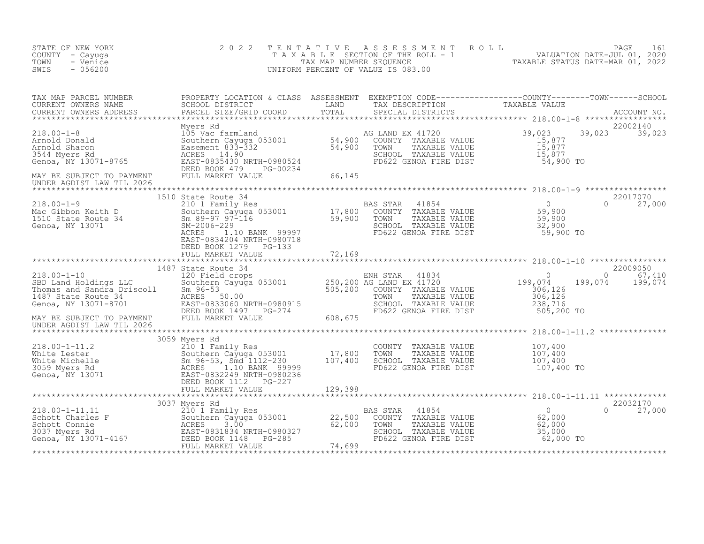| STATE OF NEW YORK<br>COUNTY - Cayuga<br>TOWN<br>- Venice<br>SWIS<br>$-056200$                                                                                                                                                                              | 2 0 2 2                                                                                                                                                                                                                                                                 | TENTATIVE | UNIFORM PERCENT OF VALUE IS 083.00                                                                                  | FENTATIVE ASSESSMENT ROLL UNIVERSITY PAGE 161<br>TAXABLE SECTION OF THE ROLL - 1 VALUATION DATE-JUL 01, 2020<br>TAXABLE STATUS DATE-MAR 01, 2022<br>JNIFORM PERCENT OF VALUE IS 083.00 |
|------------------------------------------------------------------------------------------------------------------------------------------------------------------------------------------------------------------------------------------------------------|-------------------------------------------------------------------------------------------------------------------------------------------------------------------------------------------------------------------------------------------------------------------------|-----------|---------------------------------------------------------------------------------------------------------------------|----------------------------------------------------------------------------------------------------------------------------------------------------------------------------------------|
|                                                                                                                                                                                                                                                            |                                                                                                                                                                                                                                                                         |           |                                                                                                                     |                                                                                                                                                                                        |
|                                                                                                                                                                                                                                                            |                                                                                                                                                                                                                                                                         |           | COUNTY TAXABLE VALUE<br>TOWN TAXABLE VALUE 15,877<br>SCHOOL TAXABLE VALUE 15,877<br>FD622 GENOA FIRE DIST 54,900 TO | 22002140<br>39,023<br>39,023 39,023                                                                                                                                                    |
| UNDER AGDIST LAW TIL 2026                                                                                                                                                                                                                                  | 1510 State Route 34                                                                                                                                                                                                                                                     |           |                                                                                                                     | 22017070                                                                                                                                                                               |
| 218.00-1-9<br>Mac Gibbon Keith D<br>1510 State Route 34<br>Genoa, NY 13071                                                                                                                                                                                 | 310 1 Family Res<br>210 1 Family Res<br>Southern Cayuga 053001 17,800 COUNTY TAXABLE VALUE 59,900<br>Sm 89-97 97-116 59,900 TOWN TAXABLE VALUE 59,900<br>SM-2006-22<br>ACRES 1.10 BANK 99997 FD622 GENOA FIRE DIST 59,900 TO<br>EAST-08342<br>EAST-0834204 NRTH-0980718 |           |                                                                                                                     | 27,000                                                                                                                                                                                 |
|                                                                                                                                                                                                                                                            | DEED BOOK 1279 PG-133<br>FULL MARKET VALUE                                                                                                                                                                                                                              | 72,169    |                                                                                                                     |                                                                                                                                                                                        |
|                                                                                                                                                                                                                                                            |                                                                                                                                                                                                                                                                         |           |                                                                                                                     | 22009050<br>$\begin{matrix} 0 & 67,410 \\ -1 & 100,071 \end{matrix}$<br>199,074<br>199,074                                                                                             |
|                                                                                                                                                                                                                                                            |                                                                                                                                                                                                                                                                         |           |                                                                                                                     |                                                                                                                                                                                        |
| 3059 Myers Rd<br>218.00-1-11.2<br>White Lester 210 1 Family Res<br>210 1 Family Res<br>210 1 Family Res<br>500-53, Smd 1112-230<br>3059 Myers Rd<br>3059 Myers Rd<br>3059 Myers Rd<br>3059 Myers Rd<br>207,400<br>207,400<br>207,400<br>207,400<br>207,400 | 3059 Myers Rd                                                                                                                                                                                                                                                           |           | COUNTY TAXABLE VALUE<br>TOWN      TAXABLE VALUE<br>SCHOOL   TAXABLE VALUE<br>FD622 GENOA FIRE DIST                  | 107,400<br>$\begin{array}{c} 107, 400 \\ 107, 400 \\ 107, 40 \end{array}$<br>107,400 TO                                                                                                |
|                                                                                                                                                                                                                                                            |                                                                                                                                                                                                                                                                         |           |                                                                                                                     |                                                                                                                                                                                        |
|                                                                                                                                                                                                                                                            | 3037 Myers Rd                                                                                                                                                                                                                                                           |           | SCHOOL TAXABLE VALUE 55,000<br>FD622 GENOA FIRE DIST 62,000 TO                                                      | 22032170<br>0<br>62,000<br>62,000<br>27,000                                                                                                                                            |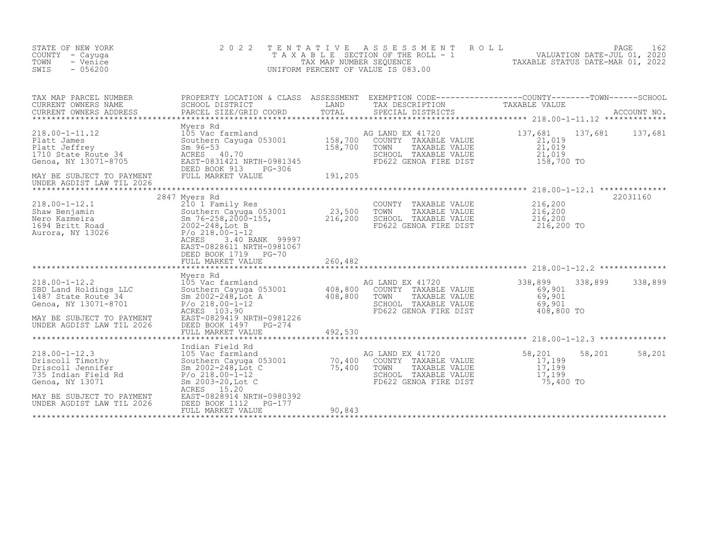| STATE OF NEW YORK<br>COUNTY - Cayuga<br>TOWN<br>- Venice<br>SWIS<br>$-056200$                                                                                                                                                                                                                                     | 2 0 2 2                                                                                                                                                                                                                     | TENTATIVE | PAGE 162<br>TAXABLE SECTION OF THE ROLL - 1 VALUATION DATE-JUL 01, 2020<br>TAX MAP NUMBER SEQUENCE TAXABLE STATUS DATE-MAR 01, 2022<br>INIFORM PERCENT OF VALUE IS 083 00<br>UNIFORM PERCENT OF VALUE IS 083.00 |                                                           |                         |
|-------------------------------------------------------------------------------------------------------------------------------------------------------------------------------------------------------------------------------------------------------------------------------------------------------------------|-----------------------------------------------------------------------------------------------------------------------------------------------------------------------------------------------------------------------------|-----------|-----------------------------------------------------------------------------------------------------------------------------------------------------------------------------------------------------------------|-----------------------------------------------------------|-------------------------|
| TAX MAP PARCEL NUMBER<br>CURRENT OWNERS NAME<br>CURRENT OWNERS ADDRESS                                                                                                                                                                                                                                            | PROPERTY LOCATION & CLASS ASSESSMENT EXEMPTION CODE------------------COUNTY---------TOWN------SCHOOL<br>SCHOOL DISTRICT LAND TAX DESCRIPTION TAXABLE VALUE<br>PARCEL SIZE/GRID COORD TOTAL SPECIAL DISTRICTS                |           |                                                                                                                                                                                                                 |                                                           |                         |
| 218.00-1-11.12<br>218.00-1-11.12<br>218.00-1-11.12<br>218.00-1-11.12<br>218.00-1-11.12<br>218.00-1-11.12<br>218.00-1-11.12<br>218.00-1-11.12<br>205 Vac farmland<br>205 Vac farmland<br>205 Vac farmland<br>205 Vac farmland<br>205 Vac farmland<br>205<br>MAY BE SUBJECT TO PAYMENT<br>UNDER AGDIST LAW TIL 2026 | FULL MARKET VALUE                                                                                                                                                                                                           | 191,205   | SCHOOL TAXABLE VALUE<br>FD622 GENOA FIRE DIST                                                                                                                                                                   | $\frac{21}{21}$ , 019<br>21,019<br>___, 019<br>158,700 то | 137,681 137,681 137,681 |
|                                                                                                                                                                                                                                                                                                                   | 2847 Myers Rd                                                                                                                                                                                                               |           |                                                                                                                                                                                                                 |                                                           | 22031160                |
| $218.00-1-12.1$<br>Shaw Benjamin<br>Nero Kazmeira<br>1694 Britt Road<br>Aurora, NY 13026<br>2002-248.10t B<br>2002-248.10t B<br>2002-248.10t B<br>2002-248.10t B<br>2002-248.10t B                                                                                                                                | 210 1 Family Res<br>Southern Cayuga 053001 23,500<br>Sm 76-258,2000-155, 216,200<br>2002-248,Lot B<br>P/o 218.00-1-12<br>ACRES<br>3.40 BANK 99997<br>EAST-0828611 NRTH-0981067<br>DEED BOOK 1719 PG-70<br>FULL MARKET VALUE | 260,482   | COUNTY TAXABLE VALUE $216,200$<br>TOWN TAXABLE VALUE $216,200$<br>SCHOOL TAXABLE VALUE $216,200$<br>TOWN<br>SCHOOL TAXABLE VALUE<br>FD622 GENOA FIRE DIST                                                       | 216,200 TO                                                |                         |
|                                                                                                                                                                                                                                                                                                                   |                                                                                                                                                                                                                             |           |                                                                                                                                                                                                                 |                                                           |                         |
| Myers Rd<br>Myers Rd<br>SBD Land Holdings LLC<br>Southern Cayuga 053001<br>1487 State Route 34<br>Genoa, NY 13071-8701<br>218.00-1-12<br>2002-248, Lot A<br>2002-248, Lot A<br>2002-112<br>2003.90<br>2003.90<br>2003.90<br>2003.90<br>MAY BE SUBJECT TO PAYMENT<br>UNDER AGDIST LAW TIL 2026                     | DEED BOOK 1497    PG-274                                                                                                                                                                                                    |           | TOWN TAXABLE VALUE<br>SCHOOL TAXABLE VALUE 69, 501<br>TICO CENOR FIRE DIST 408,800 TO                                                                                                                           | 338,899<br>69,901<br>$69,901$<br>$69,901$                 | 338,899<br>338,899      |
|                                                                                                                                                                                                                                                                                                                   |                                                                                                                                                                                                                             |           |                                                                                                                                                                                                                 |                                                           |                         |
| 218.00-1-12.3<br>Driscoll Timothy<br>Driscoll Jennifer Southern Cayuga 053001<br>Driscoll Jennifer Sm 2002-248,Lot C<br>75,400 COUNTY TAXABLE VALUE<br>75,400 TOWN TAXABLE VALUE<br>Sm 2002-248,Lot C<br>75,400 TOWN TAXABLE VALUE<br>Sm 2003-<br>MAY BE SUBJECT TO PAYMENT                                       | Indian Field Rd<br>ACRES 15.20<br>EAST-0828914 NRTH-0980392                                                                                                                                                                 |           | TAXABLE VALUE<br>SCHOOL TAXABLE VALUE 17,199<br>FD622 GENOA FIRE DIST 75,400 TO                                                                                                                                 | 58,201<br>17,199<br>17,199<br>17,199                      | 58,201<br>58,201        |
| UNDER AGDIST LAW TIL 2026<br>********************                                                                                                                                                                                                                                                                 | DEED BOOK 1112<br>PG-177<br>FULL MARKET VALUE                                                                                                                                                                               | 90,843    |                                                                                                                                                                                                                 |                                                           |                         |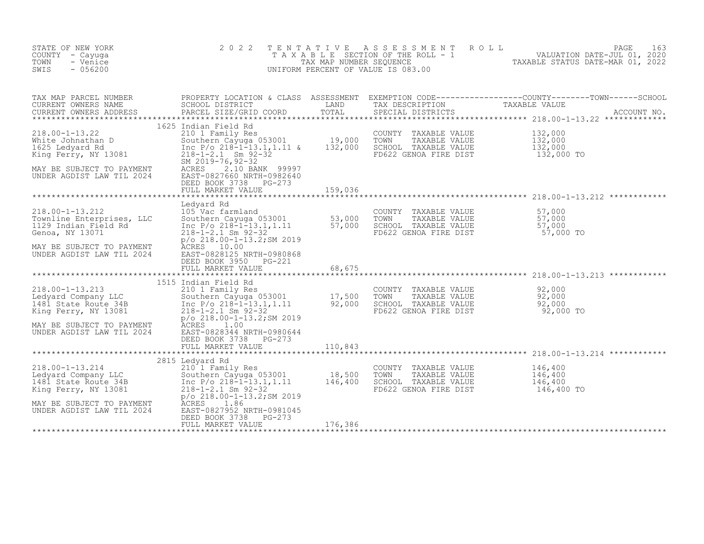| STATE OF NEW YORK<br>COUNTY - Cayuga<br>- Venice<br>TOWN<br>SWIS<br>$-056200$                                                                                     | 2 0 2 2                                                                                                                                                                                                                                                                                                    | TENTATIVE<br>TAX MAP NUMBER SEQUENCE | A S S E S S M E N T<br>T A X A B L E SECTION OF THE ROLL - 1<br>UNIFORM PERCENT OF VALUE IS 083.00 | PAGE<br>ROLL<br>163<br>VALUATION DATE-JUL 01, 2020<br>TAXABLE STATUS DATE-MAR 01, 2022                         |
|-------------------------------------------------------------------------------------------------------------------------------------------------------------------|------------------------------------------------------------------------------------------------------------------------------------------------------------------------------------------------------------------------------------------------------------------------------------------------------------|--------------------------------------|----------------------------------------------------------------------------------------------------|----------------------------------------------------------------------------------------------------------------|
| TAX MAP PARCEL NUMBER<br>CURRENT OWNERS NAME<br>CURRENT OWNERS ADDRESS                                                                                            | SCHOOL DISTRICT<br>PARCEL SIZE/GRID COORD                                                                                                                                                                                                                                                                  | LAND<br>TOTAL                        | TAX DESCRIPTION TAXABLE VALUE<br>SPECIAL DISTRICTS                                                 | PROPERTY LOCATION & CLASS ASSESSMENT EXEMPTION CODE----------------COUNTY-------TOWN-----SCHOOL<br>ACCOUNT NO. |
| $218.00 - 1 - 13.22$<br>White Johnathan D<br>1625 Ledvard Rd<br>1625 Ledyard Rd<br>King Ferry, NY 13081<br>MAY BE SUBJECT TO PAYMENT<br>UNDER AGDIST LAW TIL 2024 | 1625 Indian Field Rd<br>210 1 Family Res<br>210 Tamily Res 053001 19,000<br>Southern Cayuga 053001 19,000<br>Inc P/o 218-1-13.1,1.11 & 132,000<br>$218 - 1 - 2.1$ Sm $92 - 32$<br>SM 2019-76, 92-32<br>ACRES<br>2.10 BANK 99997<br>EAST-0827660 NRTH-0982640<br>DEED BOOK 3738 PG-273<br>FULL MARKET VALUE | 159,036                              | COUNTY<br>TAXABLE VALUE<br>TOWN<br>TAXABLE VALUE<br>SCHOOL TAXABLE VALUE<br>FD622 GENOA FIRE DIST  | 132,000<br>132,000<br>132,000<br>132,000 TO                                                                    |
|                                                                                                                                                                   |                                                                                                                                                                                                                                                                                                            |                                      |                                                                                                    |                                                                                                                |
| $218.00 - 1 - 13.212$<br>Townline Enterprises, LLC<br>1129 Indian Field Rd<br>Genoa, NY 13071<br>MAY BE SUBJECT TO PAYMENT<br>UNDER AGDIST LAW TIL 2024           | Ledyard Rd<br>105 Vac farmland<br>Southern Cayuga 053001 53,000<br>Inc P/o 218-1-13.1,1.11 57,000<br>$218 - 1 - 2.1$ Sm $92 - 32$<br>$p$ /o 218.00-1-13.2; SM 2019<br>ACRES 10.00<br>EAST-0828125 NRTH-0980868<br>DEED BOOK 3950<br>$PG-221$                                                               |                                      | COUNTY TAXABLE VALUE<br>TOWN<br>TAXABLE VALUE<br>SCHOOL TAXABLE VALUE<br>FD622 GENOA FIRE DIST     | 57,000<br>$57,000$<br>57,000<br>57,000 TO                                                                      |
|                                                                                                                                                                   | FULL MARKET VALUE                                                                                                                                                                                                                                                                                          | 68,675                               |                                                                                                    | ******************************** 218.00-1-13.213 ************                                                  |
| $218.00 - 1 - 13.213$<br>Ledyard Company LLC<br>1481 State Route 34B<br>King Ferry, NY 13081                                                                      | 1515 Indian Field Rd<br>210 1 Family Res<br>Southern Cayuga 053001 17,500<br>Inc P/o 218-1-13.1,1.11 92,000<br>$218 - 1 - 2.1$ Sm $92 - 32$<br>p/o 218.00-1-13.2; SM 2019                                                                                                                                  |                                      | COUNTY TAXABLE VALUE<br>TOWN<br>TAXABLE VALUE<br>SCHOOL TAXABLE VALUE<br>FD622 GENOA FIRE DIST     | 92,000<br>92,000<br>92,000<br>92,000 TO                                                                        |
| MAY BE SUBJECT TO PAYMENT<br>UNDER AGDIST LAW TIL 2024                                                                                                            | ACRES<br>1.00<br>EAST-0828344 NRTH-0980644<br>DEED BOOK 3738<br>PG-273<br>FULL MARKET VALUE                                                                                                                                                                                                                | 110,843                              |                                                                                                    |                                                                                                                |
|                                                                                                                                                                   | 2815 Ledyard Rd                                                                                                                                                                                                                                                                                            |                                      |                                                                                                    |                                                                                                                |
| $218.00 - 1 - 13.214$<br>Ledyard Company LLC<br>1481 State Route 34B<br>King Ferry, NY 13081<br>MAY BE SUBJECT TO PAYMENT<br>UNDER AGDIST LAW TIL 2024            | 210 1 Family Res<br>Southern Cayuga 053001<br>Inc P/o 218-1-13.1,1.11<br>$218 - 1 - 2.1$ Sm $92 - 32$<br>$p$ /o 218.00-1-13.2; SM 2019<br>1.86<br>ACRES<br>EAST-0827952 NRTH-0981045                                                                                                                       | $18,500$<br>$146,400$                | COUNTY TAXABLE VALUE<br>TAXABLE VALUE<br>TOWN<br>SCHOOL TAXABLE VALUE<br>FD622 GENOA FIRE DIST     | 146,400<br>146,400<br>146,400<br>146,400 TO                                                                    |
|                                                                                                                                                                   | DEED BOOK 3738<br>PG-273<br>FULL MARKET VALUE                                                                                                                                                                                                                                                              | 176,386                              |                                                                                                    |                                                                                                                |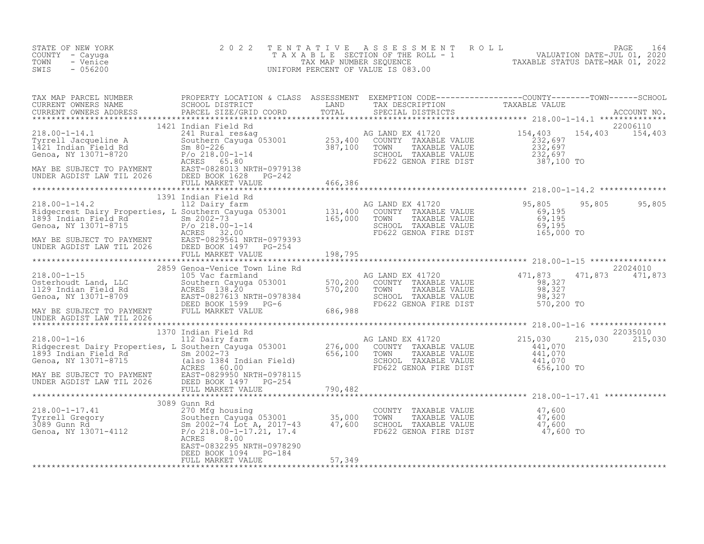| STATE OF NEW YORK<br>COUNTY - Cayuga<br>TOWN<br>- Venice<br>$-056200$<br>SWIS                                                                                                                                                                            | 2 0 2 2                                    |        | TENTATIVE ASSESSMENT ROLL PAGE 164<br>TAXABLE SECTION OF THE ROLL - 1 VALUATION DATE-JUL 01, 2020<br>TAX MAP NUMBER SEQUENCE TAXABLE STATUS DATE-MAR 01, 2022<br>UNIFORM PERCENT OF VALUE IS 083.00 |                             |
|----------------------------------------------------------------------------------------------------------------------------------------------------------------------------------------------------------------------------------------------------------|--------------------------------------------|--------|-----------------------------------------------------------------------------------------------------------------------------------------------------------------------------------------------------|-----------------------------|
| TAX MAP PARCEL NUMBER PROPERTY LOCATION & CLASS ASSESSMENT EXEMPTION CODE-----------------COUNTY--------TOWN------SCHOOL SCHOOL DISTRICT LAND TAX DESCRIPTION TAXABLE VALUE<br>CURRENT OWNERS NAME SCHOOL DISTRICT LAND TAX DESCR                        |                                            |        |                                                                                                                                                                                                     |                             |
|                                                                                                                                                                                                                                                          | 1421 Indian Field Rd                       |        |                                                                                                                                                                                                     | 22006110<br>154,403 154,403 |
|                                                                                                                                                                                                                                                          |                                            |        |                                                                                                                                                                                                     |                             |
|                                                                                                                                                                                                                                                          |                                            |        |                                                                                                                                                                                                     |                             |
|                                                                                                                                                                                                                                                          |                                            |        |                                                                                                                                                                                                     |                             |
| 1370 Tollar Field Rd<br>MAY BE SUBJECT TO PAYMENT FULL MARKET VALUE<br>MAY BE SUBJECT TO PAYMENT TOWNARKET VALUE<br>MAY BE SUBJECT TO PAYMENT TO BULL MARKET VALUE<br>MAY BE SUBJECT TO PAYMENT TO BULL MARKET VALUE<br>THE MARY BE SUBJ                 |                                            |        |                                                                                                                                                                                                     |                             |
|                                                                                                                                                                                                                                                          |                                            |        |                                                                                                                                                                                                     |                             |
| 1370 Indian Field Rd 215,030 215 1370 INTER 2016 216,000 216 112 Dairy farm<br>1370 Indian Field Rd 276,000 COUNTY TAXABLE VALUE<br>Redecrest Dairy Properties, L Southern Cayuga 053001 276,000 COUNTY TAXABLE VALUE<br>1893 Indian                     |                                            |        |                                                                                                                                                                                                     | 22035010<br>215,030 215,030 |
|                                                                                                                                                                                                                                                          |                                            |        |                                                                                                                                                                                                     |                             |
|                                                                                                                                                                                                                                                          |                                            |        |                                                                                                                                                                                                     |                             |
| 3089 Gunn Rd<br>3089 Gunn Rd<br>270 Mfg housing<br>270 Mfg housing<br>270 Mfg housing<br>270 Mfg housing<br>270 Mfg housing<br>270 Mfg housing<br>270 Mfg housing<br>270 Mfg housing<br>270 Mfg housing<br>270 Mfg housing<br>2002-74 Lot A, 2017-43<br> | ACRES<br>8.00<br>EAST-0832295 NRTH-0978290 |        |                                                                                                                                                                                                     |                             |
|                                                                                                                                                                                                                                                          | DEED BOOK 1094 PG-184<br>FULL MARKET VALUE | 57,349 |                                                                                                                                                                                                     |                             |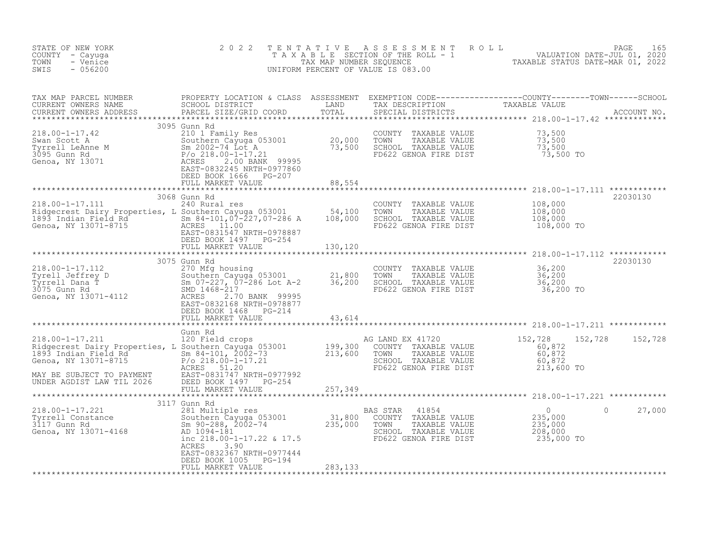| STATE OF NEW YORK<br>COUNTY - Cayuga<br>TOWN<br>- Venice<br>$-056200$<br>SWIS                                                                                                                                                                              | 2 0 2 2                                                             |                 | TENTATIVE ASSESSMENT ROLL PACE 165<br>TAXABLE SECTION OF THE ROLL - 1 VALUATION DATE-JUL 01, 2020<br>TAX MAP NUMBER SEQUENCE TAXABLE STATUS DATE-MAR 01, 2022<br>UNIFORM PERCENT OF VALUE IS 083.00 |          |
|------------------------------------------------------------------------------------------------------------------------------------------------------------------------------------------------------------------------------------------------------------|---------------------------------------------------------------------|-----------------|-----------------------------------------------------------------------------------------------------------------------------------------------------------------------------------------------------|----------|
| TAX MAP PARCEL NUMBER PROPERTY LOCATION & CLASS ASSESSMENT EXEMPTION CODE----------------COUNTY--------TOWN------SCHOOL CURRENT OWNERS NAME SCHOOL DISTRICT LAND TAX DESCRIPTION TAXABLE VALUE<br>CURRENT OWNERS ADDRESS PARCEL S                          |                                                                     |                 |                                                                                                                                                                                                     |          |
| 3095 Gunn Rd                                                                                                                                                                                                                                               | DEED BOOK 1666 PG-207<br>FULL MARKET VALUE 7 7 88,554               |                 |                                                                                                                                                                                                     |          |
|                                                                                                                                                                                                                                                            |                                                                     | *************** |                                                                                                                                                                                                     |          |
| 3068 Gunn Rd<br>240 Rural res<br>240 Rural res<br>240 Rural res<br>240 Rural res<br>240 Rural res<br>240 Rural res<br>240 Rural res<br>240 Rural res<br>25001 108,000<br>26 Band 108,000<br>26 Band 108,000<br>26 Band 108,000<br>26 Band 108,000<br>26 Ba | 3068 Gunn Rd                                                        |                 |                                                                                                                                                                                                     | 22030130 |
|                                                                                                                                                                                                                                                            |                                                                     |                 |                                                                                                                                                                                                     |          |
|                                                                                                                                                                                                                                                            |                                                                     |                 |                                                                                                                                                                                                     | 22030130 |
|                                                                                                                                                                                                                                                            |                                                                     |                 |                                                                                                                                                                                                     |          |
|                                                                                                                                                                                                                                                            | FULL MARKET VALUE 43,614                                            |                 |                                                                                                                                                                                                     |          |
|                                                                                                                                                                                                                                                            |                                                                     |                 |                                                                                                                                                                                                     |          |
|                                                                                                                                                                                                                                                            |                                                                     |                 |                                                                                                                                                                                                     |          |
|                                                                                                                                                                                                                                                            |                                                                     |                 |                                                                                                                                                                                                     |          |
|                                                                                                                                                                                                                                                            |                                                                     |                 |                                                                                                                                                                                                     |          |
|                                                                                                                                                                                                                                                            | 3117 Gunn Rd                                                        |                 |                                                                                                                                                                                                     |          |
| 218.00-1-17.221 <sup>311</sup> /9000 381 Multiple res BAS STAR 41854 0<br>Tyrrell Constance Southern Cayuga 053001 31,800 COUNTY TAXABLE VALUE 235,000<br>3117 Gunn Rd Sm 90-288, 2002-74 235,000 TOWN TAXABLE VALUE 235,000<br>Genoa, NY 1307             | ACRES<br>3.90<br>EAST-0832367 NRTH-0977444<br>DEED BOOK 1005 PG-194 |                 | $\circ$                                                                                                                                                                                             | 27,000   |
|                                                                                                                                                                                                                                                            | FULL MARKET VALUE                                                   | 283,133         |                                                                                                                                                                                                     |          |
|                                                                                                                                                                                                                                                            |                                                                     |                 |                                                                                                                                                                                                     |          |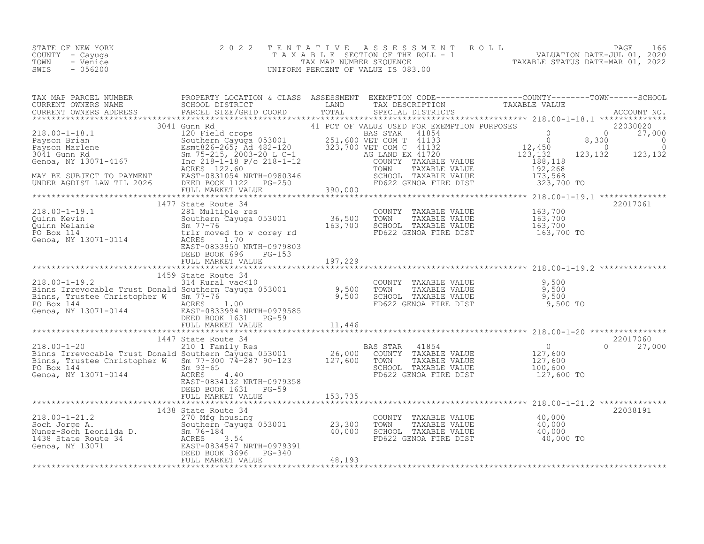| STATE OF NEW YORK | 2022 TENTATIVE ASSESSMENT ROLL     |                                  | PAGE                        | 166 |
|-------------------|------------------------------------|----------------------------------|-----------------------------|-----|
| COUNTY - Cayuqa   | TAXABLE SECTION OF THE ROLL - 1    |                                  | VALUATION DATE-JUL 01, 2020 |     |
| TOWN<br>- Venice  | TAX MAP NUMBER SEQUENCE            | TAXABLE STATUS DATE-MAR 01, 2022 |                             |     |
| $-056200$<br>SWIS | UNIFORM PERCENT OF VALUE IS 083.00 |                                  |                             |     |

|                                                                                                                                                                                                                                                     |  |  | 22017060<br>$0 \t 27,000$ |
|-----------------------------------------------------------------------------------------------------------------------------------------------------------------------------------------------------------------------------------------------------|--|--|---------------------------|
|                                                                                                                                                                                                                                                     |  |  |                           |
|                                                                                                                                                                                                                                                     |  |  |                           |
|                                                                                                                                                                                                                                                     |  |  |                           |
| BINIS, IT USE CHILD COPIEL WE SERVE SERVE SERVE SERVE TRABLE VALUE<br>THE DIST CORPORATIVE SERVE SERVE SERVE SERVE SERVE TRABLE VALUE<br>SERVE SERVE SERVE SERVE SERVE SERVE SERVE SERVE SERVE SERVE SERVE SERVE SERVE SERVE SERVE                  |  |  |                           |
|                                                                                                                                                                                                                                                     |  |  |                           |
|                                                                                                                                                                                                                                                     |  |  |                           |
|                                                                                                                                                                                                                                                     |  |  | 22038191                  |
|                                                                                                                                                                                                                                                     |  |  |                           |
|                                                                                                                                                                                                                                                     |  |  |                           |
|                                                                                                                                                                                                                                                     |  |  |                           |
|                                                                                                                                                                                                                                                     |  |  |                           |
|                                                                                                                                                                                                                                                     |  |  |                           |
| 1938 State Route 34<br>218.00-1-21.2<br>270 Mfg housing<br>Soch Jorge A.<br>270 Mfg housing<br>Soch Jorge A.<br>270 Mfg housing<br>Southern Cayuga 053001<br>23, 300 TONITY TAXABLE VALUE<br>270 Mfg housing<br>23, 300 TONITY TAXABLE VALUE<br>23, |  |  |                           |
|                                                                                                                                                                                                                                                     |  |  |                           |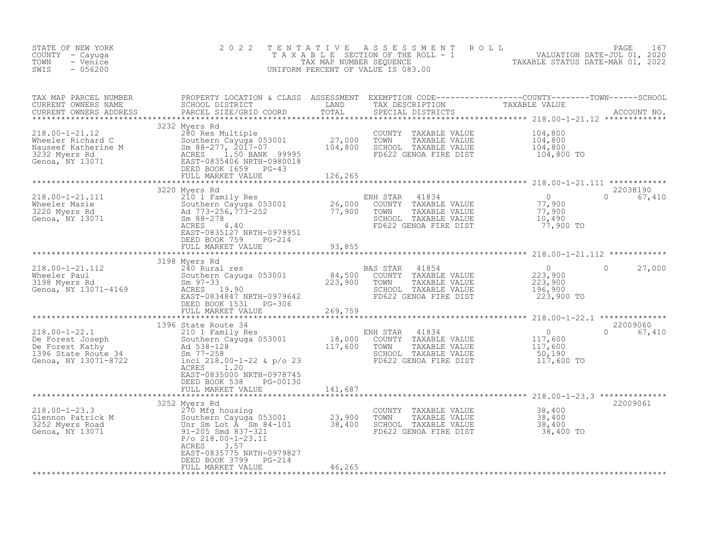| STATE OF NEW YORK<br>COUNTY - Cayuga<br>- Venice<br>TOWN<br>$-056200$<br>SWIS                                                                                                                                                                    | 2 0 2 2                                                                              | T E N T A T I V E | UNIFORM PERCENT OF VALUE IS 083.00                                                             |                                                                                                                                                                                                                                     |
|--------------------------------------------------------------------------------------------------------------------------------------------------------------------------------------------------------------------------------------------------|--------------------------------------------------------------------------------------|-------------------|------------------------------------------------------------------------------------------------|-------------------------------------------------------------------------------------------------------------------------------------------------------------------------------------------------------------------------------------|
| TAX MAP PARCEL NUMBER<br>CURRENT OWNERS NAME<br>CURRENT OWNERS ADDRESS                                                                                                                                                                           | PARCEL SIZE/GRID COORD                                                               |                   |                                                                                                | PROPERTY LOCATION & CLASS ASSESSMENT EXEMPTION CODE---------------COUNTY-------TOWN------SCHOOL<br>SCHOOL DISTRICT                   LAND         TAX DESCRIPTION               TAXABLE VALUE<br>PARCEL SIZE/GRID COORD       TOTAL |
|                                                                                                                                                                                                                                                  | 3232 Myers Rd                                                                        |                   | COUNTY TAXABLE VALUE<br>TAXABLE VALUE<br>TOWN<br>SCHOOL TAXABLE VALUE<br>FD622 GENOA FIRE DIST | 104,800<br>104,800<br>104,800<br>104,800 TO                                                                                                                                                                                         |
|                                                                                                                                                                                                                                                  |                                                                                      |                   |                                                                                                |                                                                                                                                                                                                                                     |
| 218.00-1-21.111 3220 Myers Rd<br>Wheeler Mazie 210 1 Family Res<br>Southern Cayuga 053001 26,000 COUNTY TAXABLE VALUE<br>3220 Myers Rd<br>Southern 26,000 TOWN TAXABLE VALUE<br>SCHOOL TAXABLE VALUE<br>SCHOOL TAXABLE VALUE<br>SCHOOL TAXA      | 3220 Myers Rd                                                                        |                   | 41834                                                                                          | 22038190<br>0<br>77,900<br>77,900<br>10,490<br>77,900 TO<br>$\circledcirc$<br>67,410                                                                                                                                                |
|                                                                                                                                                                                                                                                  | DEED BOOK 759 PG-214<br>FULL MARKET VALUE 93,855<br>*************************        |                   |                                                                                                |                                                                                                                                                                                                                                     |
|                                                                                                                                                                                                                                                  |                                                                                      |                   |                                                                                                | $\overline{0}$<br>$\Omega$<br>27,000<br>223,900<br>223,900<br>196,900<br>223,900 TO                                                                                                                                                 |
|                                                                                                                                                                                                                                                  |                                                                                      | ***************** |                                                                                                |                                                                                                                                                                                                                                     |
| 1990 State Route 34<br>De Forest Joseph 210 1 Family Res<br>De Forest Kathy 2001 Manufacture 2001 18,000 COUNTY TAXABLE VALUE<br>2396 State Route 34 2m 77-258<br>Genoa, NY 13071-8722 incl 218.00-1-22 & p/o 23<br>2001 TAXABLE VALUE<br>       | ACRES 1.20<br>EAST-0835000 NRTH-0978745                                              |                   |                                                                                                | 22009060<br>$\begin{array}{c} 0 \\ 117,600 \\ 117,600 \\ 50,190 \end{array}$<br>$\Omega$<br>67,410<br>117,600 TO                                                                                                                    |
|                                                                                                                                                                                                                                                  | DEED BOOK 538 PG-00130<br>FULL MARKET VALUE                                          | 141,687           |                                                                                                |                                                                                                                                                                                                                                     |
| 218.00-1-23.3<br>Glennon Patrick M<br>3252 Myers Road<br>Genoa, NY 13071 13071 1205 Smd 837-321<br>23,900<br>23,900<br>23,900<br>23,900<br>21-205 Smd 837-321<br>23,900<br>23,400<br>23,400<br>23,400<br>23,400<br>25,400<br>291-205 Smd 837-321 | 3252 Myers Rd<br>3.57<br>ACRES<br>EAST-0835775 NRTH-0979827<br>DEED BOOK 3799 PG-214 | 46,265            | COUNTY TAXABLE VALUE<br>TAXABLE VALUE<br>TOWN<br>SCHOOL TAXABLE VALUE<br>FD622 GENOA FIRE DIST | 22009061<br>$\begin{array}{c} 38,400 \\ 38,400 \\ 38,400 \end{array}$<br>38,400 TO                                                                                                                                                  |
|                                                                                                                                                                                                                                                  | FULL MARKET VALUE                                                                    |                   |                                                                                                |                                                                                                                                                                                                                                     |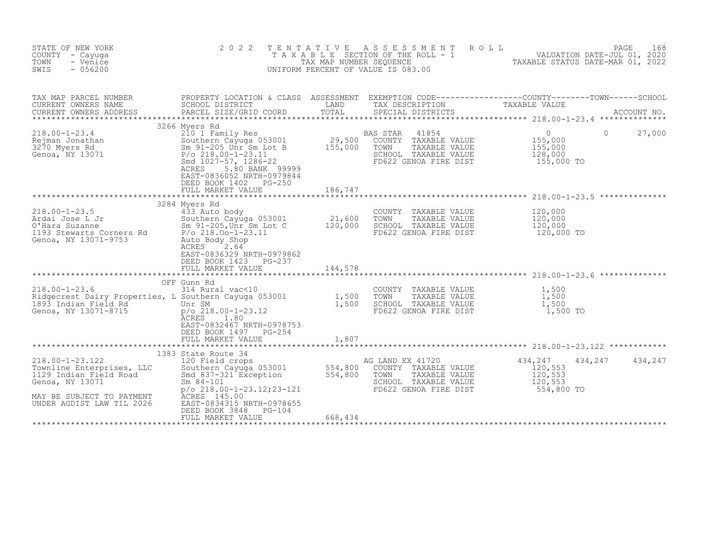| STATE OF NEW YORK<br>COUNTY - Cayuga<br>TOWN<br>- Venice<br>$-056200$<br>SWIS                                                                             | 2 0 2 2                                                                                                                                                                                                                                      |                              | TENTATIVE ASSESSMENT<br>R O L L<br>T A X A B L E SECTION OF THE ROLL - 1 WALUATION DATE-JUL 01, 2020<br>TAX MAP NUMBER SEQUENCE TAXABLE STATUS DATE-MAR 01, 2022<br>UNIFORM PERCENT OF VALUE IS 083.00 |                                                        | PAGE<br>168        |
|-----------------------------------------------------------------------------------------------------------------------------------------------------------|----------------------------------------------------------------------------------------------------------------------------------------------------------------------------------------------------------------------------------------------|------------------------------|--------------------------------------------------------------------------------------------------------------------------------------------------------------------------------------------------------|--------------------------------------------------------|--------------------|
| TAX MAP PARCEL NUMBER<br>CURRENT OWNERS NAME<br>CURRENT OWNERS ADDRESS                                                                                    | PROPERTY LOCATION & CLASS ASSESSMENT EXEMPTION CODE----------------COUNTY-------TOWN-----SCHOOL<br>SCHOOL DISTRICT<br>PARCEL SIZE/GRID COORD                                                                                                 | LAND<br>TOTAL                | TAX DESCRIPTION<br>SPECIAL DISTRICTS                                                                                                                                                                   | TAXABLE VALUE                                          | ACCOUNT NO.        |
| $218.00 - 1 - 23.4$<br>Rejman Jonathan<br>3270 Myers Rd<br>Genoa, NY 13071                                                                                | 3266 Myers Rd<br>210 1 Family Res<br>Southern Cayuga 053001<br>Sm 91-205 Unr Sm Lot B<br>$P/O$ 218.00-1-23.11<br>Smd 1027-57, 1286-22<br>ACRES<br>5.80 BANK 99999<br>EAST-0836052 NRTH-0979844<br>DEED BOOK 1402 PG-250<br>FULL MARKET VALUE | 29,500<br>155,000<br>186,747 | BAS STAR<br>41854<br>COUNTY TAXABLE VALUE<br>TOWN<br>TAXABLE VALUE<br>SCHOOL TAXABLE VALUE<br>FD622 GENOA FIRE DIST                                                                                    | $\circ$<br>155,000<br>155,000<br>128,000<br>155,000 TO | $\Omega$<br>27,000 |
|                                                                                                                                                           |                                                                                                                                                                                                                                              |                              |                                                                                                                                                                                                        |                                                        |                    |
| $218.00 - 1 - 23.5$<br>Ardai Jose L Jr<br>O'Hara Suzanne<br>1193 Stewarts Corners Rd<br>Genoa, NY 13071-9753                                              | 3284 Myers Rd<br>433 Auto body<br>Southern Cayuga 053001 21,600<br>Sm 91-205, Unr Sm Lot C 120,000<br>$P/O$ 218.00-1-23.11<br>Auto Body Shop<br>ACRES 2.64<br>EAST-0836329 NRTH-0979862<br>DEED BOOK 1423 PG-237<br>FULL MARKET VALUE        | 144,578                      | COUNTY TAXABLE VALUE<br>TOWN<br>TAXABLE VALUE<br>SCHOOL TAXABLE VALUE<br>FD622 GENOA FIRE DIST                                                                                                         | 120,000<br>120,000<br>120,000<br>120,000 TO            |                    |
|                                                                                                                                                           |                                                                                                                                                                                                                                              |                              |                                                                                                                                                                                                        |                                                        |                    |
| $218.00 - 1 - 23.6$<br>Ridgecrest Dairy Properties, L Southern Cayuga 053001<br>1893 Indian Field Rd <sup>1</sup> Unr SM<br>Genoa, NY 13071-8715          | OFF Gunn Rd<br>314 Rural vac<10<br>$p$ /o 218.00-1-23.12<br>ACRES<br>1.80<br>EAST-0832467 NRTH-0978753<br>DEED BOOK 1497 PG-254<br>FULL MARKET VALUE                                                                                         | 1,500<br>1,500<br>1,807      | COUNTY TAXABLE VALUE<br>TOWN<br>TAXABLE VALUE<br>SCHOOL TAXABLE VALUE<br>FD622 GENOA FIRE DIST                                                                                                         | 1,500<br>1,500<br>1,500<br>1,500 TO                    |                    |
|                                                                                                                                                           | 1383 State Route 34                                                                                                                                                                                                                          |                              |                                                                                                                                                                                                        |                                                        |                    |
| $218.00 - 1 - 23.122$<br>Townline Enterprises, LLC<br>1129 Indian Field Road<br>Genoa, NY 13071<br>MAY BE SUBJECT TO PAYMENT<br>UNDER AGDIST LAW TIL 2026 | 120 Field crops<br>Southern Cayuga 053001 554,800<br>Smd 837-321 Exception 554,800<br>$Sm 84 - 101$<br>$p$ /o 218.00-1-23.12;23-121<br>ACRES 145.00<br>EAST-0834315 NRTH-0978655<br>DEED BOOK 3848<br>PG-104<br>FULL MARKET VALUE            | 668,434                      | AG LAND EX 41720<br>COUNTY TAXABLE VALUE<br>TOWN<br>TAXABLE VALUE<br>SCHOOL TAXABLE VALUE<br>FD622 GENOA FIRE DIST                                                                                     | 434,247<br>120,553<br>120,553<br>120,553<br>554,800 TO | 434,247<br>434,247 |
|                                                                                                                                                           |                                                                                                                                                                                                                                              |                              |                                                                                                                                                                                                        |                                                        |                    |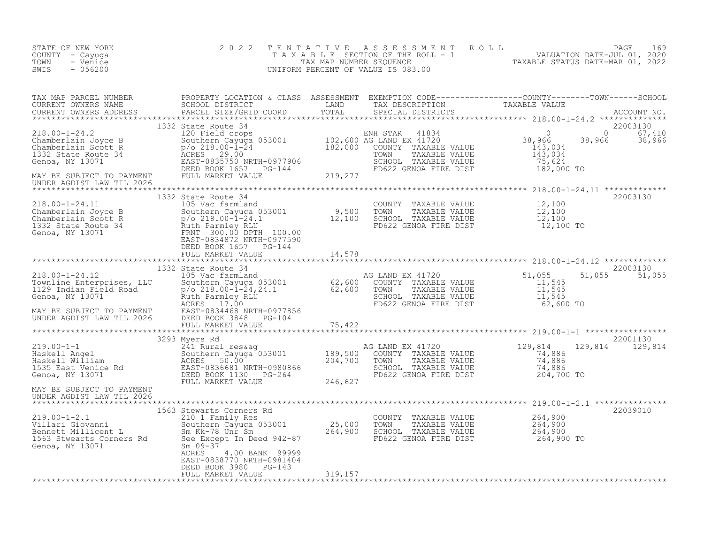| STATE OF NEW YORK<br>COUNTY - Cayuga<br>- Venice<br>TOWN<br>$-056200$<br>SWIS                                                                                                                                                                | 2 0 2 2                                            |         | TENTATIVE ASSESSMENT ROLL PACE 169<br>TAXABLE SECTION OF THE ROLL - 1 VALUATION DATE-JUL 01, 2020<br>TAX MAP NUMBER SEQUENCE TAXABLE STATUS DATE-MAR 01, 2022<br>UNIFORM PERCENT OF VALUE IS 083.00 |                           |
|----------------------------------------------------------------------------------------------------------------------------------------------------------------------------------------------------------------------------------------------|----------------------------------------------------|---------|-----------------------------------------------------------------------------------------------------------------------------------------------------------------------------------------------------|---------------------------|
|                                                                                                                                                                                                                                              |                                                    |         |                                                                                                                                                                                                     |                           |
|                                                                                                                                                                                                                                              |                                                    |         |                                                                                                                                                                                                     |                           |
|                                                                                                                                                                                                                                              |                                                    |         |                                                                                                                                                                                                     |                           |
|                                                                                                                                                                                                                                              |                                                    |         |                                                                                                                                                                                                     | 22003130                  |
|                                                                                                                                                                                                                                              |                                                    |         |                                                                                                                                                                                                     |                           |
|                                                                                                                                                                                                                                              | 1332 State Route 34                                |         |                                                                                                                                                                                                     | 22003130<br>51,055 51,055 |
|                                                                                                                                                                                                                                              | 3293 Myers Rd                                      |         |                                                                                                                                                                                                     | 22001130                  |
| 3293 Myers Rd 241.00-1-1<br>Haskell Angel<br>Haskell William Southern Cayuga 053001<br>Haskell William ACRES 50.00<br>Haskell William ACRES 50.00<br>Haskell William ACRES 50.00<br>Haskell William ACRES 50.00<br>EAST-0836681 NRTH-0980866 |                                                    |         |                                                                                                                                                                                                     | 129,814 129,814           |
| MAY BE SUBJECT TO PAYMENT<br>UNDER AGDIST LAW TIL 2026                                                                                                                                                                                       |                                                    |         |                                                                                                                                                                                                     |                           |
|                                                                                                                                                                                                                                              |                                                    |         |                                                                                                                                                                                                     |                           |
|                                                                                                                                                                                                                                              | EAST-0838770 NRTH-0981404<br>DEED BOOK 3980 PG-143 |         |                                                                                                                                                                                                     | 22039010                  |
|                                                                                                                                                                                                                                              | FULL MARKET VALUE                                  | 319,157 |                                                                                                                                                                                                     |                           |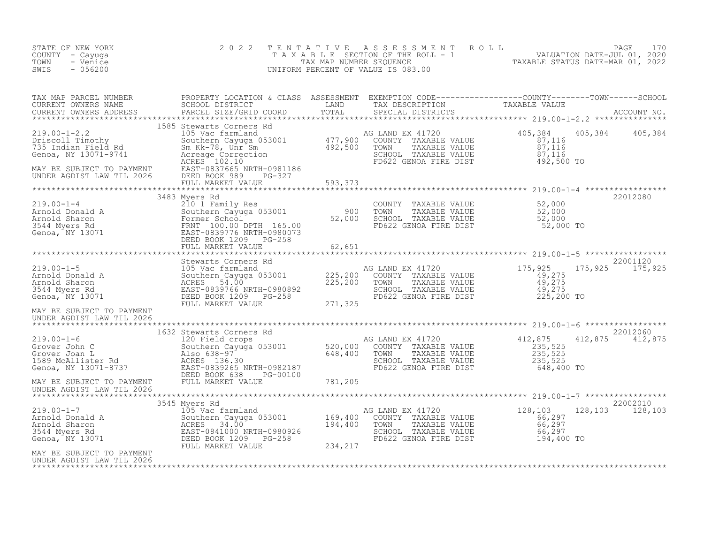| STATE OF NEW YORK<br>COUNTY - Cayuga<br>TOWN<br>- Venice<br>SWIS<br>$-056200$                                                                                                                                                                    | 2 0 2 2 |  | TENTATIVE ASSESSMENT ROLL PAGE 170<br>TAXABLE SECTION OF THE ROLL - 1 VALUATION DATE-JUL 01, 2020<br>TAX MAP NUMBER SEQUENCE TAXABLE STATUS DATE-MAR 01, 2022<br>UNIFORM PERCENT OF VALUE IS 083.00 |  |
|--------------------------------------------------------------------------------------------------------------------------------------------------------------------------------------------------------------------------------------------------|---------|--|-----------------------------------------------------------------------------------------------------------------------------------------------------------------------------------------------------|--|
|                                                                                                                                                                                                                                                  |         |  |                                                                                                                                                                                                     |  |
|                                                                                                                                                                                                                                                  |         |  | 405,384 405,384                                                                                                                                                                                     |  |
|                                                                                                                                                                                                                                                  |         |  |                                                                                                                                                                                                     |  |
|                                                                                                                                                                                                                                                  |         |  |                                                                                                                                                                                                     |  |
|                                                                                                                                                                                                                                                  |         |  |                                                                                                                                                                                                     |  |
| UNDER AGDIST LAW TIL 2026                                                                                                                                                                                                                        |         |  | 22001120<br>175, 925 175, 925                                                                                                                                                                       |  |
|                                                                                                                                                                                                                                                  |         |  |                                                                                                                                                                                                     |  |
|                                                                                                                                                                                                                                                  |         |  | 22012060<br>$412,875$ $412,875$                                                                                                                                                                     |  |
|                                                                                                                                                                                                                                                  |         |  |                                                                                                                                                                                                     |  |
|                                                                                                                                                                                                                                                  |         |  |                                                                                                                                                                                                     |  |
| XAMPLE STAR AND EX 41720<br>219.00-1-7 3545 Myers Rd<br>22002010<br>219.00-1-7 3545 Myers Rd<br>22002010<br>22002010<br>234,400 TOWITY TAXABLE VALUE<br>234,400 TOWIN TAXABLE VALUE<br>234,217 FD622 GENOA FIRE DIST 194,400 TO RAYMENT<br>234,2 |         |  |                                                                                                                                                                                                     |  |
| UNDER AGDIST LAW TIL 2026                                                                                                                                                                                                                        |         |  |                                                                                                                                                                                                     |  |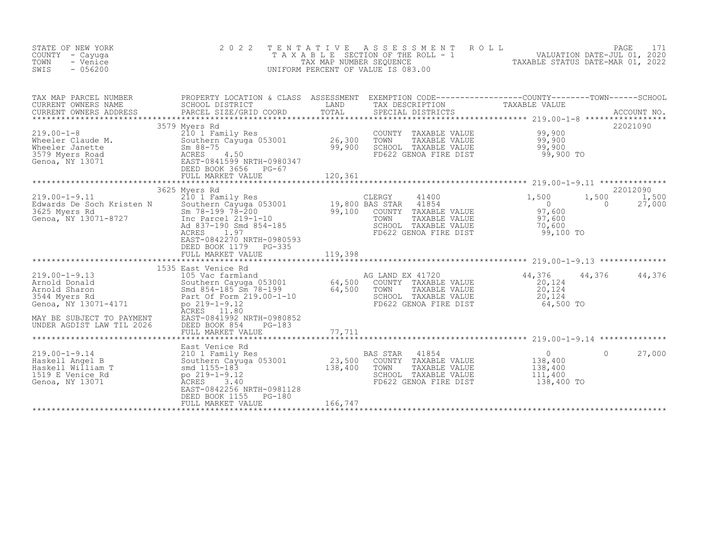| STATE OF NEW YORK<br>COUNTY - Cayuga<br>TOWN<br>- Venice<br>SWIS<br>$-056200$                                                                                                                    | 2 0 2 2<br>TENTATIVE                                                                                                                                                                                        |                             | ROLL<br>A S S E S S M E N T<br>T A X A B L E SECTION OF THE ROLL - 1 WALUATION DATE-JUL 01, 2020<br>UNIFORM PERCENT OF VALUE IS 083.00 |                                                                    | PAGE              | 171             |
|--------------------------------------------------------------------------------------------------------------------------------------------------------------------------------------------------|-------------------------------------------------------------------------------------------------------------------------------------------------------------------------------------------------------------|-----------------------------|----------------------------------------------------------------------------------------------------------------------------------------|--------------------------------------------------------------------|-------------------|-----------------|
| TAX MAP PARCEL NUMBER<br>CURRENT OWNERS NAME<br>CURRENT OWNERS ADDRESS                                                                                                                           | PROPERTY LOCATION & CLASS ASSESSMENT EXEMPTION CODE----------------COUNTY-------TOWN-----SCHOOL<br>SCHOOL DISTRICT<br>PARCEL SIZE/GRID COORD                                                                | LAND<br>TOTAL               | TAX DESCRIPTION<br>SPECIAL DISTRICTS                                                                                                   | TAXABLE VALUE                                                      |                   | ACCOUNT NO.     |
| 219.00-1-8<br>Wheeler Claude M.<br>Wheeler Janette Sm 88-7<br>3579 Myers Road<br>Conca, NY 13071<br>EAST-08<br>DEED BEAST-08<br>DEED BEAST-08<br>DEED BEAST-08<br>DEED BEAST-08<br>DEED BEAST-08 | 3579 Myers Rd<br>210 1 Family Res<br>Southern Cayuga 053001<br>$Sm$ 88-75<br>4.50<br>EAST-0841599 NRTH-0980347<br>DEED BOOK 3656 PG-67<br>FULL MARKET VALUE<br>*************************                    | 26,300<br>99,900<br>120,361 | COUNTY TAXABLE VALUE<br>TOWN<br>TAXABLE VALUE<br>SCHOOL TAXABLE VALUE<br>FD622 GENOA FIRE DIST                                         | 99,900<br>99,900<br>99,900<br>99,900 TO                            |                   | 22021090        |
|                                                                                                                                                                                                  | 3625 Myers Rd                                                                                                                                                                                               |                             |                                                                                                                                        |                                                                    |                   | 22012090        |
| $219.00 - 1 - 9.11$<br>Edwards De Soch Kristen N<br>3625 Myers Rd<br>3625 Myers Rd<br>50 Soch Kristen N<br>50 Southern Cayuga 0530<br>50 Sm 78-199 78-200<br>50 Sm 78-199 78-200                 | 210 1 Family Res<br>Southern Cayuga 053001 19,800 BAS STAR<br>Sm 78-199 78-200<br>29,100 COUNTY<br>Ad 837-190 Smd 854-185<br>ACRES<br>1.97<br>EAST-0842270 NRTH-0980593<br>DEED BOOK 1179 PG-335            |                             | 41400<br>41854<br>COUNTY TAXABLE VALUE<br>TOWN<br>TAXABLE VALUE<br>SCHOOL TAXABLE VALUE<br>FD622 GENOA FIRE DIST                       | 1,500<br>$\overline{0}$<br>97,600<br>97,600<br>70,600<br>99,100 TO | 1,500<br>$\Omega$ | 1,500<br>27,000 |
|                                                                                                                                                                                                  |                                                                                                                                                                                                             |                             |                                                                                                                                        |                                                                    |                   |                 |
| $219.00 - 1 - 9.13$<br>Arnold Donald<br>Arnold Sharon<br>3544 Myers Rd<br>Genoa, NY 13071-4171<br>MAY BE SUBJECT TO PAYMENT                                                                      | 1535 East Venice Rd<br>105 Vac farmland<br>Southern Cayuga 053001 64,500<br>Smd 854-185 Sm 78-199 64,500<br>Part Of Form 219.00-1-10<br>po 219-1-9.12<br><b>ACRES</b><br>11.80<br>EAST-0841992 NRTH-0980852 |                             | AG LAND EX 41720<br>COUNTY TAXABLE VALUE<br>TOWN<br>TAXABLE VALUE<br>SCHOOL TAXABLE VALUE<br>FD622 GENOA FIRE DIST                     | 44,376<br>20,124<br>20,124<br>20,124<br>64,500 TO                  | 44,376 44,376     |                 |
| UNDER AGDIST LAW TIL 2026                                                                                                                                                                        | DEED BOOK 854<br>$PG-183$<br>FULL MARKET VALUE                                                                                                                                                              | 77,711                      |                                                                                                                                        |                                                                    |                   |                 |
| $219.00 - 1 - 9.14$<br>Haskell Angel B<br>Haskell William T<br>1519 E Venice Rd<br>Genoa, NY 13071                                                                                               | East Venice Rd<br>210 1 Family Res<br>Southern Cayuga 053001<br>smd 1155-183<br>po $219 - 1 - 9.12$<br>ACRES<br>3.40<br>EAST-0842256 NRTH-0981128<br>DEED BOOK 1155<br>PG-180                               | 23,500<br>138,400           | 41854<br>BAS STAR<br>COUNTY TAXABLE VALUE<br>TAXABLE VALUE<br>TOWN<br>SCHOOL TAXABLE VALUE<br>FD622 GENOA FIRE DIST                    | $\overline{0}$<br>138,400<br>138,400<br>111,400<br>138,400 TO      | $\Omega$          | 27,000          |
|                                                                                                                                                                                                  | FULL MARKET VALUE                                                                                                                                                                                           | 166,747                     |                                                                                                                                        |                                                                    |                   |                 |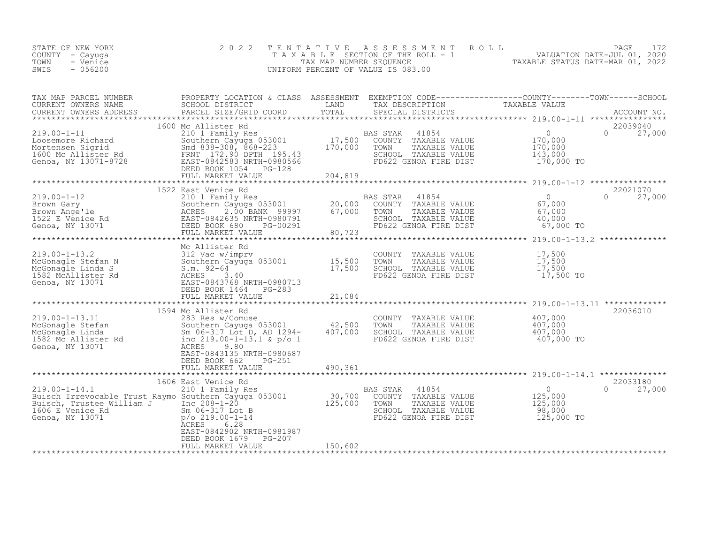| STATE OF NEW YORK<br>COUNTY - Cayuga<br>- Venice<br>TOWN<br>$-056200$<br>SWIS                                                                                                                                                                                                | 2 0 2 2                                    | TENTATIVE | UNIFORM PERCENT OF VALUE IS 083.00                                                                                                                          | TENTATIVE ASSESSMENT ROLL<br>TAXABLE SECTION OF THE ROLL - 1 VALUATION DATE-JUL 01, 2020<br>TAX MAP NUMBER SEQUENCE TAXABLE STATUS DATE-MAR 01, 2022<br>JNIFORM PERCENT OF VALUE IS 083.00 |                           |
|------------------------------------------------------------------------------------------------------------------------------------------------------------------------------------------------------------------------------------------------------------------------------|--------------------------------------------|-----------|-------------------------------------------------------------------------------------------------------------------------------------------------------------|--------------------------------------------------------------------------------------------------------------------------------------------------------------------------------------------|---------------------------|
|                                                                                                                                                                                                                                                                              |                                            |           |                                                                                                                                                             |                                                                                                                                                                                            |                           |
| 19.00-1-11<br>19.00-1-11<br>17,500<br>17,500<br>Mortensen Sigrid<br>1600 Mc Allister Rd<br>17,500<br>17,500<br>17,500<br>17,500<br>17,500<br>17,500<br>17,500<br>17,500<br>17,500<br>17,500<br>17,500<br>17,500<br>17,500<br>17,500<br>17,600<br>17,600<br>17,000<br>170,000 |                                            |           | AS STAR 41854<br>COUNTY TAXABLE VALUE 170,000<br>TOWN TAXABLE VALUE 170,000<br>SCHOOL TAXABLE VALUE 143,000<br>FD622 GENOA FIRE DIST 170,000 TO<br>BAS STAR | $\Omega$                                                                                                                                                                                   | 22039040<br>27,000        |
|                                                                                                                                                                                                                                                                              |                                            |           |                                                                                                                                                             |                                                                                                                                                                                            |                           |
|                                                                                                                                                                                                                                                                              | 1522 East Venice Rd                        | 80,723    | BAS STAR 41854<br>COUNTY TAXABLE VALUE<br>TOWN TAXABLE VALUE<br>COUOCI TAXABLE VALUE<br>SCHOOL TAXABLE VALUE<br>FD622 GENOA FIRE DIST                       | $\begin{array}{c} 0 \\ 67,000 \\ 67,000 \\ 40,000 \end{array}$<br>67,000 TO                                                                                                                | 22021070<br>$0 \t 27,000$ |
|                                                                                                                                                                                                                                                                              |                                            |           |                                                                                                                                                             |                                                                                                                                                                                            |                           |
| Mc Allister Rd<br>219.00-1-13.2<br>McGonagle Stefan N<br>McGonagle Linda S<br>15,500<br>15,500<br>15,500<br>15,500<br>McGonagle Linda S<br>S.m. 92-64<br>21,500<br>17,500<br>17,500<br>21,084<br>EAST-0843768 NRTH-0980713<br>DEED BOOK 1464 PG-283<br>FULL MA               |                                            |           | COUNTY TAXABLE VALUE<br>TOWN TAXABLE VALUE $17,500$<br>SCHOOL TAXABLE VALUE $17,500$<br>FD622 CENOA FIBE DIST $17,500$<br>FD622 GENOA FIRE DIST             | 17,500<br>17,500 TO                                                                                                                                                                        |                           |
|                                                                                                                                                                                                                                                                              |                                            |           |                                                                                                                                                             |                                                                                                                                                                                            |                           |
|                                                                                                                                                                                                                                                                              | 1594 Mc Allister Rd                        |           |                                                                                                                                                             |                                                                                                                                                                                            | 22036010                  |
| 219.00-1-13.11<br>McGonagle Stefan 283 Res w/Comuse<br>McGonagle Linda 582 Res w/Comuse<br>1582 Mc Allister Rd<br>Genoa, NY 13071<br>283 Res 219.00-1-13.1 & p/o 1<br>1582 Mc Allister Rd<br>16219.00-1-13.1 & p/o 1<br>2010-1-13.1 & p/o 1<br>2                             | DEED BOOK 662<br>PG-251                    |           | COUNTY TAXABLE VALUE<br>TOWN<br>TAXABLE VALUE<br>SCHOOL TAXABLE VALUE<br>FD622 GENOA FIRE DIST                                                              | 407,000<br>407,000<br>$407,000$<br>$407,000$ To                                                                                                                                            |                           |
|                                                                                                                                                                                                                                                                              | FULL MARKET VALUE                          | 490,361   |                                                                                                                                                             |                                                                                                                                                                                            |                           |
|                                                                                                                                                                                                                                                                              |                                            |           |                                                                                                                                                             |                                                                                                                                                                                            | 22033180                  |
|                                                                                                                                                                                                                                                                              | EAST-0842902 NRTH-0981987                  |           | BAS STAR<br>41854<br>COUNTY TAXABLE VALUE<br>TOWN     TAXABLE VALUE<br>SCHOOL TAXABLE VALUE<br>FD622 GENOA FIRE DIST                                        | $\begin{array}{c} 0 \\ 125,000 \\ 125,000 \end{array}$<br>$\Omega$<br>$\frac{1}{98}$ ,000<br>125,000 TO                                                                                    | 27,000                    |
|                                                                                                                                                                                                                                                                              | DEED BOOK 1679 PG-207<br>FULL MARKET VALUE | 150,602   |                                                                                                                                                             |                                                                                                                                                                                            |                           |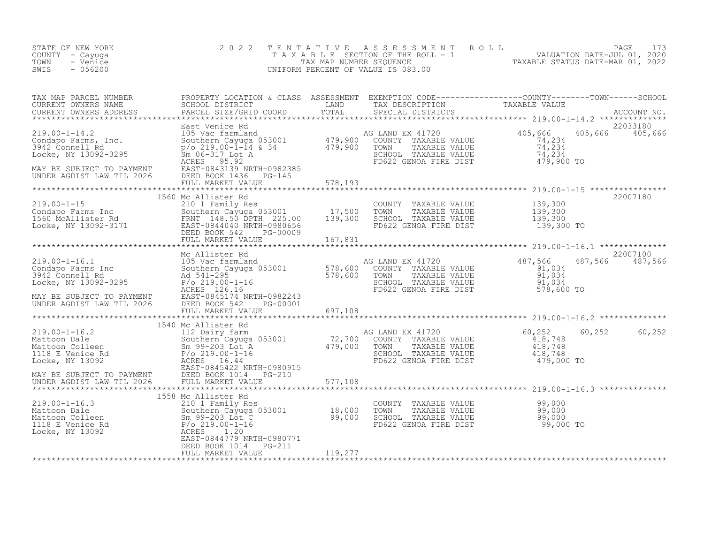| STATE OF NEW YORK<br>COUNTY - Cayuga<br>TOWN<br>- Venice<br>SWIS<br>$-056200$                                                                                                                                                                                                                                                            | 2 0 2 2           |                  | TENTATIVE ASSESSMENT ROLL PAGE 173<br>TAXABLE SECTION OF THE ROLL - 1 VALUATION DATE-JUL 01, 2020<br>TAX MAP NUMBER SEQUENCE TAXABLE STATUS DATE-MAR 01, 2022<br>UNIFORM PERCENT OF VALUE IS 083.00 |                             |
|------------------------------------------------------------------------------------------------------------------------------------------------------------------------------------------------------------------------------------------------------------------------------------------------------------------------------------------|-------------------|------------------|-----------------------------------------------------------------------------------------------------------------------------------------------------------------------------------------------------|-----------------------------|
|                                                                                                                                                                                                                                                                                                                                          |                   |                  |                                                                                                                                                                                                     |                             |
| $\begin{tabular}{l cccccccc} TAX MAP P ARCH & DCRREN & DCRRE PROPERY DCAITY & CICARS & SSESSMENT & EXERFITON (CODB--------------00001-7------50001-7----50001-7----50001-7----50001-7----50001-7----50001-7----50001-7----50001-7----50001-7----50001-7----50001-7----50001-7----50001-7----50001-7----50001-7----50001-7----50001-7---$ |                   |                  |                                                                                                                                                                                                     |                             |
|                                                                                                                                                                                                                                                                                                                                          |                   |                  |                                                                                                                                                                                                     |                             |
|                                                                                                                                                                                                                                                                                                                                          |                   |                  |                                                                                                                                                                                                     |                             |
|                                                                                                                                                                                                                                                                                                                                          |                   |                  |                                                                                                                                                                                                     |                             |
|                                                                                                                                                                                                                                                                                                                                          |                   |                  |                                                                                                                                                                                                     | 22007100<br>487,566 487,566 |
|                                                                                                                                                                                                                                                                                                                                          |                   |                  |                                                                                                                                                                                                     |                             |
|                                                                                                                                                                                                                                                                                                                                          |                   |                  |                                                                                                                                                                                                     |                             |
|                                                                                                                                                                                                                                                                                                                                          |                   |                  |                                                                                                                                                                                                     | 60,252 60,252               |
|                                                                                                                                                                                                                                                                                                                                          |                   |                  |                                                                                                                                                                                                     |                             |
| 1558 McCHEL 110 COUNTY TAXABLE VALUE<br>219.00-1-16.3 1558 McCHIST<br>219.00-1-16.3 210 1 Family Res<br>Mattoon Dale Southern Cayuga 053001 18,000 TOWN TAXABLE VALUE 99,000<br>Mattoon Colleen Sm 99-203 Lot C 99,000 SCHOOL TAXABLE                                                                                                    |                   |                  |                                                                                                                                                                                                     |                             |
|                                                                                                                                                                                                                                                                                                                                          | FULL MARKET VALUE | $5 = -2$ 119,277 |                                                                                                                                                                                                     |                             |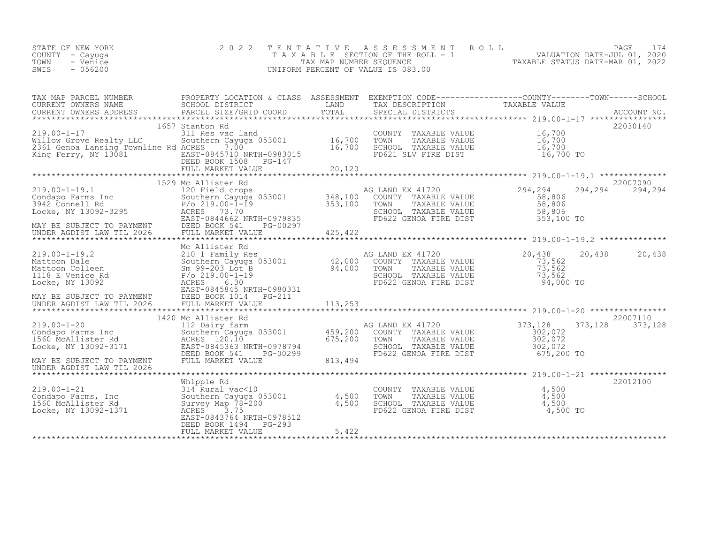| STATE OF NEW YORK | 2022 TENTATIVE ASSESSMENT ROLL        |                                  | PAGE                        |  |
|-------------------|---------------------------------------|----------------------------------|-----------------------------|--|
| COUNTY – Cayuga   | T A X A B L E SECTION OF THE ROLL - 1 |                                  | VALUATION DATE-JUL 01, 2020 |  |
| TOWN<br>- Venice  | TAX MAP NUMBER SEQUENCE               | TAXABLE STATUS DATE-MAR 01, 2022 |                             |  |
| $-056200$<br>SWIS | UNIFORM PERCENT OF VALUE IS 083.00    |                                  |                             |  |
|                   |                                       |                                  |                             |  |

| TAX MAP PARCEL NUMBER                                                                                                                                                                                                                                                                                                                                                                                                                       | PROPERTY LOCATION & CLASS ASSESSMENT EXEMPTION CODE----------------COUNTY-------TOWN-----SCHOOL |        |                                                                                                                                                                                                                                                                                                  |          |          |
|---------------------------------------------------------------------------------------------------------------------------------------------------------------------------------------------------------------------------------------------------------------------------------------------------------------------------------------------------------------------------------------------------------------------------------------------|-------------------------------------------------------------------------------------------------|--------|--------------------------------------------------------------------------------------------------------------------------------------------------------------------------------------------------------------------------------------------------------------------------------------------------|----------|----------|
|                                                                                                                                                                                                                                                                                                                                                                                                                                             |                                                                                                 |        |                                                                                                                                                                                                                                                                                                  |          |          |
|                                                                                                                                                                                                                                                                                                                                                                                                                                             |                                                                                                 |        |                                                                                                                                                                                                                                                                                                  |          |          |
|                                                                                                                                                                                                                                                                                                                                                                                                                                             | 1657 Stanton Rd                                                                                 |        |                                                                                                                                                                                                                                                                                                  |          | 22030140 |
| 1657 5tanton Kd<br>219.00-1-17 311 Res vac land<br>311 Res vac land<br>2361 Genoa Lansing Townline Rd ACRES 7.00<br>2361 Genoa Lansing Townline Rd ACRES 7.00<br>2361 Genoa Lansing Townline Rd ACRES 7.00<br>2361 Genoa Lansing Townline                                                                                                                                                                                                   |                                                                                                 |        |                                                                                                                                                                                                                                                                                                  |          |          |
|                                                                                                                                                                                                                                                                                                                                                                                                                                             |                                                                                                 |        |                                                                                                                                                                                                                                                                                                  |          |          |
|                                                                                                                                                                                                                                                                                                                                                                                                                                             |                                                                                                 | 16,700 |                                                                                                                                                                                                                                                                                                  |          |          |
| King Ferry, NY 13081                                                                                                                                                                                                                                                                                                                                                                                                                        | EAST-0845710 NRTH-0983015<br>DEED BOOK 1508 PG-147                                              |        | FD621 SLV FIRE DIST 16,700 TO                                                                                                                                                                                                                                                                    |          |          |
|                                                                                                                                                                                                                                                                                                                                                                                                                                             | PG-147                                                                                          |        |                                                                                                                                                                                                                                                                                                  |          |          |
|                                                                                                                                                                                                                                                                                                                                                                                                                                             |                                                                                                 |        |                                                                                                                                                                                                                                                                                                  |          |          |
| $\begin{tabular}{lllllllllllllllllllll} \hline 219.00-1-19.1 & 1529\text{ Mc Allister Rd} & \text{AG LAND EX 41720} & 219.00-1-19.1 & 1529\text{ Mc Allister Rd} & \text{AG LAND EX 41720} & 219.00-1-19.1 & 1529\text{ Mc Allister Rd} & \text{AG LAND EX 41720} & 219.00-1-19.1 & 1529\text{ Mc AllICE} & 2100\text{ TOV} & 2100\text{ TOV} & 219.00-1-19.1 & 15$                                                                         |                                                                                                 |        |                                                                                                                                                                                                                                                                                                  |          |          |
|                                                                                                                                                                                                                                                                                                                                                                                                                                             |                                                                                                 |        |                                                                                                                                                                                                                                                                                                  |          |          |
|                                                                                                                                                                                                                                                                                                                                                                                                                                             |                                                                                                 |        |                                                                                                                                                                                                                                                                                                  |          |          |
|                                                                                                                                                                                                                                                                                                                                                                                                                                             |                                                                                                 |        |                                                                                                                                                                                                                                                                                                  |          |          |
|                                                                                                                                                                                                                                                                                                                                                                                                                                             |                                                                                                 |        |                                                                                                                                                                                                                                                                                                  |          |          |
|                                                                                                                                                                                                                                                                                                                                                                                                                                             |                                                                                                 |        |                                                                                                                                                                                                                                                                                                  |          |          |
|                                                                                                                                                                                                                                                                                                                                                                                                                                             |                                                                                                 |        |                                                                                                                                                                                                                                                                                                  |          |          |
|                                                                                                                                                                                                                                                                                                                                                                                                                                             |                                                                                                 |        |                                                                                                                                                                                                                                                                                                  |          |          |
|                                                                                                                                                                                                                                                                                                                                                                                                                                             |                                                                                                 |        |                                                                                                                                                                                                                                                                                                  |          |          |
|                                                                                                                                                                                                                                                                                                                                                                                                                                             | Mc Allister Rd                                                                                  |        |                                                                                                                                                                                                                                                                                                  |          |          |
|                                                                                                                                                                                                                                                                                                                                                                                                                                             |                                                                                                 |        |                                                                                                                                                                                                                                                                                                  |          |          |
|                                                                                                                                                                                                                                                                                                                                                                                                                                             |                                                                                                 |        |                                                                                                                                                                                                                                                                                                  |          |          |
|                                                                                                                                                                                                                                                                                                                                                                                                                                             |                                                                                                 |        |                                                                                                                                                                                                                                                                                                  |          |          |
|                                                                                                                                                                                                                                                                                                                                                                                                                                             |                                                                                                 |        |                                                                                                                                                                                                                                                                                                  |          |          |
|                                                                                                                                                                                                                                                                                                                                                                                                                                             |                                                                                                 |        |                                                                                                                                                                                                                                                                                                  |          |          |
|                                                                                                                                                                                                                                                                                                                                                                                                                                             |                                                                                                 |        |                                                                                                                                                                                                                                                                                                  |          |          |
|                                                                                                                                                                                                                                                                                                                                                                                                                                             |                                                                                                 |        |                                                                                                                                                                                                                                                                                                  |          |          |
| $\begin{array}{lllllllllllllllllll} \textbf{20,438} & \textbf{Mc Allister Rd} & \textbf{20,438} & \textbf{20,438} & \textbf{20,438} & \textbf{20,438} & \textbf{20,438} & \textbf{20,438} & \textbf{20,438} & \textbf{20,438} & \textbf{20,438} & \textbf{20,438} & \textbf{20,438} & \textbf{20,438} & \textbf{20,438} & \textbf{20,438} & \textbf{20,438} & \$                                                                            | 1420 Mc Allister Rd                                                                             |        |                                                                                                                                                                                                                                                                                                  |          | 22007110 |
|                                                                                                                                                                                                                                                                                                                                                                                                                                             |                                                                                                 |        |                                                                                                                                                                                                                                                                                                  | 373,128  | 373,128  |
|                                                                                                                                                                                                                                                                                                                                                                                                                                             |                                                                                                 |        |                                                                                                                                                                                                                                                                                                  |          |          |
| $\begin{tabular}{lllllllllllllllllll} \multicolumn{3}{c }{\text{\small 1420 M}\text{C}\ \text{Al11} \text{ster }\text{Ka}} & \multicolumn{3}{c }{\text{\small 1420 M}\text{C}\ \text{Al11} \text{S60} & \multicolumn{3}{c }{\text{\small 1420 M}\text{C}\ \text{Al11} \text{S60} & \multicolumn{3}{c }{\text{\small 1420 M}\text{C}\ \text{Al11} \text{S60} & \multicolumn{3}{c }{\text{\small 1420 M}\text{C}\ \text{Al11} \text{S60} & \$ |                                                                                                 |        |                                                                                                                                                                                                                                                                                                  |          |          |
|                                                                                                                                                                                                                                                                                                                                                                                                                                             |                                                                                                 |        |                                                                                                                                                                                                                                                                                                  |          |          |
|                                                                                                                                                                                                                                                                                                                                                                                                                                             |                                                                                                 |        |                                                                                                                                                                                                                                                                                                  |          |          |
|                                                                                                                                                                                                                                                                                                                                                                                                                                             |                                                                                                 |        |                                                                                                                                                                                                                                                                                                  |          |          |
| UNDER AGDIST LAW TIL 2026                                                                                                                                                                                                                                                                                                                                                                                                                   |                                                                                                 |        |                                                                                                                                                                                                                                                                                                  |          |          |
|                                                                                                                                                                                                                                                                                                                                                                                                                                             | Whipple Rd                                                                                      |        |                                                                                                                                                                                                                                                                                                  |          | 22012100 |
|                                                                                                                                                                                                                                                                                                                                                                                                                                             |                                                                                                 |        |                                                                                                                                                                                                                                                                                                  |          |          |
|                                                                                                                                                                                                                                                                                                                                                                                                                                             |                                                                                                 |        |                                                                                                                                                                                                                                                                                                  |          |          |
| 219.00-1-21<br>COUNT<br>Condapo Farms, Inc Southern Cayuga 053001 4,500 TOWN<br>1560 McAllister Rd Survey Map 78-200 4,500 SCHOO<br>Locke, NY 13092-1371 ACRES 3.755 201374 NDFU 0079512 FD622                                                                                                                                                                                                                                              |                                                                                                 |        | COUNTY TAXABLE VALUE $\begin{array}{ccc} 4,500 \\ 4,500 \\ 9.500 \\ 1,500 \\ 1,500 \\ 1,500 \\ 1,500 \\ 1,500 \\ 1,500 \\ 1,500 \\ 1,500 \\ 1,500 \\ 1,500 \\ 1,500 \\ 1,500 \\ 1,500 \\ 1,500 \\ 1,500 \\ 1,500 \\ 1,500 \\ 1,500 \\ 1,500 \\ 1,500 \\ 1,500 \\ 1,500 \\ 1,500 \\ 1,500 \\ 1,5$ |          |          |
|                                                                                                                                                                                                                                                                                                                                                                                                                                             |                                                                                                 |        | FD622 GENOA FIRE DIST                                                                                                                                                                                                                                                                            | 4,500 TO |          |
|                                                                                                                                                                                                                                                                                                                                                                                                                                             | EAST-0843764 NRTH-0978512                                                                       |        |                                                                                                                                                                                                                                                                                                  |          |          |
|                                                                                                                                                                                                                                                                                                                                                                                                                                             | DEED BOOK 1494 PG-293                                                                           |        |                                                                                                                                                                                                                                                                                                  |          |          |
|                                                                                                                                                                                                                                                                                                                                                                                                                                             | FULL MARKET VALUE                                                                               | 5,422  |                                                                                                                                                                                                                                                                                                  |          |          |
|                                                                                                                                                                                                                                                                                                                                                                                                                                             |                                                                                                 |        |                                                                                                                                                                                                                                                                                                  |          |          |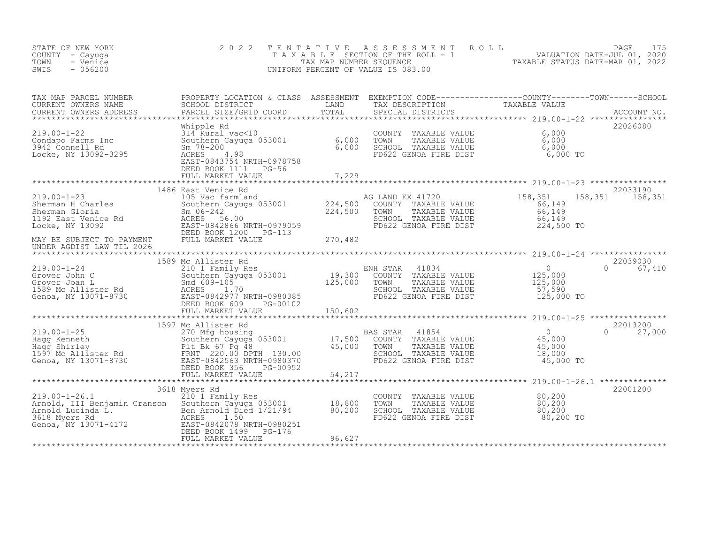| STATE OF NEW YORK<br>COUNTY - Cayuga<br>- Venice<br>TOWN<br>SWIS<br>$-056200$                                                                                                                                                                      | 2 0 2 2             |                                                                                                                                    | TENTATIVE ASSESSMENT ROLL PAGE 175<br>TAXABLE SECTION OF THE ROLL - 1 VALUATION DATE-JUL 01, 2020<br>TAX MAP NUMBER SEQUENCE TAXABLE STATUS DATE-MAR 01, 2022<br>UNIFORM PERCENT OF VALUE IS 083.00                               |
|----------------------------------------------------------------------------------------------------------------------------------------------------------------------------------------------------------------------------------------------------|---------------------|------------------------------------------------------------------------------------------------------------------------------------|-----------------------------------------------------------------------------------------------------------------------------------------------------------------------------------------------------------------------------------|
|                                                                                                                                                                                                                                                    |                     |                                                                                                                                    | TAX MAP PARCEL NUMBER PROPERTY LOCATION & CLASS ASSESSMENT EXEMPTION CODE-----------------COUNTY---------TOWN------SCHOOL CURRENT OWNERS NAME SCHOOL DISTRICT LAND TAX DESCRIPTION TAXABLE VALUE<br>CURRENT OWNERS ADDRESS PARCEL |
|                                                                                                                                                                                                                                                    |                     |                                                                                                                                    | 22026080                                                                                                                                                                                                                          |
|                                                                                                                                                                                                                                                    |                     |                                                                                                                                    |                                                                                                                                                                                                                                   |
|                                                                                                                                                                                                                                                    | 1486 East Venice Rd |                                                                                                                                    | 22033190<br>158, 351 158, 351                                                                                                                                                                                                     |
|                                                                                                                                                                                                                                                    |                     |                                                                                                                                    |                                                                                                                                                                                                                                   |
| UNDER AGDIST LAW TIL 2026                                                                                                                                                                                                                          |                     |                                                                                                                                    |                                                                                                                                                                                                                                   |
|                                                                                                                                                                                                                                                    | 1589 Mc Allister Rd |                                                                                                                                    | 22039030                                                                                                                                                                                                                          |
|                                                                                                                                                                                                                                                    |                     |                                                                                                                                    |                                                                                                                                                                                                                                   |
|                                                                                                                                                                                                                                                    |                     |                                                                                                                                    | 22013200<br>$0 \t 27,000$                                                                                                                                                                                                         |
|                                                                                                                                                                                                                                                    | 3618 Myers Rd       |                                                                                                                                    | *********************** 219.00-1-26.1 ***********<br>22001200                                                                                                                                                                     |
| 3018 Myers Ka<br>219.00-1-26.1 2101 Family Res<br>Arnold, III Benjamin Cranson Southern Cayuga 053001 18,800<br>Arnold Lucinda L.<br>3618 Myers Rd<br>3618 Myers Rd<br>3618 Myers Rd<br>3618 Myers Rd<br>3618 Myers Rd<br>36200 ACRES 1.50<br>2007 |                     | COUNTY TAXABLE VALUE $80,200$<br>TOWN TAXABLE VALUE $80,200$<br>SCHOOL TAXABLE VALUE $80,200$<br>FD622 GENOA FIRE DIST $80,200$ TO |                                                                                                                                                                                                                                   |
|                                                                                                                                                                                                                                                    |                     |                                                                                                                                    |                                                                                                                                                                                                                                   |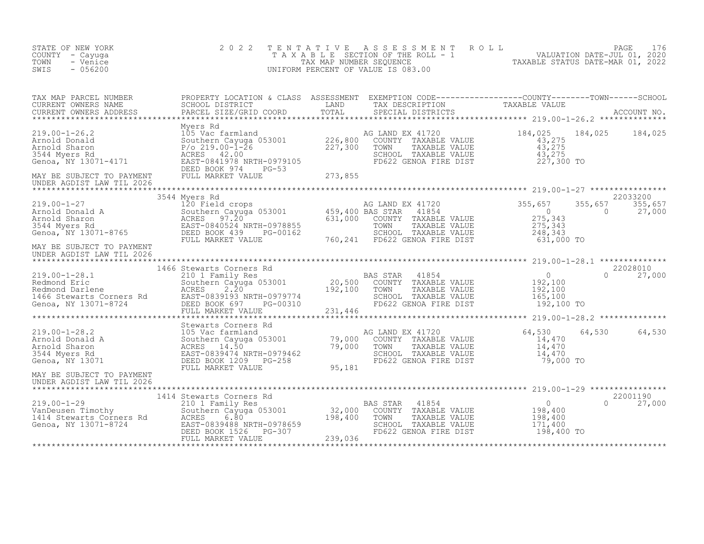| STATE OF NEW YORK<br>COUNTY - Cayuga<br>TOWN<br>- Venice<br>SWIS<br>$-056200$                                                                                                                                                                                       | 2 0 2 2       | TENTATIVE ASSESSMENT ROLL PAGE 176<br>TAXABLE SECTION OF THE ROLL - 1 VALUATION DATE-JUL 01, 2020<br>TAX MAP NUMBER SEQUENCE TAXABLE STATUS DATE-MAR 01, 2022<br>UNIFORM PERCENT OF VALUE IS 083.00                                                                                                                                                                                                                           |                                                        |          |                                               |
|---------------------------------------------------------------------------------------------------------------------------------------------------------------------------------------------------------------------------------------------------------------------|---------------|-------------------------------------------------------------------------------------------------------------------------------------------------------------------------------------------------------------------------------------------------------------------------------------------------------------------------------------------------------------------------------------------------------------------------------|--------------------------------------------------------|----------|-----------------------------------------------|
|                                                                                                                                                                                                                                                                     |               |                                                                                                                                                                                                                                                                                                                                                                                                                               |                                                        |          |                                               |
|                                                                                                                                                                                                                                                                     |               |                                                                                                                                                                                                                                                                                                                                                                                                                               |                                                        |          |                                               |
|                                                                                                                                                                                                                                                                     |               |                                                                                                                                                                                                                                                                                                                                                                                                                               |                                                        |          |                                               |
| 19.00-1-27 1355,657 1355<br>Arnold Donald A 120 Field crops<br>Arnold Sharon 275,343<br>3544 Myers Rd EAST-0840524 NRTH-0978855 631,000 COUNTY TAXABLE VALUE 275,343<br>Genoa, NY 13071-8765 DEED BOOK 439 PG-00162 500,241 FD622 GENO<br>MAY BE SUBJECT TO PAYMENT | 3544 Myers Rd |                                                                                                                                                                                                                                                                                                                                                                                                                               |                                                        |          | 22033200<br>$355, 657$ $355, 657$<br>0 27,000 |
| UNDER AGDIST LAW TIL 2026                                                                                                                                                                                                                                           |               |                                                                                                                                                                                                                                                                                                                                                                                                                               |                                                        |          |                                               |
|                                                                                                                                                                                                                                                                     |               |                                                                                                                                                                                                                                                                                                                                                                                                                               |                                                        |          | 22028010                                      |
| 1466 Stewarts 1466 Stewarts Rd<br>219.00-1-28.1 210 1 Family Res<br>Redmond Eric Southern Cayuga 053001 20,500 COUNTY TAXABLE VALUE 192,100<br>Redmond Darlene ACRES 2.20 192,100 TOWN TAXABLE VALUE 192,100<br>1466 Stewarts Corners                               |               | FD622 GENOA FIRE DIST 192,100 TO                                                                                                                                                                                                                                                                                                                                                                                              |                                                        |          | $0 \t 27,000$                                 |
|                                                                                                                                                                                                                                                                     |               |                                                                                                                                                                                                                                                                                                                                                                                                                               |                                                        |          |                                               |
|                                                                                                                                                                                                                                                                     |               | $\begin{tabular}{lllllllllll} \texttt{G} & \texttt{LAND} & \texttt{EX} & 41720 & & 64,530 & 64\\ \texttt{COUNTY} & \texttt{TAXABLE} & \texttt{VALUE} & & 14,470\\ \texttt{TOWN} & \texttt{TAXABLE} & \texttt{VALUE} & & 14,470\\ \texttt{SCHOOL} & \texttt{TAXABLE} & \texttt{VALUE} & & 14,470\\ \texttt{FD622} & \texttt{GENOA} & \texttt{FIRE} & \texttt{DIST} & & 79,000 & \texttt{TO} \end{tabular}$<br>AG LAND EX 41720 |                                                        |          | 64,530 64,530                                 |
| MAY BE SUBJECT TO PAYMENT<br>UNDER AGDIST LAW TIL 2026                                                                                                                                                                                                              |               |                                                                                                                                                                                                                                                                                                                                                                                                                               |                                                        |          |                                               |
|                                                                                                                                                                                                                                                                     |               |                                                                                                                                                                                                                                                                                                                                                                                                                               |                                                        |          |                                               |
| 1414 Stewarts Are 1899 Manuscript (1990)<br>219.00-1-29 210 1 Family Res BAS STAR 41854<br>210 1 Family Res 22,000 COUNTY TAXABLE VALUE<br>210 1 Family Res 32,000 COUNTY TAXABLE VALUE<br>22,000 COUNTY TAXABLE VALUE<br>239,000 COUNTY                            |               | SCHOOL TAXABLE VALUE 171,400<br>FD622 GENOA FIRE DIST 198,400 TO                                                                                                                                                                                                                                                                                                                                                              | $\begin{array}{c} 0 \\ 198,400 \\ 198,400 \end{array}$ | $\Omega$ | 22001190<br>27,000                            |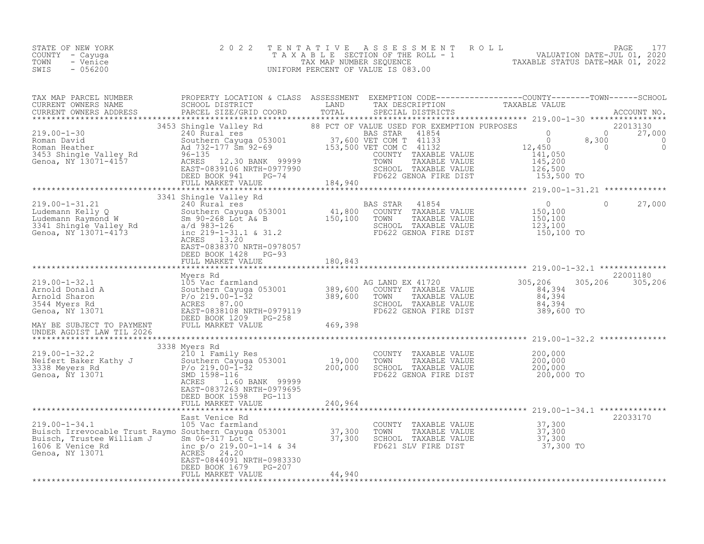| STATE OF NEW YORK<br>COUNTY<br>- Cayuga<br>TOWN<br>- Venice<br>$-056200$<br>SWIS                                                                                                                                                                           |                                                                    | 2022 TENTATIVE ASSESSMENT ROLL<br>T A X A B L E SECTION OF THE ROLL - 1<br>UNIFORM PERCENT OF VALUE IS 083.00 | A B L E SECTION OF THE ROLL - 1 VALUATION DATE-JUL 01, 2020<br>TAX MAP NUMBER SEQUENCE TAXABLE STATUS DATE-MAR 01, 2022 | PAGE<br>177                                                                             |
|------------------------------------------------------------------------------------------------------------------------------------------------------------------------------------------------------------------------------------------------------------|--------------------------------------------------------------------|---------------------------------------------------------------------------------------------------------------|-------------------------------------------------------------------------------------------------------------------------|-----------------------------------------------------------------------------------------|
| TAX MAP PARCEL NUMBER<br>CURRENT OWNERS NAME                                                                                                                                                                                                               | PROPERTY LOCATION & CLASS ASSESSMENT<br>SCHOOL DISTRICT LAND       | TAX DESCRIPTION TAXABLE VALUE                                                                                 | EXEMPTION CODE-----------------COUNTY-------TOWN------SCHOOL                                                            |                                                                                         |
| .CURRENT OWNERS ADDRESS PARCEL SIZE/GRID COORD TOTAL SPECIAL DISTRICTS ACCOUNT NO ACCOUNT NO ARREST PART OF A LITTLE ASSESS AND A LITTLE ASSESS THAT A LITTLE AND A LITTLE AND A LITTLE AND A LITTLE OF A LITTLE AND A LITTLE                              |                                                                    |                                                                                                               |                                                                                                                         |                                                                                         |
|                                                                                                                                                                                                                                                            | 3453 Shingle Valley Rd 68 PCT OF VALUE USED FOR EXEMPTION PURPOSES |                                                                                                               |                                                                                                                         |                                                                                         |
|                                                                                                                                                                                                                                                            |                                                                    |                                                                                                               |                                                                                                                         | $\begin{array}{ccc}\n & 22013130 \\ 0 & 0 & 27,0 \\ 0 & 8,300 &\n\end{array}$<br>27,000 |
| 219.00-1-30<br>Roman David<br>Roman Heather 240 Rural res<br>240 Rural res<br>240 Rural res<br>240 Rural res<br>240 Rural res<br>240 Rural res<br>240 Rural res<br>240 Rural res<br>240 Rural res<br>240 Rural res<br>240 Rural res<br>240 Rural res<br>24 |                                                                    |                                                                                                               | 12,450                                                                                                                  | $\Omega$                                                                                |
|                                                                                                                                                                                                                                                            |                                                                    |                                                                                                               | 141,050                                                                                                                 |                                                                                         |
|                                                                                                                                                                                                                                                            |                                                                    |                                                                                                               | 145,200                                                                                                                 |                                                                                         |
|                                                                                                                                                                                                                                                            |                                                                    | SCHOOL TAXABLE VALUE                                                                                          | 126,500                                                                                                                 |                                                                                         |
|                                                                                                                                                                                                                                                            | DEED BOOK 941 PG-74                                                |                                                                                                               | FD622 GENOA FIRE DIST 153,500 TO                                                                                        |                                                                                         |
|                                                                                                                                                                                                                                                            |                                                                    |                                                                                                               |                                                                                                                         |                                                                                         |
|                                                                                                                                                                                                                                                            | 3341 Shingle Valley Rd                                             |                                                                                                               |                                                                                                                         |                                                                                         |
| $219.00 - 1 - 31.21$                                                                                                                                                                                                                                       |                                                                    |                                                                                                               |                                                                                                                         | 27,000                                                                                  |
| Ludemann Kelly Q                                                                                                                                                                                                                                           |                                                                    |                                                                                                               |                                                                                                                         |                                                                                         |

Ludemann Raymond W Sm 90-268 Lot A& B 150,100 TOWN TAXABLE VALUE 150,100

| 3341 Shingle Valley Rd<br>Genoa, NY 13071-4173                                                                                                          | $a/d$ 983-126<br>inc $219-1-31.1$ & $31.2$<br>ACRES 13.20<br>EAST-0838370 NRTH-0978057<br>DEED BOOK 1428<br>$PG-93$                                                      |                    | SCHOOL TAXABLE VALUE<br>FD622 GENOA FIRE DIST                                                                      | 123,100<br>150,100 TO                                                     |  |
|---------------------------------------------------------------------------------------------------------------------------------------------------------|--------------------------------------------------------------------------------------------------------------------------------------------------------------------------|--------------------|--------------------------------------------------------------------------------------------------------------------|---------------------------------------------------------------------------|--|
|                                                                                                                                                         | FULL MARKET VALUE                                                                                                                                                        | 180,843            |                                                                                                                    |                                                                           |  |
|                                                                                                                                                         | Myers Rd                                                                                                                                                                 |                    |                                                                                                                    | 22001180                                                                  |  |
| $219.00 - 1 - 32.1$<br>Arnold Donald A<br>Arnold Sharon<br>3544 Myers Rd<br>Genoa, NY 13071                                                             | 105 Vac farmland<br>Southern Cayuga 053001<br>P/o 219.00-1-32<br>ACRES 87.00<br>EAST-0838108 NRTH-0979119<br>DEED BOOK 1209<br>PG-258                                    | 389,600<br>389,600 | AG LAND EX 41720<br>COUNTY TAXABLE VALUE<br>TOWN<br>TAXABLE VALUE<br>SCHOOL TAXABLE VALUE<br>FD622 GENOA FIRE DIST | 305,206<br>305,206<br>305,206<br>84,394<br>84,394<br>84,394<br>389,600 TO |  |
| MAY BE SUBJECT TO PAYMENT<br>UNDER AGDIST LAW TIL 2026                                                                                                  | FULL MARKET VALUE                                                                                                                                                        | 469,398            |                                                                                                                    |                                                                           |  |
|                                                                                                                                                         | 3338 Myers Rd                                                                                                                                                            |                    |                                                                                                                    |                                                                           |  |
| 219.00-1-32.2<br>Neifert Baker Kathy J<br>3338 Meyers Rd<br>Genoa, NY 13071                                                                             | 210 1 Family Res<br>Southern Cayuga 053001<br>$P/O 219.00 - 1 - 32$<br>SMD 1598-116<br>1.60 BANK 99999<br>ACRES<br>EAST-0837263 NRTH-0979695<br>DEED BOOK 1598<br>PG-113 | 19,000<br>200,000  | COUNTY TAXABLE VALUE<br>TOWN<br>TAXABLE VALUE<br>SCHOOL TAXABLE VALUE<br>FD622 GENOA FIRE DIST                     | 200,000<br>200,000<br>200,000<br>200,000 TO                               |  |
|                                                                                                                                                         | FULL MARKET VALUE                                                                                                                                                        | 240,964            |                                                                                                                    |                                                                           |  |
|                                                                                                                                                         |                                                                                                                                                                          |                    |                                                                                                                    |                                                                           |  |
| $219.00 - 1 - 34.1$<br>Buisch Irrevocable Trust Raymo Southern Cayuga 053001 37,300<br>Buisch, Trustee William J<br>1606 E Venice Rd<br>Genoa, NY 13071 | East Venice Rd<br>105 Vac farmland<br>Sm 06-317 Lot C<br>inc p/o 219.00-1-14 & 34<br>ACRES 24.20                                                                         | 37,300             | COUNTY TAXABLE VALUE<br>TOWN<br>TAXABLE VALUE<br>SCHOOL TAXABLE VALUE<br>FD621 SLV FIRE DIST                       | 22033170<br>37,300<br>37,300<br>37,300<br>37,300 TO                       |  |

EAST-0844091 NRTH-0983330 DEED BOOK 1679 PG-207 FULL MARKET VALUE 44,940 \*\*\*\*\*\*\*\*\*\*\*\*\*\*\*\*\*\*\*\*\*\*\*\*\*\*\*\*\*\*\*\*\*\*\*\*\*\*\*\*\*\*\*\*\*\*\*\*\*\*\*\*\*\*\*\*\*\*\*\*\*\*\*\*\*\*\*\*\*\*\*\*\*\*\*\*\*\*\*\*\*\*\*\*\*\*\*\*\*\*\*\*\*\*\*\*\*\*\*\*\*\*\*\*\*\*\*\*\*\*\*\*\*\*\*\*\*\*\*\*\*\*\*\*\*\*\*\*\*\*\*\*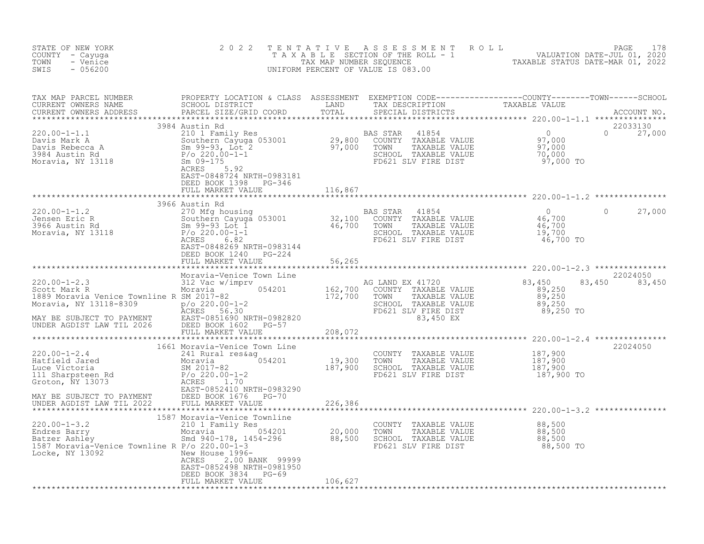| STATE OF NEW YORK<br>COUNTY - Cayuga<br>TOWN<br>- Venice<br>$-056200$<br>SWIS                                                                                                                                                                                                         | 2 0 2 2                                                                                            | TENTATIVE | UNIFORM PERCENT OF VALUE IS 083.00                                                                                            | FENTATIVE ASSESSMENT ROLL UNIVERSITY PAGE 178<br>TAXABLE SECTION OF THE ROLL - 1 VALUATION DATE-JUL 01, 2020<br>TAXABLE STATUS DATE-MAR 01, 2022<br>JNIFORM PERCENT OF VALUE IS 083.00 |                    |
|---------------------------------------------------------------------------------------------------------------------------------------------------------------------------------------------------------------------------------------------------------------------------------------|----------------------------------------------------------------------------------------------------|-----------|-------------------------------------------------------------------------------------------------------------------------------|----------------------------------------------------------------------------------------------------------------------------------------------------------------------------------------|--------------------|
| TAX MAP PARCEL NUMBER PROPERTY LOCATION & CLASS ASSESSMENT EXEMPTION CODE-----------------COUNTY--------TOWN------SCHOOL CURRENT OWNERS NAME SCHOOL DISTRICT LAND TAX DESCRIPTION TAXABLE VALUE<br>CURRENT OWNERS ADDRESS PARCEL                                                      |                                                                                                    |           |                                                                                                                               |                                                                                                                                                                                        |                    |
| 3984 Austin Rd                                                                                                                                                                                                                                                                        | EAST-0848724 NRTH-0983181<br>DEED BOOK 1398 PG-346<br>FULL MARKET VALUE                            |           |                                                                                                                               |                                                                                                                                                                                        | $0 \t 27,000$      |
|                                                                                                                                                                                                                                                                                       |                                                                                                    |           |                                                                                                                               |                                                                                                                                                                                        |                    |
|                                                                                                                                                                                                                                                                                       | DEED BOOK 1240 PG-224                                                                              |           |                                                                                                                               |                                                                                                                                                                                        | 27,000             |
|                                                                                                                                                                                                                                                                                       | FULL MARKET VALUE                                                                                  | 56,265    |                                                                                                                               |                                                                                                                                                                                        |                    |
|                                                                                                                                                                                                                                                                                       |                                                                                                    |           |                                                                                                                               |                                                                                                                                                                                        |                    |
|                                                                                                                                                                                                                                                                                       | Moravia-Venice Town Line                                                                           |           |                                                                                                                               | 83,450                                                                                                                                                                                 | 22024050<br>83,450 |
|                                                                                                                                                                                                                                                                                       |                                                                                                    |           |                                                                                                                               |                                                                                                                                                                                        |                    |
| 1601 Moravia-venice iown Line<br>220.00-1-2.4<br>Hatfield Jared 241 Rural res&ag<br>Moravia 054201 19,300<br>Luce Victoria SM 2017-82<br>187,900<br>187,900<br>Sroton, NY 13073<br>2007-822410 NRTH-0983290                                                                           | 1661 Moravia-Venice Town Line                                                                      |           | COUNTY TAXABLE VALUE 187,900<br>TOWN TAXABLE VALUE 187,900<br>SCHOOL TAXABLE VALUE 187,900<br>FD621 SLV FIRE DIST 187,900 TO  |                                                                                                                                                                                        | 22024050           |
|                                                                                                                                                                                                                                                                                       | 1587 Moravia-Venice Townline                                                                       |           |                                                                                                                               |                                                                                                                                                                                        |                    |
| 220.00-1-3.2<br>Endres Barry 210 1 Family Res<br>Batzer Ashley Moravia 054201 20,000<br>1587 Moravia-Venice Townline R P/o 220.00-1-3<br>Locke, NY 13092 Res 200.00-1-3<br>$\frac{1587 \text{ Moraxia-Venice} \times 13092}$<br>$\frac{1587 \text{ Moraxia-Venice} \times 13092}$<br> | 2.00 BANK 99999<br>ACRES<br>EAST-0852498 NRTH-0981950<br>DEED BOOK 3834 PG-69<br>FULL MARKET VALUE | 106,627   | COUNTY TAXABLE VALUE $88,500$<br>TOWN TAXABLE VALUE $88,500$<br>SCHOOL TAXABLE VALUE $88,500$<br>FD621 SLV FIRE DIST $88,500$ |                                                                                                                                                                                        |                    |
|                                                                                                                                                                                                                                                                                       |                                                                                                    |           |                                                                                                                               |                                                                                                                                                                                        |                    |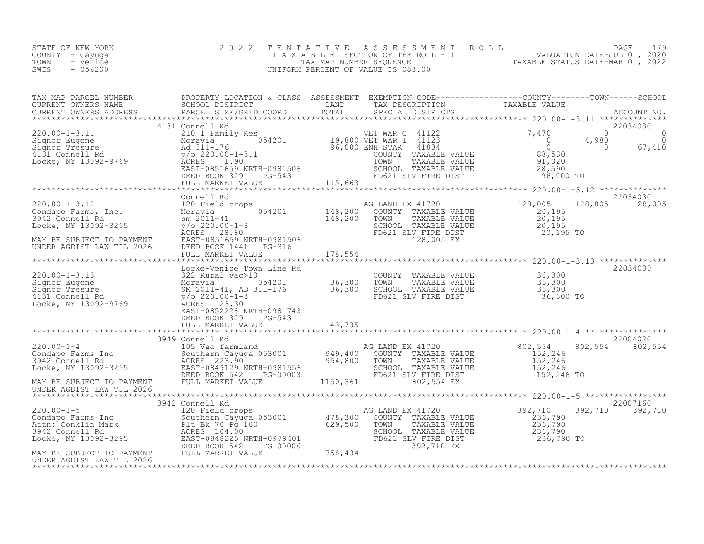| SWIS<br>- 056200<br>UNIFORM PERCENT OF VALUE IS 083.00 | STATE OF NEW YORK<br>COUNTY – Cayuga<br>TOWN<br>- Venice | 2022 TENTATIVE ASSESSMENT ROLL<br>TAXABLE SECTION OF THE ROLL - 1<br>TAX MAP NUMBER SEOUENCE | PAGE 179<br>VALUATION DATE-JUL 01, 2020<br>TAXABLE STATUS DATE-MAR 01, 2022 |
|--------------------------------------------------------|----------------------------------------------------------|----------------------------------------------------------------------------------------------|-----------------------------------------------------------------------------|
|--------------------------------------------------------|----------------------------------------------------------|----------------------------------------------------------------------------------------------|-----------------------------------------------------------------------------|

| TAX MAP PARCEL NUMBER<br>CURRENT OWNERS NAME                                                                                                                                                                                                                                                           | PROPERTY LOCATION & CLASS ASSESSMENT EXEMPTION CODE----------------COUNTY-------TOWN-----SCHOOL<br>SCHOOL DISTRICT                                                                                                                                               | LAND                                                   | TAX DESCRIPTION TAXABLE VALUE<br>SPECIAL DISTRICTS TAXABLE VALUE                                                                                       |                                                                                      |                                                                              |
|--------------------------------------------------------------------------------------------------------------------------------------------------------------------------------------------------------------------------------------------------------------------------------------------------------|------------------------------------------------------------------------------------------------------------------------------------------------------------------------------------------------------------------------------------------------------------------|--------------------------------------------------------|--------------------------------------------------------------------------------------------------------------------------------------------------------|--------------------------------------------------------------------------------------|------------------------------------------------------------------------------|
| $220.00 - 1 - 3.11$<br>220.00-1-3.11<br>Signor Eugene<br>Signor Tresure<br>4131 Connell Rd<br>Locke, NY 13092-9769                                                                                                                                                                                     | 4131 Connell Rd<br>210 1 Family Res<br>nily Res<br>054201 19,800 VET WAR C 41122<br>26,800 VET WAR T 41123<br>Moravia<br>$\overline{1}$<br>Ad 311-176<br>$p$ /o 220.00-1-3.1<br>ACRES<br>1.90<br>EAST-0851659 NRTH-0981506<br>DEED BOOK 329<br>FULL MARKET VALUE | 96,000 ENH STAR<br>$1-0981506$<br>PG-543<br>P          | 41834<br>COUNTY TAXABLE VALUE<br>TOWN<br>TAXABLE VALUE<br>SCHOOL TAXABLE VALUE<br>FD621 SLV FIRE DIST                                                  | 7,470<br>$\overline{0}$<br>$\overline{0}$<br>88,530<br>91,020<br>28,590<br>96,000 TO | 22034030<br>$\Omega$<br>0<br>$\overline{0}$<br>4,980<br>$\bigcirc$<br>67,410 |
| $220.00 - 1 - 3.12$<br>220.00-1-3.12 120 Field<br>Condapo Farms, Inc. Moravia<br>3942 Connell Rd sm 2011-41<br>Locke, NY 13092-3295 p/o_220.00<br>MAY BE SUBJECT TO PAYMENT<br>UNDER AGDIST LAW TIL 2026                                                                                               | Connell Rd<br>120 Field crops<br>$p$ /o 220.00-1-3<br>ACRES 28.80<br>EAST-0851659 NRTH-0981506<br>DEED BOOK 1441    PG-316<br>FULL MARKET VALUE                                                                                                                  | $054201$ $148,200$ <sup>A(</sup><br>148,200<br>178,554 | AG LAND EX 41720<br>COUNTY TAXABLE VALUE<br>TAXABLE VALUE<br>TOWN<br>SCHOOL TAXABLE VALUE<br>FD621 SLV FIRE DIST<br>128,005 EX                         | 128,005<br>20,195<br>20,195<br>20, 195<br>20,195 TO                                  | 22034030<br>128,005<br>128,005                                               |
| $220.00 - 1 - 3.13$<br>Signor Eugene<br>Signor Tresure<br>4131 Connell Rd<br>Locke, NY 13092-9769                                                                                                                                                                                                      | Locke-Venice Town Line Rd<br>322 Rural vac>10<br>Moravia 054201 36,300<br>Moravia 054201 36,300<br>SM 2011-41, AD 311-176 36,300<br>P/O 220.00-1-3<br>ACRES 23.30<br>EAST-0852228 NRTH-0981743<br>DEED BOOK 329<br>$PG-543$<br>FULL MARKET VALUE                 | 43,735                                                 | COUNTY TAXABLE VALUE<br>TOWN<br>TAXABLE VALUE<br>SCHOOL TAXABLE VALUE<br>FD621 SLV FIRE DIST                                                           | 36,300<br>36,300<br>36,300<br>36,300 TO                                              | 22034030                                                                     |
| $220.00 - 1 - 4$<br>220.00-1-4<br>Condapo Farms Inc<br>3942 Connell Rd<br>Locke, NY 13092-3295<br>Locke, NY 13092-3295<br>CONFIDERT-0849129 NRTH-0981556<br>MAY BE SUBJECT TO PAYMENT<br>UNDER AGDIST LAW TIL 2026                                                                                     | 3949 Connell Rd<br>Connell Rd<br>105 Vac farmland<br>Southern Cayuga 053001 (1949,400 COUNTY TAXABLE VALUE<br>2015 202 900 (1954,800 TOWN TAXABLE VALUE<br>DEED BOOK 542<br>PG-00003<br>FULL MARKET VALUE                                                        | 1150,361                                               | SCHOOL TAXABLE VALUE<br>FD621 SLV FIRE DIST<br>802,554 EX                                                                                              | 802,554<br>152,246<br>152,246<br>152,246<br>152,246 TO                               | 22004020<br>802,554<br>802,554                                               |
| 220.00-1-5<br>Condapo Farms Inc 300 Figure 2011 2011<br>Attn: Conklin Mark 2012<br>3942 Connell Rd 29,500<br>Locke, NY 13092-3295<br>MAY BE SURJECT TO DAVMENT DEED BOOK 542 PG-00006<br>29,500<br>MAY BE SURJECT TO DAVMENT DEED BOOK 542 P<br>MAY BE SUBJECT TO PAYMENT<br>UNDER AGDIST LAW TIL 2026 | 3942 Connell Rd<br>FULL MARKET VALUE                                                                                                                                                                                                                             | 758,434                                                | AG LAND EX 41720<br>COUNTY TAXABLE VALUE<br>TOWN<br>TAXABLE VALUE<br>SCHOOL TAXABLE VALUE<br>SCHOOL TAXABLE VALUE<br>FD621 SLV FIRE DIST<br>392,710 EX | 392,710<br>236,790<br>236,790<br>236,790<br>236,790 TO                               | 22007160<br>392,710<br>392,710                                               |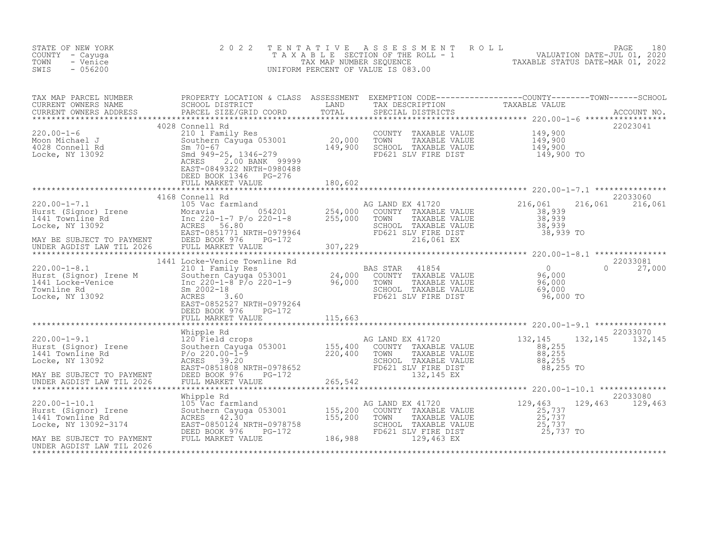| STATE OF NEW YORK<br>COUNTY - Cayuga<br>TOWN<br>- Venice<br>SWIS<br>$-056200$                                                                                                                                                         | 2 0 2 2                                                                                                                                                                                                                                                       | TENTATIVE | PAGE 180<br>TAXABLE SECTION OF THE ROLL - 1 VALUATION DATE-JUL 01, 2020<br>TAX MAP NUMBER SEQUENCE TAXABLE STATUS DATE-MAR 01, 2022<br>NIFORM PERCENT OF VALUE IS 083.00<br>UNIFORM PERCENT OF VALUE IS 083.00             |                                             |                             |
|---------------------------------------------------------------------------------------------------------------------------------------------------------------------------------------------------------------------------------------|---------------------------------------------------------------------------------------------------------------------------------------------------------------------------------------------------------------------------------------------------------------|-----------|----------------------------------------------------------------------------------------------------------------------------------------------------------------------------------------------------------------------------|---------------------------------------------|-----------------------------|
| TAX MAP PARCEL NUMBER PROPERTY LOCATION & CLASS ASSESSMENT EXEMPTION CODE-----------------COUNTY--------TOWN------SCHOOL CURRENT OWNERS NAME SCHOOL DISTRICT LAND TAX DESCRIPTION TAXABLE VALUE<br>CURRENT OWNERS ADDRESS PARCEL      |                                                                                                                                                                                                                                                               |           |                                                                                                                                                                                                                            |                                             |                             |
| 220.00-1-6<br>Moon Michael J<br>4028 Connell Rd<br>Locke, NY 13092                                                                                                                                                                    | 4028 Connell Rd<br>210 1 Family Res<br>Southern Cayuga 053001 20,000 TOWN<br>Sm 70-67 3<br>Sm 949-25, 1346-279 149,900 SCHOOL<br>ACRES 2.00 BANK 99999<br>ACRES<br>2.00 BANK 99999<br>EAST-0849322 NRTH-0980488<br>DEED BOOK 1346 PG-276<br>FULL MARKET VALUE | 180,602   | COUNTY TAXABLE VALUE 149,900<br>TOWN TAXABLE VALUE 149,900<br>SCHOOL TAXABLE VALUE 149,900<br>FD621 SLV FIRE DIST 149,900 TO                                                                                               |                                             | 22023041                    |
|                                                                                                                                                                                                                                       |                                                                                                                                                                                                                                                               |           |                                                                                                                                                                                                                            |                                             |                             |
| 220.00-1-7.1<br>Hurst (Signor) Irene 105 Vac farmland 105 Vac farmland 105 Vac farmland 105 Vac farmland 105 Vac farmland 105<br>MAY BE SUBJECT TO PAYMENT DEED BOOK 976 PG-172<br>MAY BE SUBJECT TO PAYMENT DEED BOOK 976 PG-172<br> | 4168 Connell Rd                                                                                                                                                                                                                                               |           | AG LAND EX 41720<br>COUNTY TAXABLE VALUE<br>G LAND EX 41720<br>COUNTY TAXABLE VALUE 38,939<br>TOWN TAXABLE VALUE 38,939<br>SCHOOL TAXABLE VALUE 38,939<br>FD621 SLV FIRE DIST 38,939<br>216,061 EX 38,939 TO<br>216,061 EX |                                             | 22033060<br>216,061 216,061 |
|                                                                                                                                                                                                                                       |                                                                                                                                                                                                                                                               |           |                                                                                                                                                                                                                            |                                             |                             |
|                                                                                                                                                                                                                                       |                                                                                                                                                                                                                                                               |           |                                                                                                                                                                                                                            |                                             |                             |
|                                                                                                                                                                                                                                       | DEED BOOK 976 PG-172                                                                                                                                                                                                                                          |           |                                                                                                                                                                                                                            | $\Omega$<br>96,000 TO                       | 22033081<br>27,000          |
|                                                                                                                                                                                                                                       | FULL MARKET VALUE                                                                                                                                                                                                                                             | 115,663   |                                                                                                                                                                                                                            |                                             |                             |
|                                                                                                                                                                                                                                       |                                                                                                                                                                                                                                                               |           |                                                                                                                                                                                                                            |                                             | 22033070                    |
|                                                                                                                                                                                                                                       | Whipple Rd                                                                                                                                                                                                                                                    |           |                                                                                                                                                                                                                            |                                             |                             |
|                                                                                                                                                                                                                                       |                                                                                                                                                                                                                                                               |           |                                                                                                                                                                                                                            |                                             |                             |
|                                                                                                                                                                                                                                       |                                                                                                                                                                                                                                                               |           |                                                                                                                                                                                                                            |                                             | 22033080                    |
|                                                                                                                                                                                                                                       |                                                                                                                                                                                                                                                               |           | AG LAND EX 41720<br>COUNTY TAXABLE VALUE<br>TAXABLE VALUE<br>TOWN<br>SCHOOL TAXABLE VALUE<br>FD621 SLV FIRE DIST                                                                                                           | 129,463<br>$25,737$<br>$25,737$<br>$25,737$ | 129,463 129,463             |
| Locke, NY 13092-3174<br>EAST-0850124 NRTH-0978758 SCHOOL TAXABLE VAL<br>DEED BOOK 976 PG-172 FD621 SLV FIRE DIST<br>INDER AGDIST LAW TIL 2026 FULL MARKET VALUE 186,988 129,463 EX<br>UNDER AGDIST LAW TIL 2026                       |                                                                                                                                                                                                                                                               |           |                                                                                                                                                                                                                            | 25,737 TO                                   |                             |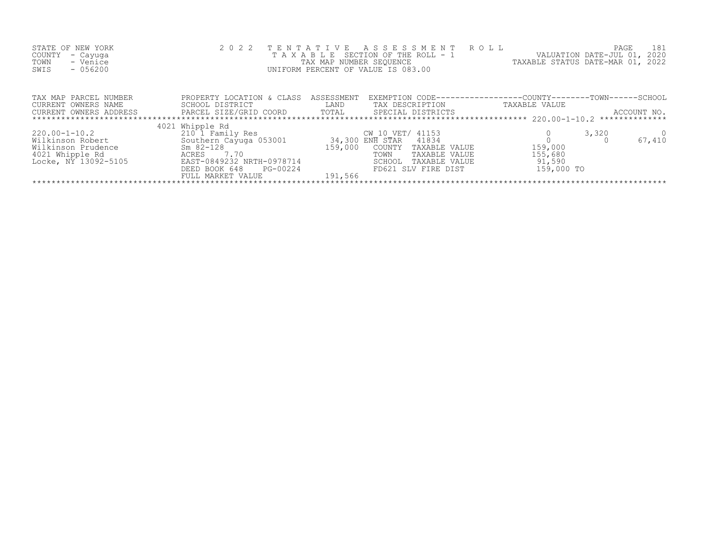| STATE OF NEW YORK<br>COUNTY<br>- Cayuga<br>- Venice<br>TOWN<br>$-056200$<br>SWIS                                                | 2 0 2 2<br>TAXABLE                                                                                                                              | TAX MAP NUMBER SEQUENCE | TENTATIVE ASSESSMENT ROLL<br>SECTION OF THE ROLL - 1<br>UNIFORM PERCENT OF VALUE IS 083.00                             | VALUATION DATE-JUL 01,<br>TAXABLE STATUS DATE-MAR 01, 2022 | PAGE<br>181<br>2020 |  |  |  |  |
|---------------------------------------------------------------------------------------------------------------------------------|-------------------------------------------------------------------------------------------------------------------------------------------------|-------------------------|------------------------------------------------------------------------------------------------------------------------|------------------------------------------------------------|---------------------|--|--|--|--|
| TAX MAP PARCEL NUMBER<br>CURRENT OWNERS NAME<br>CURRENT OWNERS ADDRESS                                                          | PROPERTY LOCATION & CLASS<br>SCHOOL DISTRICT<br>PARCEL SIZE/GRID COORD                                                                          | ASSESSMENT<br>LAND      | EXEMPTION CODE-----------------COUNTY-------TOWN------SCHOOL<br>TAX DESCRIPTION<br>TOTAL SPECIAL DISTRICTS             | TAXABLE VALUE                                              | ACCOUNT NO.         |  |  |  |  |
|                                                                                                                                 | 4021 Whipple Rd                                                                                                                                 |                         |                                                                                                                        |                                                            |                     |  |  |  |  |
| 220.00-1-10.2<br>Wilkinson Robert<br>Wilkinson Prudence<br>$Sm$ 82-128<br>4021 Whipple Rd<br>ACRES 7.70<br>Locke, NY 13092-5105 | 210 1 Family Res<br>Southern Cayuga 053001 34,300 ENH STAR 41834<br>EAST-0849232 NRTH-0978714<br>PG-00224<br>DEED BOOK 648<br>FULL MARKET VALUE | 159,000<br>191,566      | CW 10 VET/ 41153<br>TAXABLE VALUE<br>COUNTY<br>TOWN<br>TAXABLE VALUE<br>SCHOOL<br>TAXABLE VALUE<br>FD621 SLV FIRE DIST | 159,000<br>155,680<br>91,590<br>159,000 TO                 | 3,320<br>67,410     |  |  |  |  |
|                                                                                                                                 |                                                                                                                                                 |                         |                                                                                                                        |                                                            |                     |  |  |  |  |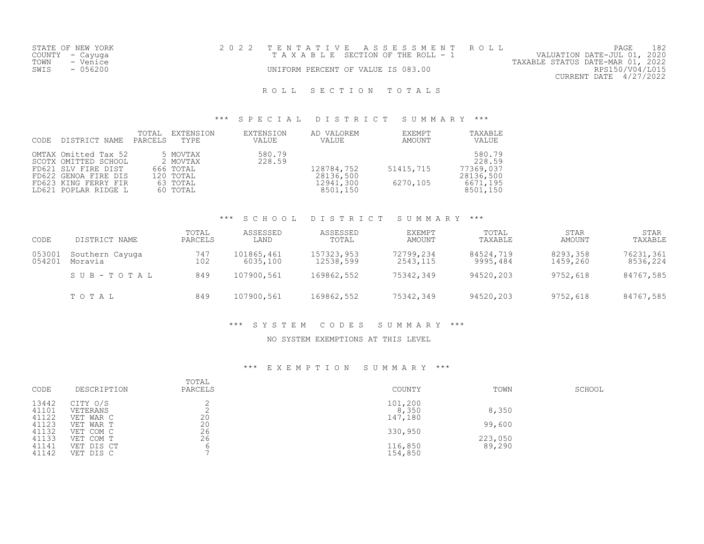| STATE OF NEW YORK |          | 2022 TENTATIVE ASSESSMENT ROLL        |  |                                  | PAGE                   |  |
|-------------------|----------|---------------------------------------|--|----------------------------------|------------------------|--|
| COUNTY - Cayuga   |          | T A X A B L E SECTION OF THE ROLL - 1 |  | VALUATION DATE-JUL 01, 2020      |                        |  |
| TOWN              | - Venice |                                       |  | TAXABLE STATUS DATE-MAR 01, 2022 |                        |  |
| SWIS              | - 056200 | UNIFORM PERCENT OF VALUE IS 083.00    |  |                                  | RPS150/V04/L015        |  |
|                   |          |                                       |  |                                  | CURRENT DATE 4/27/2022 |  |
|                   |          |                                       |  |                                  |                        |  |

#### \*\*\* S P E C I A L D I S T R I C T S U M M A R Y \*\*\*

| CODE | DISTRICT NAME                                                                                                                               | TOTAL<br>PARCELS | EXTENSION<br>TYPE                                                      | EXTENSION<br>VALUE | AD VALOREM<br>VALUE                              | EXEMPT<br>AMOUNT      | TAXABLE<br>VALUE                                                   |
|------|---------------------------------------------------------------------------------------------------------------------------------------------|------------------|------------------------------------------------------------------------|--------------------|--------------------------------------------------|-----------------------|--------------------------------------------------------------------|
|      | OMTAX Omitted Tax 52<br>SCOTX OMITTED SCHOOL<br>FD621 SLV FIRE DIST<br>FD622 GENOA FIRE DIS<br>FD623 KING FERRY FIR<br>LD621 POPLAR RIDGE L |                  | 5 MOVTAX<br>2 MOVTAX<br>666 TOTAL<br>120 TOTAL<br>63 TOTAL<br>60 TOTAL | 580.79<br>228.59   | 128784,752<br>28136,500<br>12941,300<br>8501,150 | 51415,715<br>6270,105 | 580.79<br>228.59<br>77369,037<br>28136,500<br>6671,195<br>8501,150 |

#### \*\*\* S C H O O L D I S T R I C T S U M M A R Y \*\*\*

| CODE             | DISTRICT NAME              | TOTAL<br>PARCELS | ASSESSED<br>LAND       | ASSESSED<br>TOTAL       | EXEMPT<br>AMOUNT      | TOTAL<br>TAXABLE      | <b>STAR</b><br>AMOUNT | <b>STAR</b><br>TAXABLE |
|------------------|----------------------------|------------------|------------------------|-------------------------|-----------------------|-----------------------|-----------------------|------------------------|
| 053001<br>054201 | Southern Cayuga<br>Moravia | 747<br>102       | 101865,461<br>6035,100 | 157323,953<br>12538,599 | 72799,234<br>2543,115 | 84524,719<br>9995,484 | 8293,358<br>1459,260  | 76231,361<br>8536,224  |
|                  | SUB-TOTAL                  | 849              | 107900,561             | 169862,552              | 75342,349             | 94520,203             | 9752,618              | 84767,585              |
|                  | TOTAL                      | 849              | 107900,561             | 169862,552              | 75342,349             | 94520,203             | 9752,618              | 84767,585              |

### \*\*\* S Y S T E M C O D E S S U M M A R Y \*\*\*

#### NO SYSTEM EXEMPTIONS AT THIS LEVEL

| CODE  | DESCRIPTION | TOTAL<br>PARCELS | COUNTY  | TOWN    | SCHOOL |
|-------|-------------|------------------|---------|---------|--------|
| 13442 | CITY O/S    |                  | 101,200 |         |        |
| 41101 | VETERANS    |                  | 8,350   | 8,350   |        |
| 41122 | VET WAR C   | 20               | 147,180 |         |        |
| 41123 | VET WAR T   | 20               |         | 99,600  |        |
| 41132 | VET COM C   | 26               | 330,950 |         |        |
| 41133 | VET COM T   | 26               |         | 223,050 |        |
| 41141 | VET DIS CT  |                  | 116,850 | 89,290  |        |
| 41142 | VET DIS C   |                  | 154,850 |         |        |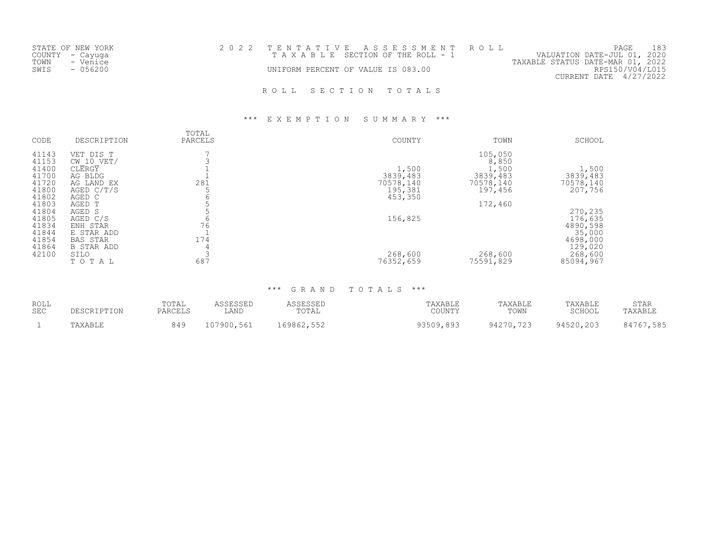| STATE OF NEW YORK<br>COUNTY - Cayuga  | 2022 TENTATIVE ASSESSMENT ROLL<br>TAXABLE SECTION OF THE ROLL - 1 | 183<br>PAGE<br>VALUATION DATE-JUL 01, 2020                                    |
|---------------------------------------|-------------------------------------------------------------------|-------------------------------------------------------------------------------|
| TOWN<br>- Venice<br>$-056200$<br>SWIS | UNIFORM PERCENT OF VALUE IS 083.00                                | TAXABLE STATUS DATE-MAR 01, 2022<br>RPS150/V04/L015<br>CURRENT DATE 4/27/2022 |
|                                       | ROLL SECTION TOTALS                                               |                                                                               |

#### \*\*\* E X E M P T I O N S U M M A R Y \*\*\*

| CODE  | DESCRIPTION       | TOTAL<br>PARCELS | COUNTY    | TOWN      | SCHOOL    |
|-------|-------------------|------------------|-----------|-----------|-----------|
| 41143 | DIS T<br>VET      |                  |           | 105,050   |           |
| 41153 | $CW$ 10 VET/      |                  |           | 8,850     |           |
| 41400 | CLERGY            |                  | 1,500     | 1,500     | 1,500     |
| 41700 | AG BLDG           |                  | 3839,483  | 3839,483  | 3839,483  |
| 41720 | AG LAND EX        | 281              | 70578,140 | 70578,140 | 70578,140 |
| 41800 | AGED $C/T/S$      |                  | 195,381   | 197,456   | 207,756   |
| 41802 | AGED C            |                  | 453,350   |           |           |
| 41803 | AGED T            |                  |           | 172,460   |           |
| 41804 | AGED S            |                  |           |           | 270,235   |
| 41805 | AGED C/S          |                  | 156,825   |           | 176,635   |
| 41834 | ENH STAR          | 76               |           |           | 4890,598  |
| 41844 | E STAR ADD        |                  |           |           | 35,000    |
| 41854 | BAS STAR          | 174              |           |           | 4698,000  |
| 41864 | <b>B STAR ADD</b> |                  |           |           | 129,020   |
| 42100 | SILO              |                  | 268,600   | 268,600   | 268,600   |
|       | TOTAL             | 687              | 76352,659 | 75591,829 | 85094,967 |
|       |                   |                  |           |           |           |

| <b>ROLL</b><br><b>SEC</b> |         | TOTAL<br>PARCELS | <b>COFCOFF</b><br>LAND | <b>ACCECCEL</b><br>TOTAL | TAXABLE<br>COUNTY | TAXABLE<br>TOWN | TAXABLE<br>SCHOOL | STAR<br>'AXABLF |
|---------------------------|---------|------------------|------------------------|--------------------------|-------------------|-----------------|-------------------|-----------------|
|                           | TAXABLE | 010<br>`⊿        | 107900,561             | 550<br>69862,<br>・しつと    | 93509,893         | 94270,723       | 94520,203         | 585,<br>1767    |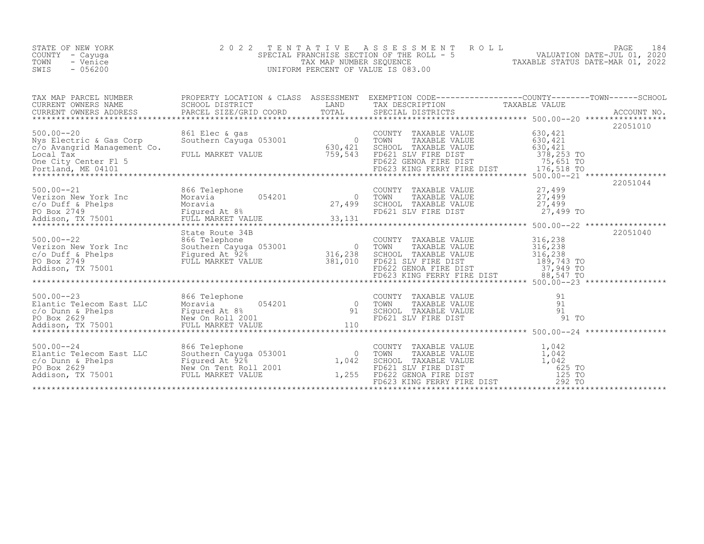| STATE OF NEW YORK<br>COUNTY - Cayuga<br>TOWN<br>- Venice<br>SWIS<br>$-056200$                                                                                                       | 2 0 2 2                                          |                                                                                                                       | PAGE 184<br>SPECIAL FRANCHISE SECTION OF THE ROLL - 5<br>TAX MAP NUMBER SEQUENCE<br>UNIFORM PERCENT OF VALUE IS 083.00<br>UNIFORM PERCENT OF VALUE IS 083.00                                                                                     |
|-------------------------------------------------------------------------------------------------------------------------------------------------------------------------------------|--------------------------------------------------|-----------------------------------------------------------------------------------------------------------------------|--------------------------------------------------------------------------------------------------------------------------------------------------------------------------------------------------------------------------------------------------|
|                                                                                                                                                                                     |                                                  |                                                                                                                       |                                                                                                                                                                                                                                                  |
| $500.00 - 20$<br>Nys Electric & Gas Corp<br>c/o Avangrid Management Co.<br>Local Tax                                                                                                | 861 Elec & gas<br>Southern Cayuga 053001 630,421 | COUNTY TAXABLE VALUE 630, 421<br>TAXABLE VALUE<br>TOWN<br>SCHOOL TAXABLE VALUE                                        | 22051010<br>630,421<br>630,421                                                                                                                                                                                                                   |
|                                                                                                                                                                                     |                                                  |                                                                                                                       | 22051044                                                                                                                                                                                                                                         |
|                                                                                                                                                                                     | State Route 34B                                  | FD621 SLV FIRE DIST<br>FD622 GENOA FIRE DIST<br>FD623 KING FERRY FIRE DIST<br>FD623 KING FERRY FIRE DIST<br>88,547 TO | 22051040<br>COUNTY TAXABLE VALUE<br>TOWN TAXABLE VALUE 316,238<br>SCHOOL TAXABLE VALUE 316,238<br>FD621 SLV FIRE DIST 189,743 TO                                                                                                                 |
|                                                                                                                                                                                     |                                                  |                                                                                                                       |                                                                                                                                                                                                                                                  |
| 500.00--24<br>Elantic Telecom East LLC Southern Cayuga 053001 0<br>c/o Dunn & Phelps Figured At 92% 1,042<br>PO Box 2629 New On Tent Roll 2001 1,255<br>New On Tent Roll 2001 1,255 | ***********************                          |                                                                                                                       | COUNTY TAXABLE VALUE<br>TOWN TAXABLE VALUE<br>SCHOOL TAXABLE VALUE<br>FD621 SLV FIRE DIST<br>FD622 GENOA FIRE DIST<br>FD623 KING FERRY FIRE DIST<br>FD623 KING FERRY FIRE DIST<br>FD623 KING FERRY FIRE DIST<br>29 TO<br>FD623 KING FERRY FIRE D |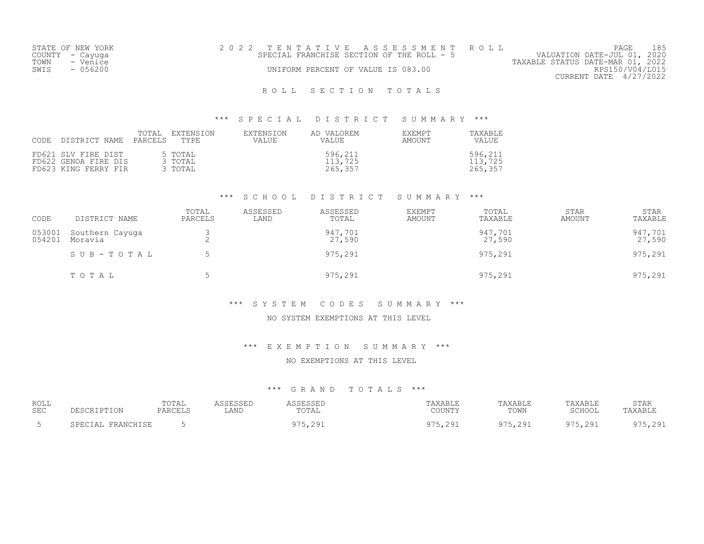|      | STATE OF NEW YORK | 2022 TENTATIVE ASSESSMENT ROLL            |  |  |                                  |                        | PAGE | 185 |
|------|-------------------|-------------------------------------------|--|--|----------------------------------|------------------------|------|-----|
|      | COUNTY – Cayuga   | SPECIAL FRANCHISE SECTION OF THE ROLL - 5 |  |  | VALUATION DATE-JUL 01, 2020      |                        |      |     |
| TOWN | - Venice          |                                           |  |  | TAXABLE STATUS DATE-MAR 01, 2022 |                        |      |     |
| SWIS | $-056200$         | UNIFORM PERCENT OF VALUE IS 083.00        |  |  |                                  | RPS150/V04/L015        |      |     |
|      |                   |                                           |  |  |                                  | CURRENT DATE 4/27/2022 |      |     |
|      |                   |                                           |  |  |                                  |                        |      |     |

\*\*\* S P E C I A L D I S T R I C T S U M M A R Y \*\*\*

| CODE | : DISTRICT NAME                                                     | EXTENSION<br>TOTAL<br>PARCELS<br>TYPE | EXTENSION<br>VALUE | AD VALOREM<br><b>VALUE</b>    | <b>EXEMPT</b><br>AMOUNT | TAXABLE<br>VALUE              |
|------|---------------------------------------------------------------------|---------------------------------------|--------------------|-------------------------------|-------------------------|-------------------------------|
|      | FD621 SLV FIRE DIST<br>FD622 GENOA FIRE DIS<br>FD623 KING FERRY FIR | 5 TOTAL<br>3 TOTAL<br>3 TOTAL         |                    | 596,211<br>113,725<br>265,357 |                         | 596,211<br>113,725<br>265,357 |

#### \*\*\* S C H O O L D I S T R I C T S U M M A R Y \*\*\*

| CODE             | DISTRICT NAME              | TOTAL<br>PARCELS | ASSESSED<br>LAND | ASSESSED<br>TOTAL | <b>EXEMPT</b><br>AMOUNT | TOTAL<br>TAXABLE  | <b>STAR</b><br>AMOUNT | <b>STAR</b><br>TAXABLE |
|------------------|----------------------------|------------------|------------------|-------------------|-------------------------|-------------------|-----------------------|------------------------|
| 053001<br>054201 | Southern Cayuga<br>Moravia | ∠                |                  | 947,701<br>27,590 |                         | 947,701<br>27,590 |                       | 947,701<br>27,590      |
|                  | SUB-TOTAL                  |                  |                  | 975,291           |                         | 975,291           |                       | 975,291                |
|                  | TOTAL                      |                  |                  | 975,291           |                         | 975,291           |                       | 975,291                |

#### \*\*\* S Y S T E M C O D E S S U M M A R Y \*\*\*

### NO SYSTEM EXEMPTIONS AT THIS LEVEL

\*\*\* E X E M P T I O N S U M M A R Y \*\*\*

#### NO EXEMPTIONS AT THIS LEVEL

| ROLL | DESCRIPTION           | TOTAL           | ASSESSED | ASSESSEL              | TAXABLE                   | TAXABLE      | TAXABLE | STAR    |
|------|-----------------------|-----------------|----------|-----------------------|---------------------------|--------------|---------|---------|
| SEC  |                       | PARCELS         | LAND     | TOTAL                 | COUNTY                    | TOWN         | SCHOOL  | TAXABLE |
|      | FRANCHISE<br>ЗРЕСТАТ. | $\sim$ $\prime$ |          | 291<br>コワロ<br>フィンテムシェ | -291<br><b>′ ) ,∠ ノ ⊥</b> | 075<br>. 291 | ,291    | na:     |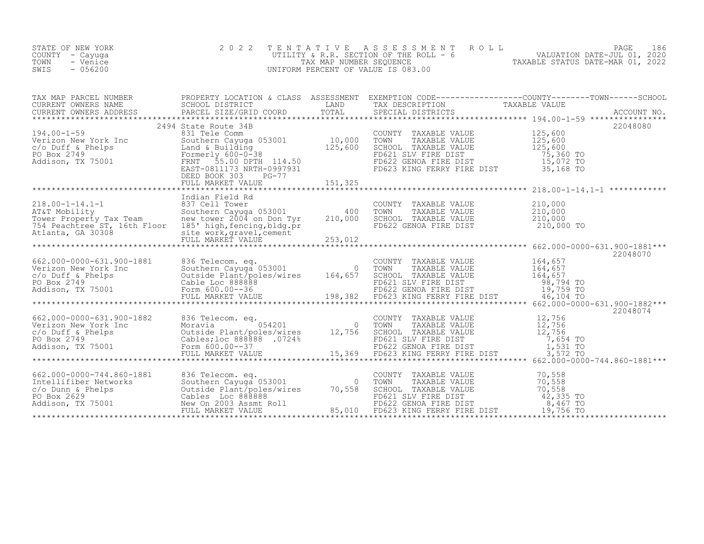| STATE OF NEW YORK | 2022 TENTATIVE ASSESSMENT ROLL          |                                  | PAGE                        | 186 |
|-------------------|-----------------------------------------|----------------------------------|-----------------------------|-----|
| COUNTY – Cayuga   | UTILITY & R.R. SECTION OF THE ROLL $-6$ |                                  | VALUATION DATE-JUL 01, 2020 |     |
| TOWN<br>- Venice  | TAX MAP NUMBER SEOUENCE                 | TAXABLE STATUS DATE-MAR 01, 2022 |                             |     |
| $-056200$<br>SWIS | UNIFORM PERCENT OF VALUE IS 083.00      |                                  |                             |     |

| A MAP PARCEL SCHOOL DISTRICT<br>CURRENT OWNERS ADDRESS BARCEL SIZE/GRID COORD TOTAL SECCIAL DISTRICTS TAXABLE VALUE<br>CURRENT OWNERS ADDRESS PARCEL SIZE/GRID COORD TOTAL SPECIAL DISTRICTS ACCOUNT NO.<br>***************************<br>$\begin{tabular}{l c c c c c} \multicolumn{1}{c}{\text{\textbf{194.00--1-59}}} & \multicolumn{1}{c}{\textbf{249}} & \multicolumn{1}{c}{\textbf{249}} & \multicolumn{1}{c}{\textbf{249}} & \multicolumn{1}{c}{\textbf{249}} & \multicolumn{1}{c}{\textbf{249}} & \multicolumn{1}{c}{\textbf{249}} & \multicolumn{1}{c}{\textbf{249}} & \multicolumn{1}{c}{\textbf{249}} & \multicolumn{1}{c}{\textbf{249}} & \multicolumn{1}{c}{\textbf{$<br>22048070<br>22048074 | TAX MAP PARCEL NUMBER THE PROPERTY LOCATION & CLASS ASSESSMENT EXEMPTION CODE----------------COUNTY-------TOWN-----SCHOOL |  |  |  |
|-------------------------------------------------------------------------------------------------------------------------------------------------------------------------------------------------------------------------------------------------------------------------------------------------------------------------------------------------------------------------------------------------------------------------------------------------------------------------------------------------------------------------------------------------------------------------------------------------------------------------------------------------------------------------------------------------------------|---------------------------------------------------------------------------------------------------------------------------|--|--|--|
|                                                                                                                                                                                                                                                                                                                                                                                                                                                                                                                                                                                                                                                                                                             |                                                                                                                           |  |  |  |
|                                                                                                                                                                                                                                                                                                                                                                                                                                                                                                                                                                                                                                                                                                             |                                                                                                                           |  |  |  |
|                                                                                                                                                                                                                                                                                                                                                                                                                                                                                                                                                                                                                                                                                                             |                                                                                                                           |  |  |  |
|                                                                                                                                                                                                                                                                                                                                                                                                                                                                                                                                                                                                                                                                                                             |                                                                                                                           |  |  |  |
|                                                                                                                                                                                                                                                                                                                                                                                                                                                                                                                                                                                                                                                                                                             |                                                                                                                           |  |  |  |
|                                                                                                                                                                                                                                                                                                                                                                                                                                                                                                                                                                                                                                                                                                             |                                                                                                                           |  |  |  |
|                                                                                                                                                                                                                                                                                                                                                                                                                                                                                                                                                                                                                                                                                                             |                                                                                                                           |  |  |  |
|                                                                                                                                                                                                                                                                                                                                                                                                                                                                                                                                                                                                                                                                                                             |                                                                                                                           |  |  |  |
|                                                                                                                                                                                                                                                                                                                                                                                                                                                                                                                                                                                                                                                                                                             |                                                                                                                           |  |  |  |
|                                                                                                                                                                                                                                                                                                                                                                                                                                                                                                                                                                                                                                                                                                             |                                                                                                                           |  |  |  |
|                                                                                                                                                                                                                                                                                                                                                                                                                                                                                                                                                                                                                                                                                                             |                                                                                                                           |  |  |  |
|                                                                                                                                                                                                                                                                                                                                                                                                                                                                                                                                                                                                                                                                                                             |                                                                                                                           |  |  |  |
|                                                                                                                                                                                                                                                                                                                                                                                                                                                                                                                                                                                                                                                                                                             |                                                                                                                           |  |  |  |
|                                                                                                                                                                                                                                                                                                                                                                                                                                                                                                                                                                                                                                                                                                             |                                                                                                                           |  |  |  |
|                                                                                                                                                                                                                                                                                                                                                                                                                                                                                                                                                                                                                                                                                                             |                                                                                                                           |  |  |  |
|                                                                                                                                                                                                                                                                                                                                                                                                                                                                                                                                                                                                                                                                                                             |                                                                                                                           |  |  |  |
|                                                                                                                                                                                                                                                                                                                                                                                                                                                                                                                                                                                                                                                                                                             |                                                                                                                           |  |  |  |
|                                                                                                                                                                                                                                                                                                                                                                                                                                                                                                                                                                                                                                                                                                             |                                                                                                                           |  |  |  |
|                                                                                                                                                                                                                                                                                                                                                                                                                                                                                                                                                                                                                                                                                                             |                                                                                                                           |  |  |  |
|                                                                                                                                                                                                                                                                                                                                                                                                                                                                                                                                                                                                                                                                                                             |                                                                                                                           |  |  |  |
|                                                                                                                                                                                                                                                                                                                                                                                                                                                                                                                                                                                                                                                                                                             |                                                                                                                           |  |  |  |
|                                                                                                                                                                                                                                                                                                                                                                                                                                                                                                                                                                                                                                                                                                             |                                                                                                                           |  |  |  |
|                                                                                                                                                                                                                                                                                                                                                                                                                                                                                                                                                                                                                                                                                                             |                                                                                                                           |  |  |  |
|                                                                                                                                                                                                                                                                                                                                                                                                                                                                                                                                                                                                                                                                                                             |                                                                                                                           |  |  |  |
|                                                                                                                                                                                                                                                                                                                                                                                                                                                                                                                                                                                                                                                                                                             |                                                                                                                           |  |  |  |
|                                                                                                                                                                                                                                                                                                                                                                                                                                                                                                                                                                                                                                                                                                             |                                                                                                                           |  |  |  |
|                                                                                                                                                                                                                                                                                                                                                                                                                                                                                                                                                                                                                                                                                                             |                                                                                                                           |  |  |  |
|                                                                                                                                                                                                                                                                                                                                                                                                                                                                                                                                                                                                                                                                                                             |                                                                                                                           |  |  |  |
|                                                                                                                                                                                                                                                                                                                                                                                                                                                                                                                                                                                                                                                                                                             |                                                                                                                           |  |  |  |
|                                                                                                                                                                                                                                                                                                                                                                                                                                                                                                                                                                                                                                                                                                             |                                                                                                                           |  |  |  |
|                                                                                                                                                                                                                                                                                                                                                                                                                                                                                                                                                                                                                                                                                                             |                                                                                                                           |  |  |  |
|                                                                                                                                                                                                                                                                                                                                                                                                                                                                                                                                                                                                                                                                                                             |                                                                                                                           |  |  |  |
|                                                                                                                                                                                                                                                                                                                                                                                                                                                                                                                                                                                                                                                                                                             |                                                                                                                           |  |  |  |
|                                                                                                                                                                                                                                                                                                                                                                                                                                                                                                                                                                                                                                                                                                             |                                                                                                                           |  |  |  |
|                                                                                                                                                                                                                                                                                                                                                                                                                                                                                                                                                                                                                                                                                                             |                                                                                                                           |  |  |  |
|                                                                                                                                                                                                                                                                                                                                                                                                                                                                                                                                                                                                                                                                                                             |                                                                                                                           |  |  |  |
|                                                                                                                                                                                                                                                                                                                                                                                                                                                                                                                                                                                                                                                                                                             |                                                                                                                           |  |  |  |
|                                                                                                                                                                                                                                                                                                                                                                                                                                                                                                                                                                                                                                                                                                             |                                                                                                                           |  |  |  |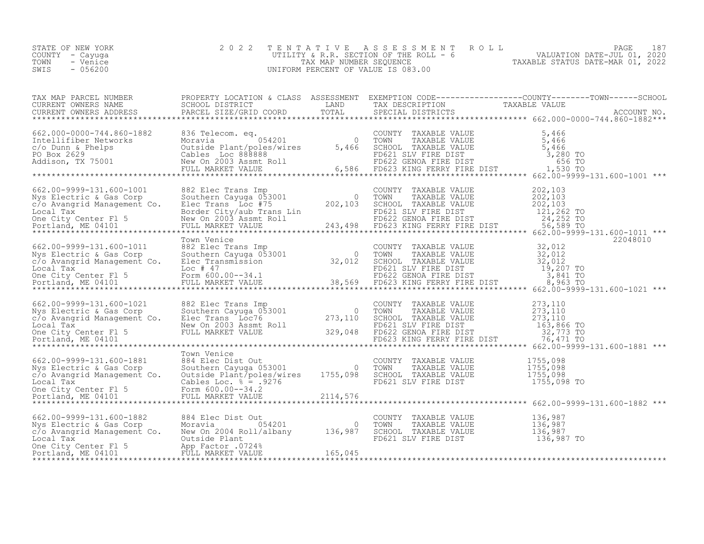| STATE OF NEW YORK<br>COUNTY - Cayuga<br>- Venice<br>TOWN<br>$-056200$<br>SWIS                                                                                                                                                                                                                                                                                                                                                         | 2 0 2 2     |  | TENTATIVE ASSESSMENT ROLL PAGE 187<br>UTILITY & R.R. SECTION OF THE ROLL - 6<br>TAX MAP NUMBER SEQUENCE TAXABLE STATUS DATE-JUL 01, 2020<br>UNIFORM PERCENT OF VALUE IS 083.00                                                                                                                                                                                                                                                                                                              |
|---------------------------------------------------------------------------------------------------------------------------------------------------------------------------------------------------------------------------------------------------------------------------------------------------------------------------------------------------------------------------------------------------------------------------------------|-------------|--|---------------------------------------------------------------------------------------------------------------------------------------------------------------------------------------------------------------------------------------------------------------------------------------------------------------------------------------------------------------------------------------------------------------------------------------------------------------------------------------------|
|                                                                                                                                                                                                                                                                                                                                                                                                                                       |             |  | $\begin{tabular}{lllllllll} \texttt{TAX} \texttt{MAP} \texttt{PARCEL} \texttt{NUMBER} & \texttt{PROPERTIES} \texttt{EROPERTY} \texttt{LOCALIONS} & \texttt{GLES} \texttt{ASSESSMENT} & \texttt{EXEMENT} \texttt{EXEMENT} \texttt{COMDE} \texttt{CODE} \texttt{-----------COUNTY------TOWN----SCHOOL} \\ \texttt{CURRENT} \texttt{OWNERS} \texttt{NAME} & \texttt{SCHOOL} \texttt{DISTRICT} & \texttt{LAND} & \texttt{TAX} \texttt{DESCRIPTION} & \texttt{TAXABLE} \texttt{VALUE} & \texttt$ |
|                                                                                                                                                                                                                                                                                                                                                                                                                                       |             |  |                                                                                                                                                                                                                                                                                                                                                                                                                                                                                             |
|                                                                                                                                                                                                                                                                                                                                                                                                                                       |             |  |                                                                                                                                                                                                                                                                                                                                                                                                                                                                                             |
|                                                                                                                                                                                                                                                                                                                                                                                                                                       | Town Venice |  | 22048010                                                                                                                                                                                                                                                                                                                                                                                                                                                                                    |
|                                                                                                                                                                                                                                                                                                                                                                                                                                       |             |  |                                                                                                                                                                                                                                                                                                                                                                                                                                                                                             |
|                                                                                                                                                                                                                                                                                                                                                                                                                                       | Town Venice |  | $\begin{array}{lllllllllllllllllll} \text{662.00-9999-131.600-1881} & \text{Town} & \text{Yenice} & \text{COUNTY} & \text{TAXABLE VALUE} & 1755,098 \\ \text{Nys Electric & Gas Corp} & \text{Southern Cayuga 053001} & 0 & \text{TOMN} & \text{TAXABLE VALUE} & 1755,098 \\ \text{c/o Avangrid Management Co.} & \text{Outside Plant/poles/wires} & 1755,098 & \text{SCHOOL TAXABLE VALUE} & 1755,098 \\ \text{Local Tax} & \text{Cables Loc.} & * & * &$                                  |
| $\begin{tabular}{lllllllllllll} 662.00-9999-131.600-1882 & 884\text{ Elec Dist Out} & \text{COUNTY TAXABLE VALUE} & 136,987\\ \text{Nys Electric & Gas Corp & Moravia & 054201 & 0 & TOMN & TAXABLE VALUE & 136,987\\ c/o Avangrid Management Co. & New On 2004 Roll/albany & 136,987 & SCHOOL TAXABLE VALUE & 136,987\\ \text{Local Tax} & &\text{Outside Plant} & &\text{FD621 SLV FIRE DIST} & 136,987 & 136,987\\ \text{Docali T$ |             |  |                                                                                                                                                                                                                                                                                                                                                                                                                                                                                             |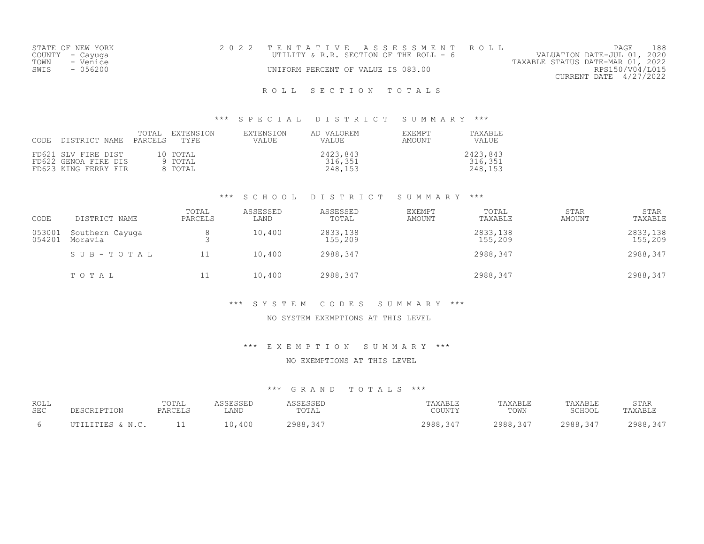| STATE OF NEW YORK | 2022 TENTATIVE ASSESSMENT ROLL          | 188<br>PAGE                      |
|-------------------|-----------------------------------------|----------------------------------|
| COUNTY - Cayuga   | UTILITY & R.R. SECTION OF THE ROLL $-6$ | VALUATION DATE-JUL 01, 2020      |
| TOWN<br>- Venice  |                                         | TAXABLE STATUS DATE-MAR 01, 2022 |
| - 056200<br>SWIS  | UNIFORM PERCENT OF VALUE IS 083.00      | RPS150/V04/L015                  |
|                   |                                         | CURRENT DATE 4/27/2022           |

#### \*\*\* S P E C I A L D I S T R I C T S U M M A R Y \*\*\*

| CODE | DISTRICT NAME                                                       | TOTAL<br>PARCELS | EXTENSION<br>TYPE              | EXTENSION<br><b>VALUE</b> | AD VALOREM<br>VALUE            | <b>EXEMPT</b><br>AMOUNT | TAXABLE<br>VALUE               |
|------|---------------------------------------------------------------------|------------------|--------------------------------|---------------------------|--------------------------------|-------------------------|--------------------------------|
|      | FD621 SLV FIRE DIST<br>FD622 GENOA FIRE DIS<br>FD623 KING FERRY FIR |                  | 10 TOTAL<br>9 TOTAL<br>8 TOTAL |                           | 2423,843<br>316,351<br>248,153 |                         | 2423,843<br>316,351<br>248,153 |

#### \*\*\* S C H O O L D I S T R I C T S U M M A R Y \*\*\*

| CODE             | DISTRICT NAME              | TOTAL<br>PARCELS | ASSESSED<br>LAND | ASSESSED<br>TOTAL   | EXEMPT<br>AMOUNT | TOTAL<br>TAXABLE    | <b>STAR</b><br>AMOUNT | <b>STAR</b><br>TAXABLE |
|------------------|----------------------------|------------------|------------------|---------------------|------------------|---------------------|-----------------------|------------------------|
| 053001<br>054201 | Southern Cayuga<br>Moravia |                  | 10,400           | 2833,138<br>155,209 |                  | 2833,138<br>155,209 |                       | 2833,138<br>155,209    |
|                  | SUB-TOTAL                  | 11               | 10,400           | 2988,347            |                  | 2988,347            |                       | 2988,347               |
|                  | TOTAL                      | ⊥⊥               | 10,400           | 2988,347            |                  | 2988,347            |                       | 2988,347               |

#### \*\*\* S Y S T E M C O D E S S U M M A R Y \*\*\*

### NO SYSTEM EXEMPTIONS AT THIS LEVEL

#### \*\*\* E X E M P T I O N S U M M A R Y \*\*\*

#### NO EXEMPTIONS AT THIS LEVEL

| ROLL       | DESCRIPTION      | TOTAL   | ASSESSED | ASSESSED | TAXABLE  | TAXABLE  | TAXABLE  | STAR     |
|------------|------------------|---------|----------|----------|----------|----------|----------|----------|
| <b>SEC</b> |                  | PARCELS | LAND     | TOTAL    | COUNTY   | TOWN     | SCHOOL   | TAXABLE  |
|            | UTILITIES & N.C. | - -     | 10,400   | 2988,347 | 2988,347 | 2988,347 | 2988,347 | 2988,347 |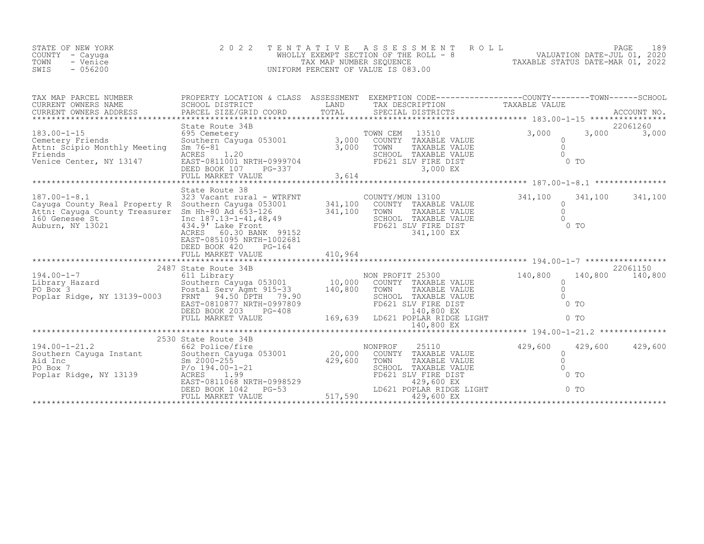| STATE OF NEW YORK<br>COUNTY - Cayuga<br>TOWN<br>- Venice<br>$-056200$<br>SWIS | 2022 TENTATIVE ASSESSMENT ROLL<br>WHOLLY EXEMPT SECTION OF THE ROLL - 8<br>TAX MAP NUMBER SEOUENCE<br>UNIFORM PERCENT OF VALUE IS 083.00 |  | VALUATION DATE-JUL 01, 2020<br>TAXABLE STATUS DATE-MAR 01, 2022 | 189<br>PAGE |
|-------------------------------------------------------------------------------|------------------------------------------------------------------------------------------------------------------------------------------|--|-----------------------------------------------------------------|-------------|
|-------------------------------------------------------------------------------|------------------------------------------------------------------------------------------------------------------------------------------|--|-----------------------------------------------------------------|-------------|

| TAX MAP PARCEL NUMBER                                                                                                                                                                                                                                                                                                                                                                              | PROPERTY LOCATION & CLASS ASSESSMENT EXEMPTION CODE----------------COUNTY-------TOWN------SCHOOL |  |                                  |                           |  |
|----------------------------------------------------------------------------------------------------------------------------------------------------------------------------------------------------------------------------------------------------------------------------------------------------------------------------------------------------------------------------------------------------|--------------------------------------------------------------------------------------------------|--|----------------------------------|---------------------------|--|
|                                                                                                                                                                                                                                                                                                                                                                                                    |                                                                                                  |  |                                  |                           |  |
|                                                                                                                                                                                                                                                                                                                                                                                                    |                                                                                                  |  |                                  |                           |  |
|                                                                                                                                                                                                                                                                                                                                                                                                    | State Route 38                                                                                   |  |                                  |                           |  |
| 341,100 341<br>Cayuga County Real Property R Southern Cayuga 053001 341,100 COUNTY/MUN 13100 341,100 341<br>Cayuga County Real Property R Southern Cayuga 053001 341,100 COUNTY TAXABLE VALUE<br>Attn: Cayuga County Treasurer Sm Hh                                                                                                                                                               | EAST-0851095 NRTH-1002681                                                                        |  |                                  | 341,100 341,100           |  |
|                                                                                                                                                                                                                                                                                                                                                                                                    |                                                                                                  |  |                                  |                           |  |
|                                                                                                                                                                                                                                                                                                                                                                                                    |                                                                                                  |  |                                  |                           |  |
|                                                                                                                                                                                                                                                                                                                                                                                                    |                                                                                                  |  |                                  |                           |  |
|                                                                                                                                                                                                                                                                                                                                                                                                    |                                                                                                  |  |                                  |                           |  |
|                                                                                                                                                                                                                                                                                                                                                                                                    |                                                                                                  |  |                                  |                           |  |
|                                                                                                                                                                                                                                                                                                                                                                                                    |                                                                                                  |  |                                  |                           |  |
|                                                                                                                                                                                                                                                                                                                                                                                                    | 2530 State Route 34B                                                                             |  |                                  |                           |  |
| $\begin{tabular}{lllllllllllllll} \multicolumn{3}{c}{194.00-1-21.2} & \multicolumn{3}{c}{2530}& \text{State Route 34B} & \text{nonPROF} & 25110 & 429,600\\ \text{Solution} & 662 & \text{Police/fire} & & \text{nonPROF} & 25110 & 429,600\\ \text{Aid Inc} & \text{Sm 2000-255} & & & 20,000 & \text{COUNTY TAXABLE VALUE}\\ \text{PO Box 7} & \text{P/O 194.00-1-21} & & & 429,600 & \text{TON$ |                                                                                                  |  | $\Omega$<br>$\bigcirc$<br>$0$ TO | 429,600 429,600<br>$0$ TO |  |
|                                                                                                                                                                                                                                                                                                                                                                                                    |                                                                                                  |  |                                  |                           |  |
|                                                                                                                                                                                                                                                                                                                                                                                                    |                                                                                                  |  |                                  |                           |  |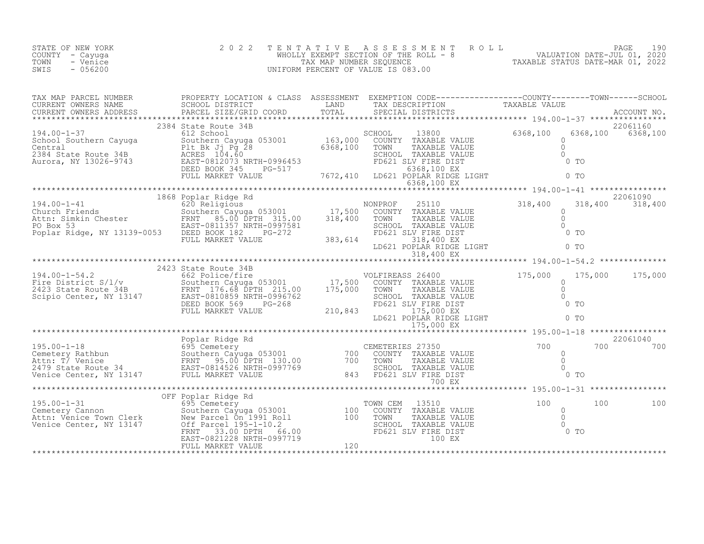| STATE OF NEW YORK<br>COUNTY – Cayuga<br>TOWN<br>- Venice<br>$-056200$<br>SWIS | 2022 TENTATIVE ASSESSMENT ROLL<br>WHOLLY EXEMPT SECTION OF THE ROLL - 8<br>TAX MAP NUMBER SEOUENCE<br>UNIFORM PERCENT OF VALUE IS 083.00 | 190<br>PAGE<br>VALUATION DATE-JUL 01, 2020<br>TAXABLE STATUS DATE-MAR 01, 2022 |
|-------------------------------------------------------------------------------|------------------------------------------------------------------------------------------------------------------------------------------|--------------------------------------------------------------------------------|
|                                                                               |                                                                                                                                          |                                                                                |

| TAX MAP PARCEL NUMBER THE PROPERTY LOCATION & CLASS ASSESSMENT EXEMPTION CODE----------------COUNTY-------TOWN-----SCHOOL |                      |  |          |                               |
|---------------------------------------------------------------------------------------------------------------------------|----------------------|--|----------|-------------------------------|
|                                                                                                                           |                      |  |          |                               |
|                                                                                                                           | 2384 State Route 34B |  | 6368,100 | 22061160<br>6368,100 6368,100 |
|                                                                                                                           |                      |  |          |                               |
|                                                                                                                           |                      |  |          |                               |
|                                                                                                                           |                      |  |          |                               |
|                                                                                                                           |                      |  |          |                               |
|                                                                                                                           |                      |  |          |                               |
|                                                                                                                           |                      |  |          | 22061040<br>700 700           |
|                                                                                                                           |                      |  |          |                               |
|                                                                                                                           | OFF Poplar Ridge Rd  |  |          | 100                           |
|                                                                                                                           |                      |  |          |                               |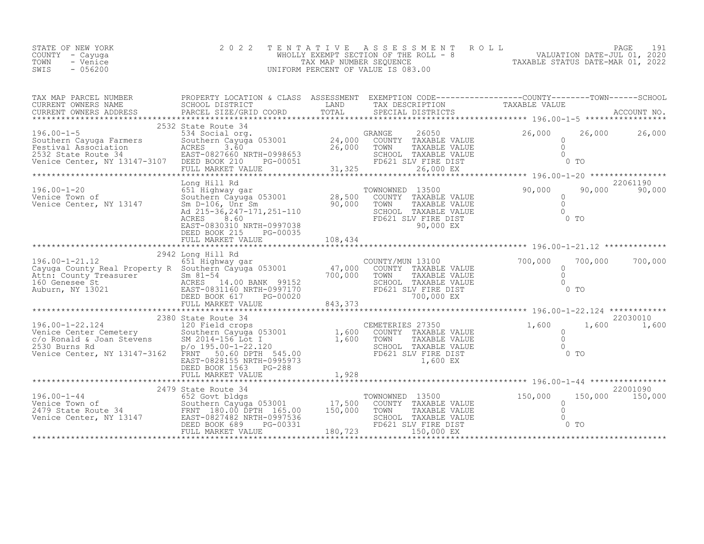| STATE OF NEW YORK  | 2022 TENTATIVE ASSESSMENT ROLL        |                                  | PAGE                        | 191 |
|--------------------|---------------------------------------|----------------------------------|-----------------------------|-----|
| COUNTY – Cayuqa    | WHOLLY EXEMPT SECTION OF THE ROLL - 8 |                                  | VALUATION DATE-JUL 01, 2020 |     |
| TOWN<br>- Venice   | TAX MAP NUMBER SEQUENCE               | TAXABLE STATUS DATE-MAR 01, 2022 |                             |     |
| $-0.56200$<br>SWIS | UNIFORM PERCENT OF VALUE IS 083.00    |                                  |                             |     |

| TAX MAP PARCEL NUMBER<br>CURRENT OWNERS NAME<br>.COURRENT OWNERS ADDRESS PARCEL SIZE/GRID COORD TOTAL SPECIAL DISTRICTS ACCOUNT NO ACCOUNT NO ACCOUNT NO ACCOUNT NO ACCOUNT NO ACCOUNT NO ACCOUNT NO A PARCEL SIZE/GRID COORD TOTAL SPECIAL DISTRICTS AND A A AND A A A A A A                                                                                       | PROPERTY LOCATION & CLASS ASSESSMENT EXEMPTION CODE----------------COUNTY-------TOWN-----SCHOOL<br>SCHOOL DISTRICT       | LAND               | TAX DESCRIPTION                                                                                                                                                                                                                 | TAXABLE VALUE                            |                 |               |
|---------------------------------------------------------------------------------------------------------------------------------------------------------------------------------------------------------------------------------------------------------------------------------------------------------------------------------------------------------------------|--------------------------------------------------------------------------------------------------------------------------|--------------------|---------------------------------------------------------------------------------------------------------------------------------------------------------------------------------------------------------------------------------|------------------------------------------|-----------------|---------------|
|                                                                                                                                                                                                                                                                                                                                                                     | 2532 State Route 34                                                                                                      |                    | 26050 and 26050 and 26050 and 26050 and 26050 and 26050 and 26050 and 26050 and 26050 and 26050 and 26050 and 26050 and 26050 and 26050 and 26050 and 26050 and 26050 and 26050 and 26050 and 26050 and 26050 and 26050 and 260 | 26,000                                   |                 | 26,000 26,000 |
| 196.00-1-5<br>Southern Cayuga Farmers<br>Southern Cayuga Farmers<br>Festival Association<br>2532 State Route 34<br>Venice Center, NY 13147-3107<br>PEED BOOK 210<br>PEED BOOK 210<br>PEED BOOK 210<br>PEED BOOK 210<br>PEED BOOK 210                                                                                                                                | State Route 54<br>534 Social org. 053001 (24,000 COUNTY TAXABLE VALUE<br>SOLL DESCRIPTION OF THE 26 COUNTY TAXABLE VALUE | 26,000             | TOWN<br>TAXABLE VALUE<br>SCHOOL TAXABLE VALUE<br>FD621 SLV FIRE DIST                                                                                                                                                            | $\circ$<br>$\Omega$<br>$\cap$            | 0 <sub>T</sub>  |               |
|                                                                                                                                                                                                                                                                                                                                                                     | FULL MARKET VALUE                                                                                                        | 31,325             | 26,000 EX                                                                                                                                                                                                                       |                                          |                 |               |
|                                                                                                                                                                                                                                                                                                                                                                     |                                                                                                                          |                    |                                                                                                                                                                                                                                 |                                          |                 | 22061190      |
| 196.00-1-20<br>Venice Town of Southern Cayuga 053001<br>Venice Center, NY 13147<br>Venice Center, NY 13147<br>Magnum Magnum Magnum Magnum Magnum Magnum Magnum Magnum Magnum Magnum Magnum Magnum Magnum Magnum Magnum Magnum Magnum M                                                                                                                              |                                                                                                                          |                    | TOWNOWNED 13500<br>COUNTY TAXABLE VALUE<br>TOWN<br>TAXABLE VALUE<br>SCHOOL TAXABLE VALUE<br>FD621 SLV FIRE DIST<br>90,000 EX                                                                                                    | 90,000<br>$\Omega$<br>$\Omega$<br>$\cap$ | $0$ TO          | 90,000 90,000 |
|                                                                                                                                                                                                                                                                                                                                                                     | DEED BOOK 215<br>PG-00035                                                                                                |                    |                                                                                                                                                                                                                                 |                                          |                 |               |
|                                                                                                                                                                                                                                                                                                                                                                     |                                                                                                                          |                    |                                                                                                                                                                                                                                 |                                          |                 |               |
| $\begin{tabular}{lllllllll} 196.00-1-21.12 & 2942 Long Hill Rd & 651 High way of 13100 & 700,000 & 700,000 & 700,000 \\ Cayuga County Real Property R & 651 High way of 700 and 700,000 & 700,000 & 700,000 \\ Attn: Country The image. & 81-54 & 700,000 & 700,000 & 700,000 \\ Attn: Country The image. & 81-54 & 700,000 & 700,000 & 700,000 \\ 160 Genese & 8t$ | 2942 Long Hill Rd                                                                                                        |                    |                                                                                                                                                                                                                                 |                                          |                 |               |
|                                                                                                                                                                                                                                                                                                                                                                     | 2380 State Route 34                                                                                                      |                    |                                                                                                                                                                                                                                 |                                          |                 | 22030010      |
| $[196.00-1-22.124$ 2380 State Route 34<br>120 Field crops<br>CEMETERIES 27350<br>Cemerce Center Cemetery<br>Southern Cayuga 053001<br>2530 Burns Rd<br>2530 Burns Rd<br>Point 2530 Burns Rd<br>Point 2530 Burns Rd<br>Point 2530 Burns Rd<br>Poin                                                                                                                   | EAST-0828155 NRTH-0995973<br>DEED BOOK 1563 PG-288                                                                       |                    | 1,600 EX                                                                                                                                                                                                                        | 1,600<br>0<br>$\Omega$<br>$0$ TO         | 1,600           | 1,600         |
|                                                                                                                                                                                                                                                                                                                                                                     |                                                                                                                          |                    |                                                                                                                                                                                                                                 |                                          |                 |               |
|                                                                                                                                                                                                                                                                                                                                                                     | 2479 State Route 34                                                                                                      |                    | TOWNOWNED 13500                                                                                                                                                                                                                 | 150,000                                  | 150,000 150,000 | 22001090      |
| 196.00-1-44<br>196.00-1-44<br>Venice Town of Southern Cayuga 053001 17,500<br>2479 State Route 34<br>Venice Center, NY 13147<br>TRNT 180.00 DPTH 165.00 150,000<br>TRNT 180.00 DPTH 165.00 150,000<br>EAST-0827482<br>PC-00331                                                                                                                                      | DEED BOOK 689<br>PG-00331<br>FULL MARKET VALUE                                                                           | 150,000<br>180,723 | COUNTY TAXABLE VALUE<br>TOWN<br>TAXABLE VALUE<br>SCHOOL TAXABLE VALUE<br>FD621 SLV FIRE DIST<br>150,000 EX                                                                                                                      | $\Omega$<br>$\Omega$<br>$\cap$           | $0$ TO          |               |
|                                                                                                                                                                                                                                                                                                                                                                     |                                                                                                                          |                    |                                                                                                                                                                                                                                 |                                          |                 |               |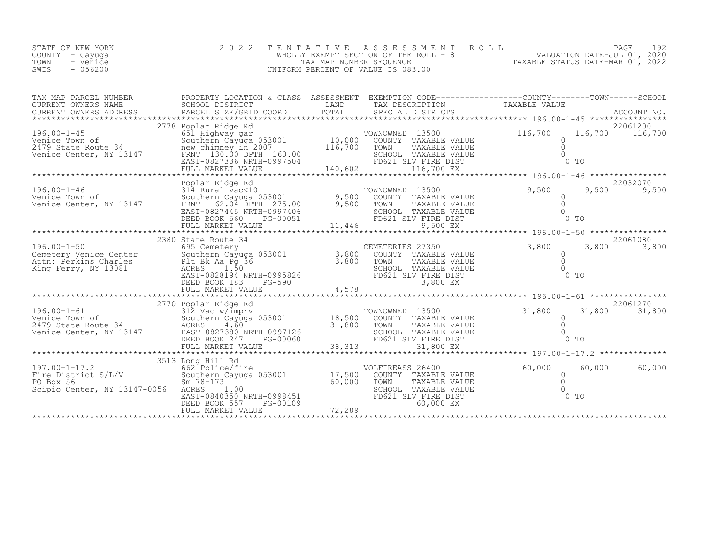|      | STATE OF NEW YORK | 2022 TENTATIVE ASSESSMENT ROLL        |                                  | PAGE                        |  |
|------|-------------------|---------------------------------------|----------------------------------|-----------------------------|--|
|      | COUNTY – Cayuga   | WHOLLY EXEMPT SECTION OF THE ROLL - 8 |                                  | VALUATION DATE-JUL 01, 2020 |  |
| TOWN | - Venice          | TAX MAP NUMBER SEOUENCE               | TAXABLE STATUS DATE-MAR 01, 2022 |                             |  |
| SWIS | $-056200$         | UNIFORM PERCENT OF VALUE IS 083.00    |                                  |                             |  |

| TAX MAP PARCEL NUMBER<br>CURRENT OWNERS NAME<br>CURRENT OWNERS ADDRESS                                                                                                                                                                                                                                  | PROPERTY LOCATION & CLASS ASSESSMENT EXEMPTION CODE----------------COUNTY-------TOWN-----SCHOOL<br>SCHOOL DISTRICT |         |                                                                                                                                                                                                                                                                                                                                                                                                                                                                                    |                                                                                                                                                                          |                            |
|---------------------------------------------------------------------------------------------------------------------------------------------------------------------------------------------------------------------------------------------------------------------------------------------------------|--------------------------------------------------------------------------------------------------------------------|---------|------------------------------------------------------------------------------------------------------------------------------------------------------------------------------------------------------------------------------------------------------------------------------------------------------------------------------------------------------------------------------------------------------------------------------------------------------------------------------------|--------------------------------------------------------------------------------------------------------------------------------------------------------------------------|----------------------------|
|                                                                                                                                                                                                                                                                                                         |                                                                                                                    |         | $\begin{tabular}{ll} \multicolumn{2}{c}{\begin{tabular}{c} \multicolumn{2}{c}{\textbf{10}}\multicolumn{2}{c}{\textbf{11}}\multicolumn{2}{c}{\textbf{12}}\multicolumn{2}{c}{\textbf{15}}\end{tabular}} & \multicolumn{2}{c}{\begin{tabular}{c} \multicolumn{2}{c}{\textbf{15}}\multicolumn{2}{c}{\textbf{16}}\end{tabular}} & \multicolumn{2}{c}{\begin{tabular}{c} \multicolumn{2}{c}{\textbf{16}}\end{tabular}} & \multicolumn{2}{c}{\begin{tabular}{c} \multicolumn{2}{c}{\text$ |                                                                                                                                                                          |                            |
| 196.00-1-46<br>196.00-1-46 314 Rural vac<10<br>1314 Rural vac<10 9,500 COUNTY TAXABLE VALUE<br>13147 FRNT 02.04 DPTH 205.00 9,500 TOWN TAXABLE VALUE<br>196.00 70WN TAXABLE VALUE                                                                                                                       | Poplar Ridge Rd<br>EAST-0827445 NRTH-0997406<br>DEED BOOK 560 PG-00051<br>FULL MARKET VALUE                        | 11,446  | SCHOOL TAXABLE VALUE<br>FD621 SLV FIRE DIST<br>9,500 EX                                                                                                                                                                                                                                                                                                                                                                                                                            | 9,500<br>$\begin{array}{ccc}\n\text{LUE} & & & & & 0 \\ \text{LUE} & & & & 0 \\ 0 & & & & & 0 \\ \text{LUE} & & & & & 0 \\ & & & & & & 0\n\end{array}$<br>0 <sub>T</sub> | 22032070<br>9,500<br>9,500 |
| $\begin{tabular}{lllllllllllllllllll} \hline 196.00-1-50 & 2380 \text{ State Route 34} & \text{CEMENTERIES 27350} & 3,800 & 3,800 & 3,800 & 3,800 & 3,800 & 3,800 & 3,800 & 3,800 & 3,800 & 3,800 & 3,800 & 3,800 & 3,800 & 3,800 & 3,800 & 3,800 & 3,800 & 3,800 & 3,800 & 3,800 & 3,800 & 3,800 & 3,$ |                                                                                                                    |         |                                                                                                                                                                                                                                                                                                                                                                                                                                                                                    |                                                                                                                                                                          | 22061080                   |
| 196.00-1-61<br>Venice Town of<br>2770 Poplar Ridge Rd<br>312 Vac w/imprv<br>Southern Cayuga 053001<br>2479 State Route 34<br>2479 State Route 34<br>2479 State Route 34<br>2479 State Route 34<br>26 BAST-0827380 NRTH-0997126<br>DEED ROOK 247<br>                                                     |                                                                                                                    | 38, 313 | TOWNOWNED 13500                                                                                                                                                                                                                                                                                                                                                                                                                                                                    | 31,800<br>$0$ TO                                                                                                                                                         | 22061270<br>31,800 31,800  |
| 3513 Long Hill Rd<br>Fire District S/L/V 662 Police/fire<br>For Box 56 2011 17,500<br>PO Box 56 3001<br>Sm 78-173<br>The Capital Communication of Sample 17,500<br>Sm 78-173<br>Co,000<br>Scipio Center, NY 13147-0056 ACRES                                                                            | 1.00<br>EAST-0840350 NRTH-0998451<br>DEED BOOK 557<br>PG-00109<br>FULL MARKET VALUE                                | 72,289  | VOLFIREASS 26400<br>COUNTY TAXABLE VALUE<br>TOWN<br>TAXABLE VALUE<br>SCHOOL TAXABLE VALUE<br>FD621 SLV FIRE DIST<br>60,000 EX                                                                                                                                                                                                                                                                                                                                                      | $0$<br>0<br>0<br>0<br>0<br>$0$ TO                                                                                                                                        | 60,000<br>60,000           |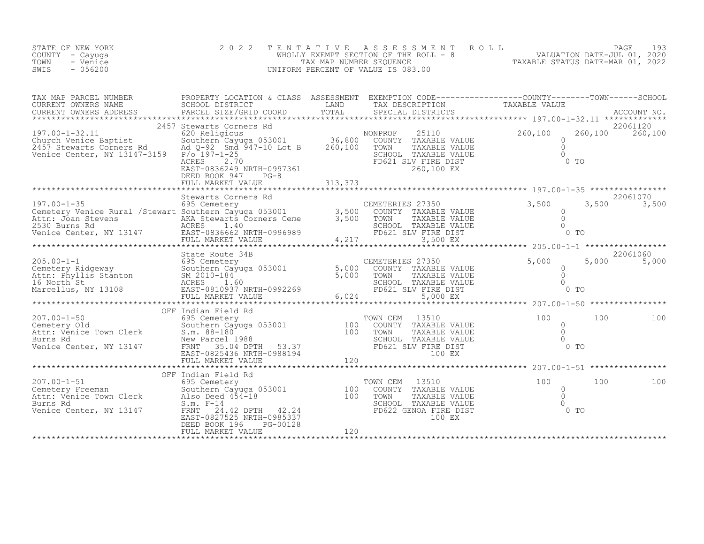| STATE OF NEW YORK<br>COUNTY<br>- Cayuga<br>- Venice<br>TOWN<br>$-056200$<br>SWIS                                                                                                                                               |                                                                                                | TENTATIVE          | ASSESSMENT ROLL<br>WHOLLY EXEMPT SECTION OF THE ROLL - 8<br>TAX MAP NUMBER SEOUENCE<br>UNIFORM PERCENT OF VALUE IS 083.00 | PAGE<br>- 193<br>2020<br>VALUATION DATE-JUL 01,<br>TAXABLE STATUS DATE-MAR 01, 2022          |
|--------------------------------------------------------------------------------------------------------------------------------------------------------------------------------------------------------------------------------|------------------------------------------------------------------------------------------------|--------------------|---------------------------------------------------------------------------------------------------------------------------|----------------------------------------------------------------------------------------------|
| TAX MAP PARCEL NUMBER<br>CURRENT OWNERS NAME<br>CURRENT OWNERS ADDRESS                                                                                                                                                         | PROPERTY LOCATION & CLASS<br>SCHOOL DISTRICT<br>PARCEL SIZE/GRID COORD TOTAL SPECIAL DISTRICTS | ASSESSMENT<br>LAND | TAX DESCRIPTION                                                                                                           | EXEMPTION CODE-----------------COUNTY-------TOWN------SCHOOL<br>TAXABLE VALUE<br>ACCOUNT NO. |
|                                                                                                                                                                                                                                |                                                                                                |                    |                                                                                                                           |                                                                                              |
|                                                                                                                                                                                                                                | 2457 Stewarts Corners Rd                                                                       |                    |                                                                                                                           | 22061120                                                                                     |
| $197.00 - 1 - 32.11$                                                                                                                                                                                                           | 620 Religious                                                                                  |                    | 25110<br>NONPROF                                                                                                          | 260,100<br>260,100<br>260,100                                                                |
| Church Venice Baptist $\begin{array}{ccc} \text{Counter} & \text{Southern} & \text{Cayuga} & 053001 & 36,800 \\ 2457 & \text{Stewarts Conners Rd} & \text{Ad Q-92} & \text{Smd} & 947-10 & \text{Lot B} & 260,100 \end{array}$ |                                                                                                |                    | COUNTY<br>TAXABLE VALUE<br>TOWN<br>TAXABLE VALUE                                                                          |                                                                                              |
| Venice Center, NY 13147-3159                                                                                                                                                                                                   | $P/O$ 197-1-25                                                                                 |                    | SCHOOL<br>TAXABLE VALUE                                                                                                   |                                                                                              |
|                                                                                                                                                                                                                                | 2.70<br>ACRES<br>EAST-0836249 NRTH-0997361                                                     |                    | FD621 SLV FIRE DIST<br>260,100 EX                                                                                         | $0$ TO                                                                                       |

|                                                                                                                                               | $PG-8$<br>DEED BOOK 947<br>FULL MARKET VALUE                                                                                                                                            |                         |                                                            |                                                                                                  |                                        |                                        |       |                                            |
|-----------------------------------------------------------------------------------------------------------------------------------------------|-----------------------------------------------------------------------------------------------------------------------------------------------------------------------------------------|-------------------------|------------------------------------------------------------|--------------------------------------------------------------------------------------------------|----------------------------------------|----------------------------------------|-------|--------------------------------------------|
|                                                                                                                                               |                                                                                                                                                                                         |                         |                                                            |                                                                                                  |                                        |                                        |       |                                            |
| $197.00 - 1 - 35$<br>Cemetery Venice Rural / Stewart Southern Cayuga 053001<br>Attn: Joan Stevens<br>2530 Burns Rd<br>Venice Center, NY 13147 | Stewarts Corners Rd<br>695 Cemetery<br>ens MEXA Stewarts Corners Ceme<br>ACRES 1.40<br>EAST-0836662 NRTH-0996989<br>FULL MARKET VALUE                                                   | 3,500<br>3,500<br>4,217 | CEMETERIES 27350<br>TOWN                                   | COUNTY TAXABLE VALUE<br>TAXABLE VALUE<br>SCHOOL TAXABLE VALUE<br>FD621 SLV FIRE DIST<br>3,500 EX | 3,500                                  | 0 <sub>T</sub>                         | 3,500 | 22061070<br>3,500                          |
|                                                                                                                                               |                                                                                                                                                                                         |                         |                                                            |                                                                                                  | **** 205.00-1-1 ******************     |                                        |       |                                            |
| $205.00 - 1 - 1$<br>Cemetery Ridgeway<br>Attn: Phyllis Stanton SM 201<br>16 North St ACRES<br>Marcellus, NY 13108                             | State Route 34B<br>695 Cemetery<br>Southern Cayuga 053001<br>SM 2010-184<br>1.60<br>EAST-0810937 NRTH-0992269<br>FULL MARKET VALUE                                                      | 5,000<br>5,000<br>6,024 | CEMETERIES 27350<br>TOWN                                   | COUNTY TAXABLE VALUE<br>TAXABLE VALUE<br>SCHOOL TAXABLE VALUE<br>FD621 SLV FIRE DIST<br>5,000 EX | 5,000                                  | 0 <sub>T</sub>                         | 5,000 | 22061060<br>5,000                          |
|                                                                                                                                               |                                                                                                                                                                                         |                         |                                                            |                                                                                                  | ******** 207.00-1-50 ***************** |                                        |       |                                            |
| $207.00 - 1 - 50$<br>Cemetery Old<br>Attn: Venice Town Clerk<br>Burns Rd<br>Venice Center, NY 13147                                           | OFF Indian Field Rd<br>695 Cemetery<br>Southern Cayuga 053001<br>$S.m. 88-180$<br>New Parcel 1988<br>35.04 DPTH<br>FRNT<br>53.37<br>EAST-0825436 NRTH-0988194<br>FULL MARKET VALUE      | 100<br>100<br>120       | TOWN CEM<br>COUNTY<br>TOWN<br>SCHOOL<br>****************** | 13510<br>TAXABLE VALUE<br>TAXABLE VALUE<br>TAXABLE VALUE<br>FD621 SLV FIRE DIST<br>100 EX        | 100                                    | $\Omega$<br>$\Omega$<br>0 <sub>T</sub> | 100   | 100<br>$207.00 - 1 - 51$ ***************** |
|                                                                                                                                               | OFF Indian Field Rd                                                                                                                                                                     |                         |                                                            |                                                                                                  |                                        |                                        |       |                                            |
| $207.00 - 1 - 51$<br>Cemetery Freeman<br>Attn: Venice Town Clerk<br>Burns Rd<br>Venice Center, NY 13147                                       | 695 Cemetery<br>Southern Cayuga 053001<br>Also Deed 454-18<br>$S.m. F-14$<br>24.42 DPTH<br>FRNT<br>42.24<br>EAST-0827525 NRTH-0985337<br>DEED BOOK 196<br>PG-00128<br>FULL MARKET VALUE | 100<br>100<br>120       | TOWN CEM<br>COUNTY<br>TOWN<br>SCHOOL                       | 13510<br>TAXABLE VALUE<br>TAXABLE VALUE<br>TAXABLE VALUE<br>FD622 GENOA FIRE DIST<br>100 EX      | 100                                    | $\overline{0}$<br>$\circ$<br>$0$ TO    | 100   | 100                                        |
|                                                                                                                                               |                                                                                                                                                                                         |                         |                                                            |                                                                                                  |                                        |                                        |       |                                            |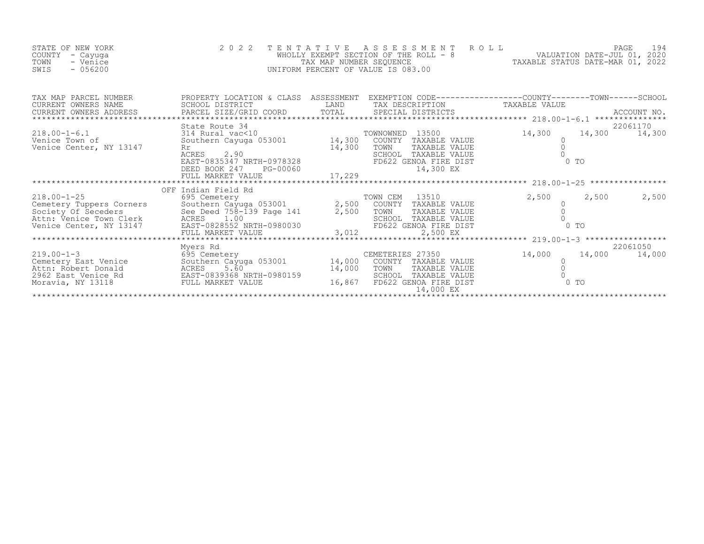| STATE OF NEW YORK<br>COUNTY<br>- Cayuqa<br>TOWN<br>- Venice<br>$-056200$<br>SWIS                                                                                                  | 2 0 2 2<br>TENTATIVE                                                                                                                                               | TAX MAP NUMBER SEQUENCE      | ROLL<br>ASSESSMENT<br>WHOLLY EXEMPT SECTION OF THE ROLL - 8<br>UNIFORM PERCENT OF VALUE IS 083.00                                     | PAGE 194<br>VALUATION DATE-JUL 01, 2020<br>TAXABLE STATUS DATE-MAR 01, 2022 | PAGE                            | 194      |
|-----------------------------------------------------------------------------------------------------------------------------------------------------------------------------------|--------------------------------------------------------------------------------------------------------------------------------------------------------------------|------------------------------|---------------------------------------------------------------------------------------------------------------------------------------|-----------------------------------------------------------------------------|---------------------------------|----------|
| TAX MAP PARCEL NUMBER<br>CURRENT OWNERS NAME<br>CURRENT OWNERS ADDRESS                                                                                                            |                                                                                                                                                                    |                              | EXEMPTION CODE-----------------COUNTY-------TOWN------SCHOOL                                                                          |                                                                             |                                 |          |
| $218.00 - 1 - 6.1$<br>Venice Town of<br>Venice Center, NY 13147                                                                                                                   | State Route 34<br>314 Rural vac<10<br>Southern Cayuga 053001 14,300<br>Rr<br>ACRES<br>2.90<br>ACRES 2.90<br>EAST-0835347 NRTH-0978328<br>DEED BOOK 247<br>PG-00060 | 14,300                       | TOWNOWNED 13500<br>COUNTY TAXABLE VALUE<br>TOWN<br>TAXABLE VALUE<br>SCHOOL TAXABLE VALUE<br>FD622 GENOA FIRE DIST<br>14,300 EX        | 14,300                                                                      | 14,300 14,300<br>0 <sub>T</sub> | 22061170 |
|                                                                                                                                                                                   | OFF Indian Field Rd                                                                                                                                                |                              |                                                                                                                                       |                                                                             |                                 |          |
| $218.00 - 1 - 25$<br>Cemetery Tuppers Corners<br>Southern Cayuga 053001<br>Society Of Seceders<br>Attn: Venice Town Clerk<br>Venice Center, NY 13147<br>SAST-0828552 NRTH-0980030 | 695 Cemetery<br>$\frac{333}{2}$ , $\frac{330}{2}$ , $\frac{330}{2}$ , $\frac{330}{2}$ , $\frac{330}{2}$<br>FULL MARKET VALUE                                       | $\frac{5}{2}$ , 500<br>3,012 | TOWN CEM<br>13510<br>COUNTY TAXABLE VALUE<br>TOWN<br>TAXABLE VALUE<br>SCHOOL<br>TAXABLE VALUE<br>FD622 GENOA FIRE DIST<br>2,500 EX    | 2,500                                                                       | 2,500<br>0 <sub>T</sub>         | 2,500    |
|                                                                                                                                                                                   | Myers Rd                                                                                                                                                           |                              |                                                                                                                                       |                                                                             |                                 | 22061050 |
| $219.00 - 1 - 3$<br>Cemetery East Venice<br>Attn: Robert Donald<br>2962 East Venice Rd<br>Moravia, NY 13118                                                                       | 695 Cemetery<br>Southern Cayuga 053001 14,000<br>Southern Cayuga 053001<br>ACRES     5.60<br>EAST-0839368 NRTH-0980159<br>FULL MARKET VALUE                        | 14,000<br>16,867             | CEMETERIES 27350<br>COUNTY<br>TAXABLE VALUE<br>TOWN<br>TAXABLE VALUE<br>SCHOOL<br>TAXABLE VALUE<br>FD622 GENOA FIRE DIST<br>14,000 EX | 14,000                                                                      | 14,000<br>$0$ To                | 14,000   |
|                                                                                                                                                                                   |                                                                                                                                                                    |                              |                                                                                                                                       |                                                                             |                                 |          |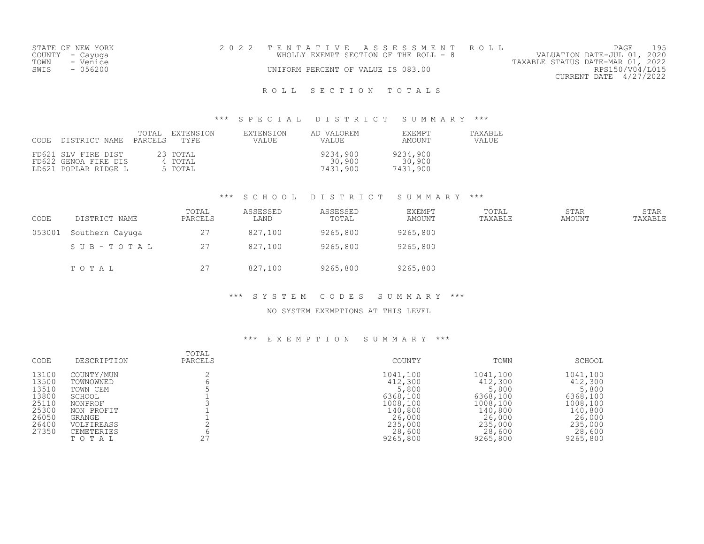|      | STATE OF NEW YORK | 2022 TENTATIVE ASSESSMENT ROLL                                       | PAGE            | 195 |
|------|-------------------|----------------------------------------------------------------------|-----------------|-----|
|      | COUNTY – Cayuga   | VALUATION DATE-JUL 01, 2020<br>WHOLLY EXEMPT SECTION OF THE ROLL - 8 |                 |     |
| TOWN | - Venice          | TAXABLE STATUS DATE-MAR 01, 2022                                     |                 |     |
| SWIS | $-056200$         | UNIFORM PERCENT OF VALUE IS 083.00                                   | RPS150/V04/L015 |     |
|      |                   | CURRENT DATE 4/27/2022                                               |                 |     |
|      |                   |                                                                      |                 |     |

#### \*\*\* S P E C I A L D I S T R I C T S U M M A R Y \*\*\*

| CODE DISTRICT NAME                                                  | TOTAL<br>PARCELS TYPE | EXTENSION                      | EXTENSION<br>VALUE | AD VALOREM<br>VALUE            | EXEMPT<br>AMOUNT               | TAXABLE<br><b>VALUE</b> |
|---------------------------------------------------------------------|-----------------------|--------------------------------|--------------------|--------------------------------|--------------------------------|-------------------------|
| FD621 SLV FIRE DIST<br>FD622 GENOA FIRE DIS<br>LD621 POPLAR RIDGE L |                       | 23 ТОТАL<br>4 TOTAL<br>5 TOTAL |                    | 9234,900<br>30,900<br>7431,900 | 9234,900<br>30,900<br>7431,900 |                         |

#### \*\*\* S C H O O L D I S T R I C T S U M M A R Y \*\*\*

| CODE   | DISTRICT NAME   | TOTAL<br>PARCELS | ASSESSED<br>LAND | ASSESSED<br>TOTAL | EXEMPT<br>AMOUNT | TOTAL<br>TAXABLE | STAR<br>AMOUNT | STAR<br>TAXABLE |
|--------|-----------------|------------------|------------------|-------------------|------------------|------------------|----------------|-----------------|
| 053001 | Southern Cayuga | 27               | 827,100          | 9265,800          | 9265,800         |                  |                |                 |
|        | SUB-TOTAL       | 27               | 827,100          | 9265,800          | 9265,800         |                  |                |                 |
|        | TOTAL           | 27               | 827,100          | 9265,800          | 9265,800         |                  |                |                 |

#### \*\*\* S Y S T E M C O D E S S U M M A R Y \*\*\*

#### NO SYSTEM EXEMPTIONS AT THIS LEVEL

| CODE           | DESCRIPTION                | TOTAL<br>PARCELS | COUNTY             | TOWN               | SCHOOL             |
|----------------|----------------------------|------------------|--------------------|--------------------|--------------------|
| 13100          | COUNTY/MUN                 |                  | 1041,100           | 1041,100           | 1041,100           |
| 13500<br>13510 | TOWNOWNED<br>TOWN CEM      |                  | 412,300<br>5,800   | 412,300<br>5,800   | 412,300<br>5,800   |
| 13800          | SCHOOL                     |                  | 6368,100           | 6368,100           | 6368,100           |
| 25110          | NONPROF                    |                  | 1008,100           | 1008,100           | 1008,100           |
| 25300<br>26050 | NON PROFIT<br>GRANGE       |                  | 140,800<br>26,000  | 140,800<br>26,000  | 140,800<br>26,000  |
| 26400          | VOLFIREASS                 |                  | 235,000            | 235,000            | 235,000            |
| 27350          | <b>CEMETERIES</b><br>TOTAL | 27               | 28,600<br>9265,800 | 28,600<br>9265,800 | 28,600<br>9265,800 |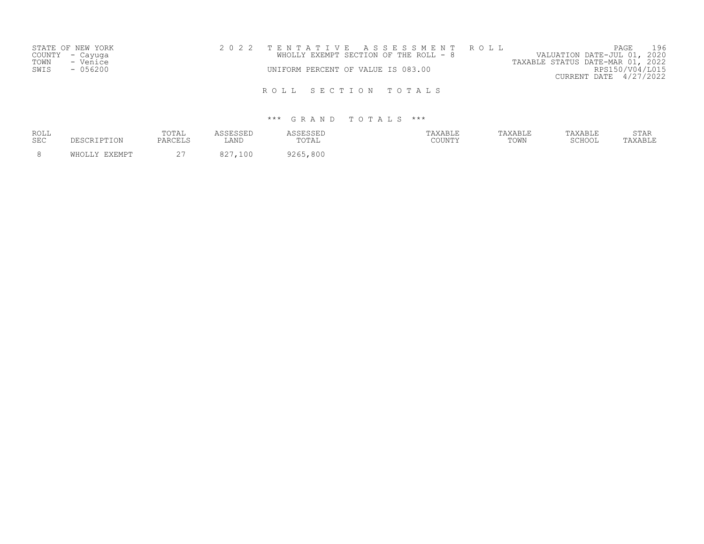|      | STATE OF NEW YORK |  |                                    | 2022 TENTATIVE ASSESSMENT ROLL        |                                  | PAGE                   | 196 |
|------|-------------------|--|------------------------------------|---------------------------------------|----------------------------------|------------------------|-----|
|      | COUNTY - Cayuga   |  |                                    | WHOLLY EXEMPT SECTION OF THE ROLL - 8 | VALUATION DATE-JUL 01, 2020      |                        |     |
| TOWN | - Venice          |  |                                    |                                       | TAXABLE STATUS DATE-MAR 01, 2022 |                        |     |
| SWIS | $-056200$         |  | UNIFORM PERCENT OF VALUE IS 083.00 |                                       |                                  | RPS150/V04/L015        |     |
|      |                   |  |                                    |                                       |                                  | CURRENT DATE 4/27/2022 |     |
|      |                   |  |                                    |                                       |                                  |                        |     |
|      |                   |  |                                    | ROLL SECTION TOTALS                   |                                  |                        |     |

| <b>ROLL</b><br><b>SEC</b> | DESCRIPTION   | TOTAL<br>PARCELS   | LAND        | <i><b>ISSESSED</b></i><br>TOTAL | TAXABLE<br>COUNTY | TAXABLE<br>TOWN | TAXABLE<br>SCHOOL | STAR<br>TAXABLE |
|---------------------------|---------------|--------------------|-------------|---------------------------------|-------------------|-----------------|-------------------|-----------------|
|                           | WHOLLY EXEMPT | $\cap$<br><u>_</u> | 0.27<br>100 | 9265,800                        |                   |                 |                   |                 |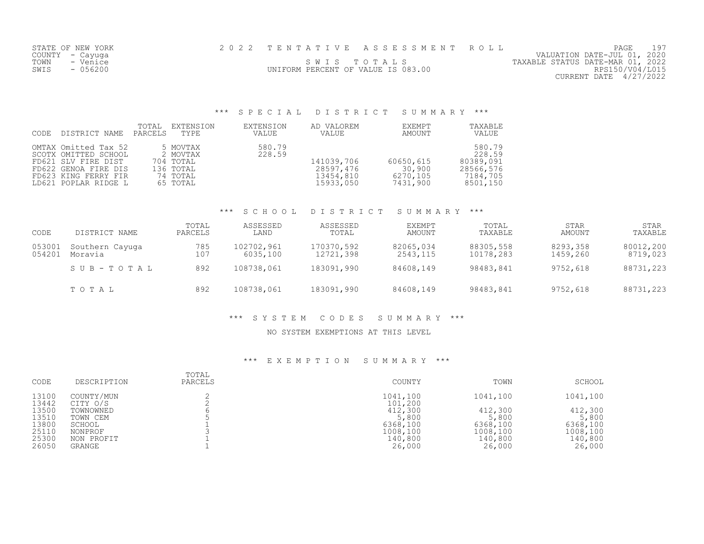| STATE OF NEW YORK | 2022 TENTATIVE ASSESSMENT ROLL     |  |                                  | PAGE                        |  |
|-------------------|------------------------------------|--|----------------------------------|-----------------------------|--|
| COUNTY – Cayuga   |                                    |  |                                  | VALUATION DATE-JUL 01, 2020 |  |
| TOWN<br>- Venice  | SWIS TOTALS                        |  | TAXABLE STATUS DATE-MAR 01, 2022 |                             |  |
| $-056200$<br>SWIS | UNIFORM PERCENT OF VALUE IS 083.00 |  |                                  | RPS150/V04/L015             |  |
|                   |                                    |  |                                  | CURRENT DATE $4/27/2022$    |  |

# \*\*\* S P E C I A L D I S T R I C T S U M M A R Y \*\*\*

| CODE | DISTRICT NAME                                                                                                                               | TOTAL<br>PARCELS | EXTENSION<br>TYPE                                                      | EXTENSION<br><b>VALUE</b> | AD VALOREM<br>VALUE                               | EXEMPT<br>AMOUNT                            | TAXABLE<br>VALUE                                                   |
|------|---------------------------------------------------------------------------------------------------------------------------------------------|------------------|------------------------------------------------------------------------|---------------------------|---------------------------------------------------|---------------------------------------------|--------------------------------------------------------------------|
|      | OMTAX Omitted Tax 52<br>SCOTX OMITTED SCHOOL<br>FD621 SLV FIRE DIST<br>FD622 GENOA FIRE DIS<br>FD623 KING FERRY FIR<br>LD621 POPLAR RIDGE L |                  | 5 MOVTAX<br>2 MOVTAX<br>704 TOTAL<br>136 TOTAL<br>74 TOTAL<br>65 TOTAL | 580.79<br>228.59          | 141039,706<br>28597,476<br>13454,810<br>15933,050 | 60650,615<br>30,900<br>6270,105<br>7431,900 | 580.79<br>228.59<br>80389,091<br>28566,576<br>7184,705<br>8501,150 |

#### \*\*\* S C H O O L D I S T R I C T S U M M A R Y \*\*\*

| CODE             | DISTRICT NAME              | TOTAL<br>PARCELS | ASSESSED<br>LAND       | ASSESSED<br>TOTAL       | <b>EXEMPT</b><br>AMOUNT | TOTAL<br>TAXABLE       | STAR<br>AMOUNT       | STAR<br>TAXABLE       |
|------------------|----------------------------|------------------|------------------------|-------------------------|-------------------------|------------------------|----------------------|-----------------------|
| 053001<br>054201 | Southern Cayuga<br>Moravia | 785<br>107       | 102702,961<br>6035,100 | 170370,592<br>12721,398 | 82065,034<br>2543,115   | 88305,558<br>10178,283 | 8293,358<br>1459,260 | 80012,200<br>8719,023 |
|                  | SUB-TOTAL                  | 892              | 108738,061             | 183091,990              | 84608,149               | 98483,841              | 9752,618             | 88731,223             |
|                  | TOTAL                      | 892              | 108738,061             | 183091,990              | 84608,149               | 98483,841              | 9752,618             | 88731,223             |

#### \*\*\* S Y S T E M C O D E S S U M M A R Y \*\*\*

#### NO SYSTEM EXEMPTIONS AT THIS LEVEL

| CODE           | DESCRIPTION            | TOTAL<br>PARCELS | COUNTY              | TOWN              | SCHOOL            |
|----------------|------------------------|------------------|---------------------|-------------------|-------------------|
| 13100<br>13442 | COUNTY/MUN<br>CITY O/S |                  | 1041,100<br>101,200 | 1041,100          | 1041,100          |
| 13500          | TOWNOWNED              |                  | 412,300             | 412,300           | 412,300           |
| 13510<br>13800 | TOWN CEM<br>SCHOOL     |                  | 5,800<br>6368,100   | 5,800<br>6368,100 | 5,800<br>6368,100 |
| 25110          | NONPROF                |                  | 1008,100            | 1008,100          | 1008,100          |
| 25300<br>26050 | NON PROFIT<br>GRANGE   |                  | 140,800<br>26,000   | 140,800           | 140,800<br>26,000 |
|                |                        |                  |                     | 26,000            |                   |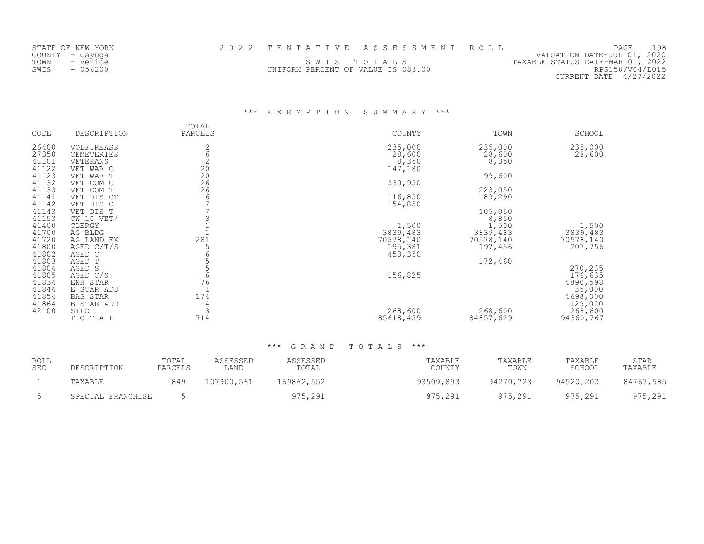| STATE OF NEW YORK |                                    | 2022 TENTATIVE ASSESSMENT ROLL |                                  | PAGE                        | 198 |
|-------------------|------------------------------------|--------------------------------|----------------------------------|-----------------------------|-----|
| COUNTY – Cayuga   |                                    |                                |                                  | VALUATION DATE-JUL 01, 2020 |     |
| TOWN<br>- Venice  |                                    | SWIS TOTALS                    | TAXABLE STATUS DATE-MAR 01, 2022 |                             |     |
| $-056200$<br>SWIS | UNIFORM PERCENT OF VALUE IS 083.00 |                                |                                  | RPS150/V04/L015             |     |
|                   |                                    |                                |                                  | CURRENT DATE 4/27/2022      |     |
|                   |                                    |                                |                                  |                             |     |

\*\*\* E X E M P T I O N S U M M A R Y \*\*\*

| CODE           | DESCRIPTION             | TOTAL<br>PARCELS                        | COUNTY    | TOWN      | SCHOOL    |
|----------------|-------------------------|-----------------------------------------|-----------|-----------|-----------|
| 26400          | VOLFIREASS              | 2                                       | 235,000   | 235,000   | 235,000   |
| 27350          | CEMETERIES              | $\overline{6}$                          | 28,600    | 28,600    | 28,600    |
| 41101          | VETERANS                | $\overline{c}$                          | 8,350     | 8,350     |           |
| 41122          | VET WAR C               | 20                                      | 147,180   |           |           |
| 41123          | VET WAR T               | $\begin{array}{c} 20 \\ 26 \end{array}$ |           | 99,600    |           |
| 41132          | VET COM C               |                                         | 330,950   |           |           |
| 41133          | VET COM T               | 26                                      |           | 223,050   |           |
| 41141<br>41142 | VET DIS CT<br>VET DIS C | 6                                       | 116,850   | 89,290    |           |
| 41143          | VET DIS T               |                                         | 154,850   | 105,050   |           |
| 41153          | $CW$ 10 VET/            |                                         |           | 8,850     |           |
| 41400          | CLERGY                  |                                         | 1,500     | 1,500     | 1,500     |
| 41700          | AG BLDG                 |                                         | 3839,483  | 3839,483  | 3839,483  |
| 41720          | AG LAND EX              | 281                                     | 70578,140 | 70578,140 | 70578,140 |
| 41800          | AGED $C/T/S$            |                                         | 195,381   | 197,456   | 207,756   |
| 41802          | AGED C                  |                                         | 453,350   |           |           |
| 41803          | AGED T                  |                                         |           | 172,460   |           |
| 41804          | AGED S                  |                                         |           |           | 270,235   |
| 41805          | AGED C/S                | 6                                       | 156,825   |           | 176,635   |
| 41834          | ENH STAR                | 76                                      |           |           | 4890,598  |
| 41844          | E STAR ADD              |                                         |           |           | 35,000    |
| 41854          | BAS STAR                | 174                                     |           |           | 4698,000  |
| 41864          | B STAR ADD              |                                         |           |           | 129,020   |
| 42100          | SILO                    |                                         | 268,600   | 268,600   | 268,600   |
|                | TOTAL                   | 714                                     | 85618,459 | 84857,629 | 94360,767 |

| ROLL<br><b>SEC</b> | DESCRIPTION       | TOTAL<br>PARCELS | ASSESSED<br>LAND | ASSESSED<br>TOTAL | TAXABLE<br>COUNTY | TAXABLE<br>TOWN | TAXABLE<br>SCHOOL | STAR<br>TAXABLE |
|--------------------|-------------------|------------------|------------------|-------------------|-------------------|-----------------|-------------------|-----------------|
|                    | TAXABLE           | 849              | 107900,561       | 169862,552        | 93509,893         | 94270,723       | 94520,203         | 84767,585       |
|                    | SPECIAL FRANCHISE |                  |                  | 975,291           | 975,291           | 975,291         | 975,291           | 975,291         |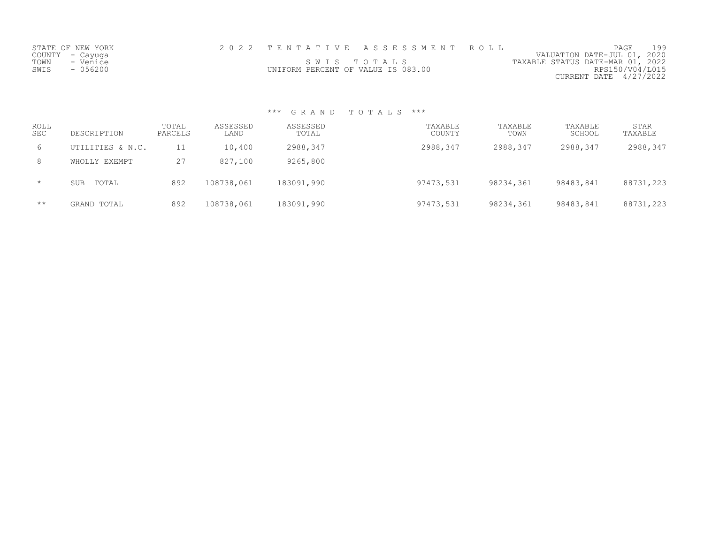| STATE OF NEW YORK |                                    | 2022 TENTATIVE ASSESSMENT ROLL |                                  | PAGE                        | 199 |
|-------------------|------------------------------------|--------------------------------|----------------------------------|-----------------------------|-----|
| COUNTY – Cayuga   |                                    |                                |                                  | VALUATION DATE-JUL 01, 2020 |     |
| TOWN<br>- Venice  |                                    | SWIS TOTALS                    | TAXABLE STATUS DATE-MAR 01, 2022 |                             |     |
| $-056200$<br>SWIS | UNIFORM PERCENT OF VALUE IS 083.00 |                                |                                  | RPS150/V04/L015             |     |
|                   |                                    |                                |                                  | CURRENT DATE 4/27/2022      |     |

| ROLL<br><b>SEC</b> | DESCRIPTION         | TOTAL<br>PARCELS | ASSESSED<br>LAND | ASSESSED<br>TOTAL | TAXABLE<br>COUNTY | TAXABLE<br>TOWN | TAXABLE<br>SCHOOL | STAR<br>TAXABLE |
|--------------------|---------------------|------------------|------------------|-------------------|-------------------|-----------------|-------------------|-----------------|
| 6                  | UTILITIES & N.C.    |                  | 10,400           | 2988,347          | 2988,347          | 2988,347        | 2988,347          | 2988,347        |
| 8                  | WHOLLY EXEMPT       | 27               | 827,100          | 9265,800          |                   |                 |                   |                 |
| $\star$            | TOTAL<br><b>SUB</b> | 892              | 108738,061       | 183091,990        | 97473,531         | 98234,361       | 98483,841         | 88731,223       |
| $\star\star$       | GRAND TOTAL         | 892              | 108738,061       | 183091,990        | 97473,531         | 98234,361       | 98483,841         | 88731,223       |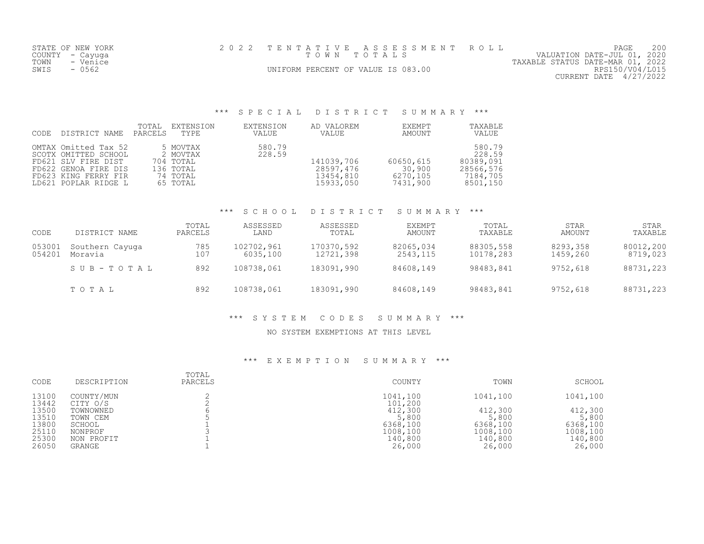| STATE OF NEW YORK | 2022 TENTATIVE ASSESSMENT ROLL     | 200<br>PAGE                      |
|-------------------|------------------------------------|----------------------------------|
| COUNTY – Cayuga   | TOWN TOTALS                        | VALUATION DATE-JUL 01, 2020      |
| TOWN<br>- Venice  |                                    | TAXABLE STATUS DATE-MAR 01, 2022 |
| SWIS<br>- 0562    | UNIFORM PERCENT OF VALUE IS 083.00 | RPS150/V04/L015                  |
|                   |                                    | CURRENT DATE 4/27/2022           |

# \*\*\* S P E C I A L D I S T R I C T S U M M A R Y \*\*\*

| CODE | DISTRICT NAME                                                                                                                               | TOTAL<br>PARCELS | EXTENSION<br>TYPE                                                      | EXTENSION<br>VALUE | AD VALOREM<br>VALUE                               | EXEMPT<br>AMOUNT                            | TAXABLE<br>VALUE                                                   |
|------|---------------------------------------------------------------------------------------------------------------------------------------------|------------------|------------------------------------------------------------------------|--------------------|---------------------------------------------------|---------------------------------------------|--------------------------------------------------------------------|
|      | OMTAX Omitted Tax 52<br>SCOTX OMITTED SCHOOL<br>FD621 SLV FIRE DIST<br>FD622 GENOA FIRE DIS<br>FD623 KING FERRY FIR<br>LD621 POPLAR RIDGE L |                  | 5 MOVTAX<br>2 MOVTAX<br>704 TOTAL<br>136 ТОТАL<br>74 TOTAL<br>65 TOTAL | 580.79<br>228.59   | 141039,706<br>28597,476<br>13454,810<br>15933,050 | 60650,615<br>30,900<br>6270,105<br>7431,900 | 580.79<br>228.59<br>80389,091<br>28566,576<br>7184,705<br>8501,150 |

#### \*\*\* S C H O O L D I S T R I C T S U M M A R Y \*\*\*

| CODE             | DISTRICT NAME              | TOTAL<br>PARCELS | ASSESSED<br>LAND       | ASSESSED<br>TOTAL       | <b>EXEMPT</b><br>AMOUNT | TOTAL<br>TAXABLE       | STAR<br>AMOUNT       | STAR<br>TAXABLE       |
|------------------|----------------------------|------------------|------------------------|-------------------------|-------------------------|------------------------|----------------------|-----------------------|
| 053001<br>054201 | Southern Cayuga<br>Moravia | 785<br>107       | 102702,961<br>6035,100 | 170370,592<br>12721,398 | 82065,034<br>2543,115   | 88305,558<br>10178,283 | 8293,358<br>1459,260 | 80012,200<br>8719,023 |
|                  | SUB-TOTAL                  | 892              | 108738,061             | 183091,990              | 84608,149               | 98483,841              | 9752,618             | 88731,223             |
|                  | TOTAL                      | 892              | 108738,061             | 183091,990              | 84608,149               | 98483,841              | 9752,618             | 88731,223             |

#### \*\*\* S Y S T E M C O D E S S U M M A R Y \*\*\*

#### NO SYSTEM EXEMPTIONS AT THIS LEVEL

| CODE           | DESCRIPTION            | TOTAL<br>PARCELS | COUNTY              | TOWN     | SCHOOL   |
|----------------|------------------------|------------------|---------------------|----------|----------|
| 13100<br>13442 | COUNTY/MUN<br>CITY O/S |                  | 1041,100<br>101,200 | 1041,100 | 1041,100 |
| 13500          | TOWNOWNED              |                  | 412,300             | 412,300  | 412,300  |
| 13510          | TOWN CEM               |                  | 5,800               | 5,800    | 5,800    |
| 13800          | SCHOOL                 |                  | 6368,100            | 6368,100 | 6368,100 |
| 25110          | NONPROF                |                  | 1008,100            | 1008,100 | 1008,100 |
| 25300          | NON PROFIT             |                  | 140,800             | 140,800  | 140,800  |
| 26050          | GRANGE                 |                  | 26,000              | 26,000   | 26,000   |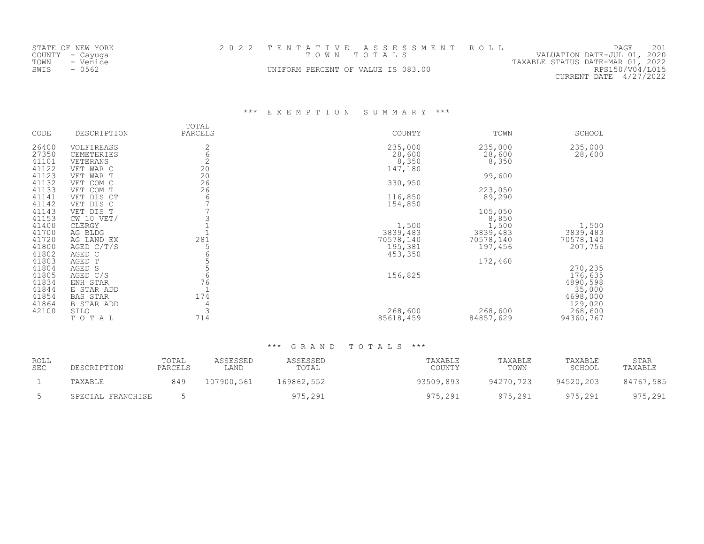| STATE OF NEW YORK | 2022 TENTATIVE ASSESSMENT ROLL     | 201<br>PAGE                      |
|-------------------|------------------------------------|----------------------------------|
| COUNTY – Cayuga   | TOWN TOTALS                        | VALUATION DATE-JUL 01, 2020      |
| TOWN<br>- Venice  |                                    | TAXABLE STATUS DATE-MAR 01, 2022 |
| SWIS<br>- 0562    | UNIFORM PERCENT OF VALUE IS 083.00 | RPS150/V04/L015                  |
|                   |                                    | $CURRENT$ DATE $4/27/2022$       |

\*\*\* E X E M P T I O N S U M M A R Y \*\*\*

| CODE           | DESCRIPTION             | TOTAL<br>PARCELS                        | COUNTY    | TOWN      | SCHOOL    |
|----------------|-------------------------|-----------------------------------------|-----------|-----------|-----------|
| 26400          | VOLFIREASS              | 2                                       | 235,000   | 235,000   | 235,000   |
| 27350          | CEMETERIES              | $\epsilon$                              | 28,600    | 28,600    | 28,600    |
| 41101          | VETERANS                | $\overline{c}$                          | 8,350     | 8,350     |           |
| 41122          | VET WAR C               | 20                                      | 147,180   |           |           |
| 41123          | VET WAR T               | $\begin{array}{c} 20 \\ 26 \end{array}$ |           | 99,600    |           |
| 41132          | VET COM C               | 26                                      | 330,950   |           |           |
| 41133          | VET COM T               |                                         |           | 223,050   |           |
| 41141<br>41142 | VET DIS CT<br>VET DIS C | 6                                       | 116,850   | 89,290    |           |
| 41143          | VET DIS T               |                                         | 154,850   | 105,050   |           |
| 41153          | $CW$ 10 VET/            |                                         |           | 8,850     |           |
| 41400          | CLERGY                  |                                         | 1,500     | 1,500     | 1,500     |
| 41700          | AG BLDG                 |                                         | 3839,483  | 3839,483  | 3839,483  |
| 41720          | AG LAND EX              | 281                                     | 70578,140 | 70578,140 | 70578,140 |
| 41800          | AGED $C/T/S$            | 5                                       | 195,381   | 197,456   | 207,756   |
| 41802          | AGED C                  |                                         | 453,350   |           |           |
| 41803          | AGED T                  |                                         |           | 172,460   |           |
| 41804          | AGED S                  |                                         |           |           | 270,235   |
| 41805          | AGED C/S                | 6                                       | 156,825   |           | 176,635   |
| 41834          | ENH STAR                | 76                                      |           |           | 4890,598  |
| 41844          | E STAR ADD              | $\mathbf{1}$                            |           |           | 35,000    |
| 41854          | BAS STAR                | 174                                     |           |           | 4698,000  |
| 41864          | <b>B STAR ADD</b>       | 4                                       |           |           | 129,020   |
| 42100          | SILO                    | 3                                       | 268,600   | 268,600   | 268,600   |
|                | TOTAL                   | 714                                     | 85618,459 | 84857,629 | 94360,767 |

| ROLL<br><b>SEC</b> | DESCRIPTION       | TOTAL<br>PARCELS | ASSESSED<br>LAND | ASSESSED<br>TOTAL | TAXABLE<br>COUNTY | TAXABLE<br>TOWN | TAXABLE<br>SCHOOL | STAR<br>TAXABLE |
|--------------------|-------------------|------------------|------------------|-------------------|-------------------|-----------------|-------------------|-----------------|
|                    | TAXABLE           | 849              | 107900,561       | 169862,552        | 93509,893         | 94270,723       | 94520,203         | 84767,585       |
|                    | SPECIAL FRANCHISE |                  |                  | 975,291           | 975,291           | 975,291         | 975,291           | 975,291         |